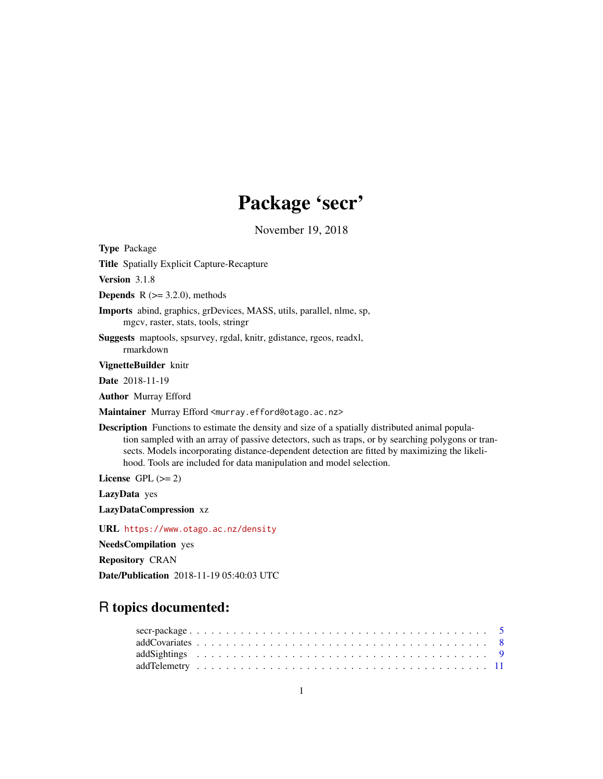# Package 'secr'

November 19, 2018

<span id="page-0-0"></span>Type Package

Title Spatially Explicit Capture-Recapture

Version 3.1.8

**Depends** R  $(>= 3.2.0)$ , methods

Imports abind, graphics, grDevices, MASS, utils, parallel, nlme, sp, mgcv, raster, stats, tools, stringr

Suggests maptools, spsurvey, rgdal, knitr, gdistance, rgeos, readxl, rmarkdown

VignetteBuilder knitr

Date 2018-11-19

Author Murray Efford

Maintainer Murray Efford <murray.efford@otago.ac.nz>

Description Functions to estimate the density and size of a spatially distributed animal population sampled with an array of passive detectors, such as traps, or by searching polygons or transects. Models incorporating distance-dependent detection are fitted by maximizing the likelihood. Tools are included for data manipulation and model selection.

License GPL  $(>= 2)$ 

LazyData yes

LazyDataCompression xz

URL <https://www.otago.ac.nz/density>

NeedsCompilation yes

Repository CRAN

Date/Publication 2018-11-19 05:40:03 UTC

# R topics documented: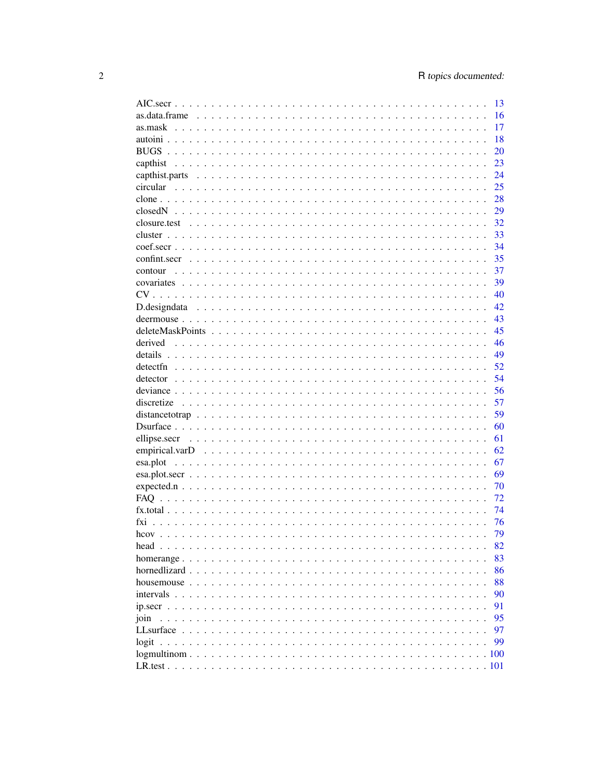|                                                                                                                          | 13 |
|--------------------------------------------------------------------------------------------------------------------------|----|
|                                                                                                                          | 16 |
|                                                                                                                          | 17 |
|                                                                                                                          | 18 |
|                                                                                                                          | 20 |
|                                                                                                                          | 23 |
|                                                                                                                          | 24 |
|                                                                                                                          | 25 |
|                                                                                                                          | 28 |
|                                                                                                                          | 29 |
|                                                                                                                          | 32 |
|                                                                                                                          | 33 |
|                                                                                                                          | 34 |
|                                                                                                                          |    |
|                                                                                                                          | 35 |
| contour                                                                                                                  | 37 |
|                                                                                                                          | 39 |
|                                                                                                                          | 40 |
|                                                                                                                          | 42 |
|                                                                                                                          | 43 |
|                                                                                                                          | 45 |
| derived                                                                                                                  | 46 |
|                                                                                                                          | 49 |
|                                                                                                                          | 52 |
|                                                                                                                          | 54 |
|                                                                                                                          | 56 |
|                                                                                                                          | 57 |
|                                                                                                                          | 59 |
|                                                                                                                          | 60 |
|                                                                                                                          | 61 |
|                                                                                                                          | 62 |
|                                                                                                                          | 67 |
|                                                                                                                          | 69 |
| $expected.n \dots \dots \dots \dots \dots \dots \dots \dots \dots \dots \dots \dots \dots \dots \dots \dots \dots \dots$ | 70 |
|                                                                                                                          | 72 |
|                                                                                                                          | 74 |
|                                                                                                                          |    |
|                                                                                                                          | 76 |
|                                                                                                                          | 79 |
|                                                                                                                          | 82 |
|                                                                                                                          | 83 |
|                                                                                                                          | 86 |
|                                                                                                                          | 88 |
|                                                                                                                          | 90 |
|                                                                                                                          | 91 |
| join                                                                                                                     | 95 |
|                                                                                                                          | 97 |
|                                                                                                                          | 99 |
|                                                                                                                          |    |
|                                                                                                                          |    |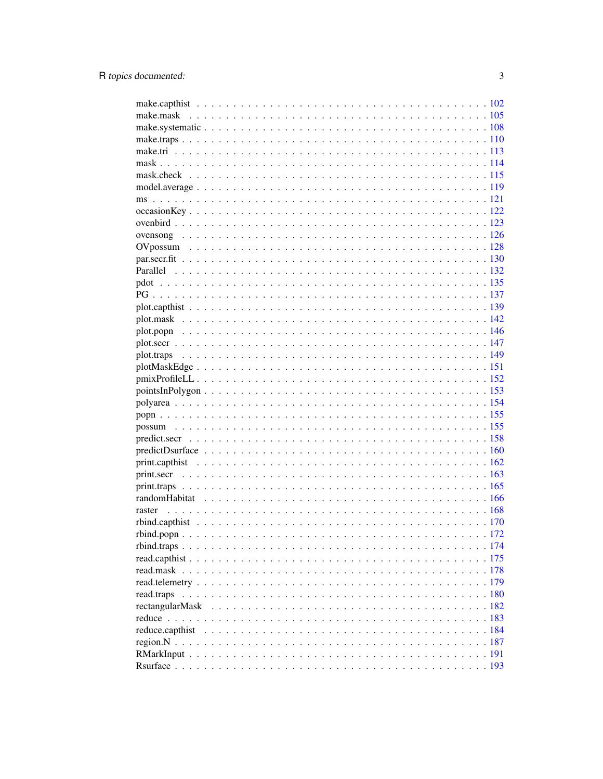| read.traps |  |
|------------|--|
|            |  |
|            |  |
|            |  |
|            |  |
|            |  |
|            |  |
|            |  |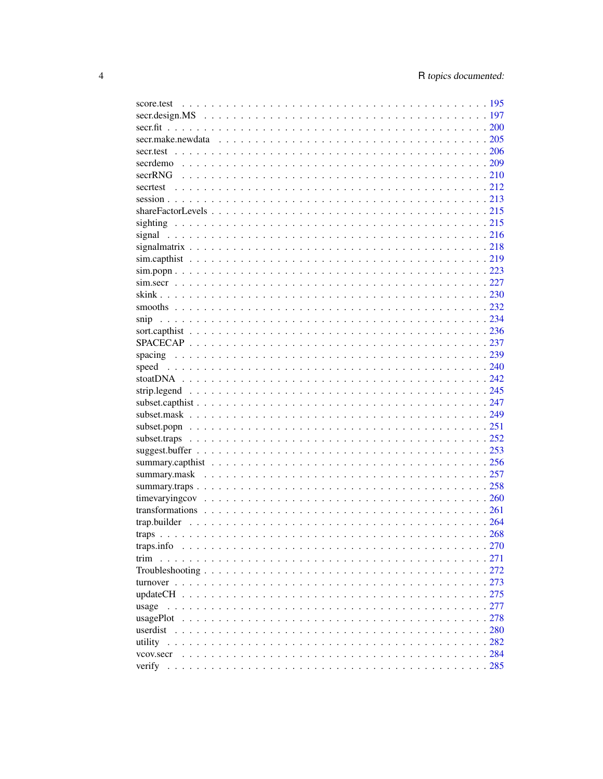| trim  |  |
|-------|--|
|       |  |
|       |  |
|       |  |
| usage |  |
|       |  |
|       |  |
|       |  |
|       |  |
|       |  |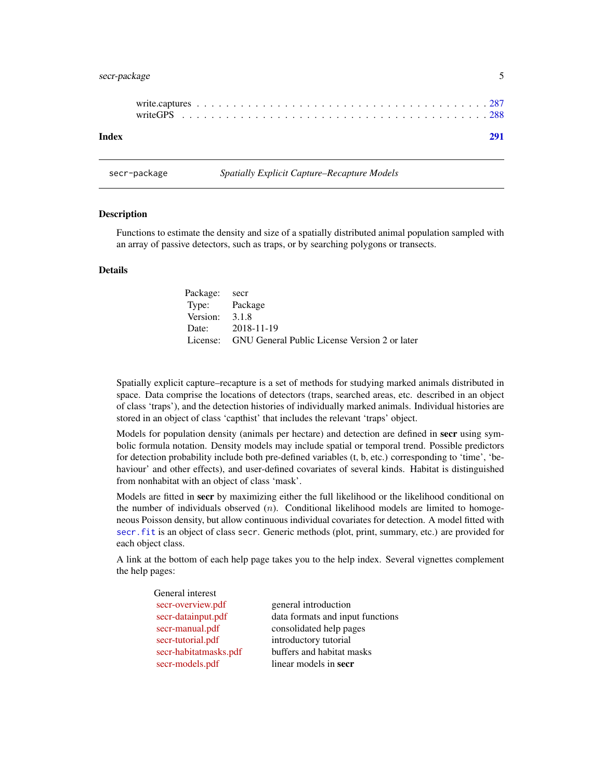# <span id="page-4-0"></span>secr-package 5

| Index |  |  |  |  |  |  |  |  |  |  |  |  |  |  |  |  |  |  |
|-------|--|--|--|--|--|--|--|--|--|--|--|--|--|--|--|--|--|--|

secr-package *Spatially Explicit Capture–Recapture Models*

#### Description

Functions to estimate the density and size of a spatially distributed animal population sampled with an array of passive detectors, such as traps, or by searching polygons or transects.

# Details

| Package: secr  |                                                        |
|----------------|--------------------------------------------------------|
| Type: Package  |                                                        |
| Version: 3.1.8 |                                                        |
|                | Date: 2018-11-19                                       |
|                | License: GNU General Public License Version 2 or later |

Spatially explicit capture–recapture is a set of methods for studying marked animals distributed in space. Data comprise the locations of detectors (traps, searched areas, etc. described in an object of class 'traps'), and the detection histories of individually marked animals. Individual histories are stored in an object of class 'capthist' that includes the relevant 'traps' object.

Models for population density (animals per hectare) and detection are defined in secr using symbolic formula notation. Density models may include spatial or temporal trend. Possible predictors for detection probability include both pre-defined variables (t, b, etc.) corresponding to 'time', 'behaviour' and other effects), and user-defined covariates of several kinds. Habitat is distinguished from nonhabitat with an object of class 'mask'.

Models are fitted in secr by maximizing either the full likelihood or the likelihood conditional on the number of individuals observed  $(n)$ . Conditional likelihood models are limited to homogeneous Poisson density, but allow continuous individual covariates for detection. A model fitted with [secr.fit](#page-199-1) is an object of class secr. Generic methods (plot, print, summary, etc.) are provided for each object class.

A link at the bottom of each help page takes you to the help index. Several vignettes complement the help pages:

| General interest      |                                  |
|-----------------------|----------------------------------|
| secr-overview.pdf     | general introduction             |
| secr-datainput.pdf    | data formats and input functions |
| secr-manual.pdf       | consolidated help pages          |
| secr-tutorial.pdf     | introductory tutorial            |
| secr-habitatmasks.pdf | buffers and habitat masks        |
| secr-models.pdf       | linear models in secr            |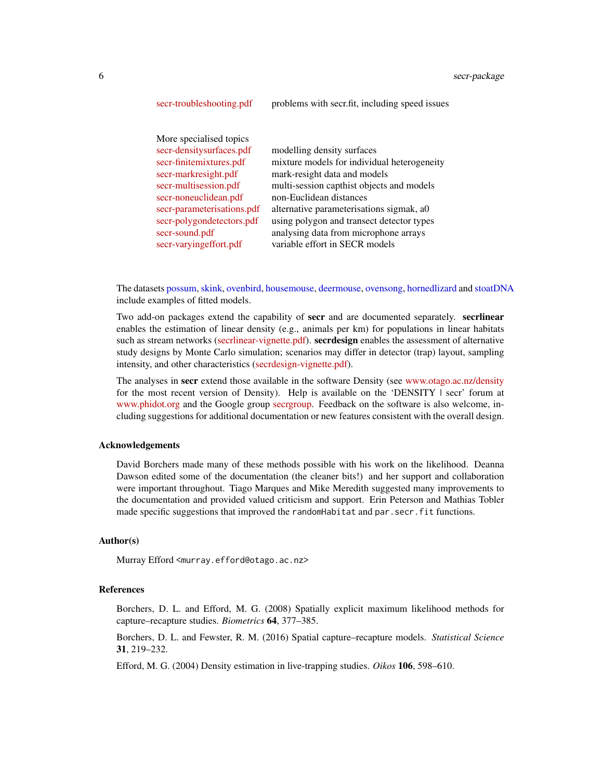| More specialised topics    |                                             |
|----------------------------|---------------------------------------------|
| secr-densitysurfaces.pdf   | modelling density surfaces                  |
| secr-finitemixtures.pdf    | mixture models for individual heterogeneity |
| secr-markresight.pdf       | mark-resight data and models                |
| secr-multisession.pdf      | multi-session capthist objects and models   |
| secr-noneuclidean.pdf      | non-Euclidean distances                     |
| secr-parameterisations.pdf | alternative parameterisations sigmak, a0    |
| secr-polygondetectors.pdf  | using polygon and transect detector types   |
| secr-sound.pdf             | analysing data from microphone arrays       |
| secr-varying effort.pdf    | variable effort in SECR models              |

[secr-troubleshooting.pdf](https://www.otago.ac.nz/density/pdfs/secr-troubleshooting.pdf) problems with secr.fit, including speed issues

The datasets [possum,](#page-154-1) [skink,](#page-229-1) [ovenbird,](#page-122-1) [housemouse,](#page-87-1) [deermouse,](#page-42-1) [ovensong,](#page-125-1) [hornedlizard](#page-85-1) and [stoatDNA](#page-241-1) include examples of fitted models.

Two add-on packages extend the capability of secr and are documented separately. secritnear enables the estimation of linear density (e.g., animals per km) for populations in linear habitats such as stream networks [\(secrlinear-vignette.pdf\)](https://cran.r-project.org/package=secrlinear/vignettes/secrlinear-vignette.pdf). secrdesign enables the assessment of alternative study designs by Monte Carlo simulation; scenarios may differ in detector (trap) layout, sampling intensity, and other characteristics [\(secrdesign-vignette.pdf\)](https://www.otago.ac.nz/density/pdfs/secrdesign-vignette.pdf).

The analyses in secr extend those available in the software Density (see [www.otago.ac.nz/density](https://www.otago.ac.nz/density) for the most recent version of Density). Help is available on the 'DENSITY | secr' forum at [www.phidot.org](http://www.phidot.org/forum) and the Google group [secrgroup.](https://groups.google.com/forum/#!forum/secrgroup) Feedback on the software is also welcome, including suggestions for additional documentation or new features consistent with the overall design.

#### Acknowledgements

David Borchers made many of these methods possible with his work on the likelihood. Deanna Dawson edited some of the documentation (the cleaner bits!) and her support and collaboration were important throughout. Tiago Marques and Mike Meredith suggested many improvements to the documentation and provided valued criticism and support. Erin Peterson and Mathias Tobler made specific suggestions that improved the randomHabitat and par.secr.fit functions.

# Author(s)

Murray Efford <murray.efford@otago.ac.nz>

#### References

Borchers, D. L. and Efford, M. G. (2008) Spatially explicit maximum likelihood methods for capture–recapture studies. *Biometrics* 64, 377–385.

Borchers, D. L. and Fewster, R. M. (2016) Spatial capture–recapture models. *Statistical Science* 31, 219–232.

Efford, M. G. (2004) Density estimation in live-trapping studies. *Oikos* 106, 598–610.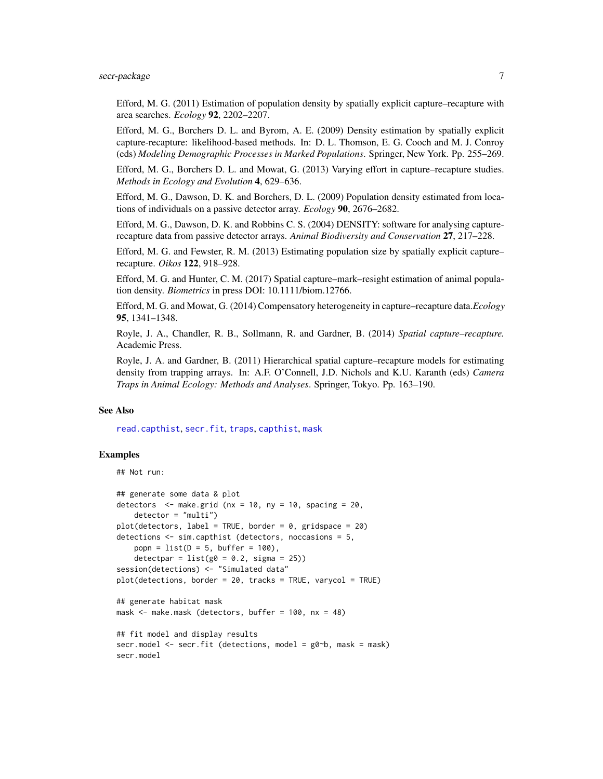Efford, M. G. (2011) Estimation of population density by spatially explicit capture–recapture with area searches. *Ecology* 92, 2202–2207.

Efford, M. G., Borchers D. L. and Byrom, A. E. (2009) Density estimation by spatially explicit capture-recapture: likelihood-based methods. In: D. L. Thomson, E. G. Cooch and M. J. Conroy (eds) *Modeling Demographic Processes in Marked Populations*. Springer, New York. Pp. 255–269.

Efford, M. G., Borchers D. L. and Mowat, G. (2013) Varying effort in capture–recapture studies. *Methods in Ecology and Evolution* 4, 629–636.

Efford, M. G., Dawson, D. K. and Borchers, D. L. (2009) Population density estimated from locations of individuals on a passive detector array. *Ecology* 90, 2676–2682.

Efford, M. G., Dawson, D. K. and Robbins C. S. (2004) DENSITY: software for analysing capturerecapture data from passive detector arrays. *Animal Biodiversity and Conservation* 27, 217–228.

Efford, M. G. and Fewster, R. M. (2013) Estimating population size by spatially explicit capture– recapture. *Oikos* 122, 918–928.

Efford, M. G. and Hunter, C. M. (2017) Spatial capture–mark–resight estimation of animal population density. *Biometrics* in press DOI: 10.1111/biom.12766.

Efford, M. G. and Mowat, G. (2014) Compensatory heterogeneity in capture–recapture data.*Ecology* 95, 1341–1348.

Royle, J. A., Chandler, R. B., Sollmann, R. and Gardner, B. (2014) *Spatial capture–recapture.* Academic Press.

Royle, J. A. and Gardner, B. (2011) Hierarchical spatial capture–recapture models for estimating density from trapping arrays. In: A.F. O'Connell, J.D. Nichols and K.U. Karanth (eds) *Camera Traps in Animal Ecology: Methods and Analyses*. Springer, Tokyo. Pp. 163–190.

# See Also

[read.capthist](#page-174-1), [secr.fit](#page-199-1), [traps](#page-267-1), [capthist](#page-22-1), [mask](#page-113-1)

#### Examples

## Not run:

```
## generate some data & plot
detectors \leq make.grid (nx = 10, ny = 10, spacing = 20,
   detection = "multi")plot(detectors, label = TRUE, border = 0, gridspace = 20)detections <- sim.capthist (detectors, noccasions = 5,
   popn = list(D = 5, buffer = 100),
    detectpar = list(g0 = 0.2, sigma = 25))
session(detections) <- "Simulated data"
plot(detections, border = 20, tracks = TRUE, varycol = TRUE)
## generate habitat mask
mask <- make.mask (detectors, buffer = 100, nx = 48)
## fit model and display results
secr.model <- secr.fit (detections, model = g0~b, mask = mask)
secr.model
```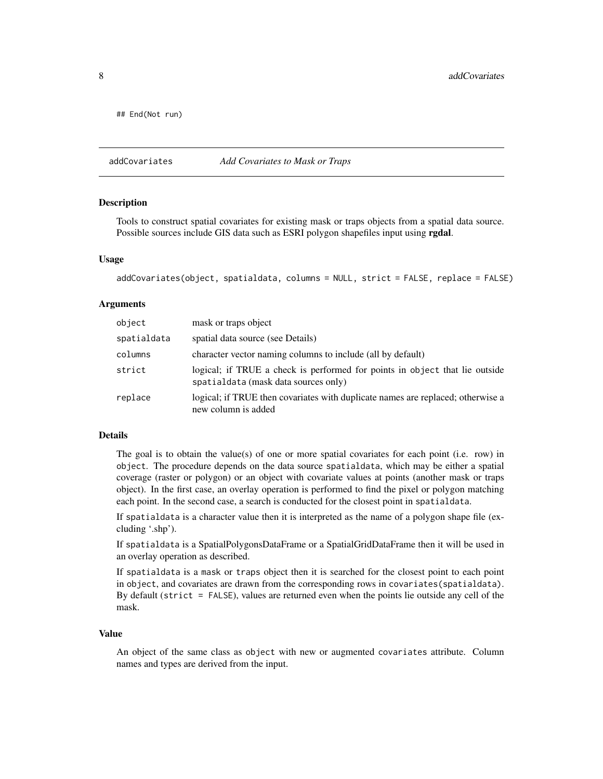<span id="page-7-0"></span>## End(Not run)

addCovariates *Add Covariates to Mask or Traps*

#### **Description**

Tools to construct spatial covariates for existing mask or traps objects from a spatial data source. Possible sources include GIS data such as ESRI polygon shapefiles input using rgdal.

#### Usage

```
addCovariates(object, spatialdata, columns = NULL, strict = FALSE, replace = FALSE)
```
#### Arguments

| object      | mask or traps object                                                                                                |
|-------------|---------------------------------------------------------------------------------------------------------------------|
| spatialdata | spatial data source (see Details)                                                                                   |
| columns     | character vector naming columns to include (all by default)                                                         |
| strict      | logical; if TRUE a check is performed for points in object that lie outside<br>spatialdata (mask data sources only) |
| replace     | logical; if TRUE then covariates with duplicate names are replaced; otherwise a<br>new column is added              |

### Details

The goal is to obtain the value(s) of one or more spatial covariates for each point (i.e. row) in object. The procedure depends on the data source spatialdata, which may be either a spatial coverage (raster or polygon) or an object with covariate values at points (another mask or traps object). In the first case, an overlay operation is performed to find the pixel or polygon matching each point. In the second case, a search is conducted for the closest point in spatialdata.

If spatialdata is a character value then it is interpreted as the name of a polygon shape file (excluding '.shp').

If spatialdata is a SpatialPolygonsDataFrame or a SpatialGridDataFrame then it will be used in an overlay operation as described.

If spatialdata is a mask or traps object then it is searched for the closest point to each point in object, and covariates are drawn from the corresponding rows in covariates(spatialdata). By default (strict = FALSE), values are returned even when the points lie outside any cell of the mask.

#### Value

An object of the same class as object with new or augmented covariates attribute. Column names and types are derived from the input.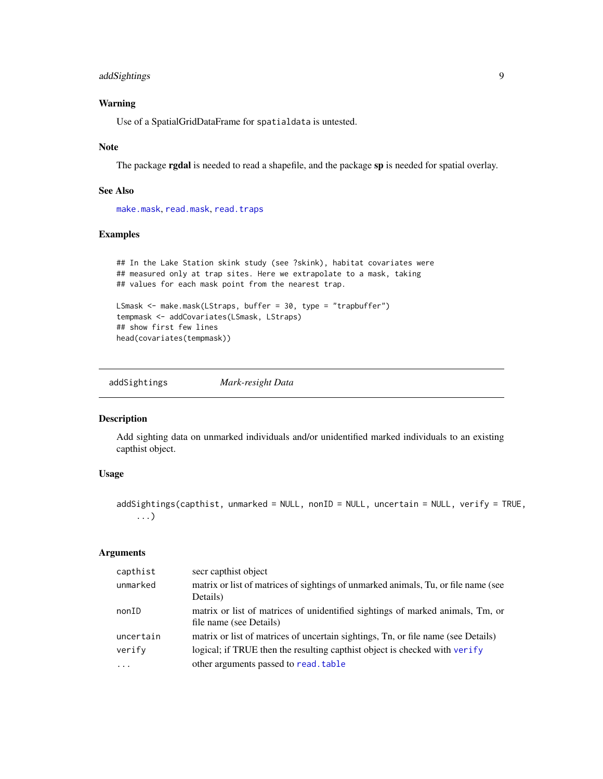# <span id="page-8-0"></span>addSightings 9

# Warning

Use of a SpatialGridDataFrame for spatialdata is untested.

#### Note

The package **rgdal** is needed to read a shapefile, and the package sp is needed for spatial overlay.

# See Also

[make.mask](#page-104-1), [read.mask](#page-177-1), [read.traps](#page-179-1)

# Examples

```
## In the Lake Station skink study (see ?skink), habitat covariates were
## measured only at trap sites. Here we extrapolate to a mask, taking
## values for each mask point from the nearest trap.
LSmask <- make.mask(LStraps, buffer = 30, type = "trapbuffer")
```

```
tempmask <- addCovariates(LSmask, LStraps)
## show first few lines
head(covariates(tempmask))
```
addSightings *Mark-resight Data*

# Description

Add sighting data on unmarked individuals and/or unidentified marked individuals to an existing capthist object.

# Usage

```
addSightings(capthist, unmarked = NULL, nonID = NULL, uncertain = NULL, verify = TRUE,
    ...)
```
# Arguments

| capthist  | secr capthist object                                                               |
|-----------|------------------------------------------------------------------------------------|
| unmarked  | matrix or list of matrices of sightings of unmarked animals, Tu, or file name (see |
|           | Details)                                                                           |
| nonID     | matrix or list of matrices of unidentified sightings of marked animals, Tm, or     |
|           | file name (see Details)                                                            |
| uncertain | matrix or list of matrices of uncertain sightings, Tn, or file name (see Details)  |
| verify    | logical; if TRUE then the resulting capthist object is checked with verify         |
| $\cdot$   | other arguments passed to read. table                                              |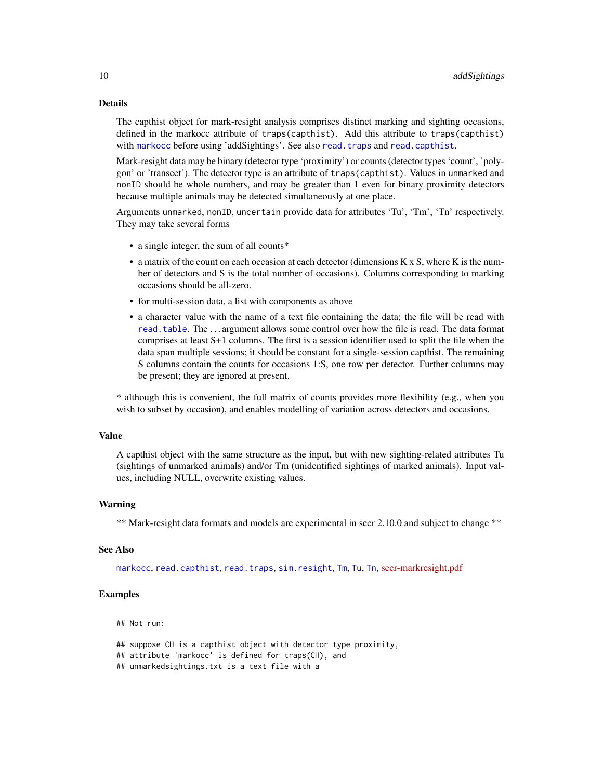#### Details

The capthist object for mark-resight analysis comprises distinct marking and sighting occasions, defined in the markocc attribute of traps(capthist). Add this attribute to traps(capthist) with [markocc](#page-214-1) before using 'addSightings'. See also [read.traps](#page-179-1) and [read.capthist](#page-174-1).

Mark-resight data may be binary (detector type 'proximity') or counts (detector types 'count', 'polygon' or 'transect'). The detector type is an attribute of traps(capthist). Values in unmarked and nonID should be whole numbers, and may be greater than 1 even for binary proximity detectors because multiple animals may be detected simultaneously at one place.

Arguments unmarked, nonID, uncertain provide data for attributes 'Tu', 'Tm', 'Tn' respectively. They may take several forms

- a single integer, the sum of all counts\*
- a matrix of the count on each occasion at each detector (dimensions K x S, where K is the number of detectors and S is the total number of occasions). Columns corresponding to marking occasions should be all-zero.
- for multi-session data, a list with components as above
- a character value with the name of a text file containing the data; the file will be read with [read.table](#page-0-0). The . . . argument allows some control over how the file is read. The data format comprises at least S+1 columns. The first is a session identifier used to split the file when the data span multiple sessions; it should be constant for a single-session capthist. The remaining S columns contain the counts for occasions 1:S, one row per detector. Further columns may be present; they are ignored at present.

\* although this is convenient, the full matrix of counts provides more flexibility (e.g., when you wish to subset by occasion), and enables modelling of variation across detectors and occasions.

#### Value

A capthist object with the same structure as the input, but with new sighting-related attributes Tu (sightings of unmarked animals) and/or Tm (unidentified sightings of marked animals). Input values, including NULL, overwrite existing values.

#### Warning

\*\* Mark-resight data formats and models are experimental in secr 2.10.0 and subject to change \*\*

# See Also

[markocc](#page-214-1), [read.capthist](#page-174-1), [read.traps](#page-179-1), [sim.resight](#page-218-1), [Tm](#page-214-1), [Tu](#page-214-1), [Tn](#page-214-1), [secr-markresight.pdf](https://www.otago.ac.nz/density/pdfs/secr-markresight.pdf)

#### Examples

## Not run:

## suppose CH is a capthist object with detector type proximity, ## attribute 'markocc' is defined for traps(CH), and ## unmarkedsightings.txt is a text file with a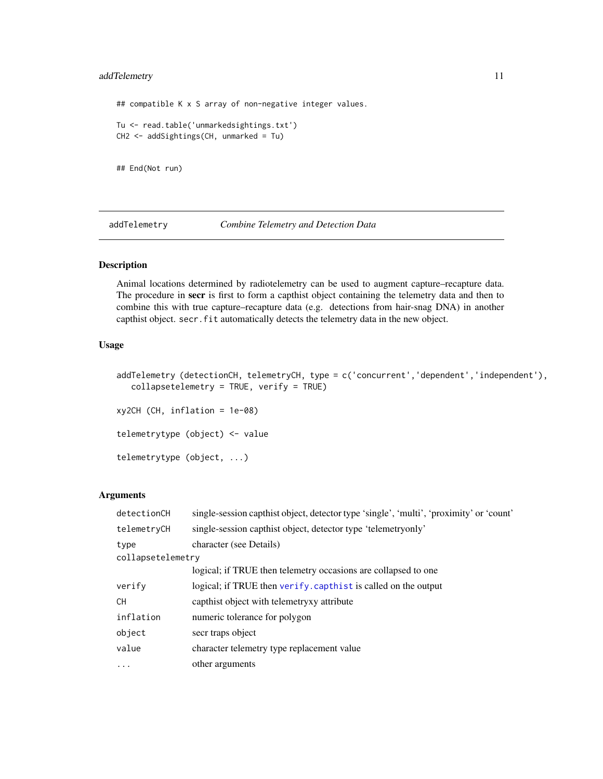# <span id="page-10-0"></span>addTelemetry 11

## compatible K x S array of non-negative integer values. Tu <- read.table('unmarkedsightings.txt') CH2 <- addSightings(CH, unmarked = Tu)

## End(Not run)

addTelemetry *Combine Telemetry and Detection Data*

# Description

Animal locations determined by radiotelemetry can be used to augment capture–recapture data. The procedure in secr is first to form a capthist object containing the telemetry data and then to combine this with true capture–recapture data (e.g. detections from hair-snag DNA) in another capthist object. secr.fit automatically detects the telemetry data in the new object.

# Usage

```
addTelemetry (detectionCH, telemetryCH, type = c('concurrent','dependent','independent'),
   collapsetelemetry = TRUE, verify = TRUE)
xy2CH (CH, inflation = 1e-08)
telemetrytype (object) <- value
telemetrytype (object, ...)
```
#### Arguments

| detectionCH       | single-session capthist object, detector type 'single', 'multi', 'proximity' or 'count' |
|-------------------|-----------------------------------------------------------------------------------------|
| telemetryCH       | single-session capthist object, detector type 'telemetry only'                          |
| type              | character (see Details)                                                                 |
| collapsetelemetry |                                                                                         |
|                   | logical; if TRUE then telemetry occasions are collapsed to one                          |
| verify            | logical; if TRUE then verify. capthist is called on the output                          |
| CH                | capthist object with telemetry attribute                                                |
| inflation         | numeric tolerance for polygon                                                           |
| object            | secr traps object                                                                       |
| value             | character telemetry type replacement value                                              |
| $\cdot$           | other arguments                                                                         |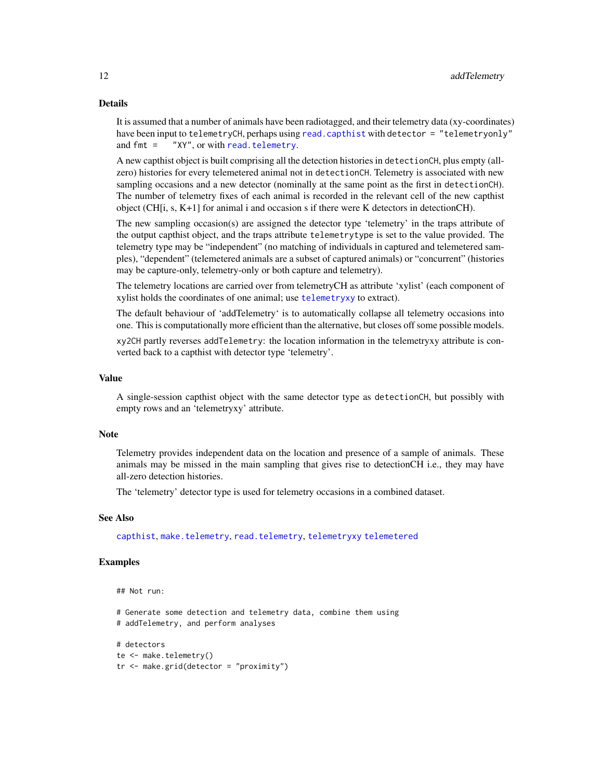#### Details

It is assumed that a number of animals have been radiotagged, and their telemetry data (xy-coordinates) have been input to telemetryCH, perhaps using [read.capthist](#page-174-1) with detector = "telemetryonly" and fmt = "XY", or with [read.telemetry](#page-178-1).

A new capthist object is built comprising all the detection histories in detectionCH, plus empty (allzero) histories for every telemetered animal not in detectionCH. Telemetry is associated with new sampling occasions and a new detector (nominally at the same point as the first in detectionCH). The number of telemetry fixes of each animal is recorded in the relevant cell of the new capthist object (CH[i, s, K+1] for animal i and occasion s if there were K detectors in detectionCH).

The new sampling occasion(s) are assigned the detector type 'telemetry' in the traps attribute of the output capthist object, and the traps attribute telemetrytype is set to the value provided. The telemetry type may be "independent" (no matching of individuals in captured and telemetered samples), "dependent" (telemetered animals are a subset of captured animals) or "concurrent" (histories may be capture-only, telemetry-only or both capture and telemetry).

The telemetry locations are carried over from telemetryCH as attribute 'xylist' (each component of xylist holds the coordinates of one animal; use [telemetryxy](#page-23-1) to extract).

The default behaviour of 'addTelemetry' is to automatically collapse all telemetry occasions into one. This is computationally more efficient than the alternative, but closes off some possible models.

xy2CH partly reverses addTelemetry: the location information in the telemetryxy attribute is converted back to a capthist with detector type 'telemetry'.

#### Value

A single-session capthist object with the same detector type as detectionCH, but possibly with empty rows and an 'telemetryxy' attribute.

#### **Note**

Telemetry provides independent data on the location and presence of a sample of animals. These animals may be missed in the main sampling that gives rise to detectionCH i.e., they may have all-zero detection histories.

The 'telemetry' detector type is used for telemetry occasions in a combined dataset.

#### See Also

[capthist](#page-22-1), [make.telemetry](#page-109-1), [read.telemetry](#page-178-1), [telemetryxy](#page-23-1) [telemetered](#page-23-1)

# Examples

```
## Not run:
```
# Generate some detection and telemetry data, combine them using # addTelemetry, and perform analyses

```
# detectors
te <- make.telemetry()
tr <- make.grid(detector = "proximity")
```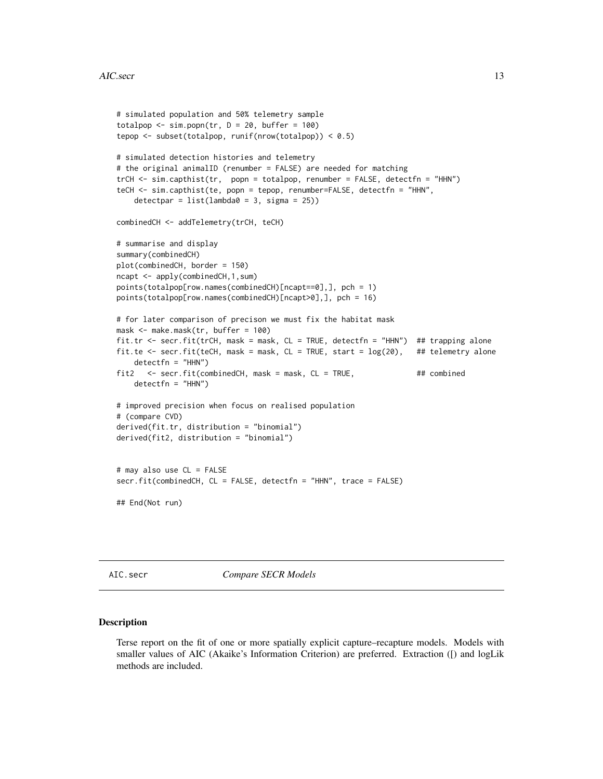```
# simulated population and 50% telemetry sample
totalpop \le sim.popn(tr, D = 20, buffer = 100)
tepop <- subset(totalpop, runif(nrow(totalpop)) < 0.5)
# simulated detection histories and telemetry
# the original animalID (renumber = FALSE) are needed for matching
trCH <- sim.capthist(tr, popn = totalpop, renumber = FALSE, detectfn = "HHN")
teCH <- sim.capthist(te, popn = tepop, renumber=FALSE, detectfn = "HHN",
    detection = list(lambda = 3, sigma = 25))combinedCH <- addTelemetry(trCH, teCH)
# summarise and display
summary(combinedCH)
plot(combinedCH, border = 150)
ncapt <- apply(combinedCH,1,sum)
points(totalpop[row.names(combinedCH)[ncapt==0],], pch = 1)
points(totalpop[row.names(combinedCH)[ncapt>0],], pch = 16)
# for later comparison of precison we must fix the habitat mask
mask <- make.mask(tr, buffer = 100)
fit.tr <- secr.fit(trCH, mask = mask, CL = TRUE, detectfn = "HHN") ## trapping alone
fit.te \leq secr.fit(teCH, mask = mask, CL = TRUE, start = \log(20), ## telemetry alone
   detectfn = "HHN")
fit2 <- secr.fit(combinedCH, mask = mask, CL = TRUE, ## combined
   detectfn = "HHN")
# improved precision when focus on realised population
# (compare CVD)
derived(fit.tr, distribution = "binomial")
derived(fit2, distribution = "binomial")
# may also use CL = FALSE
secr.fit(combinedCH, CL = FALSE, detectfn = "HHN", trace = FALSE)
## End(Not run)
```
AIC.secr *Compare SECR Models*

#### Description

Terse report on the fit of one or more spatially explicit capture–recapture models. Models with smaller values of AIC (Akaike's Information Criterion) are preferred. Extraction ([) and logLik methods are included.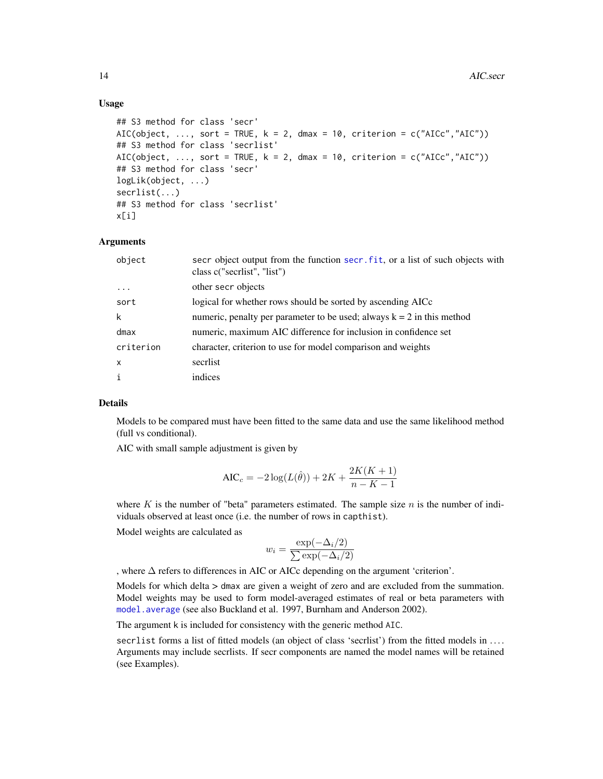### Usage

```
## S3 method for class 'secr'
AIC(object, \dots, sort = TRUE, k = 2, dmax = 10, criterion = c("AICc","AIC"))
## S3 method for class 'secrlist'
AIC(object, ..., sort = TRUE, k = 2, dmax = 10, criterion = c("AICc", "AIC"))## S3 method for class 'secr'
logLik(object, ...)
secrlist(...)
## S3 method for class 'secrlist'
x[i]
```
#### Arguments

| object                    | secr object output from the function secr. fit, or a list of such objects with<br>class c("secriist", "list") |
|---------------------------|---------------------------------------------------------------------------------------------------------------|
| $\ddots$ .                | other secr objects                                                                                            |
| sort                      | logical for whether rows should be sorted by ascending AICc                                                   |
| $\mathsf{k}$              | numeric, penalty per parameter to be used; always $k = 2$ in this method                                      |
| dmax                      | numeric, maximum AIC difference for inclusion in confidence set                                               |
| criterion                 | character, criterion to use for model comparison and weights                                                  |
| $\boldsymbol{\mathsf{x}}$ | secriist                                                                                                      |
| i                         | indices                                                                                                       |

# Details

Models to be compared must have been fitted to the same data and use the same likelihood method (full vs conditional).

AIC with small sample adjustment is given by

$$
AIC_c = -2\log(L(\hat{\theta})) + 2K + \frac{2K(K+1)}{n - K - 1}
$$

where  $K$  is the number of "beta" parameters estimated. The sample size  $n$  is the number of individuals observed at least once (i.e. the number of rows in capthist).

Model weights are calculated as

$$
w_i = \frac{\exp(-\Delta_i/2)}{\sum \exp(-\Delta_i/2)}
$$

, where ∆ refers to differences in AIC or AICc depending on the argument 'criterion'.

Models for which delta > dmax are given a weight of zero and are excluded from the summation. Model weights may be used to form model-averaged estimates of real or beta parameters with [model.average](#page-118-1) (see also Buckland et al. 1997, Burnham and Anderson 2002).

The argument k is included for consistency with the generic method AIC.

secrlist forms a list of fitted models (an object of class 'secrlist') from the fitted models in .... Arguments may include secrlists. If secr components are named the model names will be retained (see Examples).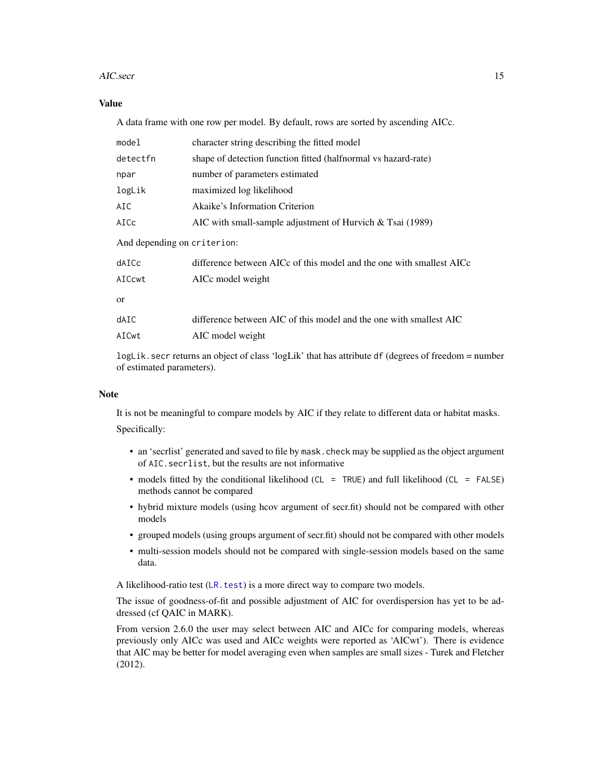#### AIC.secr 15

# Value

A data frame with one row per model. By default, rows are sorted by ascending AICc.

| model                       | character string describing the fitted model                         |  |  |
|-----------------------------|----------------------------------------------------------------------|--|--|
| detectfn                    | shape of detection function fitted (halfnormal vs hazard-rate)       |  |  |
| npar                        | number of parameters estimated                                       |  |  |
| logLik                      | maximized log likelihood                                             |  |  |
| AIC                         | Akaike's Information Criterion                                       |  |  |
| AICc                        | AIC with small-sample adjustment of Hurvich $&$ Tsai (1989)          |  |  |
| And depending on criterion: |                                                                      |  |  |
| dAICc                       | difference between AICc of this model and the one with smallest AICc |  |  |
| AICcwt                      | AICc model weight                                                    |  |  |
| <sub>or</sub>               |                                                                      |  |  |
| dAIC                        | difference between AIC of this model and the one with smallest AIC   |  |  |
| AICwt                       | AIC model weight                                                     |  |  |
|                             |                                                                      |  |  |

logLik.secr returns an object of class 'logLik' that has attribute df (degrees of freedom = number of estimated parameters).

#### Note

It is not be meaningful to compare models by AIC if they relate to different data or habitat masks. Specifically:

- an 'secrlist' generated and saved to file by mask.check may be supplied as the object argument of AIC.secrlist, but the results are not informative
- models fitted by the conditional likelihood (CL = TRUE) and full likelihood (CL = FALSE) methods cannot be compared
- hybrid mixture models (using hcov argument of secr.fit) should not be compared with other models
- grouped models (using groups argument of secr.fit) should not be compared with other models
- multi-session models should not be compared with single-session models based on the same data.

A likelihood-ratio test  $(LR.test)$  $(LR.test)$  $(LR.test)$  is a more direct way to compare two models.

The issue of goodness-of-fit and possible adjustment of AIC for overdispersion has yet to be addressed (cf QAIC in MARK).

From version 2.6.0 the user may select between AIC and AICc for comparing models, whereas previously only AICc was used and AICc weights were reported as 'AICwt'). There is evidence that AIC may be better for model averaging even when samples are small sizes - Turek and Fletcher (2012).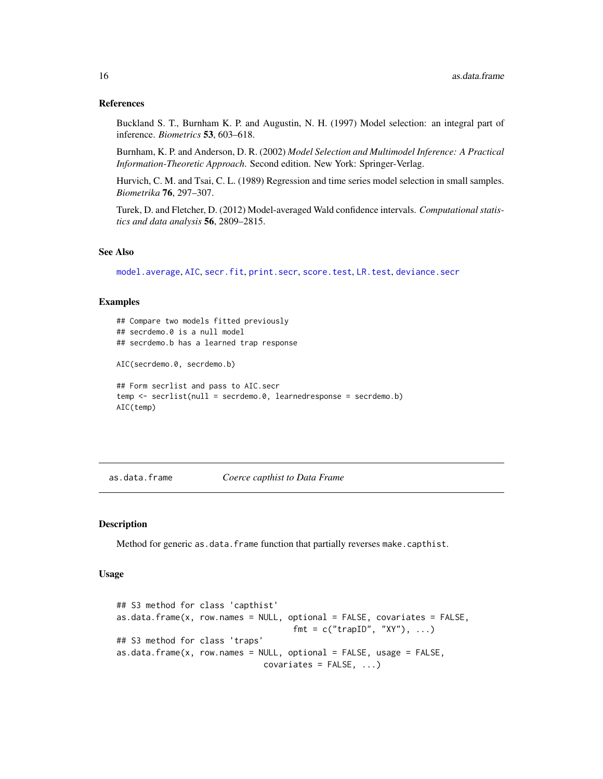#### <span id="page-15-0"></span>References

Buckland S. T., Burnham K. P. and Augustin, N. H. (1997) Model selection: an integral part of inference. *Biometrics* 53, 603–618.

Burnham, K. P. and Anderson, D. R. (2002) *Model Selection and Multimodel Inference: A Practical Information-Theoretic Approach*. Second edition. New York: Springer-Verlag.

Hurvich, C. M. and Tsai, C. L. (1989) Regression and time series model selection in small samples. *Biometrika* 76, 297–307.

Turek, D. and Fletcher, D. (2012) Model-averaged Wald confidence intervals. *Computational statistics and data analysis* 56, 2809–2815.

### See Also

[model.average](#page-118-1), [AIC](#page-0-0), [secr.fit](#page-199-1), [print.secr](#page-162-1), [score.test](#page-194-1), [LR.test](#page-100-1), [deviance.secr](#page-55-1)

#### Examples

```
## Compare two models fitted previously
## secrdemo.0 is a null model
## secrdemo.b has a learned trap response
AIC(secrdemo.0, secrdemo.b)
## Form secrlist and pass to AIC.secr
temp <- secrlist(null = secrdemo.0, learnedresponse = secrdemo.b)
AIC(temp)
```
as.data.frame *Coerce capthist to Data Frame*

# **Description**

Method for generic as.data.frame function that partially reverses make.capthist.

#### Usage

```
## S3 method for class 'capthist'
as.data. frame(x, row.name = NULL, optional = FALSE, covariates = FALSE,fmt = c("trapID", "XY"), \ldots)## S3 method for class 'traps'
as.data.frame(x, row.names = NULL, optional = FALSE, usage = FALSE,
                              covariates = FALSE, ...
```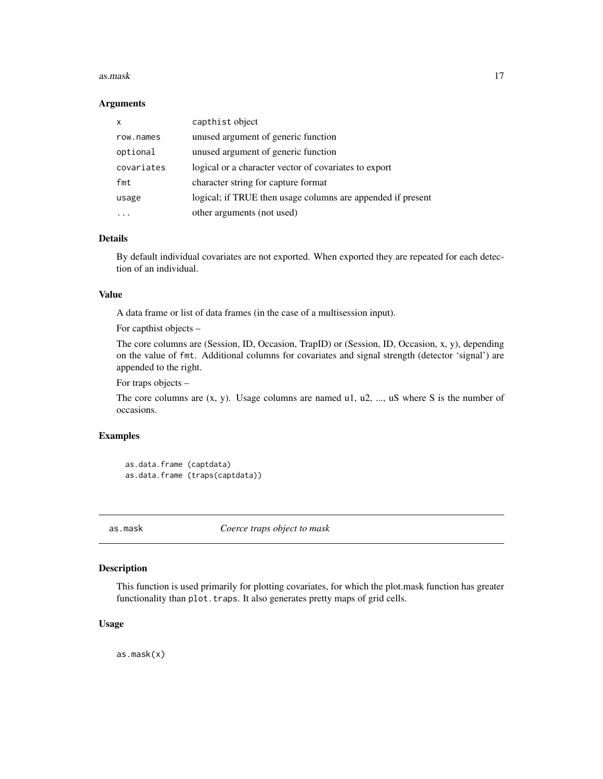#### <span id="page-16-0"></span>as.mask 17

#### Arguments

| X          | capthist object                                             |
|------------|-------------------------------------------------------------|
| row.names  | unused argument of generic function                         |
| optional   | unused argument of generic function                         |
| covariates | logical or a character vector of covariates to export       |
| fmt        | character string for capture format                         |
| usage      | logical; if TRUE then usage columns are appended if present |
|            | other arguments (not used)                                  |

# Details

By default individual covariates are not exported. When exported they are repeated for each detection of an individual.

# Value

A data frame or list of data frames (in the case of a multisession input).

For capthist objects –

The core columns are (Session, ID, Occasion, TrapID) or (Session, ID, Occasion, x, y), depending on the value of fmt. Additional columns for covariates and signal strength (detector 'signal') are appended to the right.

For traps objects –

The core columns are  $(x, y)$ . Usage columns are named u1, u2, ..., uS where S is the number of occasions.

### Examples

```
as.data.frame (captdata)
as.data.frame (traps(captdata))
```
as.mask *Coerce traps object to mask*

# Description

This function is used primarily for plotting covariates, for which the plot.mask function has greater functionality than plot. traps. It also generates pretty maps of grid cells.

# Usage

as.mask(x)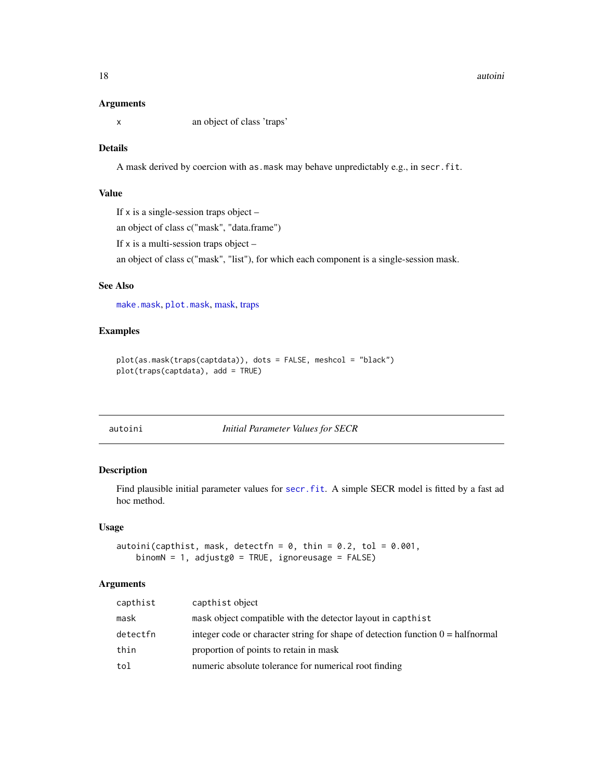#### <span id="page-17-0"></span>18 autoini and the contract of the contract of the contract of the contract of the contract of the contract of the contract of the contract of the contract of the contract of the contract of the contract of the contract of

#### Arguments

x an object of class 'traps'

# Details

A mask derived by coercion with as.mask may behave unpredictably e.g., in secr.fit.

# Value

If  $x$  is a single-session traps object –

an object of class c("mask", "data.frame")

If x is a multi-session traps object –

an object of class c("mask", "list"), for which each component is a single-session mask.

# See Also

[make.mask](#page-104-1), [plot.mask](#page-141-1), [mask,](#page-113-1) [traps](#page-267-1)

# Examples

```
plot(as.mask(traps(captdata)), dots = FALSE, meshcol = "black")
plot(traps(captdata), add = TRUE)
```
autoini *Initial Parameter Values for SECR*

# Description

Find plausible initial parameter values for [secr.fit](#page-199-1). A simple SECR model is fitted by a fast ad hoc method.

#### Usage

```
autoini(capthist, mask, detectfn = 0, thin = 0.2, tol = 0.001,
   binomN = 1, adjustg0 = TRUE, ignoreusage = FALSE)
```
# Arguments

| capthist | capthist object                                                                          |
|----------|------------------------------------------------------------------------------------------|
| mask     | mask object compatible with the detector layout in capthist                              |
| detectfn | integer code or character string for shape of detection function $0 = \text{halfnormal}$ |
| thin     | proportion of points to retain in mask                                                   |
| tol      | numeric absolute tolerance for numerical root finding                                    |
|          |                                                                                          |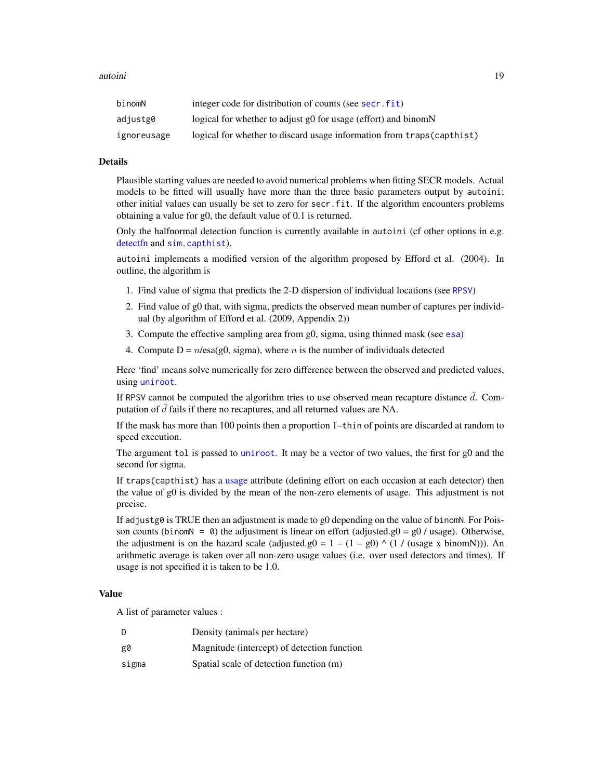| binomN      | integer code for distribution of counts (see secr. fit)                |
|-------------|------------------------------------------------------------------------|
| adjustg0    | logical for whether to adjust g0 for usage (effort) and binomN         |
| ignoreusage | logical for whether to discard usage information from traps (capthist) |

# Details

Plausible starting values are needed to avoid numerical problems when fitting SECR models. Actual models to be fitted will usually have more than the three basic parameters output by autoini; other initial values can usually be set to zero for secr.fit. If the algorithm encounters problems obtaining a value for g0, the default value of 0.1 is returned.

Only the halfnormal detection function is currently available in autoini (cf other options in e.g. [detectfn](#page-51-1) and [sim.capthist](#page-218-2)).

autoini implements a modified version of the algorithm proposed by Efford et al. (2004). In outline, the algorithm is

- 1. Find value of sigma that predicts the 2-D dispersion of individual locations (see [RPSV](#page-82-1))
- 2. Find value of g0 that, with sigma, predicts the observed mean number of captures per individual (by algorithm of Efford et al. (2009, Appendix 2))
- 3. Compute the effective sampling area from g0, sigma, using thinned mask (see [esa](#page-45-1))
- 4. Compute  $D = n/\text{esa}(g0, \text{sigma})$ , where *n* is the number of individuals detected

Here 'find' means solve numerically for zero difference between the observed and predicted values, using [uniroot](#page-0-0).

If RPSV cannot be computed the algorithm tries to use observed mean recapture distance  $\overline{d}$ . Computation of  $\bar{d}$  fails if there no recaptures, and all returned values are NA.

If the mask has more than 100 points then a proportion 1–thin of points are discarded at random to speed execution.

The argument tol is passed to [uniroot](#page-0-0). It may be a vector of two values, the first for g0 and the second for sigma.

If traps(capthist) has a [usage](#page-276-1) attribute (defining effort on each occasion at each detector) then the value of g0 is divided by the mean of the non-zero elements of usage. This adjustment is not precise.

If adjustg0 is TRUE then an adjustment is made to g0 depending on the value of binomN. For Poisson counts (binom  $= 0$ ) the adjustment is linear on effort (adjusted.g0 = g0 / usage). Otherwise, the adjustment is on the hazard scale (adjusted.g0 =  $1 - (1 - g0)$  ^ (1 / (usage x binomN))). An arithmetic average is taken over all non-zero usage values (i.e. over used detectors and times). If usage is not specified it is taken to be 1.0.

#### Value

A list of parameter values :

| D     | Density (animals per hectare)               |
|-------|---------------------------------------------|
| g0    | Magnitude (intercept) of detection function |
| sigma | Spatial scale of detection function (m)     |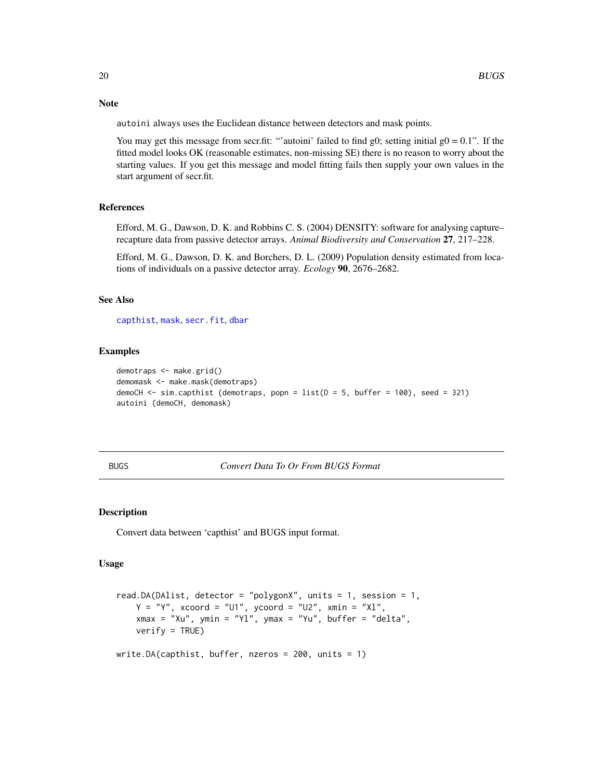Note

autoini always uses the Euclidean distance between detectors and mask points.

You may get this message from secr.fit: "'autoini' failed to find g0; setting initial  $g0 = 0.1$ ". If the fitted model looks OK (reasonable estimates, non-missing SE) there is no reason to worry about the starting values. If you get this message and model fitting fails then supply your own values in the start argument of secr.fit.

#### References

Efford, M. G., Dawson, D. K. and Robbins C. S. (2004) DENSITY: software for analysing capture– recapture data from passive detector arrays. *Animal Biodiversity and Conservation* 27, 217–228.

Efford, M. G., Dawson, D. K. and Borchers, D. L. (2009) Population density estimated from locations of individuals on a passive detector array. *Ecology* 90, 2676–2682.

# See Also

[capthist](#page-22-1), [mask](#page-113-1), [secr.fit](#page-199-1), [dbar](#page-82-1)

# Examples

```
demotraps <- make.grid()
demomask <- make.mask(demotraps)
demoCH \le sim.capthist (demotraps, popn = list(D = 5, buffer = 100), seed = 321)
autoini (demoCH, demomask)
```
BUGS *Convert Data To Or From BUGS Format*

#### Description

Convert data between 'capthist' and BUGS input format.

#### Usage

```
read.DA(DAlist, detector = "polygonX", units = 1, session = 1,
   Y = "Y", xcoord = "U1", ycoord = "U2", xmin = "XI",xmax = "Xu", ymin = "Yl", ymax = "Yu", buffer = "delta",
   verify = TRUE)
write.DA(capthist, buffer, nzeros = 200, units = 1)
```
<span id="page-19-0"></span>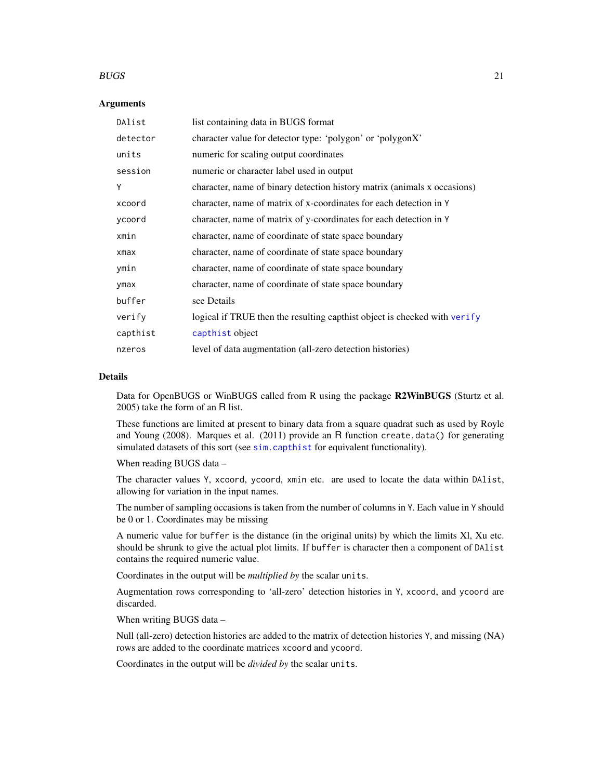#### $BUGS$  21

#### **Arguments**

| DAlist     | list containing data in BUGS format                                       |
|------------|---------------------------------------------------------------------------|
| detector   | character value for detector type: 'polygon' or 'polygonX'                |
| units      | numeric for scaling output coordinates                                    |
| session    | numeric or character label used in output                                 |
| Υ          | character, name of binary detection history matrix (animals x occasions)  |
| xcoord     | character, name of matrix of x-coordinates for each detection in Y        |
| ycoord     | character, name of matrix of y-coordinates for each detection in Y        |
| xmin       | character, name of coordinate of state space boundary                     |
| $x$ ma $x$ | character, name of coordinate of state space boundary                     |
| ymin       | character, name of coordinate of state space boundary                     |
| ymax       | character, name of coordinate of state space boundary                     |
| buffer     | see Details                                                               |
| verify     | logical if TRUE then the resulting capthist object is checked with verify |
| capthist   | capthist object                                                           |
| nzeros     | level of data augmentation (all-zero detection histories)                 |

#### Details

Data for OpenBUGS or WinBUGS called from R using the package R2WinBUGS (Sturtz et al. 2005) take the form of an R list.

These functions are limited at present to binary data from a square quadrat such as used by Royle and Young (2008). Marques et al. (2011) provide an R function create.data() for generating simulated datasets of this sort (see [sim.capthist](#page-218-2) for equivalent functionality).

When reading BUGS data –

The character values Y, xcoord, ycoord, xmin etc. are used to locate the data within DAlist, allowing for variation in the input names.

The number of sampling occasions is taken from the number of columns in Y. Each value in Y should be 0 or 1. Coordinates may be missing

A numeric value for buffer is the distance (in the original units) by which the limits Xl, Xu etc. should be shrunk to give the actual plot limits. If buffer is character then a component of DAlist contains the required numeric value.

Coordinates in the output will be *multiplied by* the scalar units.

Augmentation rows corresponding to 'all-zero' detection histories in Y, xcoord, and ycoord are discarded.

When writing BUGS data –

Null (all-zero) detection histories are added to the matrix of detection histories Y, and missing (NA) rows are added to the coordinate matrices xcoord and ycoord.

Coordinates in the output will be *divided by* the scalar units.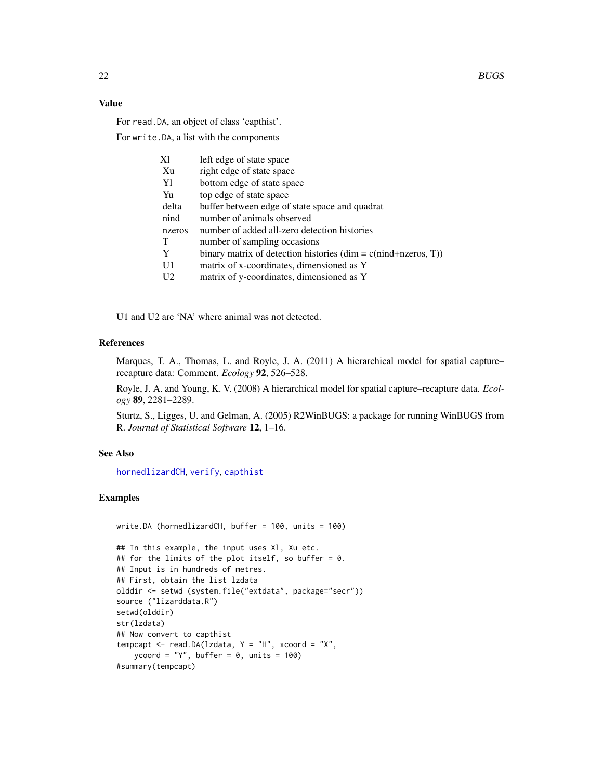# Value

For read.DA, an object of class 'capthist'.

For write.DA, a list with the components

| Хl             | left edge of state space                                         |
|----------------|------------------------------------------------------------------|
| Xu             | right edge of state space                                        |
| Y1             | bottom edge of state space                                       |
| Yu             | top edge of state space                                          |
| delta          | buffer between edge of state space and quadrat                   |
| nind           | number of animals observed                                       |
| nzeros         | number of added all-zero detection histories                     |
| $\mathbf T$    | number of sampling occasions                                     |
| Y              | binary matrix of detection histories $(dim = c(nind+nzeros, T))$ |
| U1             | matrix of x-coordinates, dimensioned as Y                        |
| U <sub>2</sub> | matrix of y-coordinates, dimensioned as Y                        |

U1 and U2 are 'NA' where animal was not detected.

# References

Marques, T. A., Thomas, L. and Royle, J. A. (2011) A hierarchical model for spatial capture– recapture data: Comment. *Ecology* 92, 526–528.

Royle, J. A. and Young, K. V. (2008) A hierarchical model for spatial capture–recapture data. *Ecology* 89, 2281–2289.

Sturtz, S., Ligges, U. and Gelman, A. (2005) R2WinBUGS: a package for running WinBUGS from R. *Journal of Statistical Software* 12, 1–16.

# See Also

[hornedlizardCH](#page-85-2), [verify](#page-284-1), [capthist](#page-22-1)

# Examples

#summary(tempcapt)

```
write.DA (hornedlizardCH, buffer = 100, units = 100)
## In this example, the input uses Xl, Xu etc.
## for the limits of the plot itself, so buffer = 0.
## Input is in hundreds of metres.
## First, obtain the list lzdata
olddir <- setwd (system.file("extdata", package="secr"))
source ("lizarddata.R")
setwd(olddir)
str(lzdata)
## Now convert to capthist
tempcapt \leq read.DA(lzdata, Y = "H", xcoord = "X",
   ycoord = "Y", buffer = 0, units = 100)
```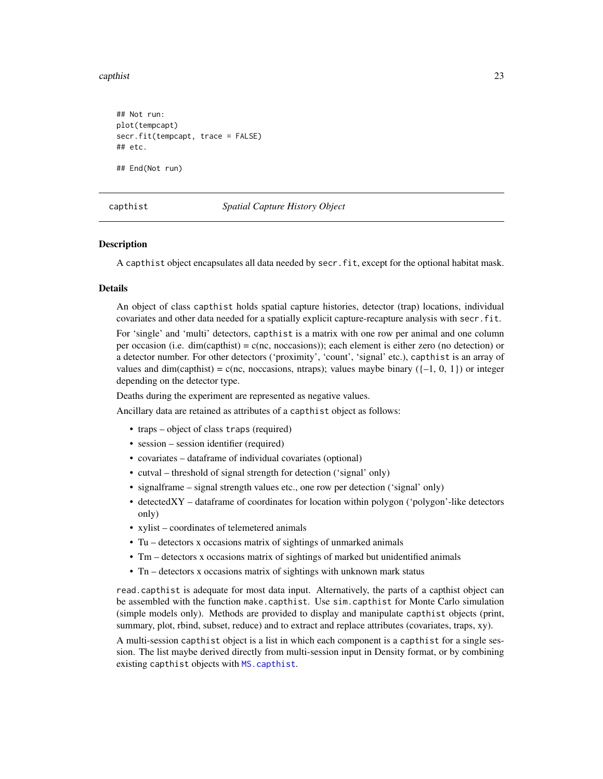#### <span id="page-22-0"></span>capthist 23

## Not run: plot(tempcapt) secr.fit(tempcapt, trace = FALSE) ## etc. ## End(Not run)

<span id="page-22-1"></span>

capthist *Spatial Capture History Object*

#### **Description**

A capthist object encapsulates all data needed by secr.fit, except for the optional habitat mask.

#### Details

An object of class capthist holds spatial capture histories, detector (trap) locations, individual covariates and other data needed for a spatially explicit capture-recapture analysis with secr.fit.

For 'single' and 'multi' detectors, capthist is a matrix with one row per animal and one column per occasion (i.e. dim(capthist) =  $c$ (nc, noccasions)); each element is either zero (no detection) or a detector number. For other detectors ('proximity', 'count', 'signal' etc.), capthist is an array of values and dim(capthist) = c(nc, noccasions, ntraps); values maybe binary  $({-1, 0, 1})$  or integer depending on the detector type.

Deaths during the experiment are represented as negative values.

Ancillary data are retained as attributes of a capthist object as follows:

- traps object of class traps (required)
- session session identifier (required)
- covariates dataframe of individual covariates (optional)
- cutval threshold of signal strength for detection ('signal' only)
- signalframe signal strength values etc., one row per detection ('signal' only)
- detectedXY dataframe of coordinates for location within polygon ('polygon'-like detectors only)
- xylist coordinates of telemetered animals
- Tu detectors x occasions matrix of sightings of unmarked animals
- Tm detectors x occasions matrix of sightings of marked but unidentified animals
- Tn detectors x occasions matrix of sightings with unknown mark status

read.capthist is adequate for most data input. Alternatively, the parts of a capthist object can be assembled with the function make.capthist. Use sim.capthist for Monte Carlo simulation (simple models only). Methods are provided to display and manipulate capthist objects (print, summary, plot, rbind, subset, reduce) and to extract and replace attributes (covariates, traps, xy).

A multi-session capthist object is a list in which each component is a capthist for a single session. The list maybe derived directly from multi-session input in Density format, or by combining existing capthist objects with [MS.capthist](#page-169-1).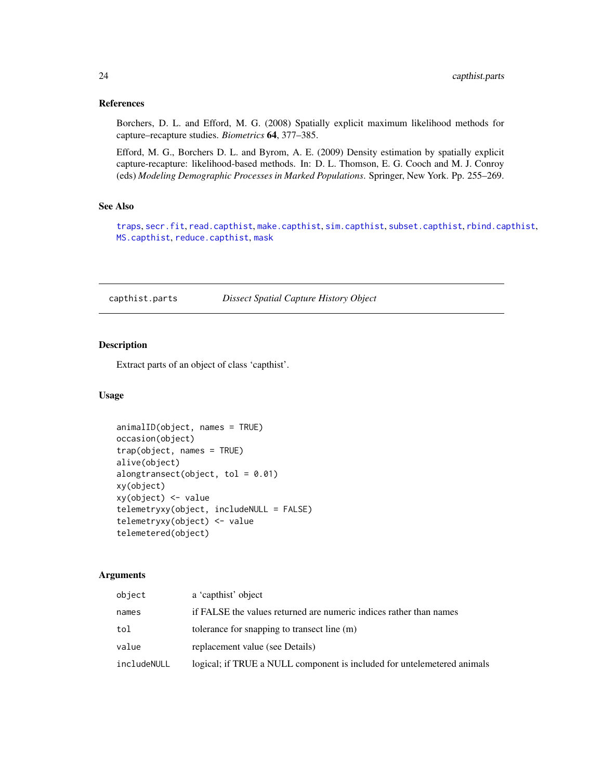#### <span id="page-23-0"></span>References

Borchers, D. L. and Efford, M. G. (2008) Spatially explicit maximum likelihood methods for capture–recapture studies. *Biometrics* 64, 377–385.

Efford, M. G., Borchers D. L. and Byrom, A. E. (2009) Density estimation by spatially explicit capture-recapture: likelihood-based methods. In: D. L. Thomson, E. G. Cooch and M. J. Conroy (eds) *Modeling Demographic Processes in Marked Populations*. Springer, New York. Pp. 255–269.

# See Also

[traps](#page-267-1), [secr.fit](#page-199-1), [read.capthist](#page-174-1), [make.capthist](#page-101-1), [sim.capthist](#page-218-2), [subset.capthist](#page-246-1), [rbind.capthist](#page-169-2), [MS.capthist](#page-169-1), [reduce.capthist](#page-183-1), [mask](#page-113-1)

capthist.parts *Dissect Spatial Capture History Object*

#### <span id="page-23-1"></span>Description

Extract parts of an object of class 'capthist'.

# Usage

```
animalID(object, names = TRUE)
occasion(object)
trap(object, names = TRUE)
alive(object)
alongtransect(object, tol = 0.01)
xy(object)
xy(object) <- value
telemetryxy(object, includeNULL = FALSE)
telemetryxy(object) <- value
telemetered(object)
```
#### Arguments

| object      | a 'capthist' object                                                     |
|-------------|-------------------------------------------------------------------------|
| names       | if FALSE the values returned are numeric indices rather than names      |
| tol         | tolerance for snapping to transect line (m)                             |
| value       | replacement value (see Details)                                         |
| includeNULL | logical; if TRUE a NULL component is included for untelemetered animals |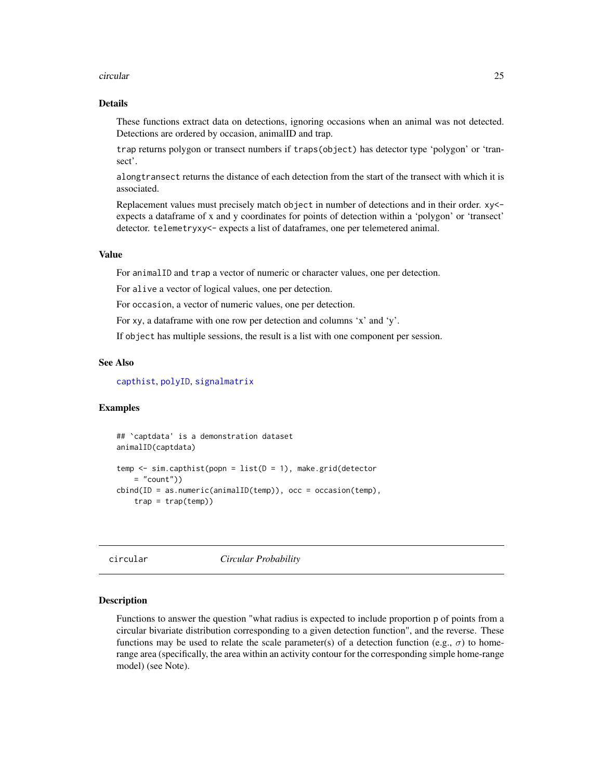#### <span id="page-24-0"></span>circular 25

# Details

These functions extract data on detections, ignoring occasions when an animal was not detected. Detections are ordered by occasion, animalID and trap.

trap returns polygon or transect numbers if traps(object) has detector type 'polygon' or 'transect'.

alongtransect returns the distance of each detection from the start of the transect with which it is associated.

Replacement values must precisely match object in number of detections and in their order. xy< expects a dataframe of x and y coordinates for points of detection within a 'polygon' or 'transect' detector. telemetryxy<- expects a list of dataframes, one per telemetered animal.

#### Value

For animalID and trap a vector of numeric or character values, one per detection.

For alive a vector of logical values, one per detection.

For occasion, a vector of numeric values, one per detection.

For xy, a dataframe with one row per detection and columns 'x' and 'y'.

If object has multiple sessions, the result is a list with one component per session.

# See Also

[capthist](#page-22-1), [polyID](#page-269-1), [signalmatrix](#page-217-1)

#### Examples

```
## `captdata' is a demonstration dataset
animalID(captdata)
temp \leq sim.capthist(popn = list(D = 1), make.grid(detector
   = "count"))
cbind(ID = as.numeric(animalID(temp)), occ = occasion(temp),trap = trap(temp))
```
circular *Circular Probability*

#### **Description**

Functions to answer the question "what radius is expected to include proportion p of points from a circular bivariate distribution corresponding to a given detection function", and the reverse. These functions may be used to relate the scale parameter(s) of a detection function (e.g.,  $\sigma$ ) to homerange area (specifically, the area within an activity contour for the corresponding simple home-range model) (see Note).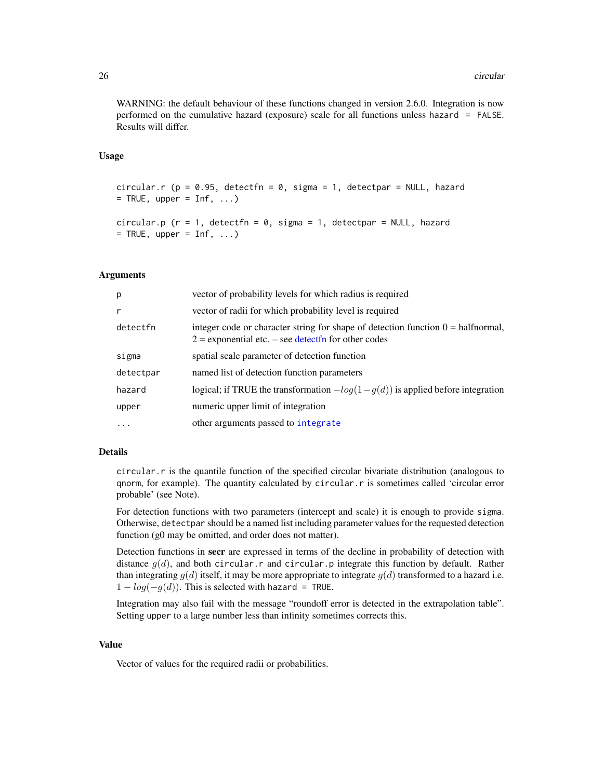WARNING: the default behaviour of these functions changed in version 2.6.0. Integration is now performed on the cumulative hazard (exposure) scale for all functions unless hazard = FALSE. Results will differ.

# Usage

```
circular.r (p = 0.95, detectfn = 0, sigma = 1, detectpar = NULL, hazard
= TRUE, upper = Inf, ...)
```

```
circular.p (r = 1, detectfn = 0, sigma = 1, detectpar = NULL, hazard
= TRUE, upper = Inf, ...)
```
#### Arguments

| р         | vector of probability levels for which radius is required                                                                                            |
|-----------|------------------------------------------------------------------------------------------------------------------------------------------------------|
| r         | vector of radii for which probability level is required                                                                                              |
| detectfn  | integer code or character string for shape of detection function $0 = \text{halfnormal}$ ,<br>$2$ = exponential etc. – see detect fn for other codes |
| sigma     | spatial scale parameter of detection function                                                                                                        |
| detectpar | named list of detection function parameters                                                                                                          |
| hazard    | logical; if TRUE the transformation $-log(1-g(d))$ is applied before integration                                                                     |
| upper     | numeric upper limit of integration                                                                                                                   |
| $\ddots$  | other arguments passed to integrate                                                                                                                  |

# Details

circular.r is the quantile function of the specified circular bivariate distribution (analogous to qnorm, for example). The quantity calculated by circular.r is sometimes called 'circular error probable' (see Note).

For detection functions with two parameters (intercept and scale) it is enough to provide sigma. Otherwise, detectpar should be a named list including parameter values for the requested detection function (g0 may be omitted, and order does not matter).

Detection functions in secr are expressed in terms of the decline in probability of detection with distance  $g(d)$ , and both circular.r and circular.p integrate this function by default. Rather than integrating  $g(d)$  itself, it may be more appropriate to integrate  $g(d)$  transformed to a hazard i.e.  $1 - log(-g(d))$ . This is selected with hazard = TRUE.

Integration may also fail with the message "roundoff error is detected in the extrapolation table". Setting upper to a large number less than infinity sometimes corrects this.

# Value

Vector of values for the required radii or probabilities.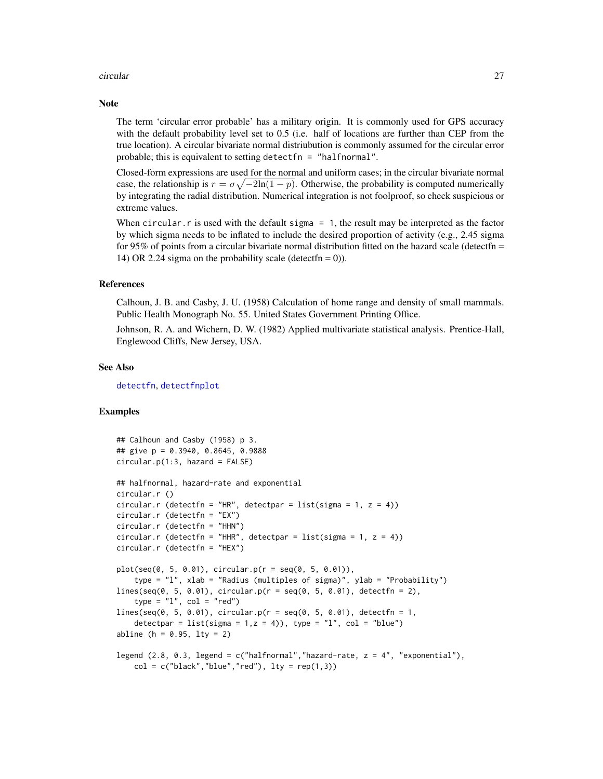#### circular 27

#### **Note**

The term 'circular error probable' has a military origin. It is commonly used for GPS accuracy with the default probability level set to 0.5 (i.e. half of locations are further than CEP from the true location). A circular bivariate normal distriubution is commonly assumed for the circular error probable; this is equivalent to setting detectfn = "halfnormal".

Closed-form expressions are used for the normal and uniform cases; in the circular bivariate normal case, the relationship is  $r = \sigma \sqrt{-2\ln(1-p)}$ . Otherwise, the probability is computed numerically by integrating the radial distribution. Numerical integration is not foolproof, so check suspicious or extreme values.

When circular.  $r$  is used with the default sigma  $= 1$ , the result may be interpreted as the factor by which sigma needs to be inflated to include the desired proportion of activity (e.g., 2.45 sigma for 95% of points from a circular bivariate normal distribution fitted on the hazard scale (detectfn  $=$ 14) OR 2.24 sigma on the probability scale (detect fn = 0)).

#### References

Calhoun, J. B. and Casby, J. U. (1958) Calculation of home range and density of small mammals. Public Health Monograph No. 55. United States Government Printing Office.

Johnson, R. A. and Wichern, D. W. (1982) Applied multivariate statistical analysis. Prentice-Hall, Englewood Cliffs, New Jersey, USA.

#### See Also

[detectfn](#page-51-1), [detectfnplot](#page-146-1)

# Examples

```
## Calhoun and Casby (1958) p 3.
## give p = 0.3940, 0.8645, 0.9888
circular.p(1:3, hazard = FALSE)## halfnormal, hazard-rate and exponential
circular.r ()
circular.r (detectfn = "HR", detectpar = list(sigma = 1, z = 4))
circular.r (detectfn = "EX")
circular.r (detectfn = "HHN")
circular.r (detectfn = "HHR", detectpar = list(sigma = 1, z = 4))
circular.r (detectfn = "HEX")
plot(seq(0, 5, 0.01), circular.p(r = seq(0, 5, 0.01)),
    type = "l", xlab = "Radius (multiples of sigma)", ylab = "Probability")
lines(seq(0, 5, 0.01), circular.p(r = seq(0, 5, 0.01), detectfn = 2),type = "1", col = "red")lines(seq(0, 5, 0.01), circular.p(r = seq(0, 5, 0.01), detectfn = 1,detectpar = list(sigma = 1, z = 4)), type = "l", col = "blue")
abline (h = 0.95, lty = 2)
legend (2.8, 0.3, legend = c("halfnormal", "hazard-rate, z = 4", "exponential"),
   col = c("black", "blue", "red"), lty = rep(1,3))
```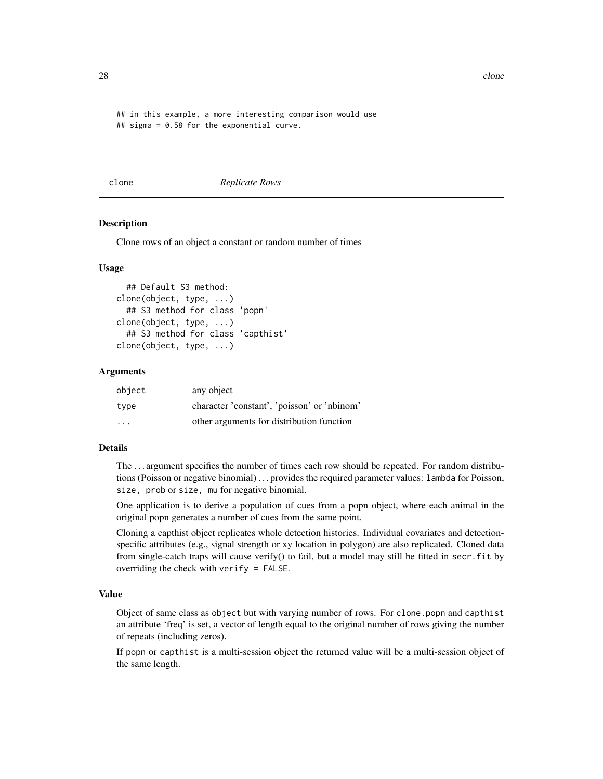## in this example, a more interesting comparison would use ## sigma = 0.58 for the exponential curve.

clone *Replicate Rows*

#### **Description**

Clone rows of an object a constant or random number of times

#### Usage

```
## Default S3 method:
clone(object, type, ...)
  ## S3 method for class 'popn'
clone(object, type, ...)
  ## S3 method for class 'capthist'
clone(object, type, ...)
```
#### Arguments

| object                  | any object                                  |  |
|-------------------------|---------------------------------------------|--|
| type                    | character 'constant', 'poisson' or 'nbinom' |  |
| $\cdot$ $\cdot$ $\cdot$ | other arguments for distribution function   |  |

#### Details

The . . . argument specifies the number of times each row should be repeated. For random distributions (Poisson or negative binomial) . . . provides the required parameter values: lambda for Poisson, size, prob or size, mu for negative binomial.

One application is to derive a population of cues from a popn object, where each animal in the original popn generates a number of cues from the same point.

Cloning a capthist object replicates whole detection histories. Individual covariates and detectionspecific attributes (e.g., signal strength or xy location in polygon) are also replicated. Cloned data from single-catch traps will cause verify() to fail, but a model may still be fitted in secr.fit by overriding the check with verify = FALSE.

#### Value

Object of same class as object but with varying number of rows. For clone.popn and capthist an attribute 'freq' is set, a vector of length equal to the original number of rows giving the number of repeats (including zeros).

If popn or capthist is a multi-session object the returned value will be a multi-session object of the same length.

<span id="page-27-0"></span>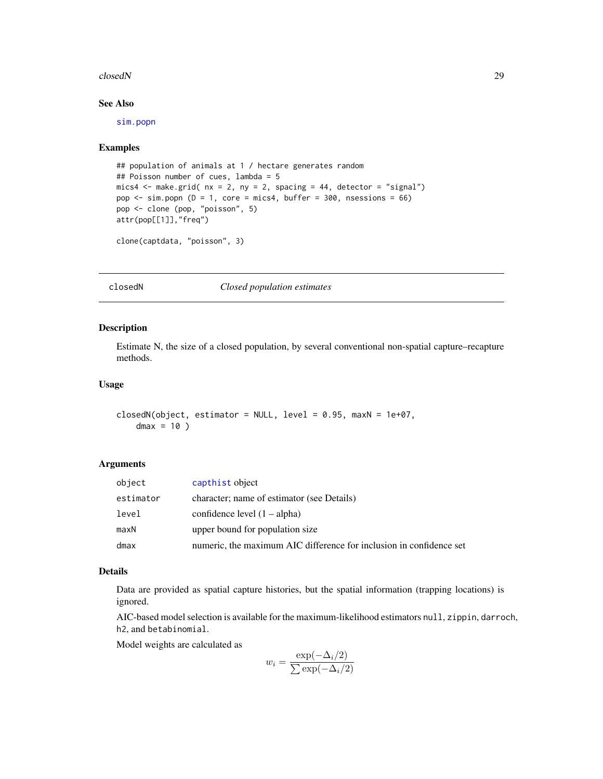#### <span id="page-28-0"></span>closedN 29

# See Also

[sim.popn](#page-222-1)

#### Examples

```
## population of animals at 1 / hectare generates random
## Poisson number of cues, lambda = 5
mics4 \leq make.grid( nx = 2, ny = 2, spacing = 44, detector = "signal")
pop \le sim.popn (D = 1, core = mics4, buffer = 300, nsessions = 66)
pop <- clone (pop, "poisson", 5)
attr(pop[[1]],"freq")
```

```
clone(captdata, "poisson", 3)
```
closedN *Closed population estimates*

#### Description

Estimate N, the size of a closed population, by several conventional non-spatial capture–recapture methods.

# Usage

```
closedN(object, estimator = NULL, level = 0.95, maxN = 1e+07,dmax = 10)
```
#### Arguments

| object    | capthist object                                                     |
|-----------|---------------------------------------------------------------------|
| estimator | character; name of estimator (see Details)                          |
| level     | confidence level $(1 - alpha)$                                      |
| maxN      | upper bound for population size                                     |
| dmax      | numeric, the maximum AIC difference for inclusion in confidence set |
|           |                                                                     |

#### Details

Data are provided as spatial capture histories, but the spatial information (trapping locations) is ignored.

AIC-based model selection is available for the maximum-likelihood estimators null, zippin, darroch, h2, and betabinomial.

Model weights are calculated as

$$
w_i = \frac{\exp(-\Delta_i/2)}{\sum \exp(-\Delta_i/2)}
$$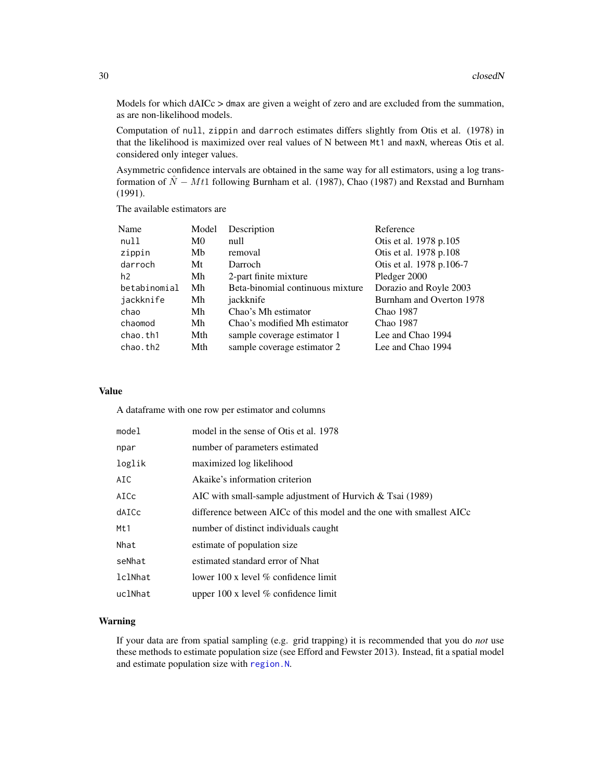Models for which dAICc > dmax are given a weight of zero and are excluded from the summation, as are non-likelihood models.

Computation of null, zippin and darroch estimates differs slightly from Otis et al. (1978) in that the likelihood is maximized over real values of N between Mt1 and maxN, whereas Otis et al. considered only integer values.

Asymmetric confidence intervals are obtained in the same way for all estimators, using a log transformation of  $\hat{N} - Mt1$  following Burnham et al. (1987), Chao (1987) and Rexstad and Burnham (1991).

The available estimators are

| Name           | Model          | Description                      | Reference                |
|----------------|----------------|----------------------------------|--------------------------|
| null           | M <sub>0</sub> | null                             | Otis et al. 1978 p.105   |
| zippin         | Mb             | removal                          | Otis et al. 1978 p.108   |
| darroch        | Mt             | Darroch                          | Otis et al. 1978 p.106-7 |
| h <sub>2</sub> | Mh             | 2-part finite mixture            | Pledger 2000             |
| betabinomial   | Mh             | Beta-binomial continuous mixture | Dorazio and Royle 2003   |
| jackknife      | Mh             | jackknife                        | Burnham and Overton 1978 |
| chao           | Mh             | Chao's Mh estimator              | Chao 1987                |
| chaomod        | Mh             | Chao's modified Mh estimator     | Chao 1987                |
| chao.th1       | Mth            | sample coverage estimator 1      | Lee and Chao 1994        |
| chao.th2       | Mth            | sample coverage estimator 2      | Lee and Chao 1994        |

#### Value

A dataframe with one row per estimator and columns

| model   | model in the sense of Otis et al. 1978                               |
|---------|----------------------------------------------------------------------|
| npar    | number of parameters estimated                                       |
| loglik  | maximized log likelihood                                             |
| AIC     | Akaike's information criterion                                       |
| AICc    | AIC with small-sample adjustment of Hurvich $&$ Tsai (1989)          |
| dAICc   | difference between AICc of this model and the one with smallest AICc |
| Mt1     | number of distinct individuals caught                                |
| Nhat    | estimate of population size                                          |
| seNhat  | estimated standard error of Nhat                                     |
| lclNhat | lower 100 x level $%$ confidence limit                               |
| uclNhat | upper $100x$ level % confidence limit                                |

# Warning

If your data are from spatial sampling (e.g. grid trapping) it is recommended that you do *not* use these methods to estimate population size (see Efford and Fewster 2013). Instead, fit a spatial model and estimate population size with [region.N](#page-186-1).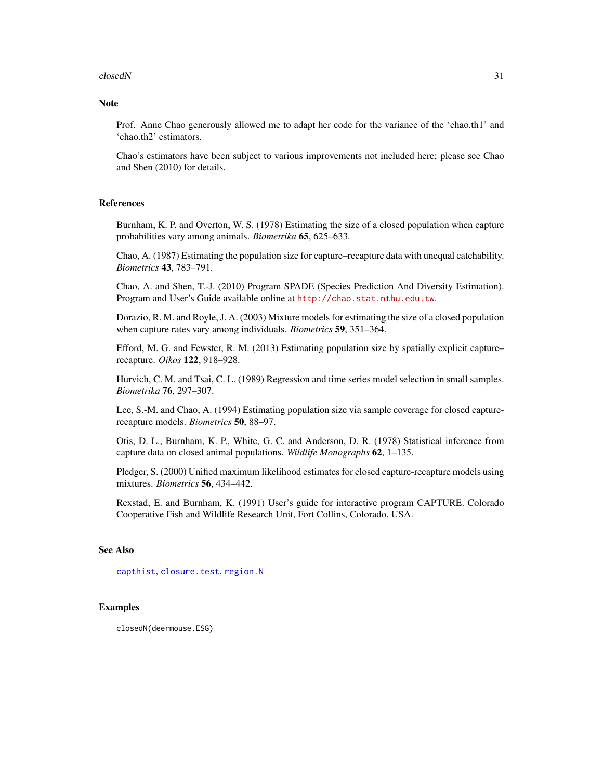#### closedN 31

# Note

Prof. Anne Chao generously allowed me to adapt her code for the variance of the 'chao.th1' and 'chao.th2' estimators.

Chao's estimators have been subject to various improvements not included here; please see Chao and Shen (2010) for details.

### References

Burnham, K. P. and Overton, W. S. (1978) Estimating the size of a closed population when capture probabilities vary among animals. *Biometrika* 65, 625–633.

Chao, A. (1987) Estimating the population size for capture–recapture data with unequal catchability. *Biometrics* 43, 783–791.

Chao, A. and Shen, T.-J. (2010) Program SPADE (Species Prediction And Diversity Estimation). Program and User's Guide available online at <http://chao.stat.nthu.edu.tw>.

Dorazio, R. M. and Royle, J. A. (2003) Mixture models for estimating the size of a closed population when capture rates vary among individuals. *Biometrics* 59, 351–364.

Efford, M. G. and Fewster, R. M. (2013) Estimating population size by spatially explicit capture– recapture. *Oikos* 122, 918–928.

Hurvich, C. M. and Tsai, C. L. (1989) Regression and time series model selection in small samples. *Biometrika* 76, 297–307.

Lee, S.-M. and Chao, A. (1994) Estimating population size via sample coverage for closed capturerecapture models. *Biometrics* 50, 88–97.

Otis, D. L., Burnham, K. P., White, G. C. and Anderson, D. R. (1978) Statistical inference from capture data on closed animal populations. *Wildlife Monographs* 62, 1–135.

Pledger, S. (2000) Unified maximum likelihood estimates for closed capture-recapture models using mixtures. *Biometrics* 56, 434–442.

Rexstad, E. and Burnham, K. (1991) User's guide for interactive program CAPTURE. Colorado Cooperative Fish and Wildlife Research Unit, Fort Collins, Colorado, USA.

#### See Also

[capthist](#page-22-1), [closure.test](#page-31-1), [region.N](#page-186-1)

# Examples

closedN(deermouse.ESG)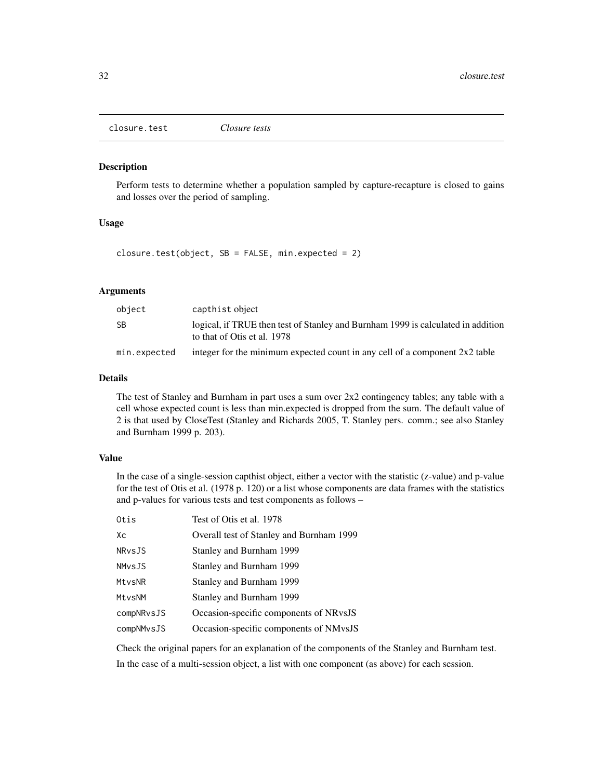<span id="page-31-1"></span><span id="page-31-0"></span>closure.test *Closure tests*

# Description

Perform tests to determine whether a population sampled by capture-recapture is closed to gains and losses over the period of sampling.

#### Usage

closure.test(object,  $SB = FALSE$ , min.expected = 2)

# Arguments

| object       | capthist object                                                                                                 |
|--------------|-----------------------------------------------------------------------------------------------------------------|
| SB           | logical, if TRUE then test of Stanley and Burnham 1999 is calculated in addition<br>to that of Otis et al. 1978 |
| min.expected | integer for the minimum expected count in any cell of a component $2x2$ table                                   |

# Details

The test of Stanley and Burnham in part uses a sum over  $2x2$  contingency tables; any table with a cell whose expected count is less than min.expected is dropped from the sum. The default value of 2 is that used by CloseTest (Stanley and Richards 2005, T. Stanley pers. comm.; see also Stanley and Burnham 1999 p. 203).

# Value

In the case of a single-session capthist object, either a vector with the statistic (z-value) and p-value for the test of Otis et al. (1978 p. 120) or a list whose components are data frames with the statistics and p-values for various tests and test components as follows –

| Otis          | Test of Otis et al. 1978                 |
|---------------|------------------------------------------|
| Xс            | Overall test of Stanley and Burnham 1999 |
| NRvsJS        | Stanley and Burnham 1999                 |
| <b>NMvsJS</b> | Stanley and Burnham 1999                 |
| MtvsNR        | Stanley and Burnham 1999                 |
| MtvsNM        | Stanley and Burnham 1999                 |
| compNRvsJS    | Occasion-specific components of NRvsJS   |
| compNMvsJS    | Occasion-specific components of NMvsJS   |

Check the original papers for an explanation of the components of the Stanley and Burnham test.

In the case of a multi-session object, a list with one component (as above) for each session.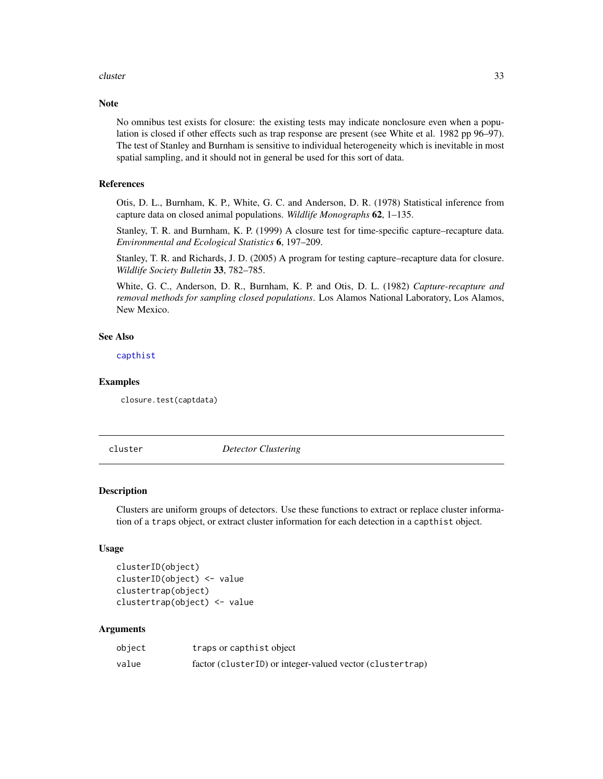#### <span id="page-32-0"></span>cluster 33

# Note

No omnibus test exists for closure: the existing tests may indicate nonclosure even when a population is closed if other effects such as trap response are present (see White et al. 1982 pp 96–97). The test of Stanley and Burnham is sensitive to individual heterogeneity which is inevitable in most spatial sampling, and it should not in general be used for this sort of data.

# References

Otis, D. L., Burnham, K. P., White, G. C. and Anderson, D. R. (1978) Statistical inference from capture data on closed animal populations. *Wildlife Monographs* 62, 1–135.

Stanley, T. R. and Burnham, K. P. (1999) A closure test for time-specific capture–recapture data. *Environmental and Ecological Statistics* 6, 197–209.

Stanley, T. R. and Richards, J. D. (2005) A program for testing capture–recapture data for closure. *Wildlife Society Bulletin* 33, 782–785.

White, G. C., Anderson, D. R., Burnham, K. P. and Otis, D. L. (1982) *Capture-recapture and removal methods for sampling closed populations*. Los Alamos National Laboratory, Los Alamos, New Mexico.

#### See Also

[capthist](#page-22-1)

#### Examples

closure.test(captdata)

cluster *Detector Clustering*

#### Description

Clusters are uniform groups of detectors. Use these functions to extract or replace cluster information of a traps object, or extract cluster information for each detection in a capthist object.

#### Usage

```
clusterID(object)
clusterID(object) <- value
clustertrap(object)
clustertrap(object) <- value
```
### **Arguments**

| object | traps or capthist object                                  |
|--------|-----------------------------------------------------------|
| value  | factor (clusterID) or integer-valued vector (clustertrap) |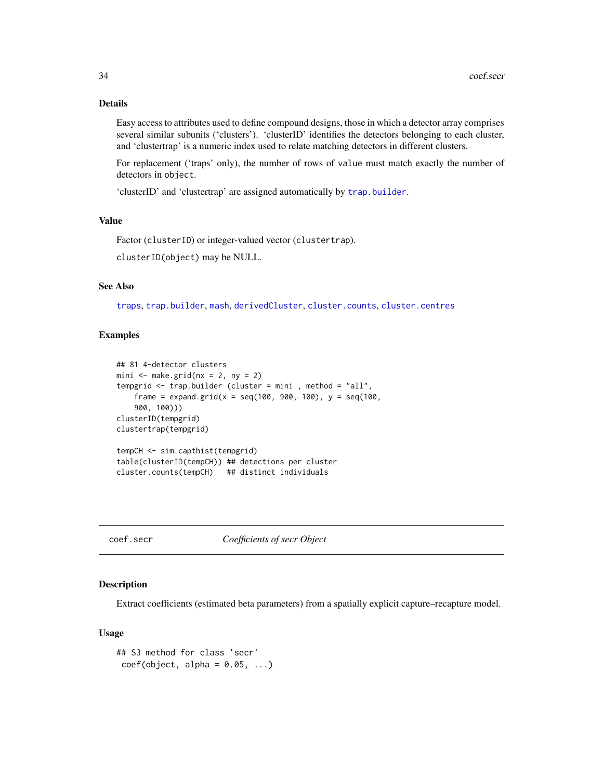# Details

Easy access to attributes used to define compound designs, those in which a detector array comprises several similar subunits ('clusters'). 'clusterID' identifies the detectors belonging to each cluster, and 'clustertrap' is a numeric index used to relate matching detectors in different clusters.

For replacement ('traps' only), the number of rows of value must match exactly the number of detectors in object.

'clusterID' and 'clustertrap' are assigned automatically by [trap.builder](#page-263-1).

# Value

Factor (clusterID) or integer-valued vector (clustertrap).

clusterID(object) may be NULL.

# See Also

[traps](#page-267-1), [trap.builder](#page-263-1), [mash](#page-263-2), [derivedCluster](#page-61-1), [cluster.counts](#page-263-2), [cluster.centres](#page-263-2)

#### Examples

```
## 81 4-detector clusters
mini \leq make.grid(nx = 2, ny = 2)
tempgrid <- trap.builder (cluster = mini , method = "all",
    frame = expand.grid(x = seq(100, 900, 100), y = \text{seq}(100,900, 100)))
clusterID(tempgrid)
clustertrap(tempgrid)
tempCH <- sim.capthist(tempgrid)
table(clusterID(tempCH)) ## detections per cluster
```

```
cluster.counts(tempCH) ## distinct individuals
```
coef.secr *Coefficients of secr Object*

# Description

Extract coefficients (estimated beta parameters) from a spatially explicit capture–recapture model.

#### Usage

```
## S3 method for class 'secr'
coef(object, alpha = 0.05, ...)
```
<span id="page-33-0"></span>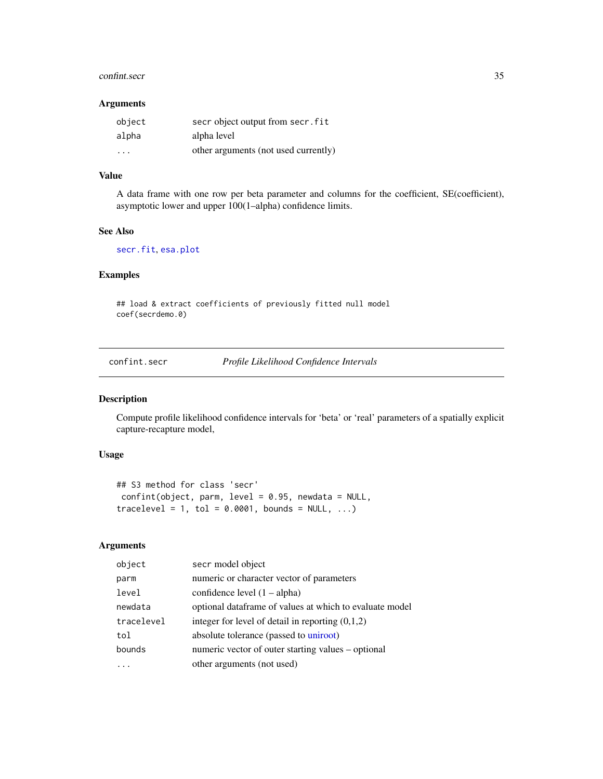#### <span id="page-34-0"></span>confint.secr 35

# Arguments

| object                  | secr object output from secr. fit    |
|-------------------------|--------------------------------------|
| alpha                   | alpha level                          |
| $\cdot$ $\cdot$ $\cdot$ | other arguments (not used currently) |

# Value

A data frame with one row per beta parameter and columns for the coefficient, SE(coefficient), asymptotic lower and upper 100(1–alpha) confidence limits.

#### See Also

# [secr.fit](#page-199-1), [esa.plot](#page-66-1)

# Examples

## load & extract coefficients of previously fitted null model coef(secrdemo.0)

confint.secr *Profile Likelihood Confidence Intervals*

# Description

Compute profile likelihood confidence intervals for 'beta' or 'real' parameters of a spatially explicit capture-recapture model,

# Usage

```
## S3 method for class 'secr'
confint(object, parm, level = 0.95, newdata = NULL,tracelevel = 1, tol = 0.0001, bounds = NULL, ...)
```
# Arguments

| object     | secr model object                                       |
|------------|---------------------------------------------------------|
| parm       | numeric or character vector of parameters               |
| level      | confidence level $(1 - alpha)$                          |
| newdata    | optional dataframe of values at which to evaluate model |
| tracelevel | integer for level of detail in reporting $(0,1,2)$      |
| tol        | absolute tolerance (passed to uniroot)                  |
| bounds     | numeric vector of outer starting values – optional      |
|            | other arguments (not used)                              |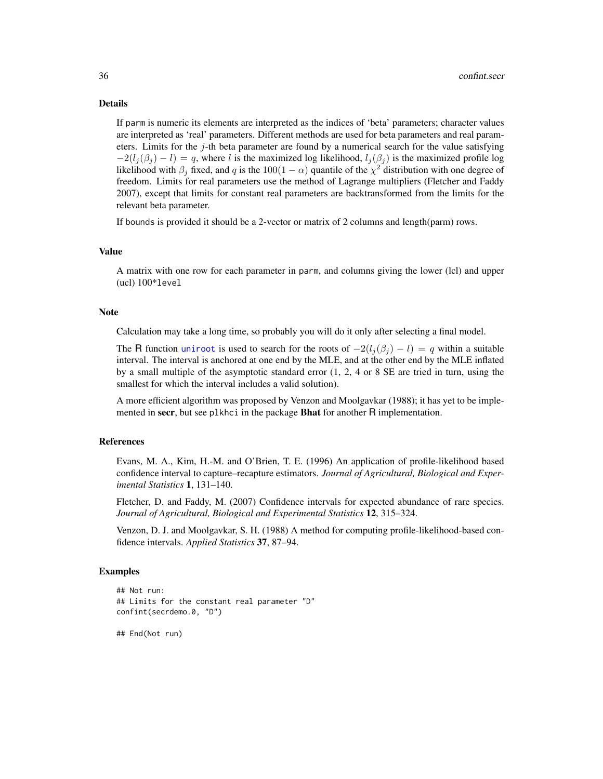#### Details

If parm is numeric its elements are interpreted as the indices of 'beta' parameters; character values are interpreted as 'real' parameters. Different methods are used for beta parameters and real parameters. Limits for the  $j$ -th beta parameter are found by a numerical search for the value satisfying  $-2(l_i(\beta_i) - l) = q$ , where l is the maximized log likelihood,  $l_i(\beta_i)$  is the maximized profile log likelihood with  $\beta_j$  fixed, and q is the 100(1 –  $\alpha$ ) quantile of the  $\chi^2$  distribution with one degree of freedom. Limits for real parameters use the method of Lagrange multipliers (Fletcher and Faddy 2007), except that limits for constant real parameters are backtransformed from the limits for the relevant beta parameter.

If bounds is provided it should be a 2-vector or matrix of 2 columns and length(parm) rows.

#### Value

A matrix with one row for each parameter in parm, and columns giving the lower (lcl) and upper (ucl) 100\*level

#### **Note**

Calculation may take a long time, so probably you will do it only after selecting a final model.

The R function [uniroot](#page-0-0) is used to search for the roots of  $-2(l_i(\beta_i) - l) = q$  within a suitable interval. The interval is anchored at one end by the MLE, and at the other end by the MLE inflated by a small multiple of the asymptotic standard error (1, 2, 4 or 8 SE are tried in turn, using the smallest for which the interval includes a valid solution).

A more efficient algorithm was proposed by Venzon and Moolgavkar (1988); it has yet to be implemented in secr, but see plkhci in the package **Bhat** for another R implementation.

#### References

Evans, M. A., Kim, H.-M. and O'Brien, T. E. (1996) An application of profile-likelihood based confidence interval to capture–recapture estimators. *Journal of Agricultural, Biological and Experimental Statistics* 1, 131–140.

Fletcher, D. and Faddy, M. (2007) Confidence intervals for expected abundance of rare species. *Journal of Agricultural, Biological and Experimental Statistics* 12, 315–324.

Venzon, D. J. and Moolgavkar, S. H. (1988) A method for computing profile-likelihood-based confidence intervals. *Applied Statistics* 37, 87–94.

#### Examples

```
## Not run:
## Limits for the constant real parameter "D"
confint(secrdemo.0, "D")
```
## End(Not run)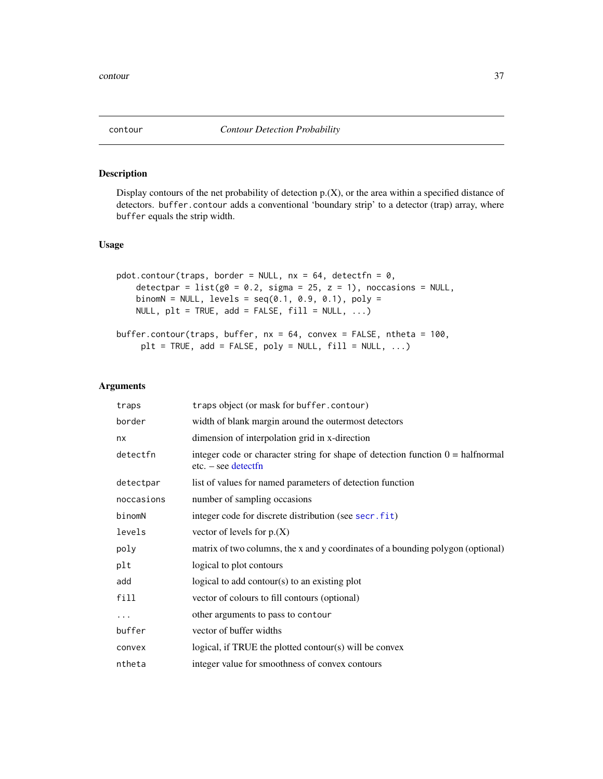# Description

Display contours of the net probability of detection p.(X), or the area within a specified distance of detectors. buffer.contour adds a conventional 'boundary strip' to a detector (trap) array, where buffer equals the strip width.

# Usage

```
pdot.contour(traps, border = NULL, nx = 64, detectfn = 0,
    detectpar = list(g0 = 0.2, sigma = 25, z = 1), noccasions = NULL,
    binomN = NULL, levels = seq(0.1, 0.9, 0.1), poly =NULL, plt = TRUE, add = FALSE, fill = NULL, ...)
buffer.contour(traps, buffer, nx = 64, convex = FALSE, ntheta = 100,
```

```
plt = TRUE, add = FALSE, poly = NULL, fill = NULL, ...)
```
#### Arguments

| traps      | traps object (or mask for buffer.contour)                                                                       |
|------------|-----------------------------------------------------------------------------------------------------------------|
| border     | width of blank margin around the outermost detectors                                                            |
| nx         | dimension of interpolation grid in x-direction                                                                  |
| detectfn   | integer code or character string for shape of detection function $0 = \text{halfnormal}$<br>$etc. - see detect$ |
| detectpar  | list of values for named parameters of detection function                                                       |
| noccasions | number of sampling occasions                                                                                    |
| binomN     | integer code for discrete distribution (see secr.fit)                                                           |
| levels     | vector of levels for $p_{\cdot}(X)$                                                                             |
| poly       | matrix of two columns, the x and y coordinates of a bounding polygon (optional)                                 |
| plt        | logical to plot contours                                                                                        |
| add        | logical to add contour( $s$ ) to an existing plot                                                               |
| fill       | vector of colours to fill contours (optional)                                                                   |
| $\cdots$   | other arguments to pass to contour                                                                              |
| buffer     | vector of buffer widths                                                                                         |
| convex     | logical, if TRUE the plotted contour(s) will be convex                                                          |
| ntheta     | integer value for smoothness of convex contours                                                                 |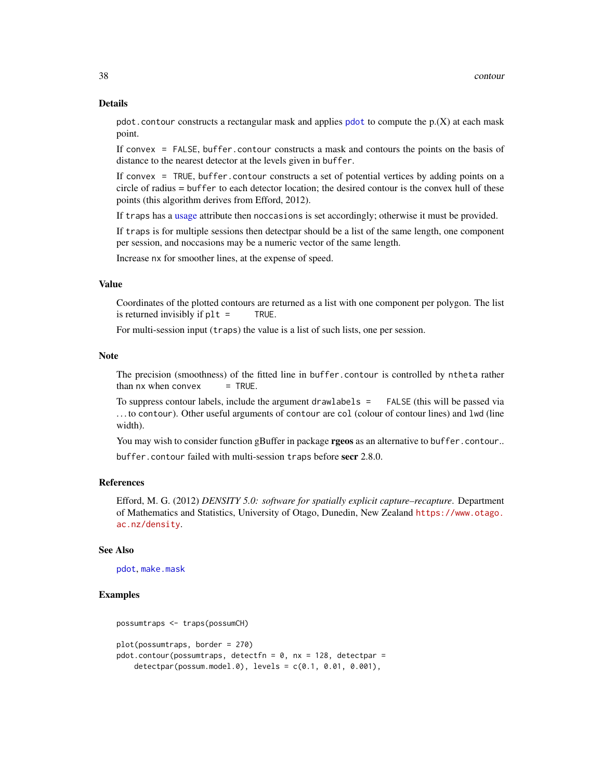#### Details

[pdot](#page-134-0).contour constructs a rectangular mask and applies pdot to compute the  $p(X)$  at each mask point.

If convex = FALSE, buffer.contour constructs a mask and contours the points on the basis of distance to the nearest detector at the levels given in buffer.

If convex = TRUE, buffer.contour constructs a set of potential vertices by adding points on a circle of radius = buffer to each detector location; the desired contour is the convex hull of these points (this algorithm derives from Efford, 2012).

If traps has a [usage](#page-276-0) attribute then noccasions is set accordingly; otherwise it must be provided.

If traps is for multiple sessions then detectpar should be a list of the same length, one component per session, and noccasions may be a numeric vector of the same length.

Increase nx for smoother lines, at the expense of speed.

## Value

Coordinates of the plotted contours are returned as a list with one component per polygon. The list is returned invisibly if plt = TRUE.

For multi-session input (traps) the value is a list of such lists, one per session.

# Note

The precision (smoothness) of the fitted line in buffer.contour is controlled by ntheta rather than  $nx$  when convex  $=$  TRUE.

To suppress contour labels, include the argument drawlabels = FALSE (this will be passed via . . . to contour). Other useful arguments of contour are col (colour of contour lines) and lwd (line width).

You may wish to consider function gBuffer in package **rgeos** as an alternative to buffer.contour..

buffer.contour failed with multi-session traps before secr 2.8.0.

# References

Efford, M. G. (2012) *DENSITY 5.0: software for spatially explicit capture–recapture*. Department of Mathematics and Statistics, University of Otago, Dunedin, New Zealand [https://www.otago.](https://www.otago.ac.nz/density) [ac.nz/density](https://www.otago.ac.nz/density).

## See Also

[pdot](#page-134-0), [make.mask](#page-104-0)

## Examples

```
possumtraps <- traps(possumCH)
plot(possumtraps, border = 270)
pdot.contour(possumtraps, detectfn = 0, nx = 128, detectpar =
   detectpar(possum.model.0), levels = c(0.1, 0.01, 0.001),
```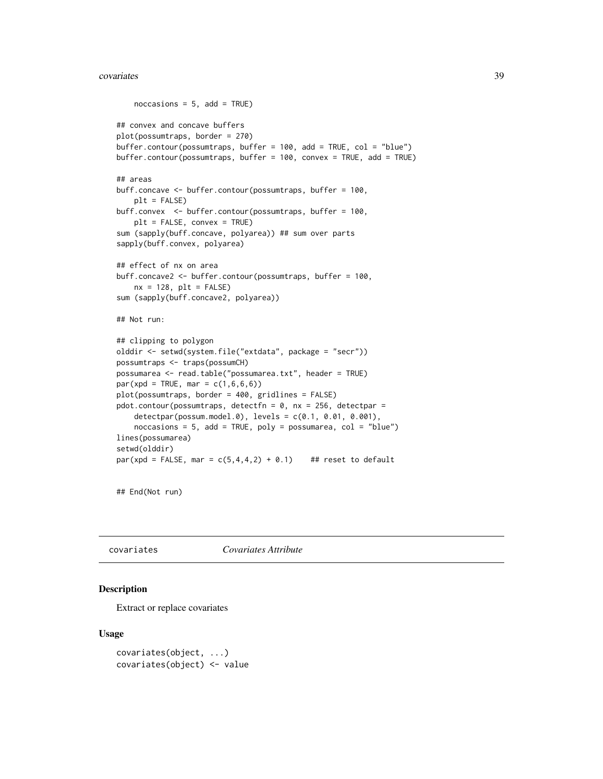#### covariates 39

```
noccasis = 5, add = TRUE)
## convex and concave buffers
plot(possumtraps, border = 270)
buffer.contour(possumtraps, buffer = 100, add = TRUE, col = "blue")
buffer.contour(possumtraps, buffer = 100, convex = TRUE, add = TRUE)
## areas
buff.concave <- buffer.contour(possumtraps, buffer = 100,
    plt = FALSE)
buff.convex <- buffer.contour(possumtraps, buffer = 100,
    plt = FALSE, convex = TRUE)
sum (sapply(buff.concave, polyarea)) ## sum over parts
sapply(buff.convex, polyarea)
## effect of nx on area
buff.concave2 <- buffer.contour(possumtraps, buffer = 100,
    nx = 128, plt = FALSEsum (sapply(buff.concave2, polyarea))
## Not run:
## clipping to polygon
olddir <- setwd(system.file("extdata", package = "secr"))
possumtraps <- traps(possumCH)
possumarea <- read.table("possumarea.txt", header = TRUE)
par(xpd = TRUE, mar = c(1, 6, 6, 6))plot(possumtraps, border = 400, gridlines = FALSE)
pdot.contour(possumtraps, detectfn = 0, nx = 256, detectpar =
    detectpar(possum.model.0), levels = c(0.1, 0.01, 0.001),
    noccasions = 5, add = TRUE, poly = possumarea, col = "blue")lines(possumarea)
setwd(olddir)
par(xpd = FALSE, mar = c(5,4,4,2) + 0.1) ## reset to default
```
## End(Not run)

covariates *Covariates Attribute*

# Description

Extract or replace covariates

# Usage

```
covariates(object, ...)
covariates(object) <- value
```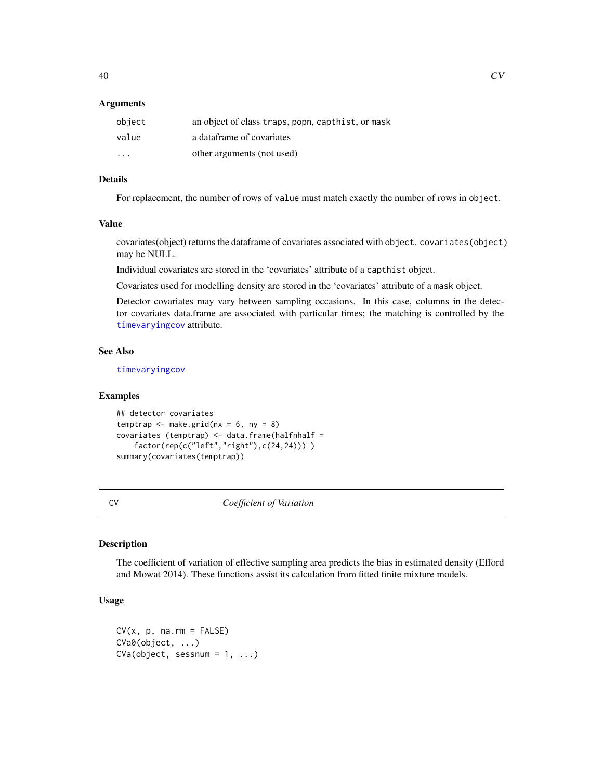## Arguments

| object  | an object of class traps, popn, capthist, or mask |
|---------|---------------------------------------------------|
| value   | a dataframe of covariates                         |
| $\cdot$ | other arguments (not used)                        |

# Details

For replacement, the number of rows of value must match exactly the number of rows in object.

#### Value

covariates(object) returns the dataframe of covariates associated with object. covariates(object) may be NULL.

Individual covariates are stored in the 'covariates' attribute of a capthist object.

Covariates used for modelling density are stored in the 'covariates' attribute of a mask object.

Detector covariates may vary between sampling occasions. In this case, columns in the detector covariates data.frame are associated with particular times; the matching is controlled by the [timevaryingcov](#page-259-0) attribute.

# See Also

[timevaryingcov](#page-259-0)

## Examples

```
## detector covariates
temptrap \leq make.grid(nx = 6, ny = 8)
covariates (temptrap) <- data.frame(halfnhalf =
   factor(rep(c("left","right"),c(24,24))) )
summary(covariates(temptrap))
```
CV *Coefficient of Variation*

# Description

The coefficient of variation of effective sampling area predicts the bias in estimated density (Efford and Mowat 2014). These functions assist its calculation from fitted finite mixture models.

# Usage

```
CV(x, p, na.rm = FALSE)CVa0(object, ...)
CVa(object, sesnum = 1, ...)
```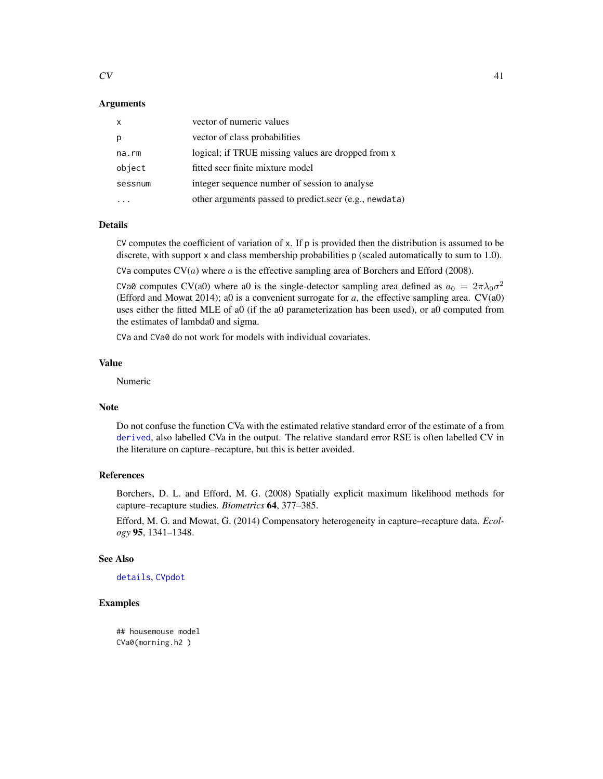# Arguments

| $\mathsf{x}$ | vector of numeric values                               |
|--------------|--------------------------------------------------------|
| p            | vector of class probabilities                          |
| na.rm        | logical; if TRUE missing values are dropped from x     |
| object       | fitted secr finite mixture model                       |
| sessnum      | integer sequence number of session to analyse          |
|              | other arguments passed to predict.secr (e.g., newdata) |

# Details

CV computes the coefficient of variation of x. If p is provided then the distribution is assumed to be discrete, with support x and class membership probabilities p (scaled automatically to sum to 1.0).

CVa computes  $CV(a)$  where a is the effective sampling area of Borchers and Efford (2008).

CVa0 computes CV(a0) where a0 is the single-detector sampling area defined as  $a_0 = 2\pi\lambda_0\sigma^2$ (Efford and Mowat 2014); a0 is a convenient surrogate for  $a$ , the effective sampling area.  $CV(a0)$ uses either the fitted MLE of a0 (if the a0 parameterization has been used), or a0 computed from the estimates of lambda0 and sigma.

CVa and CVa0 do not work for models with individual covariates.

# Value

Numeric

## Note

Do not confuse the function CVa with the estimated relative standard error of the estimate of a from [derived](#page-45-0), also labelled CVa in the output. The relative standard error RSE is often labelled CV in the literature on capture–recapture, but this is better avoided.

# References

Borchers, D. L. and Efford, M. G. (2008) Spatially explicit maximum likelihood methods for capture–recapture studies. *Biometrics* 64, 377–385.

Efford, M. G. and Mowat, G. (2014) Compensatory heterogeneity in capture–recapture data. *Ecology* 95, 1341–1348.

# See Also

[details](#page-48-0), [CVpdot](#page-134-1)

# Examples

## housemouse model CVa0(morning.h2 )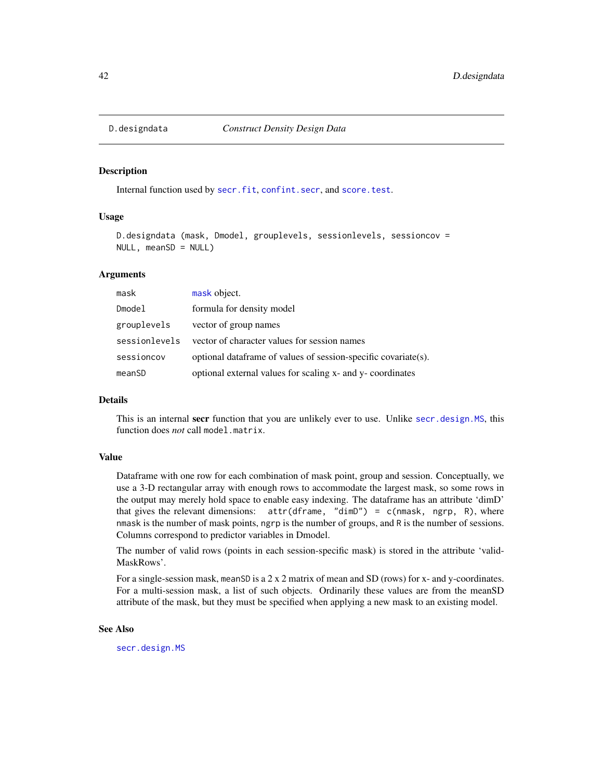# Description

Internal function used by [secr.fit](#page-199-0), [confint.secr](#page-34-0), and [score.test](#page-194-0).

# Usage

```
D.designdata (mask, Dmodel, grouplevels, sessionlevels, sessioncov =
NULL, meanSD = NULL
```
# Arguments

| mask          | mask object.                                                   |
|---------------|----------------------------------------------------------------|
| Dmodel        | formula for density model                                      |
| grouplevels   | vector of group names                                          |
| sessionlevels | vector of character values for session names                   |
| sessioncov    | optional dataframe of values of session-specific covariate(s). |
| meanSD        | optional external values for scaling x- and y- coordinates     |

# Details

This is an internal secr function that you are unlikely ever to use. Unlike [secr.design.MS](#page-196-0), this function does *not* call model.matrix.

## Value

Dataframe with one row for each combination of mask point, group and session. Conceptually, we use a 3-D rectangular array with enough rows to accommodate the largest mask, so some rows in the output may merely hold space to enable easy indexing. The dataframe has an attribute 'dimD' that gives the relevant dimensions:  $attr(dframe, "dimD") = c(mmask, ngrp, R)$ , where nmask is the number of mask points, ngrp is the number of groups, and R is the number of sessions. Columns correspond to predictor variables in Dmodel.

The number of valid rows (points in each session-specific mask) is stored in the attribute 'valid-MaskRows'.

For a single-session mask, meanSD is a 2 x 2 matrix of mean and SD (rows) for x- and y-coordinates. For a multi-session mask, a list of such objects. Ordinarily these values are from the meanSD attribute of the mask, but they must be specified when applying a new mask to an existing model.

# See Also

[secr.design.MS](#page-196-0)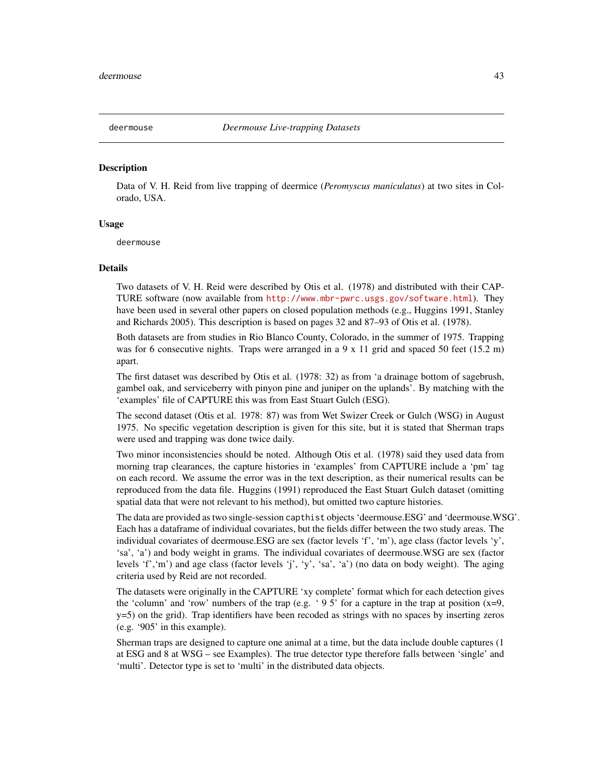## Description

Data of V. H. Reid from live trapping of deermice (*Peromyscus maniculatus*) at two sites in Colorado, USA.

# Usage

deermouse

## Details

Two datasets of V. H. Reid were described by Otis et al. (1978) and distributed with their CAP-TURE software (now available from <http://www.mbr-pwrc.usgs.gov/software.html>). They have been used in several other papers on closed population methods (e.g., Huggins 1991, Stanley and Richards 2005). This description is based on pages 32 and 87–93 of Otis et al. (1978).

Both datasets are from studies in Rio Blanco County, Colorado, in the summer of 1975. Trapping was for 6 consecutive nights. Traps were arranged in a 9 x 11 grid and spaced 50 feet (15.2 m) apart.

The first dataset was described by Otis et al. (1978: 32) as from 'a drainage bottom of sagebrush, gambel oak, and serviceberry with pinyon pine and juniper on the uplands'. By matching with the 'examples' file of CAPTURE this was from East Stuart Gulch (ESG).

The second dataset (Otis et al. 1978: 87) was from Wet Swizer Creek or Gulch (WSG) in August 1975. No specific vegetation description is given for this site, but it is stated that Sherman traps were used and trapping was done twice daily.

Two minor inconsistencies should be noted. Although Otis et al. (1978) said they used data from morning trap clearances, the capture histories in 'examples' from CAPTURE include a 'pm' tag on each record. We assume the error was in the text description, as their numerical results can be reproduced from the data file. Huggins (1991) reproduced the East Stuart Gulch dataset (omitting spatial data that were not relevant to his method), but omitted two capture histories.

The data are provided as two single-session capthist objects 'deermouse.ESG' and 'deermouse.WSG'. Each has a dataframe of individual covariates, but the fields differ between the two study areas. The individual covariates of deermouse.ESG are sex (factor levels 'f', 'm'), age class (factor levels 'y', 'sa', 'a') and body weight in grams. The individual covariates of deermouse.WSG are sex (factor levels 'f','m') and age class (factor levels 'j', 'y', 'sa', 'a') (no data on body weight). The aging criteria used by Reid are not recorded.

The datasets were originally in the CAPTURE 'xy complete' format which for each detection gives the 'column' and 'row' numbers of the trap (e.g. '95' for a capture in the trap at position  $(x=9,$ y=5) on the grid). Trap identifiers have been recoded as strings with no spaces by inserting zeros (e.g. '905' in this example).

Sherman traps are designed to capture one animal at a time, but the data include double captures (1 at ESG and 8 at WSG – see Examples). The true detector type therefore falls between 'single' and 'multi'. Detector type is set to 'multi' in the distributed data objects.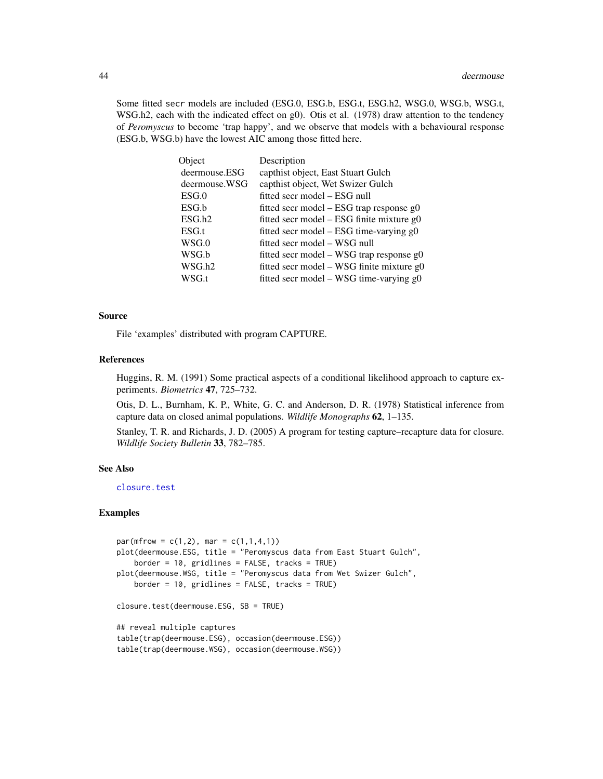Some fitted secr models are included (ESG.0, ESG.b, ESG.t, ESG.h2, WSG.0, WSG.b, WSG.t, WSG.h2, each with the indicated effect on g0). Otis et al. (1978) draw attention to the tendency of *Peromyscus* to become 'trap happy', and we observe that models with a behavioural response (ESG.b, WSG.b) have the lowest AIC among those fitted here.

| Object        | Description                                |
|---------------|--------------------------------------------|
| deermouse.ESG | capthist object, East Stuart Gulch         |
| deermouse.WSG | capthist object, Wet Swizer Gulch          |
| ESG.0         | fitted secr model – ESG null               |
| ESG.b         | fitted secr model $-ESG$ trap response g0  |
| ESG.h2        | fitted secr model - ESG finite mixture g0  |
| ESG.t         | fitted secr model - ESG time-varying g0    |
| WSG.0         | fitted secr model – WSG null               |
| WSG.b         | fitted secr model – WSG trap response $g0$ |
| WSG.h2        | fitted secr model – WSG finite mixture g0  |
| WSG.t         | fitted secr model - WSG time-varying g0    |

# Source

File 'examples' distributed with program CAPTURE.

#### References

Huggins, R. M. (1991) Some practical aspects of a conditional likelihood approach to capture experiments. *Biometrics* 47, 725–732.

Otis, D. L., Burnham, K. P., White, G. C. and Anderson, D. R. (1978) Statistical inference from capture data on closed animal populations. *Wildlife Monographs* 62, 1–135.

Stanley, T. R. and Richards, J. D. (2005) A program for testing capture–recapture data for closure. *Wildlife Society Bulletin* 33, 782–785.

# See Also

[closure.test](#page-31-0)

## Examples

```
par(mfrow = c(1,2), mar = c(1,1,4,1))plot(deermouse.ESG, title = "Peromyscus data from East Stuart Gulch",
    border = 10, gridlines = FALSE, tracks = TRUE)
plot(deermouse.WSG, title = "Peromyscus data from Wet Swizer Gulch",
   border = 10, gridlines = FALSE, tracks = TRUE)
closure.test(deermouse.ESG, SB = TRUE)
## reveal multiple captures
table(trap(deermouse.ESG), occasion(deermouse.ESG))
table(trap(deermouse.WSG), occasion(deermouse.WSG))
```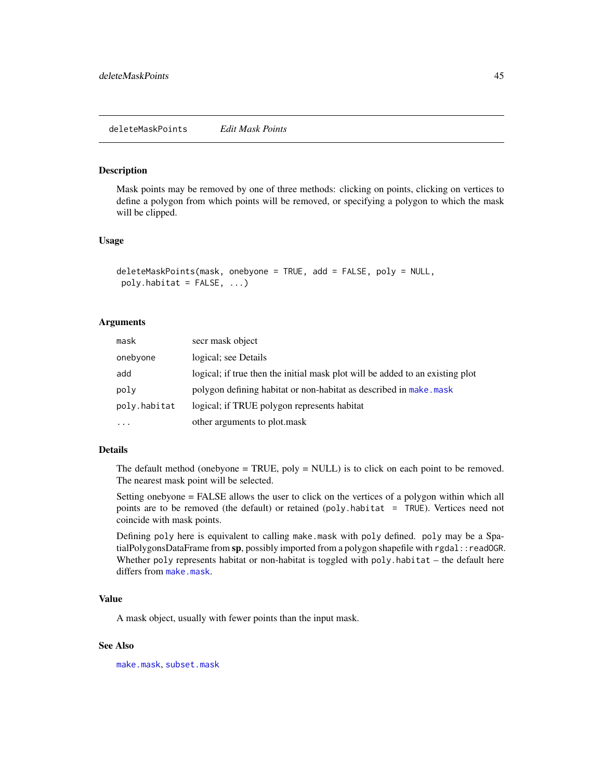#### Description

Mask points may be removed by one of three methods: clicking on points, clicking on vertices to define a polygon from which points will be removed, or specifying a polygon to which the mask will be clipped.

## Usage

```
deleteMaskPoints(mask, onebyone = TRUE, add = FALSE, poly = NULL,
poly.habitat = FALSE, ...)
```
# Arguments

| mask         | secr mask object                                                              |
|--------------|-------------------------------------------------------------------------------|
| onebyone     | logical; see Details                                                          |
| add          | logical; if true then the initial mask plot will be added to an existing plot |
| poly         | polygon defining habitat or non-habitat as described in make, mask            |
| poly.habitat | logical; if TRUE polygon represents habitat                                   |
| $\cdot$      | other arguments to plot mask                                                  |

# Details

The default method (onebyone  $= TRUE$ , poly  $= NULL$ ) is to click on each point to be removed. The nearest mask point will be selected.

Setting onebyone = FALSE allows the user to click on the vertices of a polygon within which all points are to be removed (the default) or retained (poly.habitat = TRUE). Vertices need not coincide with mask points.

Defining poly here is equivalent to calling make.mask with poly defined. poly may be a SpatialPolygonsDataFrame from  $sp$ , possibly imported from a polygon shapefile with rgdal::readOGR. Whether poly represents habitat or non-habitat is toggled with poly.habitat – the default here differs from [make.mask](#page-104-0).

# Value

A mask object, usually with fewer points than the input mask.

## See Also

[make.mask](#page-104-0), [subset.mask](#page-248-0)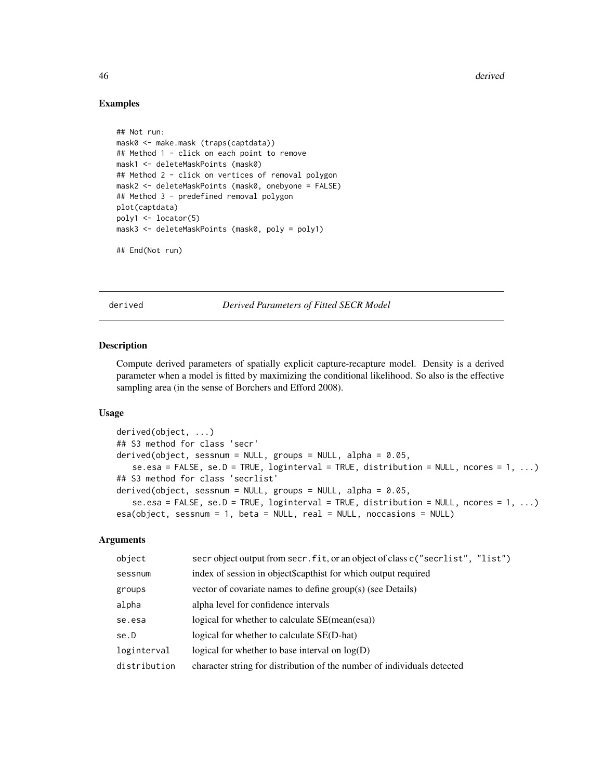46 derived and the set of the set of the set of the set of the set of the set of the set of the set of the set of the set of the set of the set of the set of the set of the set of the set of the set of the set of the set o

## Examples

```
## Not run:
mask0 <- make.mask (traps(captdata))
## Method 1 - click on each point to remove
mask1 <- deleteMaskPoints (mask0)
## Method 2 - click on vertices of removal polygon
mask2 <- deleteMaskPoints (mask0, onebyone = FALSE)
## Method 3 - predefined removal polygon
plot(captdata)
poly1 <- locator(5)
mask3 <- deleteMaskPoints (mask0, poly = poly1)
```

```
## End(Not run)
```
<span id="page-45-0"></span>

derived *Derived Parameters of Fitted SECR Model*

# <span id="page-45-1"></span>Description

Compute derived parameters of spatially explicit capture-recapture model. Density is a derived parameter when a model is fitted by maximizing the conditional likelihood. So also is the effective sampling area (in the sense of Borchers and Efford 2008).

## Usage

```
derived(object, ...)
## S3 method for class 'secr'
derived(object, sessnum = NULL, groups = NULL, alpha = 0.05,
   se.esa = FALSE, se.D = TRUE, loginterval = TRUE, distribution = NULL, nores = 1, ...## S3 method for class 'secrlist'
derived(object, sessnum = NULL, groups = NULL, alpha = 0.05,
   se.esa = FALSE, se.D = TRUE, loginterval = TRUE, distribution = NULL, nores = 1, ...esa(object, sessnum = 1, beta = NULL, real = NULL, noccasions = NULL)
```
# Arguments

| object       | secr object output from secr. fit, or an object of class c ("secrlist", "list") |
|--------------|---------------------------------------------------------------------------------|
| sessnum      | index of session in object\$capthist for which output required                  |
| groups       | vector of covariate names to define group(s) (see Details)                      |
| alpha        | alpha level for confidence intervals                                            |
| se.esa       | logical for whether to calculate SE(mean(esa))                                  |
| se.D         | logical for whether to calculate SE(D-hat)                                      |
| loginterval  | logical for whether to base interval on $log(D)$                                |
| distribution | character string for distribution of the number of individuals detected         |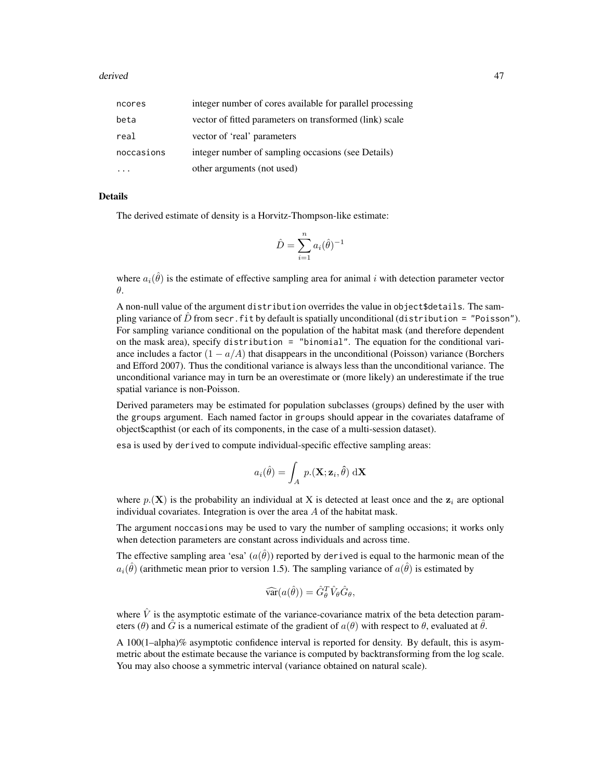#### derived **47**

| ncores     | integer number of cores available for parallel processing |
|------------|-----------------------------------------------------------|
| beta       | vector of fitted parameters on transformed (link) scale   |
| real       | vector of 'real' parameters                               |
| noccasions | integer number of sampling occasions (see Details)        |
|            | other arguments (not used)                                |

# Details

The derived estimate of density is a Horvitz-Thompson-like estimate:

$$
\hat{D} = \sum_{i=1}^{n} a_i(\hat{\theta})^{-1}
$$

where  $a_i(\hat{\theta})$  is the estimate of effective sampling area for animal i with detection parameter vector θ.

A non-null value of the argument distribution overrides the value in object\$details. The sampling variance of  $\hat{D}$  from secr. fit by default is spatially unconditional (distribution = "Poisson"). For sampling variance conditional on the population of the habitat mask (and therefore dependent on the mask area), specify distribution = "binomial". The equation for the conditional variance includes a factor  $(1 - a/A)$  that disappears in the unconditional (Poisson) variance (Borchers and Efford 2007). Thus the conditional variance is always less than the unconditional variance. The unconditional variance may in turn be an overestimate or (more likely) an underestimate if the true spatial variance is non-Poisson.

Derived parameters may be estimated for population subclasses (groups) defined by the user with the groups argument. Each named factor in groups should appear in the covariates dataframe of object\$capthist (or each of its components, in the case of a multi-session dataset).

esa is used by derived to compute individual-specific effective sampling areas:

$$
a_i(\hat{\theta}) = \int_A p.(\mathbf{X}; \mathbf{z}_i, \hat{\theta}) \, d\mathbf{X}
$$

where  $p(\mathbf{X})$  is the probability an individual at X is detected at least once and the  $z_i$  are optional individual covariates. Integration is over the area A of the habitat mask.

The argument noccasions may be used to vary the number of sampling occasions; it works only when detection parameters are constant across individuals and across time.

The effective sampling area 'esa'  $(a(\hat{\theta}))$  reported by derived is equal to the harmonic mean of the  $a_i(\hat{\theta})$  (arithmetic mean prior to version 1.5). The sampling variance of  $a(\hat{\theta})$  is estimated by

$$
\widehat{\text{var}}(a(\hat{\theta})) = \hat{G}_{\theta}^T \hat{V}_{\theta} \hat{G}_{\theta},
$$

where  $\hat{V}$  is the asymptotic estimate of the variance-covariance matrix of the beta detection parameters (θ) and G is a numerical estimate of the gradient of  $a(\theta)$  with respect to  $\theta$ , evaluated at  $\theta$ .

A 100(1–alpha)% asymptotic confidence interval is reported for density. By default, this is asymmetric about the estimate because the variance is computed by backtransforming from the log scale. You may also choose a symmetric interval (variance obtained on natural scale).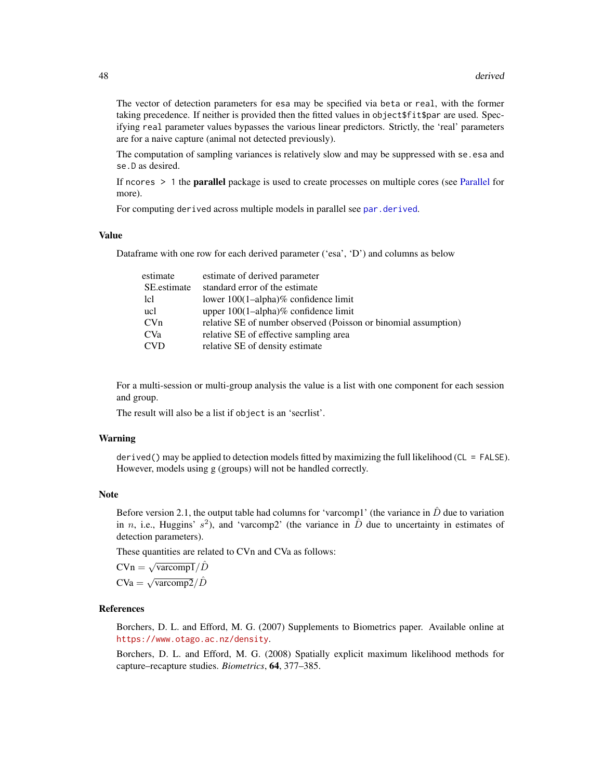The vector of detection parameters for esa may be specified via beta or real, with the former taking precedence. If neither is provided then the fitted values in object\$fit\$par are used. Specifying real parameter values bypasses the various linear predictors. Strictly, the 'real' parameters are for a naive capture (animal not detected previously).

The computation of sampling variances is relatively slow and may be suppressed with se.esa and se.D as desired.

If ncores  $> 1$  the **parallel** package is used to create processes on multiple cores (see [Parallel](#page-131-0) for more).

For computing derived across multiple models in parallel see [par.derived](#page-129-0).

# Value

Dataframe with one row for each derived parameter ('esa', 'D') and columns as below

| estimate    | estimate of derived parameter                                   |
|-------------|-----------------------------------------------------------------|
| SE estimate | standard error of the estimate                                  |
| lcl         | lower $100(1–alpha)$ % confidence limit                         |
| ucl         | upper $100(1$ -alpha)% confidence limit                         |
| CVn         | relative SE of number observed (Poisson or binomial assumption) |
| <b>CVa</b>  | relative SE of effective sampling area                          |
| <b>CVD</b>  | relative SE of density estimate                                 |
|             |                                                                 |

For a multi-session or multi-group analysis the value is a list with one component for each session and group.

The result will also be a list if object is an 'secrlist'.

## Warning

derived() may be applied to detection models fitted by maximizing the full likelihood (CL = FALSE). However, models using g (groups) will not be handled correctly.

#### Note

Before version 2.1, the output table had columns for 'varcomp1' (the variance in  $\hat{D}$  due to variation in n, i.e., Huggins'  $s^2$ ), and 'varcomp2' (the variance in  $\hat{D}$  due to uncertainty in estimates of detection parameters).

These quantities are related to CVn and CVa as follows:

 $CVn = \sqrt{varcomp1}/\hat{D}$  $CVa = \sqrt{\text{vacomp2}}/\hat{D}$ 

# References

Borchers, D. L. and Efford, M. G. (2007) Supplements to Biometrics paper. Available online at <https://www.otago.ac.nz/density>.

Borchers, D. L. and Efford, M. G. (2008) Spatially explicit maximum likelihood methods for capture–recapture studies. *Biometrics*, 64, 377–385.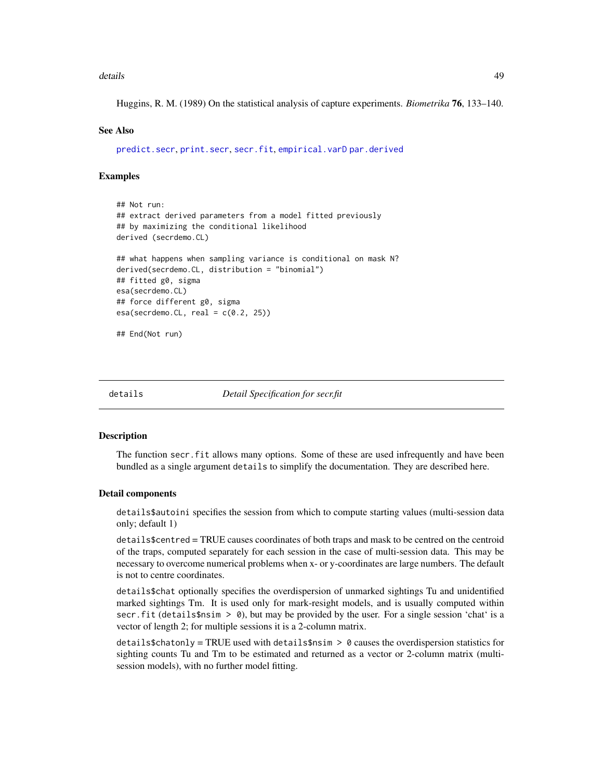#### details **49**

Huggins, R. M. (1989) On the statistical analysis of capture experiments. *Biometrika* 76, 133–140.

## See Also

[predict.secr](#page-157-0), [print.secr](#page-162-0), [secr.fit](#page-199-0), [empirical.varD](#page-61-0) [par.derived](#page-129-0)

#### Examples

```
## Not run:
## extract derived parameters from a model fitted previously
## by maximizing the conditional likelihood
derived (secrdemo.CL)
## what happens when sampling variance is conditional on mask N?
derived(secrdemo.CL, distribution = "binomial")
## fitted g0, sigma
esa(secrdemo.CL)
## force different g0, sigma
esa(secrdemo.CL, real = c(0.2, 25))## End(Not run)
```
<span id="page-48-0"></span>

details *Detail Specification for secr.fit*

#### **Description**

The function secr.fit allows many options. Some of these are used infrequently and have been bundled as a single argument details to simplify the documentation. They are described here.

## Detail components

details\$autoini specifies the session from which to compute starting values (multi-session data only; default 1)

details\$centred = TRUE causes coordinates of both traps and mask to be centred on the centroid of the traps, computed separately for each session in the case of multi-session data. This may be necessary to overcome numerical problems when x- or y-coordinates are large numbers. The default is not to centre coordinates.

details\$chat optionally specifies the overdispersion of unmarked sightings Tu and unidentified marked sightings Tm. It is used only for mark-resight models, and is usually computed within secr.fit (details\$nsim > 0), but may be provided by the user. For a single session 'chat' is a vector of length 2; for multiple sessions it is a 2-column matrix.

 $details6chat only = TRUE used with details $nsim > 0$ causes the overdispersion statistics for$ sighting counts Tu and Tm to be estimated and returned as a vector or 2-column matrix (multisession models), with no further model fitting.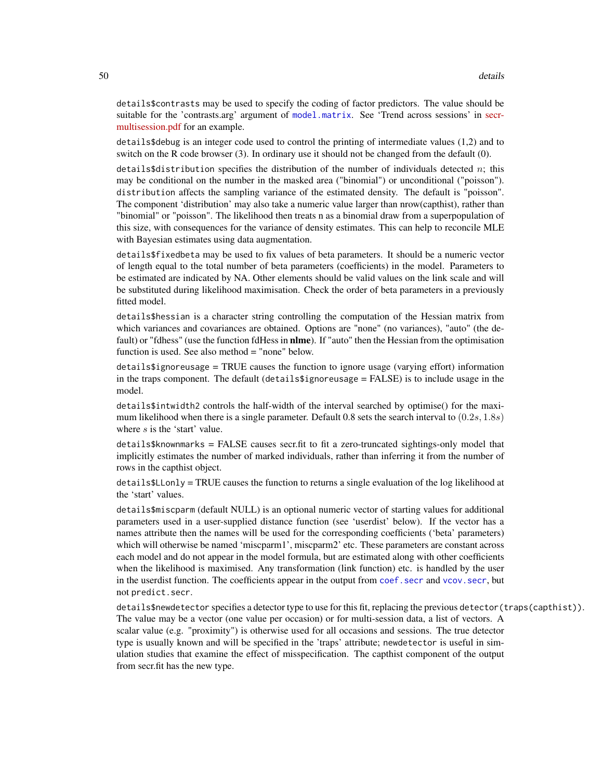details\$contrasts may be used to specify the coding of factor predictors. The value should be suitable for the 'contrasts.arg' argument of [model.matrix](#page-0-0). See 'Trend across sessions' in [secr](https://www.otago.ac.nz/density/pdfs/secr-multisession.pdf)[multisession.pdf](https://www.otago.ac.nz/density/pdfs/secr-multisession.pdf) for an example.

details\$debug is an integer code used to control the printing of intermediate values (1,2) and to switch on the R code browser (3). In ordinary use it should not be changed from the default (0).

details\$distribution specifies the distribution of the number of individuals detected n; this may be conditional on the number in the masked area ("binomial") or unconditional ("poisson"). distribution affects the sampling variance of the estimated density. The default is "poisson". The component 'distribution' may also take a numeric value larger than nrow(capthist), rather than "binomial" or "poisson". The likelihood then treats n as a binomial draw from a superpopulation of this size, with consequences for the variance of density estimates. This can help to reconcile MLE with Bayesian estimates using data augmentation.

details\$fixedbeta may be used to fix values of beta parameters. It should be a numeric vector of length equal to the total number of beta parameters (coefficients) in the model. Parameters to be estimated are indicated by NA. Other elements should be valid values on the link scale and will be substituted during likelihood maximisation. Check the order of beta parameters in a previously fitted model.

details\$hessian is a character string controlling the computation of the Hessian matrix from which variances and covariances are obtained. Options are "none" (no variances), "auto" (the default) or "fdhess" (use the function fdHess in **nlme**). If "auto" then the Hessian from the optimisation function is used. See also method = "none" below.

details\$ignoreusage = TRUE causes the function to ignore usage (varying effort) information in the traps component. The default (details\$ignoreusage = FALSE) is to include usage in the model.

details\$intwidth2 controls the half-width of the interval searched by optimise() for the maximum likelihood when there is a single parameter. Default 0.8 sets the search interval to  $(0.2s, 1.8s)$ where s is the 'start' value.

details\$knownmarks = FALSE causes secr.fit to fit a zero-truncated sightings-only model that implicitly estimates the number of marked individuals, rather than inferring it from the number of rows in the capthist object.

details\$LLonly = TRUE causes the function to returns a single evaluation of the log likelihood at the 'start' values.

details\$miscparm (default NULL) is an optional numeric vector of starting values for additional parameters used in a user-supplied distance function (see 'userdist' below). If the vector has a names attribute then the names will be used for the corresponding coefficients ('beta' parameters) which will otherwise be named 'miscparm1', miscparm2' etc. These parameters are constant across each model and do not appear in the model formula, but are estimated along with other coefficients when the likelihood is maximised. Any transformation (link function) etc. is handled by the user in the userdist function. The coefficients appear in the output from coef, secr and vcov, secr, but not predict.secr.

details\$newdetector specifies a detector type to use for this fit, replacing the previous detector(traps(capthist)). The value may be a vector (one value per occasion) or for multi-session data, a list of vectors. A scalar value (e.g. "proximity") is otherwise used for all occasions and sessions. The true detector type is usually known and will be specified in the 'traps' attribute; newdetector is useful in simulation studies that examine the effect of misspecification. The capthist component of the output from secr.fit has the new type.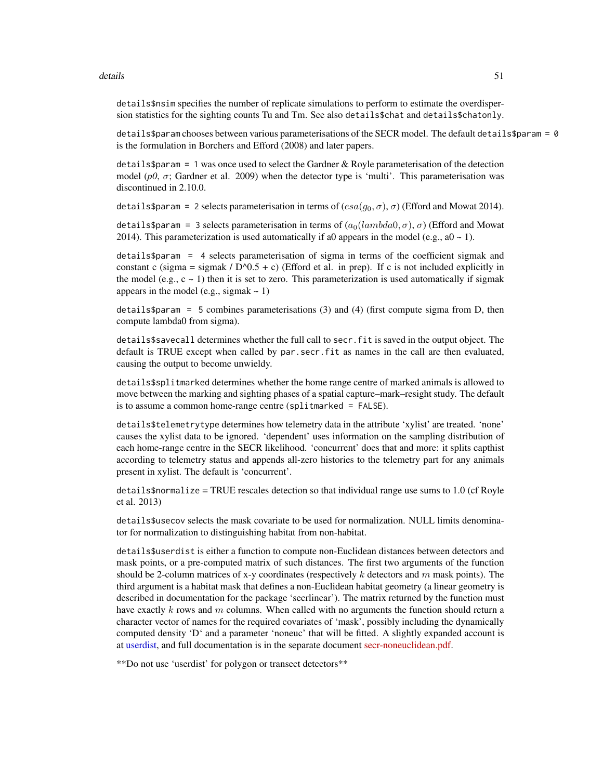#### details 51

details\$nsim specifies the number of replicate simulations to perform to estimate the overdispersion statistics for the sighting counts Tu and Tm. See also details\$chat and details\$chatonly.

details\$param chooses between various parameterisations of the SECR model. The default details\$param = 0 is the formulation in Borchers and Efford (2008) and later papers.

details\$param = 1 was once used to select the Gardner  $& Roy$  le parameterisation of the detection model ( $p0$ ,  $\sigma$ ; Gardner et al. 2009) when the detector type is 'multi'. This parameterisation was discontinued in 2.10.0.

details\$param = 2 selects parameterisation in terms of  $(esa(g_0, \sigma), \sigma)$  (Efford and Mowat 2014).

details\$param = 3 selects parameterisation in terms of  $(a_0(lambda, \sigma), \sigma)$  (Efford and Mowat 2014). This parameterization is used automatically if a0 appears in the model (e.g., a0  $\sim$  1).

details\$param = 4 selects parameterisation of sigma in terms of the coefficient sigmak and constant c (sigma = sigmak /  $D^0(0.5 + c)$  (Efford et al. in prep). If c is not included explicitly in the model (e.g.,  $c \sim 1$ ) then it is set to zero. This parameterization is used automatically if sigmak appears in the model (e.g., sigmak  $\sim$  1)

 $\text{details}$   $\phi$  = 5 combines parameterisations (3) and (4) (first compute sigma from D, then compute lambda0 from sigma).

details\$savecall determines whether the full call to secr.fit is saved in the output object. The default is TRUE except when called by par.secr.fit as names in the call are then evaluated, causing the output to become unwieldy.

details\$splitmarked determines whether the home range centre of marked animals is allowed to move between the marking and sighting phases of a spatial capture–mark–resight study. The default is to assume a common home-range centre (splitmarked = FALSE).

details\$telemetrytype determines how telemetry data in the attribute 'xylist' are treated. 'none' causes the xylist data to be ignored. 'dependent' uses information on the sampling distribution of each home-range centre in the SECR likelihood. 'concurrent' does that and more: it splits capthist according to telemetry status and appends all-zero histories to the telemetry part for any animals present in xylist. The default is 'concurrent'.

 $details on  $1.0 \text{ (cf Royle}$$ et al. 2013)

details\$usecov selects the mask covariate to be used for normalization. NULL limits denominator for normalization to distinguishing habitat from non-habitat.

details\$userdist is either a function to compute non-Euclidean distances between detectors and mask points, or a pre-computed matrix of such distances. The first two arguments of the function should be 2-column matrices of x-y coordinates (respectively  $k$  detectors and  $m$  mask points). The third argument is a habitat mask that defines a non-Euclidean habitat geometry (a linear geometry is described in documentation for the package 'secrlinear'). The matrix returned by the function must have exactly k rows and m columns. When called with no arguments the function should return a character vector of names for the required covariates of 'mask', possibly including the dynamically computed density 'D' and a parameter 'noneuc' that will be fitted. A slightly expanded account is at [userdist,](#page-279-0) and full documentation is in the separate document [secr-noneuclidean.pdf.](https://www.otago.ac.nz/density/pdfs/secr-noneuclidean.pdf)

\*\*Do not use 'userdist' for polygon or transect detectors\*\*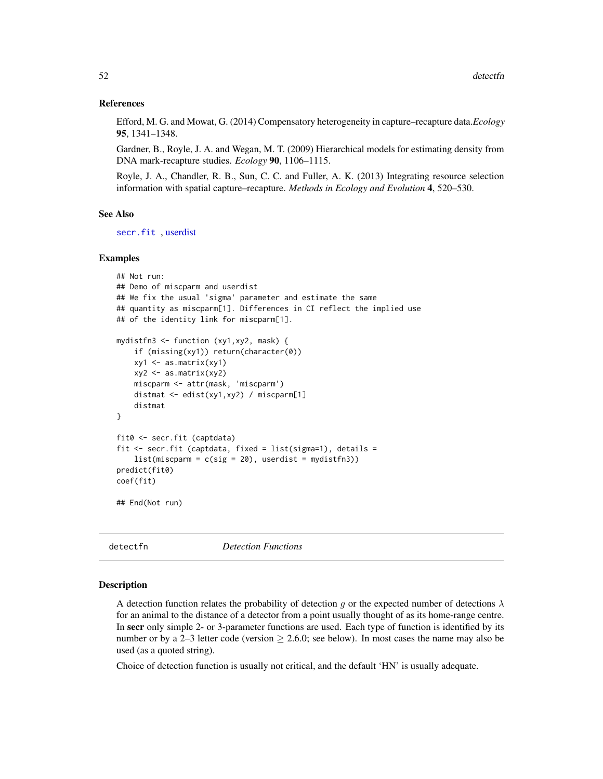## References

Efford, M. G. and Mowat, G. (2014) Compensatory heterogeneity in capture–recapture data.*Ecology* 95, 1341–1348.

Gardner, B., Royle, J. A. and Wegan, M. T. (2009) Hierarchical models for estimating density from DNA mark-recapture studies. *Ecology* 90, 1106–1115.

Royle, J. A., Chandler, R. B., Sun, C. C. and Fuller, A. K. (2013) Integrating resource selection information with spatial capture–recapture. *Methods in Ecology and Evolution* 4, 520–530.

## See Also

[secr.fit](#page-199-0) , [userdist](#page-279-0)

## Examples

```
## Not run:
## Demo of miscparm and userdist
## We fix the usual 'sigma' parameter and estimate the same
## quantity as miscparm[1]. Differences in CI reflect the implied use
## of the identity link for miscparm[1].
mydistfn3 <- function (xy1,xy2, mask) {
   if (missing(xy1)) return(character(0))
   xy1 <- as.matrix(xy1)
   xy2 <- as.matrix(xy2)
   miscparm <- attr(mask, 'miscparm')
   distmat <- edist(xy1,xy2) / miscparm[1]
   distmat
}
fit0 <- secr.fit (captdata)
fit \le secr.fit (captdata, fixed = list(sigma=1), details =
    list(miscparm = c(sig = 20), userdist = mydistfn3))predict(fit0)
coef(fit)
## End(Not run)
```
<span id="page-51-0"></span>

detectfn *Detection Functions*

#### Description

A detection function relates the probability of detection g or the expected number of detections  $\lambda$ for an animal to the distance of a detector from a point usually thought of as its home-range centre. In secr only simple 2- or 3-parameter functions are used. Each type of function is identified by its number or by a 2–3 letter code (version  $\geq$  2.6.0; see below). In most cases the name may also be used (as a quoted string).

Choice of detection function is usually not critical, and the default 'HN' is usually adequate.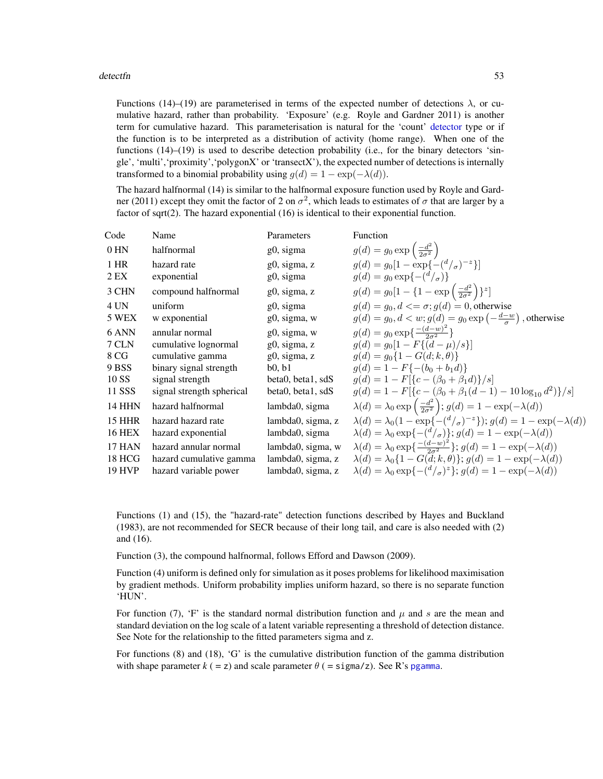#### detectfn 53

Functions (14)–(19) are parameterised in terms of the expected number of detections  $\lambda$ , or cumulative hazard, rather than probability. 'Exposure' (e.g. Royle and Gardner 2011) is another term for cumulative hazard. This parameterisation is natural for the 'count' [detector](#page-53-0) type or if the function is to be interpreted as a distribution of activity (home range). When one of the functions (14)–(19) is used to describe detection probability (i.e., for the binary detectors 'single', 'multi','proximity','polygonX' or 'transectX'), the expected number of detections is internally transformed to a binomial probability using  $q(d) = 1 - \exp(-\lambda(d)).$ 

The hazard halfnormal (14) is similar to the halfnormal exposure function used by Royle and Gardner (2011) except they omit the factor of 2 on  $\sigma^2$ , which leads to estimates of  $\sigma$  that are larger by a factor of sqrt(2). The hazard exponential (16) is identical to their exponential function.

| Code          | Name                      | Parameters        | Function                                                                                       |
|---------------|---------------------------|-------------------|------------------------------------------------------------------------------------------------|
| 0 HN          | halfnormal                | g0, sigma         | $g(d) = g_0 \exp\left(\frac{-d^2}{2\sigma^2}\right)$                                           |
| 1 HR          | hazard rate               | g0, sigma, z      | $q(d) = q_0[1 - \exp\{-\frac{d}{\sigma}\}^{-1}]$                                               |
| 2 EX          | exponential               | g0, sigma         | $g(d) = g_0 \exp\{-(\frac{d}{\sigma})\}$                                                       |
| 3 CHN         | compound halfnormal       | g0, sigma, z      | $g(d) = g_0[1 - \{1 - \exp\left(\frac{-d^2}{2\sigma^2}\right)\}^z]$                            |
| 4 UN          | uniform                   | g0, sigma         | $q(d) = q_0, d \leq \sigma$ ; $q(d) = 0$ , otherwise                                           |
| 5 WEX         | w exponential             | g0, sigma, w      | $g(d) = g_0, d < w$ ; $g(d) = g_0 \exp\left(-\frac{d-w}{\sigma}\right)$ , otherwise            |
| 6 ANN         | annular normal            | g0, sigma, w      | $g(d) = g_0 \exp\left\{\frac{-(d-w)^2}{2\sigma^2}\right\}$                                     |
| 7 CLN         | cumulative lognormal      | $g0$ , sigma, z   | $q(d) = q_0[1 - F{(d - \mu)/s}]$                                                               |
| 8 CG          | cumulative gamma          | g0, sigma, z      | $q(d) = q_0\{1 - G(d; k, \theta)\}\$                                                           |
| 9 BSS         | binary signal strength    | b0, b1            | $q(d) = 1 - F\{-(b_0 + b_1 d)\}\$                                                              |
| 10 SS         | signal strength           | beta0, beta1, sdS | $g(d) = 1 - F[{c - (\beta_0 + \beta_1 d)}/s]$                                                  |
| 11 SSS        | signal strength spherical | beta0, beta1, sdS | $g(d) = 1 - F[{c - (\beta_0 + \beta_1(d-1) - 10 \log_{10} d^2)}/s]$                            |
| <b>14 HHN</b> | hazard halfnormal         | lambda0, sigma    | $\lambda(d) = \lambda_0 \exp\left(\frac{-d^2}{2\sigma^2}\right); g(d) = 1 - \exp(-\lambda(d))$ |
| <b>15 HHR</b> | hazard hazard rate        | lambda0, sigma, z | $\lambda(d) = \lambda_0(1 - \exp\{-(d/\sigma)^{-z}\}); g(d) = 1 - \exp(-\lambda(d))$           |
| <b>16 HEX</b> | hazard exponential        | lambda0, sigma    | $\lambda(d) = \lambda_0 \exp\{-(\frac{d}{\sigma})\}; g(d) = 1 - \exp(-\lambda(d))$             |
| <b>17 HAN</b> | hazard annular normal     | lambda0, sigma, w | $\lambda(d) = \lambda_0 \exp\{\frac{-(d-w)^2}{2\sigma^2}\};\ g(d) = 1 - \exp(-\lambda(d))$     |
| <b>18 HCG</b> | hazard cumulative gamma   | lambda0, sigma, z | $\lambda(d) = \lambda_0 \{1 - G(\vec{d}; k, \theta)\}; g(d) = 1 - \exp(-\lambda(d))$           |
| <b>19 HVP</b> | hazard variable power     | lambda0, sigma, z | $\lambda(d) = \lambda_0 \exp\{-(\frac{d}{\sigma})^z\}; g(d) = 1 - \exp(-\lambda(d))$           |
|               |                           |                   |                                                                                                |

Functions (1) and (15), the "hazard-rate" detection functions described by Hayes and Buckland (1983), are not recommended for SECR because of their long tail, and care is also needed with (2) and (16).

Function (3), the compound halfnormal, follows Efford and Dawson (2009).

Function (4) uniform is defined only for simulation as it poses problems for likelihood maximisation by gradient methods. Uniform probability implies uniform hazard, so there is no separate function 'HUN'.

For function (7), 'F' is the standard normal distribution function and  $\mu$  and s are the mean and standard deviation on the log scale of a latent variable representing a threshold of detection distance. See Note for the relationship to the fitted parameters sigma and z.

For functions (8) and (18), 'G' is the cumulative distribution function of the gamma distribution with shape parameter  $k$  ( = z) and scale parameter  $\theta$  ( = sigma/z). See R's [pgamma](#page-0-0).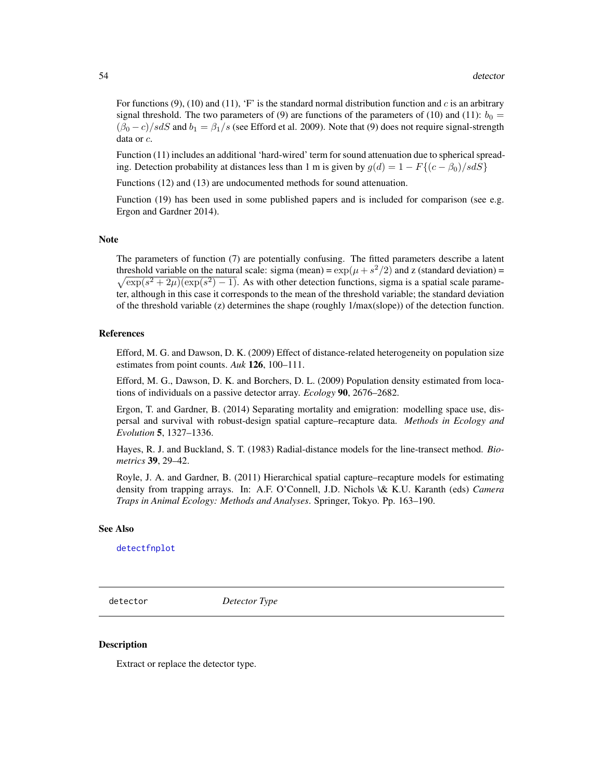For functions (9), (10) and (11), 'F' is the standard normal distribution function and c is an arbitrary signal threshold. The two parameters of (9) are functions of the parameters of (10) and (11):  $b_0 =$  $(\beta_0 - c)/s dS$  and  $b_1 = \beta_1/s$  (see Efford et al. 2009). Note that (9) does not require signal-strength data or c.

Function (11) includes an additional 'hard-wired' term for sound attenuation due to spherical spreading. Detection probability at distances less than 1 m is given by  $g(d) = 1 - F\{(c - \beta_0)/s dS\}$ 

Functions (12) and (13) are undocumented methods for sound attenuation.

Function (19) has been used in some published papers and is included for comparison (see e.g. Ergon and Gardner 2014).

#### Note

The parameters of function (7) are potentially confusing. The fitted parameters describe a latent threshold variable on the natural scale: sigma (mean) =  $\exp(\mu + s^2/2)$  and z (standard deviation) =  $\sqrt{\exp(s^2 + 2\mu)(\exp(s^2) - 1)}$ . As with other detection functions, sigma is a spatial scale parameter, although in this case it corresponds to the mean of the threshold variable; the standard deviation of the threshold variable (z) determines the shape (roughly 1/max(slope)) of the detection function.

# References

Efford, M. G. and Dawson, D. K. (2009) Effect of distance-related heterogeneity on population size estimates from point counts. *Auk* 126, 100–111.

Efford, M. G., Dawson, D. K. and Borchers, D. L. (2009) Population density estimated from locations of individuals on a passive detector array. *Ecology* 90, 2676–2682.

Ergon, T. and Gardner, B. (2014) Separating mortality and emigration: modelling space use, dispersal and survival with robust-design spatial capture–recapture data. *Methods in Ecology and Evolution* 5, 1327–1336.

Hayes, R. J. and Buckland, S. T. (1983) Radial-distance models for the line-transect method. *Biometrics* 39, 29–42.

Royle, J. A. and Gardner, B. (2011) Hierarchical spatial capture–recapture models for estimating density from trapping arrays. In: A.F. O'Connell, J.D. Nichols \& K.U. Karanth (eds) *Camera Traps in Animal Ecology: Methods and Analyses*. Springer, Tokyo. Pp. 163–190.

### See Also

[detectfnplot](#page-146-0)

<span id="page-53-0"></span>detector *Detector Type*

# **Description**

Extract or replace the detector type.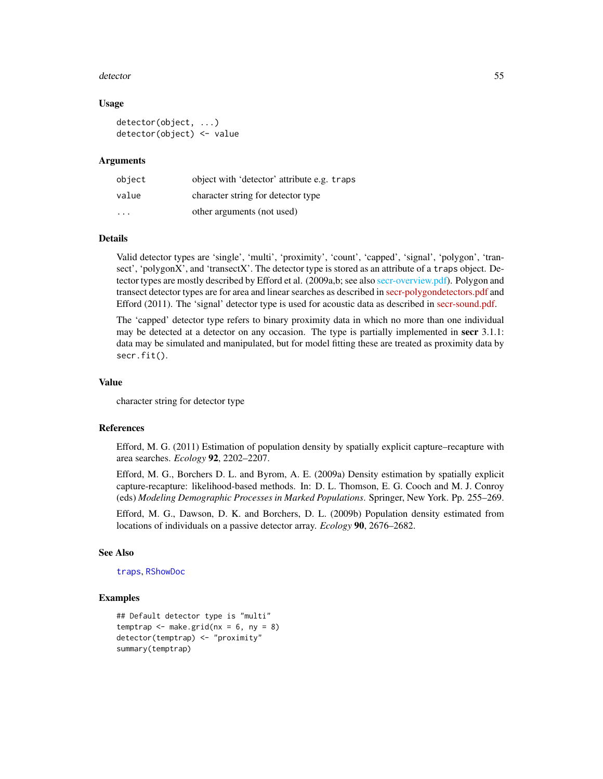#### detector 55

## Usage

```
detector(object, ...)
detector(object) <- value
```
#### Arguments

| object                  | object with 'detector' attribute e.g. traps |
|-------------------------|---------------------------------------------|
| value                   | character string for detector type          |
| $\cdot$ $\cdot$ $\cdot$ | other arguments (not used)                  |

# Details

Valid detector types are 'single', 'multi', 'proximity', 'count', 'capped', 'signal', 'polygon', 'transect', 'polygonX', and 'transectX'. The detector type is stored as an attribute of a traps object. Detector types are mostly described by Efford et al. (2009a,b; see also [secr-overview.pdf\)](#page-0-0). Polygon and transect detector types are for area and linear searches as described in [secr-polygondetectors.pdf](https://www.otago.ac.nz/density/pdfs/secr-polygondetectors.pdf) and Efford (2011). The 'signal' detector type is used for acoustic data as described in [secr-sound.pdf.](https://www.otago.ac.nz/density/pdfs/secr-sound.pdf)

The 'capped' detector type refers to binary proximity data in which no more than one individual may be detected at a detector on any occasion. The type is partially implemented in secr 3.1.1: data may be simulated and manipulated, but for model fitting these are treated as proximity data by secr.fit().

## Value

character string for detector type

## References

Efford, M. G. (2011) Estimation of population density by spatially explicit capture–recapture with area searches. *Ecology* 92, 2202–2207.

Efford, M. G., Borchers D. L. and Byrom, A. E. (2009a) Density estimation by spatially explicit capture-recapture: likelihood-based methods. In: D. L. Thomson, E. G. Cooch and M. J. Conroy (eds) *Modeling Demographic Processes in Marked Populations*. Springer, New York. Pp. 255–269.

Efford, M. G., Dawson, D. K. and Borchers, D. L. (2009b) Population density estimated from locations of individuals on a passive detector array. *Ecology* 90, 2676–2682.

#### See Also

[traps](#page-267-0), [RShowDoc](#page-0-0)

## Examples

```
## Default detector type is "multi"
temptrap \leq make.grid(nx = 6, ny = 8)
detector(temptrap) <- "proximity"
summary(temptrap)
```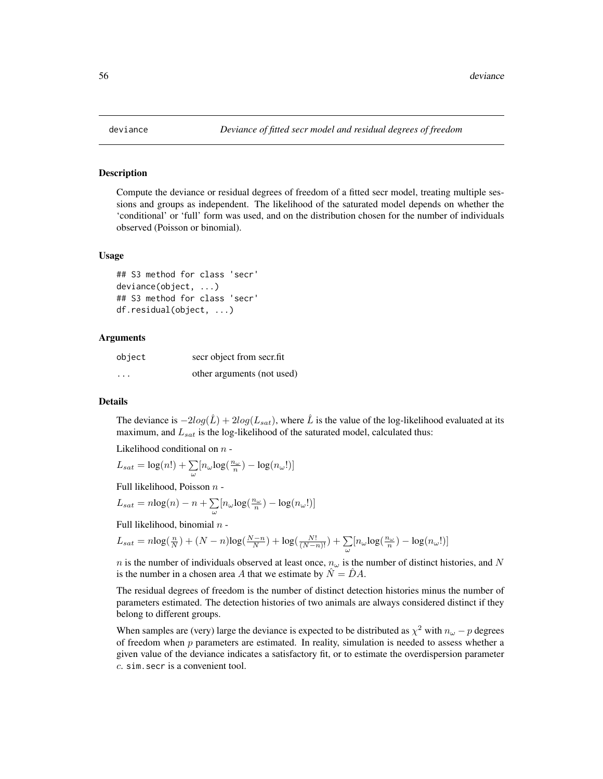# Description

Compute the deviance or residual degrees of freedom of a fitted secr model, treating multiple sessions and groups as independent. The likelihood of the saturated model depends on whether the 'conditional' or 'full' form was used, and on the distribution chosen for the number of individuals observed (Poisson or binomial).

## Usage

```
## S3 method for class 'secr'
deviance(object, ...)
## S3 method for class 'secr'
df.residual(object, ...)
```
## Arguments

| object                  | secr object from secrifit  |
|-------------------------|----------------------------|
| $\cdot$ $\cdot$ $\cdot$ | other arguments (not used) |

# Details

The deviance is  $-2log(\hat{L}) + 2log(L_{sat})$ , where  $\hat{L}$  is the value of the log-likelihood evaluated at its maximum, and  $L_{sat}$  is the log-likelihood of the saturated model, calculated thus:

Likelihood conditional on  $n -$ 

$$
L_{sat} = \log(n!) + \textstyle\sum\limits_{\omega} [n_{\omega} {\log(\frac{n_{\omega}}{n})} - {\log(n_{\omega}!)}]
$$

Full likelihood, Poisson n -

$$
L_{sat} = n \log(n) - n + \sum_{\omega} [n_{\omega} \log(\frac{n_{\omega}}{n}) - \log(n_{\omega}!)]
$$

Full likelihood, binomial  $n -$ 

$$
L_{sat}=n\text{log}(\tfrac{n}{N})+(N-n)\text{log}(\tfrac{N-n}{N})+\text{log}(\tfrac{N!}{(N-n)!})+\sum_{\omega}[n_{\omega}\text{log}(\tfrac{n_{\omega}}{n})-\text{log}(n_{\omega}!)]
$$

n is the number of individuals observed at least once,  $n_{\omega}$  is the number of distinct histories, and N is the number in a chosen area A that we estimate by  $\hat{N} = \hat{D}A$ .

The residual degrees of freedom is the number of distinct detection histories minus the number of parameters estimated. The detection histories of two animals are always considered distinct if they belong to different groups.

When samples are (very) large the deviance is expected to be distributed as  $\chi^2$  with  $n_{\omega} - p$  degrees of freedom when  $p$  parameters are estimated. In reality, simulation is needed to assess whether a given value of the deviance indicates a satisfactory fit, or to estimate the overdispersion parameter c. sim.secr is a convenient tool.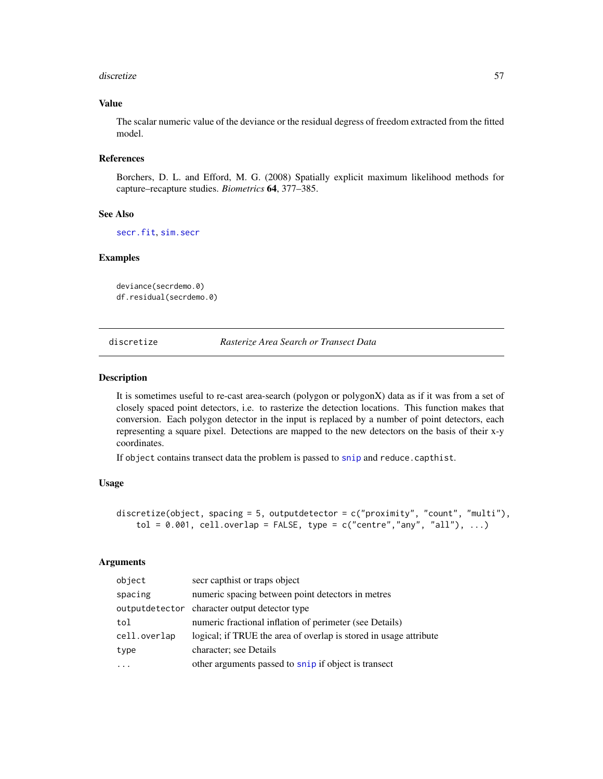#### discretize 57

# Value

The scalar numeric value of the deviance or the residual degress of freedom extracted from the fitted model.

## References

Borchers, D. L. and Efford, M. G. (2008) Spatially explicit maximum likelihood methods for capture–recapture studies. *Biometrics* 64, 377–385.

# See Also

[secr.fit](#page-199-0), [sim.secr](#page-226-0)

# Examples

deviance(secrdemo.0) df.residual(secrdemo.0)

discretize *Rasterize Area Search or Transect Data*

#### Description

It is sometimes useful to re-cast area-search (polygon or polygonX) data as if it was from a set of closely spaced point detectors, i.e. to rasterize the detection locations. This function makes that conversion. Each polygon detector in the input is replaced by a number of point detectors, each representing a square pixel. Detections are mapped to the new detectors on the basis of their x-y coordinates.

If object contains transect data the problem is passed to [snip](#page-233-0) and reduce.capthist.

## Usage

```
discretize(object, spacing = 5, outputdetector = c("proximity", "count", "multi"),
    tol = 0.001, cell.overlap = FALSE, type = c("centre","any", "all"), ...)
```
# Arguments

| object       | secr capthist or traps object                                     |
|--------------|-------------------------------------------------------------------|
| spacing      | numeric spacing between point detectors in metres                 |
|              | output detector character output detector type                    |
| tol          | numeric fractional inflation of perimeter (see Details)           |
| cell.overlap | logical; if TRUE the area of overlap is stored in usage attribute |
| type         | character; see Details                                            |
|              | other arguments passed to snip if object is transect              |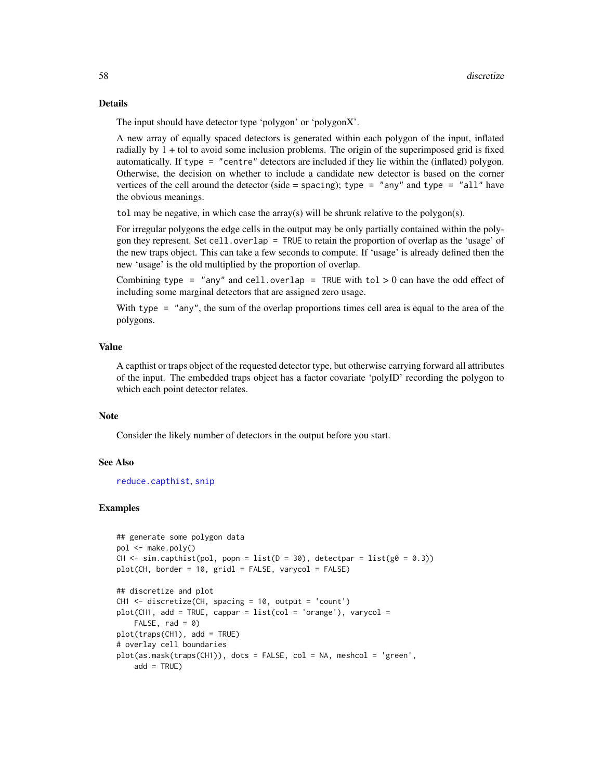## Details

The input should have detector type 'polygon' or 'polygonX'.

A new array of equally spaced detectors is generated within each polygon of the input, inflated radially by 1 + tol to avoid some inclusion problems. The origin of the superimposed grid is fixed automatically. If type = "centre" detectors are included if they lie within the (inflated) polygon. Otherwise, the decision on whether to include a candidate new detector is based on the corner vertices of the cell around the detector (side = spacing); type = "any" and type = "all" have the obvious meanings.

tol may be negative, in which case the array(s) will be shrunk relative to the polygon(s).

For irregular polygons the edge cells in the output may be only partially contained within the polygon they represent. Set cell.overlap = TRUE to retain the proportion of overlap as the 'usage' of the new traps object. This can take a few seconds to compute. If 'usage' is already defined then the new 'usage' is the old multiplied by the proportion of overlap.

Combining type = "any" and cell.overlap = TRUE with tol  $> 0$  can have the odd effect of including some marginal detectors that are assigned zero usage.

With type = "any", the sum of the overlap proportions times cell area is equal to the area of the polygons.

# Value

A capthist or traps object of the requested detector type, but otherwise carrying forward all attributes of the input. The embedded traps object has a factor covariate 'polyID' recording the polygon to which each point detector relates.

# **Note**

Consider the likely number of detectors in the output before you start.

## See Also

[reduce.capthist](#page-183-0), [snip](#page-233-0)

## Examples

```
## generate some polygon data
pol <- make.poly()
CH \le sim.capthist(pol, popn = list(D = 30), detectpar = list(g0 = 0.3))
plot(CH, border = 10, gridl = FALSE, varycol = FALSE)
## discretize and plot
CH1 <- discretize(CH, spacing = 10, output = 'count')
plot(CH1, add = TRUE, cappar = list(col = 'orange'), varycol =FALSE, rad = 0)plot(traps(CH1), add = TRUE)
# overlay cell boundaries
plot(as.mask(traps(CH1)), dots = FALSE, col = NA, meshcol = 'green',
   add = TRUE)
```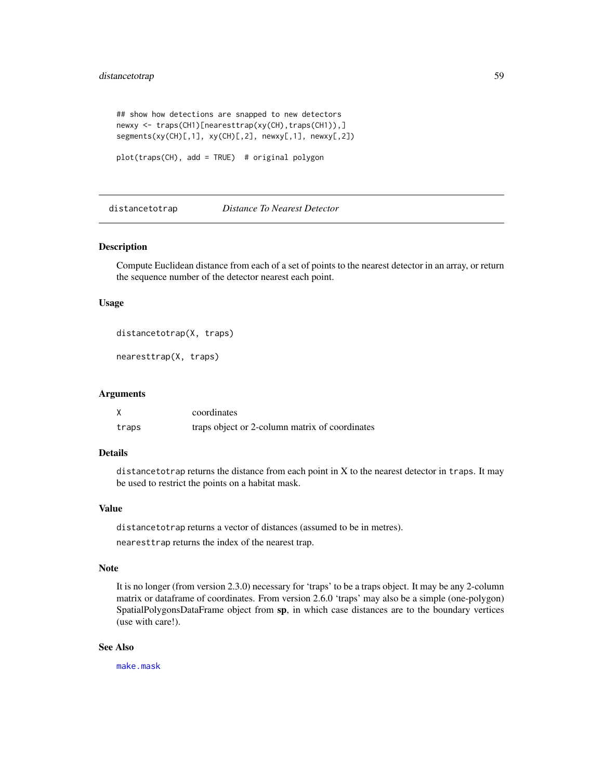# distancetotrap 59

```
## show how detections are snapped to new detectors
newxy <- traps(CH1)[nearesttrap(xy(CH),traps(CH1)),]
segments(xy(CH)[,1], xy(CH)[,2], newxy[,1], newxy[,2])
```

```
plot(traps(CH), add = TRUE) # original polygon
```
distancetotrap *Distance To Nearest Detector*

#### Description

Compute Euclidean distance from each of a set of points to the nearest detector in an array, or return the sequence number of the detector nearest each point.

# Usage

```
distancetotrap(X, traps)
```
nearesttrap(X, traps)

#### Arguments

|       | coordinates                                    |
|-------|------------------------------------------------|
| traps | traps object or 2-column matrix of coordinates |

#### Details

distancetotrap returns the distance from each point in  $X$  to the nearest detector in traps. It may be used to restrict the points on a habitat mask.

# Value

distancetotrap returns a vector of distances (assumed to be in metres).

nearesttrap returns the index of the nearest trap.

# Note

It is no longer (from version 2.3.0) necessary for 'traps' to be a traps object. It may be any 2-column matrix or dataframe of coordinates. From version 2.6.0 'traps' may also be a simple (one-polygon) SpatialPolygonsDataFrame object from sp, in which case distances are to the boundary vertices (use with care!).

## See Also

[make.mask](#page-104-0)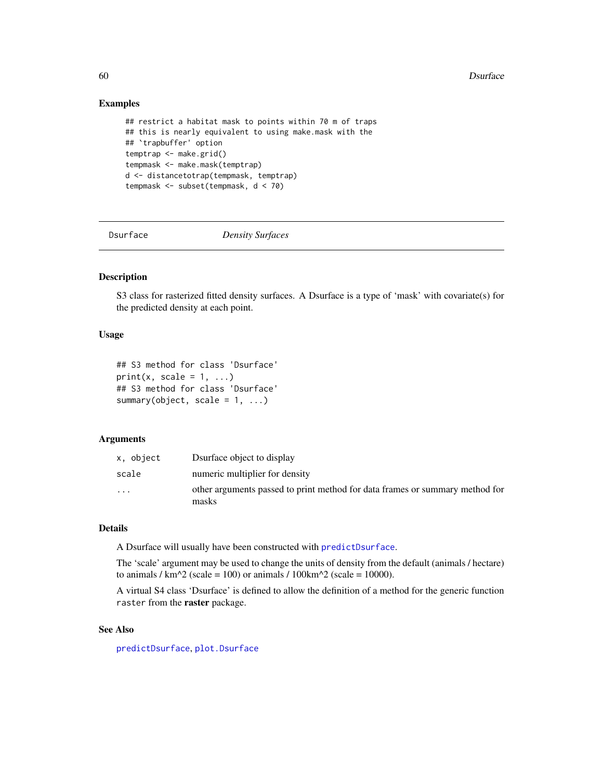# Examples

```
## restrict a habitat mask to points within 70 m of traps
## this is nearly equivalent to using make.mask with the
## `trapbuffer' option
temptrap <- make.grid()
tempmask <- make.mask(temptrap)
d <- distancetotrap(tempmask, temptrap)
tempmask <- subset(tempmask, d < 70)
```
Dsurface *Density Surfaces*

# Description

S3 class for rasterized fitted density surfaces. A Dsurface is a type of 'mask' with covariate(s) for the predicted density at each point.

# Usage

```
## S3 method for class 'Dsurface'
print(x, scale = 1, ...)
## S3 method for class 'Dsurface'
summary(object, scale = 1, ...)
```
# Arguments

| x. object               | D surface object to display                                                           |
|-------------------------|---------------------------------------------------------------------------------------|
| scale                   | numeric multiplier for density                                                        |
| $\cdot$ $\cdot$ $\cdot$ | other arguments passed to print method for data frames or summary method for<br>masks |

# Details

A Dsurface will usually have been constructed with [predictDsurface](#page-159-0).

The 'scale' argument may be used to change the units of density from the default (animals / hectare) to animals /  $km^2$  (scale = 100) or animals / 100 $km^2$  (scale = 10000).

A virtual S4 class 'Dsurface' is defined to allow the definition of a method for the generic function raster from the raster package.

# See Also

[predictDsurface](#page-159-0), [plot.Dsurface](#page-141-0)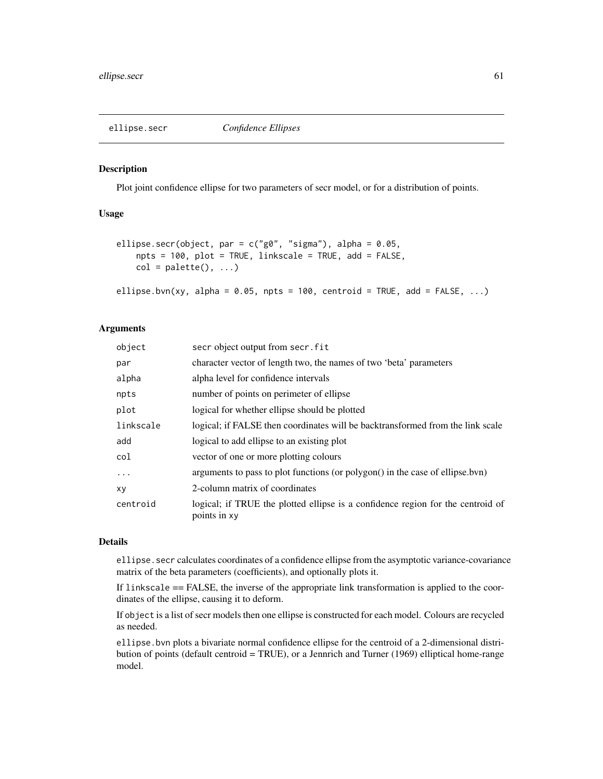## Description

Plot joint confidence ellipse for two parameters of secr model, or for a distribution of points.

# Usage

```
ellipse.secr(object, par = c("g0", "sigma"), alpha = 0.05,
   npts = 100, plot = TRUE, linkscale = TRUE, add = FALSE,
   col = palette(), ...)
```

```
ellipse.bvn(xy, alpha = 0.05, npts = 100, centroid = TRUE, add = FALSE, \ldots)
```
# Arguments

| object    | secr object output from secr. fit                                                               |
|-----------|-------------------------------------------------------------------------------------------------|
| par       | character vector of length two, the names of two 'beta' parameters                              |
| alpha     | alpha level for confidence intervals                                                            |
| npts      | number of points on perimeter of ellipse                                                        |
| plot      | logical for whether ellipse should be plotted                                                   |
| linkscale | logical; if FALSE then coordinates will be backtransformed from the link scale                  |
| add       | logical to add ellipse to an existing plot                                                      |
| col       | vector of one or more plotting colours                                                          |
| $\cdots$  | arguments to pass to plot functions (or polygon() in the case of ellipse.bvn)                   |
| XV        | 2-column matrix of coordinates                                                                  |
| centroid  | logical; if TRUE the plotted ellipse is a confidence region for the centroid of<br>points in xy |

# Details

ellipse.secr calculates coordinates of a confidence ellipse from the asymptotic variance-covariance matrix of the beta parameters (coefficients), and optionally plots it.

If linkscale == FALSE, the inverse of the appropriate link transformation is applied to the coordinates of the ellipse, causing it to deform.

If object is a list of secr models then one ellipse is constructed for each model. Colours are recycled as needed.

ellipse.bvn plots a bivariate normal confidence ellipse for the centroid of a 2-dimensional distribution of points (default centroid = TRUE), or a Jennrich and Turner (1969) elliptical home-range model.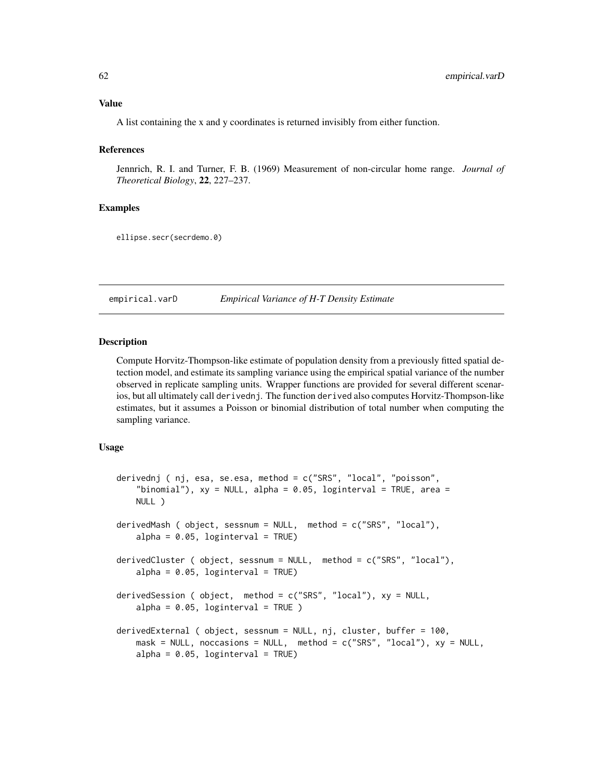# Value

A list containing the x and y coordinates is returned invisibly from either function.

#### **References**

Jennrich, R. I. and Turner, F. B. (1969) Measurement of non-circular home range. *Journal of Theoretical Biology*, 22, 227–237.

# Examples

ellipse.secr(secrdemo.0)

<span id="page-61-0"></span>empirical.varD *Empirical Variance of H-T Density Estimate*

# **Description**

Compute Horvitz-Thompson-like estimate of population density from a previously fitted spatial detection model, and estimate its sampling variance using the empirical spatial variance of the number observed in replicate sampling units. Wrapper functions are provided for several different scenarios, but all ultimately call derivednj. The function derived also computes Horvitz-Thompson-like estimates, but it assumes a Poisson or binomial distribution of total number when computing the sampling variance.

# Usage

```
derivednj ( nj, esa, se.esa, method = c("SRS", "local", "poisson",
    "binomial"), xy = NULL, alpha = 0.05, loginterval = TRUE, area =
   NULL )
derivedMash ( object, sessnum = NULL, method = c("SRS", "local"),
   alpha = 0.05, loginterval = TRUE)
derivedCluster ( object, sessnum = NULL, method = c("SRS", "local"),
   alpha = 0.05, loginterval = TRUE)
derivedSession ( object, method = c("SRS", "local"), xy = NULL,
   alpha = 0.05, loginterval = TRUE )
derivedExternal ( object, sessnum = NULL, nj, cluster, buffer = 100,
   mask = NULL, noccasions = NULL, method = c("SRS", "local"), xy = NULL,alpha = 0.05, loginterval = TRUE)
```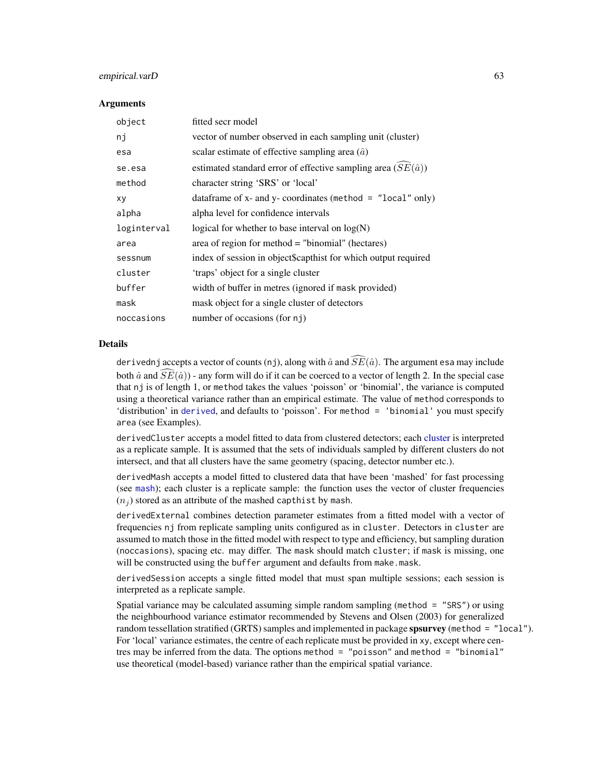## empirical.varD 63

# Arguments

| object      | fitted secr model                                                   |
|-------------|---------------------------------------------------------------------|
| nj          | vector of number observed in each sampling unit (cluster)           |
| esa         | scalar estimate of effective sampling area $(\hat{a})$              |
| se.esa      | estimated standard error of effective sampling area $(SE(\hat{a}))$ |
| method      | character string 'SRS' or 'local'                                   |
| xy          | data frame of x- and y- coordinates (method = $"local" only)$       |
| alpha       | alpha level for confidence intervals                                |
| loginterval | logical for whether to base interval on $log(N)$                    |
| area        | area of region for method = "binomial" (hectares)                   |
| sessnum     | index of session in object\$capthist for which output required      |
| cluster     | 'traps' object for a single cluster                                 |
| buffer      | width of buffer in metres (ignored if mask provided)                |
| mask        | mask object for a single cluster of detectors                       |
| noccasions  | number of occasions (for nj)                                        |

## **Details**

derivednj accepts a vector of counts (nj), along with  $\hat{a}$  and  $\widehat{SE}(\hat{a})$ . The argument esa may include both  $\hat{a}$  and  $\widehat{SE}(\hat{a})$ ) - any form will do if it can be coerced to a vector of length 2. In the special case that nj is of length 1, or method takes the values 'poisson' or 'binomial', the variance is computed using a theoretical variance rather than an empirical estimate. The value of method corresponds to 'distribution' in [derived](#page-45-0), and defaults to 'poisson'. For method = 'binomial' you must specify area (see Examples).

derivedCluster accepts a model fitted to data from clustered detectors; each [cluster](#page-32-0) is interpreted as a replicate sample. It is assumed that the sets of individuals sampled by different clusters do not intersect, and that all clusters have the same geometry (spacing, detector number etc.).

derivedMash accepts a model fitted to clustered data that have been 'mashed' for fast processing (see [mash](#page-263-0)); each cluster is a replicate sample: the function uses the vector of cluster frequencies  $(n_i)$  stored as an attribute of the mashed capthist by mash.

derivedExternal combines detection parameter estimates from a fitted model with a vector of frequencies nj from replicate sampling units configured as in cluster. Detectors in cluster are assumed to match those in the fitted model with respect to type and efficiency, but sampling duration (noccasions), spacing etc. may differ. The mask should match cluster; if mask is missing, one will be constructed using the buffer argument and defaults from make.mask.

derivedSession accepts a single fitted model that must span multiple sessions; each session is interpreted as a replicate sample.

Spatial variance may be calculated assuming simple random sampling (method = "SRS") or using the neighbourhood variance estimator recommended by Stevens and Olsen (2003) for generalized random tessellation stratified (GRTS) samples and implemented in package spsurvey (method = "local"). For 'local' variance estimates, the centre of each replicate must be provided in xy, except where centres may be inferred from the data. The options method = "poisson" and method = "binomial" use theoretical (model-based) variance rather than the empirical spatial variance.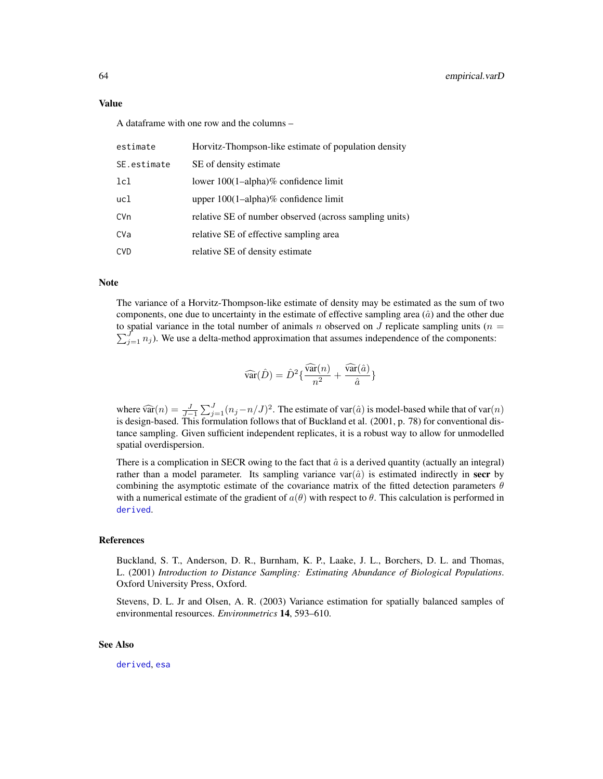A dataframe with one row and the columns –

| estimate    | Horvitz-Thompson-like estimate of population density   |
|-------------|--------------------------------------------------------|
| SE.estimate | SE of density estimate                                 |
| 1c1         | lower $100(1–alpha)$ % confidence limit                |
| ucl         | upper $100(1–alpha)$ % confidence limit                |
| CVn         | relative SE of number observed (across sampling units) |
| CVa         | relative SE of effective sampling area                 |
| <b>CVD</b>  | relative SE of density estimate                        |

# Note

The variance of a Horvitz-Thompson-like estimate of density may be estimated as the sum of two components, one due to uncertainty in the estimate of effective sampling area  $(\hat{a})$  and the other due to spatial variance in the total number of animals n observed on J replicate sampling units ( $n =$  $\sum_{j=1}^{J} n_j$ ). We use a delta-method approximation that assumes independence of the components:

$$
\widehat{\text{var}}(\hat{D}) = \hat{D}^2 \{ \frac{\widehat{\text{var}}(n)}{n^2} + \frac{\widehat{\text{var}}(\hat{a})}{\hat{a}} \}
$$

where  $\widehat{\text{var}}(n) = \frac{J}{J-1} \sum_{j=1}^{J} (n_j - n/J)^2$ . The estimate of var $(\hat{a})$  is model-based while that of var $(n)$  is design based. This formulation follows that of Buckland at al. (2001, p. 78) for conventional disis design-based. This formulation follows that of Buckland et al. (2001, p. 78) for conventional distance sampling. Given sufficient independent replicates, it is a robust way to allow for unmodelled spatial overdispersion.

There is a complication in SECR owing to the fact that  $\hat{a}$  is a derived quantity (actually an integral) rather than a model parameter. Its sampling variance var $(\hat{a})$  is estimated indirectly in **secr** by combining the asymptotic estimate of the covariance matrix of the fitted detection parameters  $\theta$ with a numerical estimate of the gradient of  $a(\theta)$  with respect to  $\theta$ . This calculation is performed in [derived](#page-45-0).

# References

Buckland, S. T., Anderson, D. R., Burnham, K. P., Laake, J. L., Borchers, D. L. and Thomas, L. (2001) *Introduction to Distance Sampling: Estimating Abundance of Biological Populations*. Oxford University Press, Oxford.

Stevens, D. L. Jr and Olsen, A. R. (2003) Variance estimation for spatially balanced samples of environmental resources. *Environmetrics* 14, 593–610.

## See Also

[derived](#page-45-0), [esa](#page-45-1)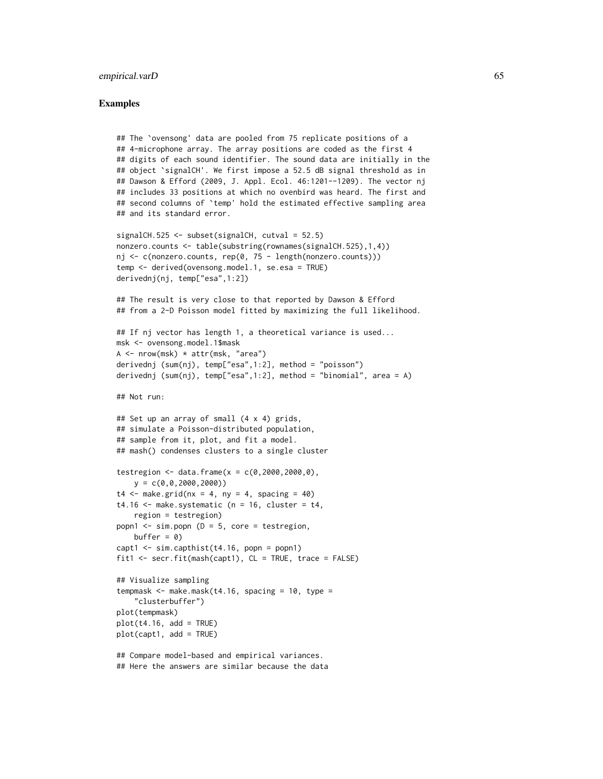#### empirical.varD 65

## Examples

```
## The `ovensong' data are pooled from 75 replicate positions of a
## 4-microphone array. The array positions are coded as the first 4
## digits of each sound identifier. The sound data are initially in the
## object 'signalCH'. We first impose a 52.5 dB signal threshold as in
## Dawson & Efford (2009, J. Appl. Ecol. 46:1201--1209). The vector nj
## includes 33 positions at which no ovenbird was heard. The first and
## second columns of `temp' hold the estimated effective sampling area
## and its standard error.
signalCH.525 <- subset(signalCH, cutval = 52.5)
nonzero.counts <- table(substring(rownames(signalCH.525),1,4))
nj <- c(nonzero.counts, rep(0, 75 - length(nonzero.counts)))
temp <- derived(ovensong.model.1, se.esa = TRUE)
derivednj(nj, temp["esa",1:2])
## The result is very close to that reported by Dawson & Efford
## from a 2-D Poisson model fitted by maximizing the full likelihood.
## If nj vector has length 1, a theoretical variance is used...
msk <- ovensong.model.1$mask
A \leftarrow \text{now(msk)} * \text{attr(msk, "area")}derivednj (sum(nj), temp["esa",1:2], method = "poisson")
derivednj (sum(nj), temp["esa",1:2], method = "binomial", area = A)
## Not run:
## Set up an array of small (4 x 4) grids,
## simulate a Poisson-distributed population,
## sample from it, plot, and fit a model.
## mash() condenses clusters to a single cluster
testregion <- data.frame(x = c(0, 2000, 2000, 0),
   y = c(0, 0, 2000, 2000)t4 \leq - make.grid(nx = 4, ny = 4, spacing = 40)
t4.16 \leq \text{make.systematic} (n = 16, cluster = t4,
   region = testregion)
popn1 \le sim.popn (D = 5, core = testregion,
   buffer = \theta)
capt1 \le sim.capthist(t4.16, popn = popn1)
fit1 \le secr.fit(mash(capt1), CL = TRUE, trace = FALSE)
## Visualize sampling
tempmask \leq make.mask(t4.16, spacing = 10, type =
    "clusterbuffer")
plot(tempmask)
plot(t4.16, add = TRUE)plot(capt1, add = TRUE)
## Compare model-based and empirical variances.
## Here the answers are similar because the data
```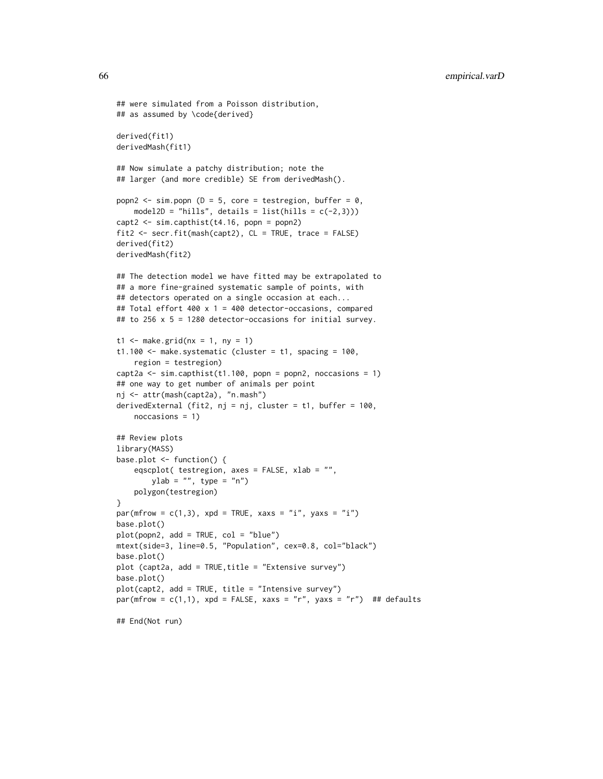```
## were simulated from a Poisson distribution,
## as assumed by \code{derived}
derived(fit1)
derivedMash(fit1)
## Now simulate a patchy distribution; note the
## larger (and more credible) SE from derivedMash().
popn2 \le sim.popn (D = 5, core = testregion, buffer = 0,
    model2D = "hills", details = list(hills = c(-2,3)))
capt2 <- sim.capthist(t4.16, popn = popn2)
fit2 <- secr.fit(mash(capt2), CL = TRUE, trace = FALSE)
derived(fit2)
derivedMash(fit2)
## The detection model we have fitted may be extrapolated to
## a more fine-grained systematic sample of points, with
## detectors operated on a single occasion at each...
## Total effort 400 x 1 = 400 detector-occasions, compared
## to 256 x 5 = 1280 detector-occasions for initial survey.
t1 <- make.grid(nx = 1, ny = 1)
t1.100 <- make.systematic (cluster = t1, spacing = 100,
   region = testregion)
capt2a \le sim.capthist(t1.100, popn = popn2, noccasions = 1)
## one way to get number of animals per point
nj <- attr(mash(capt2a), "n.mash")
derivedExternal (fit2, nj = nj, cluster = t1, buffer = 100,
   noccasions = 1)
## Review plots
library(MASS)
base.plot <- function() {
    eqscplot( testregion, axes = FALSE, xlab = "",
        ylab = "", type = "n")
    polygon(testregion)
}
par(mfrow = c(1,3), xpd = TRUE, xaxs = "i", yaxs = "i")
base.plot()
plot(popn2, add = TRUE, col = "blue")
mtext(side=3, line=0.5, "Population", cex=0.8, col="black")
base.plot()
plot (capt2a, add = TRUE,title = "Extensive survey")
base.plot()
plot(capt2, add = TRUE, title = "Intensive survey")
par(mfrow = c(1,1), xpd = FALSE, xaxs = "r", yaxs = "r") ## defaults
```
## End(Not run)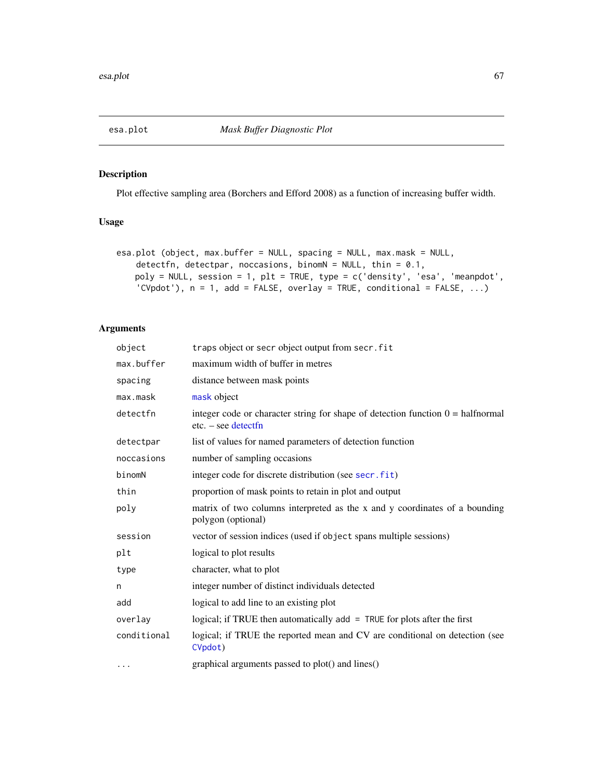<span id="page-66-0"></span>

# Description

Plot effective sampling area (Borchers and Efford 2008) as a function of increasing buffer width.

# Usage

```
esa.plot (object, max.buffer = NULL, spacing = NULL, max.mask = NULL,
    detectfn, detectpar, noccasions, binomN = NULL, thin = 0.1,
   poly = NULL, session = 1, plt = TRUE, type = c('density', 'esa', 'meanpdot',
    'CVpdot'), n = 1, add = FALSE, overlay = TRUE, conditional = FALSE, ...)
```
# Arguments

| object      | traps object or secr object output from secr. fit                                                               |
|-------------|-----------------------------------------------------------------------------------------------------------------|
| max.buffer  | maximum width of buffer in metres                                                                               |
| spacing     | distance between mask points                                                                                    |
| max.mask    | mask object                                                                                                     |
| detectfn    | integer code or character string for shape of detection function $0 = \text{halfnormal}$<br>$etc. - see detect$ |
| detectpar   | list of values for named parameters of detection function                                                       |
| noccasions  | number of sampling occasions                                                                                    |
| binomN      | integer code for discrete distribution (see secr.fit)                                                           |
| thin        | proportion of mask points to retain in plot and output                                                          |
| poly        | matrix of two columns interpreted as the x and y coordinates of a bounding<br>polygon (optional)                |
| session     | vector of session indices (used if object spans multiple sessions)                                              |
| plt         | logical to plot results                                                                                         |
| type        | character, what to plot                                                                                         |
| n           | integer number of distinct individuals detected                                                                 |
| add         | logical to add line to an existing plot                                                                         |
| overlav     | logical; if TRUE then automatically $add = TRUE$ for plots after the first                                      |
| conditional | logical; if TRUE the reported mean and CV are conditional on detection (see<br>CVpdot)                          |
| .           | graphical arguments passed to plot() and lines()                                                                |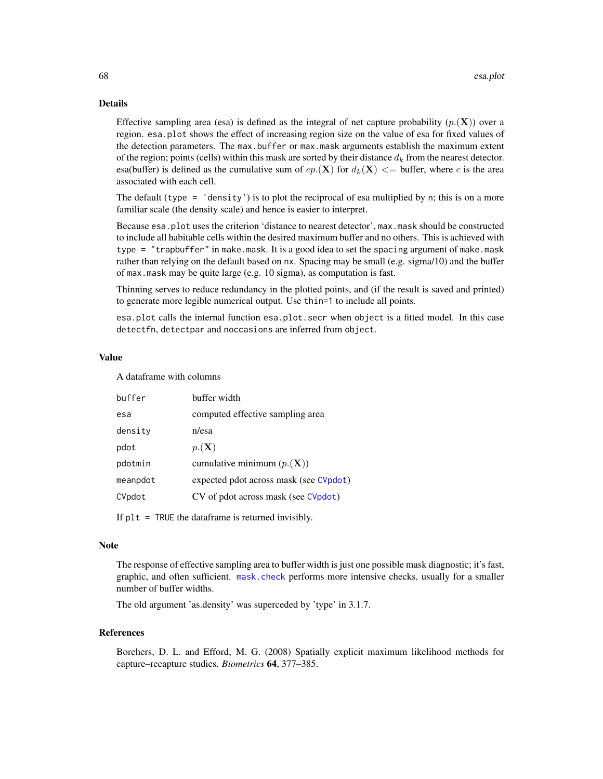## Details

Effective sampling area (esa) is defined as the integral of net capture probability  $(p_1(\mathbf{X}))$  over a region. esa.plot shows the effect of increasing region size on the value of esa for fixed values of the detection parameters. The max.buffer or max.mask arguments establish the maximum extent of the region; points (cells) within this mask are sorted by their distance  $d_k$  from the nearest detector. esa(buffer) is defined as the cumulative sum of  $cp(\mathbf{X})$  for  $d_k(\mathbf{X}) \leq$  buffer, where c is the area associated with each cell.

The default (type  $=$  'density') is to plot the reciprocal of esa multiplied by n; this is on a more familiar scale (the density scale) and hence is easier to interpret.

Because esa.plot uses the criterion 'distance to nearest detector', max.mask should be constructed to include all habitable cells within the desired maximum buffer and no others. This is achieved with type = "trapbuffer" in make.mask. It is a good idea to set the spacing argument of make.mask rather than relying on the default based on nx. Spacing may be small (e.g. sigma/10) and the buffer of max.mask may be quite large (e.g. 10 sigma), as computation is fast.

Thinning serves to reduce redundancy in the plotted points, and (if the result is saved and printed) to generate more legible numerical output. Use thin=1 to include all points.

esa.plot calls the internal function esa.plot.secr when object is a fitted model. In this case detectfn, detectpar and noccasions are inferred from object.

#### Value

A dataframe with columns

| computed effective sampling area<br>esa<br>density<br>n/esa |  |
|-------------------------------------------------------------|--|
|                                                             |  |
|                                                             |  |
| $p_{\cdot}(\mathbf{X})$<br>pdot                             |  |
| cumulative minimum $(p_{\cdot}(\mathbf{X}))$<br>pdotmin     |  |
| expected pdot across mask (see CVpdot)<br>meanpdot          |  |
| CV of pdot across mask (see CVpdot)<br>CVpdot               |  |

If  $plt = TRUE$  the dataframe is returned invisibly.

# **Note**

The response of effective sampling area to buffer width is just one possible mask diagnostic; it's fast, graphic, and often sufficient. [mask.check](#page-114-0) performs more intensive checks, usually for a smaller number of buffer widths.

The old argument 'as.density' was superceded by 'type' in 3.1.7.

## References

Borchers, D. L. and Efford, M. G. (2008) Spatially explicit maximum likelihood methods for capture–recapture studies. *Biometrics* 64, 377–385.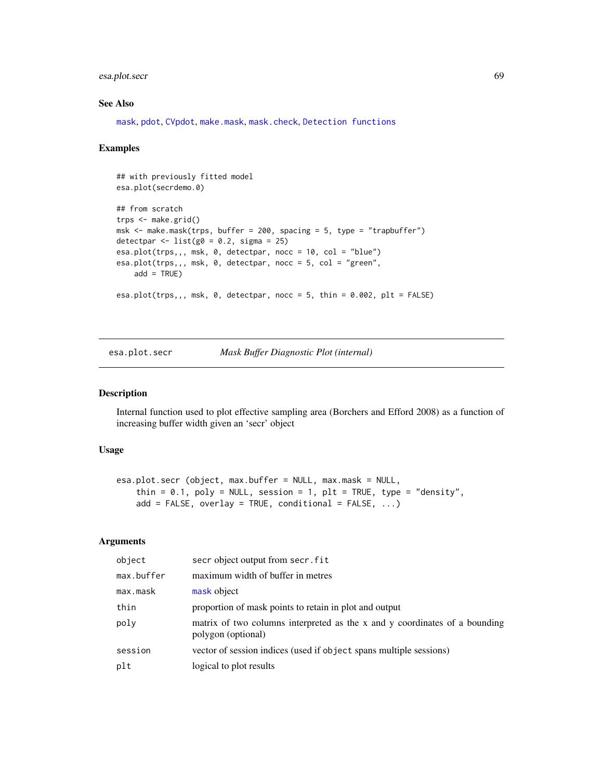# esa.plot.secr 69

# See Also

[mask](#page-113-0), [pdot](#page-134-0), [CVpdot](#page-134-1), [make.mask](#page-104-0), [mask.check](#page-114-0), [Detection functions](#page-0-0)

## Examples

```
## with previously fitted model
esa.plot(secrdemo.0)
## from scratch
trps <- make.grid()
msk \le make.mask(trps, buffer = 200, spacing = 5, type = "trapbuffer")
detectpar \le list(g0 = 0.2, sigma = 25)
esa.plot(trps,,, msk, 0, detectpar, nocc = 10, col = "blue")
esa.plot(trps,,, msk, 0, detectpar, nocc = 5, col = "green",
   add = TRUE)
esa.plot(trps,,, msk, 0, detectpar, nocc = 5, thin = 0.002, plt = FALSE)
```
esa.plot.secr *Mask Buffer Diagnostic Plot (internal)*

# Description

Internal function used to plot effective sampling area (Borchers and Efford 2008) as a function of increasing buffer width given an 'secr' object

## Usage

```
esa.plot.secr (object, max.buffer = NULL, max.mask = NULL,
   thin = 0.1, poly = NULL, session = 1, plt = TRUE, type = "density",
   add = FALSE, overlap = TRUE, conditional = FALSE, ...)
```
# Arguments

| object     | secr object output from secr. fit                                                                |
|------------|--------------------------------------------------------------------------------------------------|
| max.buffer | maximum width of buffer in metres                                                                |
| max.mask   | mask object                                                                                      |
| thin       | proportion of mask points to retain in plot and output                                           |
| poly       | matrix of two columns interpreted as the x and y coordinates of a bounding<br>polygon (optional) |
| session    | vector of session indices (used if object spans multiple sessions)                               |
| plt        | logical to plot results                                                                          |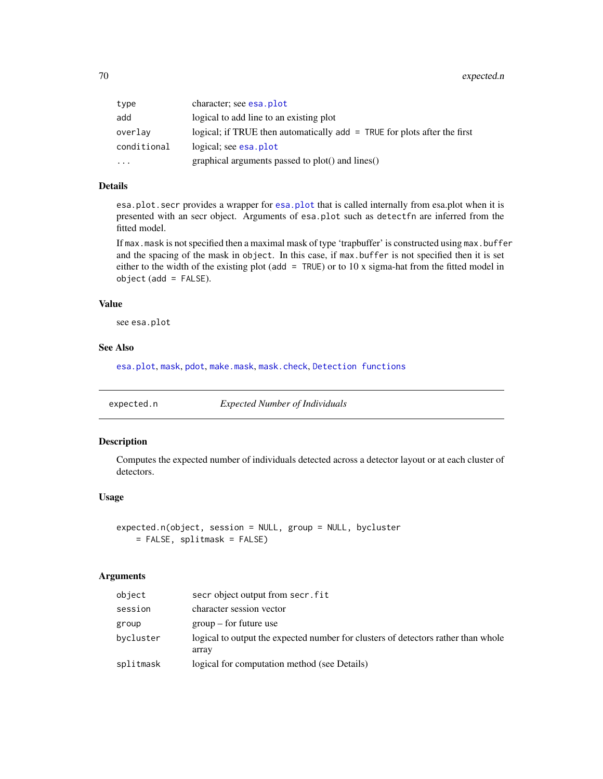| type        | character; see esa. plot                                                   |
|-------------|----------------------------------------------------------------------------|
| add         | logical to add line to an existing plot                                    |
| overlav     | logical; if TRUE then automatically $add = TRUE$ for plots after the first |
| conditional | logical; see esa. plot                                                     |
| $\ddotsc$   | graphical arguments passed to plot() and lines()                           |

# Details

esa.plot.secr provides a wrapper for [esa.plot](#page-66-0) that is called internally from esa.plot when it is presented with an secr object. Arguments of esa.plot such as detectfn are inferred from the fitted model.

If max.mask is not specified then a maximal mask of type 'trapbuffer' is constructed using max.buffer and the spacing of the mask in object. In this case, if max.buffer is not specified then it is set either to the width of the existing plot (add  $=$  TRUE) or to 10 x sigma-hat from the fitted model in object (add = FALSE).

## Value

see esa.plot

## See Also

[esa.plot](#page-66-0), [mask](#page-113-0), [pdot](#page-134-0), [make.mask](#page-104-0), [mask.check](#page-114-0), [Detection functions](#page-0-0)

expected.n *Expected Number of Individuals*

#### Description

Computes the expected number of individuals detected across a detector layout or at each cluster of detectors.

# Usage

```
expected.n(object, session = NULL, group = NULL, bycluster
   = FALSE, splitmask = FALSE)
```
## **Arguments**

| object    | secr object output from secr. fit                                                          |
|-----------|--------------------------------------------------------------------------------------------|
| session   | character session vector                                                                   |
| group     | $\gamma$ group – for future use                                                            |
| bycluster | logical to output the expected number for clusters of detectors rather than whole<br>array |
| splitmask | logical for computation method (see Details)                                               |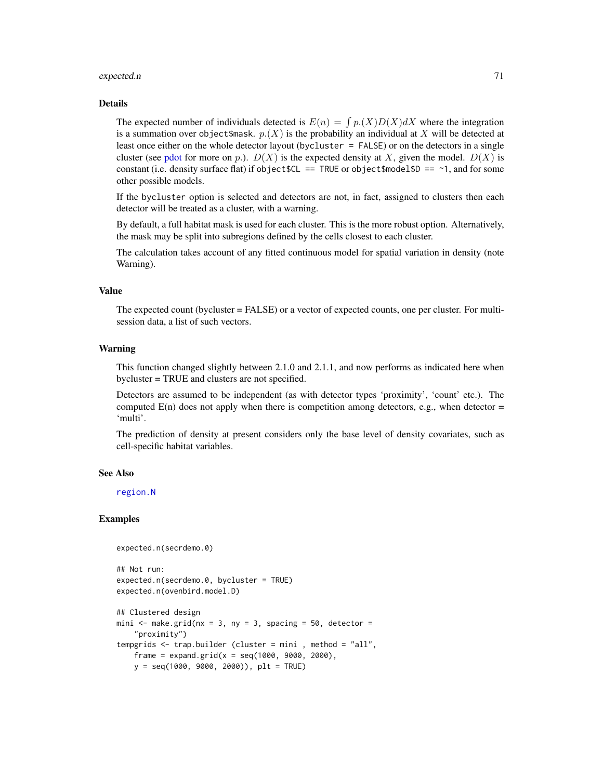#### expected.n 21

#### Details

The expected number of individuals detected is  $E(n) = \int p(X)D(X)dX$  where the integration is a summation over object \$mask.  $p(X)$  is the probability an individual at X will be detected at least once either on the whole detector layout (bycluster = FALSE) or on the detectors in a single cluster (see [pdot](#page-134-0) for more on p.).  $D(X)$  is the expected density at X, given the model.  $D(X)$  is constant (i.e. density surface flat) if object  $C = TRUE$  or object  $\text{smodel}$   $D = -1$ , and for some other possible models.

If the bycluster option is selected and detectors are not, in fact, assigned to clusters then each detector will be treated as a cluster, with a warning.

By default, a full habitat mask is used for each cluster. This is the more robust option. Alternatively, the mask may be split into subregions defined by the cells closest to each cluster.

The calculation takes account of any fitted continuous model for spatial variation in density (note Warning).

# Value

The expected count (bycluster = FALSE) or a vector of expected counts, one per cluster. For multisession data, a list of such vectors.

# Warning

This function changed slightly between 2.1.0 and 2.1.1, and now performs as indicated here when bycluster = TRUE and clusters are not specified.

Detectors are assumed to be independent (as with detector types 'proximity', 'count' etc.). The computed  $E(n)$  does not apply when there is competition among detectors, e.g., when detector = 'multi'.

The prediction of density at present considers only the base level of density covariates, such as cell-specific habitat variables.

## See Also

[region.N](#page-186-0)

# Examples

```
expected.n(secrdemo.0)
## Not run:
expected.n(secrdemo.0, bycluster = TRUE)
expected.n(ovenbird.model.D)
## Clustered design
mini \leq make.grid(nx = 3, ny = 3, spacing = 50, detector =
    "proximity")
tempgrids <- trap.builder (cluster = mini , method = "all",
    frame = expand.grid(x = seq(1000, 9000, 2000),y = seq(1000, 9000, 2000)), plt = TRUE)
```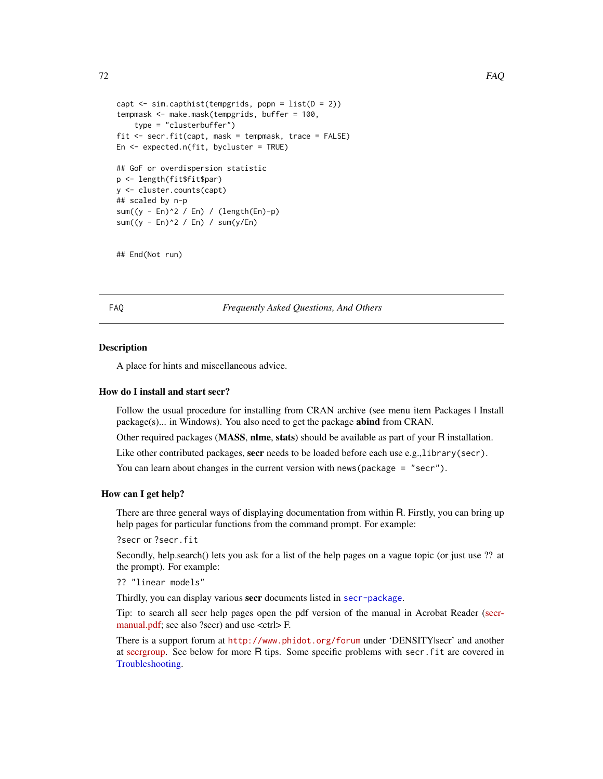```
72 FAQ
```

```
capt \le sim.capthist(tempgrids, popn = list(D = 2))
tempmask <- make.mask(tempgrids, buffer = 100,
    type = "clusterbuffer")
fit <- secr.fit(capt, mask = tempmask, trace = FALSE)
En <- expected.n(fit, bycluster = TRUE)
## GoF or overdispersion statistic
p <- length(fit$fit$par)
y <- cluster.counts(capt)
## scaled by n-p
sum((y - En)^2 / En) / (length(En)-p)
sum((y - En)^2 / En) / sum(y/En)
```

```
## End(Not run)
```
FAQ *Frequently Asked Questions, And Others*

## Description

A place for hints and miscellaneous advice.

#### How do I install and start secr?

Follow the usual procedure for installing from CRAN archive (see menu item Packages | Install package(s)... in Windows). You also need to get the package abind from CRAN.

Other required packages (MASS, nlme, stats) should be available as part of your R installation.

Like other contributed packages, secr needs to be loaded before each use e.g.,library(secr).

You can learn about changes in the current version with news (package = "secr").

## How can I get help?

There are three general ways of displaying documentation from within R. Firstly, you can bring up help pages for particular functions from the command prompt. For example:

?secr or ?secr.fit

Secondly, help.search() lets you ask for a list of the help pages on a vague topic (or just use ?? at the prompt). For example:

?? "linear models"

Thirdly, you can display various secr documents listed in [secr-package](#page-4-0).

Tip: to search all secr help pages open the pdf version of the manual in Acrobat Reader [\(secr](https://www.otago.ac.nz/density/pdfs/secr-manual.pdf)[manual.pdf;](https://www.otago.ac.nz/density/pdfs/secr-manual.pdf) see also ?secr) and use <ctrl>F.

There is a support forum at <http://www.phidot.org/forum> under 'DENSITY|secr' and another at [secrgroup.](https://groups.google.com/forum/#!forum/secrgroup) See below for more R tips. Some specific problems with secr.fit are covered in [Troubleshooting.](#page-271-0)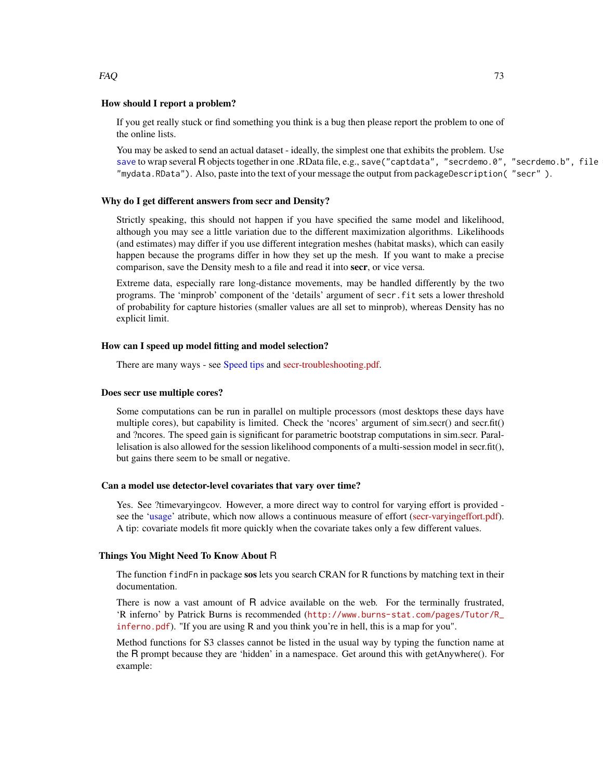# $FAQ$  and the set of the set of the set of the set of the set of the set of the set of the set of the set of the set of the set of the set of the set of the set of the set of the set of the set of the set of the set of the

# How should I report a problem?

If you get really stuck or find something you think is a bug then please report the problem to one of the online lists.

You may be asked to send an actual dataset - ideally, the simplest one that exhibits the problem. Use [save](#page-0-0) to wrap several R objects together in one .RData file, e.g., save ("captdata", "secrdemo.0", "secrdemo.b", file "mydata.RData"). Also, paste into the text of your message the output from packageDescription( "secr" ).

## Why do I get different answers from secr and Density?

Strictly speaking, this should not happen if you have specified the same model and likelihood, although you may see a little variation due to the different maximization algorithms. Likelihoods (and estimates) may differ if you use different integration meshes (habitat masks), which can easily happen because the programs differ in how they set up the mesh. If you want to make a precise comparison, save the Density mesh to a file and read it into secr, or vice versa.

Extreme data, especially rare long-distance movements, may be handled differently by the two programs. The 'minprob' component of the 'details' argument of secr.fit sets a lower threshold of probability for capture histories (smaller values are all set to minprob), whereas Density has no explicit limit.

# How can I speed up model fitting and model selection?

There are many ways - see [Speed tips](#page-239-0) and [secr-troubleshooting.pdf.](https://www.otago.ac.nz/density/pdfs/secr-troubleshooting.pdf)

## Does secr use multiple cores?

Some computations can be run in parallel on multiple processors (most desktops these days have multiple cores), but capability is limited. Check the 'ncores' argument of sim.secr() and secr.fit() and ?ncores. The speed gain is significant for parametric bootstrap computations in sim.secr. Parallelisation is also allowed for the session likelihood components of a multi-session model in secr.fit(), but gains there seem to be small or negative.

## Can a model use detector-level covariates that vary over time?

Yes. See ?timevaryingcov. However, a more direct way to control for varying effort is provided see the ['usage'](#page-276-0) atribute, which now allows a continuous measure of effort [\(secr-varyingeffort.pdf\)](https://www.otago.ac.nz/density/pdfs/secr-varyingeffort.pdf). A tip: covariate models fit more quickly when the covariate takes only a few different values.

#### Things You Might Need To Know About R

The function find Fn in package sos lets you search CRAN for R functions by matching text in their documentation.

There is now a vast amount of R advice available on the web. For the terminally frustrated, 'R inferno' by Patrick Burns is recommended ([http://www.burns-stat.com/pages/Tutor/R\\_](http://www.burns-stat.com/pages/Tutor/R_inferno.pdf) [inferno.pdf](http://www.burns-stat.com/pages/Tutor/R_inferno.pdf)). "If you are using R and you think you're in hell, this is a map for you".

Method functions for S3 classes cannot be listed in the usual way by typing the function name at the R prompt because they are 'hidden' in a namespace. Get around this with getAnywhere(). For example: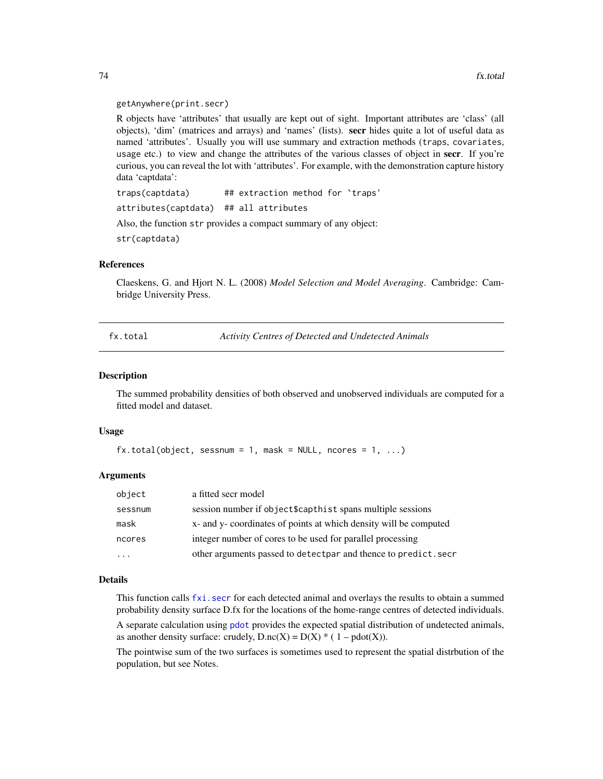#### getAnywhere(print.secr)

R objects have 'attributes' that usually are kept out of sight. Important attributes are 'class' (all objects), 'dim' (matrices and arrays) and 'names' (lists). secr hides quite a lot of useful data as named 'attributes'. Usually you will use summary and extraction methods (traps, covariates, usage etc.) to view and change the attributes of the various classes of object in secr. If you're curious, you can reveal the lot with 'attributes'. For example, with the demonstration capture history data 'captdata':

traps(captdata) ## extraction method for `traps' attributes(captdata) ## all attributes

Also, the function str provides a compact summary of any object:

str(captdata)

# References

Claeskens, G. and Hjort N. L. (2008) *Model Selection and Model Averaging*. Cambridge: Cambridge University Press.

<span id="page-73-0"></span>fx.total *Activity Centres of Detected and Undetected Animals*

#### Description

The summed probability densities of both observed and unobserved individuals are computed for a fitted model and dataset.

## Usage

```
fx.total(Object, sesnum = 1, mask = NULL, nocres = 1, ...)
```
# Arguments

| object  | a fitted secr model                                               |
|---------|-------------------------------------------------------------------|
| sessnum | session number if object\$capthist spans multiple sessions        |
| mask    | x- and y- coordinates of points at which density will be computed |
| ncores  | integer number of cores to be used for parallel processing        |
|         | other arguments passed to detectpar and thence to predict. secr   |

# Details

This function calls [fxi.secr](#page-75-0) for each detected animal and overlays the results to obtain a summed probability density surface D.fx for the locations of the home-range centres of detected individuals.

A separate calculation using [pdot](#page-134-0) provides the expected spatial distribution of undetected animals, as another density surface: crudely,  $D \cdot nc(X) = D(X) * (1 - pdot(X)).$ 

The pointwise sum of the two surfaces is sometimes used to represent the spatial distrbution of the population, but see Notes.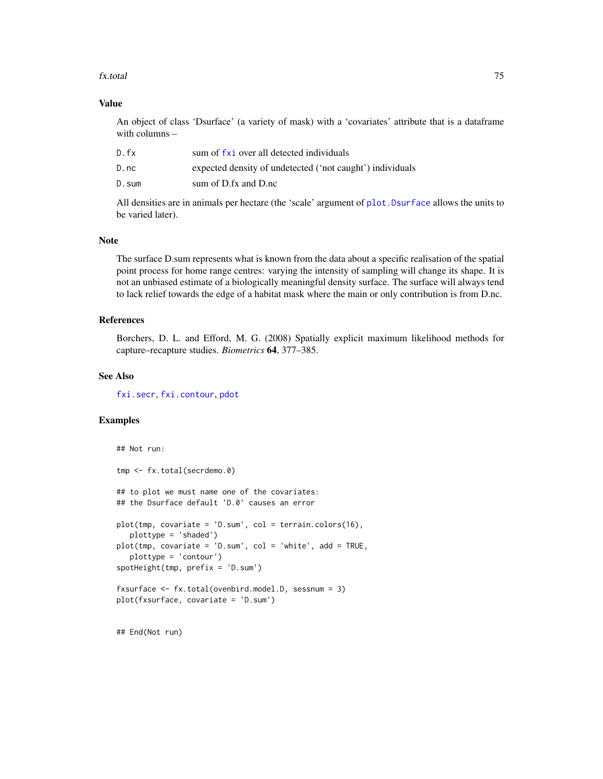#### fx.total 75

# Value

An object of class 'Dsurface' (a variety of mask) with a 'covariates' attribute that is a dataframe with columns –

| D.fx  | sum of fxi over all detected individuals                  |
|-------|-----------------------------------------------------------|
| D.nc  | expected density of undetected ('not caught') individuals |
| D.sum | sum of D.fx and D.nc                                      |

All densities are in animals per hectare (the 'scale' argument of [plot.Dsurface](#page-141-0) allows the units to be varied later).

#### Note

The surface D.sum represents what is known from the data about a specific realisation of the spatial point process for home range centres: varying the intensity of sampling will change its shape. It is not an unbiased estimate of a biologically meaningful density surface. The surface will always tend to lack relief towards the edge of a habitat mask where the main or only contribution is from D.nc.

# References

Borchers, D. L. and Efford, M. G. (2008) Spatially explicit maximum likelihood methods for capture–recapture studies. *Biometrics* 64, 377–385.

## See Also

[fxi.secr](#page-75-0), [fxi.contour](#page-75-0), [pdot](#page-134-0)

# Examples

```
## Not run:
tmp <- fx.total(secrdemo.0)
## to plot we must name one of the covariates:
## the Dsurface default 'D.0' causes an error
plot(tmp, covariate = 'D.sum', col = terrain.colors(16),
   plottype = 'shaded')
plot(tmp, covariate = 'D.sum', col = 'white', add = TRUE,
   plottype = 'contour')
spotHeight(tmp, prefix = 'D.sum')
fxsurface <- fx.total(ovenbird.model.D, sessnum = 3)
plot(fxsurface, covariate = 'D.sum')
```
## End(Not run)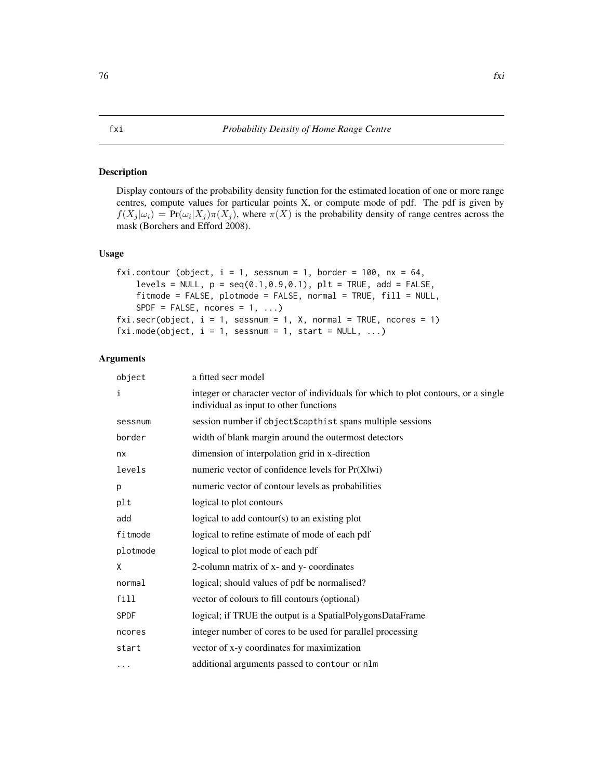# <span id="page-75-1"></span><span id="page-75-0"></span>Description

Display contours of the probability density function for the estimated location of one or more range centres, compute values for particular points X, or compute mode of pdf. The pdf is given by  $f(X_j | \omega_i) = Pr(\omega_i | X_j) \pi(X_j)$ , where  $\pi(X)$  is the probability density of range centres across the mask (Borchers and Efford 2008).

# Usage

```
fxi.contour (object, i = 1, sessnum = 1, border = 100, nx = 64,
   levels = NULL, p = seq(0.1, 0.9, 0.1), plt = TRUE, add = FALSE,
   fitmode = FALSE, plotmode = FALSE, normal = TRUE, fill = NULL,
   SPDF = FALSE, noores = 1, ...fixi.sec(object, i = 1, sesnum = 1, X, normal = TRUE, nocres = 1)fxi.mode(object, i = 1, sessnum = 1, start = NULL, ...)
```
# Arguments

| object      | a fitted secr model                                                                                                          |
|-------------|------------------------------------------------------------------------------------------------------------------------------|
| i           | integer or character vector of individuals for which to plot contours, or a single<br>individual as input to other functions |
| sessnum     | session number if object\$capthist spans multiple sessions                                                                   |
| border      | width of blank margin around the outermost detectors                                                                         |
| nx          | dimension of interpolation grid in x-direction                                                                               |
| levels      | numeric vector of confidence levels for Pr(X wi)                                                                             |
| р           | numeric vector of contour levels as probabilities                                                                            |
| plt         | logical to plot contours                                                                                                     |
| add         | logical to add contour( $s$ ) to an existing plot                                                                            |
| fitmode     | logical to refine estimate of mode of each pdf                                                                               |
| plotmode    | logical to plot mode of each pdf                                                                                             |
| X           | 2-column matrix of x- and y- coordinates                                                                                     |
| normal      | logical; should values of pdf be normalised?                                                                                 |
| fill        | vector of colours to fill contours (optional)                                                                                |
| <b>SPDF</b> | logical; if TRUE the output is a SpatialPolygonsDataFrame                                                                    |
| ncores      | integer number of cores to be used for parallel processing                                                                   |
| start       | vector of x-y coordinates for maximization                                                                                   |
| $\cdots$    | additional arguments passed to contour or nlm                                                                                |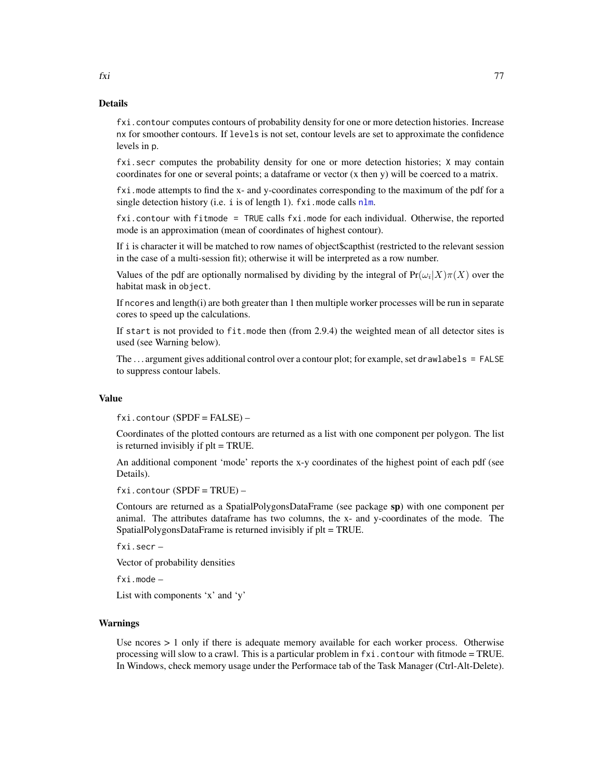fxi.contour computes contours of probability density for one or more detection histories. Increase nx for smoother contours. If levels is not set, contour levels are set to approximate the confidence levels in p.

fxi.secr computes the probability density for one or more detection histories; X may contain coordinates for one or several points; a dataframe or vector (x then y) will be coerced to a matrix.

fxi.mode attempts to find the x- and y-coordinates corresponding to the maximum of the pdf for a single detection history (i.e. i is of length 1).  $fxi$  mode calls [nlm](#page-0-0).

fxi.contour with fitmode = TRUE calls fxi.mode for each individual. Otherwise, the reported mode is an approximation (mean of coordinates of highest contour).

If i is character it will be matched to row names of object\$capthist (restricted to the relevant session in the case of a multi-session fit); otherwise it will be interpreted as a row number.

Values of the pdf are optionally normalised by dividing by the integral of  $Pr(\omega_i|X)\pi(X)$  over the habitat mask in object.

If ncores and length(i) are both greater than 1 then multiple worker processes will be run in separate cores to speed up the calculations.

If start is not provided to  $fit$ . mode then (from 2.9.4) the weighted mean of all detector sites is used (see Warning below).

The ... argument gives additional control over a contour plot; for example, set drawlabels = FALSE to suppress contour labels.

#### Value

fxi.contour (SPDF = FALSE) –

Coordinates of the plotted contours are returned as a list with one component per polygon. The list is returned invisibly if plt = TRUE.

An additional component 'mode' reports the x-y coordinates of the highest point of each pdf (see Details).

 $fixi$ . contour (SPDF = TRUE) –

Contours are returned as a SpatialPolygonsDataFrame (see package sp) with one component per animal. The attributes dataframe has two columns, the x- and y-coordinates of the mode. The SpatialPolygonsDataFrame is returned invisibly if plt = TRUE.

fxi.secr –

Vector of probability densities

fxi.mode –

List with components 'x' and 'y'

#### Warnings

Use ncores  $> 1$  only if there is adequate memory available for each worker process. Otherwise processing will slow to a crawl. This is a particular problem in fxi.contour with fitmode = TRUE. In Windows, check memory usage under the Performace tab of the Task Manager (Ctrl-Alt-Delete).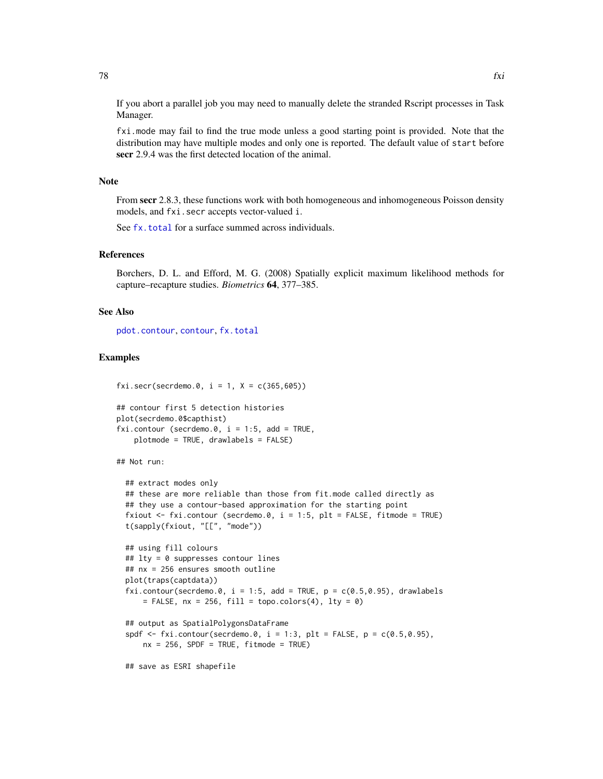If you abort a parallel job you may need to manually delete the stranded Rscript processes in Task Manager.

fxi.mode may fail to find the true mode unless a good starting point is provided. Note that the distribution may have multiple modes and only one is reported. The default value of start before secr 2.9.4 was the first detected location of the animal.

#### Note

From secr 2.8.3, these functions work with both homogeneous and inhomogeneous Poisson density models, and fxi.secr accepts vector-valued i.

See [fx.total](#page-73-0) for a surface summed across individuals.

# References

Borchers, D. L. and Efford, M. G. (2008) Spatially explicit maximum likelihood methods for capture–recapture studies. *Biometrics* 64, 377–385.

#### See Also

[pdot.contour](#page-36-0), [contour](#page-36-1), [fx.total](#page-73-0)

# Examples

fxi.secr(secrdemo.0,  $i = 1$ ,  $X = c(365, 605)$ )

```
## contour first 5 detection histories
plot(secrdemo.0$capthist)
fixi.contribour (secrdemo.0, i = 1:5, add = TRUE,
    plotmode = TRUE, drawlabels = FALSE)
```
## Not run:

```
## extract modes only
## these are more reliable than those from fit.mode called directly as
## they use a contour-based approximation for the starting point
fxiout \le fxi.contour (secrdemo.0, i = 1:5, plt = FALSE, fitmode = TRUE)
t(sapply(fxiout, "[[", "mode"))
```

```
## using fill colours
## lty = 0 suppresses contour lines
## nx = 256 ensures smooth outline
plot(traps(captdata))
fxi.contour(secrdemo.0, i = 1:5, add = TRUE, p = c(0.5, 0.95), drawlabels
    = FALSE, nx = 256, fill = topo.colors(4), lty = 0)
```

```
## output as SpatialPolygonsDataFrame
spdf \leq fxi.contour(secrdemo.0, i = 1:3, plt = FALSE, p = c(0.5,0.95),
    nx = 256, SPDF = TRUE, fitmode = TRUE)
```
## save as ESRI shapefile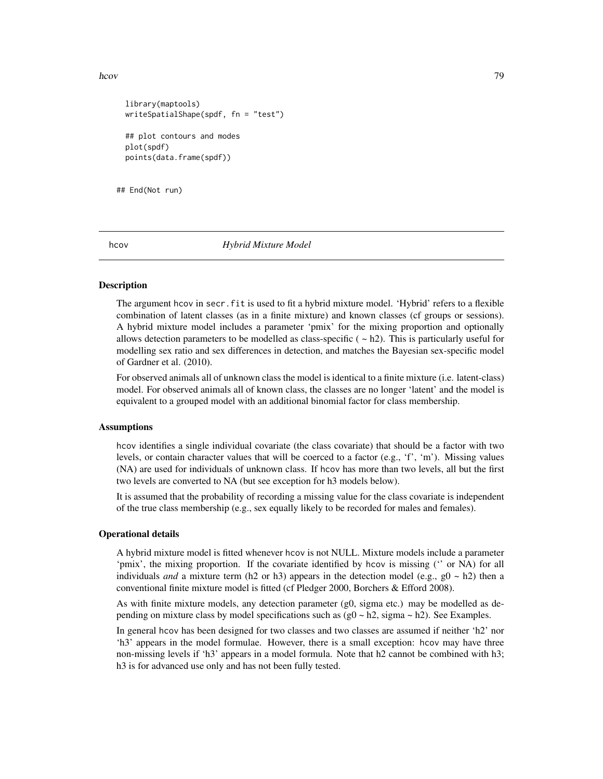#### hcov and the state of the state of the state of the state of the state of the state of the state of the state of the state of the state of the state of the state of the state of the state of the state of the state of the s

```
library(maptools)
writeSpatialShape(spdf, fn = "test")
## plot contours and modes
plot(spdf)
points(data.frame(spdf))
```
## End(Not run)

<span id="page-78-0"></span>

hcov *Hybrid Mixture Model*

# **Description**

The argument hcov in secr.fit is used to fit a hybrid mixture model. 'Hybrid' refers to a flexible combination of latent classes (as in a finite mixture) and known classes (cf groups or sessions). A hybrid mixture model includes a parameter 'pmix' for the mixing proportion and optionally allows detection parameters to be modelled as class-specific  $(-h2)$ . This is particularly useful for modelling sex ratio and sex differences in detection, and matches the Bayesian sex-specific model of Gardner et al. (2010).

For observed animals all of unknown class the model is identical to a finite mixture (i.e. latent-class) model. For observed animals all of known class, the classes are no longer 'latent' and the model is equivalent to a grouped model with an additional binomial factor for class membership.

## Assumptions

hcov identifies a single individual covariate (the class covariate) that should be a factor with two levels, or contain character values that will be coerced to a factor  $(e.g., 'f', 'm')$ . Missing values (NA) are used for individuals of unknown class. If hcov has more than two levels, all but the first two levels are converted to NA (but see exception for h3 models below).

It is assumed that the probability of recording a missing value for the class covariate is independent of the true class membership (e.g., sex equally likely to be recorded for males and females).

## Operational details

A hybrid mixture model is fitted whenever hcov is not NULL. Mixture models include a parameter 'pmix', the mixing proportion. If the covariate identified by hcov is missing ('' or NA) for all individuals *and* a mixture term (h2 or h3) appears in the detection model (e.g.,  $g0 \sim h2$ ) then a conventional finite mixture model is fitted (cf Pledger 2000, Borchers & Efford 2008).

As with finite mixture models, any detection parameter (g0, sigma etc.) may be modelled as depending on mixture class by model specifications such as  $(g0 \sim h2)$ , sigma  $\sim h2$ ). See Examples.

In general hcov has been designed for two classes and two classes are assumed if neither 'h2' nor 'h3' appears in the model formulae. However, there is a small exception: hcov may have three non-missing levels if 'h3' appears in a model formula. Note that h2 cannot be combined with h3; h3 is for advanced use only and has not been fully tested.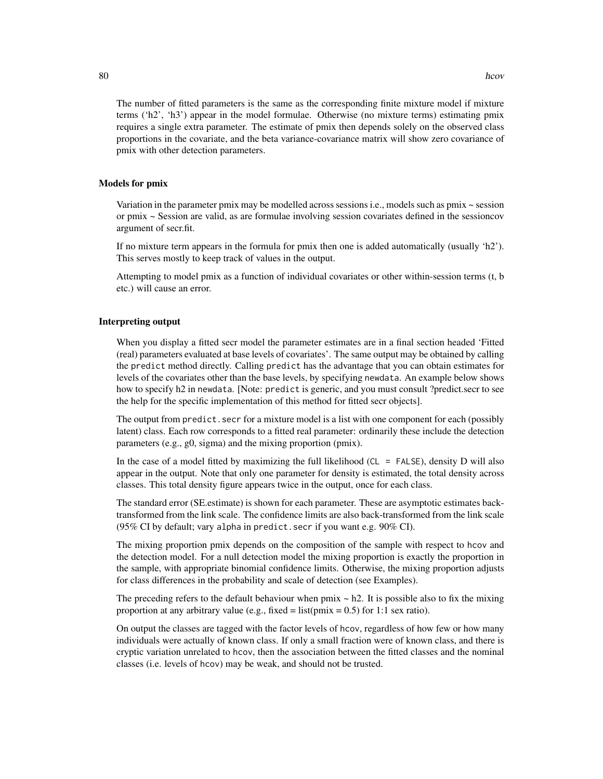The number of fitted parameters is the same as the corresponding finite mixture model if mixture terms ('h2', 'h3') appear in the model formulae. Otherwise (no mixture terms) estimating pmix requires a single extra parameter. The estimate of pmix then depends solely on the observed class proportions in the covariate, and the beta variance-covariance matrix will show zero covariance of pmix with other detection parameters.

# Models for pmix

Variation in the parameter pmix may be modelled across sessions i.e., models such as pmix ~ session or pmix ~ Session are valid, as are formulae involving session covariates defined in the sessioncov argument of secr.fit.

If no mixture term appears in the formula for pmix then one is added automatically (usually 'h2'). This serves mostly to keep track of values in the output.

Attempting to model pmix as a function of individual covariates or other within-session terms (t, b etc.) will cause an error.

# Interpreting output

When you display a fitted secr model the parameter estimates are in a final section headed 'Fitted (real) parameters evaluated at base levels of covariates'. The same output may be obtained by calling the predict method directly. Calling predict has the advantage that you can obtain estimates for levels of the covariates other than the base levels, by specifying newdata. An example below shows how to specify h2 in newdata. [Note: predict is generic, and you must consult ?predict.secr to see the help for the specific implementation of this method for fitted secr objects].

The output from predict. secr for a mixture model is a list with one component for each (possibly latent) class. Each row corresponds to a fitted real parameter: ordinarily these include the detection parameters (e.g., g0, sigma) and the mixing proportion (pmix).

In the case of a model fitted by maximizing the full likelihood ( $CL = FALSE$ ), density D will also appear in the output. Note that only one parameter for density is estimated, the total density across classes. This total density figure appears twice in the output, once for each class.

The standard error (SE.estimate) is shown for each parameter. These are asymptotic estimates backtransformed from the link scale. The confidence limits are also back-transformed from the link scale (95% CI by default; vary alpha in predict.secr if you want e.g. 90% CI).

The mixing proportion pmix depends on the composition of the sample with respect to hcov and the detection model. For a null detection model the mixing proportion is exactly the proportion in the sample, with appropriate binomial confidence limits. Otherwise, the mixing proportion adjusts for class differences in the probability and scale of detection (see Examples).

The preceding refers to the default behaviour when pmix  $\sim$  h2. It is possible also to fix the mixing proportion at any arbitrary value (e.g., fixed = list( $pmix = 0.5$ ) for 1:1 sex ratio).

On output the classes are tagged with the factor levels of hcov, regardless of how few or how many individuals were actually of known class. If only a small fraction were of known class, and there is cryptic variation unrelated to hcov, then the association between the fitted classes and the nominal classes (i.e. levels of hcov) may be weak, and should not be trusted.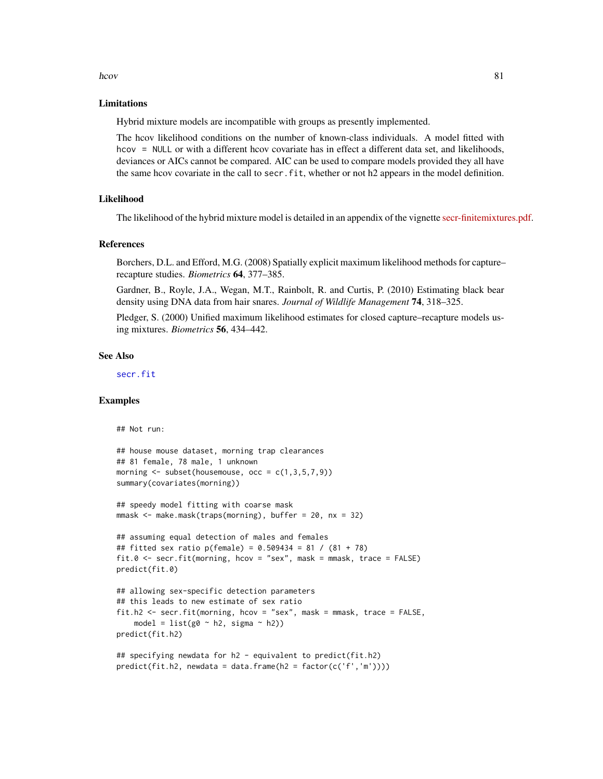#### hcov 81

## Limitations

Hybrid mixture models are incompatible with groups as presently implemented.

The hcov likelihood conditions on the number of known-class individuals. A model fitted with hcov = NULL or with a different hcov covariate has in effect a different data set, and likelihoods, deviances or AICs cannot be compared. AIC can be used to compare models provided they all have the same hcov covariate in the call to secr.fit, whether or not h2 appears in the model definition.

# Likelihood

The likelihood of the hybrid mixture model is detailed in an appendix of the vignette [secr-finitemixtures.pdf.](https://www.otago.ac.nz/density/pdfs/secr-finitemixtures.pdf)

#### References

Borchers, D.L. and Efford, M.G. (2008) Spatially explicit maximum likelihood methods for capture– recapture studies. *Biometrics* 64, 377–385.

Gardner, B., Royle, J.A., Wegan, M.T., Rainbolt, R. and Curtis, P. (2010) Estimating black bear density using DNA data from hair snares. *Journal of Wildlife Management* 74, 318–325.

Pledger, S. (2000) Unified maximum likelihood estimates for closed capture–recapture models using mixtures. *Biometrics* 56, 434–442.

# See Also

[secr.fit](#page-199-0)

# Examples

## Not run:

```
## house mouse dataset, morning trap clearances
## 81 female, 78 male, 1 unknown
morning \leq subset(housemouse, occ = c(1,3,5,7,9))
summary(covariates(morning))
```
## speedy model fitting with coarse mask mmask <- make.mask(traps(morning), buffer = 20, nx = 32)

```
## assuming equal detection of males and females
## fitted sex ratio p(female) = 0.509434 = 81 / (81 + 78)
fit.0 \le secr.fit(morning, hcov = "sex", mask = mmask, trace = FALSE)
predict(fit.0)
```

```
## allowing sex-specific detection parameters
## this leads to new estimate of sex ratio
fit.h2 <- secr.fit(morning, hcov = "sex", mask = mmask, trace = FALSE,
    model = list(g0 ~ ~ h2, sigma ~ ~ h2)predict(fit.h2)
```

```
## specifying newdata for h2 - equivalent to predict(fit.h2)
predict(fit.h2, newdata = data.frame(h2 = factor(c('f','m'))))
```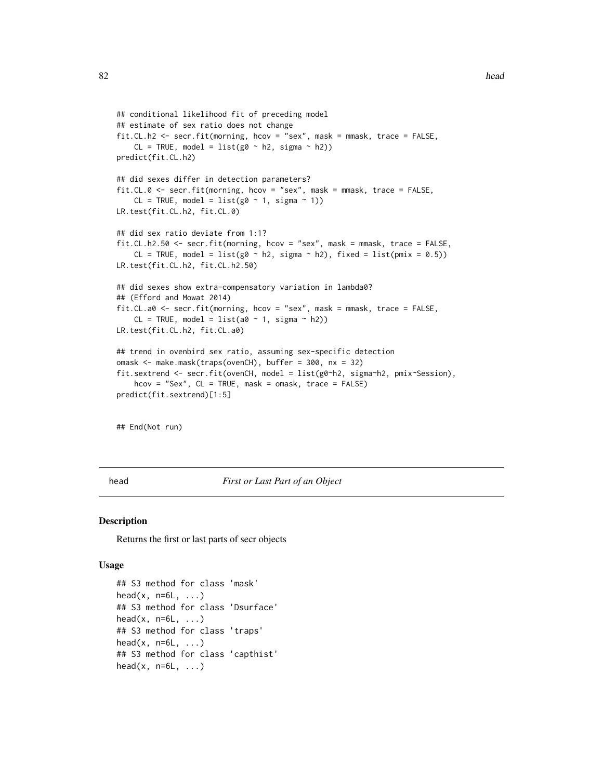```
## conditional likelihood fit of preceding model
## estimate of sex ratio does not change
fit.CL.h2 <- secr.fit(morning, hcov = "sex", mask = mmask, trace = FALSE,
    CL = TRUE, model = list(g0 ~ ~ h2, sigma ~ h2))predict(fit.CL.h2)
## did sexes differ in detection parameters?
fit.CL.0 <- secr.fit(morning, hcov = "sex", mask = mmask, trace = FALSE,
    CL = TRUE, model = list(g0 ~ 1, sigma ~ 1))
LR.test(fit.CL.h2, fit.CL.0)
## did sex ratio deviate from 1:1?
fit.CL.h2.50 <- secr.fit(morning, hcov = "sex", mask = mmask, trace = FALSE,
    CL = TRUE, model = list(g0 \sim h2, sigma \sim h2), fixed = list(pmix = 0.5))
LR.test(fit.CL.h2, fit.CL.h2.50)
## did sexes show extra-compensatory variation in lambda0?
## (Efford and Mowat 2014)
fit.CL.a0 <- secr.fit(morning, hcov = "sex", mask = mmask, trace = FALSE,
    CL = TRUE, model = list(a0 ~ 1, sigma ~ h2))LR.test(fit.CL.h2, fit.CL.a0)
## trend in ovenbird sex ratio, assuming sex-specific detection
omask <- make.mask(traps(ovenCH), buffer = 300, nx = 32)
fit.sextrend <- secr.fit(ovenCH, model = list(g0~h2, sigma~h2, pmix~Session),
    hcov = "Sex", CL = TRUE, mask = omask, trace = FALSE)predict(fit.sextrend)[1:5]
```
## End(Not run)

<span id="page-81-0"></span>head *First or Last Part of an Object*

#### Description

Returns the first or last parts of secr objects

#### Usage

```
## S3 method for class 'mask'
head(x, n=6L, ...)## S3 method for class 'Dsurface'
head(x, n=6L, ...)## S3 method for class 'traps'
head(x, n=6L, \ldots)## S3 method for class 'capthist'
head(x, n=6L, \ldots)
```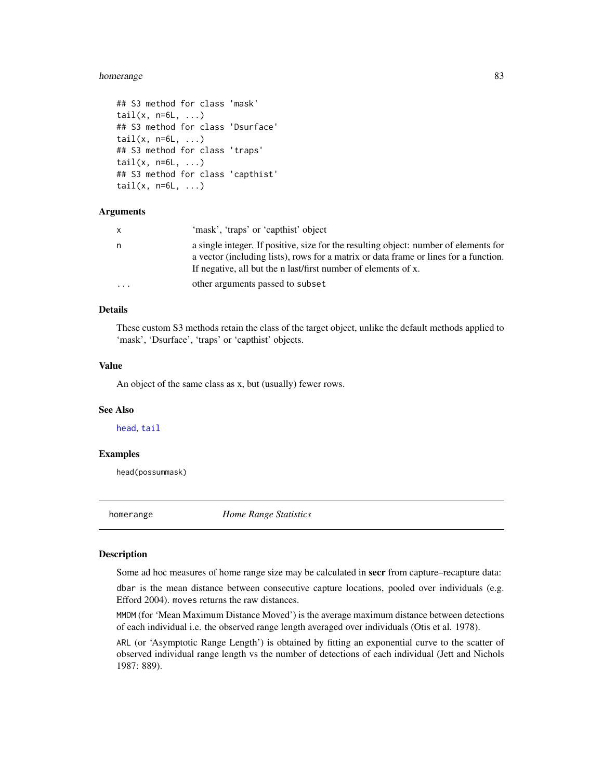#### homerange 83

```
## S3 method for class 'mask'
tail(x, n=6L, ...)## S3 method for class 'Dsurface'
tail(x, n=6L, ...)## S3 method for class 'traps'
tail(x, n=6L, ...)## S3 method for class 'capthist'
tail(x, n=6L, \ldots)
```
# Arguments

|           | 'mask', 'traps' or 'capthist' object                                                                                                                                                                                                           |
|-----------|------------------------------------------------------------------------------------------------------------------------------------------------------------------------------------------------------------------------------------------------|
| n         | a single integer. If positive, size for the resulting object: number of elements for<br>a vector (including lists), rows for a matrix or data frame or lines for a function.<br>If negative, all but the n last/first number of elements of x. |
| $\ddotsc$ | other arguments passed to subset                                                                                                                                                                                                               |

# Details

These custom S3 methods retain the class of the target object, unlike the default methods applied to 'mask', 'Dsurface', 'traps' or 'capthist' objects.

#### Value

An object of the same class as x, but (usually) fewer rows.

## See Also

[head](#page-81-0), [tail](#page-0-0)

# Examples

head(possummask)

homerange *Home Range Statistics*

#### <span id="page-82-0"></span>Description

Some ad hoc measures of home range size may be calculated in secr from capture–recapture data:

dbar is the mean distance between consecutive capture locations, pooled over individuals (e.g. Efford 2004). moves returns the raw distances.

MMDM (for 'Mean Maximum Distance Moved') is the average maximum distance between detections of each individual i.e. the observed range length averaged over individuals (Otis et al. 1978).

ARL (or 'Asymptotic Range Length') is obtained by fitting an exponential curve to the scatter of observed individual range length vs the number of detections of each individual (Jett and Nichols 1987: 889).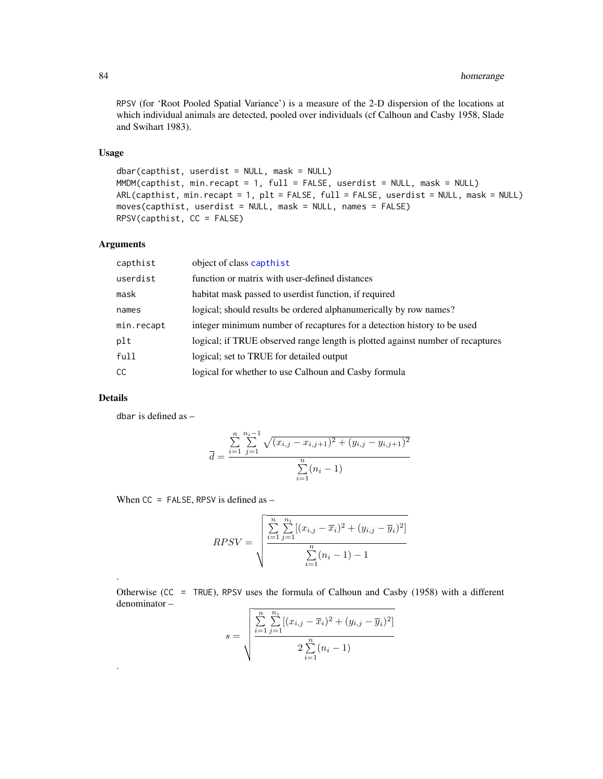RPSV (for 'Root Pooled Spatial Variance') is a measure of the 2-D dispersion of the locations at which individual animals are detected, pooled over individuals (cf Calhoun and Casby 1958, Slade and Swihart 1983).

# Usage

```
dbar(capthist, userdist = NULL, mask = NULL)
MMDM(capthist, min.recapt = 1, full = FALSE, userdist = NULL, mask = NULL)
ARL(capthist, min.recapt = 1, plt = FALSE, full = FALSE, userdist = NULL, mask = NULL)
moves(capthist, userdist = NULL, mask = NULL, names = FALSE)
RPSV(capthist, CC = FALSE)
```
# Arguments

| capthist   | object of class capthist                                                       |
|------------|--------------------------------------------------------------------------------|
| userdist   | function or matrix with user-defined distances                                 |
| mask       | habitat mask passed to userdist function, if required                          |
| names      | logical; should result be ordered alphanumerically by row names?               |
| min.recapt | integer minimum number of recaptures for a detection history to be used        |
| plt        | logical; if TRUE observed range length is plotted against number of recaptures |
| full       | logical; set to TRUE for detailed output                                       |
| <b>CC</b>  | logical for whether to use Calhoun and Casby formula                           |
|            |                                                                                |

# Details

.

.

dbar is defined as –

$$
\overline{d} = \frac{\sum_{i=1}^{n} \sum_{j=1}^{n_i - 1} \sqrt{(x_{i,j} - x_{i,j+1})^2 + (y_{i,j} - y_{i,j+1})^2}}{\sum_{i=1}^{n} (n_i - 1)}
$$

When  $CC = FALSE$ , RPSV is defined as  $-$ 

$$
RPSV = \sqrt{\frac{\sum_{i=1}^{n} \sum_{j=1}^{n_i} [(x_{i,j} - \overline{x}_i)^2 + (y_{i,j} - \overline{y}_i)^2]}{\sum_{i=1}^{n} (n_i - 1) - 1}}
$$

Otherwise (CC = TRUE), RPSV uses the formula of Calhoun and Casby (1958) with a different denominator –

$$
s = \sqrt{\frac{\sum_{i=1}^{n} \sum_{j=1}^{n_i} [(x_{i,j} - \overline{x}_i)^2 + (y_{i,j} - \overline{y}_i)^2]}{2 \sum_{i=1}^{n} (n_i - 1)}}
$$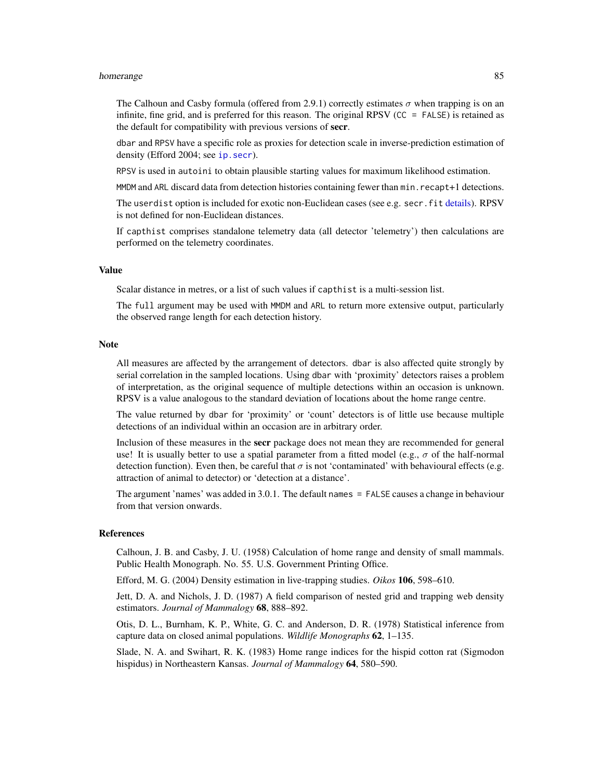#### homerange 85

The Calhoun and Casby formula (offered from 2.9.1) correctly estimates  $\sigma$  when trapping is on an infinite, fine grid, and is preferred for this reason. The original RPSV (CC = FALSE) is retained as the default for compatibility with previous versions of secr.

dbar and RPSV have a specific role as proxies for detection scale in inverse-prediction estimation of density (Efford 2004; see ip. secr).

RPSV is used in autoini to obtain plausible starting values for maximum likelihood estimation.

MMDM and ARL discard data from detection histories containing fewer than min. recapt+1 detections.

The userdist option is included for exotic non-Euclidean cases (see e.g. secr.fit [details\)](#page-48-0). RPSV is not defined for non-Euclidean distances.

If capthist comprises standalone telemetry data (all detector 'telemetry') then calculations are performed on the telemetry coordinates.

# Value

Scalar distance in metres, or a list of such values if capthist is a multi-session list.

The full argument may be used with MMDM and ARL to return more extensive output, particularly the observed range length for each detection history.

#### Note

All measures are affected by the arrangement of detectors. dbar is also affected quite strongly by serial correlation in the sampled locations. Using dbar with 'proximity' detectors raises a problem of interpretation, as the original sequence of multiple detections within an occasion is unknown. RPSV is a value analogous to the standard deviation of locations about the home range centre.

The value returned by dbar for 'proximity' or 'count' detectors is of little use because multiple detections of an individual within an occasion are in arbitrary order.

Inclusion of these measures in the **secr** package does not mean they are recommended for general use! It is usually better to use a spatial parameter from a fitted model (e.g.,  $\sigma$  of the half-normal detection function). Even then, be careful that  $\sigma$  is not 'contaminated' with behavioural effects (e.g. attraction of animal to detector) or 'detection at a distance'.

The argument 'names' was added in 3.0.1. The default names = FALSE causes a change in behaviour from that version onwards.

# **References**

Calhoun, J. B. and Casby, J. U. (1958) Calculation of home range and density of small mammals. Public Health Monograph. No. 55. U.S. Government Printing Office.

Efford, M. G. (2004) Density estimation in live-trapping studies. *Oikos* 106, 598–610.

Jett, D. A. and Nichols, J. D. (1987) A field comparison of nested grid and trapping web density estimators. *Journal of Mammalogy* 68, 888–892.

Otis, D. L., Burnham, K. P., White, G. C. and Anderson, D. R. (1978) Statistical inference from capture data on closed animal populations. *Wildlife Monographs* 62, 1–135.

Slade, N. A. and Swihart, R. K. (1983) Home range indices for the hispid cotton rat (Sigmodon hispidus) in Northeastern Kansas. *Journal of Mammalogy* 64, 580–590.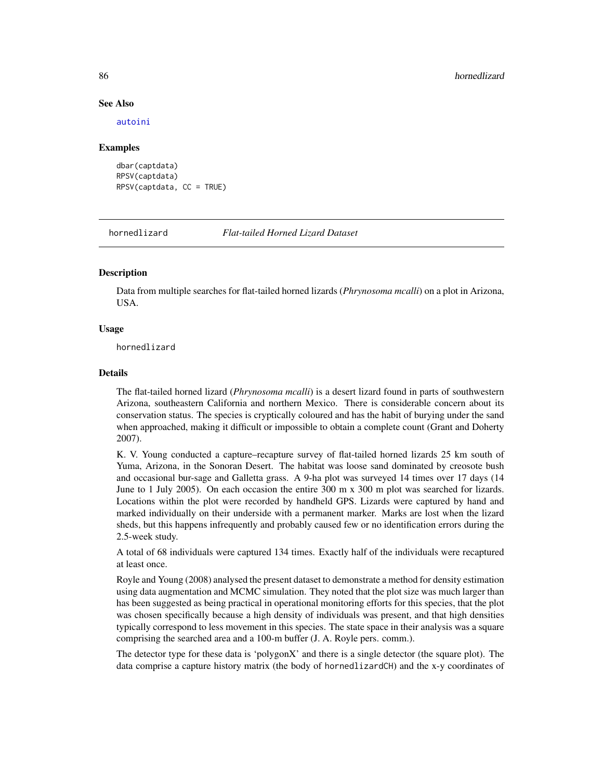#### See Also

[autoini](#page-17-0)

## Examples

```
dbar(captdata)
RPSV(captdata)
RPSV(captdata, CC = TRUE)
```
hornedlizard *Flat-tailed Horned Lizard Dataset*

# **Description**

Data from multiple searches for flat-tailed horned lizards (*Phrynosoma mcalli*) on a plot in Arizona, USA.

# Usage

hornedlizard

# Details

The flat-tailed horned lizard (*Phrynosoma mcalli*) is a desert lizard found in parts of southwestern Arizona, southeastern California and northern Mexico. There is considerable concern about its conservation status. The species is cryptically coloured and has the habit of burying under the sand when approached, making it difficult or impossible to obtain a complete count (Grant and Doherty 2007).

K. V. Young conducted a capture–recapture survey of flat-tailed horned lizards 25 km south of Yuma, Arizona, in the Sonoran Desert. The habitat was loose sand dominated by creosote bush and occasional bur-sage and Galletta grass. A 9-ha plot was surveyed 14 times over 17 days (14 June to 1 July 2005). On each occasion the entire 300 m x 300 m plot was searched for lizards. Locations within the plot were recorded by handheld GPS. Lizards were captured by hand and marked individually on their underside with a permanent marker. Marks are lost when the lizard sheds, but this happens infrequently and probably caused few or no identification errors during the 2.5-week study.

A total of 68 individuals were captured 134 times. Exactly half of the individuals were recaptured at least once.

Royle and Young (2008) analysed the present dataset to demonstrate a method for density estimation using data augmentation and MCMC simulation. They noted that the plot size was much larger than has been suggested as being practical in operational monitoring efforts for this species, that the plot was chosen specifically because a high density of individuals was present, and that high densities typically correspond to less movement in this species. The state space in their analysis was a square comprising the searched area and a 100-m buffer (J. A. Royle pers. comm.).

The detector type for these data is 'polygonX' and there is a single detector (the square plot). The data comprise a capture history matrix (the body of hornedlizardCH) and the x-y coordinates of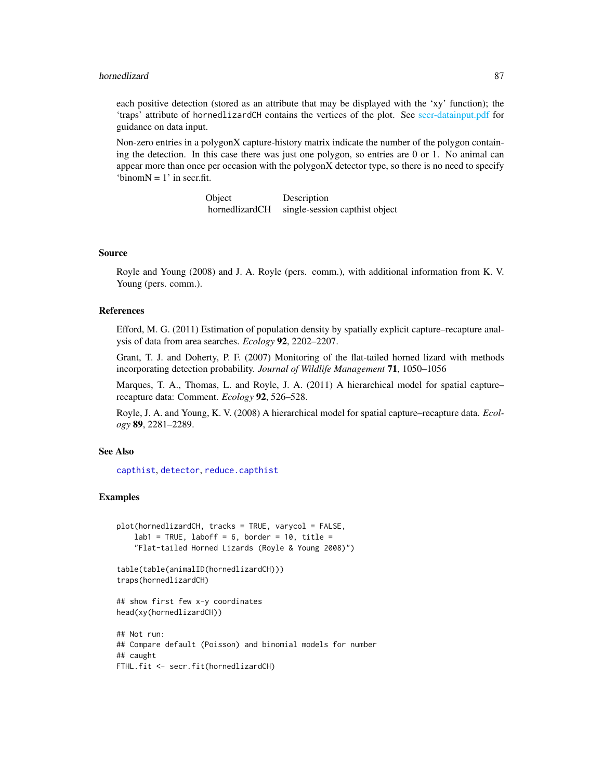each positive detection (stored as an attribute that may be displayed with the 'xy' function); the 'traps' attribute of hornedlizardCH contains the vertices of the plot. See [secr-datainput.pdf](#page-0-0) for guidance on data input.

Non-zero entries in a polygonX capture-history matrix indicate the number of the polygon containing the detection. In this case there was just one polygon, so entries are 0 or 1. No animal can appear more than once per occasion with the polygonX detector type, so there is no need to specify 'binom $N = 1$ ' in secr.fit.

> Object Description hornedlizardCH single-session capthist object

### Source

Royle and Young (2008) and J. A. Royle (pers. comm.), with additional information from K. V. Young (pers. comm.).

#### References

Efford, M. G. (2011) Estimation of population density by spatially explicit capture–recapture analysis of data from area searches. *Ecology* 92, 2202–2207.

Grant, T. J. and Doherty, P. F. (2007) Monitoring of the flat-tailed horned lizard with methods incorporating detection probability. *Journal of Wildlife Management* 71, 1050–1056

Marques, T. A., Thomas, L. and Royle, J. A. (2011) A hierarchical model for spatial capture– recapture data: Comment. *Ecology* 92, 526–528.

Royle, J. A. and Young, K. V. (2008) A hierarchical model for spatial capture–recapture data. *Ecology* 89, 2281–2289.

# See Also

[capthist](#page-22-0), [detector](#page-53-0), [reduce.capthist](#page-183-0)

# Examples

```
plot(hornedlizardCH, tracks = TRUE, varycol = FALSE,
    lab1 = TRUE, laboff = 6, border = 10, title =
    "Flat-tailed Horned Lizards (Royle & Young 2008)")
table(table(animalID(hornedlizardCH)))
traps(hornedlizardCH)
## show first few x-y coordinates
head(xy(hornedlizardCH))
```

```
## Not run:
## Compare default (Poisson) and binomial models for number
## caught
FTHL.fit <- secr.fit(hornedlizardCH)
```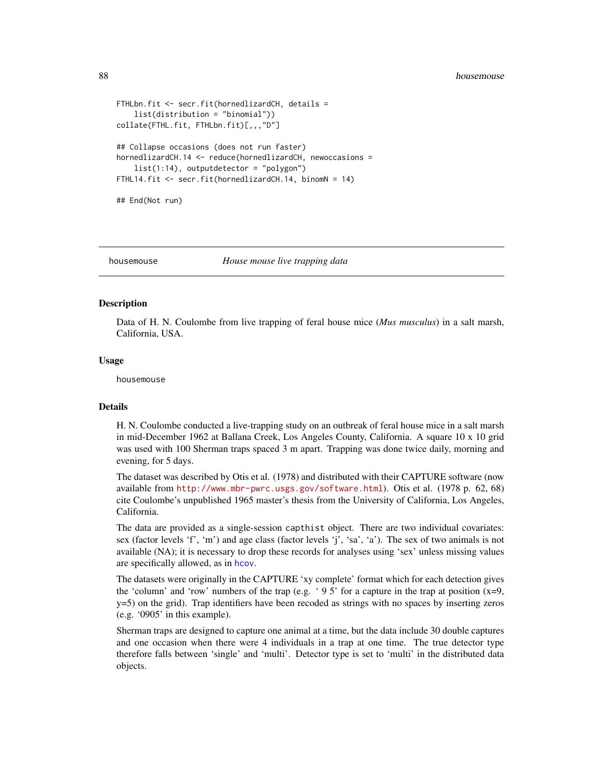```
FTHLbn.fit <- secr.fit(hornedlizardCH, details =
    list(distribution = "binomial"))
collate(FTHL.fit, FTHLbn.fit)[,,,"D"]
## Collapse occasions (does not run faster)
hornedlizardCH.14 <- reduce(hornedlizardCH, newoccasions =
    list(1:14), outputdetector = "polygon")
FTHL14.fit <- secr.fit(hornedlizardCH.14, binomN = 14)
## End(Not run)
```
housemouse *House mouse live trapping data*

## **Description**

Data of H. N. Coulombe from live trapping of feral house mice (*Mus musculus*) in a salt marsh, California, USA.

#### Usage

housemouse

# Details

H. N. Coulombe conducted a live-trapping study on an outbreak of feral house mice in a salt marsh in mid-December 1962 at Ballana Creek, Los Angeles County, California. A square 10 x 10 grid was used with 100 Sherman traps spaced 3 m apart. Trapping was done twice daily, morning and evening, for 5 days.

The dataset was described by Otis et al. (1978) and distributed with their CAPTURE software (now available from <http://www.mbr-pwrc.usgs.gov/software.html>). Otis et al. (1978 p. 62, 68) cite Coulombe's unpublished 1965 master's thesis from the University of California, Los Angeles, California.

The data are provided as a single-session capthist object. There are two individual covariates: sex (factor levels 'f', 'm') and age class (factor levels 'j', 'sa', 'a'). The sex of two animals is not available (NA); it is necessary to drop these records for analyses using 'sex' unless missing values are specifically allowed, as in [hcov](#page-78-0).

The datasets were originally in the CAPTURE 'xy complete' format which for each detection gives the 'column' and 'row' numbers of the trap (e.g. '95' for a capture in the trap at position  $(x=9,$ y=5) on the grid). Trap identifiers have been recoded as strings with no spaces by inserting zeros (e.g. '0905' in this example).

Sherman traps are designed to capture one animal at a time, but the data include 30 double captures and one occasion when there were 4 individuals in a trap at one time. The true detector type therefore falls between 'single' and 'multi'. Detector type is set to 'multi' in the distributed data objects.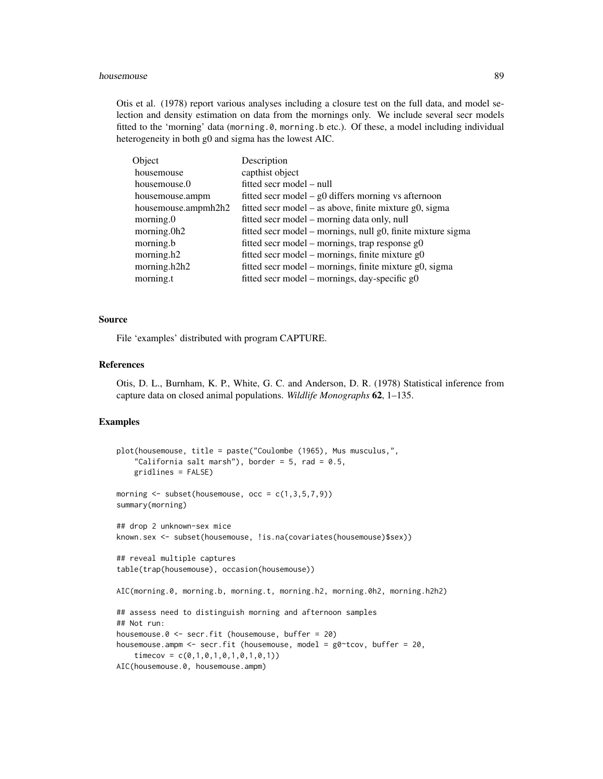Otis et al. (1978) report various analyses including a closure test on the full data, and model selection and density estimation on data from the mornings only. We include several secr models fitted to the 'morning' data (morning.0, morning.b etc.). Of these, a model including individual heterogeneity in both g0 and sigma has the lowest AIC.

| Object              | Description                                                 |
|---------------------|-------------------------------------------------------------|
| housemouse          | capthist object                                             |
| housemouse.0        | fitted secr model – null                                    |
| housemouse.ampm     | fitted secr model $-$ g0 differs morning vs afternoon       |
| housemouse.ampmh2h2 | fitted secr model – as above, finite mixture g0, sigma      |
| morning.0           | fitted secr model – morning data only, null                 |
| morning.0h2         | fitted secr model – mornings, null g0, finite mixture sigma |
| morning.b           | fitted secr model – mornings, trap response $g0$            |
| morning.h2          | fitted secr model – mornings, finite mixture $g0$           |
| morning.h2h2        | fitted secr model – mornings, finite mixture g0, sigma      |
| morning.t           | fitted secr model – mornings, day-specific g0               |

# Source

File 'examples' distributed with program CAPTURE.

## References

Otis, D. L., Burnham, K. P., White, G. C. and Anderson, D. R. (1978) Statistical inference from capture data on closed animal populations. *Wildlife Monographs* 62, 1–135.

# Examples

```
plot(housemouse, title = paste("Coulombe (1965), Mus musculus,",
    "California salt marsh"), border = 5, rad = 0.5,
    gridlines = FALSE)
morning \leq subset(housemouse, occ = c(1,3,5,7,9))
summary(morning)
## drop 2 unknown-sex mice
known.sex <- subset(housemouse, !is.na(covariates(housemouse)$sex))
## reveal multiple captures
table(trap(housemouse), occasion(housemouse))
AIC(morning.0, morning.b, morning.t, morning.h2, morning.0h2, morning.h2h2)
## assess need to distinguish morning and afternoon samples
## Not run:
housemouse.0 <- secr.fit (housemouse, buffer = 20)
housemouse.ampm <- secr.fit (housemouse, model = g0~tcov, buffer = 20,
    timecov = c(0,1,0,1,0,1,0,1,0,1))AIC(housemouse.0, housemouse.ampm)
```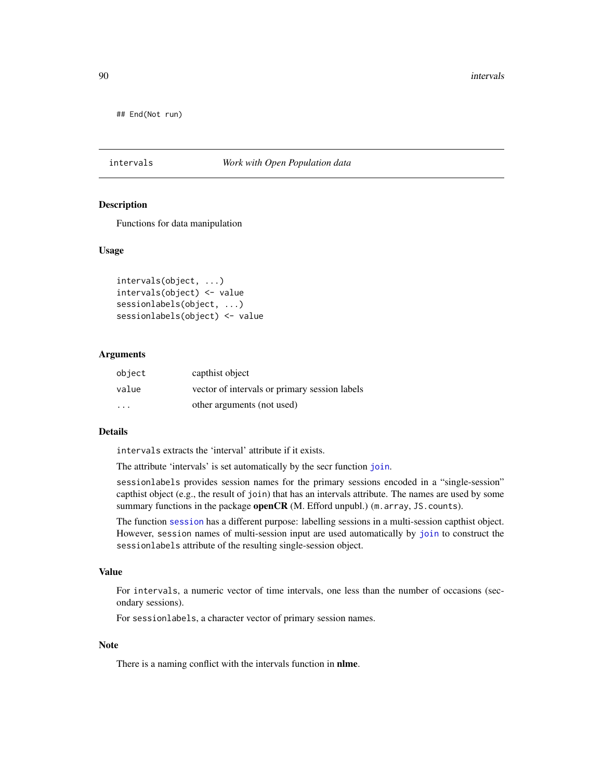90 intervals

## End(Not run)

# intervals *Work with Open Population data*

### Description

Functions for data manipulation

# Usage

```
intervals(object, ...)
intervals(object) <- value
sessionlabels(object, ...)
sessionlabels(object) <- value
```
## Arguments

| object                  | capthist object                               |
|-------------------------|-----------------------------------------------|
| value                   | vector of intervals or primary session labels |
| $\cdot$ $\cdot$ $\cdot$ | other arguments (not used)                    |

# Details

intervals extracts the 'interval' attribute if it exists.

The attribute 'intervals' is set automatically by the secr function [join](#page-94-0).

sessionlabels provides session names for the primary sessions encoded in a "single-session" capthist object (e.g., the result of join) that has an intervals attribute. The names are used by some summary functions in the package **openCR** (M. Efford unpubl.) (m. array, JS. counts).

The function [session](#page-212-0) has a different purpose: labelling sessions in a multi-session capthist object. However, session names of multi-session input are used automatically by [join](#page-94-0) to construct the sessionlabels attribute of the resulting single-session object.

#### Value

For intervals, a numeric vector of time intervals, one less than the number of occasions (secondary sessions).

For sessionlabels, a character vector of primary session names.

# Note

There is a naming conflict with the intervals function in nlme.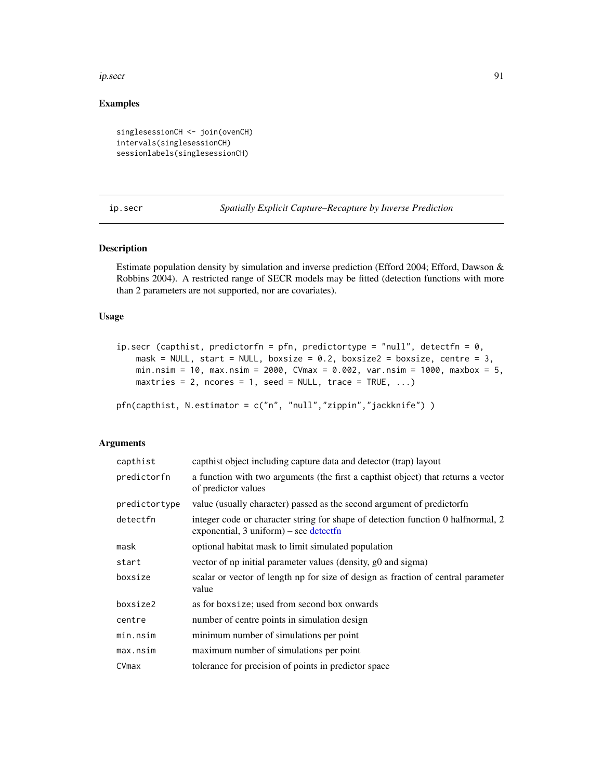#### ip.secr 91

# Examples

```
singlesessionCH <- join(ovenCH)
intervals(singlesessionCH)
sessionlabels(singlesessionCH)
```
<span id="page-90-0"></span>ip.secr *Spatially Explicit Capture–Recapture by Inverse Prediction*

## Description

Estimate population density by simulation and inverse prediction (Efford 2004; Efford, Dawson & Robbins 2004). A restricted range of SECR models may be fitted (detection functions with more than 2 parameters are not supported, nor are covariates).

## Usage

```
ip.secr (capthist, predictorfn = pfn, predictortype = "null", detectfn = 0,
   mask = NULL, start = NULL, boxsize = 0.2, boxsize2 = boxsize, centre = 3,
   min.nsim = 10, max.nsim = 2000, CVmax = 0.002, var.nsim = 1000, maxbox = 5,
   maxtries = 2, ncores = 1, seed = NULL, trace = TRUE, \ldots)
pfn(capthist, N.estimator = c("n", "null","zippin","jackknife") )
```
# Arguments

| capthist      | capthist object including capture data and detector (trap) layout                                                             |
|---------------|-------------------------------------------------------------------------------------------------------------------------------|
| predictorfn   | a function with two arguments (the first a capthist object) that returns a vector<br>of predictor values                      |
| predictortype | value (usually character) passed as the second argument of predictorfn                                                        |
| detectfn      | integer code or character string for shape of detection function 0 half normal, 2<br>exponential, $3$ uniform) – see detectfn |
| mask          | optional habitat mask to limit simulated population                                                                           |
| start         | vector of np initial parameter values (density, g0 and sigma)                                                                 |
| boxsize       | scalar or vector of length np for size of design as fraction of central parameter<br>value                                    |
| boxsize2      | as for boxsize; used from second box onwards                                                                                  |
| centre        | number of centre points in simulation design                                                                                  |
| min.nsim      | minimum number of simulations per point                                                                                       |
| max.nsim      | maximum number of simulations per point                                                                                       |
| CVmax         | tolerance for precision of points in predictor space                                                                          |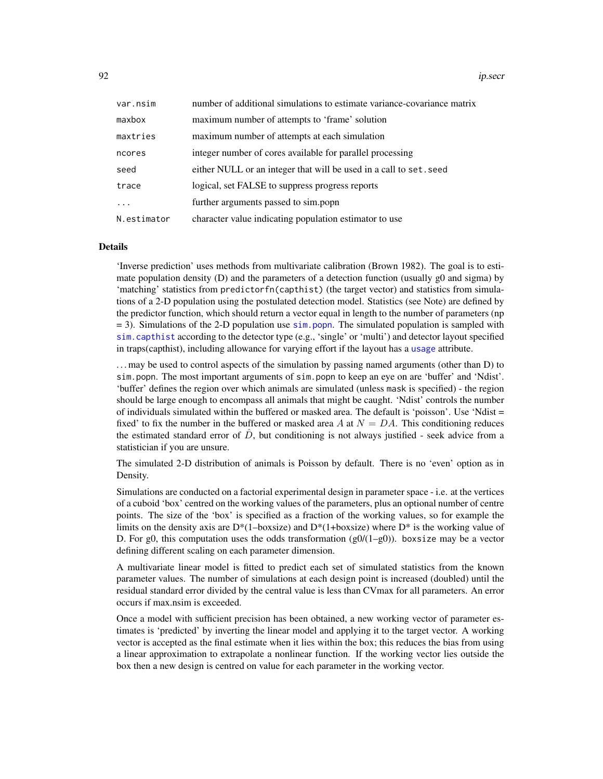92 *ip.secr* 

| var.nsim    | number of additional simulations to estimate variance-covariance matrix |
|-------------|-------------------------------------------------------------------------|
| maxbox      | maximum number of attempts to 'frame' solution                          |
| maxtries    | maximum number of attempts at each simulation                           |
| ncores      | integer number of cores available for parallel processing               |
| seed        | either NULL or an integer that will be used in a call to set. seed      |
| trace       | logical, set FALSE to suppress progress reports                         |
| .           | further arguments passed to sim.popn                                    |
| N.estimator | character value indicating population estimator to use                  |

## Details

'Inverse prediction' uses methods from multivariate calibration (Brown 1982). The goal is to estimate population density (D) and the parameters of a detection function (usually g0 and sigma) by 'matching' statistics from predictorfn(capthist) (the target vector) and statistics from simulations of a 2-D population using the postulated detection model. Statistics (see Note) are defined by the predictor function, which should return a vector equal in length to the number of parameters (np  $= 3$ ). Simulations of the 2-D population use [sim.popn](#page-222-0). The simulated population is sampled with [sim.capthist](#page-218-0) according to the detector type (e.g., 'single' or 'multi') and detector layout specified in traps(capthist), including allowance for varying effort if the layout has a [usage](#page-276-0) attribute.

. . . may be used to control aspects of the simulation by passing named arguments (other than D) to sim.popn. The most important arguments of sim.popn to keep an eye on are 'buffer' and 'Ndist'. 'buffer' defines the region over which animals are simulated (unless mask is specified) - the region should be large enough to encompass all animals that might be caught. 'Ndist' controls the number of individuals simulated within the buffered or masked area. The default is 'poisson'. Use 'Ndist = fixed' to fix the number in the buffered or masked area A at  $N = DA$ . This conditioning reduces the estimated standard error of  $D$ , but conditioning is not always justified - seek advice from a statistician if you are unsure.

The simulated 2-D distribution of animals is Poisson by default. There is no 'even' option as in Density.

Simulations are conducted on a factorial experimental design in parameter space - i.e. at the vertices of a cuboid 'box' centred on the working values of the parameters, plus an optional number of centre points. The size of the 'box' is specified as a fraction of the working values, so for example the limits on the density axis are  $D^*(1-boxsize)$  and  $D^*(1+boxsize)$  where  $D^*$  is the working value of D. For g0, this computation uses the odds transformation  $(g0/(1-g0))$ . boxsize may be a vector defining different scaling on each parameter dimension.

A multivariate linear model is fitted to predict each set of simulated statistics from the known parameter values. The number of simulations at each design point is increased (doubled) until the residual standard error divided by the central value is less than CVmax for all parameters. An error occurs if max.nsim is exceeded.

Once a model with sufficient precision has been obtained, a new working vector of parameter estimates is 'predicted' by inverting the linear model and applying it to the target vector. A working vector is accepted as the final estimate when it lies within the box; this reduces the bias from using a linear approximation to extrapolate a nonlinear function. If the working vector lies outside the box then a new design is centred on value for each parameter in the working vector.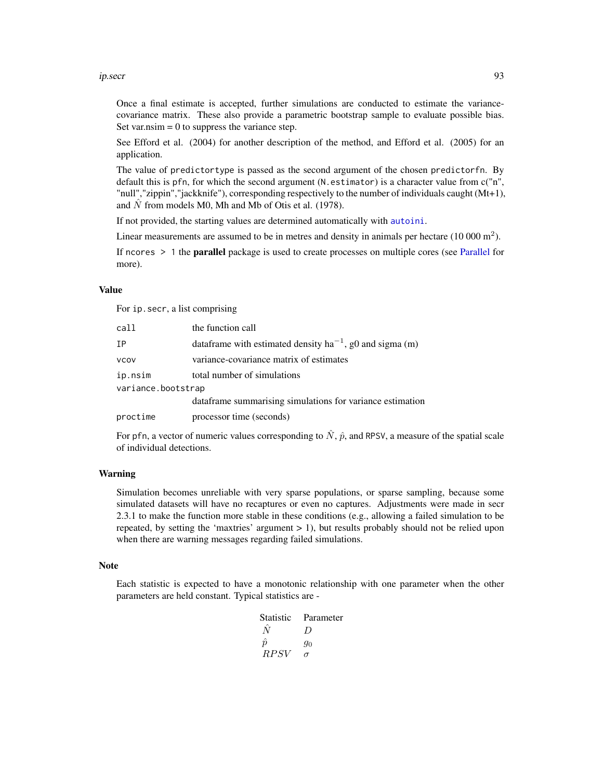#### ip.secr 93

Once a final estimate is accepted, further simulations are conducted to estimate the variancecovariance matrix. These also provide a parametric bootstrap sample to evaluate possible bias. Set var.nsim  $= 0$  to suppress the variance step.

See Efford et al. (2004) for another description of the method, and Efford et al. (2005) for an application.

The value of predictortype is passed as the second argument of the chosen predictorfn. By default this is pfn, for which the second argument (N.estimator) is a character value from c("n", "null","zippin","jackknife"), corresponding respectively to the number of individuals caught (Mt+1), and  $\hat{N}$  from models M0, Mh and Mb of Otis et al. (1978).

If not provided, the starting values are determined automatically with [autoini](#page-17-0).

Linear measurements are assumed to be in metres and density in animals per hectare  $(10000 \text{ m}^2)$ .

If ncores  $> 1$  the **parallel** package is used to create processes on multiple cores (see [Parallel](#page-131-0) for more).

## Value

For ip.secr, a list comprising

| call               | the function call                                              |  |
|--------------------|----------------------------------------------------------------|--|
| IΡ                 | data frame with estimated density $ha^{-1}$ , g0 and sigma (m) |  |
| vcov               | variance-covariance matrix of estimates                        |  |
| ip.nsim            | total number of simulations                                    |  |
| variance.bootstrap |                                                                |  |
|                    | dataframe summarising simulations for variance estimation      |  |
| proctime           | processor time (seconds)                                       |  |

For pfn, a vector of numeric values corresponding to  $\hat{N}$ ,  $\hat{p}$ , and RPSV, a measure of the spatial scale of individual detections.

# Warning

Simulation becomes unreliable with very sparse populations, or sparse sampling, because some simulated datasets will have no recaptures or even no captures. Adjustments were made in secr 2.3.1 to make the function more stable in these conditions (e.g., allowing a failed simulation to be repeated, by setting the 'maxtries' argument  $> 1$ ), but results probably should not be relied upon when there are warning messages regarding failed simulations.

#### Note

Each statistic is expected to have a monotonic relationship with one parameter when the other parameters are held constant. Typical statistics are -

| <b>Statistic</b> | Parameter        |
|------------------|------------------|
| N                | $\left( \right)$ |
| $\hat{n}$        | 90               |
| <i>RPSV</i>      | $\sigma$         |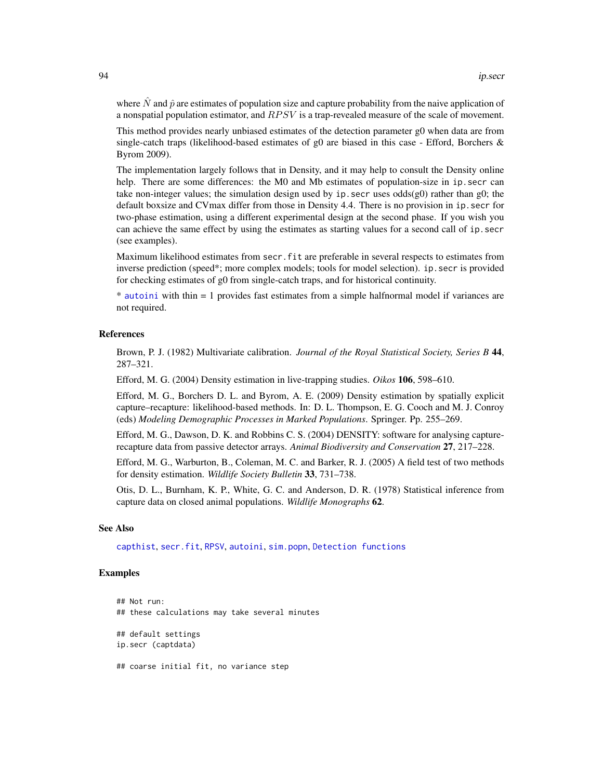where  $\hat{N}$  and  $\hat{p}$  are estimates of population size and capture probability from the naive application of a nonspatial population estimator, and  $RPSV$  is a trap-revealed measure of the scale of movement.

This method provides nearly unbiased estimates of the detection parameter g0 when data are from single-catch traps (likelihood-based estimates of  $g0$  are biased in this case - Efford, Borchers  $\&$ Byrom 2009).

The implementation largely follows that in Density, and it may help to consult the Density online help. There are some differences: the M0 and Mb estimates of population-size in ip. secr can take non-integer values; the simulation design used by ip. secr uses  $odds(g0)$  rather than g0; the default boxsize and CVmax differ from those in Density 4.4. There is no provision in ip.secr for two-phase estimation, using a different experimental design at the second phase. If you wish you can achieve the same effect by using the estimates as starting values for a second call of ip. secr (see examples).

Maximum likelihood estimates from secr.fit are preferable in several respects to estimates from inverse prediction (speed\*; more complex models; tools for model selection). ip.secr is provided for checking estimates of g0 from single-catch traps, and for historical continuity.

\* [autoini](#page-17-0) with thin = 1 provides fast estimates from a simple halfnormal model if variances are not required.

# References

Brown, P. J. (1982) Multivariate calibration. *Journal of the Royal Statistical Society, Series B* 44, 287–321.

Efford, M. G. (2004) Density estimation in live-trapping studies. *Oikos* 106, 598–610.

Efford, M. G., Borchers D. L. and Byrom, A. E. (2009) Density estimation by spatially explicit capture–recapture: likelihood-based methods. In: D. L. Thompson, E. G. Cooch and M. J. Conroy (eds) *Modeling Demographic Processes in Marked Populations*. Springer. Pp. 255–269.

Efford, M. G., Dawson, D. K. and Robbins C. S. (2004) DENSITY: software for analysing capturerecapture data from passive detector arrays. *Animal Biodiversity and Conservation* 27, 217–228.

Efford, M. G., Warburton, B., Coleman, M. C. and Barker, R. J. (2005) A field test of two methods for density estimation. *Wildlife Society Bulletin* 33, 731–738.

Otis, D. L., Burnham, K. P., White, G. C. and Anderson, D. R. (1978) Statistical inference from capture data on closed animal populations. *Wildlife Monographs* 62.

# See Also

[capthist](#page-22-0), [secr.fit](#page-199-0), [RPSV](#page-82-0), [autoini](#page-17-0), [sim.popn](#page-222-0), [Detection functions](#page-0-0)

# Examples

## Not run: ## these calculations may take several minutes ## default settings ip.secr (captdata) ## coarse initial fit, no variance step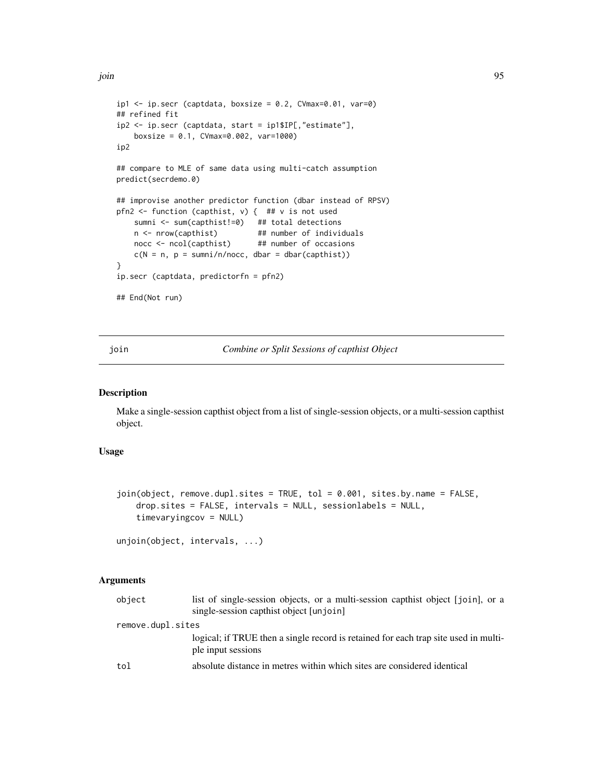```
ip1 \leq -ip \sec r (captdata, boxsize = 0.2, CVmax=0.01, var=0)
## refined fit
ip2 <- ip.secr (captdata, start = ip1$IP[,"estimate"],
   boxsize = 0.1, CVmax=0.002, var=1000)
ip2
## compare to MLE of same data using multi-catch assumption
predict(secrdemo.0)
## improvise another predictor function (dbar instead of RPSV)
pfn2 <- function (capthist, v) { ## v is not used
   sumni <- sum(capthist!=0) ## total detections
   n <- nrow(capthist) ## number of individuals
   nocc <- ncol(capthist) ## number of occasions
   c(N = n, p = sumni/n/nocc, dbar = dbar(capthist))}
ip.secr (captdata, predictorfn = pfn2)
## End(Not run)
```
<span id="page-94-0"></span>join *Combine or Split Sessions of capthist Object*

# Description

Make a single-session capthist object from a list of single-session objects, or a multi-session capthist object.

# Usage

```
join(object, remove.dupl.sites = TRUE, tol = 0.001, sites.by.name = FALSE,
   drop.sites = FALSE, intervals = NULL, sessionlabels = NULL,
   timevaryingcov = NULL)
```

```
unjoin(object, intervals, ...)
```
#### Arguments

| object            | list of single-session objects, or a multi-session capthist object [join], or a<br>single-session capthist object [unjoin] |
|-------------------|----------------------------------------------------------------------------------------------------------------------------|
| remove.dupl.sites |                                                                                                                            |
|                   | logical; if TRUE then a single record is retained for each trap site used in multi-<br>ple input sessions                  |
| tol               | absolute distance in metres within which sites are considered identical                                                    |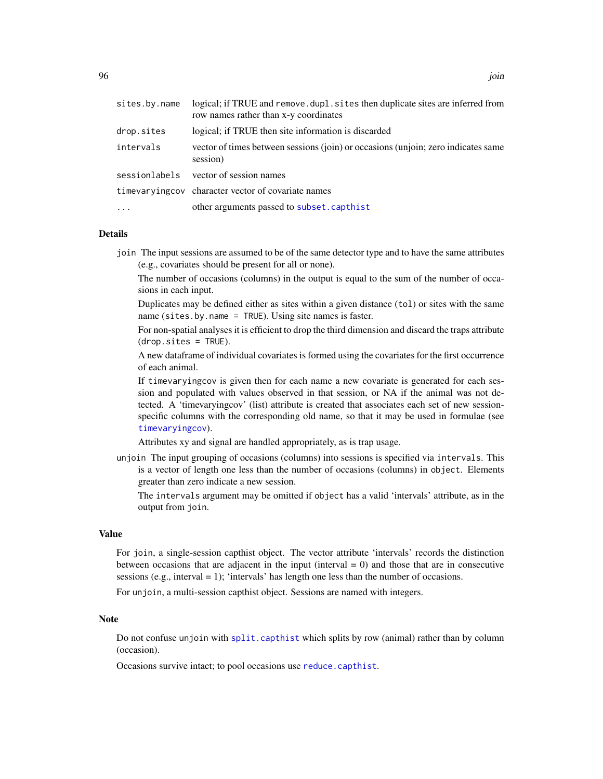| sites.by.name | logical; if TRUE and remove, dupl, sites then duplicate sites are inferred from<br>row names rather than x-y coordinates |
|---------------|--------------------------------------------------------------------------------------------------------------------------|
| drop.sites    | logical; if TRUE then site information is discarded                                                                      |
| intervals     | vector of times between sessions (join) or occasions (unjoin; zero indicates same<br>session)                            |
| sessionlabels | vector of session names                                                                                                  |
|               | timevaryingcov character vector of covariate names                                                                       |
| $\cdots$      | other arguments passed to subset.capthist                                                                                |

## Details

join The input sessions are assumed to be of the same detector type and to have the same attributes (e.g., covariates should be present for all or none).

The number of occasions (columns) in the output is equal to the sum of the number of occasions in each input.

Duplicates may be defined either as sites within a given distance (tol) or sites with the same name (sites.by.name = TRUE). Using site names is faster.

For non-spatial analyses it is efficient to drop the third dimension and discard the traps attribute (drop.sites = TRUE).

A new dataframe of individual covariates is formed using the covariates for the first occurrence of each animal.

If timevaryingcov is given then for each name a new covariate is generated for each session and populated with values observed in that session, or NA if the animal was not detected. A 'timevaryingcov' (list) attribute is created that associates each set of new sessionspecific columns with the corresponding old name, so that it may be used in formulae (see [timevaryingcov](#page-259-0)).

Attributes xy and signal are handled appropriately, as is trap usage.

unjoin The input grouping of occasions (columns) into sessions is specified via intervals. This is a vector of length one less than the number of occasions (columns) in object. Elements greater than zero indicate a new session.

The intervals argument may be omitted if object has a valid 'intervals' attribute, as in the output from join.

## Value

For join, a single-session capthist object. The vector attribute 'intervals' records the distinction between occasions that are adjacent in the input (interval  $= 0$ ) and those that are in consecutive sessions (e.g., interval = 1); 'intervals' has length one less than the number of occasions.

For unjoin, a multi-session capthist object. Sessions are named with integers.

#### Note

Do not confuse unjoin with [split.capthist](#page-246-1) which splits by row (animal) rather than by column (occasion).

Occasions survive intact; to pool occasions use [reduce.capthist](#page-183-0).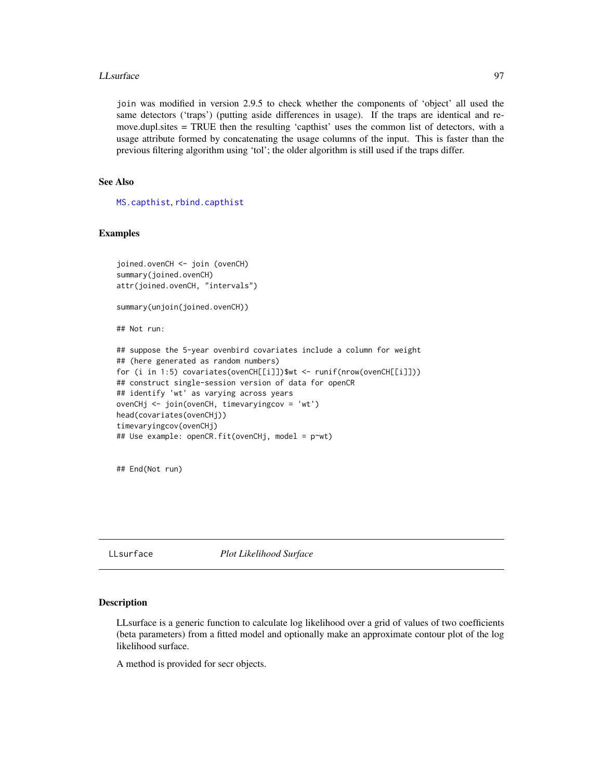### LLsurface 97

join was modified in version 2.9.5 to check whether the components of 'object' all used the same detectors ('traps') (putting aside differences in usage). If the traps are identical and remove.dupl.sites = TRUE then the resulting 'capthist' uses the common list of detectors, with a usage attribute formed by concatenating the usage columns of the input. This is faster than the previous filtering algorithm using 'tol'; the older algorithm is still used if the traps differ.

# See Also

[MS.capthist](#page-169-0), [rbind.capthist](#page-169-1)

# Examples

```
joined.ovenCH <- join (ovenCH)
summary(joined.ovenCH)
attr(joined.ovenCH, "intervals")
```

```
summary(unjoin(joined.ovenCH))
```
## Not run:

```
## suppose the 5-year ovenbird covariates include a column for weight
## (here generated as random numbers)
for (i in 1:5) covariates(ovenCH[[i]])$wt <- runif(nrow(ovenCH[[i]]))
## construct single-session version of data for openCR
## identify 'wt' as varying across years
ovenCHj <- join(ovenCH, timevaryingcov = 'wt')
head(covariates(ovenCHj))
timevaryingcov(ovenCHj)
## Use example: openCR.fit(ovenCHj, model = p~wt)
```
## End(Not run)

LLsurface *Plot Likelihood Surface*

# **Description**

LLsurface is a generic function to calculate log likelihood over a grid of values of two coefficients (beta parameters) from a fitted model and optionally make an approximate contour plot of the log likelihood surface.

A method is provided for secr objects.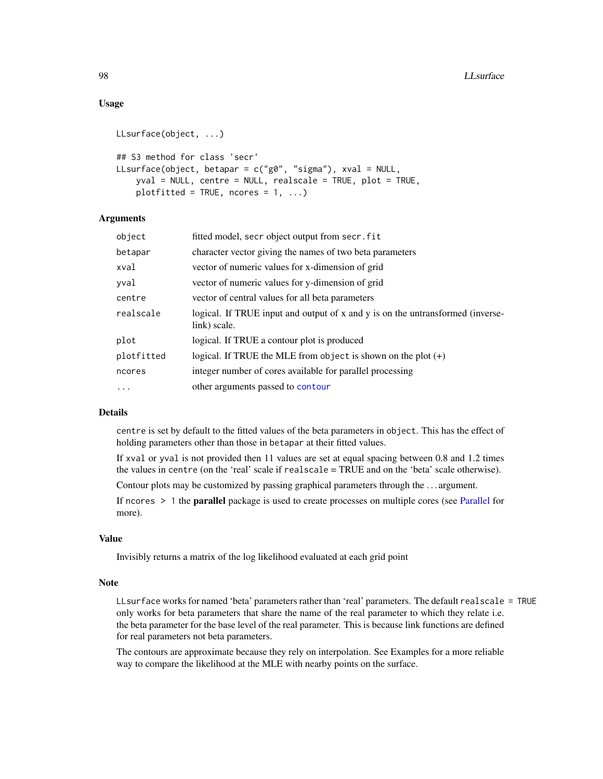# Usage

```
LLsurface(object, ...)
## S3 method for class 'secr'
LLsurface(object, betapar = c("g0", "sigma"), xval = NULL,
    yval = NULL, centre = NULL, realscale = TRUE, plot = TRUE,
    plotfitted = TRUE, ncores = 1, ...)
```
# Arguments

| object     | fitted model, secr object output from secr. fit                                                |
|------------|------------------------------------------------------------------------------------------------|
| betapar    | character vector giving the names of two beta parameters                                       |
| xval       | vector of numeric values for x-dimension of grid                                               |
| yval       | vector of numeric values for y-dimension of grid                                               |
| centre     | vector of central values for all beta parameters                                               |
| realscale  | logical. If TRUE input and output of x and y is on the untransformed (inverse-<br>link) scale. |
| plot       | logical. If TRUE a contour plot is produced                                                    |
| plotfitted | logical. If TRUE the MLE from object is shown on the plot $(+)$                                |
| ncores     | integer number of cores available for parallel processing                                      |
| $\cdots$   | other arguments passed to contour                                                              |

# Details

centre is set by default to the fitted values of the beta parameters in object. This has the effect of holding parameters other than those in betapar at their fitted values.

If xval or yval is not provided then 11 values are set at equal spacing between 0.8 and 1.2 times the values in centre (on the 'real' scale if realscale = TRUE and on the 'beta' scale otherwise).

Contour plots may be customized by passing graphical parameters through the . . . argument.

If ncores > 1 the parallel package is used to create processes on multiple cores (see [Parallel](#page-131-0) for more).

## Value

Invisibly returns a matrix of the log likelihood evaluated at each grid point

## Note

LLsurface works for named 'beta' parameters rather than 'real' parameters. The default realscale = TRUE only works for beta parameters that share the name of the real parameter to which they relate i.e. the beta parameter for the base level of the real parameter. This is because link functions are defined for real parameters not beta parameters.

The contours are approximate because they rely on interpolation. See Examples for a more reliable way to compare the likelihood at the MLE with nearby points on the surface.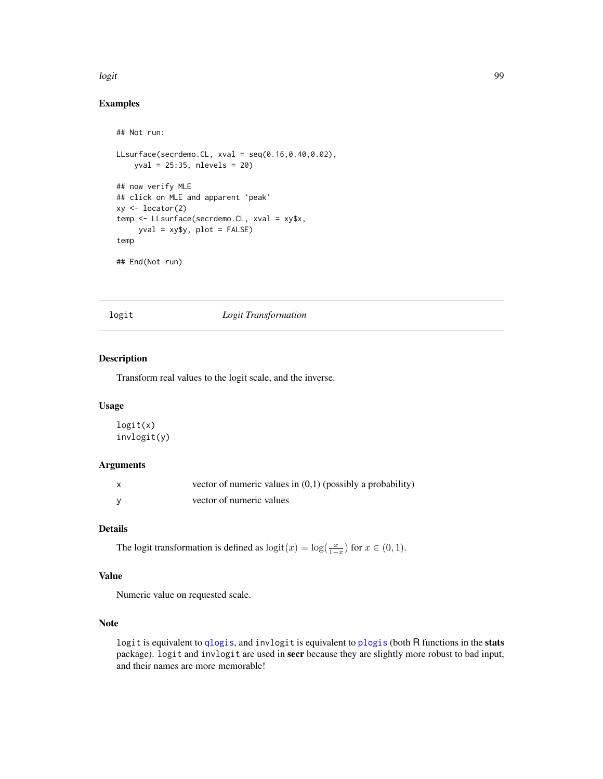#### logit the contract of the contract of the contract of the contract of the contract of the contract of the contract of the contract of the contract of the contract of the contract of the contract of the contract of the cont

# Examples

```
## Not run:
LLsurface(secrdemo.CL, xval = seq(0.16,0.40,0.02),
    yval = 25:35, nlevels = 20)
## now verify MLE
## click on MLE and apparent `peak'
xy \leftarrow locator(2)
temp <- LLsurface(secrdemo.CL, xval = xy$x,
     yval = xy$y, plot = FALSE)
temp
## End(Not run)
```
# logit *Logit Transformation*

# Description

Transform real values to the logit scale, and the inverse.

# Usage

logit(x) invlogit(y)

# Arguments

| vector of numeric values in $(0,1)$ (possibly a probability) |
|--------------------------------------------------------------|
| vector of numeric values                                     |

# Details

The logit transformation is defined as  $\text{logit}(x) = \text{log}(\frac{x}{1-x})$  for  $x \in (0,1)$ .

# Value

Numeric value on requested scale.

# Note

logit is equivalent to [qlogis](#page-0-0), and invlogit is equivalent to [plogis](#page-0-0) (both R functions in the stats package). logit and invlogit are used in secr because they are slightly more robust to bad input, and their names are more memorable!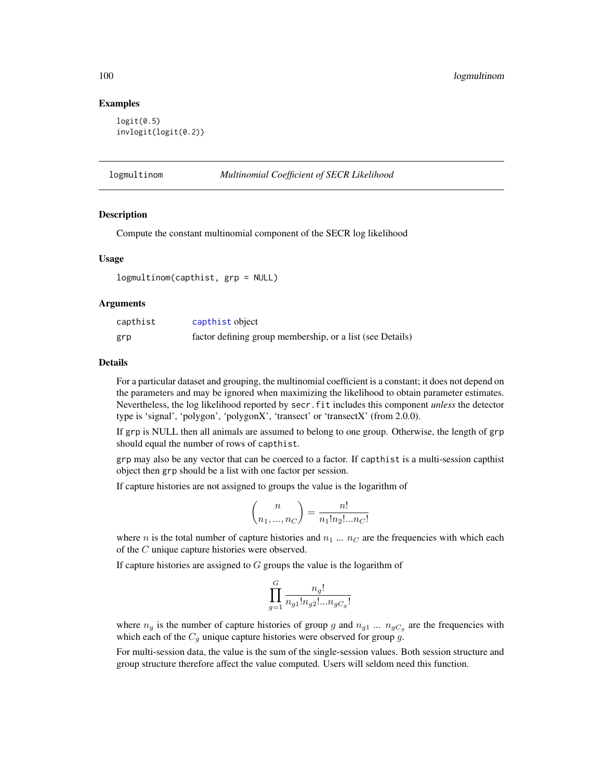# Examples

```
logit(0.5)invlogit(logit(0.2))
```
logmultinom *Multinomial Coefficient of SECR Likelihood*

# Description

Compute the constant multinomial component of the SECR log likelihood

# Usage

logmultinom(capthist, grp = NULL)

# Arguments

| capthist | capthist object                                           |
|----------|-----------------------------------------------------------|
| grp      | factor defining group membership, or a list (see Details) |

# Details

For a particular dataset and grouping, the multinomial coefficient is a constant; it does not depend on the parameters and may be ignored when maximizing the likelihood to obtain parameter estimates. Nevertheless, the log likelihood reported by secr.fit includes this component *unless* the detector type is 'signal', 'polygon', 'polygonX', 'transect' or 'transectX' (from 2.0.0).

If grp is NULL then all animals are assumed to belong to one group. Otherwise, the length of grp should equal the number of rows of capthist.

grp may also be any vector that can be coerced to a factor. If capthist is a multi-session capthist object then grp should be a list with one factor per session.

If capture histories are not assigned to groups the value is the logarithm of

$$
\binom{n}{n_1, ..., n_C} = \frac{n!}{n_1! n_2! ... n_C!}
$$

where n is the total number of capture histories and  $n_1 \dots n_C$  are the frequencies with which each of the C unique capture histories were observed.

If capture histories are assigned to  $G$  groups the value is the logarithm of

$$
\prod_{g=1}^{G} \frac{n_g!}{n_{g1}! n_{g2}! \dots n_{gC_g}!}
$$

where  $n_g$  is the number of capture histories of group g and  $n_{g1}$  ...  $n_{gC_g}$  are the frequencies with which each of the  $C_g$  unique capture histories were observed for group g.

For multi-session data, the value is the sum of the single-session values. Both session structure and group structure therefore affect the value computed. Users will seldom need this function.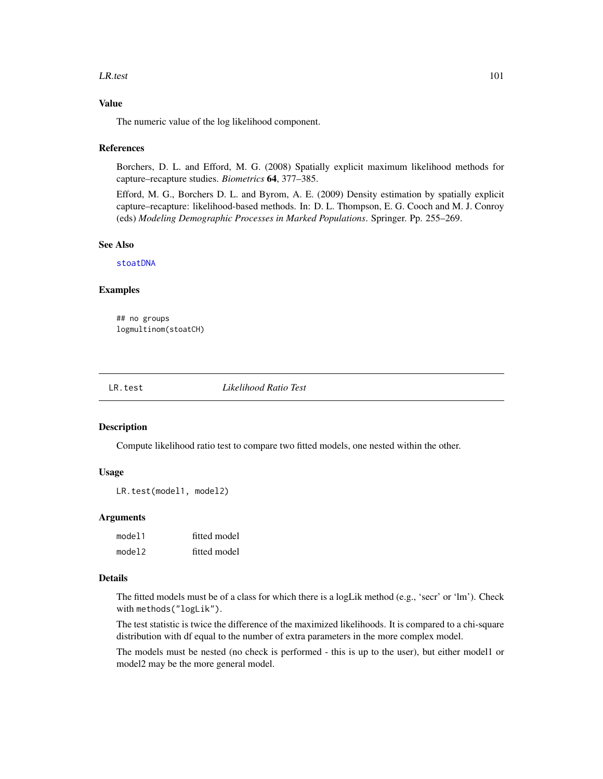#### LR.test 101

# Value

The numeric value of the log likelihood component.

## References

Borchers, D. L. and Efford, M. G. (2008) Spatially explicit maximum likelihood methods for capture–recapture studies. *Biometrics* 64, 377–385.

Efford, M. G., Borchers D. L. and Byrom, A. E. (2009) Density estimation by spatially explicit capture–recapture: likelihood-based methods. In: D. L. Thompson, E. G. Cooch and M. J. Conroy (eds) *Modeling Demographic Processes in Marked Populations*. Springer. Pp. 255–269.

#### See Also

[stoatDNA](#page-241-0)

#### Examples

## no groups logmultinom(stoatCH)

LR.test *Likelihood Ratio Test*

# Description

Compute likelihood ratio test to compare two fitted models, one nested within the other.

# Usage

LR.test(model1, model2)

## Arguments

| model1 | fitted model |
|--------|--------------|
| model2 | fitted model |

# Details

The fitted models must be of a class for which there is a logLik method (e.g., 'secr' or 'lm'). Check with methods("logLik").

The test statistic is twice the difference of the maximized likelihoods. It is compared to a chi-square distribution with df equal to the number of extra parameters in the more complex model.

The models must be nested (no check is performed - this is up to the user), but either model1 or model2 may be the more general model.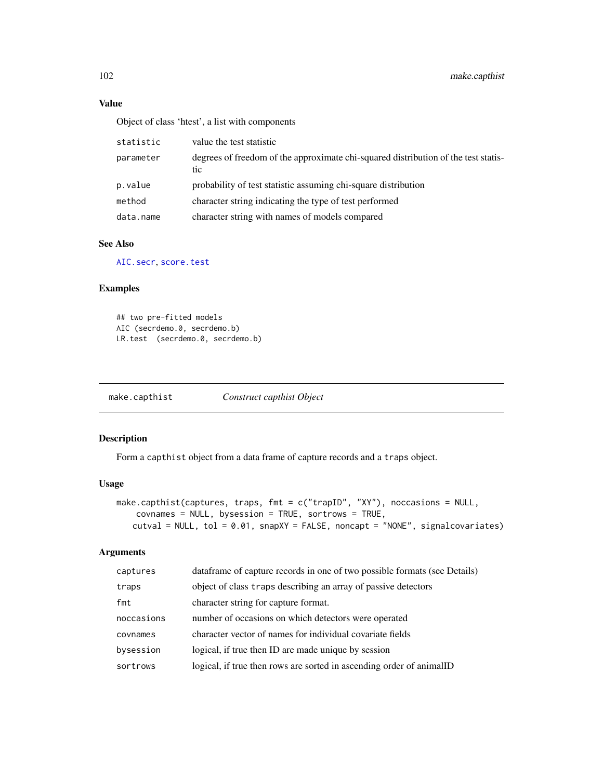# Value

Object of class 'htest', a list with components

| statistic | value the test statistic                                                                  |
|-----------|-------------------------------------------------------------------------------------------|
| parameter | degrees of freedom of the approximate chi-squared distribution of the test statis-<br>tic |
| p.value   | probability of test statistic assuming chi-square distribution                            |
| method    | character string indicating the type of test performed                                    |
| data.name | character string with names of models compared                                            |

# See Also

[AIC.secr](#page-12-0), [score.test](#page-194-0)

# Examples

## two pre-fitted models AIC (secrdemo.0, secrdemo.b) LR.test (secrdemo.0, secrdemo.b)

make.capthist *Construct capthist Object*

# Description

Form a capthist object from a data frame of capture records and a traps object.

# Usage

```
make.capthist(captures, traps, fmt = c("trapID", "XY"), noccasions = NULL,
    covnames = NULL, bysession = TRUE, sortrows = TRUE,
   cutval = NULL, tol = 0.01, snapXY = FALSE, noncapt = "NONE", signalcovariates)
```
# Arguments

| captures   | dataframe of capture records in one of two possible formats (see Details) |
|------------|---------------------------------------------------------------------------|
| traps      | object of class traps describing an array of passive detectors            |
| fmt        | character string for capture format.                                      |
| noccasions | number of occasions on which detectors were operated                      |
| covnames   | character vector of names for individual covariate fields                 |
| bysession  | logical, if true then ID are made unique by session                       |
| sortrows   | logical, if true then rows are sorted in ascending order of animalID      |
|            |                                                                           |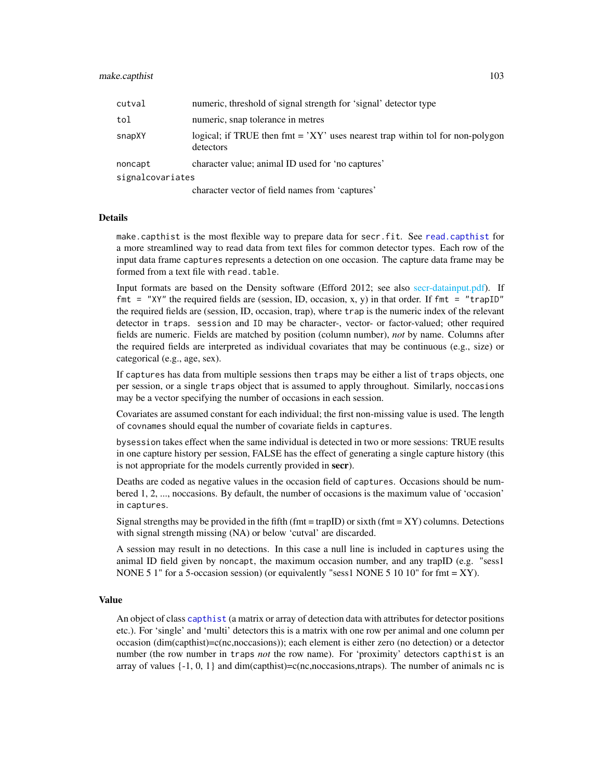| cutval           | numeric, threshold of signal strength for 'signal' detector type                             |
|------------------|----------------------------------------------------------------------------------------------|
| tol              | numeric, snap tolerance in metres                                                            |
| snapXY           | logical; if TRUE then $fmt = 'XY'$ uses nearest trap within tol for non-polygon<br>detectors |
| noncapt          | character value; animal ID used for 'no captures'                                            |
| signalcovariates |                                                                                              |
|                  |                                                                                              |

character vector of field names from 'captures'

# Details

make.capthist is the most flexible way to prepare data for secr.fit. See [read.capthist](#page-174-0) for a more streamlined way to read data from text files for common detector types. Each row of the input data frame captures represents a detection on one occasion. The capture data frame may be formed from a text file with read.table.

Input formats are based on the Density software (Efford 2012; see also [secr-datainput.pdf\)](#page-0-0). If fmt = "XY" the required fields are (session, ID, occasion, x, y) in that order. If fmt = "trapID" the required fields are (session, ID, occasion, trap), where trap is the numeric index of the relevant detector in traps. session and ID may be character-, vector- or factor-valued; other required fields are numeric. Fields are matched by position (column number), *not* by name. Columns after the required fields are interpreted as individual covariates that may be continuous (e.g., size) or categorical (e.g., age, sex).

If captures has data from multiple sessions then traps may be either a list of traps objects, one per session, or a single traps object that is assumed to apply throughout. Similarly, noccasions may be a vector specifying the number of occasions in each session.

Covariates are assumed constant for each individual; the first non-missing value is used. The length of covnames should equal the number of covariate fields in captures.

bysession takes effect when the same individual is detected in two or more sessions: TRUE results in one capture history per session, FALSE has the effect of generating a single capture history (this is not appropriate for the models currently provided in secr).

Deaths are coded as negative values in the occasion field of captures. Occasions should be numbered 1, 2, ..., noccasions. By default, the number of occasions is the maximum value of 'occasion' in captures.

Signal strengths may be provided in the fifth (fmt = trapID) or sixth (fmt =  $XY$ ) columns. Detections with signal strength missing (NA) or below 'cutval' are discarded.

A session may result in no detections. In this case a null line is included in captures using the animal ID field given by noncapt, the maximum occasion number, and any trapID (e.g. "sess1 NONE 5 1" for a 5-occasion session) (or equivalently "sess1 NONE 5 10 10" for fmt = XY).

# Value

An object of class [capthist](#page-22-0) (a matrix or array of detection data with attributes for detector positions etc.). For 'single' and 'multi' detectors this is a matrix with one row per animal and one column per occasion (dim(capthist)=c(nc,noccasions)); each element is either zero (no detection) or a detector number (the row number in traps *not* the row name). For 'proximity' detectors capthist is an array of values  $\{-1, 0, 1\}$  and dim(capthist)=c(nc,noccasions,ntraps). The number of animals nc is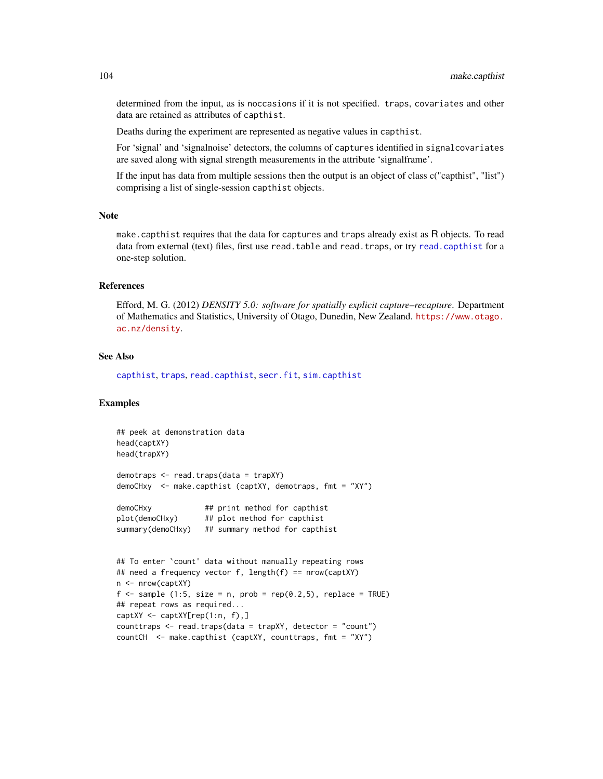determined from the input, as is noccasions if it is not specified. traps, covariates and other data are retained as attributes of capthist.

Deaths during the experiment are represented as negative values in capthist.

For 'signal' and 'signalnoise' detectors, the columns of captures identified in signalcovariates are saved along with signal strength measurements in the attribute 'signalframe'.

If the input has data from multiple sessions then the output is an object of class c("capthist", "list") comprising a list of single-session capthist objects.

### Note

make.capthist requires that the data for captures and traps already exist as R objects. To read data from external (text) files, first use read.table and read.traps, or try [read.capthist](#page-174-0) for a one-step solution.

# References

Efford, M. G. (2012) *DENSITY 5.0: software for spatially explicit capture–recapture*. Department of Mathematics and Statistics, University of Otago, Dunedin, New Zealand. [https://www.otago.](https://www.otago.ac.nz/density) [ac.nz/density](https://www.otago.ac.nz/density).

# See Also

[capthist](#page-22-0), [traps](#page-267-0), [read.capthist](#page-174-0), [secr.fit](#page-199-0), [sim.capthist](#page-218-0)

## Examples

```
## peek at demonstration data
head(captXY)
head(trapXY)
demotraps <- read.traps(data = trapXY)
demoCHxy <- make.capthist (captXY, demotraps, fmt = "XY")
demoCHxy ## print method for capthist
plot(demoCHxy) ## plot method for capthist
summary(demoCHxy) ## summary method for capthist
## To enter `count' data without manually repeating rows
## need a frequency vector f, length(f) == nrow(captXY)
n <- nrow(captXY)
f \leq - sample (1:5, size = n, prob = rep(0.2,5), replace = TRUE)
## repeat rows as required...
captXY <- captXY[rep(1:n, f),]
counttraps \leq read.traps(data = trapXY, detector = "count")
countCH <- make.capthist (captXY, counttraps, fmt = "XY")
```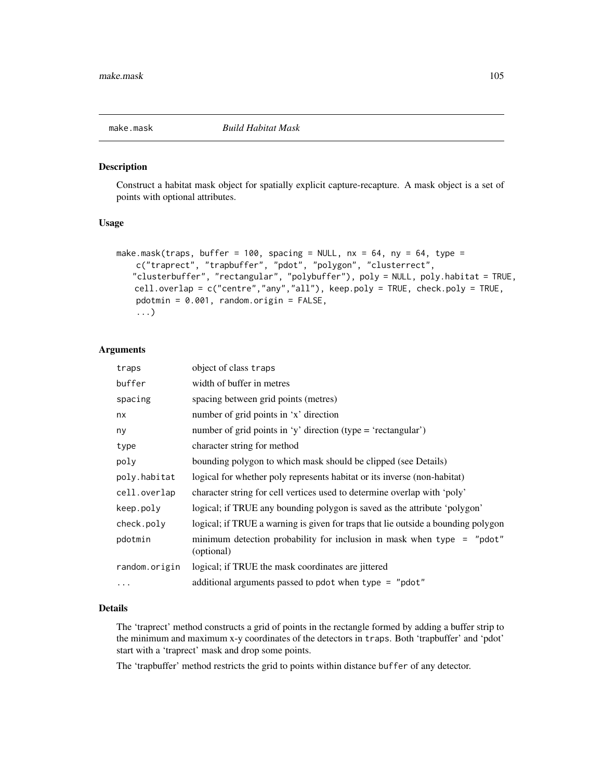#### Description

Construct a habitat mask object for spatially explicit capture-recapture. A mask object is a set of points with optional attributes.

# Usage

```
make.mask(traps, buffer = 100, spacing = NULL, nx = 64, ny = 64, type =
   c("traprect", "trapbuffer", "pdot", "polygon", "clusterrect",
   "clusterbuffer", "rectangular", "polybuffer"), poly = NULL, poly.habitat = TRUE,
   cell.overlap = c("centre","any","all"), keep.poly = TRUE, check.poly = TRUE,
   pdotmin = 0.001, random.origin = FALSE,
    ...)
```
## Arguments

| traps         | object of class traps                                                                  |
|---------------|----------------------------------------------------------------------------------------|
| buffer        | width of buffer in metres                                                              |
| spacing       | spacing between grid points (metres)                                                   |
| nx            | number of grid points in 'x' direction                                                 |
| ny            | number of grid points in 'y' direction (type = 'rectangular')                          |
| type          | character string for method                                                            |
| poly          | bounding polygon to which mask should be clipped (see Details)                         |
| poly.habitat  | logical for whether poly represents habitat or its inverse (non-habitat)               |
| cell.overlap  | character string for cell vertices used to determine overlap with 'poly'               |
| keep.poly     | logical; if TRUE any bounding polygon is saved as the attribute 'polygon'              |
| check.poly    | logical; if TRUE a warning is given for traps that lie outside a bounding polygon      |
| pdotmin       | minimum detection probability for inclusion in mask when type $=$ "pdot"<br>(optional) |
| random.origin | logical; if TRUE the mask coordinates are jittered                                     |
| .             | additional arguments passed to pdot when type = "pdot"                                 |

# Details

The 'traprect' method constructs a grid of points in the rectangle formed by adding a buffer strip to the minimum and maximum x-y coordinates of the detectors in traps. Both 'trapbuffer' and 'pdot' start with a 'traprect' mask and drop some points.

The 'trapbuffer' method restricts the grid to points within distance buffer of any detector.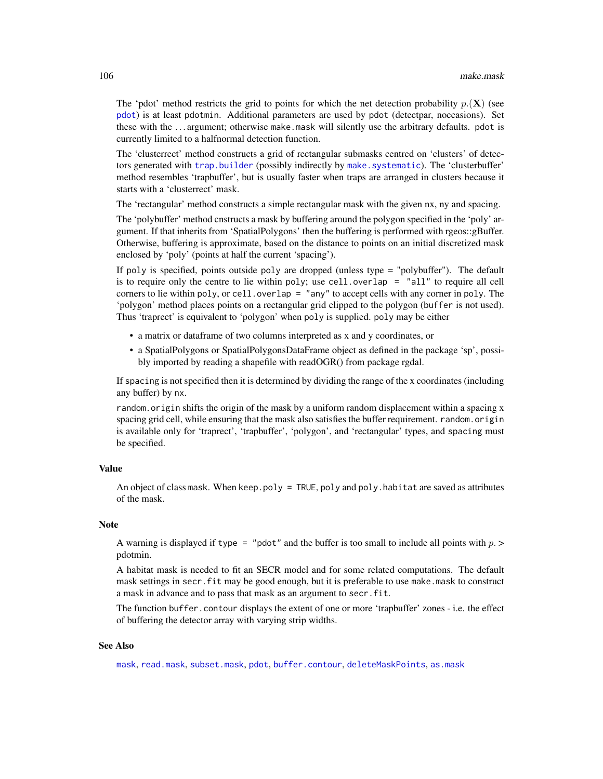The 'pdot' method restricts the grid to points for which the net detection probability  $p(\mathbf{X})$  (see [pdot](#page-134-0)) is at least pdotmin. Additional parameters are used by pdot (detectpar, noccasions). Set these with the . . . argument; otherwise make.mask will silently use the arbitrary defaults. pdot is currently limited to a halfnormal detection function.

The 'clusterrect' method constructs a grid of rectangular submasks centred on 'clusters' of detectors generated with [trap.builder](#page-263-0) (possibly indirectly by [make.systematic](#page-107-0)). The 'clusterbuffer' method resembles 'trapbuffer', but is usually faster when traps are arranged in clusters because it starts with a 'clusterrect' mask.

The 'rectangular' method constructs a simple rectangular mask with the given nx, ny and spacing.

The 'polybuffer' method cnstructs a mask by buffering around the polygon specified in the 'poly' argument. If that inherits from 'SpatialPolygons' then the buffering is performed with rgeos::gBuffer. Otherwise, buffering is approximate, based on the distance to points on an initial discretized mask enclosed by 'poly' (points at half the current 'spacing').

If poly is specified, points outside poly are dropped (unless type = "polybuffer"). The default is to require only the centre to lie within poly; use cell.overlap =  $"all"$  to require all cell corners to lie within poly, or cell.overlap = "any" to accept cells with any corner in poly. The 'polygon' method places points on a rectangular grid clipped to the polygon (buffer is not used). Thus 'traprect' is equivalent to 'polygon' when poly is supplied. poly may be either

- a matrix or dataframe of two columns interpreted as x and y coordinates, or
- a SpatialPolygons or SpatialPolygonsDataFrame object as defined in the package 'sp', possibly imported by reading a shapefile with readOGR() from package rgdal.

If spacing is not specified then it is determined by dividing the range of the x coordinates (including any buffer) by nx.

random.origin shifts the origin of the mask by a uniform random displacement within a spacing x spacing grid cell, while ensuring that the mask also satisfies the buffer requirement. random.origin is available only for 'traprect', 'trapbuffer', 'polygon', and 'rectangular' types, and spacing must be specified.

# Value

An object of class mask. When keep.poly = TRUE, poly and poly.habitat are saved as attributes of the mask.

## **Note**

A warning is displayed if type = "pdot" and the buffer is too small to include all points with  $p >$ pdotmin.

A habitat mask is needed to fit an SECR model and for some related computations. The default mask settings in secr.fit may be good enough, but it is preferable to use make.mask to construct a mask in advance and to pass that mask as an argument to secr.fit.

The function buffer.contour displays the extent of one or more 'trapbuffer' zones - i.e. the effect of buffering the detector array with varying strip widths.

#### See Also

[mask](#page-113-0), [read.mask](#page-177-0), [subset.mask](#page-248-0), [pdot](#page-134-0), [buffer.contour](#page-36-0), [deleteMaskPoints](#page-44-0), [as.mask](#page-16-0)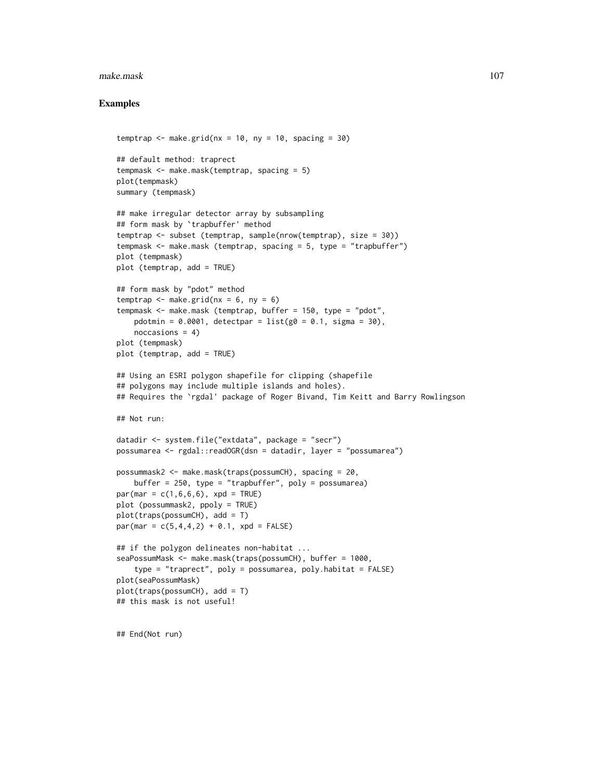#### make.mask 107

# Examples

```
temptrap \leq make.grid(nx = 10, ny = 10, spacing = 30)
## default method: traprect
tempmask <- make.mask(temptrap, spacing = 5)
plot(tempmask)
summary (tempmask)
## make irregular detector array by subsampling
## form mask by `trapbuffer' method
temptrap <- subset (temptrap, sample(nrow(temptrap), size = 30))
tempmask <- make.mask (temptrap, spacing = 5, type = "trapbuffer")
plot (tempmask)
plot (temptrap, add = TRUE)
## form mask by "pdot" method
temptrap \leq make.grid(nx = 6, ny = 6)
tempmask <- make.mask (temptrap, buffer = 150, type = "pdot",
   pdotmin = 0.0001, detectpar = list(g0 = 0.1, sigma = 30),
    noccasions = 4)
plot (tempmask)
plot (temptrap, add = TRUE)
## Using an ESRI polygon shapefile for clipping (shapefile
## polygons may include multiple islands and holes).
## Requires the `rgdal' package of Roger Bivand, Tim Keitt and Barry Rowlingson
## Not run:
datadir <- system.file("extdata", package = "secr")
possumarea <- rgdal::readOGR(dsn = datadir, layer = "possumarea")
possummask2 <- make.mask(traps(possumCH), spacing = 20,
    buffer = 250, type = "trapbuffer", poly = possumarea)
par(max = c(1, 6, 6, 6), xpd = TRUE)
plot (possummask2, ppoly = TRUE)
plot(traps(possumCH), add = T)
par(max = c(5, 4, 4, 2) + 0.1, xpd = FALSE)## if the polygon delineates non-habitat ...
seaPossumMask <- make.mask(traps(possumCH), buffer = 1000,
    type = "traprect", poly = possumarea, poly.habitat = FALSE)
plot(seaPossumMask)
plot(traps(possumCH), add = T)
## this mask is not useful!
```
## End(Not run)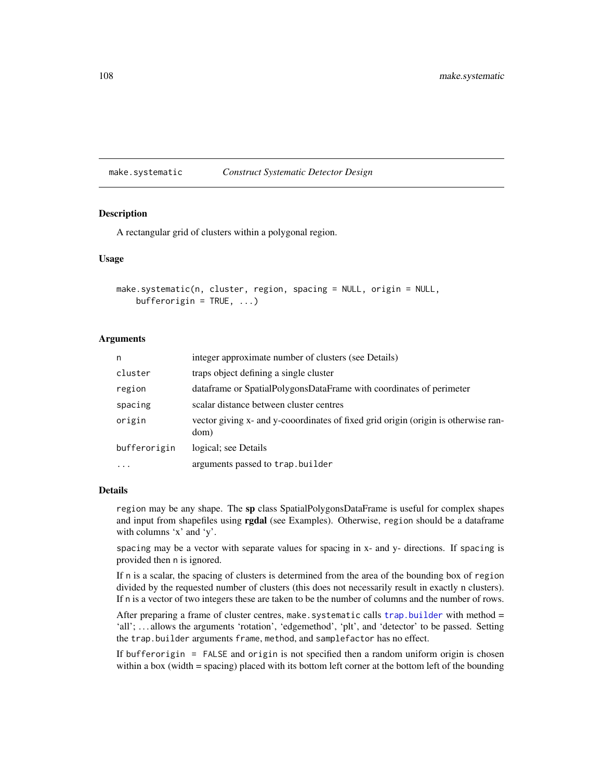<span id="page-107-0"></span>make.systematic *Construct Systematic Detector Design*

# Description

A rectangular grid of clusters within a polygonal region.

### Usage

```
make.systematic(n, cluster, region, spacing = NULL, origin = NULL,
   bufferorigin = TRUE, ...)
```
# Arguments

| n            | integer approximate number of clusters (see Details)                                       |
|--------------|--------------------------------------------------------------------------------------------|
| cluster      | traps object defining a single cluster                                                     |
| region       | dataframe or SpatialPolygonsDataFrame with coordinates of perimeter                        |
| spacing      | scalar distance between cluster centres                                                    |
| origin       | vector giving x- and y-cooordinates of fixed grid origin (origin is otherwise ran-<br>dom) |
| bufferorigin | logical; see Details                                                                       |
| $\cdot$      | arguments passed to trap.builder                                                           |

#### Details

region may be any shape. The sp class SpatialPolygonsDataFrame is useful for complex shapes and input from shapefiles using rgdal (see Examples). Otherwise, region should be a dataframe with columns 'x' and 'y'.

spacing may be a vector with separate values for spacing in x- and y- directions. If spacing is provided then n is ignored.

If n is a scalar, the spacing of clusters is determined from the area of the bounding box of region divided by the requested number of clusters (this does not necessarily result in exactly n clusters). If n is a vector of two integers these are taken to be the number of columns and the number of rows.

After preparing a frame of cluster centres, make. systematic calls trap. builder with method  $=$ 'all'; ... allows the arguments 'rotation', 'edgemethod', 'plt', and 'detector' to be passed. Setting the trap.builder arguments frame, method, and samplefactor has no effect.

If bufferorigin = FALSE and origin is not specified then a random uniform origin is chosen within a box (width = spacing) placed with its bottom left corner at the bottom left of the bounding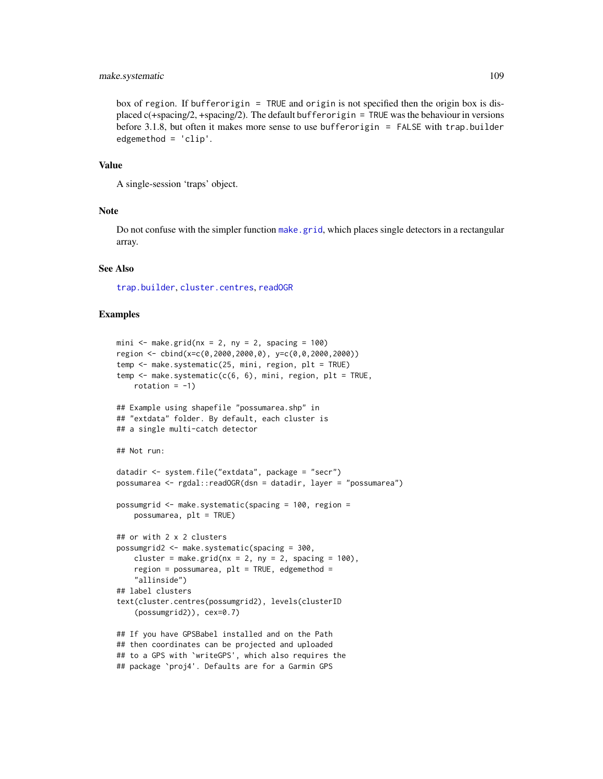# make.systematic 109

box of region. If bufferorigin = TRUE and origin is not specified then the origin box is displaced c(+spacing/2, +spacing/2). The default bufferorigin = TRUE was the behaviour in versions before 3.1.8, but often it makes more sense to use bufferorigin = FALSE with trap.builder edgemethod = 'clip'.

#### Value

A single-session 'traps' object.

# **Note**

Do not confuse with the simpler function [make.grid](#page-109-0), which places single detectors in a rectangular array.

# See Also

[trap.builder](#page-263-0), [cluster.centres](#page-263-1), [readOGR](#page-0-0)

```
mini \leq make.grid(nx = 2, ny = 2, spacing = 100)
region <- cbind(x=c(0,2000,2000,0), y=c(0,0,2000,2000))
temp <- make.systematic(25, mini, region, plt = TRUE)
temp <- make.systematic(c(6, 6), mini, region, plt = TRUE,
   rotation = -1)
## Example using shapefile "possumarea.shp" in
## "extdata" folder. By default, each cluster is
## a single multi-catch detector
## Not run:
datadir <- system.file("extdata", package = "secr")
possumarea <- rgdal::readOGR(dsn = datadir, layer = "possumarea")
possumgrid <- make.systematic(spacing = 100, region =
   possumarea, plt = TRUE)
## or with 2 x 2 clusters
possumgrid2 <- make.systematic(spacing = 300,
   cluster = make.grid(nx = 2, ny = 2, spacing = 100),
    region = possumarea, plt = TRUE, edgemethod =
    "allinside")
## label clusters
text(cluster.centres(possumgrid2), levels(clusterID
    (possumgrid2)), cex=0.7)
## If you have GPSBabel installed and on the Path
## then coordinates can be projected and uploaded
## to a GPS with `writeGPS', which also requires the
## package `proj4'. Defaults are for a Garmin GPS
```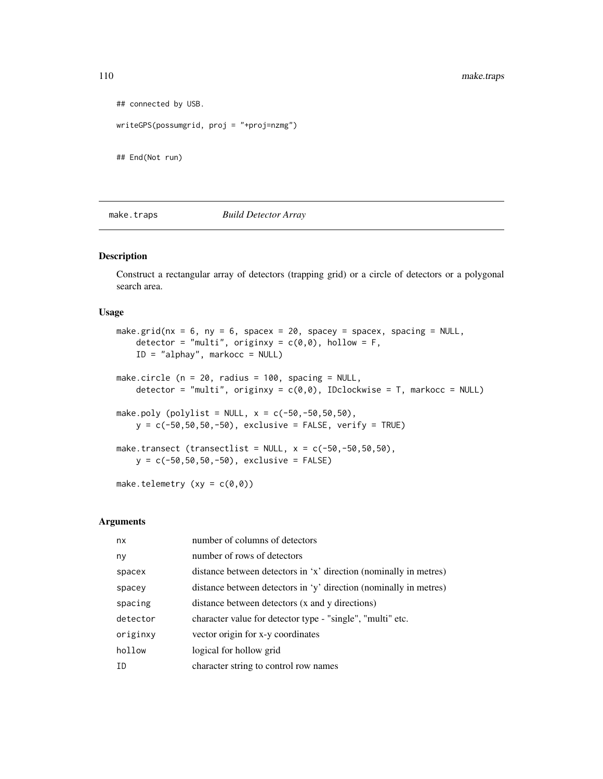```
## connected by USB.
writeGPS(possumgrid, proj = "+proj=nzmg")
```
## End(Not run)

make.traps *Build Detector Array*

# <span id="page-109-0"></span>Description

Construct a rectangular array of detectors (trapping grid) or a circle of detectors or a polygonal search area.

# Usage

```
make.grid(nx = 6, ny = 6, spacex = 20, spacey = spacex, spacing = NULL,
    detector = "multi", originxy = c(\emptyset, \emptyset), hollow = F,
    ID = "alphay", markocc = NULL)
make.circle (n = 20, radius = 100, spacing = NULL,
    detector = "multi", originxy = c(0,0), IDclockwise = T, markocc = NULL)
make.poly (polylist = NULL, x = c(-50, -50, 50, 50),
    y = c(-50, 50, 50, -50), exclusive = FALSE, verify = TRUE)
make.transect (transectlist = NULL, x = c(-50, -50, 50, 50),
    y = c(-50, 50, 50, -50), exclusive = FALSE)
make.telemetry (xy = c(0,0))
```
#### Arguments

| nx       | number of columns of detectors                                    |
|----------|-------------------------------------------------------------------|
| ny       | number of rows of detectors                                       |
| spacex   | distance between detectors in 'x' direction (nominally in metres) |
| spacey   | distance between detectors in 'y' direction (nominally in metres) |
| spacing  | distance between detectors (x and y directions)                   |
| detector | character value for detector type - "single", "multi" etc.        |
| originxy | vector origin for x-y coordinates                                 |
| hollow   | logical for hollow grid                                           |
| ΙD       | character string to control row names                             |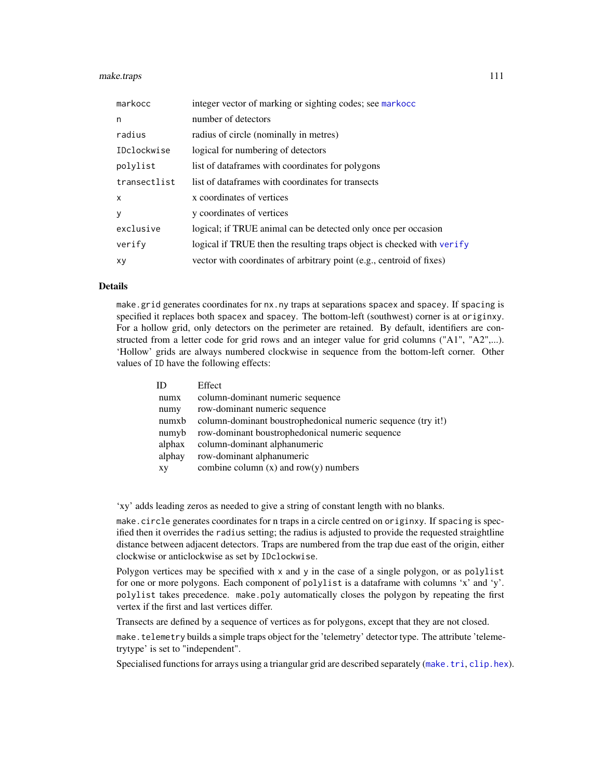## make.traps 111

| markocc                   | integer vector of marking or sighting codes; see markocc               |
|---------------------------|------------------------------------------------------------------------|
| n                         | number of detectors                                                    |
| radius                    | radius of circle (nominally in metres)                                 |
| IDclockwise               | logical for numbering of detectors                                     |
| polylist                  | list of dataframes with coordinates for polygons                       |
| transectlist              | list of dataframes with coordinates for transects                      |
| $\boldsymbol{\mathsf{x}}$ | x coordinates of vertices                                              |
| y                         | y coordinates of vertices                                              |
| exclusive                 | logical; if TRUE animal can be detected only once per occasion         |
| verify                    | logical if TRUE then the resulting traps object is checked with verify |
| xy                        | vector with coordinates of arbitrary point (e.g., centroid of fixes)   |

# Details

make.grid generates coordinates for nx.ny traps at separations spacex and spacey. If spacing is specified it replaces both spacex and spacey. The bottom-left (southwest) corner is at originxy. For a hollow grid, only detectors on the perimeter are retained. By default, identifiers are constructed from a letter code for grid rows and an integer value for grid columns ("A1", "A2",...). 'Hollow' grids are always numbered clockwise in sequence from the bottom-left corner. Other values of ID have the following effects:

| ID     | Effect                                                       |
|--------|--------------------------------------------------------------|
| numx   | column-dominant numeric sequence                             |
| numy   | row-dominant numeric sequence                                |
| numxb  | column-dominant boustrophedonical numeric sequence (try it!) |
| numyb  | row-dominant boustrophedonical numeric sequence              |
| alphax | column-dominant alphanumeric                                 |
| alphay | row-dominant alphanumeric                                    |
| XY     | combine column $(x)$ and row $(y)$ numbers                   |

'xy' adds leading zeros as needed to give a string of constant length with no blanks.

make.circle generates coordinates for n traps in a circle centred on originxy. If spacing is specified then it overrides the radius setting; the radius is adjusted to provide the requested straightline distance between adjacent detectors. Traps are numbered from the trap due east of the origin, either clockwise or anticlockwise as set by IDclockwise.

Polygon vertices may be specified with x and y in the case of a single polygon, or as polylist for one or more polygons. Each component of polylist is a dataframe with columns 'x' and 'y'. polylist takes precedence. make.poly automatically closes the polygon by repeating the first vertex if the first and last vertices differ.

Transects are defined by a sequence of vertices as for polygons, except that they are not closed.

make.telemetry builds a simple traps object for the 'telemetry' detector type. The attribute 'telemetrytype' is set to "independent".

Specialised functions for arrays using a triangular grid are described separately ([make.tri](#page-112-0), [clip.hex](#page-112-1)).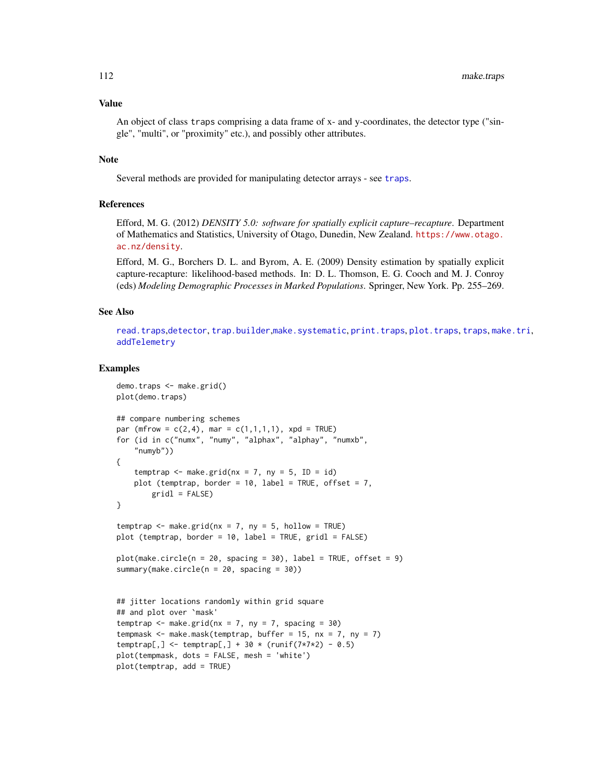# Value

An object of class traps comprising a data frame of x- and y-coordinates, the detector type ("single", "multi", or "proximity" etc.), and possibly other attributes.

# Note

Several methods are provided for manipulating detector arrays - see [traps](#page-267-0).

# References

Efford, M. G. (2012) *DENSITY 5.0: software for spatially explicit capture–recapture*. Department of Mathematics and Statistics, University of Otago, Dunedin, New Zealand. [https://www.otago.](https://www.otago.ac.nz/density) [ac.nz/density](https://www.otago.ac.nz/density).

Efford, M. G., Borchers D. L. and Byrom, A. E. (2009) Density estimation by spatially explicit capture-recapture: likelihood-based methods. In: D. L. Thomson, E. G. Cooch and M. J. Conroy (eds) *Modeling Demographic Processes in Marked Populations*. Springer, New York. Pp. 255–269.

# See Also

[read.traps](#page-179-0),[detector](#page-53-0), [trap.builder](#page-263-0),[make.systematic](#page-107-0), [print.traps](#page-164-0), [plot.traps](#page-148-0), [traps](#page-267-0), [make.tri](#page-112-0), [addTelemetry](#page-10-0)

```
demo.traps <- make.grid()
plot(demo.traps)
## compare numbering schemes
par (mfrow = c(2, 4), mar = c(1, 1, 1, 1), xpd = TRUE)
for (id in c("numx", "numy", "alphax", "alphay", "numxb",
    "numyb"))
{
    temptrap \leq make.grid(nx = 7, ny = 5, ID = id)
   plot (temptrap, border = 10, label = TRUE, offset = 7,
        gridl = FALSE)
}
temptrap \leq make.grid(nx = 7, ny = 5, hollow = TRUE)
plot (temptrap, border = 10, label = TRUE, gridl = FALSE)
plot(make.circle(n = 20, spacing = 30), label = TRUE, offset = 9)summary(make.circle(n = 20, spacing = 30))
## jitter locations randomly within grid square
## and plot over `mask'
temptrap \leq make.grid(nx = 7, ny = 7, spacing = 30)
tempmask \leq make.mask(temptrap, buffer = 15, nx = 7, ny = 7)
temptrap[,] < -temptrap[,] + 30 * (runif(7*7*2) - 0.5)plot(tempmask, dots = FALSE, mesh = 'white')
plot(temptrap, add = TRUE)
```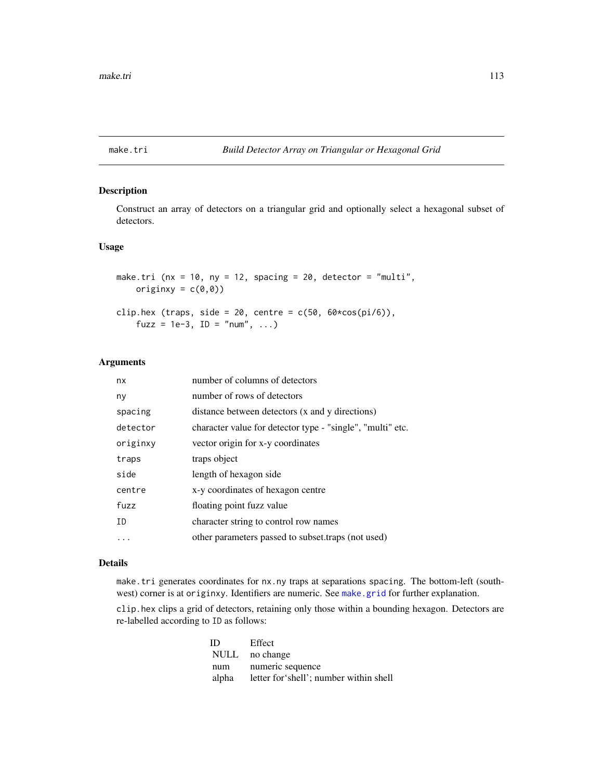<span id="page-112-0"></span>

# <span id="page-112-1"></span>Description

Construct an array of detectors on a triangular grid and optionally select a hexagonal subset of detectors.

# Usage

make.tri ( $nx = 10$ ,  $ny = 12$ , spacing = 20, detector = "multi", originxy =  $c(\emptyset, \emptyset)$ ) clip.hex (traps, side = 20, centre =  $c(50, 60 \times cos(pi/6))$ ,  $fuzz = 1e-3$ , ID = "num", ...)

# Arguments

| nx       | number of columns of detectors                             |
|----------|------------------------------------------------------------|
| ny       | number of rows of detectors                                |
| spacing  | distance between detectors (x and y directions)            |
| detector | character value for detector type - "single", "multi" etc. |
| originxy | vector origin for x-y coordinates                          |
| traps    | traps object                                               |
| side     | length of hexagon side                                     |
| centre   | x-y coordinates of hexagon centre                          |
| fuzz     | floating point fuzz value                                  |
| ID       | character string to control row names                      |
| .        | other parameters passed to subset traps (not used)         |

# Details

make.tri generates coordinates for nx.ny traps at separations spacing. The bottom-left (southwest) corner is at originxy. Identifiers are numeric. See [make.grid](#page-109-0) for further explanation.

clip.hex clips a grid of detectors, retaining only those within a bounding hexagon. Detectors are re-labelled according to ID as follows:

| ID.   | Effect                                  |
|-------|-----------------------------------------|
|       | NULL no change                          |
| num   | numeric sequence                        |
| alpha | letter for 'shell'; number within shell |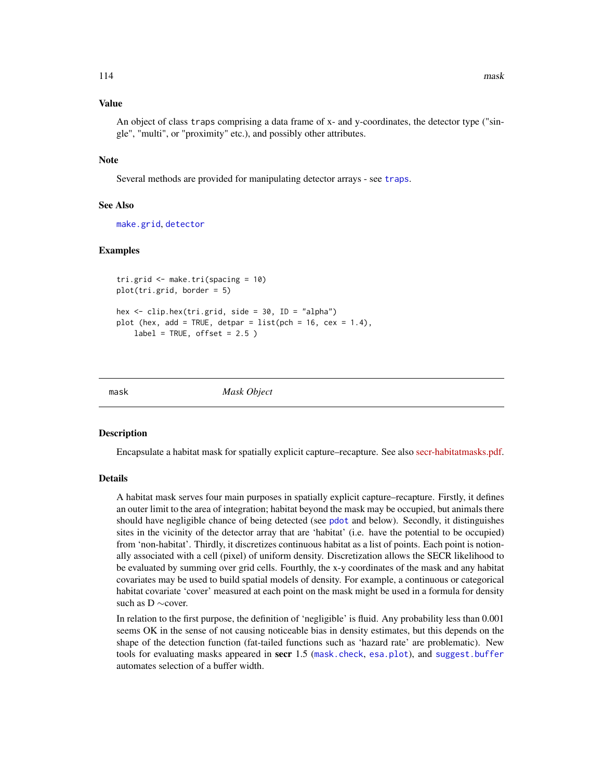# Value

An object of class traps comprising a data frame of x- and y-coordinates, the detector type ("single", "multi", or "proximity" etc.), and possibly other attributes.

# Note

Several methods are provided for manipulating detector arrays - see [traps](#page-267-0).

# See Also

[make.grid](#page-109-0), [detector](#page-53-0)

#### Examples

```
tri.grid <- make.tri(spacing = 10)
plot(tri.grid, border = 5)
hex \le clip.hex(tri.grid, side = 30, ID = "alpha")
plot (hex, add = TRUE, detpar = list(pch = 16, cex = 1.4),
   label = TRUE, offset = 2.5)
```
<span id="page-113-0"></span>mask *Mask Object*

#### Description

Encapsulate a habitat mask for spatially explicit capture–recapture. See also [secr-habitatmasks.pdf.](https://www.otago.ac.nz/density/pdfs/secr-habitatmasks.pdf)

## Details

A habitat mask serves four main purposes in spatially explicit capture–recapture. Firstly, it defines an outer limit to the area of integration; habitat beyond the mask may be occupied, but animals there should have negligible chance of being detected (see [pdot](#page-134-0) and below). Secondly, it distinguishes sites in the vicinity of the detector array that are 'habitat' (i.e. have the potential to be occupied) from 'non-habitat'. Thirdly, it discretizes continuous habitat as a list of points. Each point is notionally associated with a cell (pixel) of uniform density. Discretization allows the SECR likelihood to be evaluated by summing over grid cells. Fourthly, the x-y coordinates of the mask and any habitat covariates may be used to build spatial models of density. For example, a continuous or categorical habitat covariate 'cover' measured at each point on the mask might be used in a formula for density such as D ∼cover.

In relation to the first purpose, the definition of 'negligible' is fluid. Any probability less than 0.001 seems OK in the sense of not causing noticeable bias in density estimates, but this depends on the shape of the detection function (fat-tailed functions such as 'hazard rate' are problematic). New tools for evaluating masks appeared in secr 1.5 ([mask.check](#page-114-0), [esa.plot](#page-66-0)), and [suggest.buffer](#page-252-0) automates selection of a buffer width.

114 mask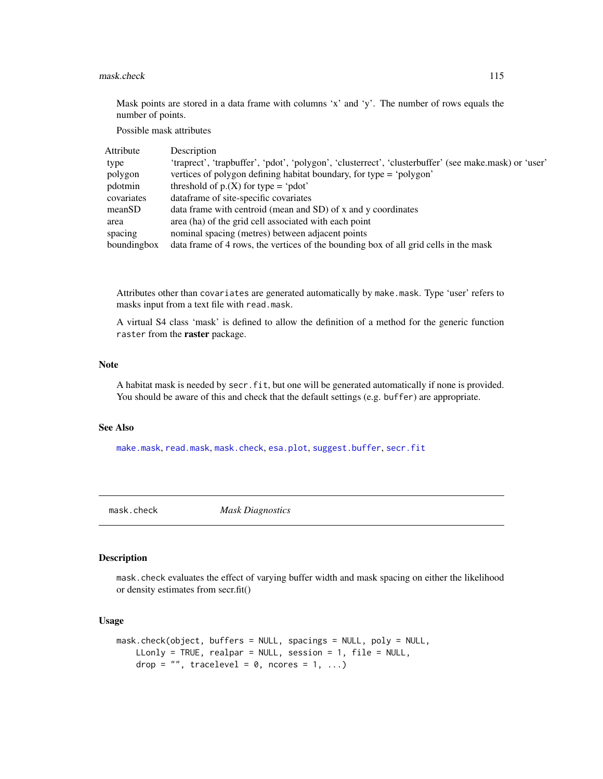## mask.check 115

Mask points are stored in a data frame with columns 'x' and 'y'. The number of rows equals the number of points.

Possible mask attributes

| Attribute   | Description                                                                                           |
|-------------|-------------------------------------------------------------------------------------------------------|
| type        | 'traprect', 'trapbuffer', 'pdot', 'polygon', 'clusterrect', 'clusterbuffer' (see make.mask) or 'user' |
| polygon     | vertices of polygon defining habitat boundary, for type = 'polygon'                                   |
| pdotmin     | threshold of $p(X)$ for type = 'pdot'                                                                 |
| covariates  | dataframe of site-specific covariates                                                                 |
| meanSD      | data frame with centroid (mean and SD) of x and y coordinates                                         |
| area        | area (ha) of the grid cell associated with each point                                                 |
| spacing     | nominal spacing (metres) between adjacent points                                                      |
| boundingbox | data frame of 4 rows, the vertices of the bounding box of all grid cells in the mask                  |

Attributes other than covariates are generated automatically by make.mask. Type 'user' refers to masks input from a text file with read.mask.

A virtual S4 class 'mask' is defined to allow the definition of a method for the generic function raster from the raster package.

## Note

A habitat mask is needed by secr.fit, but one will be generated automatically if none is provided. You should be aware of this and check that the default settings (e.g. buffer) are appropriate.

# See Also

[make.mask](#page-104-0), [read.mask](#page-177-0), [mask.check](#page-114-0), [esa.plot](#page-66-0), [suggest.buffer](#page-252-0), [secr.fit](#page-199-0)

<span id="page-114-0"></span>

mask.check *Mask Diagnostics*

# Description

mask.check evaluates the effect of varying buffer width and mask spacing on either the likelihood or density estimates from secr.fit()

# Usage

```
mask.check(object, buffers = NULL, spacings = NULL, poly = NULL,
   LLonly = TRUE, realpar = NULL, session = 1, file = NULL,
   drop = "", tracelevel = 0, ncores = 1, ...)
```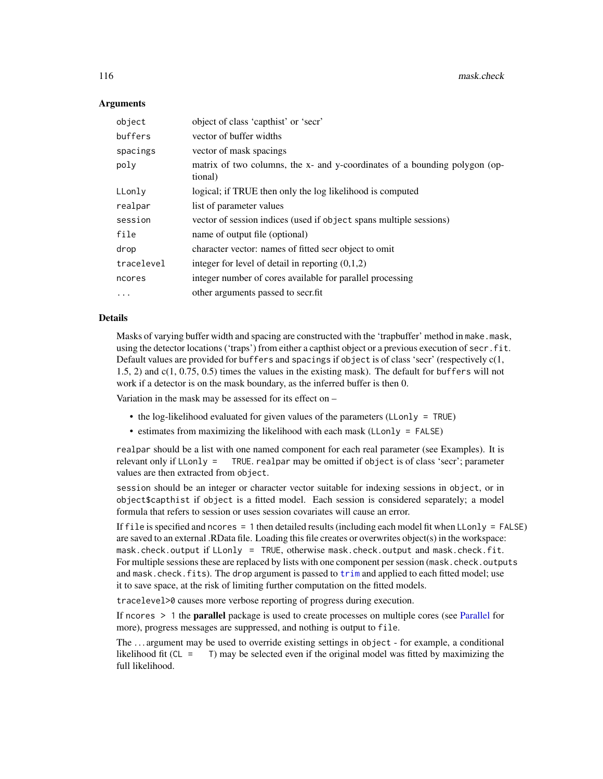116 mask.check

# Arguments

| object     | object of class 'capthist' or 'secr'                                                  |
|------------|---------------------------------------------------------------------------------------|
| buffers    | vector of buffer widths                                                               |
| spacings   | vector of mask spacings                                                               |
| poly       | matrix of two columns, the x- and y-coordinates of a bounding polygon (op-<br>tional) |
| LLonly     | logical; if TRUE then only the log likelihood is computed                             |
| realpar    | list of parameter values                                                              |
| session    | vector of session indices (used if object spans multiple sessions)                    |
| file       | name of output file (optional)                                                        |
| drop       | character vector: names of fitted secr object to omit                                 |
| tracelevel | integer for level of detail in reporting $(0,1,2)$                                    |
| ncores     | integer number of cores available for parallel processing                             |
| $\cdots$   | other arguments passed to secrifit                                                    |

## Details

Masks of varying buffer width and spacing are constructed with the 'trapbuffer' method in make.mask, using the detector locations ('traps') from either a capthist object or a previous execution of secr. fit. Default values are provided for buffers and spacings if object is of class 'secr' (respectively  $c(1, 1)$ 1.5, 2) and c(1, 0.75, 0.5) times the values in the existing mask). The default for buffers will not work if a detector is on the mask boundary, as the inferred buffer is then 0.

Variation in the mask may be assessed for its effect on –

- the log-likelihood evaluated for given values of the parameters (LLonly = TRUE)
- estimates from maximizing the likelihood with each mask (LLonly = FALSE)

realpar should be a list with one named component for each real parameter (see Examples). It is relevant only if LLonly = TRUE. realpar may be omitted if object is of class 'secr'; parameter values are then extracted from object.

session should be an integer or character vector suitable for indexing sessions in object, or in object\$capthist if object is a fitted model. Each session is considered separately; a model formula that refers to session or uses session covariates will cause an error.

If file is specified and ncores  $= 1$  then detailed results (including each model fit when LLonly  $=$  FALSE) are saved to an external .RData file. Loading this file creates or overwrites object(s) in the workspace: mask.check.output if LLonly = TRUE, otherwise mask.check.output and mask.check.fit. For multiple sessions these are replaced by lists with one component per session (mask.check.outputs and mask.check.fits). The drop argument is passed to [trim](#page-270-0) and applied to each fitted model; use it to save space, at the risk of limiting further computation on the fitted models.

tracelevel>0 causes more verbose reporting of progress during execution.

If ncores > 1 the parallel package is used to create processes on multiple cores (see [Parallel](#page-131-0) for more), progress messages are suppressed, and nothing is output to file.

The . . . argument may be used to override existing settings in object - for example, a conditional likelihood fit ( $CL = T$ ) may be selected even if the original model was fitted by maximizing the full likelihood.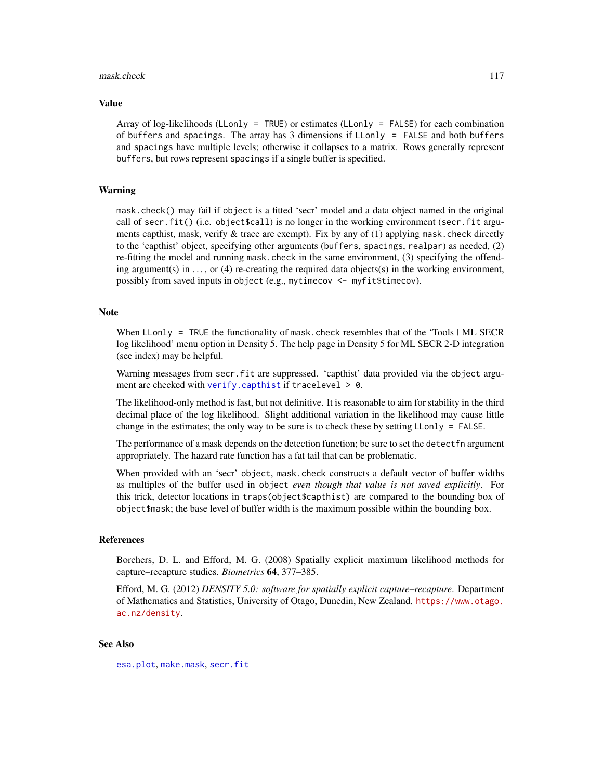## mask.check 117

## Value

Array of log-likelihoods (LLonly = TRUE) or estimates (LLonly = FALSE) for each combination of buffers and spacings. The array has 3 dimensions if LLonly = FALSE and both buffers and spacings have multiple levels; otherwise it collapses to a matrix. Rows generally represent buffers, but rows represent spacings if a single buffer is specified.

# Warning

mask.check() may fail if object is a fitted 'secr' model and a data object named in the original call of secr.fit() (i.e. object \$call) is no longer in the working environment (secr.fit arguments capthist, mask, verify  $\&$  trace are exempt). Fix by any of (1) applying mask, check directly to the 'capthist' object, specifying other arguments (buffers, spacings, realpar) as needed, (2) re-fitting the model and running mask.check in the same environment, (3) specifying the offending argument(s) in ..., or (4) re-creating the required data objects(s) in the working environment, possibly from saved inputs in object (e.g., mytimecov <- myfit\$timecov).

# **Note**

When LLonly = TRUE the functionality of mask.check resembles that of the 'Tools | ML SECR log likelihood' menu option in Density 5. The help page in Density 5 for ML SECR 2-D integration (see index) may be helpful.

Warning messages from secr.fit are suppressed. 'capthist' data provided via the object argument are checked with [verify.capthist](#page-284-1) if tracelevel  $> 0$ .

The likelihood-only method is fast, but not definitive. It is reasonable to aim for stability in the third decimal place of the log likelihood. Slight additional variation in the likelihood may cause little change in the estimates; the only way to be sure is to check these by setting LLonly = FALSE.

The performance of a mask depends on the detection function; be sure to set the detectfn argument appropriately. The hazard rate function has a fat tail that can be problematic.

When provided with an 'secr' object, mask.check constructs a default vector of buffer widths as multiples of the buffer used in object *even though that value is not saved explicitly*. For this trick, detector locations in traps(object\$capthist) are compared to the bounding box of object\$mask; the base level of buffer width is the maximum possible within the bounding box.

# References

Borchers, D. L. and Efford, M. G. (2008) Spatially explicit maximum likelihood methods for capture–recapture studies. *Biometrics* 64, 377–385.

Efford, M. G. (2012) *DENSITY 5.0: software for spatially explicit capture–recapture*. Department of Mathematics and Statistics, University of Otago, Dunedin, New Zealand. [https://www.otago.](https://www.otago.ac.nz/density) [ac.nz/density](https://www.otago.ac.nz/density).

# See Also

[esa.plot](#page-66-0), [make.mask](#page-104-0), [secr.fit](#page-199-0)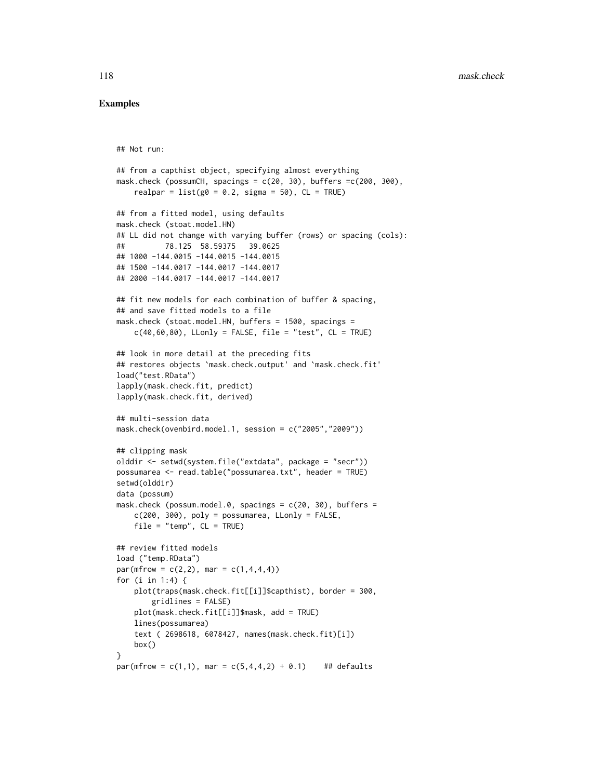```
## Not run:
```

```
## from a capthist object, specifying almost everything
mask.check (possumCH, spacings = c(20, 30), buffers =c(200, 300),
    realpar = list(g0 = 0.2, sigma = 50), CL = TRUE## from a fitted model, using defaults
mask.check (stoat.model.HN)
## LL did not change with varying buffer (rows) or spacing (cols):
## 78.125 58.59375 39.0625
## 1000 -144.0015 -144.0015 -144.0015
## 1500 -144.0017 -144.0017 -144.0017
## 2000 -144.0017 -144.0017 -144.0017
## fit new models for each combination of buffer & spacing,
## and save fitted models to a file
mask.check (stoat.model.HN, buffers = 1500, spacings =
    c(40,60,80), LLonly = FALSE, file = "test", CL = TRUE)
## look in more detail at the preceding fits
## restores objects `mask.check.output' and `mask.check.fit'
load("test.RData")
lapply(mask.check.fit, predict)
lapply(mask.check.fit, derived)
## multi-session data
mask.check(ovenbird.model.1, session = c("2005","2009"))
## clipping mask
olddir <- setwd(system.file("extdata", package = "secr"))
possumarea <- read.table("possumarea.txt", header = TRUE)
setwd(olddir)
data (possum)
mask.check (possum.model.0, spacings = c(20, 30), buffers =
    c(200, 300), poly = possumarea, Llonly = FALSE,
    file = "temp", CL = TRUE)## review fitted models
load ("temp.RData")
par(mfrow = c(2,2), mar = c(1,4,4,4))for (i in 1:4) {
    plot(traps(mask.check.fit[[i]]$capthist), border = 300,
        gridlines = FALSE)
    plot(mask.check.fit[[i]]$mask, add = TRUE)
    lines(possumarea)
    text ( 2698618, 6078427, names(mask.check.fit)[i])
    box()
}
par(mfrow = c(1,1), mar = c(5,4,4,2) + 0.1) ## defaults
```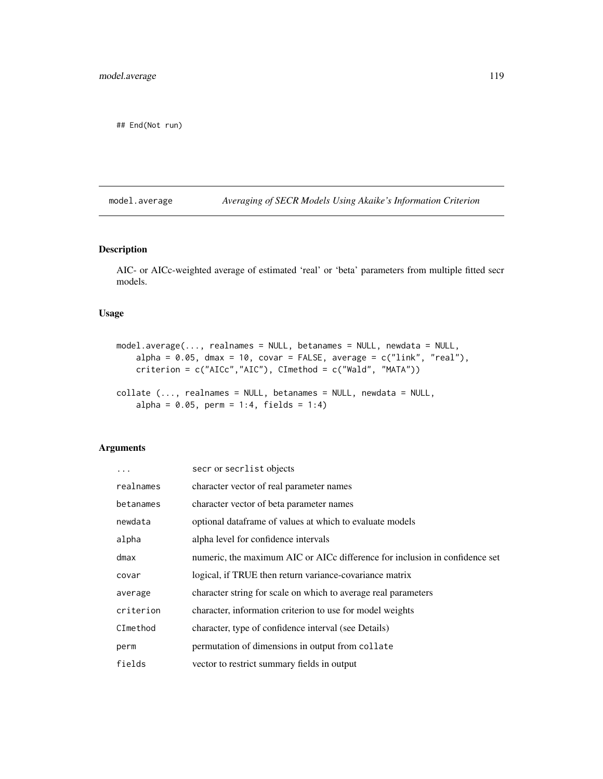## End(Not run)

model.average *Averaging of SECR Models Using Akaike's Information Criterion*

# Description

AIC- or AICc-weighted average of estimated 'real' or 'beta' parameters from multiple fitted secr models.

# Usage

```
model.average(..., realnames = NULL, betanames = NULL, newdata = NULL,
    alpha = 0.05, dmax = 10, covar = FALSE, average = c("link", "real"),criterion = c("AICc","AIC"), CImethod = c("Wald", "MATA"))
collate (..., realnames = NULL, betanames = NULL, newdata = NULL,
    alpha = 0.05, perm = 1:4, fields = 1:4)
```
# Arguments

| .         | secr or secrlist objects                                                    |
|-----------|-----------------------------------------------------------------------------|
| realnames | character vector of real parameter names                                    |
| betanames | character vector of beta parameter names                                    |
| newdata   | optional dataframe of values at which to evaluate models                    |
| alpha     | alpha level for confidence intervals                                        |
| dmax      | numeric, the maximum AIC or AICc difference for inclusion in confidence set |
| covar     | logical, if TRUE then return variance-covariance matrix                     |
| average   | character string for scale on which to average real parameters              |
| criterion | character, information criterion to use for model weights                   |
| CImethod  | character, type of confidence interval (see Details)                        |
| perm      | permutation of dimensions in output from collate                            |
| fields    | vector to restrict summary fields in output                                 |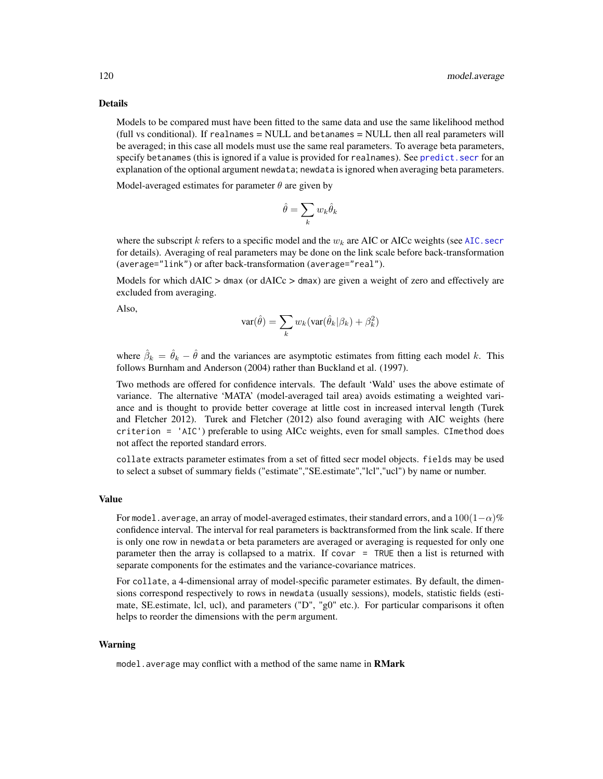## Details

Models to be compared must have been fitted to the same data and use the same likelihood method (full vs conditional). If realnames = NULL and betanames = NULL then all real parameters will be averaged; in this case all models must use the same real parameters. To average beta parameters, specify betanames (this is ignored if a value is provided for realnames). See [predict.secr](#page-157-0) for an explanation of the optional argument newdata; newdata is ignored when averaging beta parameters.

Model-averaged estimates for parameter  $\theta$  are given by

$$
\hat{\theta} = \sum_k w_k \hat{\theta}_k
$$

where the subscript k refers to a specific model and the  $w_k$  are AIC or AICc weights (see AIC. secr for details). Averaging of real parameters may be done on the link scale before back-transformation (average="link") or after back-transformation (average="real").

Models for which  $dAIC > dmax$  (or  $dAICc > dmax$ ) are given a weight of zero and effectively are excluded from averaging.

Also,

$$
var(\hat{\theta}) = \sum_{k} w_k (var(\hat{\theta}_k | \beta_k) + \beta_k^2)
$$

where  $\hat{\beta}_k = \hat{\theta}_k - \hat{\theta}$  and the variances are asymptotic estimates from fitting each model k. This follows Burnham and Anderson (2004) rather than Buckland et al. (1997).

Two methods are offered for confidence intervals. The default 'Wald' uses the above estimate of variance. The alternative 'MATA' (model-averaged tail area) avoids estimating a weighted variance and is thought to provide better coverage at little cost in increased interval length (Turek and Fletcher 2012). Turek and Fletcher (2012) also found averaging with AIC weights (here criterion = 'AIC') preferable to using AICc weights, even for small samples. CImethod does not affect the reported standard errors.

collate extracts parameter estimates from a set of fitted secr model objects. fields may be used to select a subset of summary fields ("estimate","SE.estimate","lcl","ucl") by name or number.

# Value

For model.average, an array of model-averaged estimates, their standard errors, and a  $100(1-\alpha)\%$ confidence interval. The interval for real parameters is backtransformed from the link scale. If there is only one row in newdata or beta parameters are averaged or averaging is requested for only one parameter then the array is collapsed to a matrix. If covar = TRUE then a list is returned with separate components for the estimates and the variance-covariance matrices.

For collate, a 4-dimensional array of model-specific parameter estimates. By default, the dimensions correspond respectively to rows in newdata (usually sessions), models, statistic fields (estimate, SE.estimate, lcl, ucl), and parameters ("D", "g0" etc.). For particular comparisons it often helps to reorder the dimensions with the perm argument.

# Warning

model. average may conflict with a method of the same name in **RMark**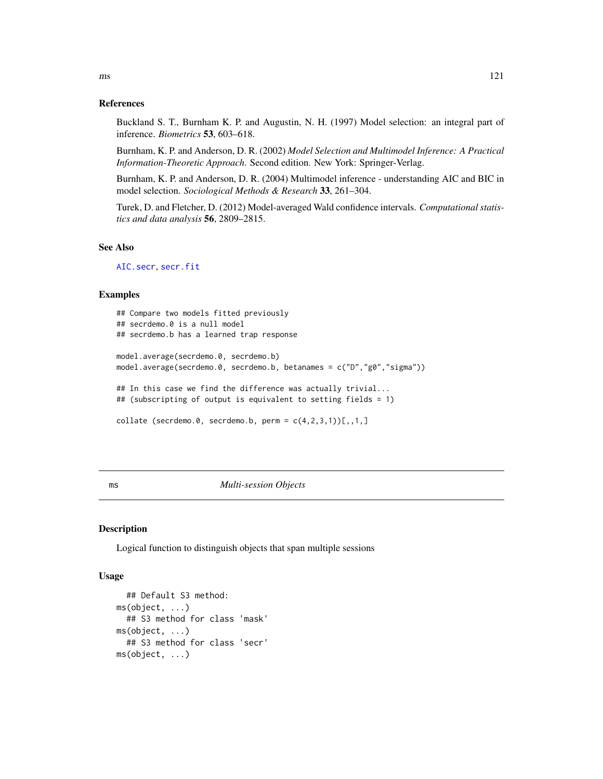#### References

Buckland S. T., Burnham K. P. and Augustin, N. H. (1997) Model selection: an integral part of inference. *Biometrics* 53, 603–618.

Burnham, K. P. and Anderson, D. R. (2002) *Model Selection and Multimodel Inference: A Practical Information-Theoretic Approach*. Second edition. New York: Springer-Verlag.

Burnham, K. P. and Anderson, D. R. (2004) Multimodel inference - understanding AIC and BIC in model selection. *Sociological Methods & Research* 33, 261–304.

Turek, D. and Fletcher, D. (2012) Model-averaged Wald confidence intervals. *Computational statistics and data analysis* 56, 2809–2815.

# See Also

[AIC.secr](#page-12-0), [secr.fit](#page-199-0)

#### Examples

```
## Compare two models fitted previously
## secrdemo.0 is a null model
## secrdemo.b has a learned trap response
model.average(secrdemo.0, secrdemo.b)
model.average(secrdemo.0, secrdemo.b, betanames = c("D","g0","sigma"))
## In this case we find the difference was actually trivial...
## (subscripting of output is equivalent to setting fields = 1)
collate (secrdemo.0, secrdemo.b, perm = c(4,2,3,1)[1,1,1]
```
ms *Multi-session Objects*

# Description

Logical function to distinguish objects that span multiple sessions

#### Usage

```
## Default S3 method:
ms(object, ...)
  ## S3 method for class 'mask'
ms(object, ...)
  ## S3 method for class 'secr'
ms(object, ...)
```
 $\text{ms}$  121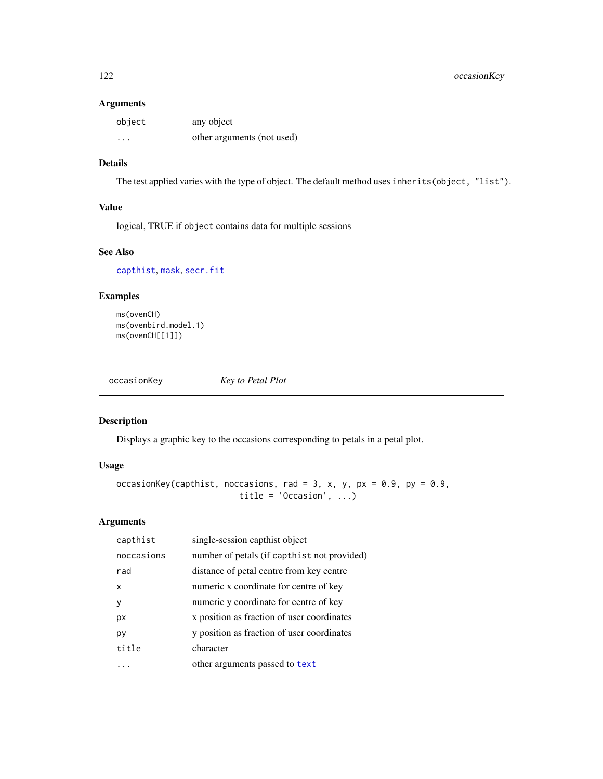# Arguments

| object   | any object                 |
|----------|----------------------------|
| $\cdots$ | other arguments (not used) |

# Details

The test applied varies with the type of object. The default method uses inherits(object, "list").

# Value

logical, TRUE if object contains data for multiple sessions

# See Also

[capthist](#page-22-0), [mask](#page-113-0), [secr.fit](#page-199-0)

# Examples

ms(ovenCH) ms(ovenbird.model.1) ms(ovenCH[[1]])

<span id="page-121-0"></span>occasionKey *Key to Petal Plot*

# Description

Displays a graphic key to the occasions corresponding to petals in a petal plot.

# Usage

```
occasionKey(capthist, noccasions, rad = 3, x, y, px = 0.9, py = 0.9,
                        title = 'Occasion', ...)
```
# Arguments

| capthist   | single-session capthist object              |
|------------|---------------------------------------------|
| noccasions | number of petals (if capthist not provided) |
| rad        | distance of petal centre from key centre    |
| x          | numeric x coordinate for centre of key      |
| ٧          | numeric y coordinate for centre of key      |
| px         | x position as fraction of user coordinates  |
| py         | y position as fraction of user coordinates  |
| title      | character                                   |
|            | other arguments passed to text              |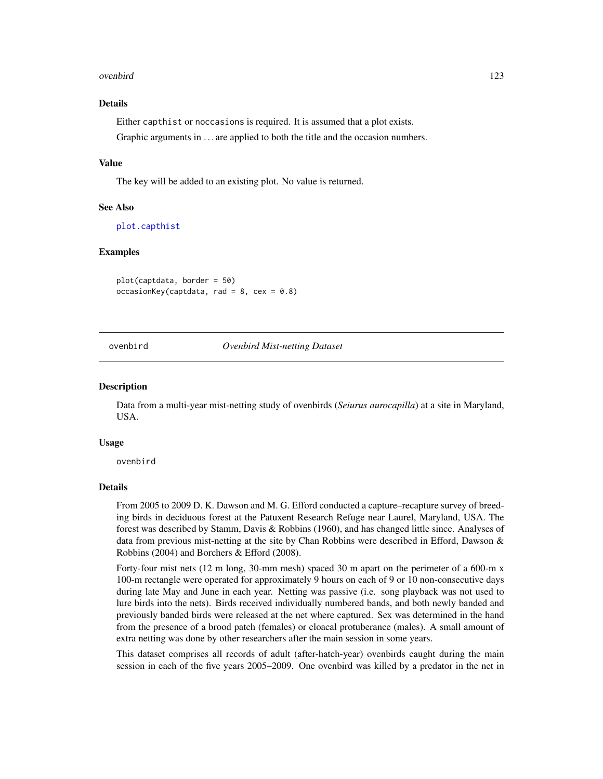## ovenbird 123

# Details

Either capthist or noccasions is required. It is assumed that a plot exists. Graphic arguments in ... are applied to both the title and the occasion numbers.

# Value

The key will be added to an existing plot. No value is returned.

# See Also

[plot.capthist](#page-138-0)

# Examples

plot(captdata, border = 50)  $occasionKey(captdata, rad = 8, cex = 0.8)$ 

<span id="page-122-0"></span>ovenbird *Ovenbird Mist-netting Dataset*

### Description

Data from a multi-year mist-netting study of ovenbirds (*Seiurus aurocapilla*) at a site in Maryland, USA.

## Usage

ovenbird

# Details

From 2005 to 2009 D. K. Dawson and M. G. Efford conducted a capture–recapture survey of breeding birds in deciduous forest at the Patuxent Research Refuge near Laurel, Maryland, USA. The forest was described by Stamm, Davis & Robbins (1960), and has changed little since. Analyses of data from previous mist-netting at the site by Chan Robbins were described in Efford, Dawson & Robbins (2004) and Borchers & Efford (2008).

Forty-four mist nets (12 m long, 30-mm mesh) spaced 30 m apart on the perimeter of a 600-m x 100-m rectangle were operated for approximately 9 hours on each of 9 or 10 non-consecutive days during late May and June in each year. Netting was passive (i.e. song playback was not used to lure birds into the nets). Birds received individually numbered bands, and both newly banded and previously banded birds were released at the net where captured. Sex was determined in the hand from the presence of a brood patch (females) or cloacal protuberance (males). A small amount of extra netting was done by other researchers after the main session in some years.

This dataset comprises all records of adult (after-hatch-year) ovenbirds caught during the main session in each of the five years 2005–2009. One ovenbird was killed by a predator in the net in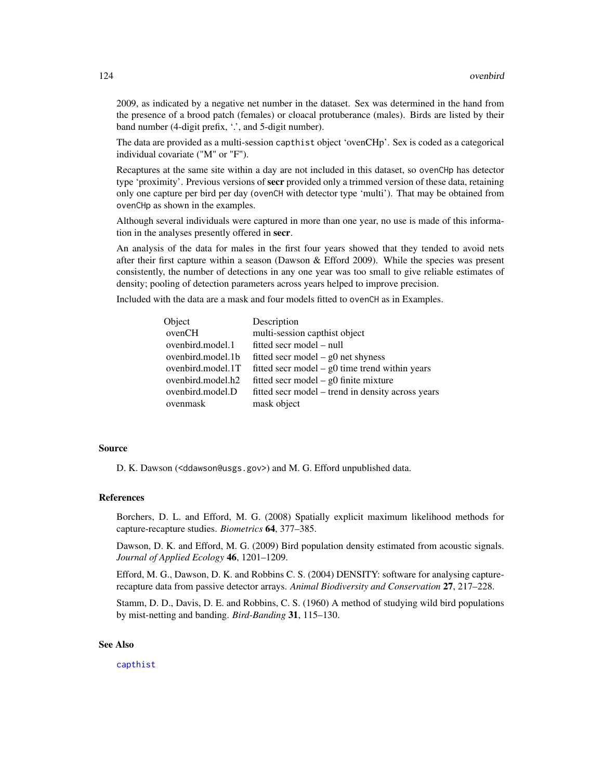2009, as indicated by a negative net number in the dataset. Sex was determined in the hand from the presence of a brood patch (females) or cloacal protuberance (males). Birds are listed by their band number (4-digit prefix, '.', and 5-digit number).

The data are provided as a multi-session capthist object 'ovenCHp'. Sex is coded as a categorical individual covariate ("M" or "F").

Recaptures at the same site within a day are not included in this dataset, so ovenCHp has detector type 'proximity'. Previous versions of **secr** provided only a trimmed version of these data, retaining only one capture per bird per day (ovenCH with detector type 'multi'). That may be obtained from ovenCHp as shown in the examples.

Although several individuals were captured in more than one year, no use is made of this information in the analyses presently offered in secr.

An analysis of the data for males in the first four years showed that they tended to avoid nets after their first capture within a season (Dawson & Efford 2009). While the species was present consistently, the number of detections in any one year was too small to give reliable estimates of density; pooling of detection parameters across years helped to improve precision.

Included with the data are a mask and four models fitted to ovenCH as in Examples.

| Object            | Description                                       |
|-------------------|---------------------------------------------------|
| ovenCH            | multi-session capthist object                     |
| ovenbird.model.1  | fitted secr model – null                          |
| ovenbird.model.1b | fitted secr model – $g0$ net shyness              |
| ovenbird.model.1T | fitted secr model $-$ g0 time trend within years  |
| ovenbird.model.h2 | fitted secr model – $g0$ finite mixture           |
| ovenbird.model.D  | fitted secr model – trend in density across years |
| ovenmask          | mask object                                       |

# Source

D. K. Dawson (<ddawson@usgs.gov>) and M. G. Efford unpublished data.

### References

Borchers, D. L. and Efford, M. G. (2008) Spatially explicit maximum likelihood methods for capture-recapture studies. *Biometrics* 64, 377–385.

Dawson, D. K. and Efford, M. G. (2009) Bird population density estimated from acoustic signals. *Journal of Applied Ecology* 46, 1201–1209.

Efford, M. G., Dawson, D. K. and Robbins C. S. (2004) DENSITY: software for analysing capturerecapture data from passive detector arrays. *Animal Biodiversity and Conservation* 27, 217–228.

Stamm, D. D., Davis, D. E. and Robbins, C. S. (1960) A method of studying wild bird populations by mist-netting and banding. *Bird-Banding* 31, 115–130.

# See Also

[capthist](#page-22-0)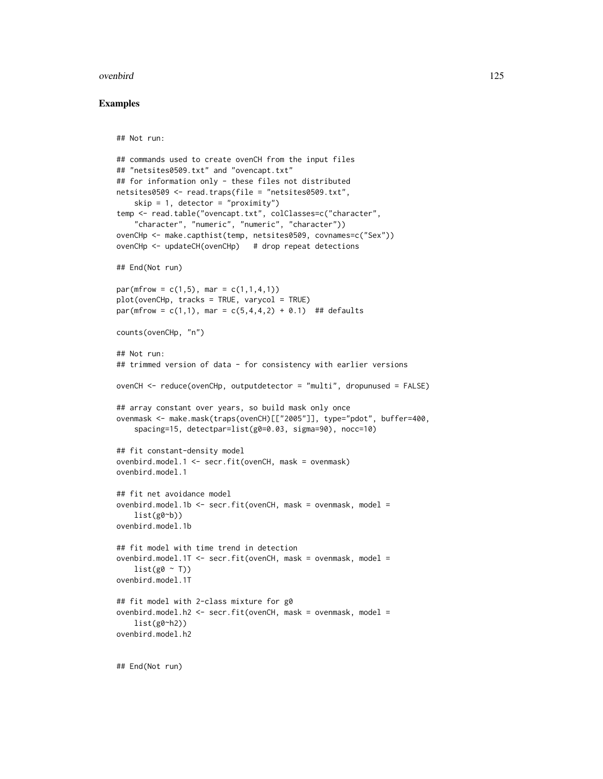## ovenbird and the set of the set of the set of the set of the set of the set of the set of the set of the set of the set of the set of the set of the set of the set of the set of the set of the set of the set of the set of

# Examples

```
## Not run:
## commands used to create ovenCH from the input files
## "netsites0509.txt" and "ovencapt.txt"
## for information only - these files not distributed
netsites0509 <- read.traps(file = "netsites0509.txt",
    skip = 1, detector = "proximity")
temp <- read.table("ovencapt.txt", colClasses=c("character",
    "character", "numeric", "numeric", "character"))
ovenCHp <- make.capthist(temp, netsites0509, covnames=c("Sex"))
ovenCHp <- updateCH(ovenCHp) # drop repeat detections
## End(Not run)
par(mfrow = c(1,5), mar = c(1,1,4,1))plot(ovenCHp, tracks = TRUE, varycol = TRUE)
par(mfrow = c(1,1), mar = c(5,4,4,2) + 0.1) ## defaults
counts(ovenCHp, "n")
## Not run:
## trimmed version of data - for consistency with earlier versions
ovenCH <- reduce(ovenCHp, outputdetector = "multi", dropunused = FALSE)
## array constant over years, so build mask only once
ovenmask <- make.mask(traps(ovenCH)[["2005"]], type="pdot", buffer=400,
    spacing=15, detectpar=list(g0=0.03, sigma=90), nocc=10)
## fit constant-density model
ovenbird.model.1 <- secr.fit(ovenCH, mask = ovenmask)
ovenbird.model.1
## fit net avoidance model
ovenbird.model.1b <- secr.fit(ovenCH, mask = ovenmask, model =
    list(g0<sub>o</sub>)ovenbird.model.1b
## fit model with time trend in detection
ovenbird.model.1T <- secr.fit(ovenCH, mask = ovenmask, model =
    list(g0 \sim T))ovenbird.model.1T
## fit model with 2-class mixture for g0
ovenbird.model.h2 <- secr.fit(ovenCH, mask = ovenmask, model =
   list(g0~h2))
ovenbird.model.h2
```
## End(Not run)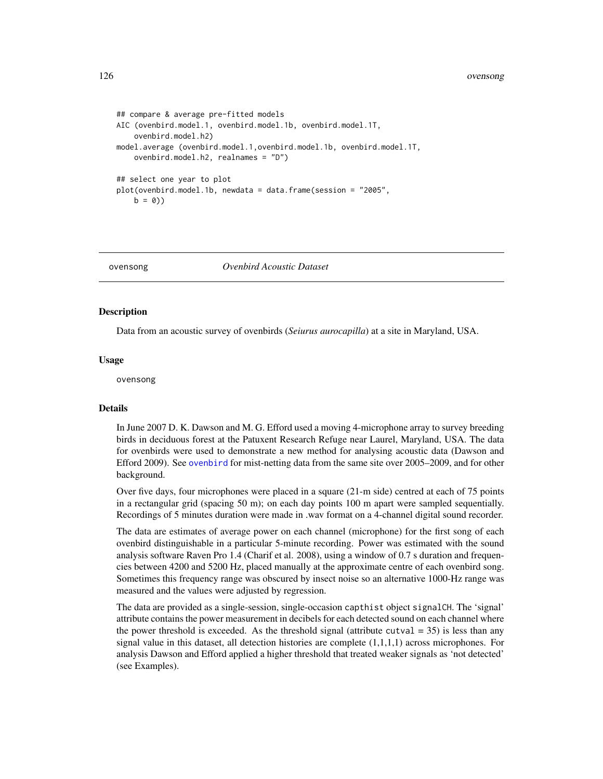```
## compare & average pre-fitted models
AIC (ovenbird.model.1, ovenbird.model.1b, ovenbird.model.1T,
    ovenbird.model.h2)
model.average (ovenbird.model.1,ovenbird.model.1b, ovenbird.model.1T,
   ovenbird.model.h2, realnames = "D")
## select one year to plot
plot(ovenbird.model.1b, newdata = data.frame(session = "2005",
    b = 0)
```
ovensong *Ovenbird Acoustic Dataset*

# Description

Data from an acoustic survey of ovenbirds (*Seiurus aurocapilla*) at a site in Maryland, USA.

#### Usage

ovensong

## Details

In June 2007 D. K. Dawson and M. G. Efford used a moving 4-microphone array to survey breeding birds in deciduous forest at the Patuxent Research Refuge near Laurel, Maryland, USA. The data for ovenbirds were used to demonstrate a new method for analysing acoustic data (Dawson and Efford 2009). See [ovenbird](#page-122-0) for mist-netting data from the same site over 2005–2009, and for other background.

Over five days, four microphones were placed in a square (21-m side) centred at each of 75 points in a rectangular grid (spacing 50 m); on each day points 100 m apart were sampled sequentially. Recordings of 5 minutes duration were made in .wav format on a 4-channel digital sound recorder.

The data are estimates of average power on each channel (microphone) for the first song of each ovenbird distinguishable in a particular 5-minute recording. Power was estimated with the sound analysis software Raven Pro 1.4 (Charif et al. 2008), using a window of 0.7 s duration and frequencies between 4200 and 5200 Hz, placed manually at the approximate centre of each ovenbird song. Sometimes this frequency range was obscured by insect noise so an alternative 1000-Hz range was measured and the values were adjusted by regression.

The data are provided as a single-session, single-occasion capthist object signalCH. The 'signal' attribute contains the power measurement in decibels for each detected sound on each channel where the power threshold is exceeded. As the threshold signal (attribute cutval  $=$  35) is less than any signal value in this dataset, all detection histories are complete  $(1,1,1,1)$  across microphones. For analysis Dawson and Efford applied a higher threshold that treated weaker signals as 'not detected' (see Examples).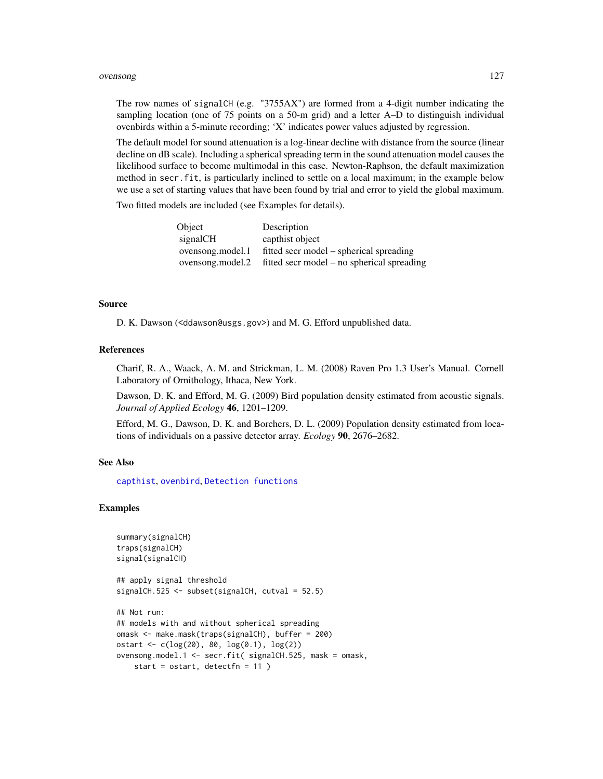## ovensong 127

The row names of signalCH (e.g. "3755AX") are formed from a 4-digit number indicating the sampling location (one of 75 points on a 50-m grid) and a letter A–D to distinguish individual ovenbirds within a 5-minute recording; 'X' indicates power values adjusted by regression.

The default model for sound attenuation is a log-linear decline with distance from the source (linear decline on dB scale). Including a spherical spreading term in the sound attenuation model causes the likelihood surface to become multimodal in this case. Newton-Raphson, the default maximization method in secr.fit, is particularly inclined to settle on a local maximum; in the example below we use a set of starting values that have been found by trial and error to yield the global maximum.

Two fitted models are included (see Examples for details).

| Object           | Description                                                 |
|------------------|-------------------------------------------------------------|
| signalCH         | capthist object                                             |
| ovensong.model.1 | fitted secr model – spherical spreading                     |
|                  | ovensong.model.2 fitted secr model – no spherical spreading |

# Source

D. K. Dawson (<ddawson@usgs.gov>) and M. G. Efford unpublished data.

## References

Charif, R. A., Waack, A. M. and Strickman, L. M. (2008) Raven Pro 1.3 User's Manual. Cornell Laboratory of Ornithology, Ithaca, New York.

Dawson, D. K. and Efford, M. G. (2009) Bird population density estimated from acoustic signals. *Journal of Applied Ecology* 46, 1201–1209.

Efford, M. G., Dawson, D. K. and Borchers, D. L. (2009) Population density estimated from locations of individuals on a passive detector array. *Ecology* 90, 2676–2682.

# See Also

[capthist](#page-22-0), [ovenbird](#page-122-0), [Detection functions](#page-0-0)

```
summary(signalCH)
traps(signalCH)
signal(signalCH)
## apply signal threshold
signalCH.525 <- subset(signalCH, cutval = 52.5)
## Not run:
## models with and without spherical spreading
omask <- make.mask(traps(signalCH), buffer = 200)
ostart <- c(log(20), 80, log(0.1), log(2))
ovensong.model.1 <- secr.fit( signalCH.525, mask = omask,
   start = ostart, detectfn = 11 )
```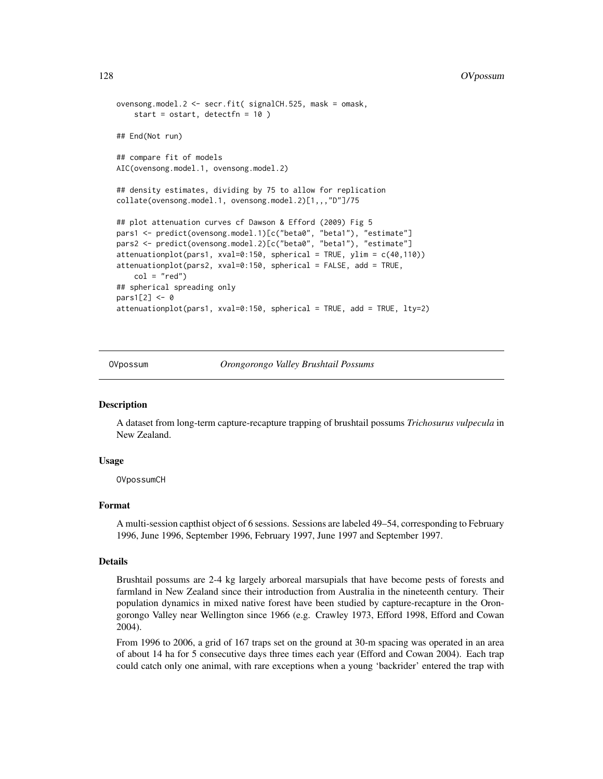```
ovensong.model.2 <- secr.fit( signalCH.525, mask = omask,
    start = ostart, detectfn = 10 )
## End(Not run)
## compare fit of models
AIC(ovensong.model.1, ovensong.model.2)
## density estimates, dividing by 75 to allow for replication
collate(ovensong.model.1, ovensong.model.2)[1,,,"D"]/75
## plot attenuation curves cf Dawson & Efford (2009) Fig 5
pars1 <- predict(ovensong.model.1)[c("beta0", "beta1"), "estimate"]
pars2 <- predict(ovensong.model.2)[c("beta0", "beta1"), "estimate"]
attenuationplot(pars1, xval=0:150, spherical = TRUE, ylim = c(40,110))
attenuationplot(pars2, xval=0:150, spherical = FALSE, add = TRUE,
    col = "red")## spherical spreading only
pars1[2] <- 0
attenuationplot(pars1, xval=0:150, spherical = TRUE, add = TRUE, lty=2)
```
OVpossum *Orongorongo Valley Brushtail Possums*

# Description

A dataset from long-term capture-recapture trapping of brushtail possums *Trichosurus vulpecula* in New Zealand.

## Usage

OVpossumCH

# Format

A multi-session capthist object of 6 sessions. Sessions are labeled 49–54, corresponding to February 1996, June 1996, September 1996, February 1997, June 1997 and September 1997.

#### Details

Brushtail possums are 2-4 kg largely arboreal marsupials that have become pests of forests and farmland in New Zealand since their introduction from Australia in the nineteenth century. Their population dynamics in mixed native forest have been studied by capture-recapture in the Orongorongo Valley near Wellington since 1966 (e.g. Crawley 1973, Efford 1998, Efford and Cowan 2004).

From 1996 to 2006, a grid of 167 traps set on the ground at 30-m spacing was operated in an area of about 14 ha for 5 consecutive days three times each year (Efford and Cowan 2004). Each trap could catch only one animal, with rare exceptions when a young 'backrider' entered the trap with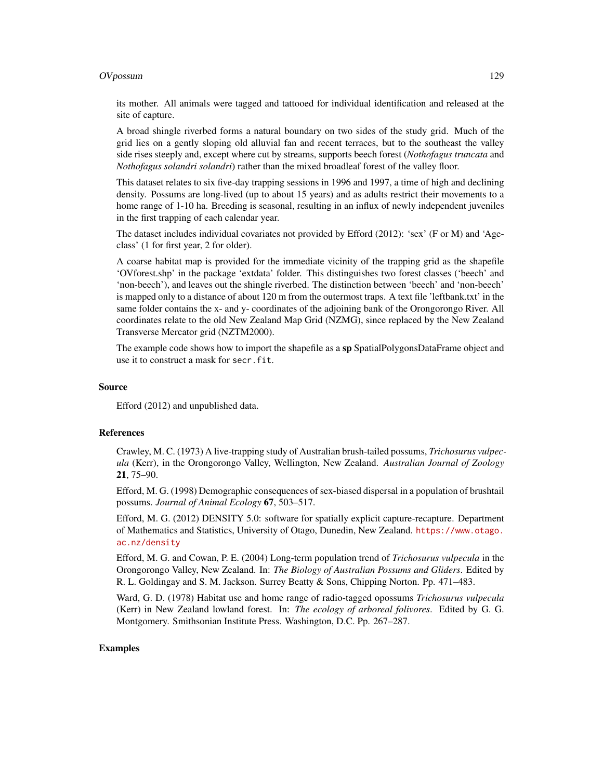## OVpossum 129

its mother. All animals were tagged and tattooed for individual identification and released at the site of capture.

A broad shingle riverbed forms a natural boundary on two sides of the study grid. Much of the grid lies on a gently sloping old alluvial fan and recent terraces, but to the southeast the valley side rises steeply and, except where cut by streams, supports beech forest (*Nothofagus truncata* and *Nothofagus solandri solandri*) rather than the mixed broadleaf forest of the valley floor.

This dataset relates to six five-day trapping sessions in 1996 and 1997, a time of high and declining density. Possums are long-lived (up to about 15 years) and as adults restrict their movements to a home range of 1-10 ha. Breeding is seasonal, resulting in an influx of newly independent juveniles in the first trapping of each calendar year.

The dataset includes individual covariates not provided by Efford (2012): 'sex' (F or M) and 'Ageclass' (1 for first year, 2 for older).

A coarse habitat map is provided for the immediate vicinity of the trapping grid as the shapefile 'OVforest.shp' in the package 'extdata' folder. This distinguishes two forest classes ('beech' and 'non-beech'), and leaves out the shingle riverbed. The distinction between 'beech' and 'non-beech' is mapped only to a distance of about 120 m from the outermost traps. A text file 'leftbank.txt' in the same folder contains the x- and y- coordinates of the adjoining bank of the Orongorongo River. All coordinates relate to the old New Zealand Map Grid (NZMG), since replaced by the New Zealand Transverse Mercator grid (NZTM2000).

The example code shows how to import the shapefile as a sp SpatialPolygonsDataFrame object and use it to construct a mask for secr.fit.

### Source

Efford (2012) and unpublished data.

## References

Crawley, M. C. (1973) A live-trapping study of Australian brush-tailed possums, *Trichosurus vulpecula* (Kerr), in the Orongorongo Valley, Wellington, New Zealand. *Australian Journal of Zoology* 21, 75–90.

Efford, M. G. (1998) Demographic consequences of sex-biased dispersal in a population of brushtail possums. *Journal of Animal Ecology* 67, 503–517.

Efford, M. G. (2012) DENSITY 5.0: software for spatially explicit capture-recapture. Department of Mathematics and Statistics, University of Otago, Dunedin, New Zealand. [https://www.otago.](https://www.otago.ac.nz/density) [ac.nz/density](https://www.otago.ac.nz/density)

Efford, M. G. and Cowan, P. E. (2004) Long-term population trend of *Trichosurus vulpecula* in the Orongorongo Valley, New Zealand. In: *The Biology of Australian Possums and Gliders*. Edited by R. L. Goldingay and S. M. Jackson. Surrey Beatty & Sons, Chipping Norton. Pp. 471–483.

Ward, G. D. (1978) Habitat use and home range of radio-tagged opossums *Trichosurus vulpecula* (Kerr) in New Zealand lowland forest. In: *The ecology of arboreal folivores*. Edited by G. G. Montgomery. Smithsonian Institute Press. Washington, D.C. Pp. 267–287.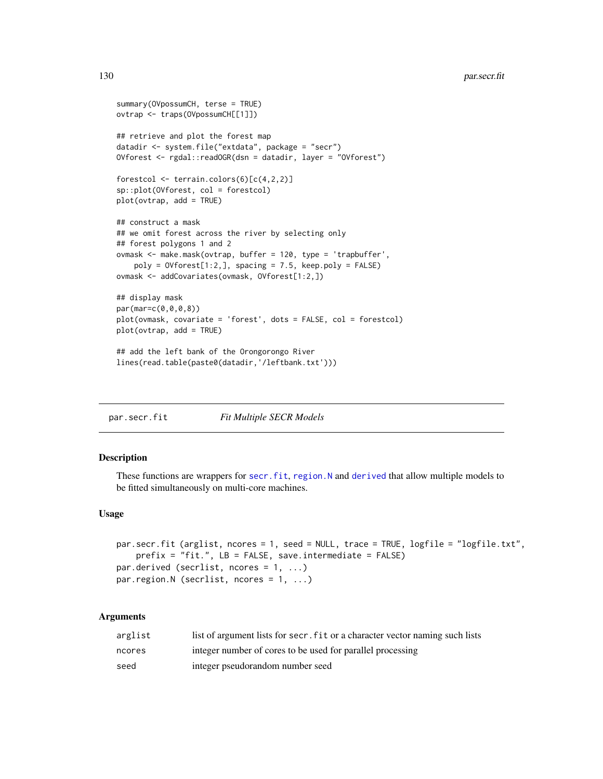```
summary(OVpossumCH, terse = TRUE)
ovtrap <- traps(OVpossumCH[[1]])
## retrieve and plot the forest map
datadir <- system.file("extdata", package = "secr")
OVforest <- rgdal::readOGR(dsn = datadir, layer = "OVforest")
forestcol <- terrain.colors(6)[c(4,2,2)]
sp::plot(OVforest, col = forestcol)
plot(ovtrap, add = TRUE)
## construct a mask
## we omit forest across the river by selecting only
## forest polygons 1 and 2
ovmask <- make.mask(ovtrap, buffer = 120, type = 'trapbuffer',
    poly = 0Vforest[1:2,], spacing = 7.5, keep.poly = FALSE)
ovmask <- addCovariates(ovmask, OVforest[1:2,])
## display mask
par(mar=c(0,0,0,8))
plot(ovmask, covariate = 'forest', dots = FALSE, col = forestcol)
plot(ovtrap, add = TRUE)
## add the left bank of the Orongorongo River
lines(read.table(paste0(datadir,'/leftbank.txt')))
```
<span id="page-129-0"></span>par.secr.fit *Fit Multiple SECR Models*

# <span id="page-129-1"></span>Description

These functions are wrappers for [secr.fit](#page-199-0), [region.N](#page-186-0) and [derived](#page-45-0) that allow multiple models to be fitted simultaneously on multi-core machines.

# Usage

```
par.secr.fit (arglist, ncores = 1, seed = NULL, trace = TRUE, logfile = "logfile.txt",
    prefix = "fit.", LB = FALSE, save.intermediate = FALSE)
par.derived (secrlist, ncores = 1, ...)
par.region.N (secrlist, ncores = 1, ...)
```
## Arguments

| arglist | list of argument lists for secr. fit or a character vector naming such lists |
|---------|------------------------------------------------------------------------------|
| ncores  | integer number of cores to be used for parallel processing                   |
| seed    | integer pseudorandom number seed                                             |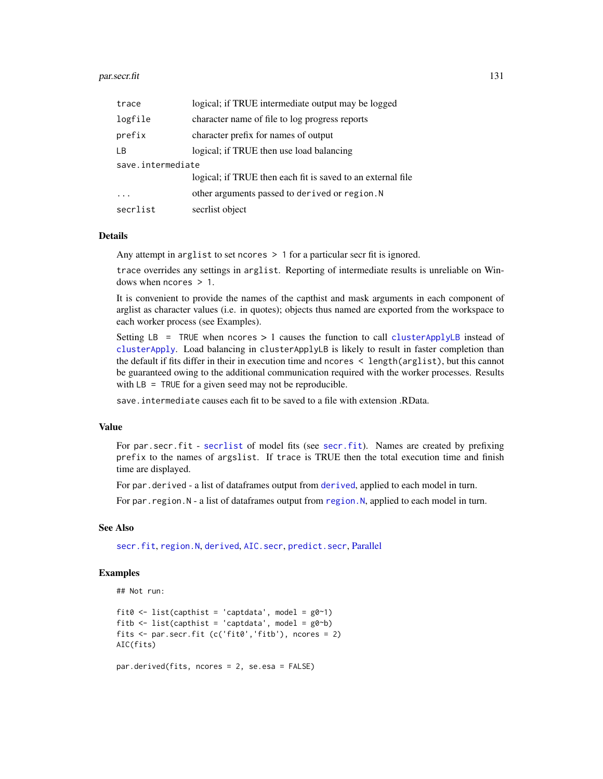## par.secr.fit 131

| trace             | logical; if TRUE intermediate output may be logged          |  |
|-------------------|-------------------------------------------------------------|--|
| logfile           | character name of file to log progress reports              |  |
| prefix            | character prefix for names of output                        |  |
| LB                | logical; if TRUE then use load balancing                    |  |
| save.intermediate |                                                             |  |
|                   | logical; if TRUE then each fit is saved to an external file |  |
|                   | other arguments passed to derived or region. N              |  |
| secrlist          | secrlist object                                             |  |

#### Details

Any attempt in arglist to set ncores > 1 for a particular secr fit is ignored.

trace overrides any settings in arglist. Reporting of intermediate results is unreliable on Windows when ncores > 1.

It is convenient to provide the names of the capthist and mask arguments in each component of arglist as character values (i.e. in quotes); objects thus named are exported from the workspace to each worker process (see Examples).

Setting LB = TRUE when ncores  $> 1$  causes the function to call [clusterApplyLB](#page-0-0) instead of [clusterApply](#page-0-0). Load balancing in clusterApplyLB is likely to result in faster completion than the default if fits differ in their in execution time and ncores < length(arglist), but this cannot be guaranteed owing to the additional communication required with the worker processes. Results with LB = TRUE for a given seed may not be reproducible.

save.intermediate causes each fit to be saved to a file with extension .RData.

# Value

For par.secr.fit - [secrlist](#page-12-1) of model fits (see [secr.fit](#page-199-0)). Names are created by prefixing prefix to the names of argslist. If trace is TRUE then the total execution time and finish time are displayed.

For par.[derived](#page-45-0) - a list of dataframes output from derived, applied to each model in turn.

For par. [region.N](#page-186-0) - a list of dataframes output from region.N, applied to each model in turn.

# See Also

[secr.fit](#page-199-0), [region.N](#page-186-0), [derived](#page-45-0), [AIC.secr](#page-12-0), [predict.secr](#page-157-0), [Parallel](#page-131-0)

```
## Not run:
```

```
fit0 <- list(capthist = 'captdata', model = g0~1)
fitb \le list(capthist = 'captdata', model = g0<sup>-b</sup>)
fits <- par.secr.fit (c('fit0','fitb'), ncores = 2)
AIC(fits)
```

```
par.derived(fits, ncores = 2, se.esa = FALSE)
```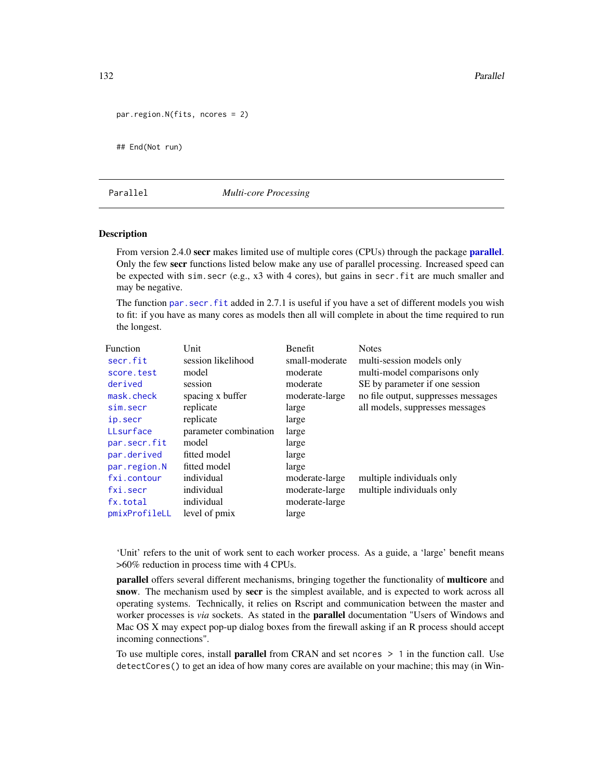132 **Parallel** 

```
par.region.N(fits, ncores = 2)
```
## End(Not run)

# <span id="page-131-0"></span>Parallel *Multi-core Processing*

## **Description**

From version 2.4.0 secr makes limited use of multiple cores (CPUs) through the package **[parallel](#page-0-0)**. Only the few secr functions listed below make any use of parallel processing. Increased speed can be expected with sim.secr (e.g., x3 with 4 cores), but gains in secr.fit are much smaller and may be negative.

The function [par.secr.fit](#page-129-0) added in 2.7.1 is useful if you have a set of different models you wish to fit: if you have as many cores as models then all will complete in about the time required to run the longest.

| <b>Function</b> | Unit                  | <b>Benefit</b> | <b>Notes</b>                        |
|-----------------|-----------------------|----------------|-------------------------------------|
| secr.fit        | session likelihood    | small-moderate | multi-session models only           |
| score.test      | model                 | moderate       | multi-model comparisons only        |
| derived         | session               | moderate       | SE by parameter if one session      |
| mask.check      | spacing x buffer      | moderate-large | no file output, suppresses messages |
| sim.secr        | replicate             | large          | all models, suppresses messages     |
| ip.secr         | replicate             | large          |                                     |
| LLsurface       | parameter combination | large          |                                     |
| par.secr.fit    | model                 | large          |                                     |
| par.derived     | fitted model          | large          |                                     |
| par.region.N    | fitted model          | large          |                                     |
| fxi.contour     | individual            | moderate-large | multiple individuals only           |
| fxi.secr        | individual            | moderate-large | multiple individuals only           |
| fx.total        | individual            | moderate-large |                                     |
| pmixProfileLL   | level of pmix         | large          |                                     |

'Unit' refers to the unit of work sent to each worker process. As a guide, a 'large' benefit means >60% reduction in process time with 4 CPUs.

parallel offers several different mechanisms, bringing together the functionality of multicore and snow. The mechanism used by secr is the simplest available, and is expected to work across all operating systems. Technically, it relies on Rscript and communication between the master and worker processes is *via* sockets. As stated in the parallel documentation "Users of Windows and Mac OS X may expect pop-up dialog boxes from the firewall asking if an R process should accept incoming connections".

To use multiple cores, install **parallel** from CRAN and set ncores  $> 1$  in the function call. Use detectCores() to get an idea of how many cores are available on your machine; this may (in Win-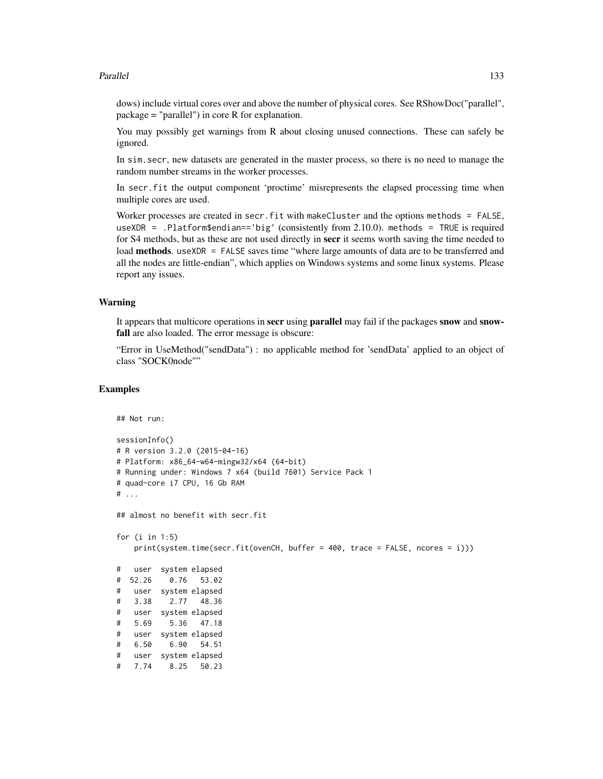# Parallel 133

dows) include virtual cores over and above the number of physical cores. See RShowDoc("parallel", package = "parallel") in core R for explanation.

You may possibly get warnings from R about closing unused connections. These can safely be ignored.

In sim.secr, new datasets are generated in the master process, so there is no need to manage the random number streams in the worker processes.

In secr.fit the output component 'proctime' misrepresents the elapsed processing time when multiple cores are used.

Worker processes are created in secr.fit with makeCluster and the options methods = FALSE, useXDR = .Platform\$endian=='big' (consistently from 2.10.0). methods = TRUE is required for S4 methods, but as these are not used directly in secr it seems worth saving the time needed to load **methods**. useXDR = FALSE saves time "where large amounts of data are to be transferred and all the nodes are little-endian", which applies on Windows systems and some linux systems. Please report any issues.

# Warning

It appears that multicore operations in **secr** using **parallel** may fail if the packages **snow** and **snow**fall are also loaded. The error message is obscure:

"Error in UseMethod("sendData") : no applicable method for 'sendData' applied to an object of class "SOCK0node""

```
## Not run:
sessionInfo()
# R version 3.2.0 (2015-04-16)
# Platform: x86_64-w64-mingw32/x64 (64-bit)
# Running under: Windows 7 x64 (build 7601) Service Pack 1
# quad-core i7 CPU, 16 Gb RAM
# ...
## almost no benefit with secr.fit
for (i in 1:5)
   print(system.time(secr.fit(ovenCH, buffer = 400, trace = FALSE, ncores = i)))
# user system elapsed
# 52.26 0.76 53.02
# user system elapsed
# 3.38 2.77 48.36
# user system elapsed
# 5.69 5.36 47.18
# user system elapsed
# 6.50 6.90 54.51
# user system elapsed
# 7.74 8.25 50.23
```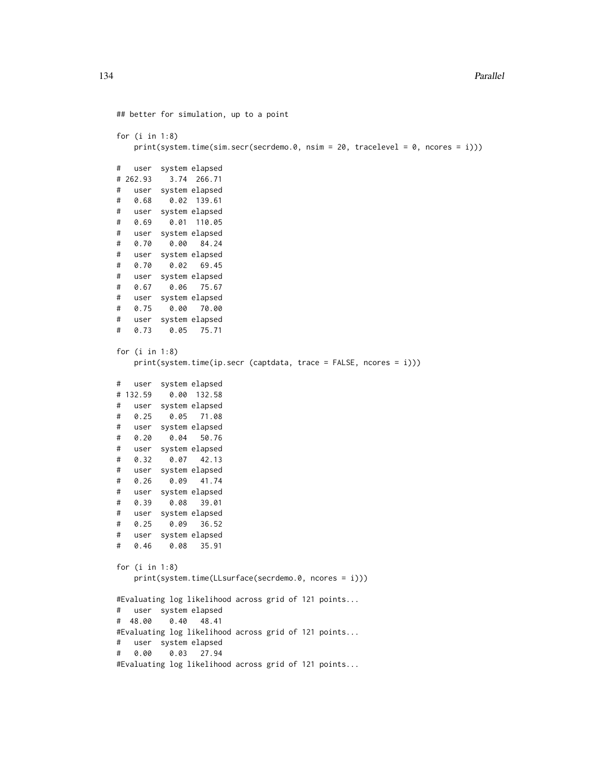```
## better for simulation, up to a point
for (i in 1:8)
   print(system.time(sim.secr(secrdemo.0, nsim = 20, tracelevel = 0, ncores = i)))
# user system elapsed
# 262.93 3.74 266.71
# user system elapsed
# 0.68 0.02 139.61
# user system elapsed
# 0.69 0.01 110.05
# user system elapsed
# 0.70 0.00 84.24
# user system elapsed
# 0.70 0.02 69.45
# user system elapsed
# 0.67 0.06 75.67
# user system elapsed
# 0.75 0.00 70.00
# user system elapsed
# 0.73 0.05 75.71
for (i in 1:8)
   print(system.time(ip.secr (captdata, trace = FALSE, ncores = i)))
# user system elapsed
# 132.59 0.00 132.58
# user system elapsed
# 0.25 0.05 71.08
# user system elapsed
# 0.20 0.04 50.76
# user system elapsed
# 0.32 0.07 42.13
# user system elapsed
# 0.26 0.09 41.74
# user system elapsed
# 0.39 0.08 39.01
# user system elapsed
# 0.25 0.09 36.52
# user system elapsed
# 0.46 0.08 35.91
for (i in 1:8)
   print(system.time(LLsurface(secrdemo.0, ncores = i)))
#Evaluating log likelihood across grid of 121 points...
# user system elapsed
# 48.00 0.40 48.41
#Evaluating log likelihood across grid of 121 points...
# user system elapsed
# 0.00 0.03 27.94
#Evaluating log likelihood across grid of 121 points...
```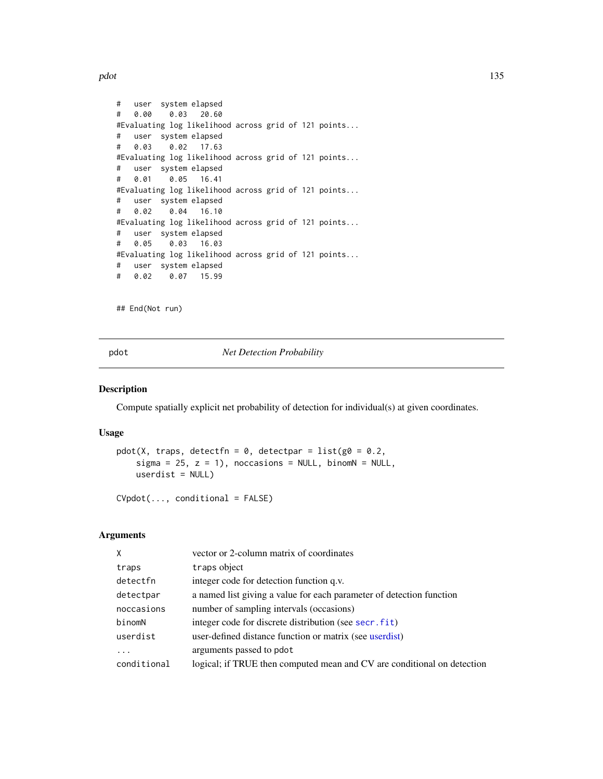pdot the contract of the contract of the contract of the contract of the contract of the contract of the contract of the contract of the contract of the contract of the contract of the contract of the contract of the contr

```
# user system elapsed
# 0.00 0.03 20.60
#Evaluating log likelihood across grid of 121 points...
# user system elapsed
# 0.03 0.02 17.63
#Evaluating log likelihood across grid of 121 points...
# user system elapsed
# 0.01 0.05 16.41
#Evaluating log likelihood across grid of 121 points...
# user system elapsed
# 0.02 0.04 16.10
#Evaluating log likelihood across grid of 121 points...
# user system elapsed
# 0.05 0.03 16.03
#Evaluating log likelihood across grid of 121 points...
# user system elapsed
# 0.02 0.07 15.99
```
## End(Not run)

<span id="page-134-0"></span>pdot *Net Detection Probability*

# Description

Compute spatially explicit net probability of detection for individual(s) at given coordinates.

## Usage

```
pdot(X, traps, detectfn = 0, detectpar = list(g0 = 0.2,sigma = 25, z = 1), noccasions = NULL, binomN = NULL,
   userdist = NULL)
```
CVpdot(..., conditional = FALSE)

# Arguments

| X           | vector or 2-column matrix of coordinates                                |
|-------------|-------------------------------------------------------------------------|
| traps       | traps object                                                            |
| detectfn    | integer code for detection function q.v.                                |
| detectpar   | a named list giving a value for each parameter of detection function    |
| noccasions  | number of sampling intervals (occasions)                                |
| binomN      | integer code for discrete distribution (see secr. fit)                  |
| userdist    | user-defined distance function or matrix (see userdist)                 |
| .           | arguments passed to pdot                                                |
| conditional | logical; if TRUE then computed mean and CV are conditional on detection |
|             |                                                                         |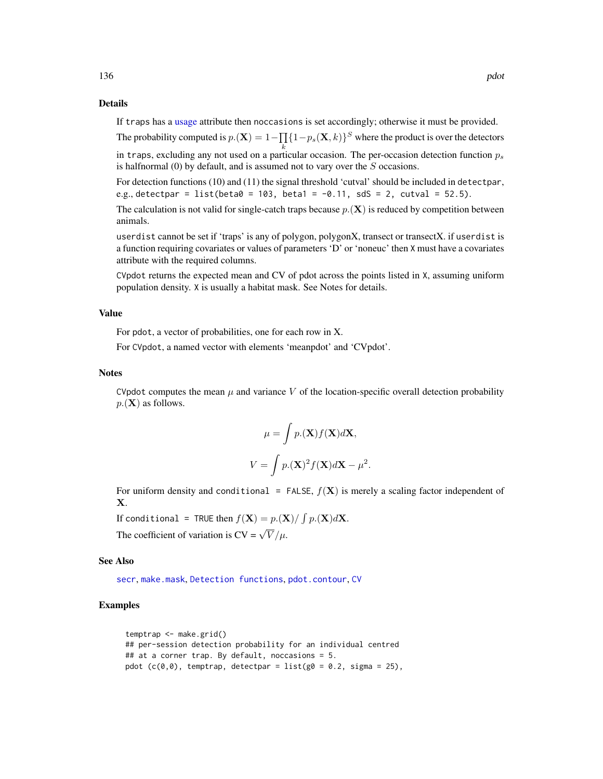## Details

If traps has a [usage](#page-276-0) attribute then noccasions is set accordingly; otherwise it must be provided.

The probability computed is  $p.(\mathbf{X}) = 1 - \prod_{i} \{1 - p_s(\mathbf{X}, k)\}^S$  where the product is over the detectors in traps, excluding any not used on a particular occasion. The per-occasion detection function  $p_s$ 

is halfnormal (0) by default, and is assumed not to vary over the S occasions.

For detection functions (10) and (11) the signal threshold 'cutval' should be included in detectpar, e.g., detectpar = list(beta $0 = 103$ , beta1 = -0.11, sdS = 2, cutval = 52.5).

The calculation is not valid for single-catch traps because  $p(\mathbf{X})$  is reduced by competition between animals.

userdist cannot be set if 'traps' is any of polygon, polygonX, transect or transectX. if userdist is a function requiring covariates or values of parameters 'D' or 'noneuc' then X must have a covariates attribute with the required columns.

CVpdot returns the expected mean and CV of pdot across the points listed in X, assuming uniform population density. X is usually a habitat mask. See Notes for details.

## Value

For pdot, a vector of probabilities, one for each row in X.

For CVpdot, a named vector with elements 'meanpdot' and 'CVpdot'.

## **Notes**

CVpdot computes the mean  $\mu$  and variance V of the location-specific overall detection probability  $p(\mathbf{X})$  as follows.

$$
\mu = \int p.(\mathbf{X}) f(\mathbf{X}) d\mathbf{X},
$$

$$
V = \int p.(\mathbf{X})^2 f(\mathbf{X}) d\mathbf{X} - \mu^2.
$$

For uniform density and conditional = FALSE,  $f(\mathbf{X})$  is merely a scaling factor independent of X.

If conditional = TRUE then  $f(\mathbf{X}) = p(\mathbf{X}) / \int p(\mathbf{X}) d\mathbf{X}$ .

The coefficient of variation is  $CV = \sqrt{V}/\mu$ .

## See Also

[secr](#page-4-0), [make.mask](#page-104-0), [Detection functions](#page-0-0), [pdot.contour](#page-36-0), [CV](#page-39-0)

```
temptrap <- make.grid()
## per-session detection probability for an individual centred
## at a corner trap. By default, noccasions = 5.
pdot (c(0,0)), temptrap, detectpar = list(g0 = 0.2, sigma = 25),
```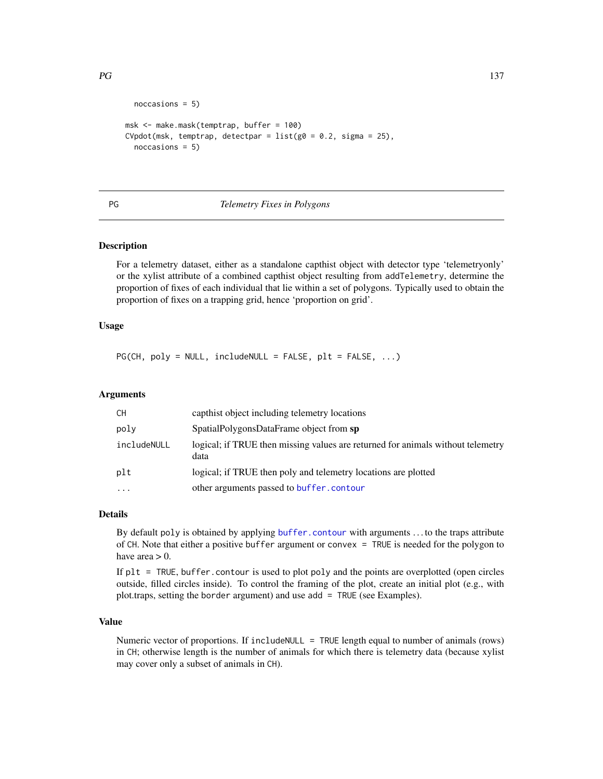```
noccasions = 5)
msk <- make.mask(temptrap, buffer = 100)
CVpdot(msk, temptrap, detectpar = list(g0 = 0.2, sigma = 25),
  noccasions = 5)
```
# PG *Telemetry Fixes in Polygons*

# Description

For a telemetry dataset, either as a standalone capthist object with detector type 'telemetryonly' or the xylist attribute of a combined capthist object resulting from addTelemetry, determine the proportion of fixes of each individual that lie within a set of polygons. Typically used to obtain the proportion of fixes on a trapping grid, hence 'proportion on grid'.

# Usage

 $PG(CH, poly = NULL, include NULL = FALSE, plt = FALSE, ...)$ 

# Arguments

| CH          | capthist object including telemetry locations                                           |
|-------------|-----------------------------------------------------------------------------------------|
| poly        | SpatialPolygonsDataFrame object from sp                                                 |
| includeNULL | logical; if TRUE then missing values are returned for animals without telemetry<br>data |
| plt         | logical; if TRUE then poly and telemetry locations are plotted                          |
| $\cdots$    | other arguments passed to buffer, contour                                               |

## Details

By default poly is obtained by applying [buffer.contour](#page-36-0) with arguments . . . to the traps attribute of CH. Note that either a positive buffer argument or convex = TRUE is needed for the polygon to have area  $> 0$ .

If plt = TRUE, buffer.contour is used to plot poly and the points are overplotted (open circles outside, filled circles inside). To control the framing of the plot, create an initial plot (e.g., with plot.traps, setting the border argument) and use add = TRUE (see Examples).

# Value

Numeric vector of proportions. If includeNULL = TRUE length equal to number of animals (rows) in CH; otherwise length is the number of animals for which there is telemetry data (because xylist may cover only a subset of animals in CH).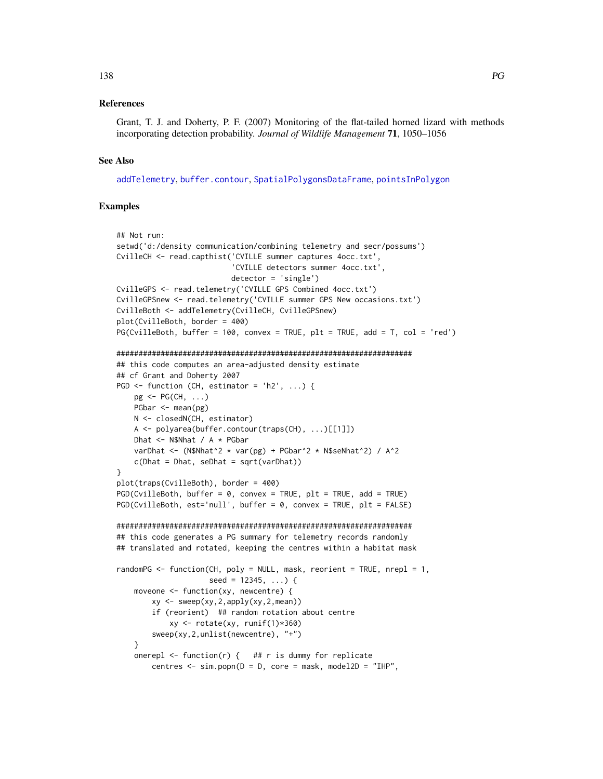## 138 **PG**

# References

Grant, T. J. and Doherty, P. F. (2007) Monitoring of the flat-tailed horned lizard with methods incorporating detection probability. *Journal of Wildlife Management* 71, 1050–1056

# See Also

[addTelemetry](#page-10-0), [buffer.contour](#page-36-0), [SpatialPolygonsDataFrame](#page-0-0), [pointsInPolygon](#page-152-0)

```
## Not run:
setwd('d:/density communication/combining telemetry and secr/possums')
CvilleCH <- read.capthist('CVILLE summer captures 4occ.txt',
                           'CVILLE detectors summer 4occ.txt',
                           detector = 'single')
CvilleGPS <- read.telemetry('CVILLE GPS Combined 4occ.txt')
CvilleGPSnew <- read.telemetry('CVILLE summer GPS New occasions.txt')
CvilleBoth <- addTelemetry(CvilleCH, CvilleGPSnew)
plot(CvilleBoth, border = 400)
PG(CvilleBoth, buffer = 100, convex = TRUE, plt = TRUE, add = T, col = 'red')###################################################################
## this code computes an area-adjusted density estimate
## cf Grant and Doherty 2007
PGD \leftarrow function (CH, estimator = 'h2', ...)pg \leq PG(CH, \ldots)PGbar <- mean(pg)
    N <- closedN(CH, estimator)
    A <- polyarea(buffer.contour(traps(CH), ...)[[1]])
    Dhat <- N$Nhat / A * PGbar
    varDhat <- (N$Nhat^2 * var(pg) + PGbar^2 * N$seNhat^2) / A^2c(Dhat = Dhat, seDhat = sqrt(varDhat))
}
plot(traps(CvilleBoth), border = 400)
PGD(CvilleBoth, buffer = 0, convex = TRUE, plt = TRUE, add = TRUE)PGD(CvilleBoth, est='null', buffer = 0, convex = TRUE, plt = FALSE)
###################################################################
## this code generates a PG summary for telemetry records randomly
## translated and rotated, keeping the centres within a habitat mask
randomPG \le function(CH, poly = NULL, mask, reorient = TRUE, nrepl = 1,
                      seed = 12345, ...) { }moveone <- function(xy, newcentre) {
        xy \leftarrow \text{ sweep}(xy, 2, \text{apply}(xy, 2, \text{mean}))if (reorient) ## random rotation about centre
            xy \leftarrow \text{rotate}(xy, \text{runif}(1)*360)sweep(xy,2,unlist(newcentre), "+")
    }
    onerepl \leq function(r) { ## r is dummy for replicate
        centres \leq sim.popn(D = D, core = mask, model2D = "IHP",
```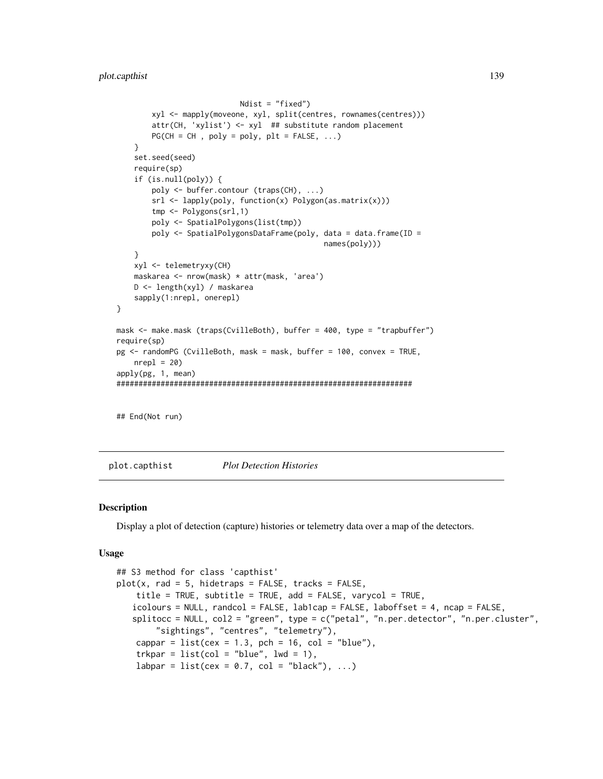```
Ndist = "fixed")
        xyl <- mapply(moveone, xyl, split(centres, rownames(centres)))
        attr(CH, 'xylist') <- xyl ## substitute random placement
        PG(CH = CH, poly = poly, plt = FALSE, ...)}
    set.seed(seed)
    require(sp)
    if (is.null(poly)) {
        poly <- buffer.contour (traps(CH), ...)
        srl <- lapply(poly, function(x) Polygon(as.matrix(x)))
        tmp <- Polygons(srl,1)
        poly <- SpatialPolygons(list(tmp))
        poly <- SpatialPolygonsDataFrame(poly, data = data.frame(ID =
                                               names(poly)))
    }
    xyl <- telemetryxy(CH)
    maskarea <- nrow(mask) * attr(mask, 'area')
   D <- length(xyl) / maskarea
   sapply(1:nrepl, onerepl)
}
mask <- make.mask (traps(CvilleBoth), buffer = 400, type = "trapbuffer")
require(sp)
pg <- randomPG (CvilleBoth, mask = mask, buffer = 100, convex = TRUE,
    nrep1 = 20apply(pg, 1, mean)
###################################################################
```
## End(Not run)

<span id="page-138-0"></span>plot.capthist *Plot Detection Histories*

## Description

Display a plot of detection (capture) histories or telemetry data over a map of the detectors.

## Usage

```
## S3 method for class 'capthist'
plot(x, rad = 5, hidetraps = FALSE, tracks = FALSE,title = TRUE, subtitle = TRUE, add = FALSE, varycol = TRUE,
     icolours = NULL, randcol = FALSE, lab1cap = FALSE, laboffset = 4, ncap = FALSE,
     splitocc = NULL, col2 = "green", type = c("petal", "n.per.detector", "n.per.detector", "n.per.detator", "n.per.detator", "n.per.detactor", "n.per.detactor", "n.per.detactor", "n.per.detactor", "n.per.detactor", "n.per.detactor", "n.per.detactor", "n.per.detactor", "n.per.detactor", "n.per.detactor", "n.per.detactor", "n.per.detactor", "n.per.detactor", "n.per.detactor", "n.per.detactor", "n.per.detactor", "n.per.detactor", "n.per.detactor", "n.per.detactor"sightings", "centres", "telemetry"),
       cappar = list(cex = 1.3, pch = 16, col = "blue"),trkpar = list(col = "blue", lw = 1),labpar = list(cex = 0.7, col = "black"), ...)
```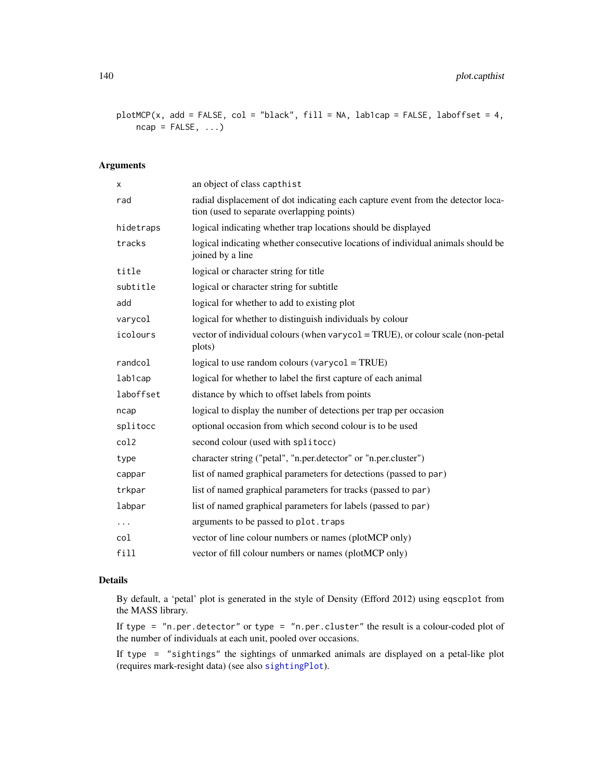plotMCP(x, add = FALSE, col = "black", fill = NA, lab1cap = FALSE, laboffset = 4,  $ncap = FALSE, ...$ 

# Arguments

| x         | an object of class capthist                                                                                                    |
|-----------|--------------------------------------------------------------------------------------------------------------------------------|
| rad       | radial displacement of dot indicating each capture event from the detector loca-<br>tion (used to separate overlapping points) |
| hidetraps | logical indicating whether trap locations should be displayed                                                                  |
| tracks    | logical indicating whether consecutive locations of individual animals should be<br>joined by a line                           |
| title     | logical or character string for title                                                                                          |
| subtitle  | logical or character string for subtitle                                                                                       |
| add       | logical for whether to add to existing plot                                                                                    |
| varycol   | logical for whether to distinguish individuals by colour                                                                       |
| icolours  | vector of individual colours (when varycol = TRUE), or colour scale (non-petal<br>plots)                                       |
| randcol   | logical to use random colours (varycol = TRUE)                                                                                 |
| lab1cap   | logical for whether to label the first capture of each animal                                                                  |
| laboffset | distance by which to offset labels from points                                                                                 |
| ncap      | logical to display the number of detections per trap per occasion                                                              |
| splitocc  | optional occasion from which second colour is to be used                                                                       |
| col2      | second colour (used with splitocc)                                                                                             |
| type      | character string ("petal", "n.per.detector" or "n.per.cluster")                                                                |
| cappar    | list of named graphical parameters for detections (passed to par)                                                              |
| trkpar    | list of named graphical parameters for tracks (passed to par)                                                                  |
| labpar    | list of named graphical parameters for labels (passed to par)                                                                  |
| $\cdots$  | arguments to be passed to plot. traps                                                                                          |
| col       | vector of line colour numbers or names (plotMCP only)                                                                          |
| fill      | vector of fill colour numbers or names (plotMCP only)                                                                          |

# Details

By default, a 'petal' plot is generated in the style of Density (Efford 2012) using eqscplot from the MASS library.

If type =  $"n.per.detector" or type = "n.per.cluster" the result is a colour-coded plot of$ the number of individuals at each unit, pooled over occasions.

If type = "sightings" the sightings of unmarked animals are displayed on a petal-like plot (requires mark-resight data) (see also [sightingPlot](#page-277-0)).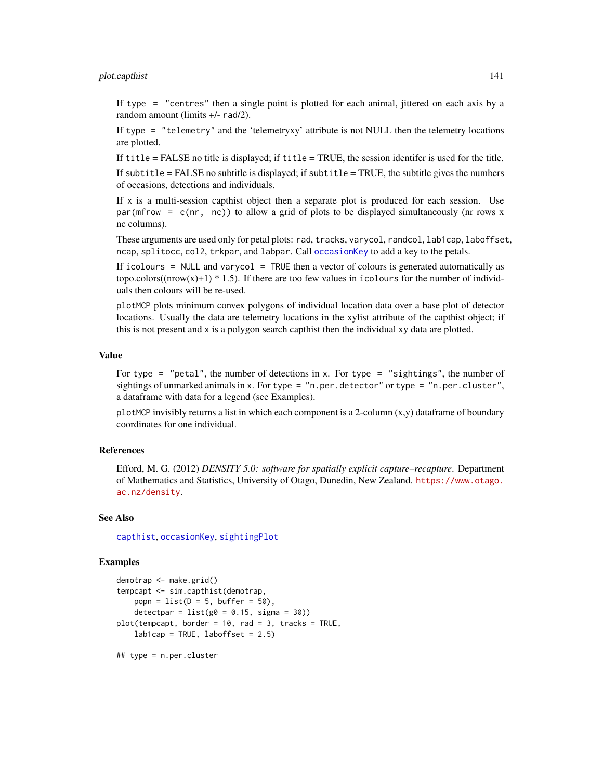# plot.capthist 141

If type = "centres" then a single point is plotted for each animal, jittered on each axis by a random amount (limits +/- rad/2).

If type = "telemetry" and the 'telemetryxy' attribute is not NULL then the telemetry locations are plotted.

If title = FALSE no title is displayed; if title = TRUE, the session identifer is used for the title.

If subtitle  $=$  FALSE no subtitle is displayed; if subtitle  $=$  TRUE, the subtitle gives the numbers of occasions, detections and individuals.

If x is a multi-session capthist object then a separate plot is produced for each session. Use par(mfrow =  $c(nr, nc)$ ) to allow a grid of plots to be displayed simultaneously (nr rows x nc columns).

These arguments are used only for petal plots: rad, tracks, varycol, randcol, lab1cap, laboffset, ncap, splitocc, col2, trkpar, and labpar. Call [occasionKey](#page-121-0) to add a key to the petals.

If icolours = NULL and varycol = TRUE then a vector of colours is generated automatically as topo.colors( $(nrow(x)+1)$  \* 1.5). If there are too few values in icolours for the number of individuals then colours will be re-used.

plotMCP plots minimum convex polygons of individual location data over a base plot of detector locations. Usually the data are telemetry locations in the xylist attribute of the capthist object; if this is not present and x is a polygon search capthist then the individual xy data are plotted.

# Value

For type  $=$  "petal", the number of detections in x. For type  $=$  "sightings", the number of sightings of unmarked animals in x. For type =  $"n.$  per. detector" or type =  $"n.$  per. cluster", a dataframe with data for a legend (see Examples).

plotMCP invisibly returns a list in which each component is a 2-column  $(x, y)$  dataframe of boundary coordinates for one individual.

# References

Efford, M. G. (2012) *DENSITY 5.0: software for spatially explicit capture–recapture*. Department of Mathematics and Statistics, University of Otago, Dunedin, New Zealand. [https://www.otago.](https://www.otago.ac.nz/density) [ac.nz/density](https://www.otago.ac.nz/density).

## See Also

[capthist](#page-22-0), [occasionKey](#page-121-0), [sightingPlot](#page-277-0)

## Examples

```
demotrap <- make.grid()
tempcapt <- sim.capthist(demotrap,
   popn = list(D = 5, buffer = 50),
   detectpar = list(g0 = 0.15, sigma = 30)plot(tempcapt, border = 10, rad = 3, tracks = TRUE,
   lab1cap = TRUE, laboffset = 2.5)
```
## type = n.per.cluster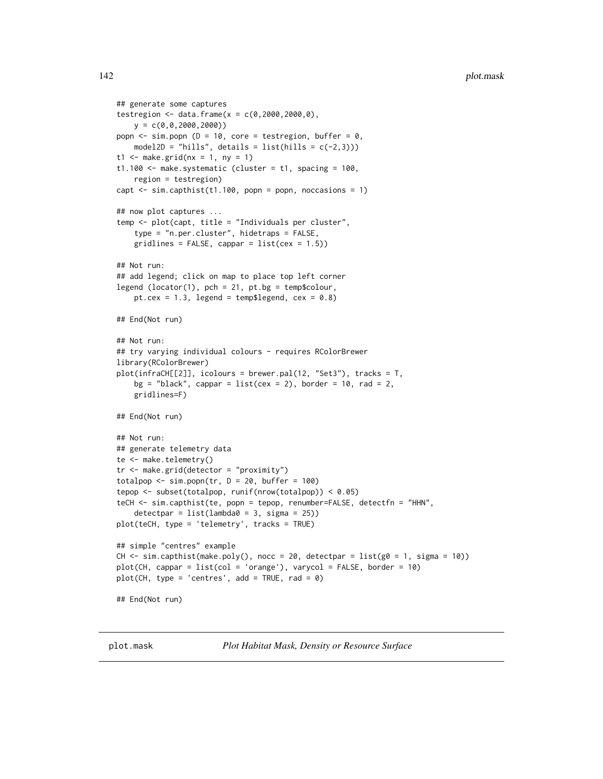```
## generate some captures
testregion <- data.frame(x = c(0, 2000, 2000, 0),
   y = c(0,0,2000,2000))
popn \leq sim.popn (D = 10, core = testregion, buffer = 0,
   model2D = "hills", details = list(hills = c(-2,3)))
t1 \leq make.grid(nx = 1, ny = 1)
t1.100 \leq make.systematic (cluster = t1, spacing = 100,
    region = testregion)
capt \le sim.capthist(t1.100, popn = popn, noccasions = 1)
## now plot captures ...
temp <- plot(capt, title = "Individuals per cluster",
    type = "n.per.cluster", hidetraps = FALSE,
    gridlines = FALSE, cappar = list(cex = 1.5))
## Not run:
## add legend; click on map to place top left corner
legend (locator(1), pch = 21, pt.bg = temp$colour,
    pt.cex = 1.3, legend = temp$legend, cex = 0.8)
## End(Not run)
## Not run:
## try varying individual colours - requires RColorBrewer
library(RColorBrewer)
plot(infraCH[[2]], icolours = brewer.pal(12, "Set3"), tracks = T,
    bg = "black", cappar = list(cex = 2), border = 10, rad = 2,gridlines=F)
## End(Not run)
## Not run:
## generate telemetry data
te <- make.telemetry()
tr <- make.grid(detector = "proximity")
totalpop \le sim.popn(tr, D = 20, buffer = 100)
tepop <- subset(totalpop, runif(nrow(totalpop)) < 0.05)
teCH <- sim.capthist(te, popn = tepop, renumber=FALSE, detectfn = "HHN",
    detection = list(lambda = 3, sigma = 25))plot(teCH, type = 'telemetry', tracks = TRUE)
## simple "centres" example
CH \le - sim.capthist(make.poly(), nocc = 20, detectpar = list(g0 = 1, sigma = 10))
plot(CH, cappar = list(col = 'orange'), varycol = FALSE, border = 10)
plot(CH, type = 'centres', add = TRUE, rad = 0)## End(Not run)
```
plot.mask *Plot Habitat Mask, Density or Resource Surface*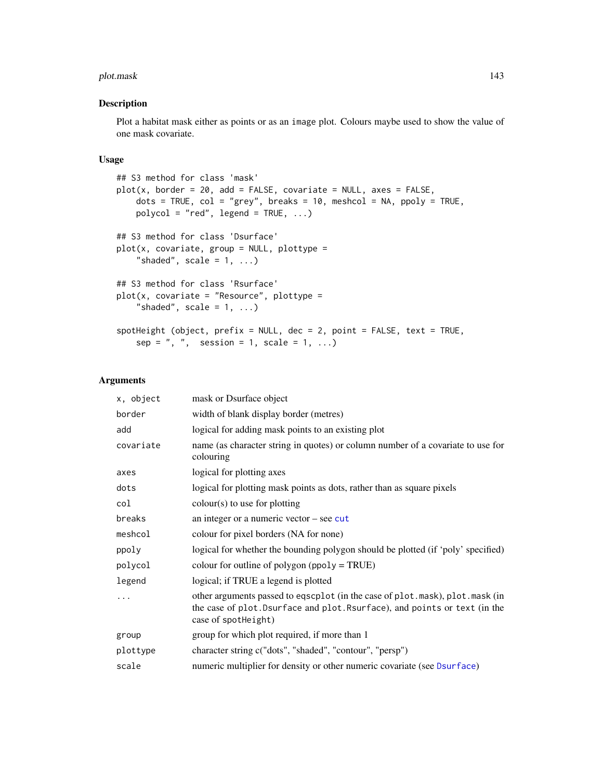## plot.mask 143

# Description

Plot a habitat mask either as points or as an image plot. Colours maybe used to show the value of one mask covariate.

# Usage

```
## S3 method for class 'mask'
plot(x, border = 20, add = FALSE, covariate = NULL, axes = FALSE,dots = TRUE, col = "grey", breaks = 10, meshcol = NA, ppoly = TRUE,
   polycol = "red", legend = TRUE, ...)## S3 method for class 'Dsurface'
plot(x, covariate, group = NULL, plottype ="shaded", scale = 1, ...## S3 method for class 'Rsurface'
plot(x, covariate = "Resource", plottype ="shaded", scale = 1, ...spotHeight (object, prefix = NULL, dec = 2, point = FALSE, text = TRUE,
    sep = ", ", session = 1, scale = 1, ...)
```
# Arguments

| x, object | mask or Dsurface object                                                                                                                                                           |
|-----------|-----------------------------------------------------------------------------------------------------------------------------------------------------------------------------------|
| border    | width of blank display border (metres)                                                                                                                                            |
| add       | logical for adding mask points to an existing plot                                                                                                                                |
| covariate | name (as character string in quotes) or column number of a covariate to use for<br>colouring                                                                                      |
| axes      | logical for plotting axes                                                                                                                                                         |
| dots      | logical for plotting mask points as dots, rather than as square pixels                                                                                                            |
| col       | $colour(s)$ to use for plotting                                                                                                                                                   |
| breaks    | an integer or a numeric vector $-$ see cut                                                                                                                                        |
| meshcol   | colour for pixel borders (NA for none)                                                                                                                                            |
| ppoly     | logical for whether the bounding polygon should be plotted (if 'poly' specified)                                                                                                  |
| polycol   | colour for outline of polygon ( $ppoly = TRUE$ )                                                                                                                                  |
| legend    | logical; if TRUE a legend is plotted                                                                                                                                              |
|           | other arguments passed to eqscplot (in the case of plot.mask), plot.mask (in<br>the case of plot. Dsurface and plot. Rsurface), and points or text (in the<br>case of spotheight) |
| group     | group for which plot required, if more than 1                                                                                                                                     |
| plottype  | character string c("dots", "shaded", "contour", "persp")                                                                                                                          |
| scale     | numeric multiplier for density or other numeric covariate (see Dsurface)                                                                                                          |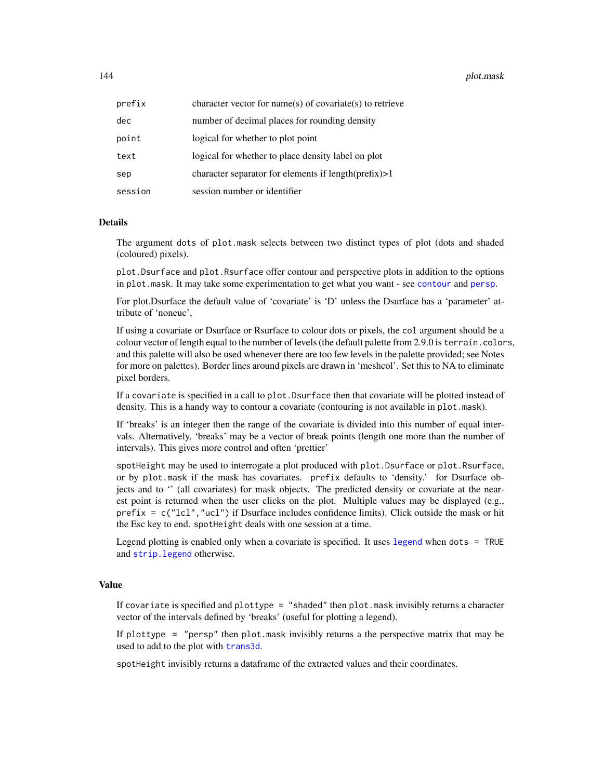144 **plot.mask** 

| prefix  | character vector for name(s) of covariate(s) to retrieve |
|---------|----------------------------------------------------------|
| dec     | number of decimal places for rounding density            |
| point   | logical for whether to plot point                        |
| text    | logical for whether to place density label on plot       |
| sep     | character separator for elements if $length(prefix) > 1$ |
| session | session number or identifier                             |

# Details

The argument dots of plot.mask selects between two distinct types of plot (dots and shaded (coloured) pixels).

plot.Dsurface and plot.Rsurface offer contour and perspective plots in addition to the options in plot.mask. It may take some experimentation to get what you want - see [contour](#page-36-1) and [persp](#page-0-0).

For plot.Dsurface the default value of 'covariate' is 'D' unless the Dsurface has a 'parameter' attribute of 'noneuc',

If using a covariate or Dsurface or Rsurface to colour dots or pixels, the col argument should be a colour vector of length equal to the number of levels (the default palette from 2.9.0 is terrain.colors, and this palette will also be used whenever there are too few levels in the palette provided; see Notes for more on palettes). Border lines around pixels are drawn in 'meshcol'. Set this to NA to eliminate pixel borders.

If a covariate is specified in a call to plot. Dsurface then that covariate will be plotted instead of density. This is a handy way to contour a covariate (contouring is not available in plot.mask).

If 'breaks' is an integer then the range of the covariate is divided into this number of equal intervals. Alternatively, 'breaks' may be a vector of break points (length one more than the number of intervals). This gives more control and often 'prettier'

spotHeight may be used to interrogate a plot produced with plot.Dsurface or plot.Rsurface, or by plot.mask if the mask has covariates. prefix defaults to 'density.' for Dsurface objects and to '' (all covariates) for mask objects. The predicted density or covariate at the nearest point is returned when the user clicks on the plot. Multiple values may be displayed (e.g., prefix =  $c("lcl", "ucl")$  if Dsurface includes confidence limits). Click outside the mask or hit the Esc key to end. spotHeight deals with one session at a time.

Legend plotting is enabled only when a covariate is specified. It uses [legend](#page-0-0) when dots = TRUE and [strip.legend](#page-244-0) otherwise.

# Value

If covariate is specified and plottype = "shaded" then plot.mask invisibly returns a character vector of the intervals defined by 'breaks' (useful for plotting a legend).

If plottype = "persp" then plot.mask invisibly returns a the perspective matrix that may be used to add to the plot with **[trans3d](#page-0-0)**.

spotHeight invisibly returns a dataframe of the extracted values and their coordinates.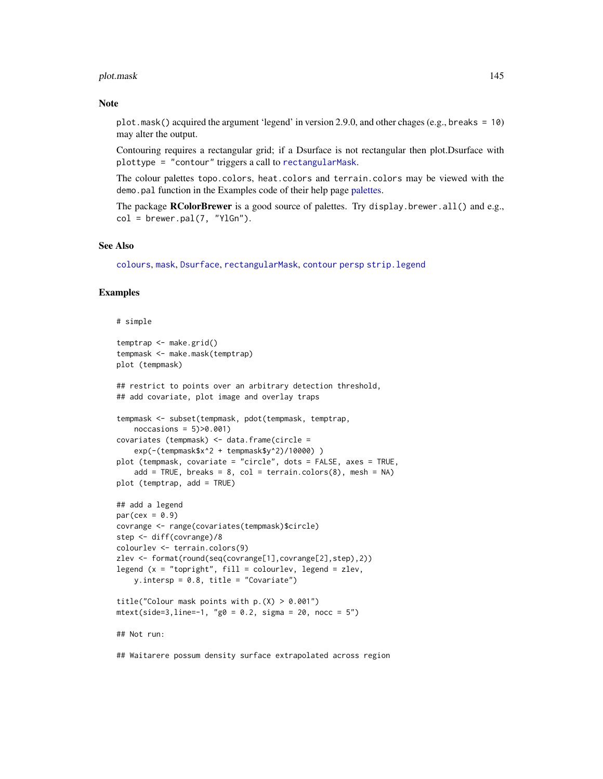#### plot.mask 145

### Note

plot.mask() acquired the argument 'legend' in version 2.9.0, and other chages (e.g., breaks = 10) may alter the output.

Contouring requires a rectangular grid; if a Dsurface is not rectangular then plot.Dsurface with plottype = "contour" triggers a call to [rectangularMask](#page-181-0).

The colour palettes topo.colors, heat.colors and terrain.colors may be viewed with the demo.pal function in the Examples code of their help page [palettes.](#page-0-0)

The package **RColorBrewer** is a good source of palettes. Try display.brewer.all() and e.g.,  $col = b$ rewer.pal $(7, "YlGn").$ 

#### See Also

[colours](#page-0-0), [mask](#page-113-0), [Dsurface](#page-59-0), [rectangularMask](#page-181-0), [contour](#page-36-0) [persp](#page-0-0) [strip.legend](#page-244-0)

### Examples

#### # simple

```
temptrap <- make.grid()
tempmask <- make.mask(temptrap)
plot (tempmask)
## restrict to points over an arbitrary detection threshold,
## add covariate, plot image and overlay traps
tempmask <- subset(tempmask, pdot(tempmask, temptrap,
   noccasions = 5)>0.001)
covariates (tempmask) <- data.frame(circle =
    exp(-(tempmask$x^2 + tempmask$y^2)/10000) )
plot (tempmask, covariate = "circle", dots = FALSE, axes = TRUE,
    add = TRUE, breaks = 8, col = terrain.colors(8), mesh = NA)
plot (temptrap, add = TRUE)
## add a legend
par(cex = 0.9)covrange <- range(covariates(tempmask)$circle)
step <- diff(covrange)/8
colourlev <- terrain.colors(9)
zlev <- format(round(seq(covrange[1],covrange[2],step),2))
legend (x = "topright", fill = colourlev, legend = zlev,y.intersp = 0.8, title = "Covariate")
title("Colour mask points with p.(X) > 0.001")mtext{text(side=3,line=-1, "g0 = 0.2, sigma = 20, noc = 5")## Not run:
```
## Waitarere possum density surface extrapolated across region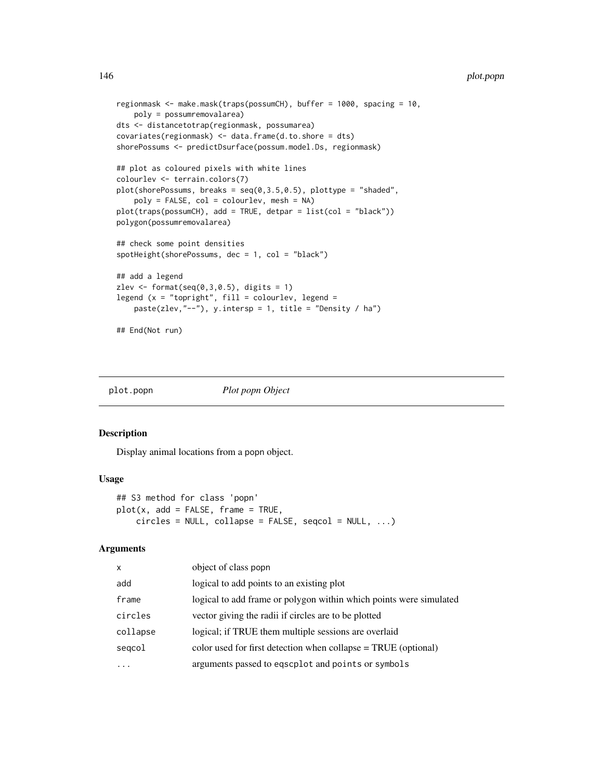```
regionmask <- make.mask(traps(possumCH), buffer = 1000, spacing = 10,
    poly = possumremovalarea)
dts <- distancetotrap(regionmask, possumarea)
covariates(regionmask) <- data.frame(d.to.shore = dts)
shorePossums <- predictDsurface(possum.model.Ds, regionmask)
## plot as coloured pixels with white lines
colourlev <- terrain.colors(7)
plot(shorePossums, breaks = seq(0, 3.5, 0.5), plottype = "shaded",poly = FALSE, col = colourlev, mesh = NA)
plot(traps(possumCH), add = TRUE, detpar = list(col = "black"))
polygon(possumremovalarea)
## check some point densities
spotHeight(shorePossums, dec = 1, col = "black")
## add a legend
zlev \le format(seq(0,3,0.5), digits = 1)
legend (x = "topright", fill = colourlev, legend =paste(zlev,"--"), y.intersp = 1, title = "Density / ha")
## End(Not run)
```
<span id="page-145-0"></span>

plot.popn *Plot popn Object*

### Description

Display animal locations from a popn object.

#### Usage

```
## S3 method for class 'popn'
plot(x, add = FALSE, frame = TRUE,circles = NULL, collapse = FALSE, seqcol = NULL, ...)
```
### Arguments

| $\mathsf{x}$ | object of class popn                                               |
|--------------|--------------------------------------------------------------------|
| add          | logical to add points to an existing plot                          |
| frame        | logical to add frame or polygon within which points were simulated |
| circles      | vector giving the radii if circles are to be plotted               |
| collapse     | logical; if TRUE them multiple sessions are overlaid               |
| segcol       | color used for first detection when collapse $= TRUE$ (optional)   |
|              | arguments passed to eqscplot and points or symbols                 |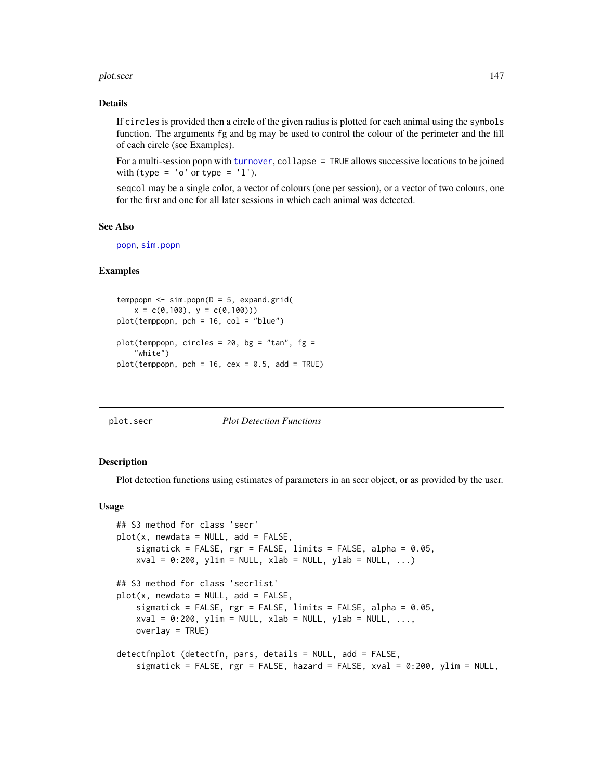#### plot.secr and the secretary produced by the secretary produced by  $147$

### Details

If circles is provided then a circle of the given radius is plotted for each animal using the symbols function. The arguments fg and bg may be used to control the colour of the perimeter and the fill of each circle (see Examples).

For a multi-session popn with [turnover](#page-272-0), collapse = TRUE allows successive locations to be joined with (type =  $'o'$  or type =  $'1'$ ).

seqcol may be a single color, a vector of colours (one per session), or a vector of two colours, one for the first and one for all later sessions in which each animal was detected.

# See Also

[popn](#page-154-0), [sim.popn](#page-222-0)

# Examples

```
temppopn \leq sim.popn(D = 5, expand.grid(
   x = c(0,100), y = c(0,100))plot(temppopn, pch = 16, col = "blue")
plot(temppopn, circles = 20, bg = "tan", fg =
    "white")
plot(temppopn, pch = 16, cex = 0.5, add = TRUE)
```
# plot.secr *Plot Detection Functions*

### **Description**

Plot detection functions using estimates of parameters in an secr object, or as provided by the user.

#### Usage

```
## S3 method for class 'secr'
plot(x, newdata = NULL, add = FALSE,sigmatick = FALSE, rgr = FALSE, limits = FALSE, alpha = 0.05,
   xval = 0:200, ylim = NULL, xlab = NULL, ylab = NULL, ...)
## S3 method for class 'secrlist'
plot(x, newdata = NULL, add = FALSE,sigmatick = FALSE, rgr = FALSE, limits = FALSE, alpha = 0.05,
   xval = 0:200, ylim = NULL, xlab = NULL, ylab = NULL, ...,
   overlaw = TRUE)
detectfnplot (detectfn, pars, details = NULL, add = FALSE,
   sigmatick = FALSE, rgr = FALSE, hazard = FALSE, xval = 0:200, ylim = NULL,
```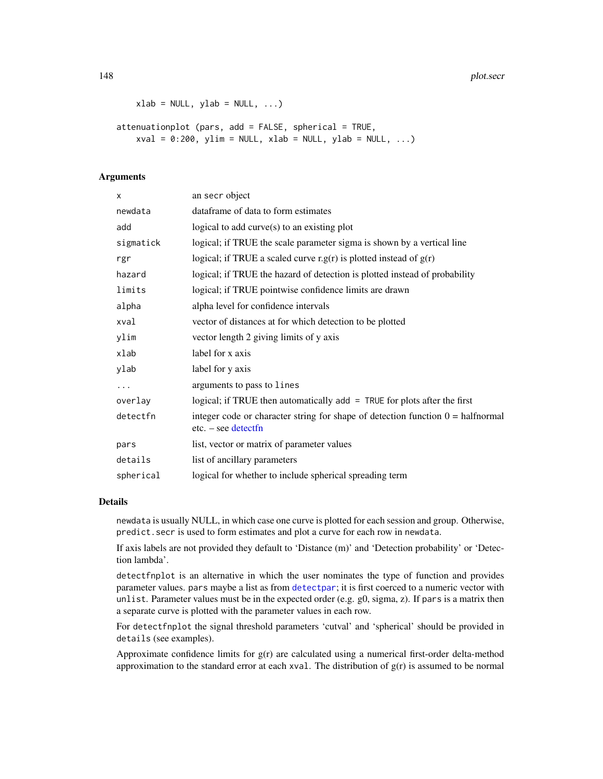148 plot.secr

```
xlab = NULL, ylab = NULL, ...)
```
attenuationplot (pars, add = FALSE, spherical = TRUE,  $xval = 0:200$ ,  $ylim = NULL$ ,  $xlab = NULL$ ,  $ylab = NULL$ , ...)

### Arguments

| X         | an secr object                                                                                                  |
|-----------|-----------------------------------------------------------------------------------------------------------------|
| newdata   | dataframe of data to form estimates                                                                             |
| add       | logical to add $curve(s)$ to an existing plot                                                                   |
| sigmatick | logical; if TRUE the scale parameter sigma is shown by a vertical line                                          |
| rgr       | logical; if TRUE a scaled curve r.g(r) is plotted instead of $g(r)$                                             |
| hazard    | logical; if TRUE the hazard of detection is plotted instead of probability                                      |
| limits    | logical; if TRUE pointwise confidence limits are drawn                                                          |
| alpha     | alpha level for confidence intervals                                                                            |
| xval      | vector of distances at for which detection to be plotted                                                        |
| ylim      | vector length 2 giving limits of y axis                                                                         |
| xlab      | label for x axis                                                                                                |
| ylab      | label for y axis                                                                                                |
| $\cdots$  | arguments to pass to lines                                                                                      |
| overlay   | logical; if TRUE then automatically add = TRUE for plots after the first                                        |
| detectfn  | integer code or character string for shape of detection function $0 = \text{halfnormal}$<br>$etc. - see detect$ |
| pars      | list, vector or matrix of parameter values                                                                      |
| details   | list of ancillary parameters                                                                                    |
| spherical | logical for whether to include spherical spreading term                                                         |

### Details

newdata is usually NULL, in which case one curve is plotted for each session and group. Otherwise, predict.secr is used to form estimates and plot a curve for each row in newdata.

If axis labels are not provided they default to 'Distance (m)' and 'Detection probability' or 'Detection lambda'.

detectfnplot is an alternative in which the user nominates the type of function and provides parameter values. pars maybe a list as from [detectpar](#page-157-0); it is first coerced to a numeric vector with unlist. Parameter values must be in the expected order (e.g.  $g0$ , sigma, z). If pars is a matrix then a separate curve is plotted with the parameter values in each row.

For detectfnplot the signal threshold parameters 'cutval' and 'spherical' should be provided in details (see examples).

Approximate confidence limits for g(r) are calculated using a numerical first-order delta-method approximation to the standard error at each xval. The distribution of  $g(r)$  is assumed to be normal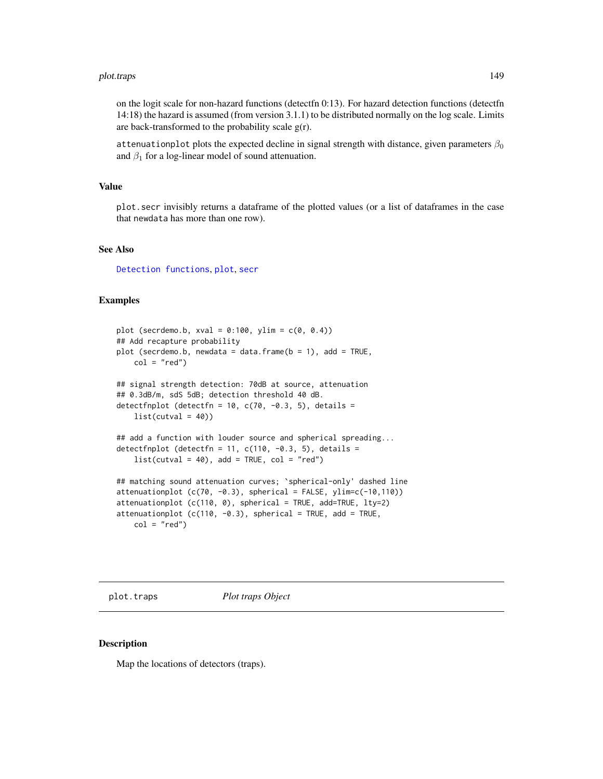#### plot.traps the control of the control of the control of the control of the control of the control of the control of the control of the control of the control of the control of the control of the control of the control of t

on the logit scale for non-hazard functions (detectfn 0:13). For hazard detection functions (detectfn 14:18) the hazard is assumed (from version 3.1.1) to be distributed normally on the log scale. Limits are back-transformed to the probability scale  $g(r)$ .

attenuationplot plots the expected decline in signal strength with distance, given parameters  $\beta_0$ and  $\beta_1$  for a log-linear model of sound attenuation.

#### Value

plot.secr invisibly returns a dataframe of the plotted values (or a list of dataframes in the case that newdata has more than one row).

### See Also

[Detection functions](#page-0-0), [plot](#page-0-0), [secr](#page-4-0)

### Examples

```
plot (secrdemo.b, xval = 0:100, ylim = c(0, 0.4))
## Add recapture probability
plot (secrdemo.b, newdata = data.frame(b = 1), add = TRUE,
    col = "red")## signal strength detection: 70dB at source, attenuation
## 0.3dB/m, sdS 5dB; detection threshold 40 dB.
detectfnplot (detectfn = 10, c(70, -0.3, 5), details =
    list(cutval = 40)## add a function with louder source and spherical spreading...
detectfnplot (detectfn = 11, c(110, -0.3, 5), details =
    list(cutval = 40), add = TRUE, col = "red")
## matching sound attenuation curves; `spherical-only' dashed line
attenuationplot (c(70, -0.3)), spherical = FALSE, ylim=c(-10,110))
attenuationplot (c(110, 0), spherical = TRUE, add=TRUE, lty=2)
attentionplot (c(110, -0.3), spherical = TRUE, add = TRUE,
    col = "red")
```
plot.traps *Plot traps Object*

### Description

Map the locations of detectors (traps).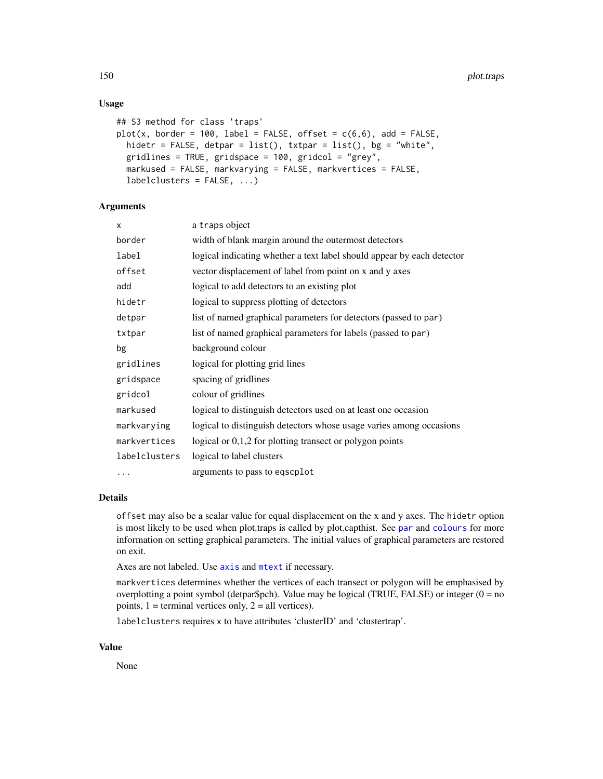### Usage

```
## S3 method for class 'traps'
plot(x, border = 100, label = FALSE, offset = c(6,6), add = FALSE,hidetr = FALSE, detpar = list(), txtpar = list(), bg = "white",
  gridlines = TRUE, gridspace = 100, gridcol = "grey",
 markused = FALSE, markvarying = FALSE, markvertices = FALSE,
  labelclusters = FALSE, ...)
```
### **Arguments**

| x             | a traps object                                                         |
|---------------|------------------------------------------------------------------------|
| border        | width of blank margin around the outermost detectors                   |
| label         | logical indicating whether a text label should appear by each detector |
| offset        | vector displacement of label from point on x and y axes                |
| add           | logical to add detectors to an existing plot                           |
| hidetr        | logical to suppress plotting of detectors                              |
| detpar        | list of named graphical parameters for detectors (passed to par)       |
| txtpar        | list of named graphical parameters for labels (passed to par)          |
| bg            | background colour                                                      |
| gridlines     | logical for plotting grid lines                                        |
| gridspace     | spacing of gridlines                                                   |
| gridcol       | colour of gridlines                                                    |
| markused      | logical to distinguish detectors used on at least one occasion         |
| markvarying   | logical to distinguish detectors whose usage varies among occasions    |
| markvertices  | logical or $0,1,2$ for plotting transect or polygon points             |
| labelclusters | logical to label clusters                                              |
|               | arguments to pass to eqscplot                                          |

# Details

offset may also be a scalar value for equal displacement on the x and y axes. The hidetr option is most likely to be used when plot.traps is called by plot.capthist. See [par](#page-0-0) and [colours](#page-0-0) for more information on setting graphical parameters. The initial values of graphical parameters are restored on exit.

Axes are not labeled. Use [axis](#page-0-0) and [mtext](#page-0-0) if necessary.

markvertices determines whether the vertices of each transect or polygon will be emphasised by overplotting a point symbol (detpar\$pch). Value may be logical (TRUE, FALSE) or integer ( $0 = no$ points,  $1 =$  terminal vertices only,  $2 =$  all vertices).

labelclusters requires x to have attributes 'clusterID' and 'clustertrap'.

### Value

None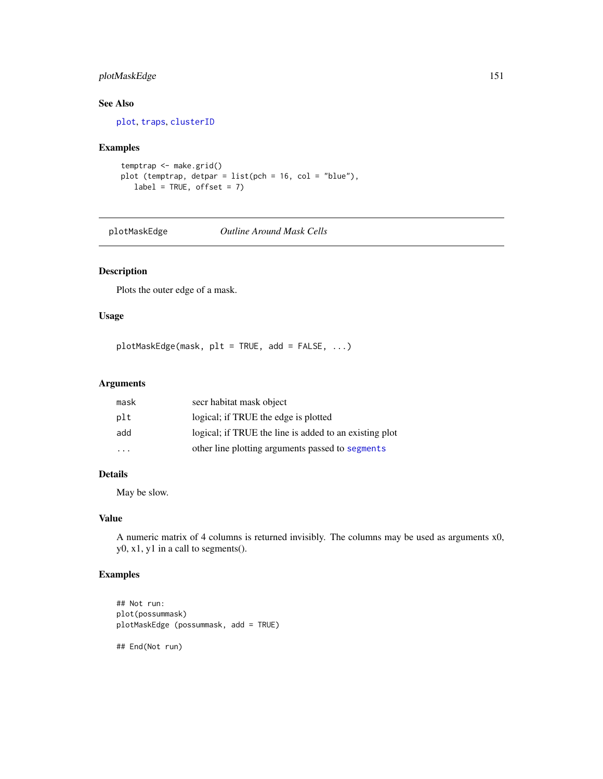# plotMaskEdge 151

# See Also

[plot](#page-0-0), [traps](#page-267-0), [clusterID](#page-32-0)

# Examples

```
temptrap <- make.grid()
plot (temptrap, detpar = list(pch = 16, col = "blue"),
   label = TRUE, offset = 7)
```
plotMaskEdge *Outline Around Mask Cells*

# Description

Plots the outer edge of a mask.

# Usage

plotMaskEdge(mask, plt = TRUE, add = FALSE, ...)

# Arguments

| mask | secr habitat mask object                               |
|------|--------------------------------------------------------|
| plt  | logical; if TRUE the edge is plotted                   |
| add  | logical; if TRUE the line is added to an existing plot |
| .    | other line plotting arguments passed to segments       |

# Details

May be slow.

# Value

A numeric matrix of 4 columns is returned invisibly. The columns may be used as arguments x0, y0, x1, y1 in a call to segments().

# Examples

```
## Not run:
plot(possummask)
plotMaskEdge (possummask, add = TRUE)
## End(Not run)
```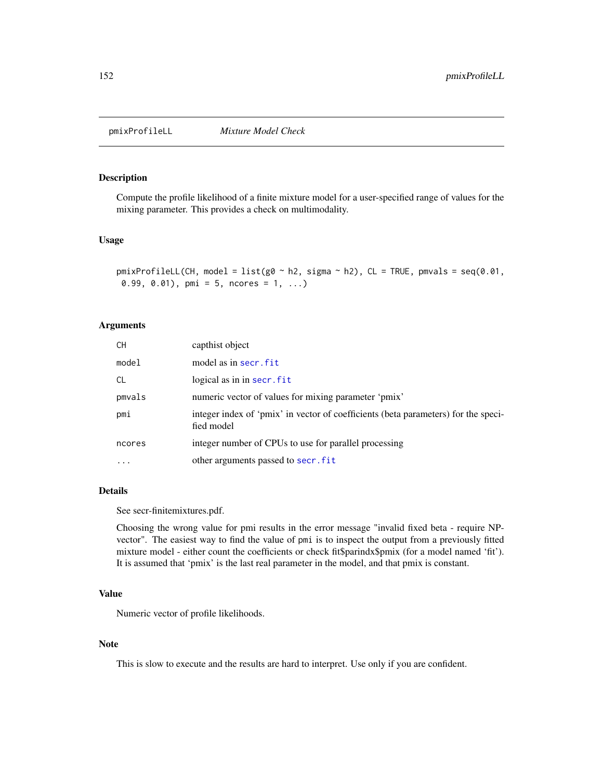# **Description**

Compute the profile likelihood of a finite mixture model for a user-specified range of values for the mixing parameter. This provides a check on multimodality.

# Usage

```
pmixProfileLL(CH, model = list(g0 \sim h2, sigma \sim h2), CL = TRUE, pmvals = seq(0.01,
0.99, 0.01), pmi = 5, ncores = 1, ...)
```
# Arguments

| CH.       | capthist object                                                                                  |
|-----------|--------------------------------------------------------------------------------------------------|
| model     | model as in secr. fit                                                                            |
| <b>CL</b> | logical as in in secr. fit                                                                       |
| pmvals    | numeric vector of values for mixing parameter 'pmix'                                             |
| pmi       | integer index of 'pmix' in vector of coefficients (beta parameters) for the speci-<br>fied model |
| ncores    | integer number of CPUs to use for parallel processing                                            |
| $\ddotsc$ | other arguments passed to secr. fit                                                              |

#### Details

See secr-finitemixtures.pdf.

Choosing the wrong value for pmi results in the error message "invalid fixed beta - require NPvector". The easiest way to find the value of pmi is to inspect the output from a previously fitted mixture model - either count the coefficients or check fit\$parindx\$pmix (for a model named 'fit'). It is assumed that 'pmix' is the last real parameter in the model, and that pmix is constant.

### Value

Numeric vector of profile likelihoods.

# Note

This is slow to execute and the results are hard to interpret. Use only if you are confident.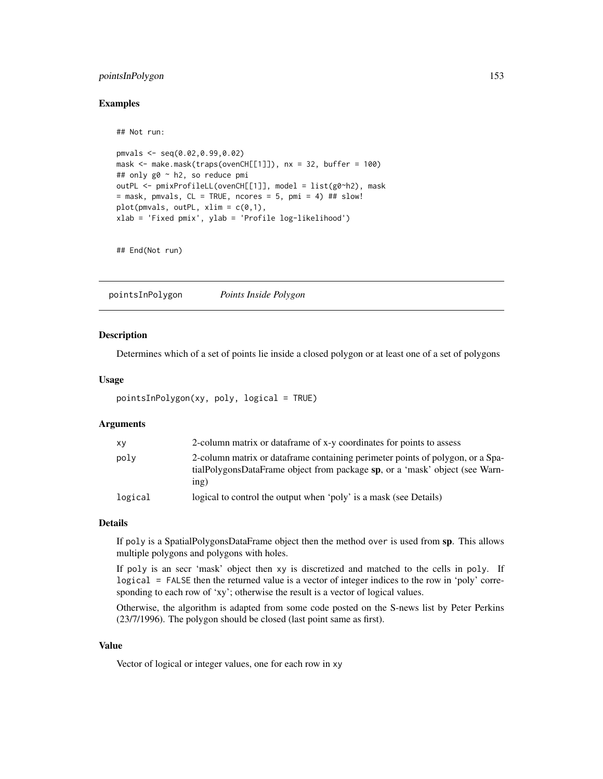# pointsInPolygon 153

## Not run:

### Examples

```
pmvals <- seq(0.02,0.99,0.02)
mask <- make.mask(traps(ovenCH[[1]]), nx = 32, buffer = 100)
## only g0 ~ h2, so reduce pmi
outPL <- pmixProfileLL(ovenCH[[1]], model = list(g0~h2), mask
= mask, pmvals, CL = TRUE, ncores = 5, pmi = 4) ## slow!
plot(pmvals, outPL, xlim = c(0,1),xlab = 'Fixed pmix', ylab = 'Profile log-likelihood')
```
## End(Not run)

pointsInPolygon *Points Inside Polygon*

# Description

Determines which of a set of points lie inside a closed polygon or at least one of a set of polygons

### Usage

```
pointsInPolygon(xy, poly, logical = TRUE)
```
### **Arguments**

| XV      | 2-column matrix or dataframe of x-y coordinates for points to assess                                                                                                  |
|---------|-----------------------------------------------------------------------------------------------------------------------------------------------------------------------|
| poly    | 2-column matrix or dataframe containing perimeter points of polygon, or a Spa-<br>tialPolygonsDataFrame object from package sp, or a 'mask' object (see Warn-<br>ing) |
| logical | logical to control the output when 'poly' is a mask (see Details)                                                                                                     |

### Details

If poly is a SpatialPolygonsDataFrame object then the method over is used from sp. This allows multiple polygons and polygons with holes.

If poly is an secr 'mask' object then xy is discretized and matched to the cells in poly. If logical = FALSE then the returned value is a vector of integer indices to the row in 'poly' corresponding to each row of 'xy'; otherwise the result is a vector of logical values.

Otherwise, the algorithm is adapted from some code posted on the S-news list by Peter Perkins (23/7/1996). The polygon should be closed (last point same as first).

# Value

Vector of logical or integer values, one for each row in xy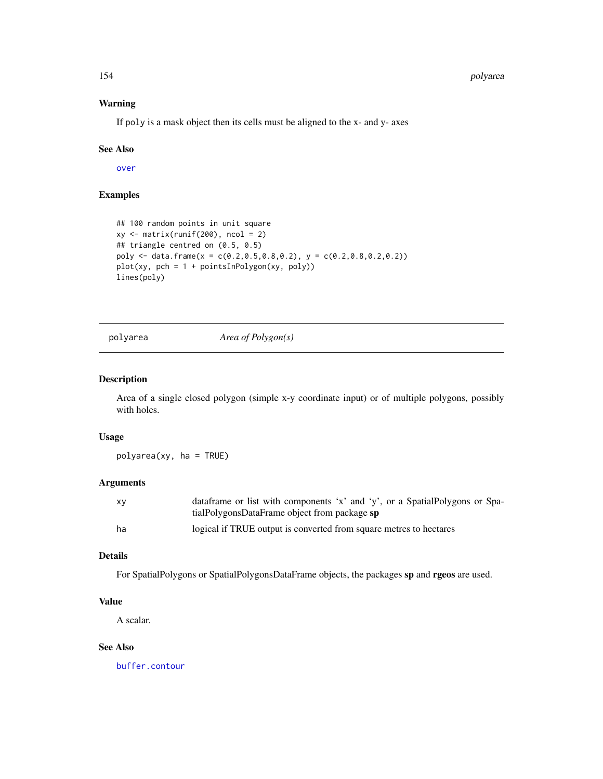# Warning

If poly is a mask object then its cells must be aligned to the x- and y- axes

# See Also

[over](#page-0-0)

# Examples

```
## 100 random points in unit square
xy \leftarrow matrix(runif(200), ncol = 2)## triangle centred on (0.5, 0.5)
poly <- data.frame(x = c(0.2,0.5,0.8,0.2), y = c(0.2,0.8,0.2,0.2))
plot(xy, pch = 1 + pointsInPolygon(xy, poly))lines(poly)
```
polyarea *Area of Polygon(s)*

### Description

Area of a single closed polygon (simple x-y coordinate input) or of multiple polygons, possibly with holes.

### Usage

polyarea(xy, ha = TRUE)

### Arguments

| XV | data frame or list with components 'x' and 'y', or a Spatial Polygons or Spa- |
|----|-------------------------------------------------------------------------------|
|    | tialPolygonsDataFrame object from package sp                                  |
| ha | logical if TRUE output is converted from square metres to hectares            |

### Details

For SpatialPolygons or SpatialPolygonsDataFrame objects, the packages sp and rgeos are used.

# Value

A scalar.

# See Also

[buffer.contour](#page-36-1)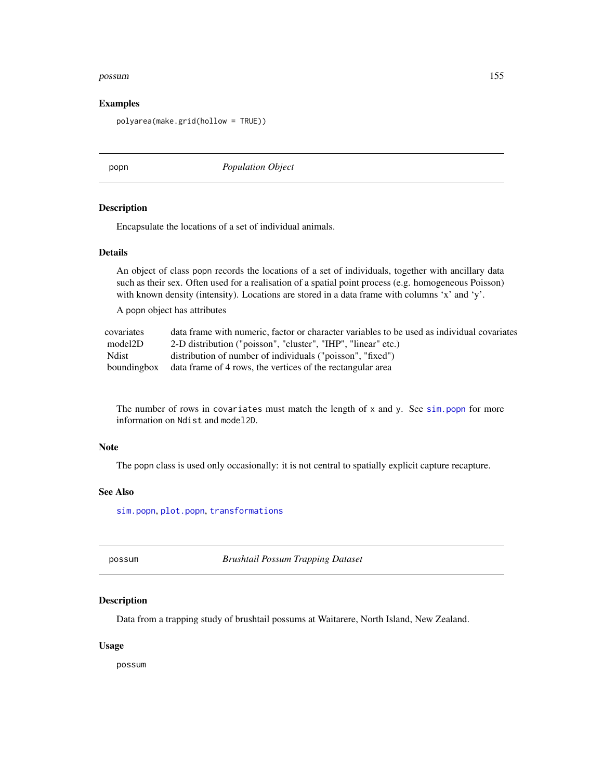#### possum 155

### Examples

polyarea(make.grid(hollow = TRUE))

<span id="page-154-0"></span>popn *Population Object*

#### Description

Encapsulate the locations of a set of individual animals.

# Details

An object of class popn records the locations of a set of individuals, together with ancillary data such as their sex. Often used for a realisation of a spatial point process (e.g. homogeneous Poisson) with known density (intensity). Locations are stored in a data frame with columns 'x' and 'y'.

A popn object has attributes

| covariates   | data frame with numeric, factor or character variables to be used as individual covariates |
|--------------|--------------------------------------------------------------------------------------------|
| model2D      | 2-D distribution ("poisson", "cluster", "IHP", "linear" etc.)                              |
| <b>Ndist</b> | distribution of number of individuals ("poisson", "fixed")                                 |
|              | bounding box data frame of 4 rows, the vertices of the rectangular area                    |

The number of rows in covariates must match the length of  $x$  and  $y$ . See [sim.popn](#page-222-0) for more information on Ndist and model2D.

#### Note

The popn class is used only occasionally: it is not central to spatially explicit capture recapture.

# See Also

[sim.popn](#page-222-0), [plot.popn](#page-145-0), [transformations](#page-260-0)

possum *Brushtail Possum Trapping Dataset*

# Description

Data from a trapping study of brushtail possums at Waitarere, North Island, New Zealand.

#### Usage

possum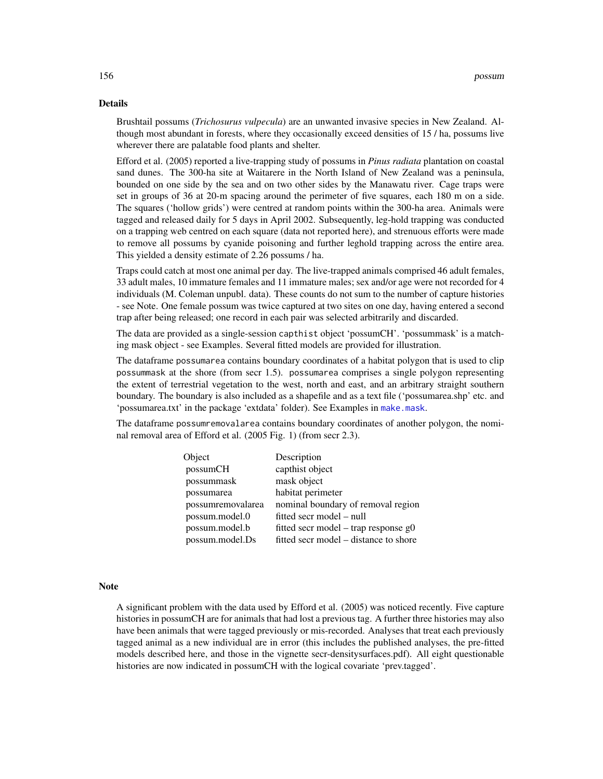#### Details

Brushtail possums (*Trichosurus vulpecula*) are an unwanted invasive species in New Zealand. Although most abundant in forests, where they occasionally exceed densities of 15 / ha, possums live wherever there are palatable food plants and shelter.

Efford et al. (2005) reported a live-trapping study of possums in *Pinus radiata* plantation on coastal sand dunes. The 300-ha site at Waitarere in the North Island of New Zealand was a peninsula, bounded on one side by the sea and on two other sides by the Manawatu river. Cage traps were set in groups of 36 at 20-m spacing around the perimeter of five squares, each 180 m on a side. The squares ('hollow grids') were centred at random points within the 300-ha area. Animals were tagged and released daily for 5 days in April 2002. Subsequently, leg-hold trapping was conducted on a trapping web centred on each square (data not reported here), and strenuous efforts were made to remove all possums by cyanide poisoning and further leghold trapping across the entire area. This yielded a density estimate of 2.26 possums / ha.

Traps could catch at most one animal per day. The live-trapped animals comprised 46 adult females, 33 adult males, 10 immature females and 11 immature males; sex and/or age were not recorded for 4 individuals (M. Coleman unpubl. data). These counts do not sum to the number of capture histories - see Note. One female possum was twice captured at two sites on one day, having entered a second trap after being released; one record in each pair was selected arbitrarily and discarded.

The data are provided as a single-session capthist object 'possumCH'. 'possummask' is a matching mask object - see Examples. Several fitted models are provided for illustration.

The dataframe possumarea contains boundary coordinates of a habitat polygon that is used to clip possummask at the shore (from secr 1.5). possumarea comprises a single polygon representing the extent of terrestrial vegetation to the west, north and east, and an arbitrary straight southern boundary. The boundary is also included as a shapefile and as a text file ('possumarea.shp' etc. and 'possumarea.txt' in the package 'extdata' folder). See Examples in [make.mask](#page-104-0).

The dataframe possumremovalarea contains boundary coordinates of another polygon, the nominal removal area of Efford et al. (2005 Fig. 1) (from secr 2.3).

| Object            | Description                            |
|-------------------|----------------------------------------|
| possumCH          | capthist object                        |
| possummask        | mask object                            |
| possumarea        | habitat perimeter                      |
| possumremovalarea | nominal boundary of removal region     |
| possum.model.0    | fitted secr model – null               |
| possum.model.b    | fitted secr model – trap response $g0$ |
| possum.model.Ds   | fitted secr model – distance to shore  |

### Note

A significant problem with the data used by Efford et al. (2005) was noticed recently. Five capture histories in possumCH are for animals that had lost a previous tag. A further three histories may also have been animals that were tagged previously or mis-recorded. Analyses that treat each previously tagged animal as a new individual are in error (this includes the published analyses, the pre-fitted models described here, and those in the vignette secr-densitysurfaces.pdf). All eight questionable histories are now indicated in possumCH with the logical covariate 'prev.tagged'.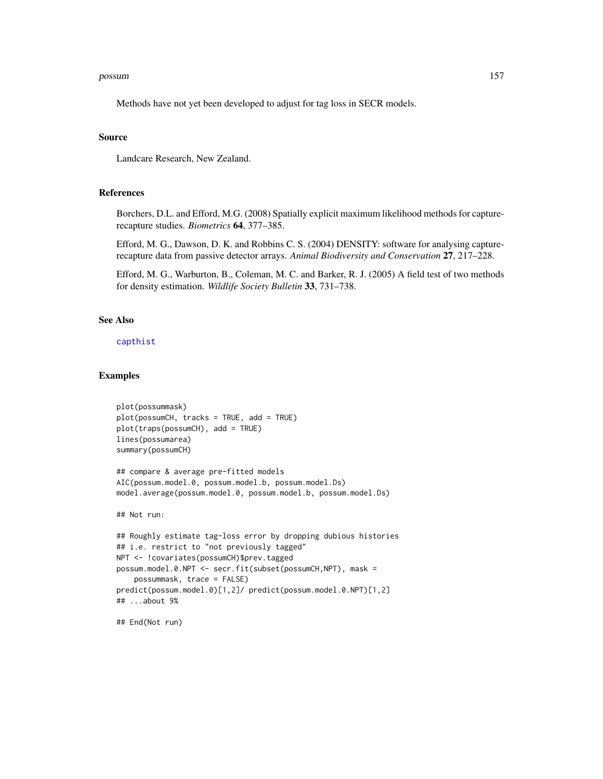#### possum 157

Methods have not yet been developed to adjust for tag loss in SECR models.

#### Source

Landcare Research, New Zealand.

### References

Borchers, D.L. and Efford, M.G. (2008) Spatially explicit maximum likelihood methods for capturerecapture studies. *Biometrics* 64, 377–385.

Efford, M. G., Dawson, D. K. and Robbins C. S. (2004) DENSITY: software for analysing capturerecapture data from passive detector arrays. *Animal Biodiversity and Conservation* 27, 217–228.

Efford, M. G., Warburton, B., Coleman, M. C. and Barker, R. J. (2005) A field test of two methods for density estimation. *Wildlife Society Bulletin* 33, 731–738.

# See Also

[capthist](#page-22-0)

### Examples

```
plot(possummask)
plot(possumCH, tracks = TRUE, add = TRUE)
plot(traps(possumCH), add = TRUE)
lines(possumarea)
summary(possumCH)
## compare & average pre-fitted models
AIC(possum.model.0, possum.model.b, possum.model.Ds)
model.average(possum.model.0, possum.model.b, possum.model.Ds)
## Not run:
## Roughly estimate tag-loss error by dropping dubious histories
## i.e. restrict to "not previously tagged"
NPT <- !covariates(possumCH)$prev.tagged
possum.model.0.NPT <- secr.fit(subset(possumCH,NPT), mask =
    possummask, trace = FALSE)
predict(possum.model.0)[1,2]/ predict(possum.model.0.NPT)[1,2]
## ...about 9%
```
## End(Not run)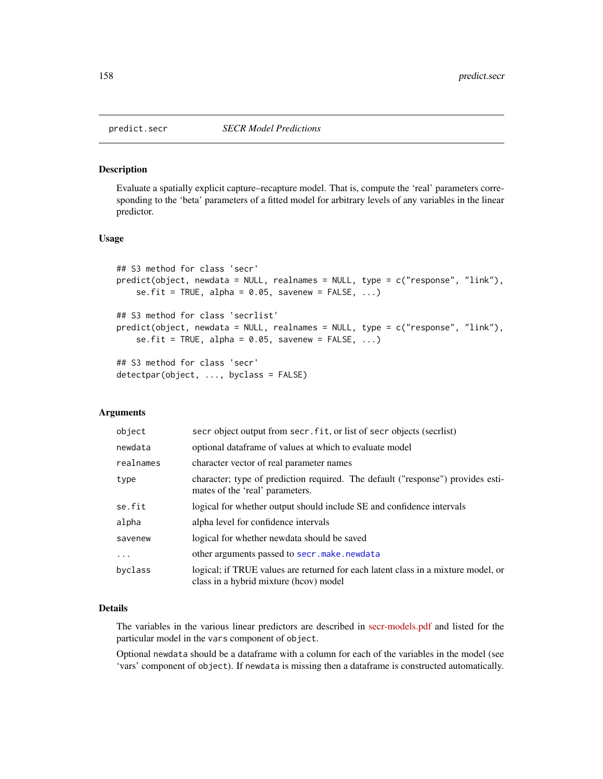#### <span id="page-157-0"></span>Description

Evaluate a spatially explicit capture–recapture model. That is, compute the 'real' parameters corresponding to the 'beta' parameters of a fitted model for arbitrary levels of any variables in the linear predictor.

# Usage

```
## S3 method for class 'secr'
predict(object, newdata = NULL, realnames = NULL, type = c("response", "link"),
    se.fit = TRUE, alpha = 0.05, savenew = FALSE, ...)## S3 method for class 'secrlist'
predict(object, newdata = NULL, realnames = NULL, type = c("response", "link"),
    se.fit = TRUE, alpha = 0.05, savenew = FALSE, ...)## S3 method for class 'secr'
detectpar(object, ..., byclass = FALSE)
```
### Arguments

| object     | secr object output from secr. fit, or list of secr objects (secrlist)                                                       |
|------------|-----------------------------------------------------------------------------------------------------------------------------|
| newdata    | optional dataframe of values at which to evaluate model                                                                     |
| realnames  | character vector of real parameter names                                                                                    |
| type       | character; type of prediction required. The default ("response") provides esti-<br>mates of the 'real' parameters.          |
| se.fit     | logical for whether output should include SE and confidence intervals                                                       |
| alpha      | alpha level for confidence intervals                                                                                        |
| savenew    | logical for whether newdata should be saved                                                                                 |
| $\ddots$ . | other arguments passed to secr.make.newdata                                                                                 |
| byclass    | logical; if TRUE values are returned for each latent class in a mixture model, or<br>class in a hybrid mixture (hoov) model |

### Details

The variables in the various linear predictors are described in [secr-models.pdf](https://www.otago.ac.nz/density/pdfs/secr-models.pdf) and listed for the particular model in the vars component of object.

Optional newdata should be a dataframe with a column for each of the variables in the model (see 'vars' component of object). If newdata is missing then a dataframe is constructed automatically.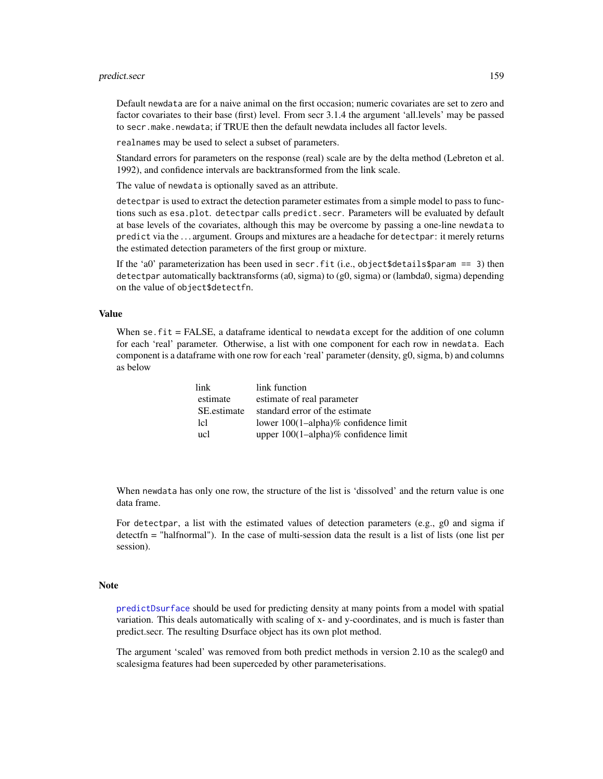#### predict.secr 159

Default newdata are for a naive animal on the first occasion; numeric covariates are set to zero and factor covariates to their base (first) level. From secr 3.1.4 the argument 'all.levels' may be passed to secr.make.newdata; if TRUE then the default newdata includes all factor levels.

realnames may be used to select a subset of parameters.

Standard errors for parameters on the response (real) scale are by the delta method (Lebreton et al. 1992), and confidence intervals are backtransformed from the link scale.

The value of newdata is optionally saved as an attribute.

detectpar is used to extract the detection parameter estimates from a simple model to pass to functions such as esa.plot. detectpar calls predict.secr. Parameters will be evaluated by default at base levels of the covariates, although this may be overcome by passing a one-line newdata to predict via the . . . argument. Groups and mixtures are a headache for detectpar: it merely returns the estimated detection parameters of the first group or mixture.

If the 'a0' parameterization has been used in secr. fit (i.e., object \$details \$param == 3) then detectpar automatically backtransforms (a0, sigma) to (g0, sigma) or (lambda0, sigma) depending on the value of object\$detectfn.

### Value

When se. fit = FALSE, a dataframe identical to newdata except for the addition of one column for each 'real' parameter. Otherwise, a list with one component for each row in newdata. Each component is a dataframe with one row for each 'real' parameter (density, g0, sigma, b) and columns as below

| link        | link function                        |
|-------------|--------------------------------------|
| estimate    | estimate of real parameter           |
| SE estimate | standard error of the estimate       |
| 1cl         | lower 100(1-alpha)% confidence limit |
| ucl         | upper 100(1-alpha)% confidence limit |

When newdata has only one row, the structure of the list is 'dissolved' and the return value is one data frame.

For detectpar, a list with the estimated values of detection parameters (e.g., g0 and sigma if detectfn = "halfnormal"). In the case of multi-session data the result is a list of lists (one list per session).

### **Note**

[predictDsurface](#page-159-0) should be used for predicting density at many points from a model with spatial variation. This deals automatically with scaling of x- and y-coordinates, and is much is faster than predict.secr. The resulting Dsurface object has its own plot method.

The argument 'scaled' was removed from both predict methods in version 2.10 as the scaleg0 and scalesigma features had been superceded by other parameterisations.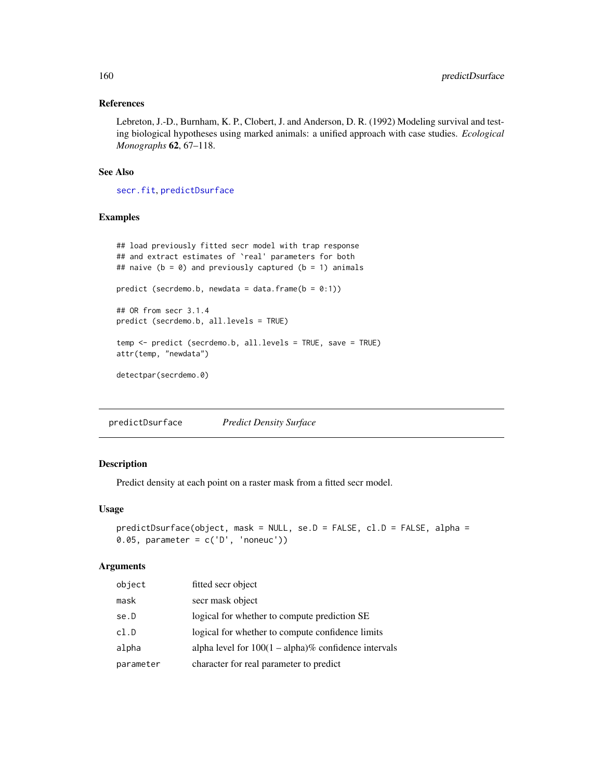# References

Lebreton, J.-D., Burnham, K. P., Clobert, J. and Anderson, D. R. (1992) Modeling survival and testing biological hypotheses using marked animals: a unified approach with case studies. *Ecological Monographs* 62, 67–118.

### See Also

[secr.fit](#page-199-0), [predictDsurface](#page-159-0)

### Examples

```
## load previously fitted secr model with trap response
## and extract estimates of `real' parameters for both
## naive (b = 0) and previously captured (b = 1) animals
predict (secrdemo.b, newdata = data.frame(b = 0:1))
## OR from secr 3.1.4
predict (secrdemo.b, all.levels = TRUE)
temp <- predict (secrdemo.b, all.levels = TRUE, save = TRUE)
attr(temp, "newdata")
detectpar(secrdemo.0)
```
<span id="page-159-0"></span>predictDsurface *Predict Density Surface*

# Description

Predict density at each point on a raster mask from a fitted secr model.

### Usage

```
predictDsurface(object, mask = NULL, se.D = FALSE, cl.D = FALSE, alpha =
0.05, parameter = c('D', 'noneuc'))
```
#### Arguments

| object    | fitted secr object                                      |
|-----------|---------------------------------------------------------|
| mask      | secr mask object                                        |
| se.D      | logical for whether to compute prediction SE            |
| cl.D      | logical for whether to compute confidence limits        |
| alpha     | alpha level for $100(1 - alpha)\%$ confidence intervals |
| parameter | character for real parameter to predict                 |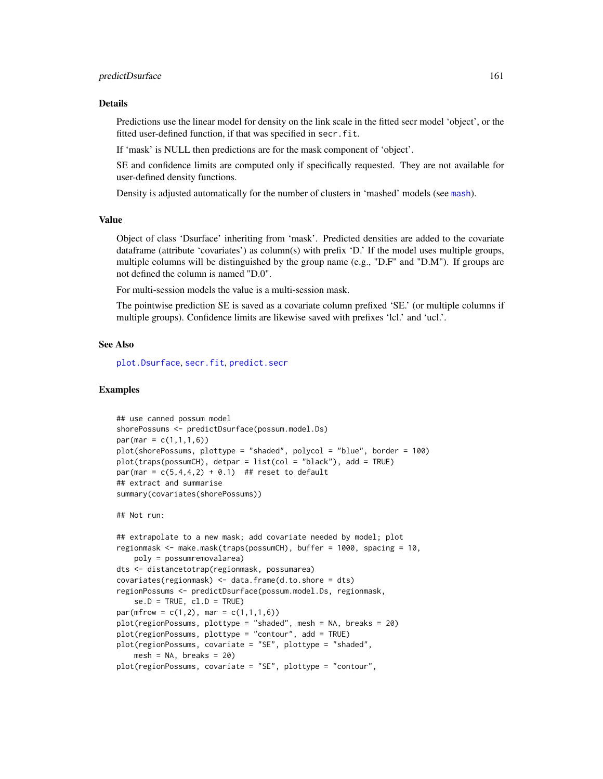### predictDsurface 161

#### Details

Predictions use the linear model for density on the link scale in the fitted secr model 'object', or the fitted user-defined function, if that was specified in secr.fit.

If 'mask' is NULL then predictions are for the mask component of 'object'.

SE and confidence limits are computed only if specifically requested. They are not available for user-defined density functions.

Density is adjusted automatically for the number of clusters in 'mashed' models (see [mash](#page-263-0)).

#### Value

Object of class 'Dsurface' inheriting from 'mask'. Predicted densities are added to the covariate dataframe (attribute 'covariates') as column(s) with prefix 'D.' If the model uses multiple groups, multiple columns will be distinguished by the group name (e.g., "D.F" and "D.M"). If groups are not defined the column is named "D.0".

For multi-session models the value is a multi-session mask.

The pointwise prediction SE is saved as a covariate column prefixed 'SE.' (or multiple columns if multiple groups). Confidence limits are likewise saved with prefixes 'lcl.' and 'ucl.'.

#### See Also

[plot.Dsurface](#page-141-0), [secr.fit](#page-199-0), [predict.secr](#page-157-1)

### Examples

```
## use canned possum model
shorePossums <- predictDsurface(possum.model.Ds)
par(max = c(1,1,1,6))plot(shorePossums, plottype = "shaded", polycol = "blue", border = 100)
plot(traps(possumCH), detpar = list(col = "black"), add = TRUE)
par(max = c(5, 4, 4, 2) + 0.1) ## reset to default
## extract and summarise
summary(covariates(shorePossums))
## Not run:
## extrapolate to a new mask; add covariate needed by model; plot
regionmask <- make.mask(traps(possumCH), buffer = 1000, spacing = 10,
   poly = possumremovalarea)
dts <- distancetotrap(regionmask, possumarea)
covariates(regionmask) <- data.frame(d.to.shore = dts)
regionPossums <- predictDsurface(possum.model.Ds, regionmask,
    se.D = TRUE, cl.D = TRUEpar(mfrow = c(1,2), mar = c(1,1,1,6))plot(regionPossums, plottype = "shaded", mesh = NA, breaks = 20)
plot(regionPossums, plottype = "contour", add = TRUE)
```
plot(regionPossums, covariate = "SE", plottype = "shaded",  $mesh = NA$ , breaks = 20)

```
plot(regionPossums, covariate = "SE", plottype = "contour",
```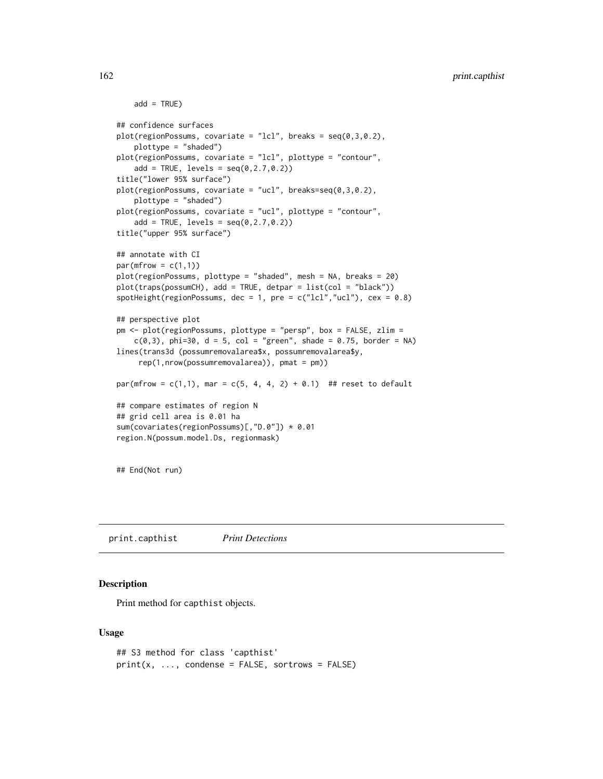```
add = TRUE)
## confidence surfaces
plot(regionPoss, covariate = "lcl", breaks = seq(0, 3, 0.2),plottype = "shaded")
plot(regionPossums, covariate = "lcl", plottype = "contour",
    add = TRUE, levels = seq(0, 2.7, 0.2))title("lower 95% surface")
plot(regionPossums, covariate = "ucl", breaks=seq(0,3,0.2),
    plottype = "shaded")
plot(regionPossums, covariate = "ucl", plottype = "contour",
    add = TRUE, levels = seq(0, 2.7, 0.2))title("upper 95% surface")
## annotate with CI
par(mfrow = c(1,1))plot(regionPossums, plottype = "shaded", mesh = NA, breaks = 20)
plot(traps(possumCH), add = TRUE, detpar = list(col = "black"))
spotHeight(regionPossums, dec = 1, pre = c("lcl", "ucl"), cex = 0.8)## perspective plot
pm <- plot(regionPossums, plottype = "persp", box = FALSE, zlim =
    c(0,3), phi=30, d = 5, col = "green", shade = 0.75, border = NA)
lines(trans3d (possumremovalarea$x, possumremovalarea$y,
     rep(1,nrow(possumremovalarea)), pmat = pm))
par(mfrow = c(1,1), mar = c(5, 4, 4, 2) + 0.1) ## reset to default
## compare estimates of region N
## grid cell area is 0.01 ha
sum(covariates(regionPossums)[,"D.0"]) * 0.01
region.N(possum.model.Ds, regionmask)
## End(Not run)
```
print.capthist *Print Detections*

### Description

Print method for capthist objects.

### Usage

```
## S3 method for class 'capthist'
print(x, ..., condense = FALSE, sortrows = FALSE)
```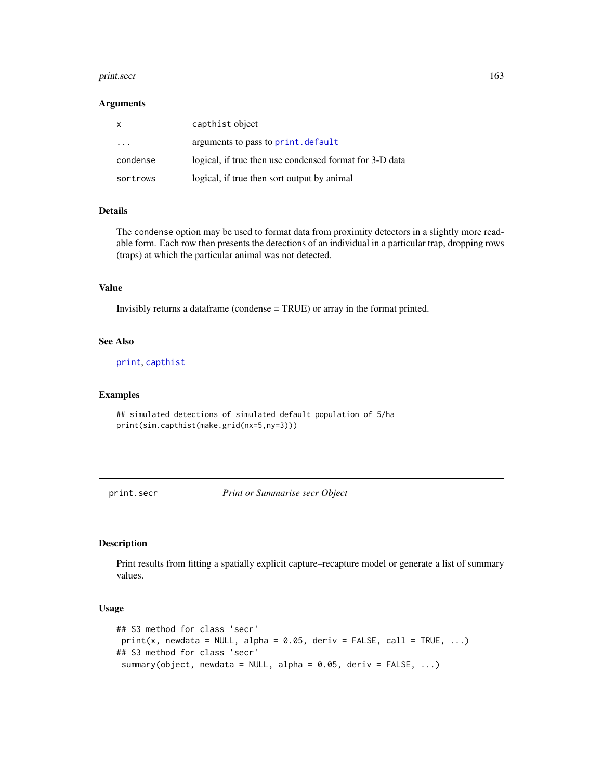#### print.secr 163

#### Arguments

| $\mathsf{x}$ | capthist object                                         |
|--------------|---------------------------------------------------------|
| .            | arguments to pass to print.default                      |
| condense     | logical, if true then use condensed format for 3-D data |
| sortrows     | logical, if true then sort output by animal             |

# Details

The condense option may be used to format data from proximity detectors in a slightly more readable form. Each row then presents the detections of an individual in a particular trap, dropping rows (traps) at which the particular animal was not detected.

### Value

Invisibly returns a dataframe (condense = TRUE) or array in the format printed.

# See Also

[print](#page-0-0), [capthist](#page-22-0)

# Examples

```
## simulated detections of simulated default population of 5/ha
print(sim.capthist(make.grid(nx=5,ny=3)))
```
print.secr *Print or Summarise secr Object*

# Description

Print results from fitting a spatially explicit capture–recapture model or generate a list of summary values.

#### Usage

```
## S3 method for class 'secr'
print(x, newdata = NULL, alpha = 0.05, deriv = FALSE, call = TRUE, ...)## S3 method for class 'secr'
 summary(object, newdata = NULL, alpha = 0.05, deriv = FALSE, ...)
```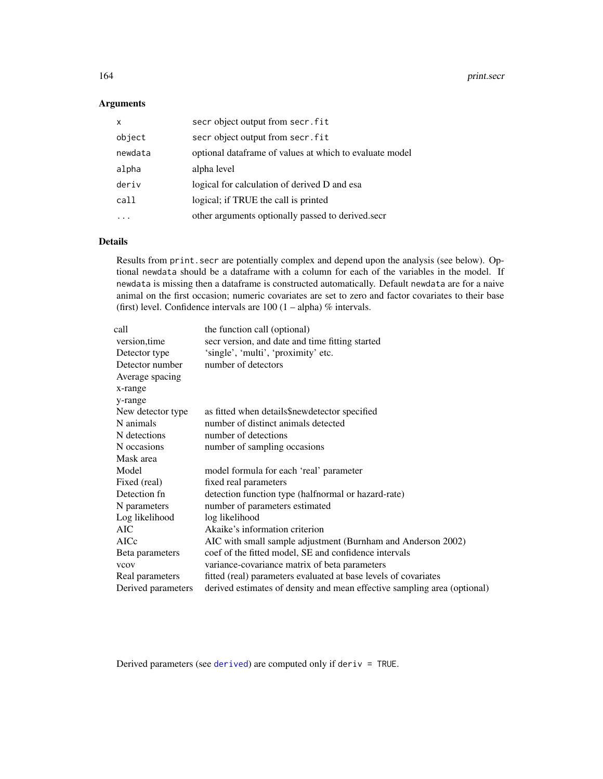# Arguments

| $\mathsf{x}$ | secr object output from secr. fit                       |
|--------------|---------------------------------------------------------|
| object       | secr object output from secr. fit                       |
| newdata      | optional dataframe of values at which to evaluate model |
| alpha        | alpha level                                             |
| deriv        | logical for calculation of derived D and esa            |
| call         | logical; if TRUE the call is printed                    |
|              | other arguments optionally passed to derived secret     |

### Details

Results from print.secr are potentially complex and depend upon the analysis (see below). Optional newdata should be a dataframe with a column for each of the variables in the model. If newdata is missing then a dataframe is constructed automatically. Default newdata are for a naive animal on the first occasion; numeric covariates are set to zero and factor covariates to their base (first) level. Confidence intervals are  $100 (1 - alpha) \%$  intervals.

| call                                          | the function call (optional)                                             |
|-----------------------------------------------|--------------------------------------------------------------------------|
| version, time                                 | secr version, and date and time fitting started                          |
| Detector type                                 | 'single', 'multi', 'proximity' etc.                                      |
| Detector number<br>Average spacing<br>x-range | number of detectors                                                      |
| y-range                                       |                                                                          |
| New detector type                             | as fitted when details\$newdetector specified                            |
| N animals                                     | number of distinct animals detected                                      |
| N detections                                  | number of detections                                                     |
| N occasions                                   | number of sampling occasions                                             |
| Mask area                                     |                                                                          |
| Model                                         | model formula for each 'real' parameter                                  |
| Fixed (real)                                  | fixed real parameters                                                    |
| Detection fn                                  | detection function type (halfnormal or hazard-rate)                      |
| N parameters                                  | number of parameters estimated                                           |
| Log likelihood                                | log likelihood                                                           |
| <b>AIC</b>                                    | Akaike's information criterion                                           |
| AICc                                          | AIC with small sample adjustment (Burnham and Anderson 2002)             |
| Beta parameters                               | coef of the fitted model, SE and confidence intervals                    |
| <b>VCOV</b>                                   | variance-covariance matrix of beta parameters                            |
| Real parameters                               | fitted (real) parameters evaluated at base levels of covariates          |
| Derived parameters                            | derived estimates of density and mean effective sampling area (optional) |

Derived parameters (see [derived](#page-45-0)) are computed only if deriv = TRUE.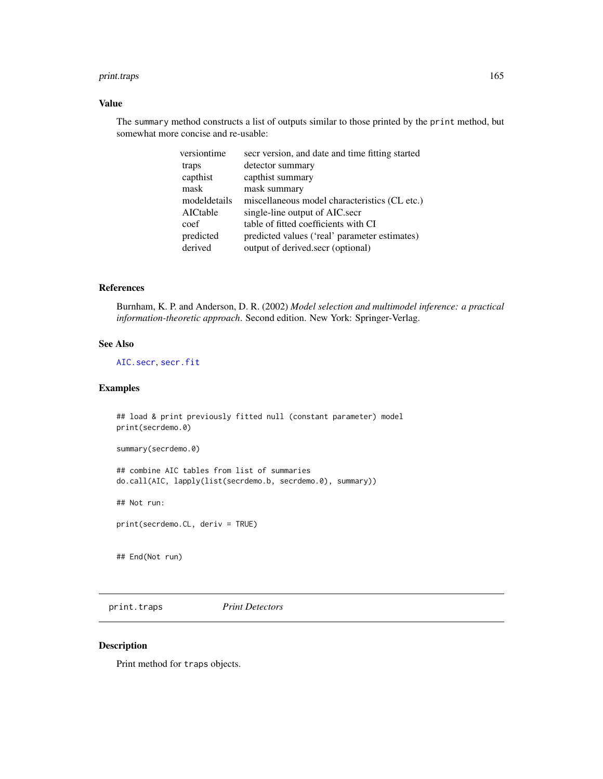#### print.traps 165

# Value

The summary method constructs a list of outputs similar to those printed by the print method, but somewhat more concise and re-usable:

| versiontime  | secr version, and date and time fitting started |
|--------------|-------------------------------------------------|
| traps        | detector summary                                |
| capthist     | capthist summary                                |
| mask         | mask summary                                    |
| modeldetails | miscellaneous model characteristics (CL etc.)   |
| AICtable     | single-line output of AIC.secr                  |
| coef         | table of fitted coefficients with CI            |
| predicted    | predicted values ('real' parameter estimates)   |
| derived      | output of derived.secr (optional)               |

### References

Burnham, K. P. and Anderson, D. R. (2002) *Model selection and multimodel inference: a practical information-theoretic approach*. Second edition. New York: Springer-Verlag.

# See Also

[AIC.secr](#page-12-0), [secr.fit](#page-199-0)

### Examples

## load & print previously fitted null (constant parameter) model print(secrdemo.0)

summary(secrdemo.0)

## combine AIC tables from list of summaries do.call(AIC, lapply(list(secrdemo.b, secrdemo.0), summary))

## Not run:

print(secrdemo.CL, deriv = TRUE)

## End(Not run)

print.traps *Print Detectors*

### Description

Print method for traps objects.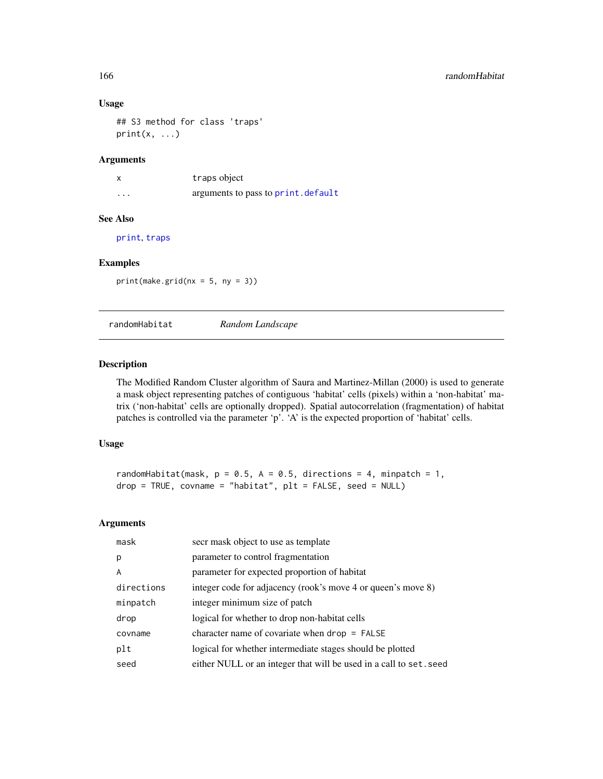### Usage

```
## S3 method for class 'traps'
print(x, \ldots)
```
# Arguments

x traps object ... **arguments to pass to [print.default](#page-0-0)** 

# See Also

[print](#page-0-0), [traps](#page-267-0)

### Examples

 $print(make.grid(nx = 5, ny = 3))$ 

randomHabitat *Random Landscape*

# Description

The Modified Random Cluster algorithm of Saura and Martinez-Millan (2000) is used to generate a mask object representing patches of contiguous 'habitat' cells (pixels) within a 'non-habitat' matrix ('non-habitat' cells are optionally dropped). Spatial autocorrelation (fragmentation) of habitat patches is controlled via the parameter 'p'. 'A' is the expected proportion of 'habitat' cells.

# Usage

randomHabitat(mask,  $p = 0.5$ ,  $A = 0.5$ , directions = 4, minpatch = 1, drop = TRUE, covname = "habitat", plt = FALSE, seed = NULL)

#### Arguments

| mask       | secr mask object to use as template                                |
|------------|--------------------------------------------------------------------|
| p          | parameter to control fragmentation                                 |
| A          | parameter for expected proportion of habitat                       |
| directions | integer code for adjacency (rook's move 4 or queen's move 8)       |
| minpatch   | integer minimum size of patch                                      |
| drop       | logical for whether to drop non-habitat cells                      |
| covname    | character name of covariate when $drop = FALSE$                    |
| plt        | logical for whether intermediate stages should be plotted          |
| seed       | either NULL or an integer that will be used in a call to set. seed |
|            |                                                                    |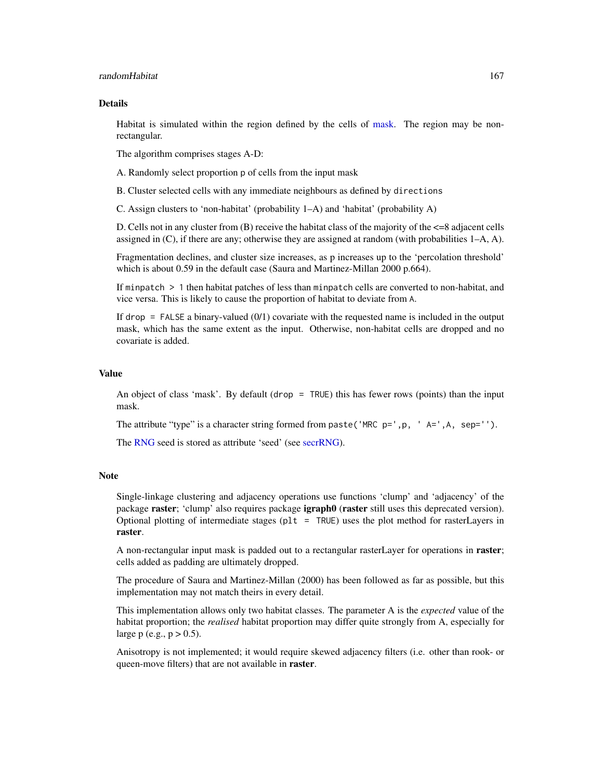#### randomHabitat 167

#### Details

Habitat is simulated within the region defined by the cells of [mask.](#page-113-0) The region may be nonrectangular.

The algorithm comprises stages A-D:

A. Randomly select proportion p of cells from the input mask

B. Cluster selected cells with any immediate neighbours as defined by directions

C. Assign clusters to 'non-habitat' (probability 1–A) and 'habitat' (probability A)

D. Cells not in any cluster from (B) receive the habitat class of the majority of the <=8 adjacent cells assigned in  $(C)$ , if there are any; otherwise they are assigned at random (with probabilities  $1-A$ , A).

Fragmentation declines, and cluster size increases, as p increases up to the 'percolation threshold' which is about 0.59 in the default case (Saura and Martinez-Millan 2000 p.664).

If minpatch > 1 then habitat patches of less than minpatch cells are converted to non-habitat, and vice versa. This is likely to cause the proportion of habitat to deviate from A.

If drop = FALSE a binary-valued (0/1) covariate with the requested name is included in the output mask, which has the same extent as the input. Otherwise, non-habitat cells are dropped and no covariate is added.

#### Value

An object of class 'mask'. By default (drop = TRUE) this has fewer rows (points) than the input mask.

The attribute "type" is a character string formed from paste('MRC  $p='$ , p, 'A=',A, sep='').

The [RNG](#page-0-0) seed is stored as attribute 'seed' (see [secrRNG\)](#page-209-0).

### **Note**

Single-linkage clustering and adjacency operations use functions 'clump' and 'adjacency' of the package raster; 'clump' also requires package igraph0 (raster still uses this deprecated version). Optional plotting of intermediate stages (plt = TRUE) uses the plot method for rasterLayers in raster.

A non-rectangular input mask is padded out to a rectangular rasterLayer for operations in **raster**; cells added as padding are ultimately dropped.

The procedure of Saura and Martinez-Millan (2000) has been followed as far as possible, but this implementation may not match theirs in every detail.

This implementation allows only two habitat classes. The parameter A is the *expected* value of the habitat proportion; the *realised* habitat proportion may differ quite strongly from A, especially for large p (e.g.,  $p > 0.5$ ).

Anisotropy is not implemented; it would require skewed adjacency filters (i.e. other than rook- or queen-move filters) that are not available in raster.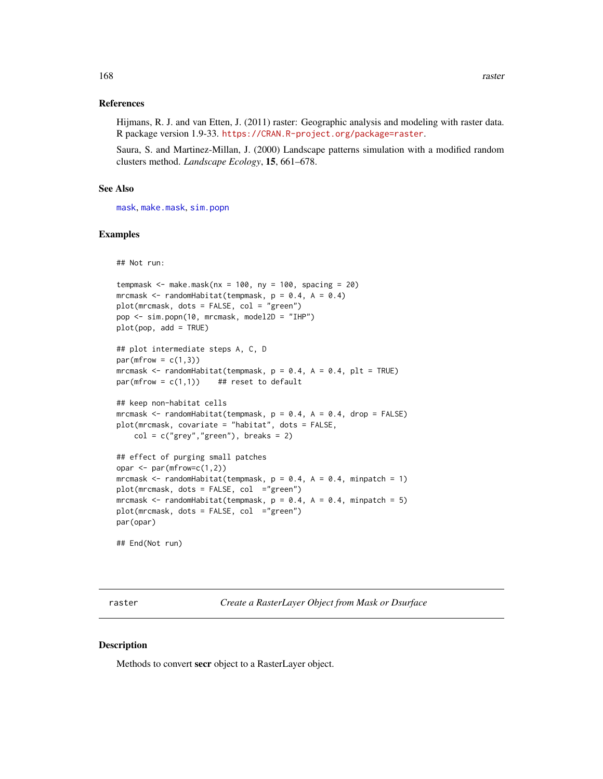### References

Hijmans, R. J. and van Etten, J. (2011) raster: Geographic analysis and modeling with raster data. R package version 1.9-33. <https://CRAN.R-project.org/package=raster>.

Saura, S. and Martinez-Millan, J. (2000) Landscape patterns simulation with a modified random clusters method. *Landscape Ecology*, 15, 661–678.

### See Also

[mask](#page-113-0), [make.mask](#page-104-0), [sim.popn](#page-222-0)

#### Examples

## Not run:

```
tempmask \leq make.mask(nx = 100, ny = 100, spacing = 20)
mrcmask \leq randomHabitat(tempmask, p = 0.4, A = 0.4)
plot(mrcmask, dots = FALSE, col = "green")
pop <- sim.popn(10, mrcmask, model2D = "IHP")
plot(pop, add = TRUE)
## plot intermediate steps A, C, D
par(mfrow = c(1,3))mrcmask \le randomHabitat(tempmask, p = 0.4, A = 0.4, plt = TRUE)
par(mfrow = c(1,1)) ## reset to default
## keep non-habitat cells
mrcmask \le randomHabitat(tempmask, p = 0.4, A = 0.4, drop = FALSE)
plot(mrcmask, covariate = "habitat", dots = FALSE,
    col = c("grey", "green"), breaks = 2)## effect of purging small patches
opar \leq par(mfrow=c(1,2))
mrcmask \le randomHabitat(tempmask, p = 0.4, A = 0.4, minpatch = 1)
plot(mrcmask, dots = FALSE, col ="green")
mrcmask \le randomHabitat(tempmask, p = 0.4, A = 0.4, minpatch = 5)
```
## End(Not run)

par(opar)

<span id="page-167-0"></span>raster *Create a RasterLayer Object from Mask or Dsurface*

#### **Description**

Methods to convert secr object to a RasterLayer object.

plot(mrcmask, dots = FALSE, col ="green")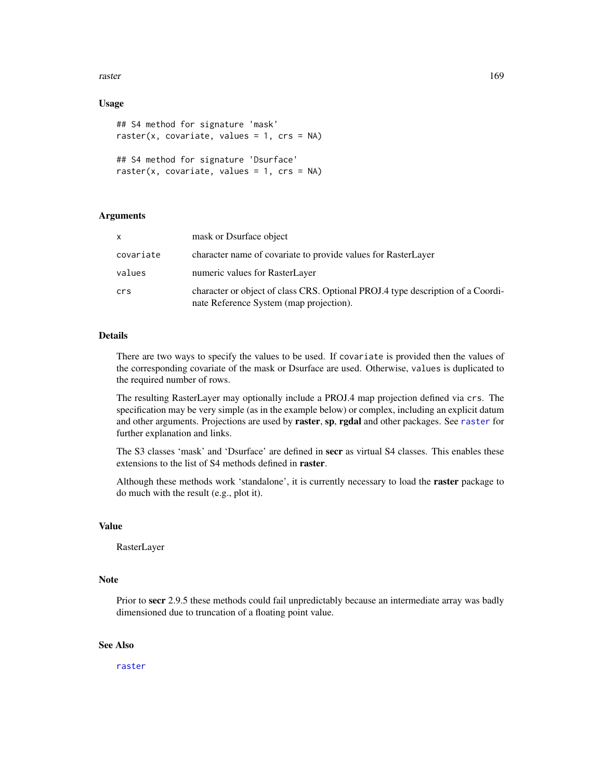raster and the state of the state of the state of the state of the state of the state of the state of the state of the state of the state of the state of the state of the state of the state of the state of the state of the

# Usage

```
## S4 method for signature 'mask'
raster(x, covariate, values = 1, crs = NA)
## S4 method for signature 'Dsurface'
raster(x, covariate, values = 1, crs = NA)
```
# Arguments

| X         | mask or Dsurface object                                                                                                    |
|-----------|----------------------------------------------------------------------------------------------------------------------------|
| covariate | character name of covariate to provide values for RasterLayer                                                              |
| values    | numeric values for RasterLayer                                                                                             |
| crs       | character or object of class CRS. Optional PROJ.4 type description of a Coordi-<br>nate Reference System (map projection). |

# Details

There are two ways to specify the values to be used. If covariate is provided then the values of the corresponding covariate of the mask or Dsurface are used. Otherwise, values is duplicated to the required number of rows.

The resulting RasterLayer may optionally include a PROJ.4 map projection defined via crs. The specification may be very simple (as in the example below) or complex, including an explicit datum and other arguments. Projections are used by [raster](#page-167-0), sp, rgdal and other packages. See raster for further explanation and links.

The S3 classes 'mask' and 'Dsurface' are defined in secr as virtual S4 classes. This enables these extensions to the list of S4 methods defined in raster.

Although these methods work 'standalone', it is currently necessary to load the raster package to do much with the result (e.g., plot it).

# Value

RasterLayer

# Note

Prior to secr 2.9.5 these methods could fail unpredictably because an intermediate array was badly dimensioned due to truncation of a floating point value.

# See Also

[raster](#page-167-0)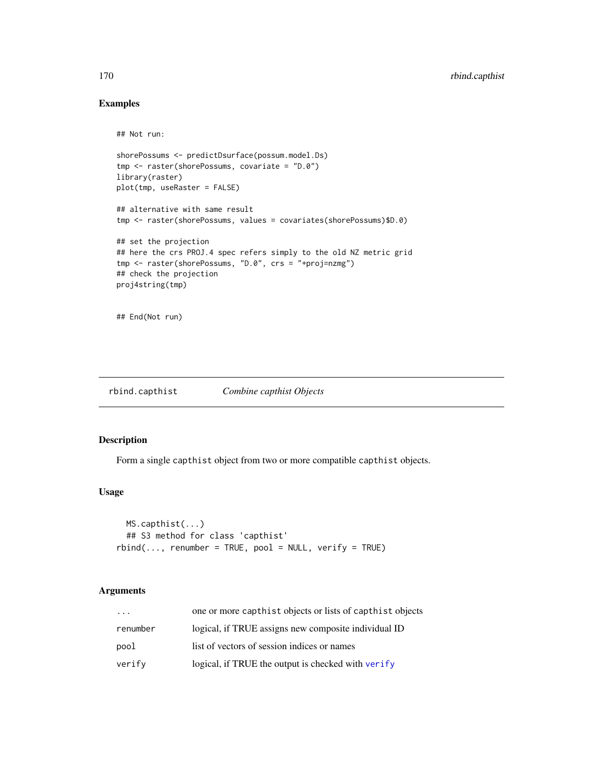# Examples

## Not run:

```
shorePossums <- predictDsurface(possum.model.Ds)
tmp <- raster(shorePossums, covariate = "D.0")
library(raster)
plot(tmp, useRaster = FALSE)
```

```
## alternative with same result
tmp <- raster(shorePossums, values = covariates(shorePossums)$D.0)
```

```
## set the projection
## here the crs PROJ.4 spec refers simply to the old NZ metric grid
tmp <- raster(shorePossums, "D.0", crs = "+proj=nzmg")
## check the projection
proj4string(tmp)
```
## End(Not run)

rbind.capthist *Combine capthist Objects*

# Description

Form a single capthist object from two or more compatible capthist objects.

# Usage

```
MS.capthist(...)
  ## S3 method for class 'capthist'
rbind(..., renumber = TRUE, pool = NULL, verify = TRUE)
```
# Arguments

| $\cdot$  | one or more capthist objects or lists of capthist objects |
|----------|-----------------------------------------------------------|
| renumber | logical, if TRUE assigns new composite individual ID      |
| pool     | list of vectors of session indices or names               |
| verify   | logical, if TRUE the output is checked with verify        |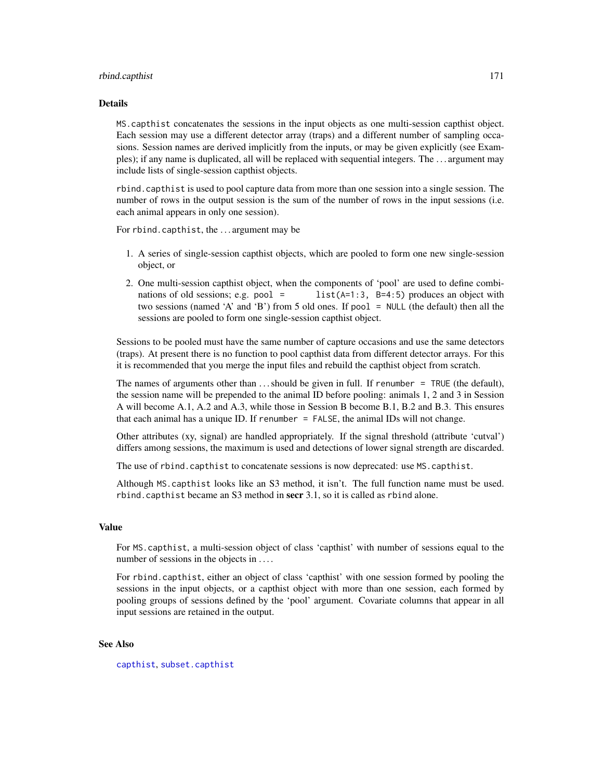#### rbind.capthist 171

#### Details

MS.capthist concatenates the sessions in the input objects as one multi-session capthist object. Each session may use a different detector array (traps) and a different number of sampling occasions. Session names are derived implicitly from the inputs, or may be given explicitly (see Examples); if any name is duplicated, all will be replaced with sequential integers. The . . . argument may include lists of single-session capthist objects.

rbind.capthist is used to pool capture data from more than one session into a single session. The number of rows in the output session is the sum of the number of rows in the input sessions (i.e. each animal appears in only one session).

For rbind.capthist, the . . . argument may be

- 1. A series of single-session capthist objects, which are pooled to form one new single-session object, or
- 2. One multi-session capthist object, when the components of 'pool' are used to define combinations of old sessions; e.g. pool = list( $A=1:3$ ,  $B=4:5$ ) produces an object with two sessions (named 'A' and 'B') from 5 old ones. If pool = NULL (the default) then all the sessions are pooled to form one single-session capthist object.

Sessions to be pooled must have the same number of capture occasions and use the same detectors (traps). At present there is no function to pool capthist data from different detector arrays. For this it is recommended that you merge the input files and rebuild the capthist object from scratch.

The names of arguments other than  $\dots$  should be given in full. If renumber = TRUE (the default), the session name will be prepended to the animal ID before pooling: animals 1, 2 and 3 in Session A will become A.1, A.2 and A.3, while those in Session B become B.1, B.2 and B.3. This ensures that each animal has a unique ID. If renumber  $=$  FALSE, the animal IDs will not change.

Other attributes (xy, signal) are handled appropriately. If the signal threshold (attribute 'cutval') differs among sessions, the maximum is used and detections of lower signal strength are discarded.

The use of rbind.capthist to concatenate sessions is now deprecated: use MS.capthist.

Although MS.capthist looks like an S3 method, it isn't. The full function name must be used. rbind.capthist became an S3 method in secr 3.1, so it is called as rbind alone.

#### Value

For MS.capthist, a multi-session object of class 'capthist' with number of sessions equal to the number of sessions in the objects in ....

For rbind.capthist, either an object of class 'capthist' with one session formed by pooling the sessions in the input objects, or a capthist object with more than one session, each formed by pooling groups of sessions defined by the 'pool' argument. Covariate columns that appear in all input sessions are retained in the output.

### See Also

[capthist](#page-22-0), [subset.capthist](#page-246-0)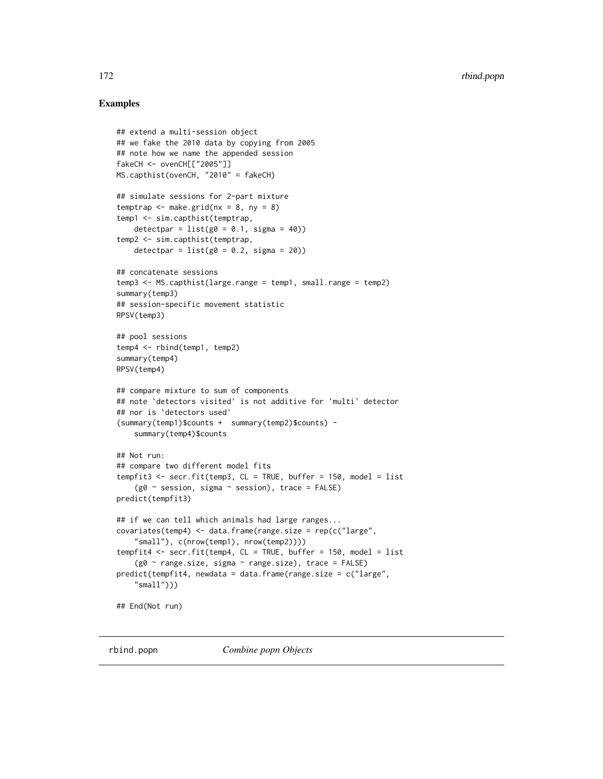# Examples

```
## extend a multi-session object
## we fake the 2010 data by copying from 2005
## note how we name the appended session
fakeCH <- ovenCH[["2005"]]
MS.capthist(ovenCH, "2010" = fakeCH)
## simulate sessions for 2-part mixture
temptrap \leq make.grid(nx = 8, ny = 8)
temp1 <- sim.capthist(temptrap,
   detectpar = list(g0 = 0.1, sigma = 40)temp2 <- sim.capthist(temptrap,
   detectpar = list(g0 = 0.2, sigma = 20)## concatenate sessions
temp3 <- MS.capthist(large.range = temp1, small.range = temp2)
summary(temp3)
## session-specific movement statistic
RPSV(temp3)
## pool sessions
temp4 <- rbind(temp1, temp2)
summary(temp4)
RPSV(temp4)
## compare mixture to sum of components
## note `detectors visited' is not additive for 'multi' detector
## nor is `detectors used'
(summary(temp1)$counts + summary(temp2)$counts) -
    summary(temp4)$counts
## Not run:
## compare two different model fits
tempfit3 <- secr.fit(temp3, CL = TRUE, buffer = 150, model = list
    (g0 \sim session, sigma \sim session), trace = FALSE)
predict(tempfit3)
## if we can tell which animals had large ranges...
covariates(temp4) <- data.frame(range.size = rep(c("large",
    "small"), c(nrow(temp1), nrow(temp2))))
tempfit4 <- secr.fit(temp4, CL = TRUE, buffer = 150, model = list
    (g0 \sim range.size, sigma \sim range.size), trace = FALSE)
predict(tempfit4, newdata = data.frame(range.size = c("large",
    "small"))
## End(Not run)
```
rbind.popn *Combine popn Objects*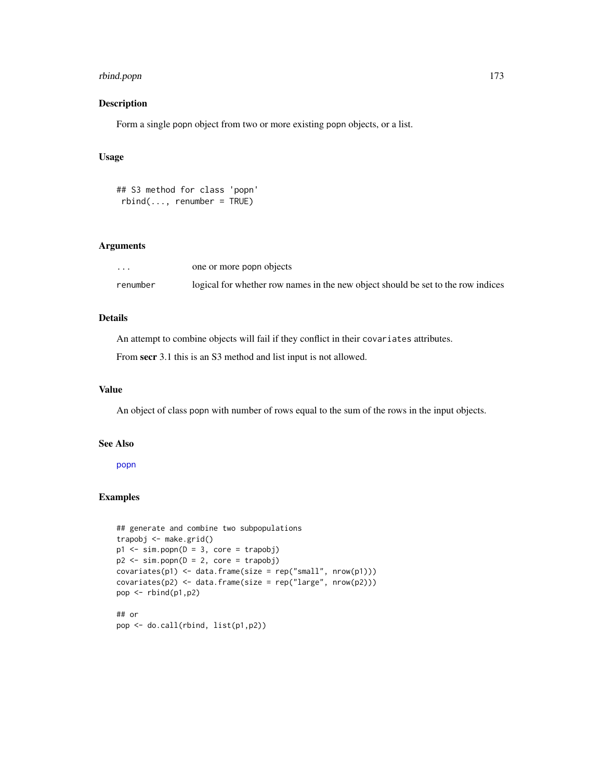# rbind.popn 173

# Description

Form a single popn object from two or more existing popn objects, or a list.

# Usage

```
## S3 method for class 'popn'
rbind(..., renumber = TRUE)
```
### Arguments

| $\ddot{\phantom{0}}$ | one or more popn objects                                                         |
|----------------------|----------------------------------------------------------------------------------|
| renumber             | logical for whether row names in the new object should be set to the row indices |

# Details

An attempt to combine objects will fail if they conflict in their covariates attributes.

From secr 3.1 this is an S3 method and list input is not allowed.

# Value

An object of class popn with number of rows equal to the sum of the rows in the input objects.

# See Also

[popn](#page-154-0)

# Examples

```
## generate and combine two subpopulations
trapobj <- make.grid()
p1 \le -\sin.popn(D = 3, core = trapobj)p2 \le -\sin.popn(D = 2, core = trapobj)covariates(p1) < -data frame(size = rep("small", nrow(p1)))covariates(p2) <- data.frame(size = rep("large", nrow(p2)))
pop <- rbind(p1,p2)
## or
pop <- do.call(rbind, list(p1,p2))
```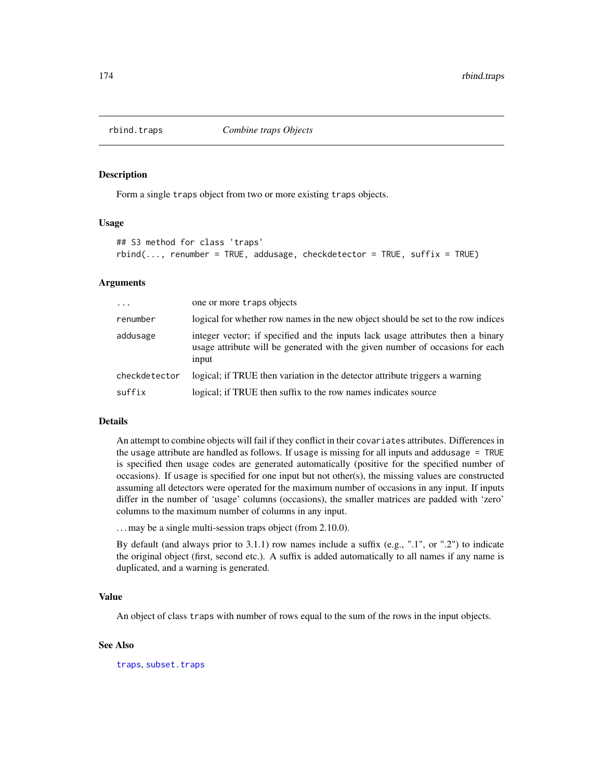### Description

Form a single traps object from two or more existing traps objects.

### Usage

```
## S3 method for class 'traps'
rbind(..., renumber = TRUE, addusage, checkdetector = TRUE, suffix = TRUE)
```
### Arguments

| $\ddots$      | one or more traps objects                                                                                                                                                 |
|---------------|---------------------------------------------------------------------------------------------------------------------------------------------------------------------------|
| renumber      | logical for whether row names in the new object should be set to the row indices                                                                                          |
| addusage      | integer vector; if specified and the inputs lack usage attributes then a binary<br>usage attribute will be generated with the given number of occasions for each<br>input |
| checkdetector | logical; if TRUE then variation in the detector attribute triggers a warning                                                                                              |
| suffix        | logical; if TRUE then suffix to the row names indicates source                                                                                                            |

### Details

An attempt to combine objects will fail if they conflict in their covariates attributes. Differences in the usage attribute are handled as follows. If usage is missing for all inputs and addusage = TRUE is specified then usage codes are generated automatically (positive for the specified number of occasions). If usage is specified for one input but not other(s), the missing values are constructed assuming all detectors were operated for the maximum number of occasions in any input. If inputs differ in the number of 'usage' columns (occasions), the smaller matrices are padded with 'zero' columns to the maximum number of columns in any input.

. . . may be a single multi-session traps object (from 2.10.0).

By default (and always prior to 3.1.1) row names include a suffix (e.g., ".1", or ".2") to indicate the original object (first, second etc.). A suffix is added automatically to all names if any name is duplicated, and a warning is generated.

#### Value

An object of class traps with number of rows equal to the sum of the rows in the input objects.

### See Also

[traps](#page-267-0), [subset.traps](#page-251-0)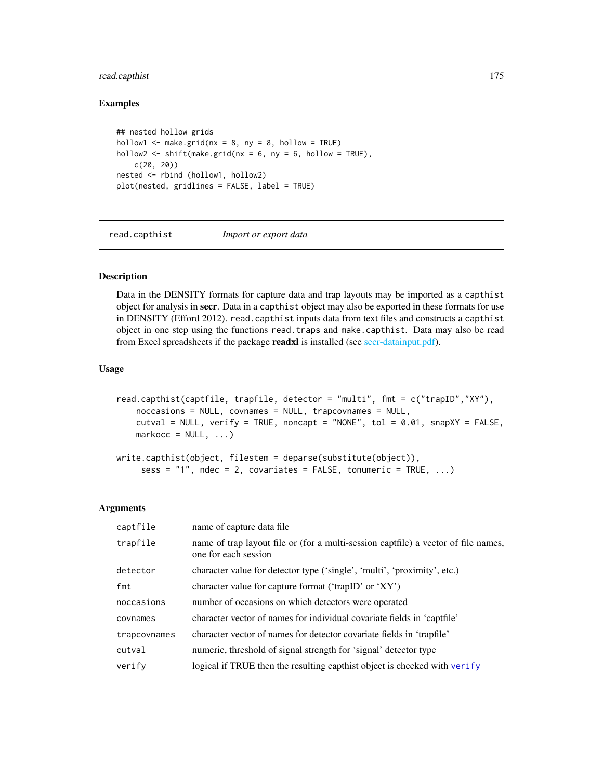# read.capthist 175

### Examples

```
## nested hollow grids
hollow1 \leq make.grid(nx = 8, ny = 8, hollow = TRUE)
hollow2 \le shift(make.grid(nx = 6, ny = 6, hollow = TRUE),
    c(20, 20))
nested <- rbind (hollow1, hollow2)
plot(nested, gridlines = FALSE, label = TRUE)
```
<span id="page-174-0"></span>read.capthist *Import or export data*

# Description

Data in the DENSITY formats for capture data and trap layouts may be imported as a capthist object for analysis in secr. Data in a capthist object may also be exported in these formats for use in DENSITY (Efford 2012). read.capthist inputs data from text files and constructs a capthist object in one step using the functions read.traps and make.capthist. Data may also be read from Excel spreadsheets if the package **readxl** is installed (see [secr-datainput.pdf\)](#page-0-0).

### Usage

```
read.capthist(captfile, trapfile, detector = "multi", fmt = c("trapID","XY"),
   noccasions = NULL, covnames = NULL, trapcovnames = NULL,
   cutval = NULL, verify = TRUE, noncapt = "NONE", tol = 0.01, snapXY = FALSE,
   markocc = NULL, ...write.capthist(object, filestem = deparse(substitute(object)),
```
sess =  $"1"$ , ndec = 2, covariates = FALSE, tonumeric = TRUE, ...)

#### Arguments

| captfile     | name of capture data file                                                                                  |
|--------------|------------------------------------------------------------------------------------------------------------|
| trapfile     | name of trap layout file or (for a multi-session captfile) a vector of file names,<br>one for each session |
| detector     | character value for detector type ('single', 'multi', 'proximity', etc.)                                   |
| fmt          | character value for capture format ('trapID' or 'XY')                                                      |
| noccasions   | number of occasions on which detectors were operated                                                       |
| covnames     | character vector of names for individual covariate fields in 'captfile'                                    |
| trapcovnames | character vector of names for detector covariate fields in 'trapfile'                                      |
| cutval       | numeric, threshold of signal strength for 'signal' detector type                                           |
| verify       | logical if TRUE then the resulting capthist object is checked with verify                                  |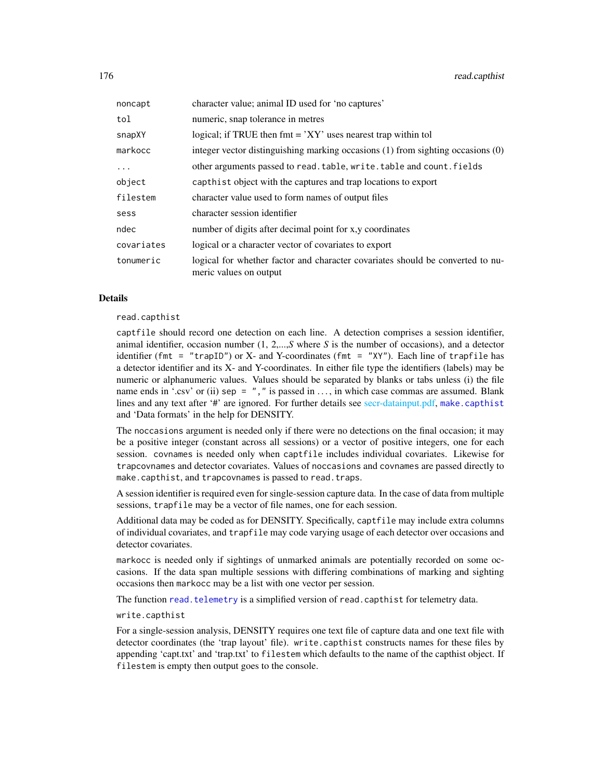| noncapt    | character value; animal ID used for 'no captures'                                                        |
|------------|----------------------------------------------------------------------------------------------------------|
| tol        | numeric, snap tolerance in metres                                                                        |
| snapXY     | logical; if TRUE then $fmt = 'XY'$ uses nearest trap within tol                                          |
| markocc    | integer vector distinguishing marking occasions (1) from sighting occasions (0)                          |
| $\ldots$   | other arguments passed to read. table, write. table and count. fields                                    |
| object     | capthist object with the captures and trap locations to export                                           |
| filestem   | character value used to form names of output files                                                       |
| sess       | character session identifier                                                                             |
| ndec       | number of digits after decimal point for x,y coordinates                                                 |
| covariates | logical or a character vector of covariates to export                                                    |
| tonumeric  | logical for whether factor and character covariates should be converted to nu-<br>meric values on output |

#### Details

read.capthist

captfile should record one detection on each line. A detection comprises a session identifier, animal identifier, occasion number (1, 2,...,*S* where *S* is the number of occasions), and a detector identifier (fmt = "trapID") or X- and Y-coordinates (fmt = "XY"). Each line of trapfile has a detector identifier and its X- and Y-coordinates. In either file type the identifiers (labels) may be numeric or alphanumeric values. Values should be separated by blanks or tabs unless (i) the file name ends in '.csv' or (ii) sep = ", " is passed in  $\dots$ , in which case commas are assumed. Blank lines and any text after '#' are ignored. For further details see [secr-datainput.pdf,](#page-0-0) [make.capthist](#page-101-0) and 'Data formats' in the help for DENSITY.

The noccasions argument is needed only if there were no detections on the final occasion; it may be a positive integer (constant across all sessions) or a vector of positive integers, one for each session. covnames is needed only when captfile includes individual covariates. Likewise for trapcovnames and detector covariates. Values of noccasions and covnames are passed directly to make.capthist, and trapcovnames is passed to read.traps.

A session identifier is required even for single-session capture data. In the case of data from multiple sessions, trapfile may be a vector of file names, one for each session.

Additional data may be coded as for DENSITY. Specifically, captfile may include extra columns of individual covariates, and trapfile may code varying usage of each detector over occasions and detector covariates.

markocc is needed only if sightings of unmarked animals are potentially recorded on some occasions. If the data span multiple sessions with differing combinations of marking and sighting occasions then markocc may be a list with one vector per session.

The function [read.telemetry](#page-178-0) is a simplified version of read.capthist for telemetry data.

### write.capthist

For a single-session analysis, DENSITY requires one text file of capture data and one text file with detector coordinates (the 'trap layout' file). write.capthist constructs names for these files by appending 'capt.txt' and 'trap.txt' to filestem which defaults to the name of the capthist object. If filestem is empty then output goes to the console.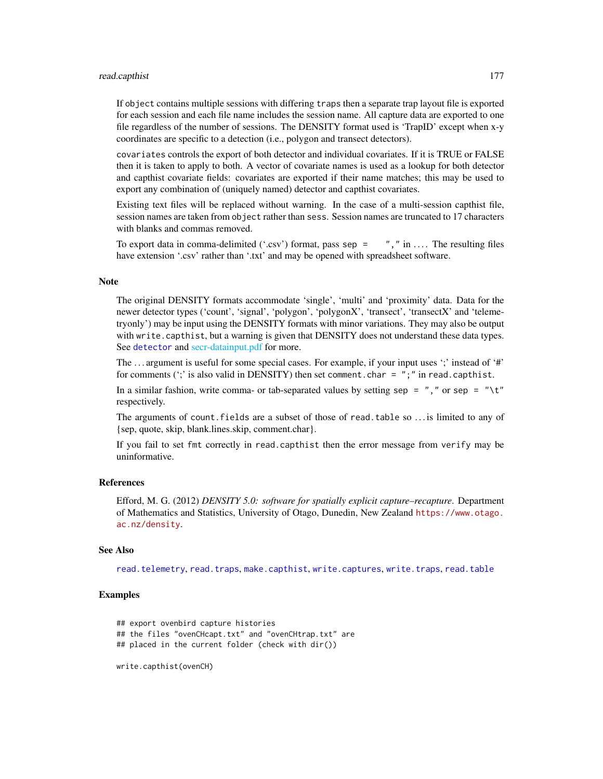### read.capthist 177

If object contains multiple sessions with differing traps then a separate trap layout file is exported for each session and each file name includes the session name. All capture data are exported to one file regardless of the number of sessions. The DENSITY format used is 'TrapID' except when x-y coordinates are specific to a detection (i.e., polygon and transect detectors).

covariates controls the export of both detector and individual covariates. If it is TRUE or FALSE then it is taken to apply to both. A vector of covariate names is used as a lookup for both detector and capthist covariate fields: covariates are exported if their name matches; this may be used to export any combination of (uniquely named) detector and capthist covariates.

Existing text files will be replaced without warning. In the case of a multi-session capthist file, session names are taken from object rather than sess. Session names are truncated to 17 characters with blanks and commas removed.

To export data in comma-delimited ('.csv') format, pass sep =  $"$ , " in .... The resulting files have extension '.csv' rather than '.txt' and may be opened with spreadsheet software.

# **Note**

The original DENSITY formats accommodate 'single', 'multi' and 'proximity' data. Data for the newer detector types ('count', 'signal', 'polygon', 'polygonX', 'transect', 'transectX' and 'telemetryonly') may be input using the DENSITY formats with minor variations. They may also be output with write.capthist, but a warning is given that DENSITY does not understand these data types. See [detector](#page-53-0) and [secr-datainput.pdf](#page-0-0) for more.

The ... argument is useful for some special cases. For example, if your input uses ';' instead of '#' for comments (';' is also valid in DENSITY) then set comment.char =  $"$ ; " in read.capthist.

In a similar fashion, write comma- or tab-separated values by setting sep =  $"$ , " or sep = "\t" respectively.

The arguments of count.fields are a subset of those of read.table so . . . is limited to any of {sep, quote, skip, blank.lines.skip, comment.char}.

If you fail to set fmt correctly in read.capthist then the error message from verify may be uninformative.

### References

Efford, M. G. (2012) *DENSITY 5.0: software for spatially explicit capture–recapture*. Department of Mathematics and Statistics, University of Otago, Dunedin, New Zealand [https://www.otago.](https://www.otago.ac.nz/density) [ac.nz/density](https://www.otago.ac.nz/density).

### See Also

[read.telemetry](#page-178-0), [read.traps](#page-179-0), [make.capthist](#page-101-0), [write.captures](#page-286-0), [write.traps](#page-286-1), [read.table](#page-0-0)

### Examples

```
## export ovenbird capture histories
## the files "ovenCHcapt.txt" and "ovenCHtrap.txt" are
## placed in the current folder (check with dir())
write.capthist(ovenCH)
```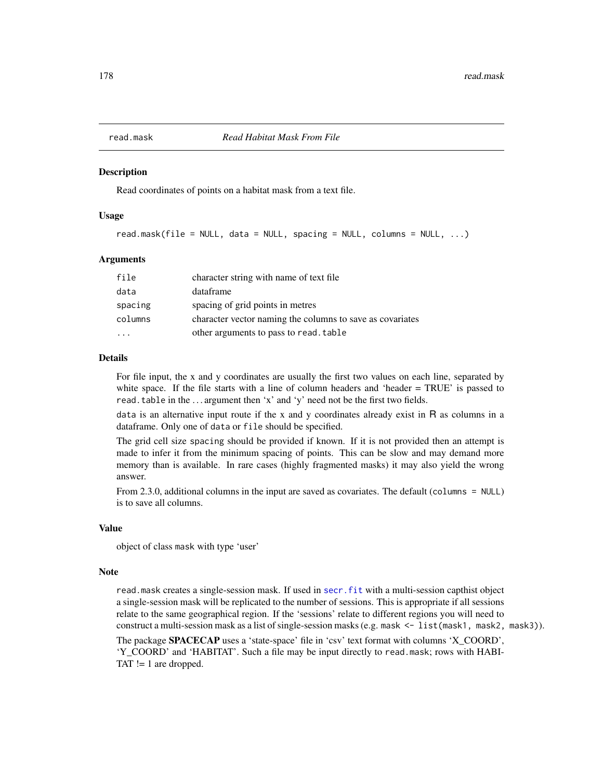### Description

Read coordinates of points on a habitat mask from a text file.

# Usage

```
read.mask(file = NULL, data = NULL, spacing = NULL, columns = NULL, \ldots)
```
### Arguments

| file    | character string with name of text file                   |
|---------|-----------------------------------------------------------|
| data    | dataframe                                                 |
| spacing | spacing of grid points in metres                          |
| columns | character vector naming the columns to save as covariates |
|         | other arguments to pass to read. table                    |

#### Details

For file input, the x and y coordinates are usually the first two values on each line, separated by white space. If the file starts with a line of column headers and 'header = TRUE' is passed to read.table in the ... argument then 'x' and 'y' need not be the first two fields.

data is an alternative input route if the x and y coordinates already exist in R as columns in a dataframe. Only one of data or file should be specified.

The grid cell size spacing should be provided if known. If it is not provided then an attempt is made to infer it from the minimum spacing of points. This can be slow and may demand more memory than is available. In rare cases (highly fragmented masks) it may also yield the wrong answer.

From 2.3.0, additional columns in the input are saved as covariates. The default (columns = NULL) is to save all columns.

#### Value

object of class mask with type 'user'

#### Note

read.mask creates a single-session mask. If used in [secr.fit](#page-199-0) with a multi-session capthist object a single-session mask will be replicated to the number of sessions. This is appropriate if all sessions relate to the same geographical region. If the 'sessions' relate to different regions you will need to construct a multi-session mask as a list of single-session masks (e.g. mask  $\leq -1$  ist (mask1, mask2, mask3)).

The package SPACECAP uses a 'state-space' file in 'csv' text format with columns 'X\_COORD', 'Y\_COORD' and 'HABITAT'. Such a file may be input directly to read.mask; rows with HABI-TAT  $!= 1$  are dropped.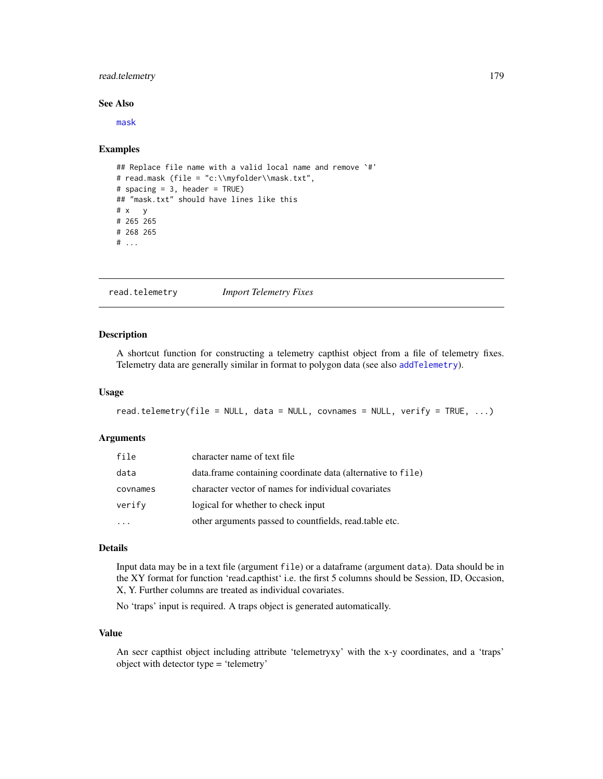# read.telemetry 179

#### See Also

[mask](#page-113-0)

### Examples

```
## Replace file name with a valid local name and remove `#'
# read.mask (file = "c:\\myfolder\\mask.txt",
# spacing = 3, header = TRUE)
## "mask.txt" should have lines like this
# x \quad y# 265 265
# 268 265
# ...
```
<span id="page-178-0"></span>read.telemetry *Import Telemetry Fixes*

### Description

A shortcut function for constructing a telemetry capthist object from a file of telemetry fixes. Telemetry data are generally similar in format to polygon data (see also [addTelemetry](#page-10-0)).

#### Usage

```
read.telemetry(file = NULL, data = NULL, covnames = NULL, verify = TRUE, ...)
```
### Arguments

| file     | character name of text file                                 |
|----------|-------------------------------------------------------------|
| data     | data.frame containing coordinate data (alternative to file) |
| covnames | character vector of names for individual covariates         |
| verify   | logical for whether to check input                          |
|          | other arguments passed to countfields, read.table etc.      |

# Details

Input data may be in a text file (argument file) or a dataframe (argument data). Data should be in the XY format for function 'read.capthist' i.e. the first 5 columns should be Session, ID, Occasion, X, Y. Further columns are treated as individual covariates.

No 'traps' input is required. A traps object is generated automatically.

#### Value

An secr capthist object including attribute 'telemetryxy' with the x-y coordinates, and a 'traps' object with detector type = 'telemetry'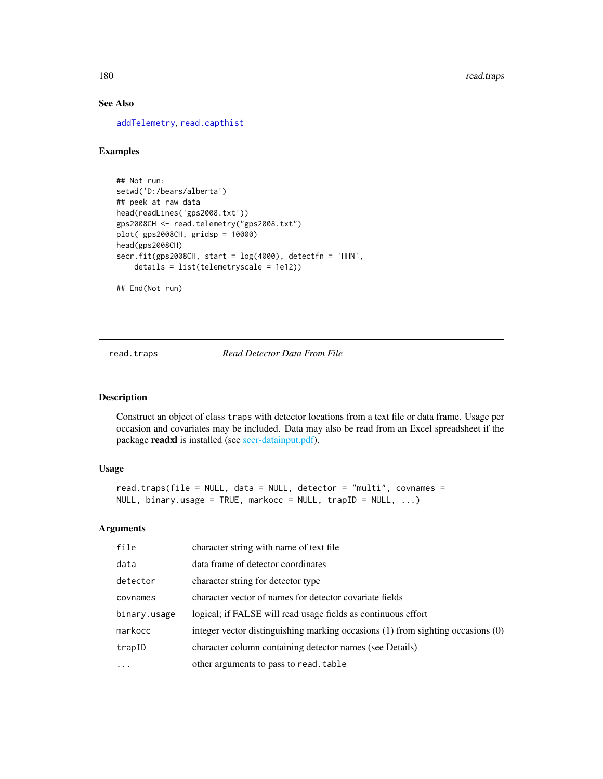# See Also

[addTelemetry](#page-10-0), [read.capthist](#page-174-0)

# Examples

```
## Not run:
setwd('D:/bears/alberta')
## peek at raw data
head(readLines('gps2008.txt'))
gps2008CH <- read.telemetry("gps2008.txt")
plot( gps2008CH, gridsp = 10000)
head(gps2008CH)
secr.fit(gps2008CH, start = log(4000), detectfn = 'HHN',
    details = list(telemetryscale = 1e12))
```
## End(Not run)

<span id="page-179-0"></span>read.traps *Read Detector Data From File*

#### Description

Construct an object of class traps with detector locations from a text file or data frame. Usage per occasion and covariates may be included. Data may also be read from an Excel spreadsheet if the package readxl is installed (see [secr-datainput.pdf\)](#page-0-0).

### Usage

```
read.traps(file = NULL, data = NULL, detector = "multi", covnames =
NULL, binary.usage = TRUE, markocc = NULL, trapID = NULL, ...)
```
#### Arguments

| file         | character string with name of text file                                         |
|--------------|---------------------------------------------------------------------------------|
| data         | data frame of detector coordinates                                              |
| detector     | character string for detector type                                              |
| covnames     | character vector of names for detector covariate fields                         |
| binary.usage | logical; if FALSE will read usage fields as continuous effort                   |
| markocc      | integer vector distinguishing marking occasions (1) from sighting occasions (0) |
| trapID       | character column containing detector names (see Details)                        |
| $\cdot$      | other arguments to pass to read. table                                          |
|              |                                                                                 |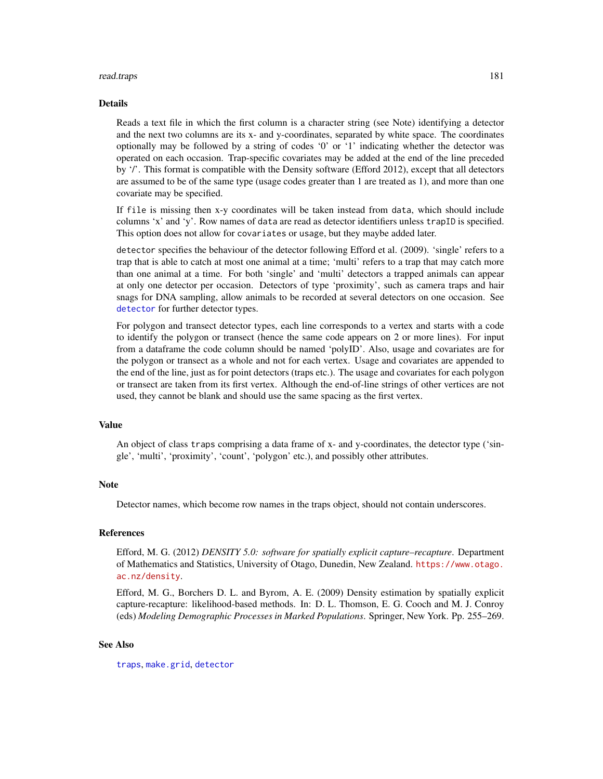#### read.traps 181

#### Details

Reads a text file in which the first column is a character string (see Note) identifying a detector and the next two columns are its x- and y-coordinates, separated by white space. The coordinates optionally may be followed by a string of codes '0' or '1' indicating whether the detector was operated on each occasion. Trap-specific covariates may be added at the end of the line preceded by '/'. This format is compatible with the Density software (Efford 2012), except that all detectors are assumed to be of the same type (usage codes greater than 1 are treated as 1), and more than one covariate may be specified.

If file is missing then x-y coordinates will be taken instead from data, which should include columns 'x' and 'y'. Row names of data are read as detector identifiers unless trapID is specified. This option does not allow for covariates or usage, but they maybe added later.

detector specifies the behaviour of the detector following Efford et al. (2009). 'single' refers to a trap that is able to catch at most one animal at a time; 'multi' refers to a trap that may catch more than one animal at a time. For both 'single' and 'multi' detectors a trapped animals can appear at only one detector per occasion. Detectors of type 'proximity', such as camera traps and hair snags for DNA sampling, allow animals to be recorded at several detectors on one occasion. See [detector](#page-53-0) for further detector types.

For polygon and transect detector types, each line corresponds to a vertex and starts with a code to identify the polygon or transect (hence the same code appears on 2 or more lines). For input from a dataframe the code column should be named 'polyID'. Also, usage and covariates are for the polygon or transect as a whole and not for each vertex. Usage and covariates are appended to the end of the line, just as for point detectors (traps etc.). The usage and covariates for each polygon or transect are taken from its first vertex. Although the end-of-line strings of other vertices are not used, they cannot be blank and should use the same spacing as the first vertex.

## Value

An object of class traps comprising a data frame of x- and y-coordinates, the detector type ('single', 'multi', 'proximity', 'count', 'polygon' etc.), and possibly other attributes.

## Note

Detector names, which become row names in the traps object, should not contain underscores.

## References

Efford, M. G. (2012) *DENSITY 5.0: software for spatially explicit capture–recapture*. Department of Mathematics and Statistics, University of Otago, Dunedin, New Zealand. [https://www.otago.](https://www.otago.ac.nz/density) [ac.nz/density](https://www.otago.ac.nz/density).

Efford, M. G., Borchers D. L. and Byrom, A. E. (2009) Density estimation by spatially explicit capture-recapture: likelihood-based methods. In: D. L. Thomson, E. G. Cooch and M. J. Conroy (eds) *Modeling Demographic Processes in Marked Populations*. Springer, New York. Pp. 255–269.

## See Also

[traps](#page-267-0), [make.grid](#page-109-0), [detector](#page-53-0)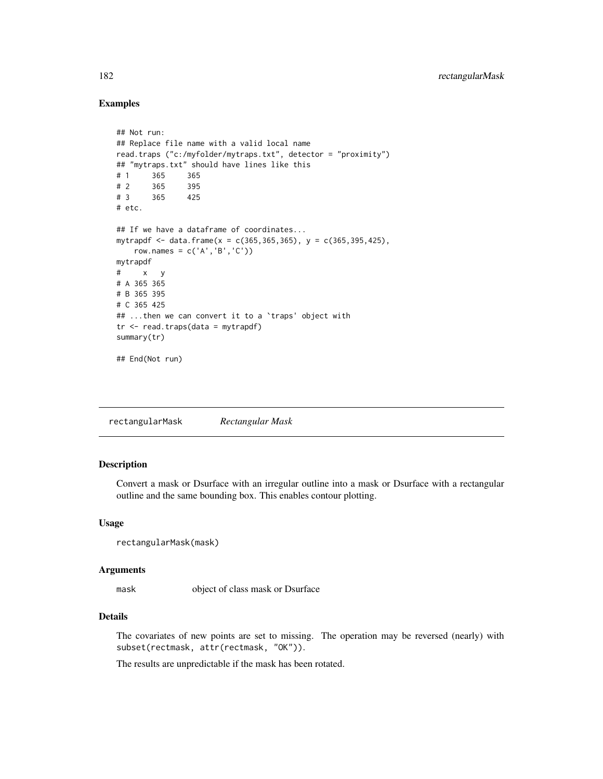# Examples

```
## Not run:
## Replace file name with a valid local name
read.traps ("c:/myfolder/mytraps.txt", detector = "proximity")
## "mytraps.txt" should have lines like this
# 1 365 365
# 2 365 395
# 3 365 425
# etc.
## If we have a dataframe of coordinates...
mytrapdf <- data.frame(x = c(365, 365, 365), y = c(365, 395, 425),
   row.names = c('A', 'B', 'C'))mytrapdf
# x y
# A 365 365
# B 365 395
# C 365 425
## ...then we can convert it to a `traps' object with
tr < - read.traps(data = mytrapdf)
summary(tr)
## End(Not run)
```
rectangularMask *Rectangular Mask*

# Description

Convert a mask or Dsurface with an irregular outline into a mask or Dsurface with a rectangular outline and the same bounding box. This enables contour plotting.

#### Usage

```
rectangularMask(mask)
```
## Arguments

mask object of class mask or Dsurface

# Details

The covariates of new points are set to missing. The operation may be reversed (nearly) with subset(rectmask, attr(rectmask, "OK")).

The results are unpredictable if the mask has been rotated.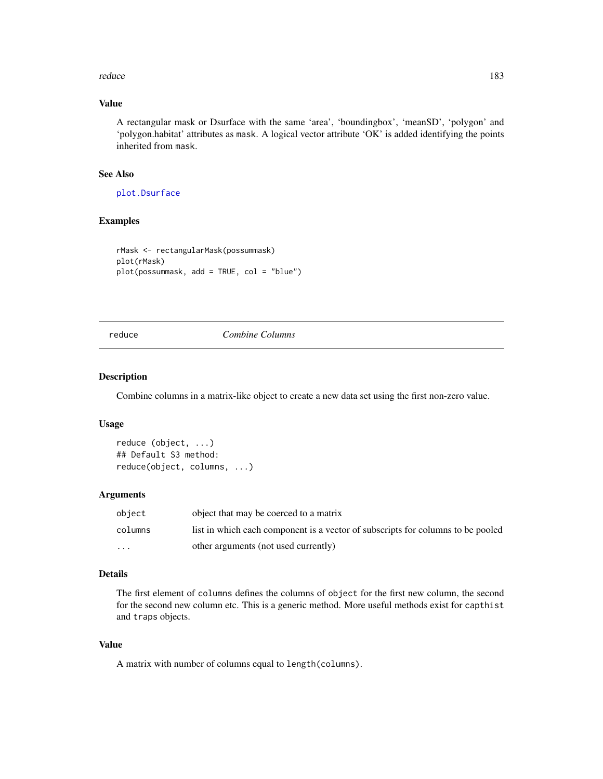#### reduce the contract of the contract of the contract of the contract of the contract of the contract of the contract of the contract of the contract of the contract of the contract of the contract of the contract of the con

# Value

A rectangular mask or Dsurface with the same 'area', 'boundingbox', 'meanSD', 'polygon' and 'polygon.habitat' attributes as mask. A logical vector attribute 'OK' is added identifying the points inherited from mask.

# See Also

[plot.Dsurface](#page-141-0)

# Examples

```
rMask <- rectangularMask(possummask)
plot(rMask)
plot(possummask, add = TRUE, col = "blue")
```
reduce *Combine Columns*

# Description

Combine columns in a matrix-like object to create a new data set using the first non-zero value.

# Usage

```
reduce (object, ...)
## Default S3 method:
reduce(object, columns, ...)
```
# Arguments

| object   | object that may be coerced to a matrix                                          |
|----------|---------------------------------------------------------------------------------|
| columns  | list in which each component is a vector of subscripts for columns to be pooled |
| $\cdots$ | other arguments (not used currently)                                            |

# Details

The first element of columns defines the columns of object for the first new column, the second for the second new column etc. This is a generic method. More useful methods exist for capthist and traps objects.

# Value

A matrix with number of columns equal to length(columns).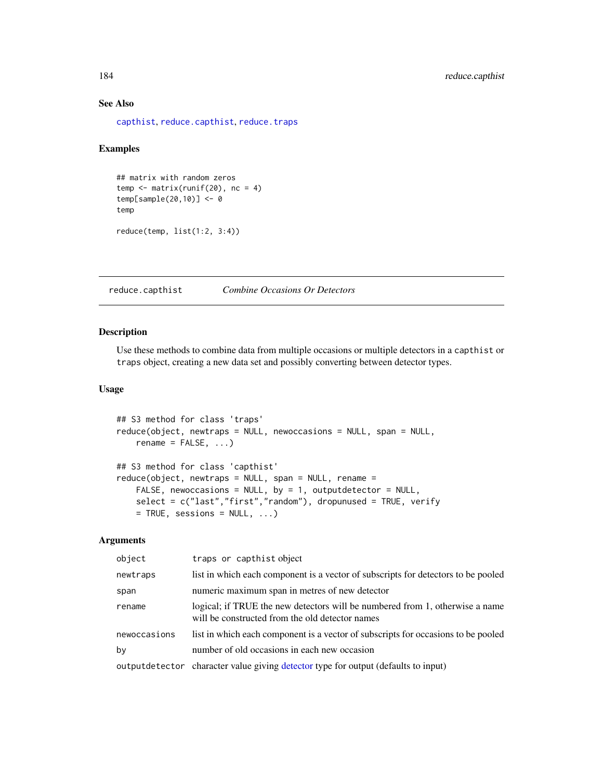# See Also

[capthist](#page-22-0), [reduce.capthist](#page-183-0), [reduce.traps](#page-183-1)

# Examples

## matrix with random zeros  $temp \leftarrow matrix(runif(20), nc = 4)$ temp[sample(20,10)] <- 0 temp reduce(temp, list(1:2, 3:4))

<span id="page-183-0"></span>reduce.capthist *Combine Occasions Or Detectors*

#### <span id="page-183-1"></span>Description

Use these methods to combine data from multiple occasions or multiple detectors in a capthist or traps object, creating a new data set and possibly converting between detector types.

# Usage

```
## S3 method for class 'traps'
reduce(object, newtraps = NULL, newoccasions = NULL, span = NULL,
   rename = FALSE, ...)
## S3 method for class 'capthist'
reduce(object, newtraps = NULL, span = NULL, rename =
   FALSE, newoccasions = NULL, by = 1, outputdetector = NULL,
   select = c("last","first","random"), dropunused = TRUE, verify
   = TRUE, sessions = NULL, ...)
```
# Arguments

| object       | traps or capthist object                                                                                                        |
|--------------|---------------------------------------------------------------------------------------------------------------------------------|
| newtraps     | list in which each component is a vector of subscripts for detectors to be pooled                                               |
| span         | numeric maximum span in metres of new detector                                                                                  |
| rename       | logical; if TRUE the new detectors will be numbered from 1, otherwise a name<br>will be constructed from the old detector names |
| newoccasions | list in which each component is a vector of subscripts for occasions to be pooled                                               |
| by           | number of old occasions in each new occasion                                                                                    |
|              | output detector character value giving detector type for output (defaults to input)                                             |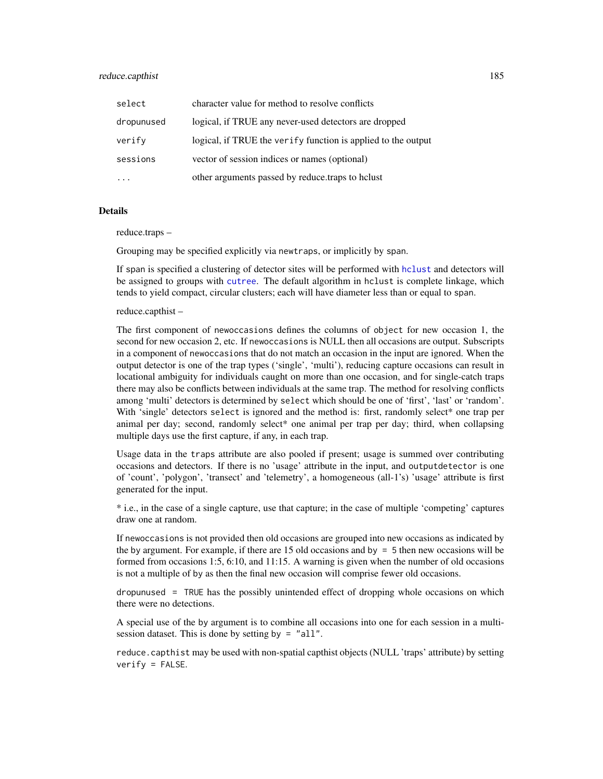## reduce.capthist 185

| select     | character value for method to resolve conflicts               |
|------------|---------------------------------------------------------------|
| dropunused | logical, if TRUE any never-used detectors are dropped         |
| verify     | logical, if TRUE the verify function is applied to the output |
| sessions   | vector of session indices or names (optional)                 |
|            | other arguments passed by reduce traps to holust              |

# Details

reduce.traps –

Grouping may be specified explicitly via newtraps, or implicitly by span.

If span is specified a clustering of detector sites will be performed with [hclust](#page-0-0) and detectors will be assigned to groups with [cutree](#page-0-0). The default algorithm in hclust is complete linkage, which tends to yield compact, circular clusters; each will have diameter less than or equal to span.

#### reduce.capthist –

The first component of newoccasions defines the columns of object for new occasion 1, the second for new occasion 2, etc. If newoccasions is NULL then all occasions are output. Subscripts in a component of newoccasions that do not match an occasion in the input are ignored. When the output detector is one of the trap types ('single', 'multi'), reducing capture occasions can result in locational ambiguity for individuals caught on more than one occasion, and for single-catch traps there may also be conflicts between individuals at the same trap. The method for resolving conflicts among 'multi' detectors is determined by select which should be one of 'first', 'last' or 'random'. With 'single' detectors select is ignored and the method is: first, randomly select<sup>\*</sup> one trap per animal per day; second, randomly select\* one animal per trap per day; third, when collapsing multiple days use the first capture, if any, in each trap.

Usage data in the traps attribute are also pooled if present; usage is summed over contributing occasions and detectors. If there is no 'usage' attribute in the input, and outputdetector is one of 'count', 'polygon', 'transect' and 'telemetry', a homogeneous (all-1's) 'usage' attribute is first generated for the input.

\* i.e., in the case of a single capture, use that capture; in the case of multiple 'competing' captures draw one at random.

If newoccasions is not provided then old occasions are grouped into new occasions as indicated by the by argument. For example, if there are 15 old occasions and by = 5 then new occasions will be formed from occasions 1:5, 6:10, and 11:15. A warning is given when the number of old occasions is not a multiple of by as then the final new occasion will comprise fewer old occasions.

dropunused = TRUE has the possibly unintended effect of dropping whole occasions on which there were no detections.

A special use of the by argument is to combine all occasions into one for each session in a multisession dataset. This is done by setting by = "all".

reduce.capthist may be used with non-spatial capthist objects (NULL 'traps' attribute) by setting  $verify = FALSE.$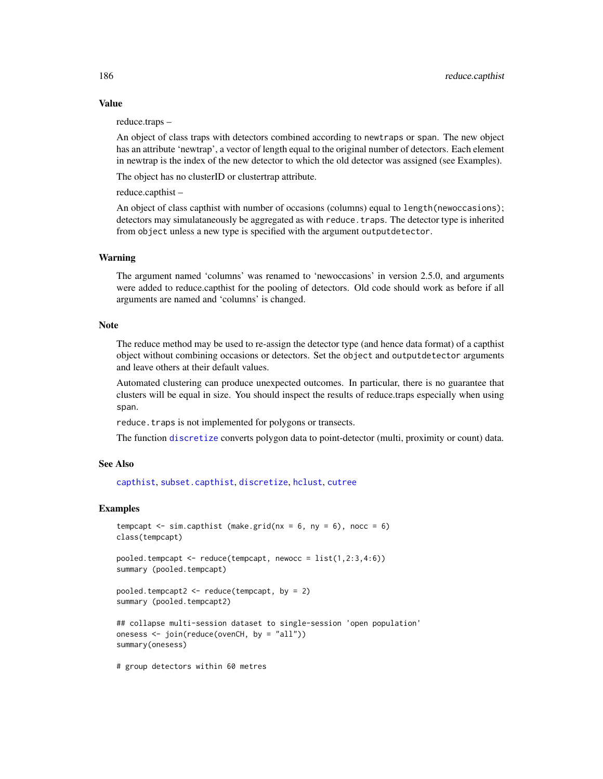# Value

reduce.traps –

An object of class traps with detectors combined according to newtraps or span. The new object has an attribute 'newtrap', a vector of length equal to the original number of detectors. Each element in newtrap is the index of the new detector to which the old detector was assigned (see Examples).

The object has no clusterID or clustertrap attribute.

reduce.capthist –

An object of class capthist with number of occasions (columns) equal to length(newoccasions); detectors may simulataneously be aggregated as with reduce.traps. The detector type is inherited from object unless a new type is specified with the argument outputdetector.

## Warning

The argument named 'columns' was renamed to 'newoccasions' in version 2.5.0, and arguments were added to reduce.capthist for the pooling of detectors. Old code should work as before if all arguments are named and 'columns' is changed.

#### Note

The reduce method may be used to re-assign the detector type (and hence data format) of a capthist object without combining occasions or detectors. Set the object and outputdetector arguments and leave others at their default values.

Automated clustering can produce unexpected outcomes. In particular, there is no guarantee that clusters will be equal in size. You should inspect the results of reduce.traps especially when using span.

reduce. traps is not implemented for polygons or transects.

The function [discretize](#page-56-0) converts polygon data to point-detector (multi, proximity or count) data.

## See Also

[capthist](#page-22-0), [subset.capthist](#page-246-0), [discretize](#page-56-0), [hclust](#page-0-0), [cutree](#page-0-0)

## Examples

```
tempcapt \le sim.capthist (make.grid(nx = 6, ny = 6), nocc = 6)
class(tempcapt)
pooled.tempcapt \leq reduce(tempcapt, newocc = list(1,2:3,4:6))
summary (pooled.tempcapt)
pooled.tempcapt2 \leq reduce(tempcapt, by = 2)
summary (pooled.tempcapt2)
## collapse multi-session dataset to single-session 'open population'
onesess <- join(reduce(ovenCH, by = "all"))
summary(onesess)
# group detectors within 60 metres
```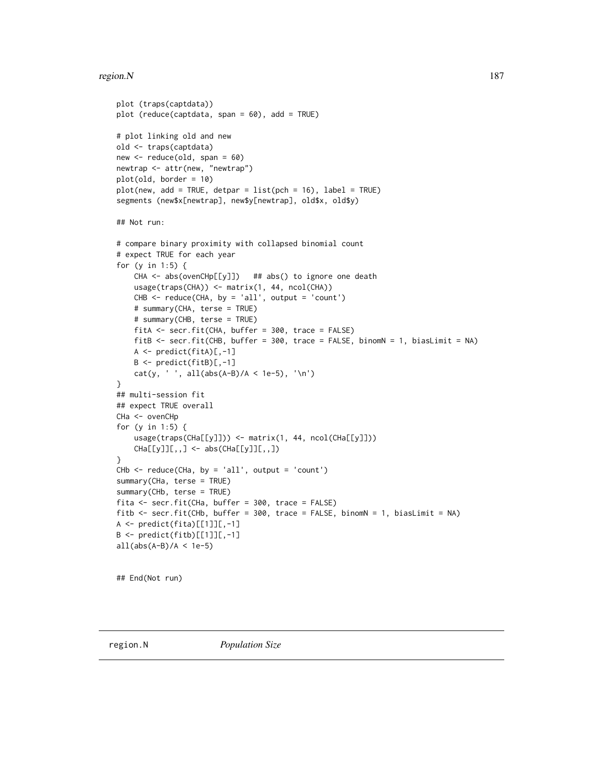# region. N  $187$

```
plot (traps(captdata))
plot (reduce(captdata, span = 60), add = TRUE)
# plot linking old and new
old <- traps(captdata)
new <- reduce(old, span = 60)
newtrap <- attr(new, "newtrap")
plot(old, border = 10)
plot(new, add = TRUE, detpar = list(pch = 16), label = TRUE)segments (new$x[newtrap], new$y[newtrap], old$x, old$y)
## Not run:
# compare binary proximity with collapsed binomial count
# expect TRUE for each year
for (y in 1:5) {
    CHA <- abs(ovenCHp[[y]]) ## abs() to ignore one death
    usage(traps(CHA)) <- matrix(1, 44, ncol(CHA))
    CHB < - reduce(CHA, by = 'all', output = 'count')
    # summary(CHA, terse = TRUE)
    # summary(CHB, terse = TRUE)
    fitA <- secr.fit(CHA, buffer = 300, trace = FALSE)
    fitB <- secr.fit(CHB, buffer = 300, trace = FALSE, binomN = 1, biasLimit = NA)
    A \leftarrow \text{predict}(\text{fitA})[ , -1]B <- predict(fitB)[,-1]
    cat(y, ' ', all(abs(A-B)/A < 1e-5), ' \n'')}
## multi-session fit
## expect TRUE overall
CHa <- ovenCHp
for (y in 1:5) {
    usage(traps(CHa[[y]])) <- matrix(1, 44, ncol(CHa[[y]]))
    CHa[[y]][[,,] \leftarrow abs(CHa[[y]][[,,])}
CHb \leq reduce(CHa, by = 'all', output = 'count')
summary(CHa, terse = TRUE)
summary(CHb, terse = TRUE)
fita <- secr.fit(CHa, buffer = 300, trace = FALSE)
fitb <- secr.fit(CHb, buffer = 300, trace = FALSE, binomN = 1, biasLimit = NA)
A <- predict(fita)[[1]][,-1]
B \leftarrow \text{predict}(\text{fitb})[[1]][,-1]
all(abs(A-B)/A < 1e-5)## End(Not run)
```
<span id="page-186-0"></span>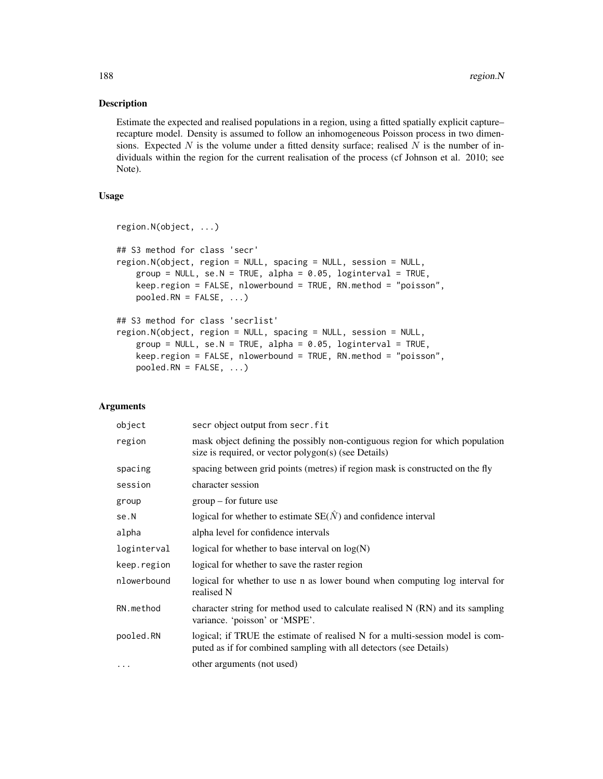## Description

Estimate the expected and realised populations in a region, using a fitted spatially explicit capture– recapture model. Density is assumed to follow an inhomogeneous Poisson process in two dimensions. Expected  $N$  is the volume under a fitted density surface; realised  $N$  is the number of individuals within the region for the current realisation of the process (cf Johnson et al. 2010; see Note).

# Usage

```
region.N(object, ...)
## S3 method for class 'secr'
region.N(object, region = NULL, spacing = NULL, session = NULL,
    group = NULL, se.N = TRUE, alpha = 0.05, logistic = 0.01, height = 0.05keep.region = FALSE, nlowerbound = TRUE, RN.method = "poisson",
    pooled.RN = FALSE, ...)
## S3 method for class 'secrlist'
region.N(object, region = NULL, spacing = NULL, session = NULL,
    group = NULL, se.N = TRUE, alpha = 0.05, loginterval = TRUE,keep.region = FALSE, nlowerbound = TRUE, RN.method = "poisson",
    pooled.RN = FALSE, ...)
```
# Arguments

| object      | secr object output from secr. fit                                                                                                                   |
|-------------|-----------------------------------------------------------------------------------------------------------------------------------------------------|
| region      | mask object defining the possibly non-contiguous region for which population<br>size is required, or vector polygon(s) (see Details)                |
| spacing     | spacing between grid points (metres) if region mask is constructed on the fly                                                                       |
| session     | character session                                                                                                                                   |
| group       | $group - for future use$                                                                                                                            |
| se.N        | logical for whether to estimate $SE(\hat{N})$ and confidence interval                                                                               |
| alpha       | alpha level for confidence intervals                                                                                                                |
| loginterval | logical for whether to base interval on $log(N)$                                                                                                    |
| keep.region | logical for whether to save the raster region                                                                                                       |
| nlowerbound | logical for whether to use n as lower bound when computing log interval for<br>realised N                                                           |
| RN.method   | character string for method used to calculate realised $N(RN)$ and its sampling<br>variance. 'poisson' or 'MSPE'.                                   |
| pooled.RN   | logical; if TRUE the estimate of realised N for a multi-session model is com-<br>puted as if for combined sampling with all detectors (see Details) |
| $\cdots$    | other arguments (not used)                                                                                                                          |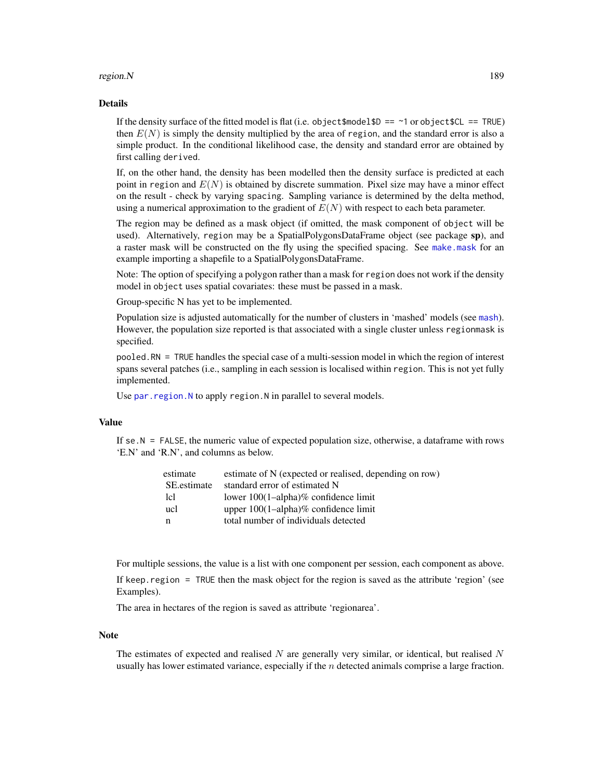## region.N and the set of the set of the set of the set of the set of the set of the set of the set of the set of the set of the set of the set of the set of the set of the set of the set of the set of the set of the set of

## Details

If the density surface of the fitted model is flat (i.e. object  $\text{smooth} = \text{-}1$  or object  $\text{SCL} = \text{TRUE}$ ) then  $E(N)$  is simply the density multiplied by the area of region, and the standard error is also a simple product. In the conditional likelihood case, the density and standard error are obtained by first calling derived.

If, on the other hand, the density has been modelled then the density surface is predicted at each point in region and  $E(N)$  is obtained by discrete summation. Pixel size may have a minor effect on the result - check by varying spacing. Sampling variance is determined by the delta method, using a numerical approximation to the gradient of  $E(N)$  with respect to each beta parameter.

The region may be defined as a mask object (if omitted, the mask component of object will be used). Alternatively, region may be a SpatialPolygonsDataFrame object (see package sp), and a raster mask will be constructed on the fly using the specified spacing. See [make.mask](#page-104-0) for an example importing a shapefile to a SpatialPolygonsDataFrame.

Note: The option of specifying a polygon rather than a mask for region does not work if the density model in object uses spatial covariates: these must be passed in a mask.

Group-specific N has yet to be implemented.

Population size is adjusted automatically for the number of clusters in 'mashed' models (see [mash](#page-263-0)). However, the population size reported is that associated with a single cluster unless regionmask is specified.

pooled.RN = TRUE handles the special case of a multi-session model in which the region of interest spans several patches (i.e., sampling in each session is localised within region. This is not yet fully implemented.

Use par. region. N to apply region. N in parallel to several models.

# Value

If  $\text{se.N} = \text{FALSE}$ , the numeric value of expected population size, otherwise, a dataframe with rows 'E.N' and 'R.N', and columns as below.

| estimate    | estimate of N (expected or realised, depending on row) |
|-------------|--------------------------------------------------------|
| SE estimate | standard error of estimated N                          |
| 1c1         | lower $100(1–alpha)$ % confidence limit                |
| ucl         | upper $100(1-\alpha)$ alpha $\%$ confidence limit      |
| n           | total number of individuals detected                   |

For multiple sessions, the value is a list with one component per session, each component as above.

If keep.region = TRUE then the mask object for the region is saved as the attribute 'region' (see Examples).

The area in hectares of the region is saved as attribute 'regionarea'.

#### Note

The estimates of expected and realised N are generally very similar, or identical, but realised  $N$ usually has lower estimated variance, especially if the  $n$  detected animals comprise a large fraction.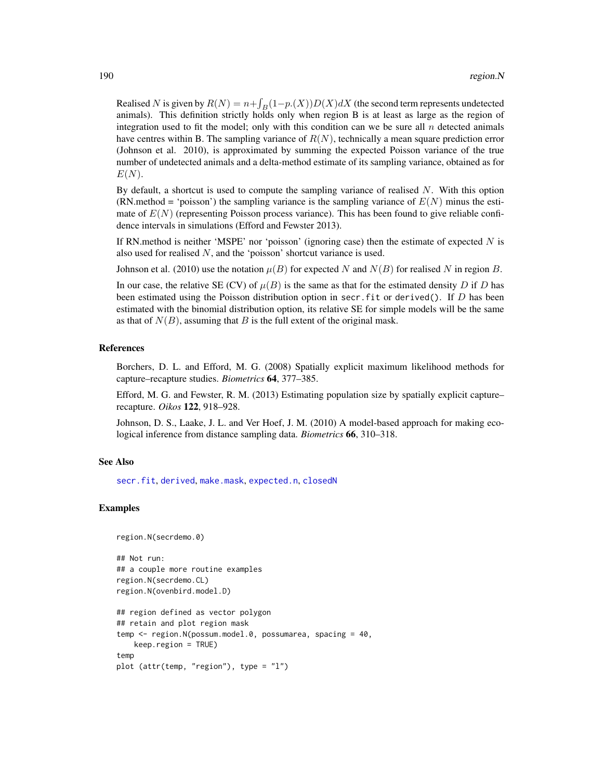Realised N is given by  $R(N) = n + \int_B(1-p.(X))D(X)dX$  (the second term represents undetected animals). This definition strictly holds only when region B is at least as large as the region of integration used to fit the model; only with this condition can we be sure all  $n$  detected animals have centres within B. The sampling variance of  $R(N)$ , technically a mean square prediction error (Johnson et al. 2010), is approximated by summing the expected Poisson variance of the true number of undetected animals and a delta-method estimate of its sampling variance, obtained as for  $E(N)$ .

By default, a shortcut is used to compute the sampling variance of realised  $N$ . With this option (RN.method = 'poisson') the sampling variance is the sampling variance of  $E(N)$  minus the estimate of  $E(N)$  (representing Poisson process variance). This has been found to give reliable confidence intervals in simulations (Efford and Fewster 2013).

If RN.method is neither 'MSPE' nor 'poisson' (ignoring case) then the estimate of expected  $N$  is also used for realised  $N$ , and the 'poisson' shortcut variance is used.

Johnson et al. (2010) use the notation  $\mu(B)$  for expected N and  $N(B)$  for realised N in region B.

In our case, the relative SE (CV) of  $\mu(B)$  is the same as that for the estimated density D if D has been estimated using the Poisson distribution option in secr. fit or derived(). If  $D$  has been estimated with the binomial distribution option, its relative SE for simple models will be the same as that of  $N(B)$ , assuming that B is the full extent of the original mask.

## References

Borchers, D. L. and Efford, M. G. (2008) Spatially explicit maximum likelihood methods for capture–recapture studies. *Biometrics* 64, 377–385.

Efford, M. G. and Fewster, R. M. (2013) Estimating population size by spatially explicit capture– recapture. *Oikos* 122, 918–928.

Johnson, D. S., Laake, J. L. and Ver Hoef, J. M. (2010) A model-based approach for making ecological inference from distance sampling data. *Biometrics* 66, 310–318.

## See Also

[secr.fit](#page-199-0), [derived](#page-45-0), [make.mask](#page-104-0), [expected.n](#page-69-0), [closedN](#page-28-0)

## Examples

```
region.N(secrdemo.0)
```

```
## Not run:
## a couple more routine examples
region.N(secrdemo.CL)
region.N(ovenbird.model.D)
## region defined as vector polygon
## retain and plot region mask
temp <- region.N(possum.model.0, possumarea, spacing = 40,
   keep.region = TRUE)
temp
plot (attr(temp, "region"), type = "l")
```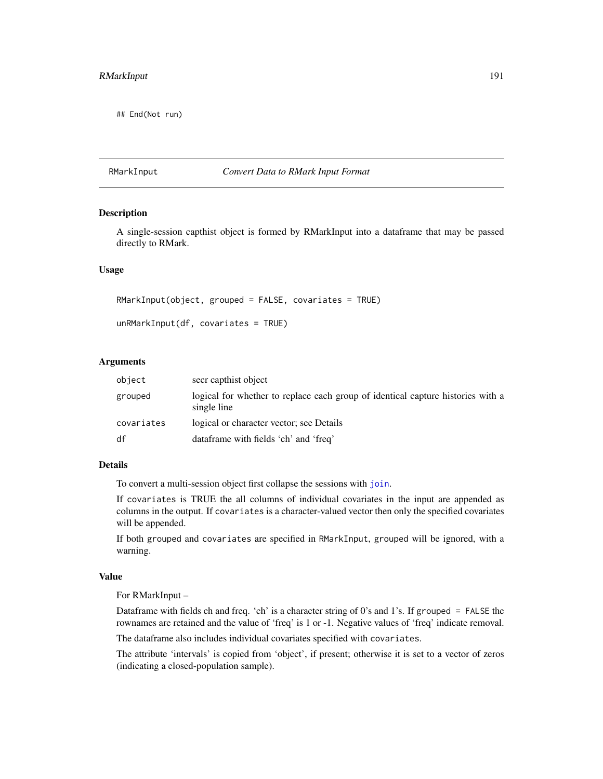## End(Not run)

## RMarkInput *Convert Data to RMark Input Format*

## Description

A single-session capthist object is formed by RMarkInput into a dataframe that may be passed directly to RMark.

# Usage

```
RMarkInput(object, grouped = FALSE, covariates = TRUE)
unRMarkInput(df, covariates = TRUE)
```
#### Arguments

| object     | secr capthist object                                                                           |
|------------|------------------------------------------------------------------------------------------------|
| grouped    | logical for whether to replace each group of identical capture histories with a<br>single line |
| covariates | logical or character vector; see Details                                                       |
| df         | dataframe with fields 'ch' and 'freq'                                                          |

# Details

To convert a multi-session object first collapse the sessions with [join](#page-94-0).

If covariates is TRUE the all columns of individual covariates in the input are appended as columns in the output. If covariates is a character-valued vector then only the specified covariates will be appended.

If both grouped and covariates are specified in RMarkInput, grouped will be ignored, with a warning.

#### Value

For RMarkInput –

Dataframe with fields ch and freq. 'ch' is a character string of 0's and 1's. If grouped = FALSE the rownames are retained and the value of 'freq' is 1 or -1. Negative values of 'freq' indicate removal.

The dataframe also includes individual covariates specified with covariates.

The attribute 'intervals' is copied from 'object', if present; otherwise it is set to a vector of zeros (indicating a closed-population sample).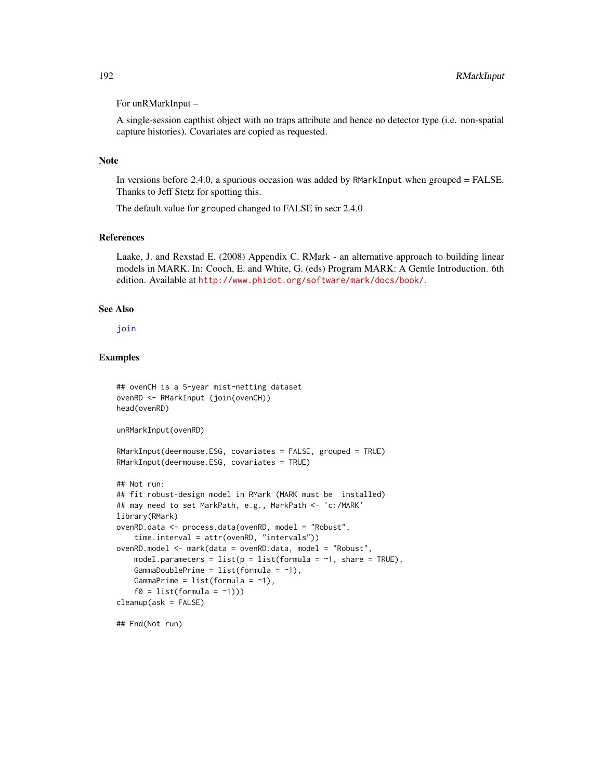## For unRMarkInput –

A single-session capthist object with no traps attribute and hence no detector type (i.e. non-spatial capture histories). Covariates are copied as requested.

## Note

In versions before 2.4.0, a spurious occasion was added by RMarkInput when grouped = FALSE. Thanks to Jeff Stetz for spotting this.

The default value for grouped changed to FALSE in secr 2.4.0

# References

Laake, J. and Rexstad E. (2008) Appendix C. RMark - an alternative approach to building linear models in MARK. In: Cooch, E. and White, G. (eds) Program MARK: A Gentle Introduction. 6th edition. Available at <http://www.phidot.org/software/mark/docs/book/>.

#### See Also

# [join](#page-94-0)

# Examples

```
## ovenCH is a 5-year mist-netting dataset
ovenRD <- RMarkInput (join(ovenCH))
head(ovenRD)
unRMarkInput(ovenRD)
RMarkInput(deermouse.ESG, covariates = FALSE, grouped = TRUE)
RMarkInput(deermouse.ESG, covariates = TRUE)
## Not run:
## fit robust-design model in RMark (MARK must be installed)
## may need to set MarkPath, e.g., MarkPath <- 'c:/MARK'
library(RMark)
ovenRD.data <- process.data(ovenRD, model = "Robust",
   time.interval = attr(ovenRD, "intervals"))
ovenRD.model <- mark(data = ovenRD.data, model = "Robust",
   model.parameters = list(p = list(fromula = -1, share = TRUE),GammaDoublePrime = list(formula = ~1),
   GammaPrime = list(formula = -1),f0 = list(fromula = '1)))cleanup(ask = FALSE)
```
## End(Not run)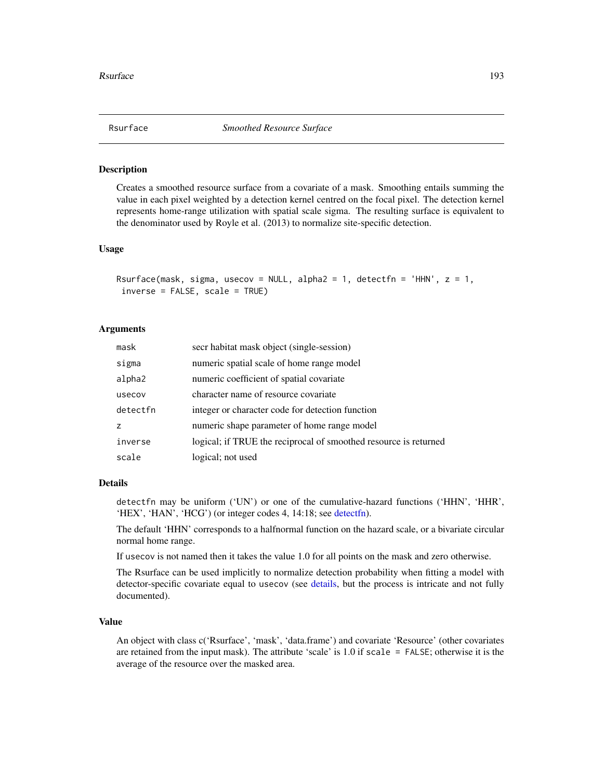## Description

Creates a smoothed resource surface from a covariate of a mask. Smoothing entails summing the value in each pixel weighted by a detection kernel centred on the focal pixel. The detection kernel represents home-range utilization with spatial scale sigma. The resulting surface is equivalent to the denominator used by Royle et al. (2013) to normalize site-specific detection.

#### Usage

```
Rsurface(mask, sigma, usecov = NULL, alpha2 = 1, detectfn = 'HHN', z = 1,
inverse = FALSE, scale = TRUE)
```
# Arguments

| mask     | secr habitat mask object (single-session)                        |
|----------|------------------------------------------------------------------|
| sigma    | numeric spatial scale of home range model                        |
| alpha2   | numeric coefficient of spatial covariate                         |
| usecov   | character name of resource covariate                             |
| detectfn | integer or character code for detection function                 |
| z        | numeric shape parameter of home range model                      |
| inverse  | logical; if TRUE the reciprocal of smoothed resource is returned |
| scale    | logical; not used                                                |

#### Details

detectfn may be uniform ('UN') or one of the cumulative-hazard functions ('HHN', 'HHR', 'HEX', 'HAN', 'HCG') (or integer codes 4, 14:18; see [detectfn\)](#page-51-0).

The default 'HHN' corresponds to a halfnormal function on the hazard scale, or a bivariate circular normal home range.

If usecov is not named then it takes the value 1.0 for all points on the mask and zero otherwise.

The Rsurface can be used implicitly to normalize detection probability when fitting a model with detector-specific covariate equal to usecov (see [details,](#page-48-0) but the process is intricate and not fully documented).

## Value

An object with class c('Rsurface', 'mask', 'data.frame') and covariate 'Resource' (other covariates are retained from the input mask). The attribute 'scale' is 1.0 if scale = FALSE; otherwise it is the average of the resource over the masked area.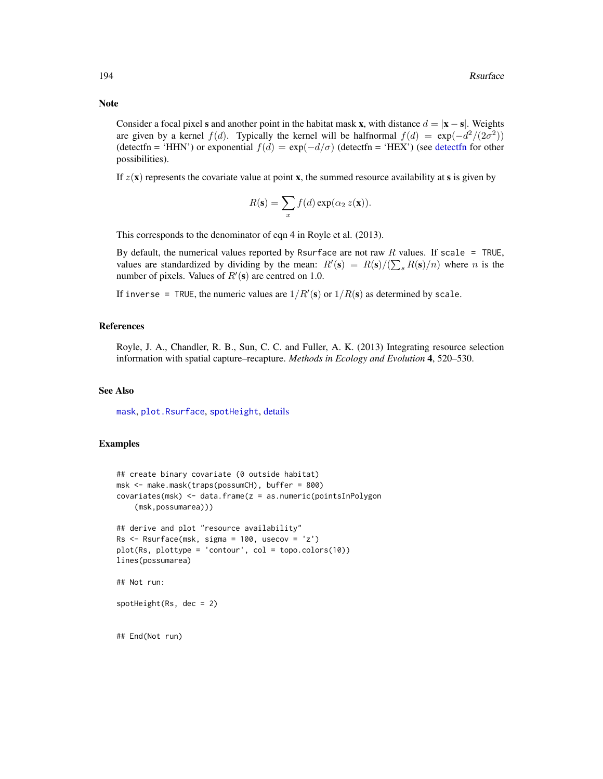Consider a focal pixel s and another point in the habitat mask x, with distance  $d = |\mathbf{x} - \mathbf{s}|$ . Weights are given by a kernel  $f(d)$ . Typically the kernel will be halfnormal  $f(d) = \exp(-\frac{d^2}{2\sigma^2})$ ([detectfn](#page-51-0) = 'HHN') or exponential  $f(d) = \exp(-d/\sigma)$  (detectfn = 'HEX') (see detectfn for other possibilities).

If  $z(\mathbf{x})$  represents the covariate value at point **x**, the summed resource availability at **s** is given by

$$
R(\mathbf{s}) = \sum_{x} f(d) \exp(\alpha_2 z(\mathbf{x})).
$$

This corresponds to the denominator of eqn 4 in Royle et al. (2013).

By default, the numerical values reported by Rsurface are not raw R values. If scale = TRUE, values are standardized by dividing by the mean:  $R'(s) = R(s)/(\sum_s R(s)/n)$  where n is the number of pixels. Values of  $R'(\mathbf{s})$  are centred on 1.0.

If inverse = TRUE, the numeric values are  $1/R'(s)$  or  $1/R(s)$  as determined by scale.

#### References

Royle, J. A., Chandler, R. B., Sun, C. C. and Fuller, A. K. (2013) Integrating resource selection information with spatial capture–recapture. *Methods in Ecology and Evolution* 4, 520–530.

## See Also

[mask](#page-113-0), [plot.Rsurface](#page-141-0), [spotHeight](#page-141-0), [details](#page-48-0)

# Examples

```
## create binary covariate (0 outside habitat)
msk <- make.mask(traps(possumCH), buffer = 800)
covariates(msk) <- data.frame(z = as.numeric(pointsInPolygon
    (msk,possumarea)))
## derive and plot "resource availability"
Rs < - Rsurface(msk, sigma = 100, usecov = 'z')
plot(Rs, plottype = 'contour', col = topo.colors(10))
lines(possumarea)
## Not run:
spotHeight(Rs, dec = 2)
## End(Not run)
```
# Note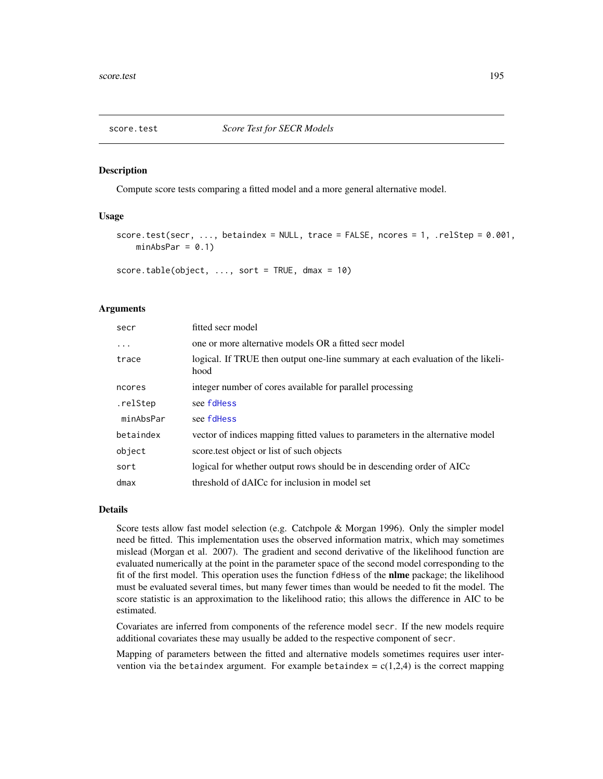<span id="page-194-0"></span>

# Description

Compute score tests comparing a fitted model and a more general alternative model.

# Usage

```
score.test(secr, ..., betaindex = NULL, trace = FALSE, ncores = 1, .relStep = 0.001,
   minAbsPar = 0.1)
```
score.table(object, ..., sort = TRUE, dmax = 10)

# Arguments

| secr      | fitted secr model                                                                       |
|-----------|-----------------------------------------------------------------------------------------|
| $\cdots$  | one or more alternative models OR a fitted secr model                                   |
| trace     | logical. If TRUE then output one-line summary at each evaluation of the likeli-<br>hood |
| ncores    | integer number of cores available for parallel processing                               |
| .relStep  | see fdHess                                                                              |
| minAbsPar | see fdHess                                                                              |
| betaindex | vector of indices mapping fitted values to parameters in the alternative model          |
| object    | score test object or list of such objects                                               |
| sort      | logical for whether output rows should be in descending order of AICc                   |
| $d$ max   | threshold of dAICc for inclusion in model set                                           |

# Details

Score tests allow fast model selection (e.g. Catchpole & Morgan 1996). Only the simpler model need be fitted. This implementation uses the observed information matrix, which may sometimes mislead (Morgan et al. 2007). The gradient and second derivative of the likelihood function are evaluated numerically at the point in the parameter space of the second model corresponding to the fit of the first model. This operation uses the function fdHess of the **nlme** package; the likelihood must be evaluated several times, but many fewer times than would be needed to fit the model. The score statistic is an approximation to the likelihood ratio; this allows the difference in AIC to be estimated.

Covariates are inferred from components of the reference model secr. If the new models require additional covariates these may usually be added to the respective component of secr.

Mapping of parameters between the fitted and alternative models sometimes requires user intervention via the betaindex argument. For example betaindex =  $c(1,2,4)$  is the correct mapping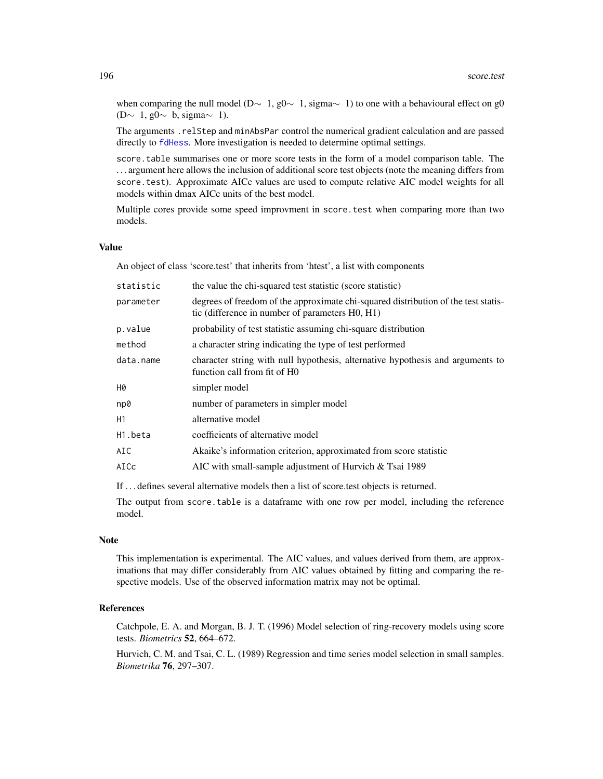when comparing the null model (D∼ 1, g0∼ 1, sigma $\sim$  1) to one with a behavioural effect on g0 (D∼ 1, g0 $\sim$  b, sigma $\sim$  1).

The arguments .relStep and minAbsPar control the numerical gradient calculation and are passed directly to [fdHess](#page-0-0). More investigation is needed to determine optimal settings.

score.table summarises one or more score tests in the form of a model comparison table. The . . . argument here allows the inclusion of additional score test objects (note the meaning differs from score.test). Approximate AICc values are used to compute relative AIC model weights for all models within dmax AICc units of the best model.

Multiple cores provide some speed improvment in score.test when comparing more than two models.

# Value

An object of class 'score.test' that inherits from 'htest', a list with components

| statistic | the value the chi-squared test statistic (score statistic)                                                                            |
|-----------|---------------------------------------------------------------------------------------------------------------------------------------|
| parameter | degrees of freedom of the approximate chi-squared distribution of the test statis-<br>tic (difference in number of parameters H0, H1) |
| p.value   | probability of test statistic assuming chi-square distribution                                                                        |
| method    | a character string indicating the type of test performed                                                                              |
| data.name | character string with null hypothesis, alternative hypothesis and arguments to<br>function call from fit of H0                        |
| Н0        | simpler model                                                                                                                         |
| np0       | number of parameters in simpler model                                                                                                 |
| Η1        | alternative model                                                                                                                     |
| H1.beta   | coefficients of alternative model                                                                                                     |
| AIC       | Akaike's information criterion, approximated from score statistic                                                                     |
| AICc      | AIC with small-sample adjustment of Hurvich & Tsai 1989                                                                               |
|           |                                                                                                                                       |

If . . . defines several alternative models then a list of score.test objects is returned.

The output from score.table is a dataframe with one row per model, including the reference model.

## **Note**

This implementation is experimental. The AIC values, and values derived from them, are approximations that may differ considerably from AIC values obtained by fitting and comparing the respective models. Use of the observed information matrix may not be optimal.

# References

Catchpole, E. A. and Morgan, B. J. T. (1996) Model selection of ring-recovery models using score tests. *Biometrics* 52, 664–672.

Hurvich, C. M. and Tsai, C. L. (1989) Regression and time series model selection in small samples. *Biometrika* 76, 297–307.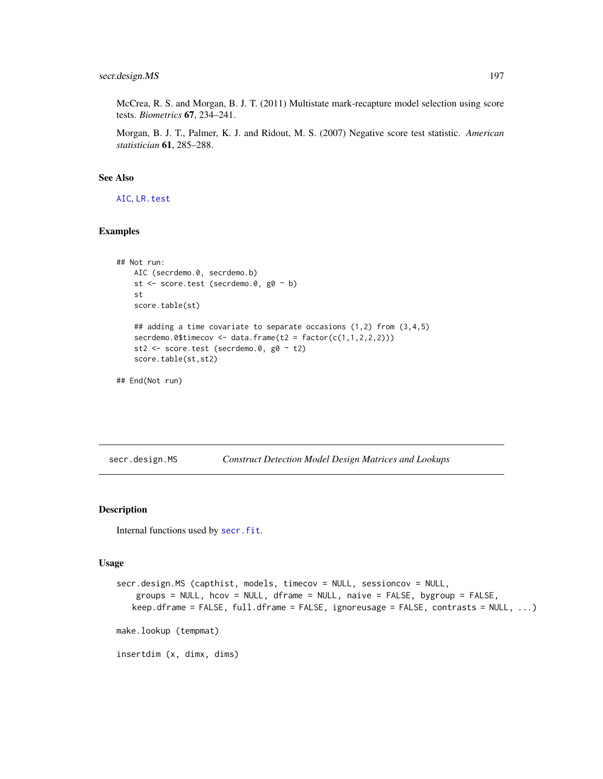McCrea, R. S. and Morgan, B. J. T. (2011) Multistate mark-recapture model selection using score tests. *Biometrics* 67, 234–241.

Morgan, B. J. T., Palmer, K. J. and Ridout, M. S. (2007) Negative score test statistic. *American statistician* 61, 285–288.

# See Also

[AIC](#page-0-0), [LR.test](#page-100-0)

# Examples

```
## Not run:
   AIC (secrdemo.0, secrdemo.b)
   st <- score.test (secrdemo.0, g0 ~ b)
   st
    score.table(st)
    ## adding a time covariate to separate occasions (1,2) from (3,4,5)
    secrdemo.0$timecov <- data.frame(t2 = factor(c(1,1,2,2,2)))st2 <- score.test (secrdemo.0, g0 ~ t2)
   score.table(st,st2)
## End(Not run)
```
<span id="page-196-0"></span>

secr.design.MS *Construct Detection Model Design Matrices and Lookups*

# Description

Internal functions used by [secr.fit](#page-199-0).

#### Usage

```
secr.design.MS (capthist, models, timecov = NULL, sessioncov = NULL,
   groups = NULL, hcov = NULL, dframe = NULL, naive = FALSE, bygroup = FALSE,
   keep.dframe = FALSE, full.dframe = FALSE, ignoreusage = FALSE, contrasts = NULL, ...)
make.lookup (tempmat)
insertdim (x, dimx, dims)
```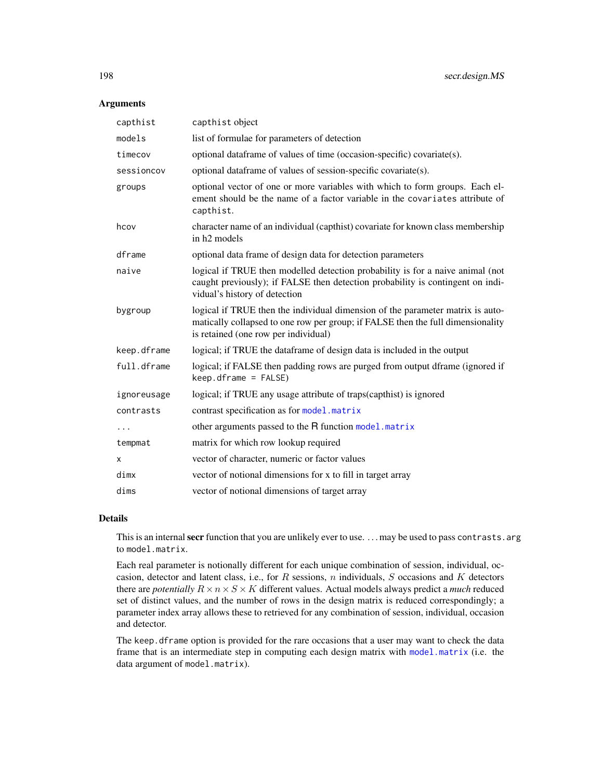## Arguments

| capthist    | capthist object                                                                                                                                                                                           |
|-------------|-----------------------------------------------------------------------------------------------------------------------------------------------------------------------------------------------------------|
| models      | list of formulae for parameters of detection                                                                                                                                                              |
| timecov     | optional dataframe of values of time (occasion-specific) covariate(s).                                                                                                                                    |
| sessioncov  | optional dataframe of values of session-specific covariate(s).                                                                                                                                            |
| groups      | optional vector of one or more variables with which to form groups. Each el-<br>ement should be the name of a factor variable in the covariates attribute of<br>capthist.                                 |
| hcov        | character name of an individual (capthist) covariate for known class membership<br>in h <sub>2</sub> models                                                                                               |
| dframe      | optional data frame of design data for detection parameters                                                                                                                                               |
| naive       | logical if TRUE then modelled detection probability is for a naive animal (not<br>caught previously); if FALSE then detection probability is contingent on indi-<br>vidual's history of detection         |
| bygroup     | logical if TRUE then the individual dimension of the parameter matrix is auto-<br>matically collapsed to one row per group; if FALSE then the full dimensionality<br>is retained (one row per individual) |
| keep.dframe | logical; if TRUE the dataframe of design data is included in the output                                                                                                                                   |
| full.dframe | logical; if FALSE then padding rows are purged from output dframe (ignored if<br>$keep.dframe = FALSE)$                                                                                                   |
| ignoreusage | logical; if TRUE any usage attribute of traps(capthist) is ignored                                                                                                                                        |
| contrasts   | contrast specification as for model.matrix                                                                                                                                                                |
| .           | other arguments passed to the R function model. matrix                                                                                                                                                    |
| tempmat     | matrix for which row lookup required                                                                                                                                                                      |
| х           | vector of character, numeric or factor values                                                                                                                                                             |
| dimx        | vector of notional dimensions for x to fill in target array                                                                                                                                               |
| dims        | vector of notional dimensions of target array                                                                                                                                                             |

# Details

This is an internal secr function that you are unlikely ever to use. . . . may be used to pass contrasts. arg to model.matrix.

Each real parameter is notionally different for each unique combination of session, individual, occasion, detector and latent class, i.e., for  $R$  sessions,  $n$  individuals,  $S$  occasions and  $K$  detectors there are *potentially*  $R \times n \times S \times K$  different values. Actual models always predict a *much* reduced set of distinct values, and the number of rows in the design matrix is reduced correspondingly; a parameter index array allows these to retrieved for any combination of session, individual, occasion and detector.

The keep.dframe option is provided for the rare occasions that a user may want to check the data frame that is an intermediate step in computing each design matrix with [model.matrix](#page-0-0) (i.e. the data argument of model.matrix).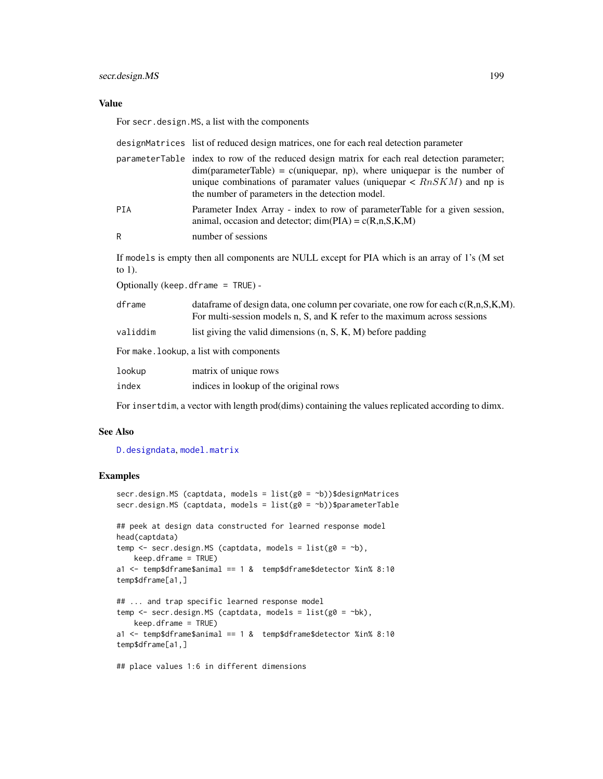# secr.design.MS 199

## Value

For secr.design.MS, a list with the components

|                                                                                                             | designMatrices list of reduced design matrices, one for each real detection parameter                                                                                                                                                                                                                                    |  |
|-------------------------------------------------------------------------------------------------------------|--------------------------------------------------------------------------------------------------------------------------------------------------------------------------------------------------------------------------------------------------------------------------------------------------------------------------|--|
|                                                                                                             | parameterTable index to row of the reduced design matrix for each real detection parameter;<br>$dim(parameterTable) = c(uniquepar, np)$ , where uniquepar is the number of<br>unique combinations of paramater values (uniquepar $\langle RnSKM \rangle$ ) and np is<br>the number of parameters in the detection model. |  |
| <b>PIA</b>                                                                                                  | Parameter Index Array - index to row of parameterTable for a given session,<br>animal, occasion and detector; $dim(PIA) = c(R,n,S,K,M)$                                                                                                                                                                                  |  |
| R                                                                                                           | number of sessions                                                                                                                                                                                                                                                                                                       |  |
| If models is empty then all components are NULL except for PIA which is an array of 1's (M set<br>to $1$ ). |                                                                                                                                                                                                                                                                                                                          |  |
| Optionally (keep. dframe $=$ TRUE) -                                                                        |                                                                                                                                                                                                                                                                                                                          |  |
| dframe                                                                                                      | data frame of design data, one column per covariate, one row for each $c(R, n, S, K, M)$ .<br>For multi-session models n, S, and K refer to the maximum across sessions                                                                                                                                                  |  |
| validdim                                                                                                    | list giving the valid dimensions $(n, S, K, M)$ before padding                                                                                                                                                                                                                                                           |  |
| For make. Lookup, a list with components                                                                    |                                                                                                                                                                                                                                                                                                                          |  |
| lookup                                                                                                      | matrix of unique rows                                                                                                                                                                                                                                                                                                    |  |
| index                                                                                                       | indices in lookup of the original rows                                                                                                                                                                                                                                                                                   |  |
|                                                                                                             |                                                                                                                                                                                                                                                                                                                          |  |

For insertdim, a vector with length prod(dims) containing the values replicated according to dimx.

## See Also

# [D.designdata](#page-41-0), [model.matrix](#page-0-0)

# Examples

```
secr.design.MS (captdata, models = list(g0 = b))$designMatrices
secr.design.MS (captdata, models = list(g0 = ~b))$parameterTable
## peek at design data constructed for learned response model
head(captdata)
temp \leq secr.design.MS (captdata, models = list(g0 = \negb),
   keep.dframe = TRUE)
a1 <- temp$dframe$animal == 1 & temp$dframe$detector %in% 8:10
temp$dframe[a1,]
## ... and trap specific learned response model
temp \le secr.design.MS (captdata, models = list(g0 = \negbk),
   keep.dframe = TRUE)
a1 <- temp$dframe$animal == 1 & temp$dframe$detector %in% 8:10
temp$dframe[a1,]
```
## place values 1:6 in different dimensions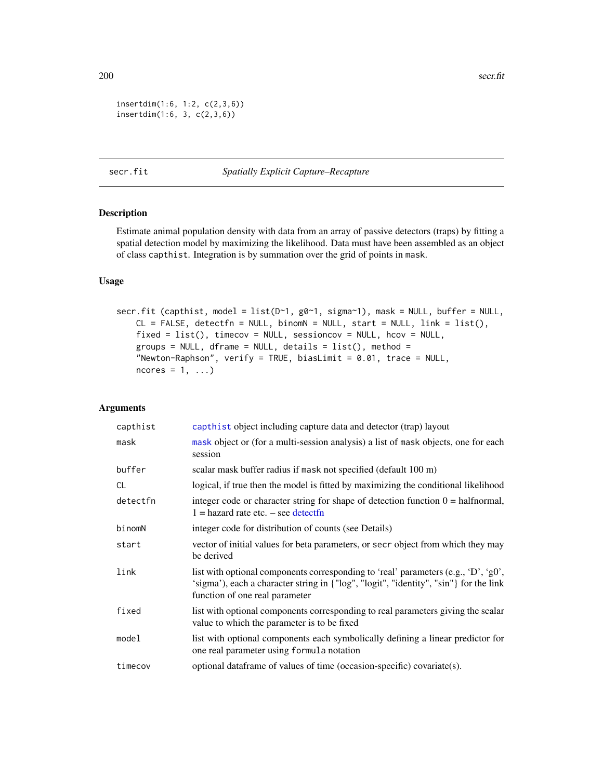$200$  secr.fit

```
insertdim(1:6, 1:2, c(2,3,6))
insertdim(1:6, 3, c(2,3,6))
```
# <span id="page-199-0"></span>secr.fit *Spatially Explicit Capture–Recapture*

# Description

Estimate animal population density with data from an array of passive detectors (traps) by fitting a spatial detection model by maximizing the likelihood. Data must have been assembled as an object of class capthist. Integration is by summation over the grid of points in mask.

# Usage

secr.fit (capthist, model = list(D~1, g0~1, sigma~1), mask = NULL, buffer = NULL,  $CL = FALSE$ , detectfn = NULL, binomN = NULL, start = NULL, link = list(), fixed = list(), timecov = NULL, sessioncov = NULL, hcov = NULL, groups = NULL, dframe = NULL, details =  $list()$ , method = "Newton-Raphson", verify = TRUE, biasLimit = 0.01, trace = NULL,  $ncores = 1, ...$ 

# Arguments

| capthist  | capthist object including capture data and detector (trap) layout                                                                                                                                             |
|-----------|---------------------------------------------------------------------------------------------------------------------------------------------------------------------------------------------------------------|
| mask      | mask object or (for a multi-session analysis) a list of mask objects, one for each<br>session                                                                                                                 |
| buffer    | scalar mask buffer radius if mask not specified (default 100 m)                                                                                                                                               |
| <b>CL</b> | logical, if true then the model is fitted by maximizing the conditional likelihood                                                                                                                            |
| detectfn  | integer code or character string for shape of detection function $0 = \text{halfnormal}$ ,<br>$1 =$ hazard rate etc. $-$ see detectfn                                                                         |
| binomN    | integer code for distribution of counts (see Details)                                                                                                                                                         |
| start     | vector of initial values for beta parameters, or secr object from which they may<br>be derived                                                                                                                |
| link      | list with optional components corresponding to 'real' parameters (e.g., 'D', 'g0',<br>'sigma'), each a character string in {"log", "logit", "identity", "sin"} for the link<br>function of one real parameter |
| fixed     | list with optional components corresponding to real parameters giving the scalar<br>value to which the parameter is to be fixed                                                                               |
| model     | list with optional components each symbolically defining a linear predictor for<br>one real parameter using formula notation                                                                                  |
| timecov   | optional data frame of values of time (occasion-specific) covariate(s).                                                                                                                                       |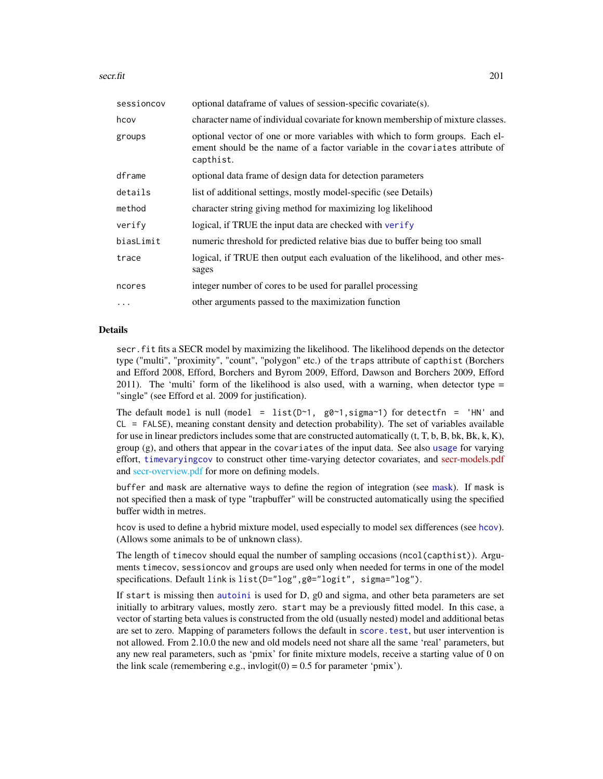secr.fit 201

| sessioncov | optional data frame of values of session-specific covariate(s).                                                                                                           |
|------------|---------------------------------------------------------------------------------------------------------------------------------------------------------------------------|
| hcov       | character name of individual covariate for known membership of mixture classes.                                                                                           |
| groups     | optional vector of one or more variables with which to form groups. Each el-<br>ement should be the name of a factor variable in the covariates attribute of<br>capthist. |
| dframe     | optional data frame of design data for detection parameters                                                                                                               |
| details    | list of additional settings, mostly model-specific (see Details)                                                                                                          |
| method     | character string giving method for maximizing log likelihood                                                                                                              |
| verify     | logical, if TRUE the input data are checked with verify                                                                                                                   |
| biasLimit  | numeric threshold for predicted relative bias due to buffer being too small                                                                                               |
| trace      | logical, if TRUE then output each evaluation of the likelihood, and other mes-<br>sages                                                                                   |
| ncores     | integer number of cores to be used for parallel processing                                                                                                                |
| $\cdots$   | other arguments passed to the maximization function                                                                                                                       |

# Details

secr.fit fits a SECR model by maximizing the likelihood. The likelihood depends on the detector type ("multi", "proximity", "count", "polygon" etc.) of the traps attribute of capthist (Borchers and Efford 2008, Efford, Borchers and Byrom 2009, Efford, Dawson and Borchers 2009, Efford 2011). The 'multi' form of the likelihood is also used, with a warning, when detector type  $=$ "single" (see Efford et al. 2009 for justification).

The default model is null (model = list( $D \sim 1$ , g $\varnothing \sim 1$ , sigma $\sim 1$ ) for detectfn = 'HN' and CL = FALSE), meaning constant density and detection probability). The set of variables available for use in linear predictors includes some that are constructed automatically  $(t, T, b, B, bk, Bk, k, K)$ , group (g), and others that appear in the covariates of the input data. See also [usage](#page-276-0) for varying effort, [timevaryingcov](#page-259-0) to construct other time-varying detector covariates, and [secr-models.pdf](https://www.otago.ac.nz/density/pdfs/secr-models.pdf) and [secr-overview.pdf](#page-0-0) for more on defining models.

buffer and mask are alternative ways to define the region of integration (see [mask\)](#page-113-0). If mask is not specified then a mask of type "trapbuffer" will be constructed automatically using the specified buffer width in metres.

hcov is used to define a hybrid mixture model, used especially to model sex differences (see [hcov](#page-78-0)). (Allows some animals to be of unknown class).

The length of timecov should equal the number of sampling occasions (ncol(capthist)). Arguments timecov, sessioncov and groups are used only when needed for terms in one of the model specifications. Default link is list(D="log",g0="logit", sigma="log").

If start is missing then [autoini](#page-17-0) is used for D, g0 and sigma, and other beta parameters are set initially to arbitrary values, mostly zero. start may be a previously fitted model. In this case, a vector of starting beta values is constructed from the old (usually nested) model and additional betas are set to zero. Mapping of parameters follows the default in [score.test](#page-194-0), but user intervention is not allowed. From 2.10.0 the new and old models need not share all the same 'real' parameters, but any new real parameters, such as 'pmix' for finite mixture models, receive a starting value of 0 on the link scale (remembering e.g., invlogit( $0$ ) = 0.5 for parameter 'pmix').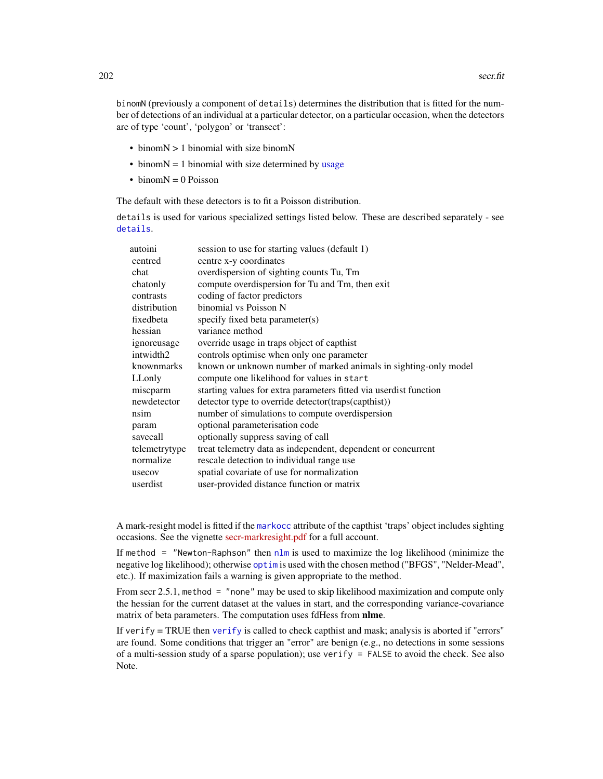binomN (previously a component of details) determines the distribution that is fitted for the number of detections of an individual at a particular detector, on a particular occasion, when the detectors are of type 'count', 'polygon' or 'transect':

- binomN > 1 binomial with size binomN
- binom $N = 1$  binomial with size determined by [usage](#page-276-0)
- $\bullet$  binom $N = 0$  Poisson

The default with these detectors is to fit a Poisson distribution.

details is used for various specialized settings listed below. These are described separately - see [details](#page-48-0).

| autoini       | session to use for starting values (default 1)                    |
|---------------|-------------------------------------------------------------------|
| centred       | centre x-y coordinates                                            |
| chat          | overdispersion of sighting counts Tu, Tm                          |
| chatonly      | compute overdispersion for Tu and Tm, then exit                   |
| contrasts     | coding of factor predictors                                       |
| distribution  | binomial vs Poisson N                                             |
| fixedbeta     | specify fixed beta parameter(s)                                   |
| hessian       | variance method                                                   |
| ignoreusage   | override usage in traps object of capthist                        |
| intwidth2     | controls optimise when only one parameter                         |
| knownmarks    | known or unknown number of marked animals in sighting-only model  |
| LLonly        | compute one likelihood for values in start                        |
| miscparm      | starting values for extra parameters fitted via userdist function |
| newdetector   | detector type to override detector(traps(capthist))               |
| nsim          | number of simulations to compute overdispersion                   |
| param         | optional parameterisation code                                    |
| savecall      | optionally suppress saving of call                                |
| telemetrytype | treat telemetry data as independent, dependent or concurrent      |
| normalize     | rescale detection to individual range use                         |
| usecov        | spatial covariate of use for normalization                        |
| userdist      | user-provided distance function or matrix                         |
|               |                                                                   |

A mark-resight model is fitted if the [markocc](#page-214-0) attribute of the capthist 'traps' object includes sighting occasions. See the vignette [secr-markresight.pdf](https://www.otago.ac.nz/density/pdfs/secr-markresight.pdf) for a full account.

If method = "Newton-Raphson" then [nlm](#page-0-0) is used to maximize the log likelihood (minimize the negative log likelihood); otherwise [optim](#page-0-0) is used with the chosen method ("BFGS", "Nelder-Mead", etc.). If maximization fails a warning is given appropriate to the method.

From secr 2.5.1, method = "none" may be used to skip likelihood maximization and compute only the hessian for the current dataset at the values in start, and the corresponding variance-covariance matrix of beta parameters. The computation uses fdHess from nlme.

If [verify](#page-284-0)  $=$  TRUE then verify is called to check capthist and mask; analysis is aborted if "errors" are found. Some conditions that trigger an "error" are benign (e.g., no detections in some sessions of a multi-session study of a sparse population); use verify = FALSE to avoid the check. See also Note.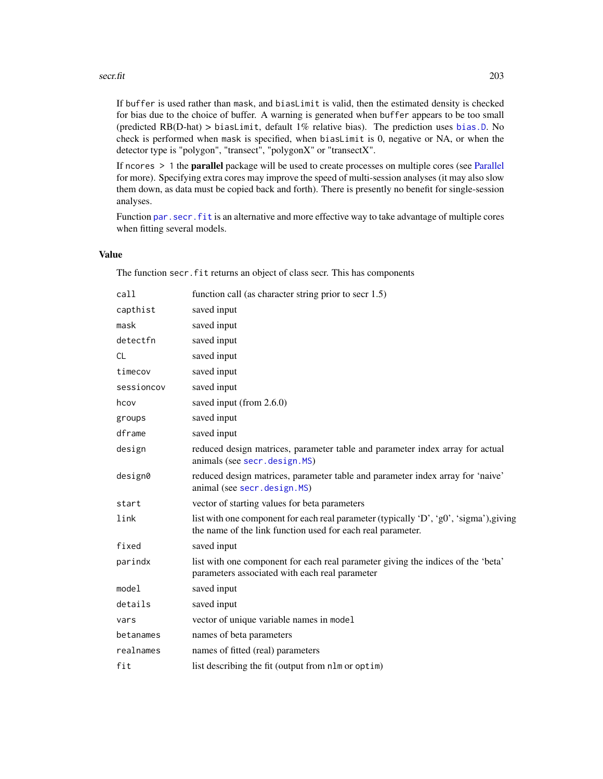#### secr.fit 203

If buffer is used rather than mask, and biasLimit is valid, then the estimated density is checked for bias due to the choice of buffer. A warning is generated when buffer appears to be too small (predicted RB(D-hat) > biasLimit, default 1% relative bias). The prediction uses [bias.D](#page-252-0). No check is performed when mask is specified, when biasLimit is 0, negative or NA, or when the detector type is "polygon", "transect", "polygonX" or "transectX".

If ncores > 1 the parallel package will be used to create processes on multiple cores (see [Parallel](#page-131-0) for more). Specifying extra cores may improve the speed of multi-session analyses (it may also slow them down, as data must be copied back and forth). There is presently no benefit for single-session analyses.

Function [par.secr.fit](#page-129-1) is an alternative and more effective way to take advantage of multiple cores when fitting several models.

# Value

The function secr. fit returns an object of class secr. This has components

| call       | function call (as character string prior to secr 1.5)                                                                                                 |
|------------|-------------------------------------------------------------------------------------------------------------------------------------------------------|
| capthist   | saved input                                                                                                                                           |
| mask       | saved input                                                                                                                                           |
| detectfn   | saved input                                                                                                                                           |
| <b>CL</b>  | saved input                                                                                                                                           |
| timecov    | saved input                                                                                                                                           |
| sessioncov | saved input                                                                                                                                           |
| hcov       | saved input (from 2.6.0)                                                                                                                              |
| groups     | saved input                                                                                                                                           |
| dframe     | saved input                                                                                                                                           |
| design     | reduced design matrices, parameter table and parameter index array for actual<br>animals (see secr.design.MS)                                         |
| design0    | reduced design matrices, parameter table and parameter index array for 'naive'<br>animal (see secr.design.MS)                                         |
| start      | vector of starting values for beta parameters                                                                                                         |
| link       | list with one component for each real parameter (typically 'D', 'g0', 'sigma'), giving<br>the name of the link function used for each real parameter. |
| fixed      | saved input                                                                                                                                           |
| parindx    | list with one component for each real parameter giving the indices of the 'beta'<br>parameters associated with each real parameter                    |
| model      | saved input                                                                                                                                           |
| details    | saved input                                                                                                                                           |
| vars       | vector of unique variable names in model                                                                                                              |
| betanames  | names of beta parameters                                                                                                                              |
| realnames  | names of fitted (real) parameters                                                                                                                     |
| fit        | list describing the fit (output from nlm or optim)                                                                                                    |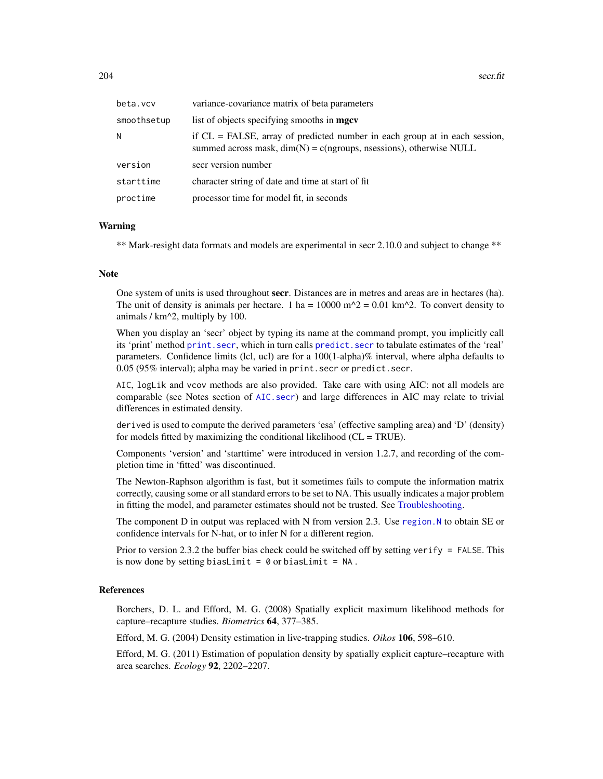| beta.vcv    | variance-covariance matrix of beta parameters                                                                                                          |
|-------------|--------------------------------------------------------------------------------------------------------------------------------------------------------|
| smoothsetup | list of objects specifying smooths in <b>mgcv</b>                                                                                                      |
| N           | if $CL = FALSE$ , array of predicted number in each group at in each session,<br>summed across mask, $dim(N) = c(ngroups, nsessions)$ , otherwise NULL |
| version     | secr version number                                                                                                                                    |
| starttime   | character string of date and time at start of fit                                                                                                      |
| proctime    | processor time for model fit, in seconds                                                                                                               |

### Warning

\*\* Mark-resight data formats and models are experimental in secr 2.10.0 and subject to change \*\*

#### Note

One system of units is used throughout secr. Distances are in metres and areas are in hectares (ha). The unit of density is animals per hectare. 1 ha =  $10000$  m<sup> $\Delta$ </sup> = 0.01 km<sup> $\Delta$ </sup>. To convert density to animals / km^2, multiply by 100.

When you display an 'secr' object by typing its name at the command prompt, you implicitly call its 'print' method [print.secr](#page-162-0), which in turn calls [predict.secr](#page-157-0) to tabulate estimates of the 'real' parameters. Confidence limits (lcl, ucl) are for a 100(1-alpha)% interval, where alpha defaults to 0.05 (95% interval); alpha may be varied in print.secr or predict.secr.

AIC, logLik and vcov methods are also provided. Take care with using AIC: not all models are comparable (see Notes section of [AIC.secr](#page-12-0)) and large differences in AIC may relate to trivial differences in estimated density.

derived is used to compute the derived parameters 'esa' (effective sampling area) and 'D' (density) for models fitted by maximizing the conditional likelihood  $(CL = TRUE)$ .

Components 'version' and 'starttime' were introduced in version 1.2.7, and recording of the completion time in 'fitted' was discontinued.

The Newton-Raphson algorithm is fast, but it sometimes fails to compute the information matrix correctly, causing some or all standard errors to be set to NA. This usually indicates a major problem in fitting the model, and parameter estimates should not be trusted. See [Troubleshooting.](#page-271-0)

The component D in output was replaced with N from version 2.3. Use region. N to obtain SE or confidence intervals for N-hat, or to infer N for a different region.

Prior to version 2.3.2 the buffer bias check could be switched off by setting verify  $=$  FALSE. This is now done by setting biasLimit =  $0$  or biasLimit = NA.

# References

Borchers, D. L. and Efford, M. G. (2008) Spatially explicit maximum likelihood methods for capture–recapture studies. *Biometrics* 64, 377–385.

Efford, M. G. (2004) Density estimation in live-trapping studies. *Oikos* 106, 598–610.

Efford, M. G. (2011) Estimation of population density by spatially explicit capture–recapture with area searches. *Ecology* 92, 2202–2207.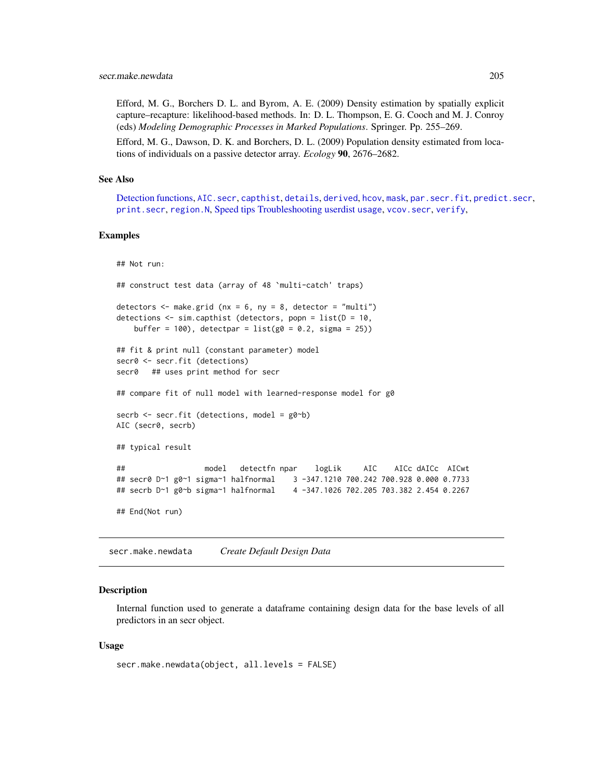Efford, M. G., Borchers D. L. and Byrom, A. E. (2009) Density estimation by spatially explicit capture–recapture: likelihood-based methods. In: D. L. Thompson, E. G. Cooch and M. J. Conroy (eds) *Modeling Demographic Processes in Marked Populations*. Springer. Pp. 255–269.

Efford, M. G., Dawson, D. K. and Borchers, D. L. (2009) Population density estimated from locations of individuals on a passive detector array. *Ecology* 90, 2676–2682.

#### See Also

[Detection functions,](#page-51-1) [AIC.secr](#page-12-0), [capthist](#page-22-0), [details](#page-48-0), [derived](#page-45-0), [hcov](#page-78-0), [mask](#page-113-0), [par.secr.fit](#page-129-1), [predict.secr](#page-157-0), [print.secr](#page-162-0), [region.N](#page-186-0), [Speed tips](#page-239-0) [Troubleshooting](#page-271-0) [userdist](#page-279-0) [usage](#page-276-0), [vcov.secr](#page-283-0), [verify](#page-284-0),

#### Examples

```
## Not run:
## construct test data (array of 48 `multi-catch' traps)
detectors \leq make.grid (nx = 6, ny = 8, detector = "multi")
detections <- sim.capthist (detectors, popn = list(D = 10,
   buffer = 100), detectpar = list(g0 = 0.2, sigma = 25))
## fit & print null (constant parameter) model
secr0 <- secr.fit (detections)
secr0 ## uses print method for secr
## compare fit of null model with learned-response model for g0
secrb <- secr.fit (detections, model = g0~b)
AIC (secr0, secrb)
## typical result
## model detectfn npar logLik AIC AICc dAICc AICwt
## secr0 D~1 g0~1 sigma~1 halfnormal 3 -347.1210 700.242 700.928 0.000 0.7733
## secrb D~1 g0~b sigma~1 halfnormal 4 -347.1026 702.205 703.382 2.454 0.2267
## End(Not run)
```
secr.make.newdata *Create Default Design Data*

## Description

Internal function used to generate a dataframe containing design data for the base levels of all predictors in an secr object.

#### Usage

```
secr.make.newdata(object, all.levels = FALSE)
```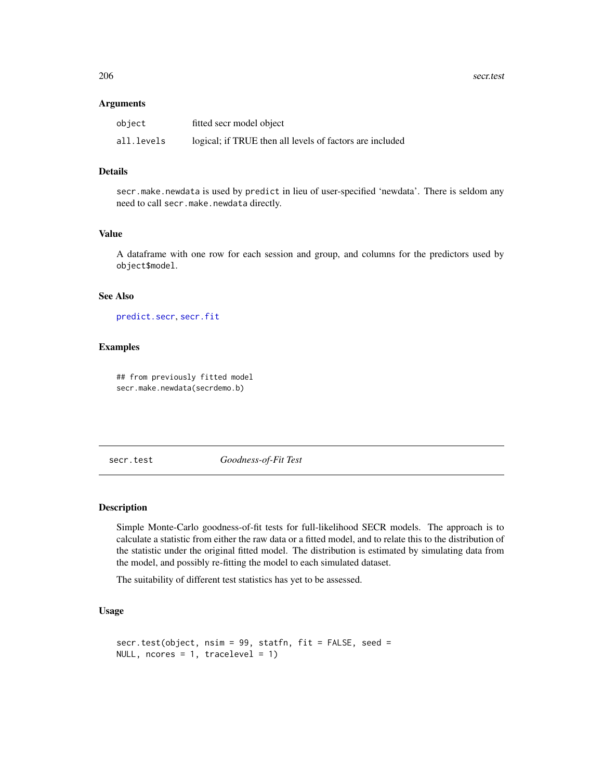206 secr.test and the secret state of the secret state secret state secret state secret state secret state secret state secret state secret state secret state secret state secret state secret state secret state secret stat

#### **Arguments**

| object     | fitted secr model object                                 |
|------------|----------------------------------------------------------|
| all.levels | logical; if TRUE then all levels of factors are included |

# Details

secr.make.newdata is used by predict in lieu of user-specified 'newdata'. There is seldom any need to call secr.make.newdata directly.

# Value

A dataframe with one row for each session and group, and columns for the predictors used by object\$model.

# See Also

[predict.secr](#page-157-0), [secr.fit](#page-199-0)

# **Examples**

## from previously fitted model secr.make.newdata(secrdemo.b)

<span id="page-205-0"></span>secr.test *Goodness-of-Fit Test*

## Description

Simple Monte-Carlo goodness-of-fit tests for full-likelihood SECR models. The approach is to calculate a statistic from either the raw data or a fitted model, and to relate this to the distribution of the statistic under the original fitted model. The distribution is estimated by simulating data from the model, and possibly re-fitting the model to each simulated dataset.

The suitability of different test statistics has yet to be assessed.

# Usage

```
secr.test(object, nsim = 99, statfn, fit = FALSE, seed =
NULL, ncores = 1, tracelevel = 1)
```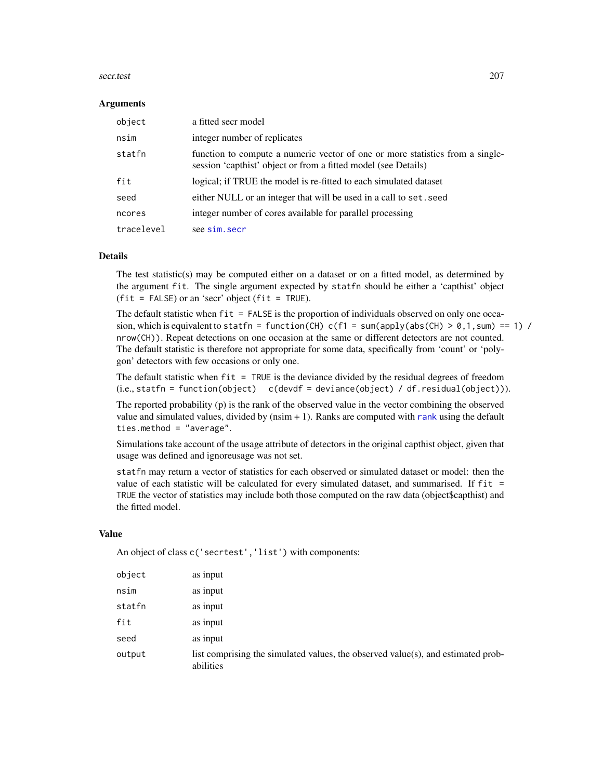#### secr.test 207

#### **Arguments**

| object     | a fitted secr model                                                                                                                             |
|------------|-------------------------------------------------------------------------------------------------------------------------------------------------|
| nsim       | integer number of replicates                                                                                                                    |
| statfn     | function to compute a numeric vector of one or more statistics from a single-<br>session 'capthist' object or from a fitted model (see Details) |
| fit        | logical; if TRUE the model is re-fitted to each simulated dataset                                                                               |
| seed       | either NULL or an integer that will be used in a call to set. seed                                                                              |
| ncores     | integer number of cores available for parallel processing                                                                                       |
| tracelevel | see sim.secr                                                                                                                                    |

# **Details**

The test statistic(s) may be computed either on a dataset or on a fitted model, as determined by the argument fit. The single argument expected by statfn should be either a 'capthist' object  $(fit = FALSE)$  or an 'secr' object  $(fit = TRUE)$ .

The default statistic when  $fit = FALSE$  is the proportion of individuals observed on only one occasion, which is equivalent to statfn = function(CH) c(f1 = sum(apply(abs(CH) > 0,1, sum) == 1) / nrow(CH)). Repeat detections on one occasion at the same or different detectors are not counted. The default statistic is therefore not appropriate for some data, specifically from 'count' or 'polygon' detectors with few occasions or only one.

The default statistic when fit = TRUE is the deviance divided by the residual degrees of freedom (i.e., statfn = function(object) c(devdf = deviance(object) / df.residual(object))).

The reported probability (p) is the rank of the observed value in the vector combining the observed value and simulated values, divided by (nsim + 1). Ranks are computed with [rank](#page-0-0) using the default ties.method = "average".

Simulations take account of the usage attribute of detectors in the original capthist object, given that usage was defined and ignoreusage was not set.

statfn may return a vector of statistics for each observed or simulated dataset or model: then the value of each statistic will be calculated for every simulated dataset, and summarised. If fit = TRUE the vector of statistics may include both those computed on the raw data (object\$capthist) and the fitted model.

## Value

An object of class c('secrtest','list') with components:

| object | as input                                                                                      |
|--------|-----------------------------------------------------------------------------------------------|
| nsim   | as input                                                                                      |
| statfn | as input                                                                                      |
| fit    | as input                                                                                      |
| seed   | as input                                                                                      |
| output | list comprising the simulated values, the observed value(s), and estimated prob-<br>abilities |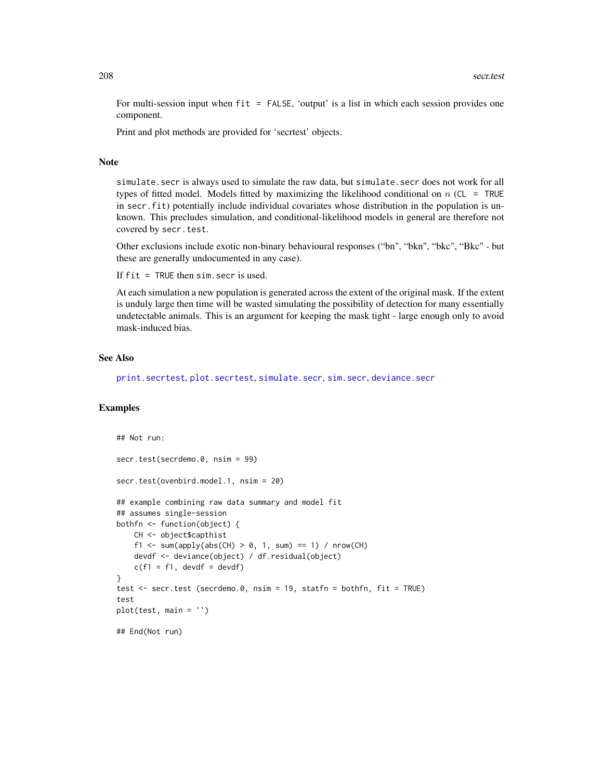For multi-session input when fit = FALSE, 'output' is a list in which each session provides one component.

Print and plot methods are provided for 'secrtest' objects.

# Note

simulate.secr is always used to simulate the raw data, but simulate.secr does not work for all types of fitted model. Models fitted by maximizing the likelihood conditional on  $n$  (CL = TRUE in secr.fit) potentially include individual covariates whose distribution in the population is unknown. This precludes simulation, and conditional-likelihood models in general are therefore not covered by secr.test.

Other exclusions include exotic non-binary behavioural responses ("bn", "bkn", "bkc", "Bkc" - but these are generally undocumented in any case).

If fit = TRUE then sim.secr is used.

At each simulation a new population is generated across the extent of the original mask. If the extent is unduly large then time will be wasted simulating the possibility of detection for many essentially undetectable animals. This is an argument for keeping the mask tight - large enough only to avoid mask-induced bias.

# See Also

[print.secrtest](#page-211-0), [plot.secrtest](#page-211-0), [simulate.secr](#page-226-1), [sim.secr](#page-226-0), [deviance.secr](#page-55-0)

# Examples

```
## Not run:
secr.test(secrdemo.0, nsim = 99)
secr.test(ovenbird.model.1, nsim = 20)
## example combining raw data summary and model fit
## assumes single-session
bothfn <- function(object) {
   CH <- object$capthist
    f1 <- sum(apply(abs(CH) > 0, 1, sum) == 1) / nrow(CH)
   devdf <- deviance(object) / df.residual(object)
   c(f1 = f1, devdf = devdf)}
test <- secr.test (secrdemo.0, nsim = 19, statfn = bothfn, fit = TRUE)
test
plot(test, main = '')
## End(Not run)
```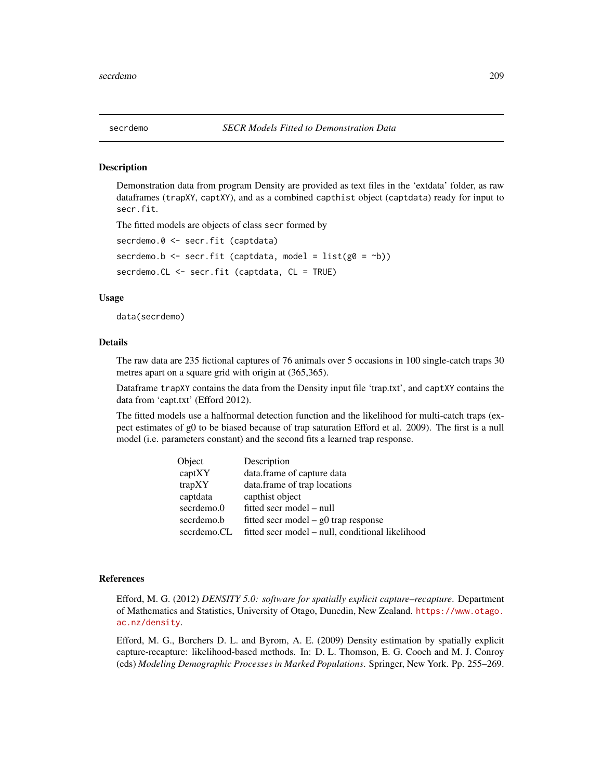#### Description

Demonstration data from program Density are provided as text files in the 'extdata' folder, as raw dataframes (trapXY, captXY), and as a combined capthist object (captdata) ready for input to secr.fit.

The fitted models are objects of class secr formed by

```
secrdemo.0 <- secr.fit (captdata)
```
secrdemo.b  $\leq$  secr.fit (captdata, model = list(g0 =  $\sim$ b))

secrdemo.CL <- secr.fit (captdata, CL = TRUE)

# Usage

data(secrdemo)

## Details

The raw data are 235 fictional captures of 76 animals over 5 occasions in 100 single-catch traps 30 metres apart on a square grid with origin at (365,365).

Dataframe trapXY contains the data from the Density input file 'trap.txt', and captXY contains the data from 'capt.txt' (Efford 2012).

The fitted models use a halfnormal detection function and the likelihood for multi-catch traps (expect estimates of g0 to be biased because of trap saturation Efford et al. 2009). The first is a null model (i.e. parameters constant) and the second fits a learned trap response.

| Object      | Description                                      |
|-------------|--------------------------------------------------|
| captXY      | data.frame of capture data                       |
| trapXY      | data.frame of trap locations                     |
| captdata    | capthist object                                  |
| secrdemo.0  | fitted secr model – null                         |
| secrdemo.b  | fitted secr model $-$ g0 trap response           |
| secrdemo.CL | fitted secr model – null, conditional likelihood |

# References

Efford, M. G. (2012) *DENSITY 5.0: software for spatially explicit capture–recapture*. Department of Mathematics and Statistics, University of Otago, Dunedin, New Zealand. [https://www.otago.](https://www.otago.ac.nz/density) [ac.nz/density](https://www.otago.ac.nz/density).

Efford, M. G., Borchers D. L. and Byrom, A. E. (2009) Density estimation by spatially explicit capture-recapture: likelihood-based methods. In: D. L. Thomson, E. G. Cooch and M. J. Conroy (eds) *Modeling Demographic Processes in Marked Populations*. Springer, New York. Pp. 255–269.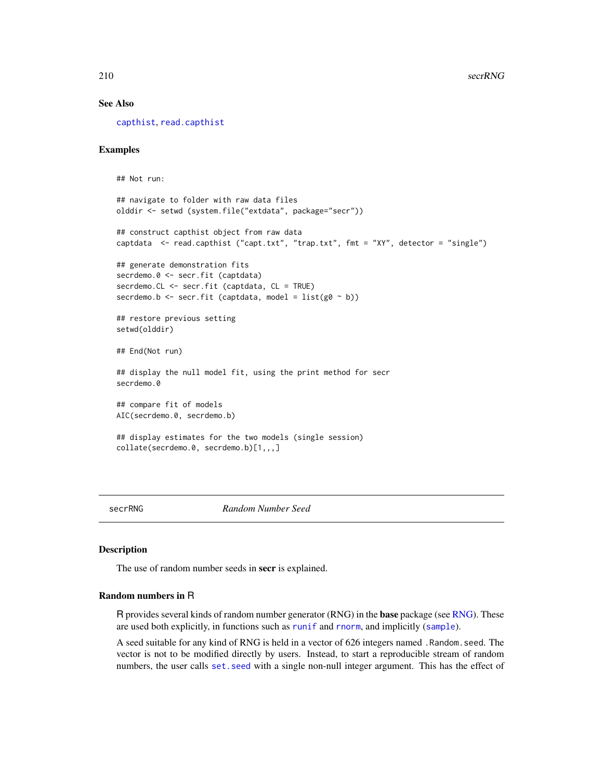## See Also

[capthist](#page-22-0), [read.capthist](#page-174-0)

## Examples

## Not run:

```
## navigate to folder with raw data files
olddir <- setwd (system.file("extdata", package="secr"))
## construct capthist object from raw data
captdata <- read.capthist ("capt.txt", "trap.txt", fmt = "XY", detector = "single")
## generate demonstration fits
secrdemo.0 <- secr.fit (captdata)
secrdemo.CL <- secr.fit (captdata, CL = TRUE)
secrdemo.b <- secr.fit (captdata, model = list(g0 ~ b))## restore previous setting
setwd(olddir)
## End(Not run)
## display the null model fit, using the print method for secr
secrdemo.0
## compare fit of models
AIC(secrdemo.0, secrdemo.b)
## display estimates for the two models (single session)
collate(secrdemo.0, secrdemo.b)[1,,,]
```
secrRNG *Random Number Seed*

## Description

The use of random number seeds in **secr** is explained.

# Random numbers in R

R provides several kinds of random number generator (RNG) in the base package (see [RNG\)](#page-0-0). These are used both explicitly, in functions such as [runif](#page-0-0) and [rnorm](#page-0-0), and implicitly ([sample](#page-0-0)).

A seed suitable for any kind of RNG is held in a vector of 626 integers named .Random.seed. The vector is not to be modified directly by users. Instead, to start a reproducible stream of random numbers, the user calls [set.seed](#page-0-0) with a single non-null integer argument. This has the effect of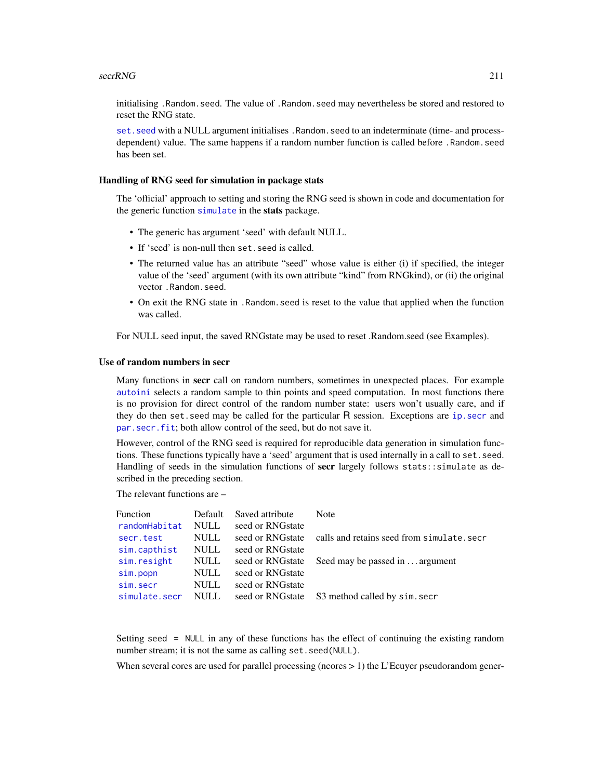initialising .Random.seed. The value of .Random.seed may nevertheless be stored and restored to reset the RNG state.

set. seed with a NULL argument initialises . Random. seed to an indeterminate (time- and processdependent) value. The same happens if a random number function is called before .Random.seed has been set.

#### Handling of RNG seed for simulation in package stats

The 'official' approach to setting and storing the RNG seed is shown in code and documentation for the generic function [simulate](#page-226-1) in the stats package.

- The generic has argument 'seed' with default NULL.
- If 'seed' is non-null then set, seed is called.
- The returned value has an attribute "seed" whose value is either (i) if specified, the integer value of the 'seed' argument (with its own attribute "kind" from RNGkind), or (ii) the original vector .Random.seed.
- On exit the RNG state in .Random.seed is reset to the value that applied when the function was called.

For NULL seed input, the saved RNGstate may be used to reset .Random.seed (see Examples).

# Use of random numbers in secr

Many functions in secr call on random numbers, sometimes in unexpected places. For example [autoini](#page-17-0) selects a random sample to thin points and speed computation. In most functions there is no provision for direct control of the random number state: users won't usually care, and if they do then set.seed may be called for the particular R session. Exceptions are [ip.secr](#page-90-0) and [par.secr.fit](#page-129-1); both allow control of the seed, but do not save it.

However, control of the RNG seed is required for reproducible data generation in simulation functions. These functions typically have a 'seed' argument that is used internally in a call to set.seed. Handling of seeds in the simulation functions of secr largely follows stats::simulate as described in the preceding section.

The relevant functions are –

| Function      | Default     | Saved attribute  | Note                                           |
|---------------|-------------|------------------|------------------------------------------------|
| randomHabitat | <b>NULL</b> | seed or RNGstate |                                                |
| secr.test     | <b>NULL</b> | seed or RNGstate | calls and retains seed from simulate.secr      |
| sim.capthist  | <b>NULL</b> | seed or RNGstate |                                                |
| sim.resight   | <b>NULL</b> | seed or RNGstate | Seed may be passed in  argument                |
| sim.popn      | <b>NULL</b> | seed or RNGstate |                                                |
| sim.secr      | <b>NULL</b> | seed or RNGstate |                                                |
| simulate.secr | <b>NULL</b> |                  | seed or RNGstate S3 method called by sim. secr |

Setting seed = NULL in any of these functions has the effect of continuing the existing random number stream; it is not the same as calling set. seed(NULL).

When several cores are used for parallel processing (ncores  $> 1$ ) the L'Ecuyer pseudorandom gener-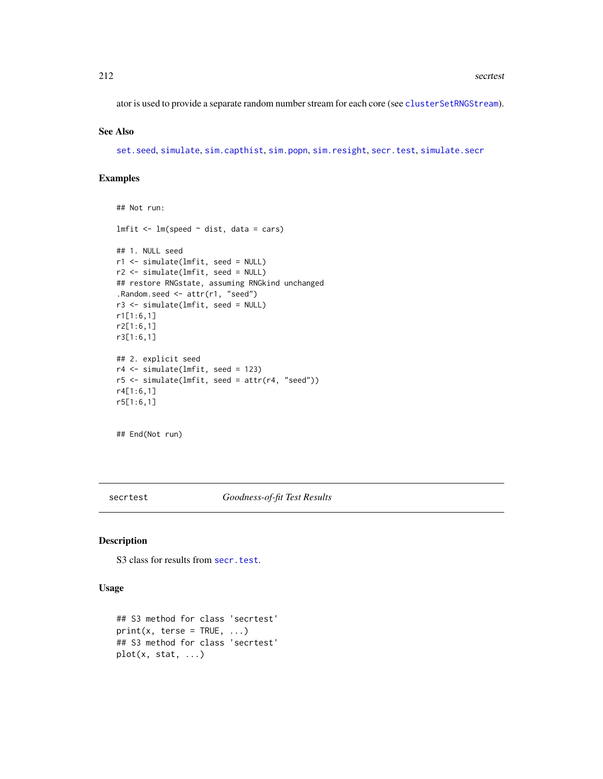ator is used to provide a separate random number stream for each core (see [clusterSetRNGStream](#page-0-0)).

# See Also

[set.seed](#page-0-0), [simulate](#page-226-1), [sim.capthist](#page-218-0), [sim.popn](#page-222-0), [sim.resight](#page-218-1), [secr.test](#page-205-0), [simulate.secr](#page-226-1)

# Examples

```
## Not run:
lmfit \leftarrow lm(speed \sim dist, data = cars)## 1. NULL seed
r1 <- simulate(lmfit, seed = NULL)
r2 <- simulate(lmfit, seed = NULL)
## restore RNGstate, assuming RNGkind unchanged
.Random.seed <- attr(r1, "seed")
r3 <- simulate(lmfit, seed = NULL)
r1[1:6,1]
r2[1:6,1]
r3[1:6,1]
## 2. explicit seed
r4 <- simulate(lmfit, seed = 123)
r5 \leq simulate(lmfit, seed = attr(r4, "seed"))
r4[1:6,1]
r5[1:6,1]
```
## End(Not run)

secrtest *Goodness-of-fit Test Results*

# <span id="page-211-0"></span>Description

S3 class for results from [secr.test](#page-205-0).

## Usage

```
## S3 method for class 'secrtest'
print(x, \text{terse} = TRUE, ...)## S3 method for class 'secrtest'
plot(x, stat, ...)
```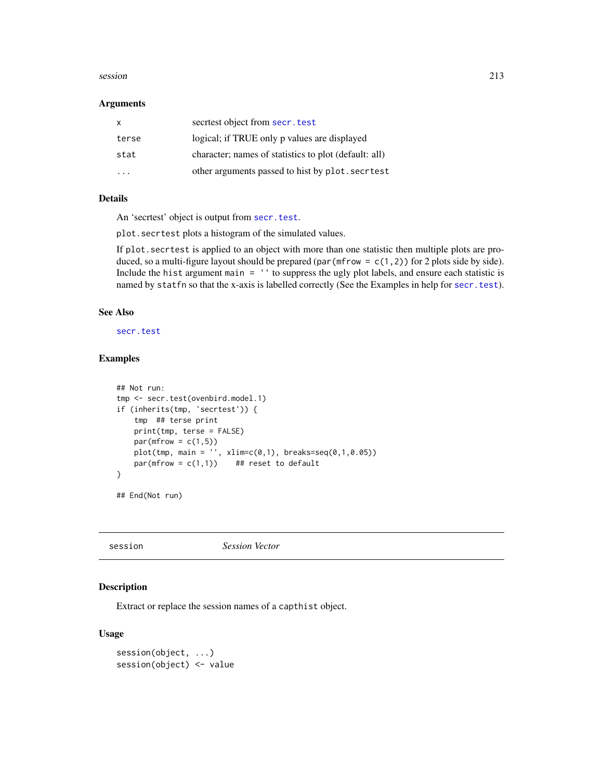#### session 213

#### **Arguments**

| $\mathsf{X}$ | secriest object from secr. test                       |
|--------------|-------------------------------------------------------|
| terse        | logical; if TRUE only p values are displayed          |
| stat         | character; names of statistics to plot (default: all) |
| .            | other arguments passed to hist by plot. secritest     |

# Details

An 'secrtest' object is output from [secr.test](#page-205-0).

plot.secrtest plots a histogram of the simulated values.

If plot.secrtest is applied to an object with more than one statistic then multiple plots are produced, so a multi-figure layout should be prepared (par (mfrow =  $c(1,2)$ ) for 2 plots side by side). Include the hist argument main = '' to suppress the ugly plot labels, and ensure each statistic is named by statfn so that the x-axis is labelled correctly (See the Examples in help for [secr.test](#page-205-0)).

## See Also

[secr.test](#page-205-0)

# Examples

```
## Not run:
tmp <- secr.test(ovenbird.model.1)
if (inherits(tmp, 'secrtest')) {
   tmp ## terse print
   print(tmp, terse = FALSE)
   par(mfrow = c(1,5))plot(tmp, main = '' , xlim=c(0,1), breaks=seq(0,1,0.05))par(mfrow = c(1,1)) ## reset to default
}
```
## End(Not run)

session *Session Vector*

## Description

Extract or replace the session names of a capthist object.

# Usage

```
session(object, ...)
session(object) <- value
```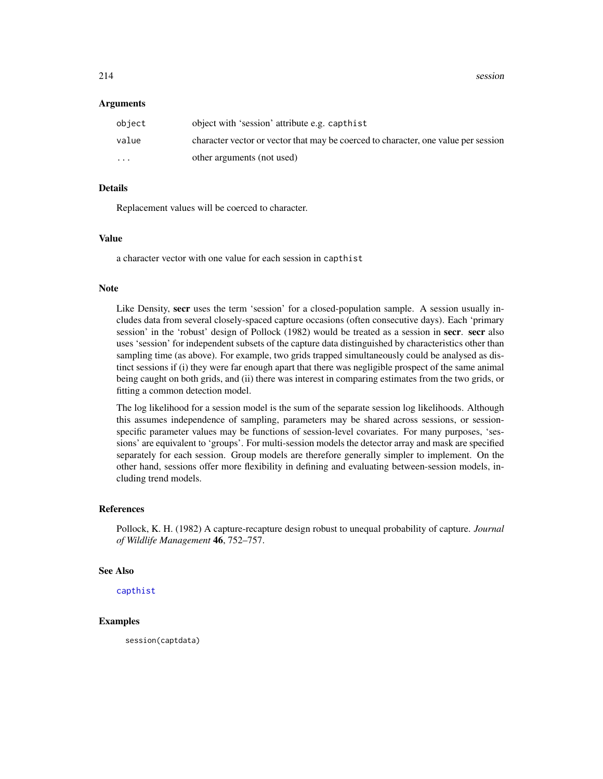214 session

#### Arguments

| object                  | object with 'session' attribute e.g. capthist                                      |
|-------------------------|------------------------------------------------------------------------------------|
| value                   | character vector or vector that may be coerced to character, one value per session |
| $\cdot$ $\cdot$ $\cdot$ | other arguments (not used)                                                         |

# Details

Replacement values will be coerced to character.

# Value

a character vector with one value for each session in capthist

#### Note

Like Density, secr uses the term 'session' for a closed-population sample. A session usually includes data from several closely-spaced capture occasions (often consecutive days). Each 'primary session' in the 'robust' design of Pollock (1982) would be treated as a session in secr. secr also uses 'session' for independent subsets of the capture data distinguished by characteristics other than sampling time (as above). For example, two grids trapped simultaneously could be analysed as distinct sessions if (i) they were far enough apart that there was negligible prospect of the same animal being caught on both grids, and (ii) there was interest in comparing estimates from the two grids, or fitting a common detection model.

The log likelihood for a session model is the sum of the separate session log likelihoods. Although this assumes independence of sampling, parameters may be shared across sessions, or sessionspecific parameter values may be functions of session-level covariates. For many purposes, 'sessions' are equivalent to 'groups'. For multi-session models the detector array and mask are specified separately for each session. Group models are therefore generally simpler to implement. On the other hand, sessions offer more flexibility in defining and evaluating between-session models, including trend models.

## References

Pollock, K. H. (1982) A capture-recapture design robust to unequal probability of capture. *Journal of Wildlife Management* 46, 752–757.

#### See Also

[capthist](#page-22-0)

# Examples

session(captdata)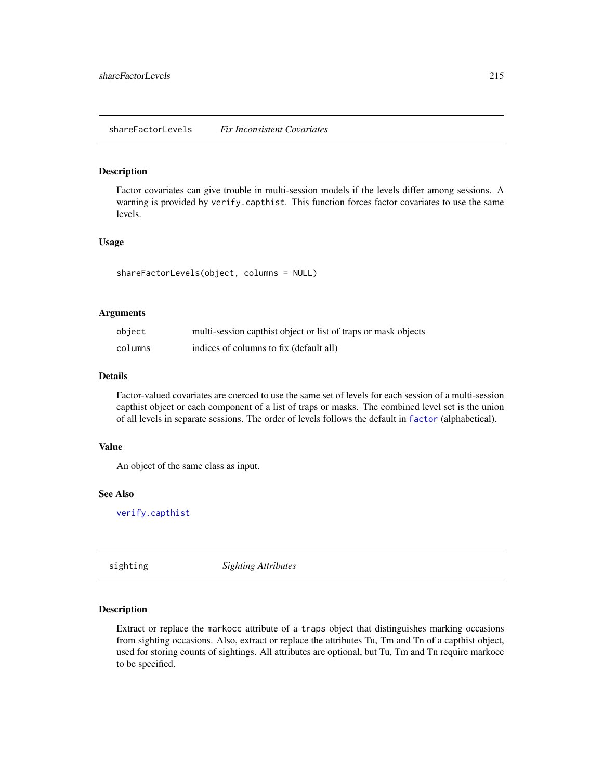## Description

Factor covariates can give trouble in multi-session models if the levels differ among sessions. A warning is provided by verify.capthist. This function forces factor covariates to use the same levels.

## Usage

```
shareFactorLevels(object, columns = NULL)
```
## Arguments

| object  | multi-session capthist object or list of traps or mask objects |
|---------|----------------------------------------------------------------|
| columns | indices of columns to fix (default all)                        |

#### Details

Factor-valued covariates are coerced to use the same set of levels for each session of a multi-session capthist object or each component of a list of traps or masks. The combined level set is the union of all levels in separate sessions. The order of levels follows the default in [factor](#page-0-0) (alphabetical).

#### Value

An object of the same class as input.

# See Also

[verify.capthist](#page-284-1)

sighting *Sighting Attributes*

#### <span id="page-214-0"></span>Description

Extract or replace the markocc attribute of a traps object that distinguishes marking occasions from sighting occasions. Also, extract or replace the attributes Tu, Tm and Tn of a capthist object, used for storing counts of sightings. All attributes are optional, but Tu, Tm and Tn require markocc to be specified.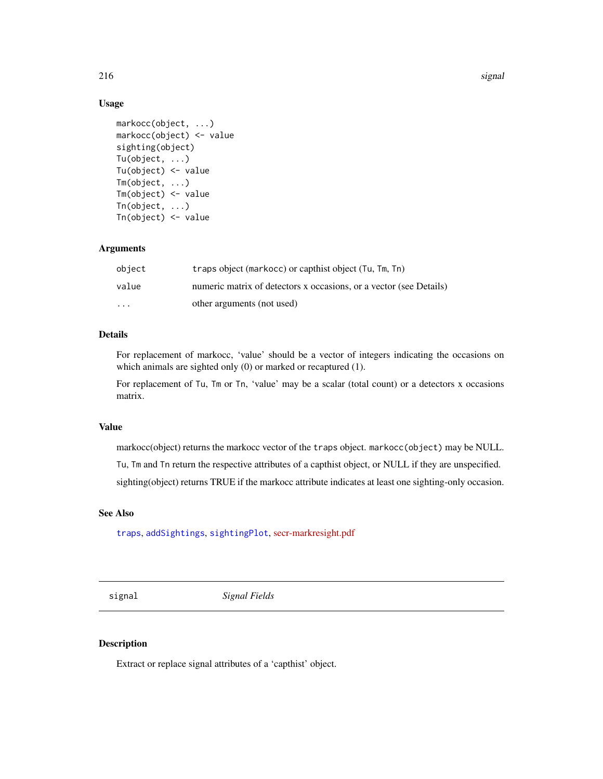216 signal and the set of the set of the set of the set of the set of the set of the set of the set of the set of the set of the set of the set of the set of the set of the set of the set of the set of the set of the set o

# Usage

```
markocc(object, ...)
markocc(object) <- value
sighting(object)
Tu(object, ...)
Tu(object) <- value
Tm(object, ...)
Tm(object) <- value
Tn(object, ...)
Tn(object) <- value
```
# Arguments

| object   | traps object (markocc) or capthist object (Tu, Tm, Tn)             |
|----------|--------------------------------------------------------------------|
| value    | numeric matrix of detectors x occasions, or a vector (see Details) |
| $\cdots$ | other arguments (not used)                                         |

# Details

For replacement of markocc, 'value' should be a vector of integers indicating the occasions on which animals are sighted only (0) or marked or recaptured (1).

For replacement of Tu, Tm or Tn, 'value' may be a scalar (total count) or a detectors x occasions matrix.

# Value

markocc(object) returns the markocc vector of the traps object. markocc(object) may be NULL.

Tu, Tm and Tn return the respective attributes of a capthist object, or NULL if they are unspecified.

sighting(object) returns TRUE if the markocc attribute indicates at least one sighting-only occasion.

# See Also

[traps](#page-267-0), [addSightings](#page-8-0), [sightingPlot](#page-277-0), [secr-markresight.pdf](https://www.otago.ac.nz/density/pdfs/secr-markresight.pdf)

signal *Signal Fields*

# Description

Extract or replace signal attributes of a 'capthist' object.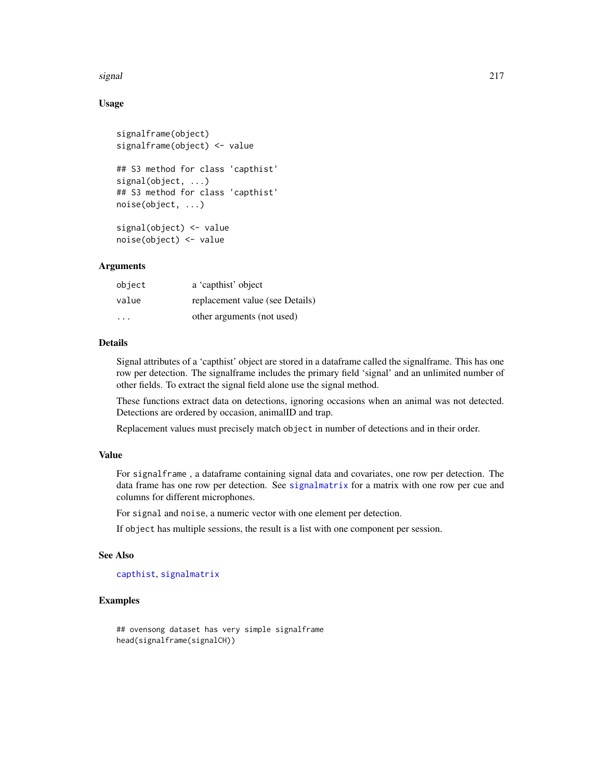#### signal 217

# Usage

```
signalframe(object)
signalframe(object) <- value
## S3 method for class 'capthist'
signal(object, ...)
## S3 method for class 'capthist'
noise(object, ...)
signal(object) <- value
noise(object) <- value
```
# Arguments

| object | a 'capthist' object             |
|--------|---------------------------------|
| value  | replacement value (see Details) |
| .      | other arguments (not used)      |

## Details

Signal attributes of a 'capthist' object are stored in a dataframe called the signalframe. This has one row per detection. The signalframe includes the primary field 'signal' and an unlimited number of other fields. To extract the signal field alone use the signal method.

These functions extract data on detections, ignoring occasions when an animal was not detected. Detections are ordered by occasion, animalID and trap.

Replacement values must precisely match object in number of detections and in their order.

## Value

For signalframe , a dataframe containing signal data and covariates, one row per detection. The data frame has one row per detection. See [signalmatrix](#page-217-0) for a matrix with one row per cue and columns for different microphones.

For signal and noise, a numeric vector with one element per detection.

If object has multiple sessions, the result is a list with one component per session.

#### See Also

[capthist](#page-22-0), [signalmatrix](#page-217-0)

# Examples

```
## ovensong dataset has very simple signalframe
head(signalframe(signalCH))
```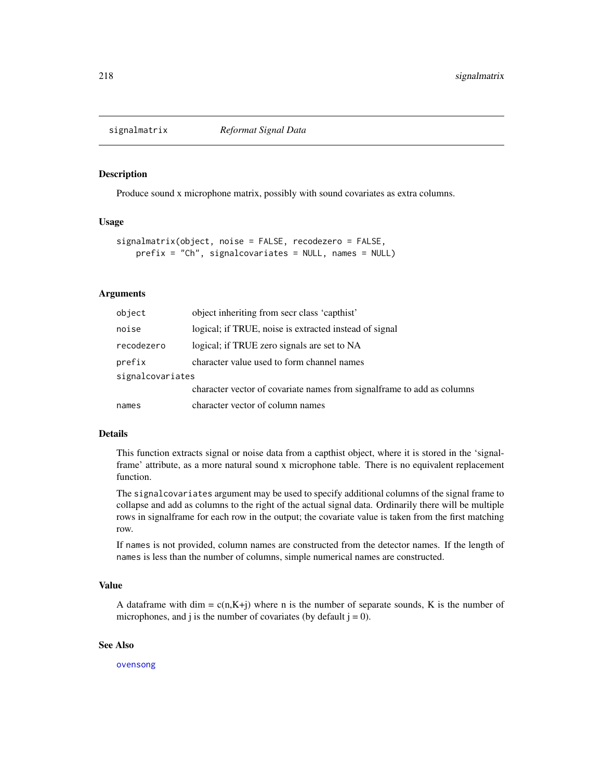<span id="page-217-0"></span>

## Description

Produce sound x microphone matrix, possibly with sound covariates as extra columns.

## Usage

```
signalmatrix(object, noise = FALSE, recodezero = FALSE,
   prefix = "Ch", signalcovariates = NULL, names = NULL)
```
# Arguments

| object           | object inheriting from secr class 'capthist'                           |
|------------------|------------------------------------------------------------------------|
| noise            | logical; if TRUE, noise is extracted instead of signal                 |
| recodezero       | logical; if TRUE zero signals are set to NA                            |
| prefix           | character value used to form channel names                             |
| signalcovariates |                                                                        |
|                  | character vector of covariate names from signalframe to add as columns |
| names            | character vector of column names                                       |

## Details

This function extracts signal or noise data from a capthist object, where it is stored in the 'signalframe' attribute, as a more natural sound x microphone table. There is no equivalent replacement function.

The signalcovariates argument may be used to specify additional columns of the signal frame to collapse and add as columns to the right of the actual signal data. Ordinarily there will be multiple rows in signalframe for each row in the output; the covariate value is taken from the first matching row.

If names is not provided, column names are constructed from the detector names. If the length of names is less than the number of columns, simple numerical names are constructed.

# Value

A dataframe with dim =  $c(n,K+j)$  where n is the number of separate sounds, K is the number of microphones, and j is the number of covariates (by default  $j = 0$ ).

## See Also

[ovensong](#page-125-0)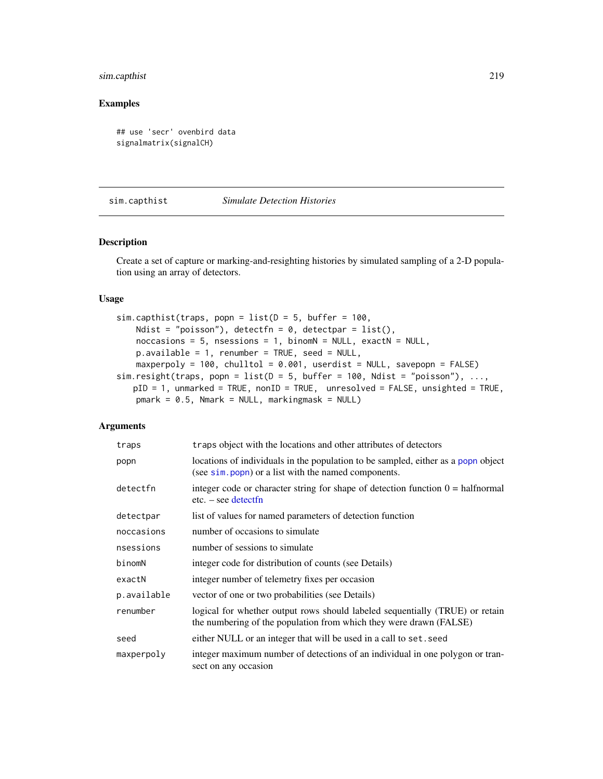# sim.capthist 219

# Examples

```
## use 'secr' ovenbird data
signalmatrix(signalCH)
```
<span id="page-218-0"></span>sim.capthist *Simulate Detection Histories*

## Description

Create a set of capture or marking-and-resighting histories by simulated sampling of a 2-D population using an array of detectors.

## Usage

```
sim.capthist(traps, popn = list(D = 5, buffer = 100,Ndist = "poisson"), detectfn = 0, detectpar = list(),
   noccasions = 5, nsessions = 1, binomN = NULL, exactN = NULL,
   p.available = 1, renumber = TRUE, seed = NULL,
   maxperpoly = 100, chulltol = 0.001, userdist = NULL, savepopn = FALSE)
sim.resight(traps, popn = list(D = 5, buffer = 100, Ndist = "poisson"), ...,
   pID = 1, unmarked = TRUE, nonID = TRUE, unresolved = FALSE, unsighted = TRUE,
   pmark = 0.5, Nmark = NULL, markingmask = NULL)
```
## Arguments

| traps       | traps object with the locations and other attributes of detectors                                                                                  |
|-------------|----------------------------------------------------------------------------------------------------------------------------------------------------|
| popn        | locations of individuals in the population to be sampled, either as a popn object<br>(see sim. popn) or a list with the named components.          |
| detectfn    | integer code or character string for shape of detection function $0 = \text{halfnormal}$<br>$etc. - see detect$                                    |
| detectpar   | list of values for named parameters of detection function                                                                                          |
| noccasions  | number of occasions to simulate                                                                                                                    |
| nsessions   | number of sessions to simulate                                                                                                                     |
| binomN      | integer code for distribution of counts (see Details)                                                                                              |
| exactN      | integer number of telemetry fixes per occasion                                                                                                     |
| p.available | vector of one or two probabilities (see Details)                                                                                                   |
| renumber    | logical for whether output rows should labeled sequentially (TRUE) or retain<br>the numbering of the population from which they were drawn (FALSE) |
| seed        | either NULL or an integer that will be used in a call to set. seed                                                                                 |
| maxperpoly  | integer maximum number of detections of an individual in one polygon or tran-<br>sect on any occasion                                              |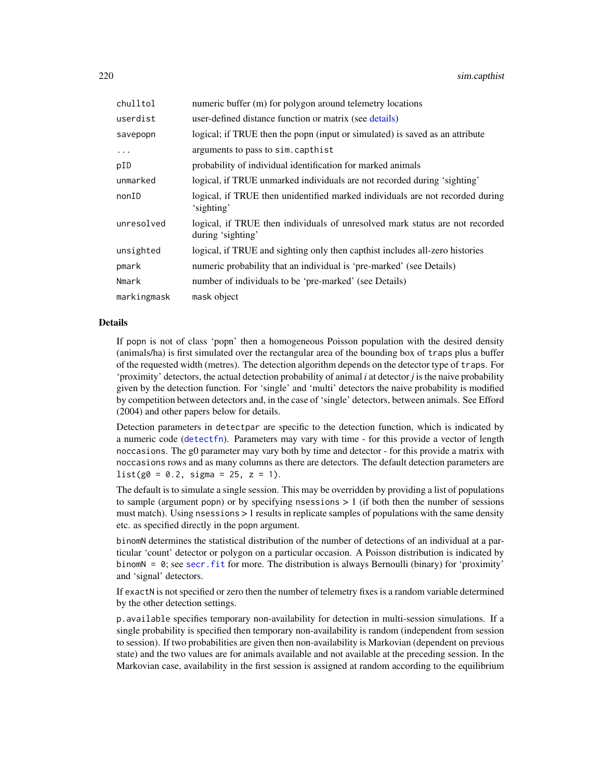| chulltol    | numeric buffer (m) for polygon around telemetry locations                                         |
|-------------|---------------------------------------------------------------------------------------------------|
| userdist    | user-defined distance function or matrix (see details)                                            |
| savepopn    | logical; if TRUE then the popn (input or simulated) is saved as an attribute                      |
| $\ddots$    | arguments to pass to sim. capthist                                                                |
| pID         | probability of individual identification for marked animals                                       |
| unmarked    | logical, if TRUE unmarked individuals are not recorded during 'sighting'                          |
| nonID       | logical, if TRUE then unidentified marked individuals are not recorded during<br>'sighting'       |
| unresolved  | logical, if TRUE then individuals of unresolved mark status are not recorded<br>during 'sighting' |
| unsighted   | logical, if TRUE and sighting only then capthist includes all-zero histories                      |
| pmark       | numeric probability that an individual is 'pre-marked' (see Details)                              |
| Nmark       | number of individuals to be 'pre-marked' (see Details)                                            |
| markingmask | mask object                                                                                       |

## Details

If popn is not of class 'popn' then a homogeneous Poisson population with the desired density (animals/ha) is first simulated over the rectangular area of the bounding box of traps plus a buffer of the requested width (metres). The detection algorithm depends on the detector type of traps. For 'proximity' detectors, the actual detection probability of animal *i* at detector *j* is the naive probability given by the detection function. For 'single' and 'multi' detectors the naive probability is modified by competition between detectors and, in the case of 'single' detectors, between animals. See Efford (2004) and other papers below for details.

Detection parameters in detectpar are specific to the detection function, which is indicated by a numeric code ([detectfn](#page-51-0)). Parameters may vary with time - for this provide a vector of length noccasions. The g0 parameter may vary both by time and detector - for this provide a matrix with noccasions rows and as many columns as there are detectors. The default detection parameters are  $list(g0 = 0.2, sigma = 25, z = 1).$ 

The default is to simulate a single session. This may be overridden by providing a list of populations to sample (argument popn) or by specifying nsessions  $> 1$  (if both then the number of sessions must match). Using nsessions > 1 results in replicate samples of populations with the same density etc. as specified directly in the popn argument.

binomN determines the statistical distribution of the number of detections of an individual at a particular 'count' detector or polygon on a particular occasion. A Poisson distribution is indicated by binomN =  $\theta$ ; see secr. fit for more. The distribution is always Bernoulli (binary) for 'proximity' and 'signal' detectors.

If exactN is not specified or zero then the number of telemetry fixes is a random variable determined by the other detection settings.

p.available specifies temporary non-availability for detection in multi-session simulations. If a single probability is specified then temporary non-availability is random (independent from session to session). If two probabilities are given then non-availability is Markovian (dependent on previous state) and the two values are for animals available and not available at the preceding session. In the Markovian case, availability in the first session is assigned at random according to the equilibrium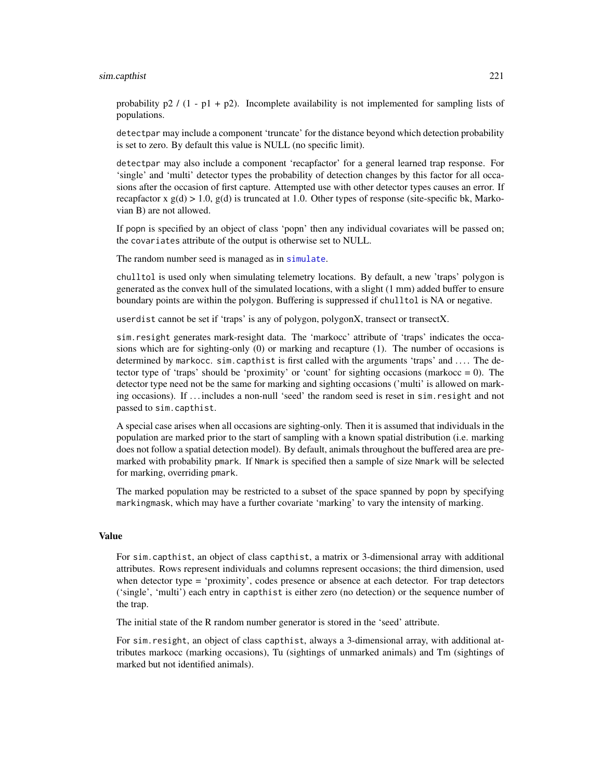#### sim.capthist 221

probability  $p2 / (1 - p1 + p2)$ . Incomplete availability is not implemented for sampling lists of populations.

detectpar may include a component 'truncate' for the distance beyond which detection probability is set to zero. By default this value is NULL (no specific limit).

detectpar may also include a component 'recapfactor' for a general learned trap response. For 'single' and 'multi' detector types the probability of detection changes by this factor for all occasions after the occasion of first capture. Attempted use with other detector types causes an error. If recapfactor x  $g(d) > 1.0$ ,  $g(d)$  is truncated at 1.0. Other types of response (site-specific bk, Markovian B) are not allowed.

If popn is specified by an object of class 'popn' then any individual covariates will be passed on; the covariates attribute of the output is otherwise set to NULL.

The random number seed is managed as in [simulate](#page-226-0).

chulltol is used only when simulating telemetry locations. By default, a new 'traps' polygon is generated as the convex hull of the simulated locations, with a slight (1 mm) added buffer to ensure boundary points are within the polygon. Buffering is suppressed if chulltol is NA or negative.

userdist cannot be set if 'traps' is any of polygon, polygonX, transect or transectX.

sim.resight generates mark-resight data. The 'markocc' attribute of 'traps' indicates the occasions which are for sighting-only (0) or marking and recapture (1). The number of occasions is determined by markocc. sim.capthist is first called with the arguments 'traps' and .... The detector type of 'traps' should be 'proximity' or 'count' for sighting occasions (markocc  $= 0$ ). The detector type need not be the same for marking and sighting occasions ('multi' is allowed on marking occasions). If . . . includes a non-null 'seed' the random seed is reset in sim.resight and not passed to sim.capthist.

A special case arises when all occasions are sighting-only. Then it is assumed that individuals in the population are marked prior to the start of sampling with a known spatial distribution (i.e. marking does not follow a spatial detection model). By default, animals throughout the buffered area are premarked with probability pmark. If Nmark is specified then a sample of size Nmark will be selected for marking, overriding pmark.

The marked population may be restricted to a subset of the space spanned by popn by specifying markingmask, which may have a further covariate 'marking' to vary the intensity of marking.

## Value

For sim.capthist, an object of class capthist, a matrix or 3-dimensional array with additional attributes. Rows represent individuals and columns represent occasions; the third dimension, used when detector type = 'proximity', codes presence or absence at each detector. For trap detectors ('single', 'multi') each entry in capthist is either zero (no detection) or the sequence number of the trap.

The initial state of the R random number generator is stored in the 'seed' attribute.

For sim.resight, an object of class capthist, always a 3-dimensional array, with additional attributes markocc (marking occasions), Tu (sightings of unmarked animals) and Tm (sightings of marked but not identified animals).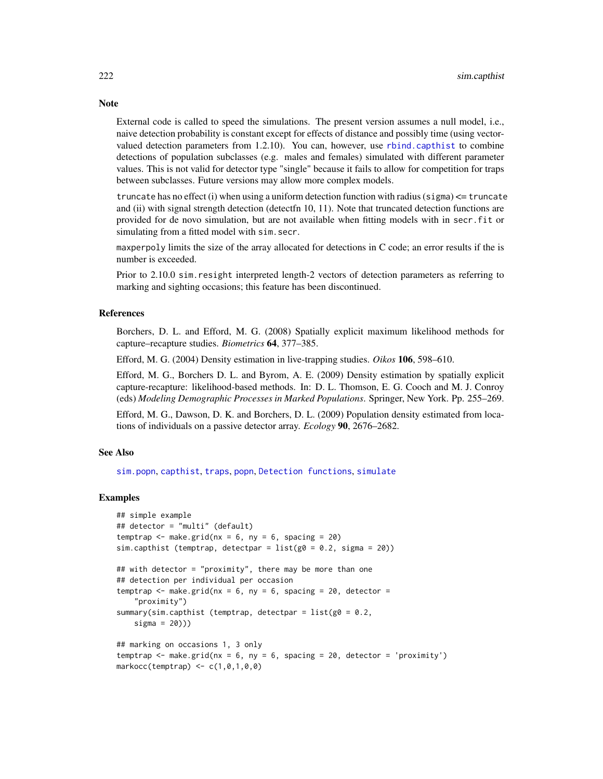External code is called to speed the simulations. The present version assumes a null model, i.e., naive detection probability is constant except for effects of distance and possibly time (using vectorvalued detection parameters from 1.2.10). You can, however, use [rbind.capthist](#page-169-0) to combine detections of population subclasses (e.g. males and females) simulated with different parameter values. This is not valid for detector type "single" because it fails to allow for competition for traps between subclasses. Future versions may allow more complex models.

truncate has no effect (i) when using a uniform detection function with radius (sigma)  $\leq$  truncate and (ii) with signal strength detection (detectfn 10, 11). Note that truncated detection functions are provided for de novo simulation, but are not available when fitting models with in secr.fit or simulating from a fitted model with sim.secr.

maxperpoly limits the size of the array allocated for detections in C code; an error results if the is number is exceeded.

Prior to 2.10.0 sim.resight interpreted length-2 vectors of detection parameters as referring to marking and sighting occasions; this feature has been discontinued.

## References

Borchers, D. L. and Efford, M. G. (2008) Spatially explicit maximum likelihood methods for capture–recapture studies. *Biometrics* 64, 377–385.

Efford, M. G. (2004) Density estimation in live-trapping studies. *Oikos* 106, 598–610.

Efford, M. G., Borchers D. L. and Byrom, A. E. (2009) Density estimation by spatially explicit capture-recapture: likelihood-based methods. In: D. L. Thomson, E. G. Cooch and M. J. Conroy (eds) *Modeling Demographic Processes in Marked Populations*. Springer, New York. Pp. 255–269.

Efford, M. G., Dawson, D. K. and Borchers, D. L. (2009) Population density estimated from locations of individuals on a passive detector array. *Ecology* 90, 2676–2682.

## See Also

[sim.popn](#page-222-0), [capthist](#page-22-0), [traps](#page-267-0), [popn](#page-154-0), [Detection functions](#page-0-0), [simulate](#page-226-0)

## Examples

```
## simple example
## detector = "multi" (default)
temptrap \leq make.grid(nx = 6, ny = 6, spacing = 20)
sim.capthist (temptrap, detectpar = list(g0 = 0.2, sigma = 20))
## with detector = "proximity", there may be more than one
## detection per individual per occasion
temptrap \leq make.grid(nx = 6, ny = 6, spacing = 20, detector =
    "proximity")
summary(sim.capthist (temptrap, detectpar = list(g0 = 0.2,sigma = 20)))
## marking on occasions 1, 3 only
temptrap \leq make.grid(nx = 6, ny = 6, spacing = 20, detector = 'proximity')
markocc(temptrap) \leq c(1, 0, 1, 0, 0)
```
# **Note**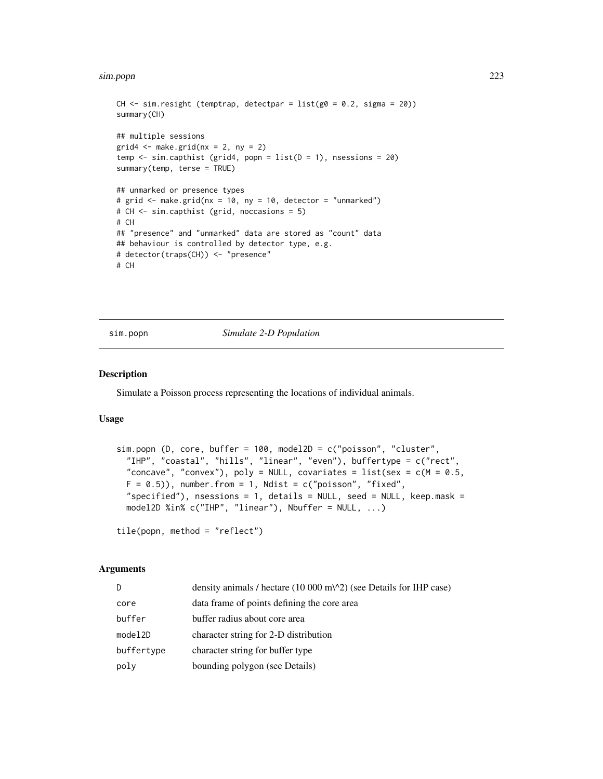#### sim.popn 223

```
CH \le sim.resight (temptrap, detectpar = list(g0 = 0.2, sigma = 20))
summary(CH)
## multiple sessions
grid4 \leq make.grid(nx = 2, ny = 2)temp \le sim.capthist (grid4, popn = list(D = 1), nsessions = 20)
summary(temp, terse = TRUE)
## unmarked or presence types
# grid <- make.grid(nx = 10, ny = 10, detector = "unmarked")
# CH <- sim.capthist (grid, noccasions = 5)
# CH
## "presence" and "unmarked" data are stored as "count" data
## behaviour is controlled by detector type, e.g.
# detector(traps(CH)) <- "presence"
# CH
```
## <span id="page-222-0"></span>sim.popn *Simulate 2-D Population*

## Description

Simulate a Poisson process representing the locations of individual animals.

## Usage

```
sim.popn (D, core, buffer = 100, model2D = c("poisson", "cluster",
 "IHP", "coastal", "hills", "linear", "even"), buffertype = c("rect",
 "concave", "convex"), poly = NULL, covariates = list(sex = c(M = 0.5,
 F = 0.5), number.from = 1, Ndist = c("poisson", "fixed",
 "specified"), nsessions = 1, details = NULL, seed = NULL, keep.mask =
 model2D %in% c("IHP", "linear"), Nbuffer = NULL, ...)
```

```
tile(popn, method = "reflect")
```
# **Arguments**

| D          | density animals / hectare $(10\ 000\ \text{m}^2)$ (see Details for IHP case) |
|------------|------------------------------------------------------------------------------|
| core       | data frame of points defining the core area                                  |
| buffer     | buffer radius about core area                                                |
| model2D    | character string for 2-D distribution                                        |
| buffertype | character string for buffer type                                             |
| poly       | bounding polygon (see Details)                                               |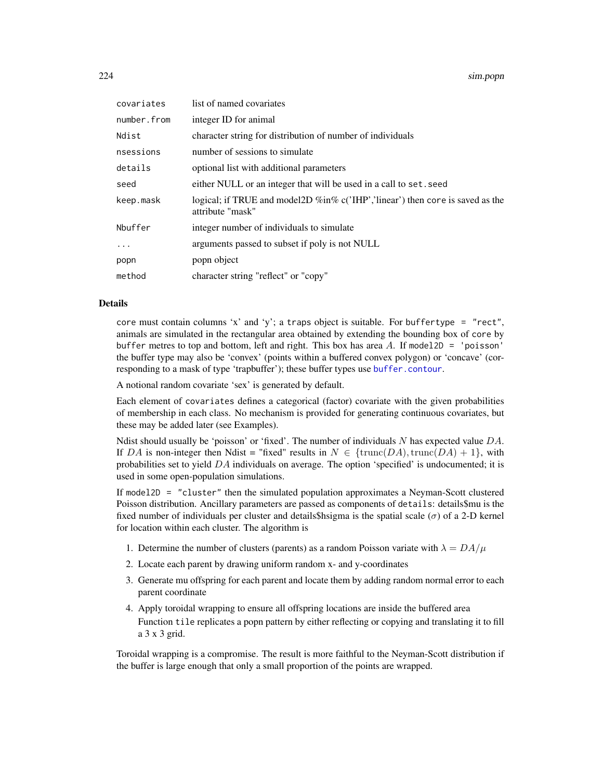224 sim.popn

| covariates  | list of named covariates                                                                                   |
|-------------|------------------------------------------------------------------------------------------------------------|
| number.from | integer ID for animal                                                                                      |
| Ndist       | character string for distribution of number of individuals                                                 |
| nsessions   | number of sessions to simulate                                                                             |
| details     | optional list with additional parameters                                                                   |
| seed        | either NULL or an integer that will be used in a call to set. seed                                         |
| keep.mask   | logical; if TRUE and model 2D $\%$ in $\%$ c('IHP','linear') then core is saved as the<br>attribute "mask" |
| Nbuffer     | integer number of individuals to simulate                                                                  |
| $\cdot$     | arguments passed to subset if poly is not NULL                                                             |
| popn        | popn object                                                                                                |
| method      | character string "reflect" or "copy"                                                                       |

## Details

core must contain columns 'x' and 'y'; a traps object is suitable. For buffertype = "rect", animals are simulated in the rectangular area obtained by extending the bounding box of core by buffer metres to top and bottom, left and right. This box has area  $A$ . If model2D = 'poisson' the buffer type may also be 'convex' (points within a buffered convex polygon) or 'concave' (corresponding to a mask of type 'trapbuffer'); these buffer types use [buffer.contour](#page-36-0).

A notional random covariate 'sex' is generated by default.

Each element of covariates defines a categorical (factor) covariate with the given probabilities of membership in each class. No mechanism is provided for generating continuous covariates, but these may be added later (see Examples).

Ndist should usually be 'poisson' or 'fixed'. The number of individuals N has expected value  $DA$ . If DA is non-integer then Ndist = "fixed" results in  $N \in \{\text{trunc}(DA), \text{trunc}(DA) + 1\}$ , with probabilities set to yield  $DA$  individuals on average. The option 'specified' is undocumented; it is used in some open-population simulations.

If model2D = "cluster" then the simulated population approximates a Neyman-Scott clustered Poisson distribution. Ancillary parameters are passed as components of details: details\$mu is the fixed number of individuals per cluster and details\$hsigma is the spatial scale ( $\sigma$ ) of a 2-D kernel for location within each cluster. The algorithm is

- 1. Determine the number of clusters (parents) as a random Poisson variate with  $\lambda = DA/\mu$
- 2. Locate each parent by drawing uniform random x- and y-coordinates
- 3. Generate mu offspring for each parent and locate them by adding random normal error to each parent coordinate
- 4. Apply toroidal wrapping to ensure all offspring locations are inside the buffered area Function tile replicates a popn pattern by either reflecting or copying and translating it to fill a 3 x 3 grid.

Toroidal wrapping is a compromise. The result is more faithful to the Neyman-Scott distribution if the buffer is large enough that only a small proportion of the points are wrapped.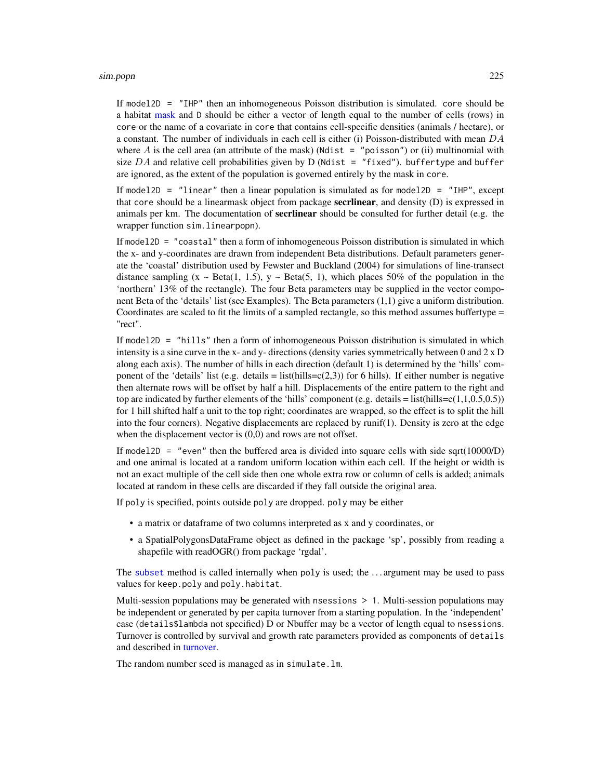#### sim.popn 225

If model2D = "IHP" then an inhomogeneous Poisson distribution is simulated. core should be a habitat [mask](#page-113-0) and D should be either a vector of length equal to the number of cells (rows) in core or the name of a covariate in core that contains cell-specific densities (animals / hectare), or a constant. The number of individuals in each cell is either (i) Poisson-distributed with mean  $DA$ where A is the cell area (an attribute of the mask) (Ndist  $=$  "poisson") or (ii) multinomial with size  $DA$  and relative cell probabilities given by  $D$  (Ndist = "fixed"). buffertype and buffer are ignored, as the extent of the population is governed entirely by the mask in core.

If model2D = "linear" then a linear population is simulated as for model2D = "IHP", except that core should be a linearmask object from package **secritinear**, and density (D) is expressed in animals per km. The documentation of **secrlinear** should be consulted for further detail (e.g. the wrapper function sim.linearpopn).

If model2D = "coastal" then a form of inhomogeneous Poisson distribution is simulated in which the x- and y-coordinates are drawn from independent Beta distributions. Default parameters generate the 'coastal' distribution used by Fewster and Buckland (2004) for simulations of line-transect distance sampling  $(x \sim Beta(1, 1.5), y \sim Beta(5, 1))$ , which places 50% of the population in the 'northern' 13% of the rectangle). The four Beta parameters may be supplied in the vector component Beta of the 'details' list (see Examples). The Beta parameters (1,1) give a uniform distribution. Coordinates are scaled to fit the limits of a sampled rectangle, so this method assumes buffertype = "rect".

If model2D = "hills" then a form of inhomogeneous Poisson distribution is simulated in which intensity is a sine curve in the x- and y- directions (density varies symmetrically between 0 and  $2 \times D$ along each axis). The number of hills in each direction (default 1) is determined by the 'hills' component of the 'details' list (e.g. details = list(hills= $c(2,3)$ ) for 6 hills). If either number is negative then alternate rows will be offset by half a hill. Displacements of the entire pattern to the right and top are indicated by further elements of the 'hills' component (e.g. details = list(hills=c(1,1,0.5,0.5)) for 1 hill shifted half a unit to the top right; coordinates are wrapped, so the effect is to split the hill into the four corners). Negative displacements are replaced by runif(1). Density is zero at the edge when the displacement vector is  $(0,0)$  and rows are not offset.

If model2D = "even" then the buffered area is divided into square cells with side sqrt( $10000/D$ ) and one animal is located at a random uniform location within each cell. If the height or width is not an exact multiple of the cell side then one whole extra row or column of cells is added; animals located at random in these cells are discarded if they fall outside the original area.

If poly is specified, points outside poly are dropped. poly may be either

- a matrix or dataframe of two columns interpreted as x and y coordinates, or
- a SpatialPolygonsDataFrame object as defined in the package 'sp', possibly from reading a shapefile with readOGR() from package 'rgdal'.

The [subset](#page-0-0) method is called internally when poly is used; the . . . argument may be used to pass values for keep.poly and poly.habitat.

Multi-session populations may be generated with nsessions > 1. Multi-session populations may be independent or generated by per capita turnover from a starting population. In the 'independent' case (details\$lambda not specified) D or Nbuffer may be a vector of length equal to nsessions. Turnover is controlled by survival and growth rate parameters provided as components of details and described in [turnover.](#page-272-0)

The random number seed is managed as in simulate.lm.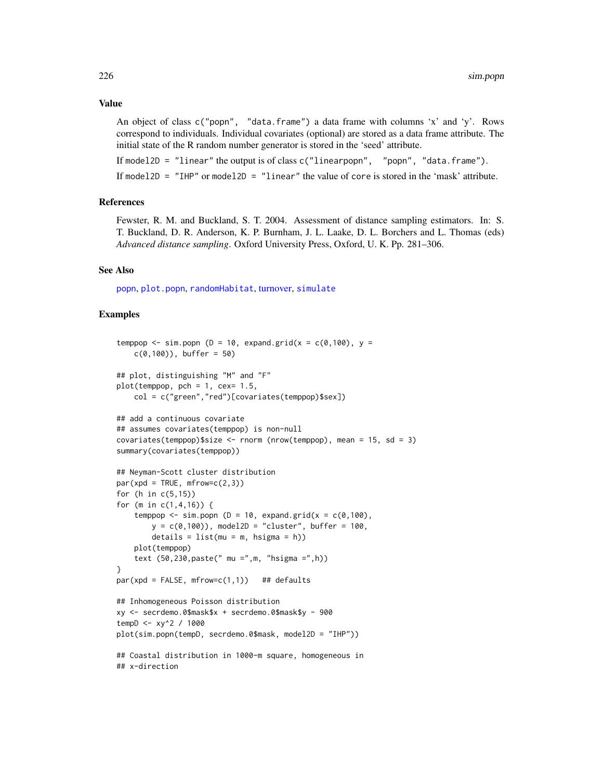#### Value

An object of class c("popn", "data.frame") a data frame with columns 'x' and 'y'. Rows correspond to individuals. Individual covariates (optional) are stored as a data frame attribute. The initial state of the R random number generator is stored in the 'seed' attribute.

If model2D = "linear" the output is of class  $c("linearpopn", "popn", "data frame").$ 

If model2D = "IHP" or model2D = "linear" the value of core is stored in the 'mask' attribute.

#### References

Fewster, R. M. and Buckland, S. T. 2004. Assessment of distance sampling estimators. In: S. T. Buckland, D. R. Anderson, K. P. Burnham, J. L. Laake, D. L. Borchers and L. Thomas (eds) *Advanced distance sampling*. Oxford University Press, Oxford, U. K. Pp. 281–306.

#### See Also

[popn](#page-154-0), [plot.popn](#page-145-0), [randomHabitat](#page-165-0), [turnover,](#page-272-0) [simulate](#page-226-0)

## Examples

```
temppop \le sim.popn (D = 10, expand.grid(x = c(0,100), y =
   c(0,100), buffer = 50)
## plot, distinguishing "M" and "F"
plot(temppop, pch = 1, cex= 1.5,
   col = c("green","red")[covariates(temppop)$sex])
## add a continuous covariate
## assumes covariates(temppop) is non-null
covariates(temppop)$size <- rnorm (nrow(temppop), mean = 15, sd = 3)
summary(covariates(temppop))
## Neyman-Scott cluster distribution
par(xpd = TRUE, mfrow=c(2,3))for (h in c(5,15))
for (m in c(1,4,16)) {
    temppop \le sim.popn (D = 10, expand.grid(x = c(0,100),
       y = c(0,100), model2D = "cluster", buffer = 100,
       details = list(mu = m, hsigna = h))plot(temppop)
    text (50,230,paste(" mu =",m, "hsigma =",h))
}
par(xpd = FALSE, mfrow=c(1,1)) ## defaults
## Inhomogeneous Poisson distribution
xy <- secrdemo.0$mask$x + secrdemo.0$mask$y - 900
tempD <- xy^2 / 1000
plot(sim.popn(tempD, secrdemo.0$mask, model2D = "IHP"))
## Coastal distribution in 1000-m square, homogeneous in
## x-direction
```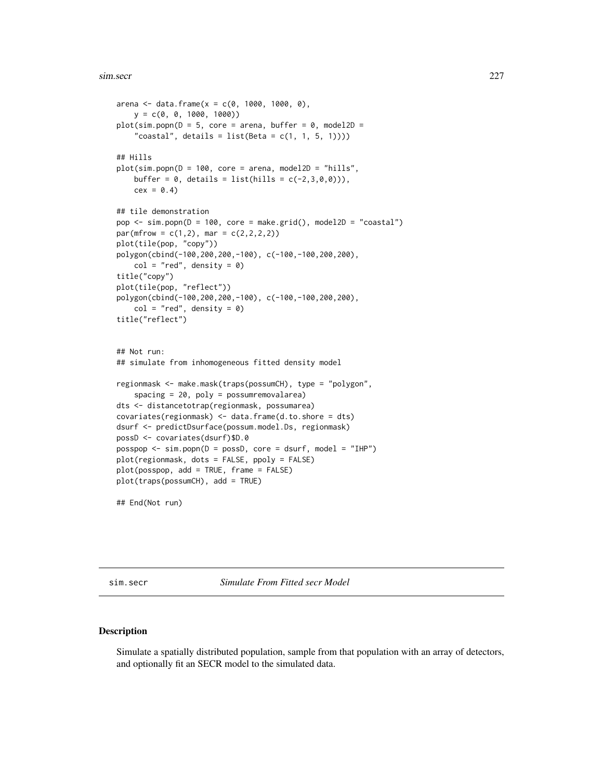#### sim.secr 227

```
arena <- data.frame(x = c(0, 1000, 1000, 0),
   y = c(0, 0, 1000, 1000)plot(sim.popn(D = 5, core = arena, buffer = 0, model2D ="coastal", details = list(Beta = c(1, 1, 5, 1))))## Hills
plot(sim.popn(D = 100, core = arena, model2D = "hills",buffer = 0, details = list(hills = c(-2, 3, 0, 0))),
   cex = 0.4## tile demonstration
pop \leq -sim(p) = 100, core = make.grid(), model2D = "coastal")
par(mfrow = c(1,2), mar = c(2,2,2,2))plot(tile(pop, "copy"))
polygon(cbind(-100,200,200,-100), c(-100,-100,200,200),
    col = "red", density = 0)title("copy")
plot(tile(pop, "reflect"))
polygon(cbind(-100,200,200,-100), c(-100,-100,200,200),
    col = "red", density = 0)title("reflect")
## Not run:
## simulate from inhomogeneous fitted density model
regionmask <- make.mask(traps(possumCH), type = "polygon",
    spacing = 20, poly = possumremovalarea)
dts <- distancetotrap(regionmask, possumarea)
covariates(regionmask) <- data.frame(d.to.shore = dts)
dsurf <- predictDsurface(possum.model.Ds, regionmask)
possD <- covariates(dsurf)$D.0
pospop \le -sim. posspop \le -sim. popn(D = possD, core = dsurf, model = "IHP")
plot(regionmask, dots = FALSE, ppoly = FALSE)
plot(posspop, add = TRUE, frame = FALSE)
plot(traps(possumCH), add = TRUE)
```
## End(Not run)

sim.secr *Simulate From Fitted secr Model*

## <span id="page-226-0"></span>Description

Simulate a spatially distributed population, sample from that population with an array of detectors, and optionally fit an SECR model to the simulated data.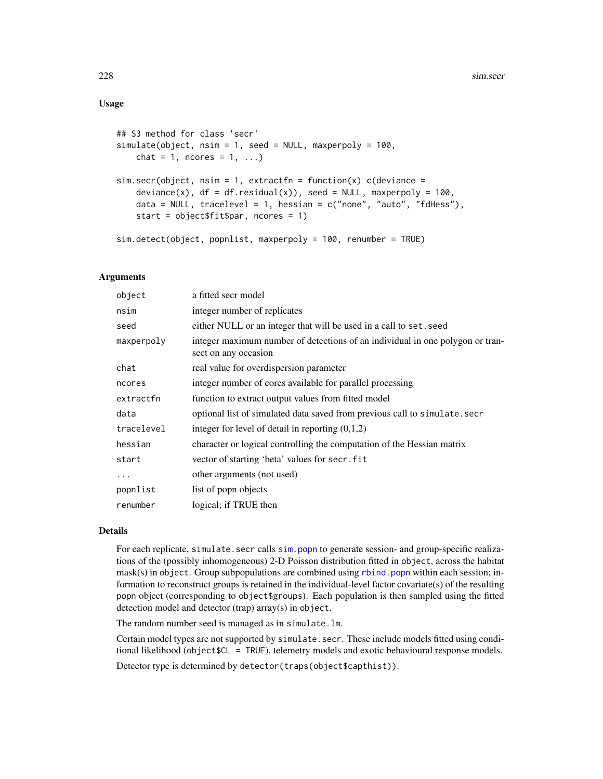## Usage

```
## S3 method for class 'secr'
simulate(object, nsim = 1, seed = NULL, maxperpoly = 100,
   chat = 1, ncores = 1, \ldots)
sim.secr(object, nsim = 1, extractfn = function(x) c(deviance =deviance(x), df = df.residual(x), seed = NULL, maxperpoly = 100,
    data = NULL, tracelevel = 1, hessian = c("none", "auto", "fdHess"),start = object$fit$par, ncores = 1)
sim.detect(object, popnlist, maxperpoly = 100, renumber = TRUE)
```
## Arguments

| a fitted secr model                                                                                   |
|-------------------------------------------------------------------------------------------------------|
| integer number of replicates                                                                          |
| either NULL or an integer that will be used in a call to set. seed                                    |
| integer maximum number of detections of an individual in one polygon or tran-<br>sect on any occasion |
| real value for overdispersion parameter                                                               |
| integer number of cores available for parallel processing                                             |
| function to extract output values from fitted model                                                   |
| optional list of simulated data saved from previous call to simulate.secr                             |
| integer for level of detail in reporting $(0,1,2)$                                                    |
| character or logical controlling the computation of the Hessian matrix                                |
| vector of starting 'beta' values for secr. fit                                                        |
| other arguments (not used)                                                                            |
| list of popp objects                                                                                  |
| logical; if TRUE then                                                                                 |
|                                                                                                       |

## Details

For each replicate, simulate. secr calls sim. popn to generate session- and group-specific realizations of the (possibly inhomogeneous) 2-D Poisson distribution fitted in object, across the habitat mask(s) in object. Group subpopulations are combined using [rbind.popn](#page-171-0) within each session; information to reconstruct groups is retained in the individual-level factor covariate(s) of the resulting popn object (corresponding to object\$groups). Each population is then sampled using the fitted detection model and detector (trap) array(s) in object.

The random number seed is managed as in simulate.lm.

Certain model types are not supported by simulate.secr. These include models fitted using conditional likelihood (object\$CL = TRUE), telemetry models and exotic behavioural response models.

Detector type is determined by detector(traps(object\$capthist)).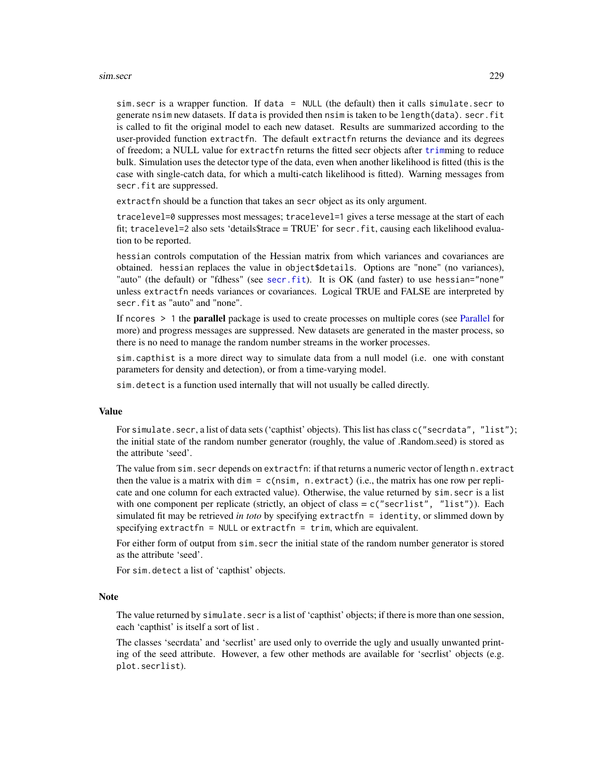#### sim.secr 229

sim.secr is a wrapper function. If data = NULL (the default) then it calls simulate.secr to generate nsim new datasets. If data is provided then nsim is taken to be length(data). secr.fit is called to fit the original model to each new dataset. Results are summarized according to the user-provided function extractfn. The default extractfn returns the deviance and its degrees of freedom; a NULL value for extractfn returns the fitted secr objects after [trim](#page-270-0)ming to reduce bulk. Simulation uses the detector type of the data, even when another likelihood is fitted (this is the case with single-catch data, for which a multi-catch likelihood is fitted). Warning messages from secr.fit are suppressed.

extractfn should be a function that takes an secr object as its only argument.

tracelevel=0 suppresses most messages; tracelevel=1 gives a terse message at the start of each fit; tracelevel=2 also sets 'details\$trace = TRUE' for secr.fit, causing each likelihood evaluation to be reported.

hessian controls computation of the Hessian matrix from which variances and covariances are obtained. hessian replaces the value in object\$details. Options are "none" (no variances), "auto" (the default) or "fdhess" (see [secr.fit](#page-199-0)). It is OK (and faster) to use hessian="none" unless extractfn needs variances or covariances. Logical TRUE and FALSE are interpreted by secr.fit as "auto" and "none".

If ncores  $> 1$  the **parallel** package is used to create processes on multiple cores (see [Parallel](#page-131-0) for more) and progress messages are suppressed. New datasets are generated in the master process, so there is no need to manage the random number streams in the worker processes.

sim.capthist is a more direct way to simulate data from a null model (i.e. one with constant parameters for density and detection), or from a time-varying model.

sim.detect is a function used internally that will not usually be called directly.

## Value

For simulate.secr, a list of data sets ('capthist' objects). This list has class c("secrdata", "list"); the initial state of the random number generator (roughly, the value of .Random.seed) is stored as the attribute 'seed'.

The value from sim.secr depends on extractfn: if that returns a numeric vector of length n.extract then the value is a matrix with  $\dim = c$  (nsim, n.extract) (i.e., the matrix has one row per replicate and one column for each extracted value). Otherwise, the value returned by sim.secr is a list with one component per replicate (strictly, an object of class = c("secrlist", "list")). Each simulated fit may be retrieved *in toto* by specifying extractfn = identity, or slimmed down by specifying extractfn = NULL or extractfn = trim, which are equivalent.

For either form of output from sim. secr the initial state of the random number generator is stored as the attribute 'seed'.

For sim.detect a list of 'capthist' objects.

#### Note

The value returned by simulate. secr is a list of 'capthist' objects; if there is more than one session, each 'capthist' is itself a sort of list .

The classes 'secrdata' and 'secrlist' are used only to override the ugly and usually unwanted printing of the seed attribute. However, a few other methods are available for 'secrlist' objects (e.g. plot.secrlist).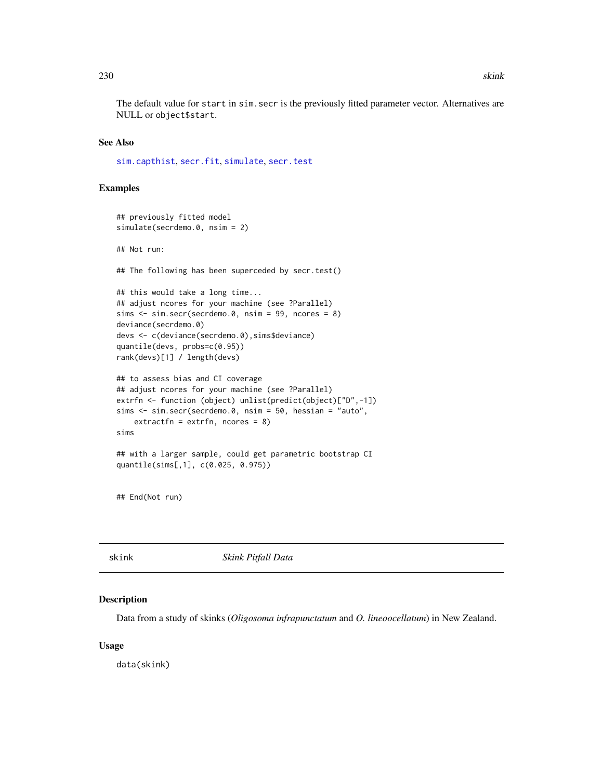The default value for start in sim.secr is the previously fitted parameter vector. Alternatives are NULL or object\$start.

#### See Also

[sim.capthist](#page-218-0), [secr.fit](#page-199-0), [simulate](#page-226-0), [secr.test](#page-205-0)

## Examples

```
## previously fitted model
simulate(secrdemo.0, nsim = 2)
## Not run:
## The following has been superceded by secr.test()
## this would take a long time...
## adjust ncores for your machine (see ?Parallel)
sims \le sim.secr(secrdemo.0, nsim = 99, ncores = 8)
deviance(secrdemo.0)
devs <- c(deviance(secrdemo.0),sims$deviance)
quantile(devs, probs=c(0.95))
rank(devs)[1] / length(devs)
## to assess bias and CI coverage
## adjust ncores for your machine (see ?Parallel)
extrfn <- function (object) unlist(predict(object)["D",-1])
sims <- sim.secr(secrdemo.0, nsim = 50, hessian = "auto",
   extractfn = extrfn, ncores = 8)
sims
## with a larger sample, could get parametric bootstrap CI
quantile(sims[,1], c(0.025, 0.975))
```
## End(Not run)

skink *Skink Pitfall Data*

#### Description

Data from a study of skinks (*Oligosoma infrapunctatum* and *O. lineoocellatum*) in New Zealand.

## Usage

data(skink)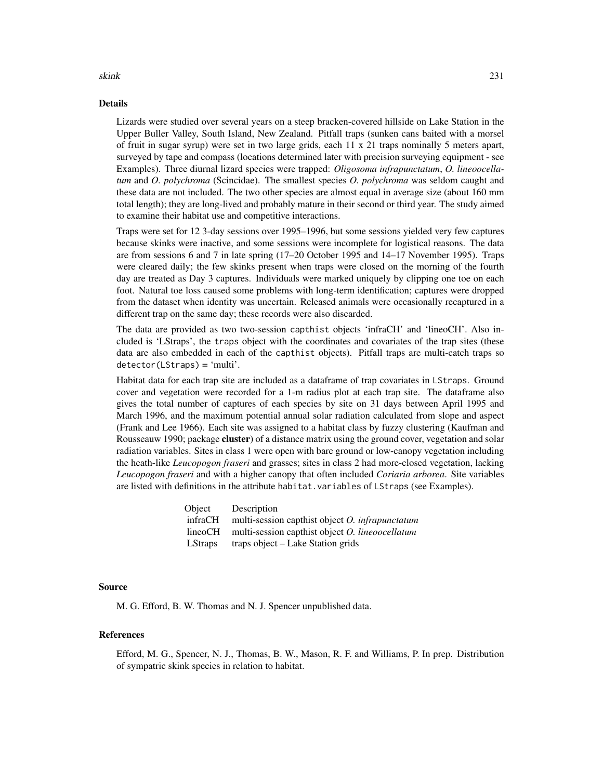## Details

Lizards were studied over several years on a steep bracken-covered hillside on Lake Station in the Upper Buller Valley, South Island, New Zealand. Pitfall traps (sunken cans baited with a morsel of fruit in sugar syrup) were set in two large grids, each 11 x 21 traps nominally 5 meters apart, surveyed by tape and compass (locations determined later with precision surveying equipment - see Examples). Three diurnal lizard species were trapped: *Oligosoma infrapunctatum*, *O. lineoocellatum* and *O. polychroma* (Scincidae). The smallest species *O. polychroma* was seldom caught and these data are not included. The two other species are almost equal in average size (about 160 mm total length); they are long-lived and probably mature in their second or third year. The study aimed to examine their habitat use and competitive interactions.

Traps were set for 12 3-day sessions over 1995–1996, but some sessions yielded very few captures because skinks were inactive, and some sessions were incomplete for logistical reasons. The data are from sessions 6 and 7 in late spring (17–20 October 1995 and 14–17 November 1995). Traps were cleared daily; the few skinks present when traps were closed on the morning of the fourth day are treated as Day 3 captures. Individuals were marked uniquely by clipping one toe on each foot. Natural toe loss caused some problems with long-term identification; captures were dropped from the dataset when identity was uncertain. Released animals were occasionally recaptured in a different trap on the same day; these records were also discarded.

The data are provided as two two-session capthist objects 'infraCH' and 'lineoCH'. Also included is 'LStraps', the traps object with the coordinates and covariates of the trap sites (these data are also embedded in each of the capthist objects). Pitfall traps are multi-catch traps so detector(LStraps) = 'multi'.

Habitat data for each trap site are included as a dataframe of trap covariates in LStraps. Ground cover and vegetation were recorded for a 1-m radius plot at each trap site. The dataframe also gives the total number of captures of each species by site on 31 days between April 1995 and March 1996, and the maximum potential annual solar radiation calculated from slope and aspect (Frank and Lee 1966). Each site was assigned to a habitat class by fuzzy clustering (Kaufman and Rousseauw 1990; package cluster) of a distance matrix using the ground cover, vegetation and solar radiation variables. Sites in class 1 were open with bare ground or low-canopy vegetation including the heath-like *Leucopogon fraseri* and grasses; sites in class 2 had more-closed vegetation, lacking *Leucopogon fraseri* and with a higher canopy that often included *Coriaria arborea*. Site variables are listed with definitions in the attribute habitat.variables of LStraps (see Examples).

| Object         | Description                                        |
|----------------|----------------------------------------------------|
| infraCH        | multi-session capthist object $O$ . infrapunctatum |
| lineoCH        | multi-session capthist object O. lineoocellatum    |
| <b>LStraps</b> | traps object – Lake Station grids                  |

## Source

M. G. Efford, B. W. Thomas and N. J. Spencer unpublished data.

## References

Efford, M. G., Spencer, N. J., Thomas, B. W., Mason, R. F. and Williams, P. In prep. Distribution of sympatric skink species in relation to habitat.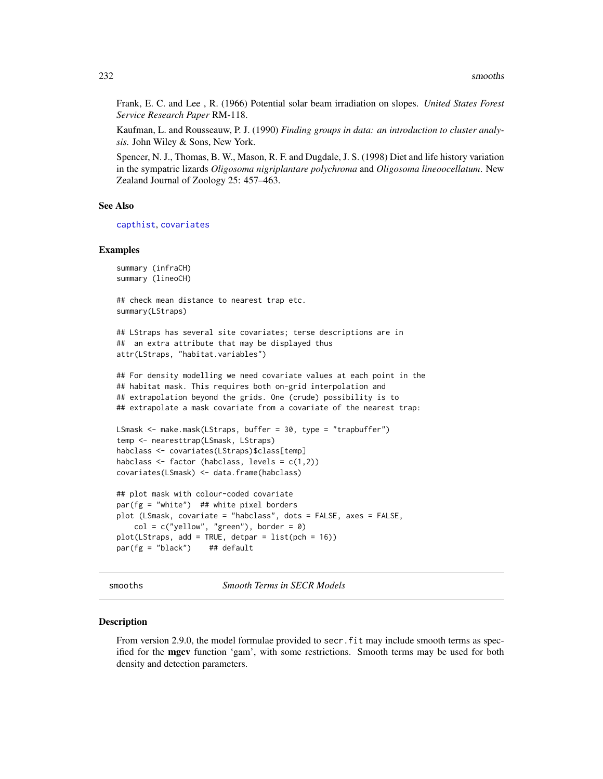Frank, E. C. and Lee , R. (1966) Potential solar beam irradiation on slopes. *United States Forest Service Research Paper* RM-118.

Kaufman, L. and Rousseauw, P. J. (1990) *Finding groups in data: an introduction to cluster analysis.* John Wiley & Sons, New York.

Spencer, N. J., Thomas, B. W., Mason, R. F. and Dugdale, J. S. (1998) Diet and life history variation in the sympatric lizards *Oligosoma nigriplantare polychroma* and *Oligosoma lineoocellatum*. New Zealand Journal of Zoology 25: 457–463.

## See Also

[capthist](#page-22-0), [covariates](#page-38-0)

#### Examples

```
summary (infraCH)
summary (lineoCH)
```
## check mean distance to nearest trap etc. summary(LStraps)

## LStraps has several site covariates; terse descriptions are in ## an extra attribute that may be displayed thus attr(LStraps, "habitat.variables")

## For density modelling we need covariate values at each point in the ## habitat mask. This requires both on-grid interpolation and ## extrapolation beyond the grids. One (crude) possibility is to ## extrapolate a mask covariate from a covariate of the nearest trap:

```
LSmask <- make.mask(LStraps, buffer = 30, type = "trapbuffer")
temp <- nearesttrap(LSmask, LStraps)
habclass <- covariates(LStraps)$class[temp]
habclass \le factor (habclass, levels = c(1,2))
covariates(LSmask) <- data.frame(habclass)
```

```
## plot mask with colour-coded covariate
par(fg = "white") ## white pixel borders
plot (LSmask, covariate = "habclass", dots = FALSE, axes = FALSE,
   col = c("yellow", "green"), border = 0)plot(LStraps, add = TRUE, detpar = list(pch = 16))par(fg = "black") ## default
```
smooths *Smooth Terms in SECR Models*

## Description

From version 2.9.0, the model formulae provided to secr. fit may include smooth terms as specified for the mgcv function 'gam', with some restrictions. Smooth terms may be used for both density and detection parameters.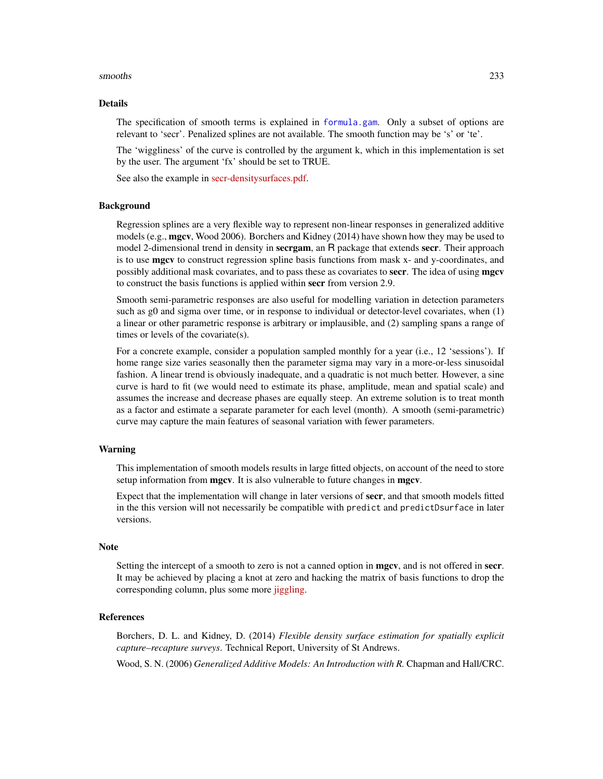#### smooths 233

## Details

The specification of smooth terms is explained in [formula.gam](#page-0-0). Only a subset of options are relevant to 'secr'. Penalized splines are not available. The smooth function may be 's' or 'te'.

The 'wiggliness' of the curve is controlled by the argument k, which in this implementation is set by the user. The argument 'fx' should be set to TRUE.

See also the example in [secr-densitysurfaces.pdf.](https://www.otago.ac.nz/density/pdfs/secr-densitysurfaces.pdf)

#### Background

Regression splines are a very flexible way to represent non-linear responses in generalized additive models (e.g., mgcv, Wood 2006). Borchers and Kidney (2014) have shown how they may be used to model 2-dimensional trend in density in secrgam, an R package that extends secr. Their approach is to use mgcv to construct regression spline basis functions from mask x- and y-coordinates, and possibly additional mask covariates, and to pass these as covariates to **secr**. The idea of using **mgcv** to construct the basis functions is applied within secr from version 2.9.

Smooth semi-parametric responses are also useful for modelling variation in detection parameters such as g0 and sigma over time, or in response to individual or detector-level covariates, when (1) a linear or other parametric response is arbitrary or implausible, and (2) sampling spans a range of times or levels of the covariate(s).

For a concrete example, consider a population sampled monthly for a year (i.e., 12 'sessions'). If home range size varies seasonally then the parameter sigma may vary in a more-or-less sinusoidal fashion. A linear trend is obviously inadequate, and a quadratic is not much better. However, a sine curve is hard to fit (we would need to estimate its phase, amplitude, mean and spatial scale) and assumes the increase and decrease phases are equally steep. An extreme solution is to treat month as a factor and estimate a separate parameter for each level (month). A smooth (semi-parametric) curve may capture the main features of seasonal variation with fewer parameters.

## Warning

This implementation of smooth models results in large fitted objects, on account of the need to store setup information from mgcv. It is also vulnerable to future changes in mgcv.

Expect that the implementation will change in later versions of secr, and that smooth models fitted in the this version will not necessarily be compatible with predict and predictDsurface in later versions.

#### Note

Setting the intercept of a smooth to zero is not a canned option in **mgcv**, and is not offered in **secr**. It may be achieved by placing a knot at zero and hacking the matrix of basis functions to drop the corresponding column, plus some more [jiggling.](https://bit.ly/1rcIsQ6)

#### References

Borchers, D. L. and Kidney, D. (2014) *Flexible density surface estimation for spatially explicit capture–recapture surveys*. Technical Report, University of St Andrews.

Wood, S. N. (2006) *Generalized Additive Models: An Introduction with R.* Chapman and Hall/CRC.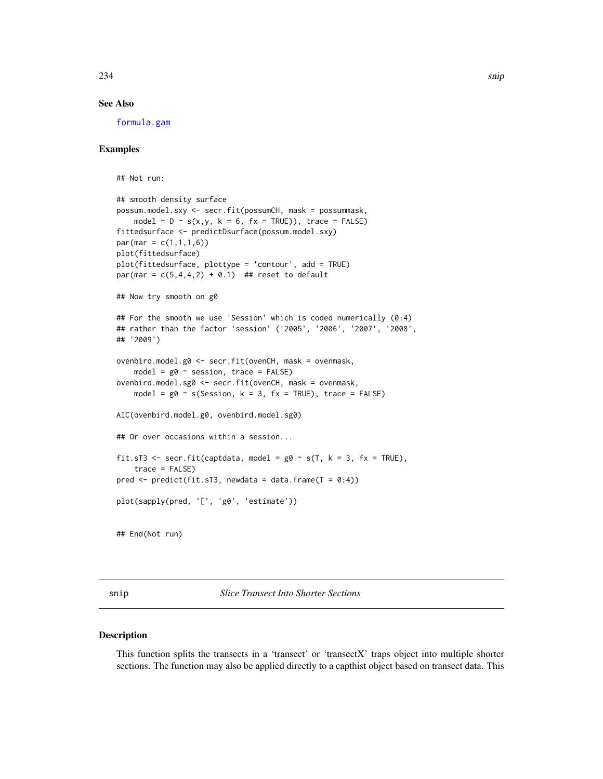## See Also

[formula.gam](#page-0-0)

## Examples

```
## Not run:
## smooth density surface
possum.model.sxy <- secr.fit(possumCH, mask = possummask,
    model = D \sim s(x,y, k = 6, fx = TRUE), trace = FALSE)
fittedsurface <- predictDsurface(possum.model.sxy)
par(max = c(1,1,1,6))plot(fittedsurface)
plot(fittedsurface, plottype = 'contour', add = TRUE)
par(max = c(5, 4, 4, 2) + 0.1) ## reset to default
## Now try smooth on g0
## For the smooth we use 'Session' which is coded numerically (0:4)
## rather than the factor 'session' ('2005', '2006', '2007', '2008',
## '2009')
ovenbird.model.g0 <- secr.fit(ovenCH, mask = ovenmask,
   model = g0 \sim session, trace = FALSE)
ovenbird.model.sg0 <- secr.fit(ovenCH, mask = ovenmask,
   model = g0 \sim s(Session, k = 3, fx = TRUE), trace = FALSE)
AIC(ovenbird.model.g0, ovenbird.model.sg0)
## Or over occasions within a session...
fit.sT3 <- secr.fit(captdata, model = g0 \sim s(T, k = 3, fx = TRUE),trace = FALSE)
pred \leq predict(fit.sT3, newdata = data.frame(T = 0:4))
plot(sapply(pred, '[', 'g0', 'estimate'))
## End(Not run)
```
snip *Slice Transect Into Shorter Sections*

## Description

This function splits the transects in a 'transect' or 'transectX' traps object into multiple shorter sections. The function may also be applied directly to a capthist object based on transect data. This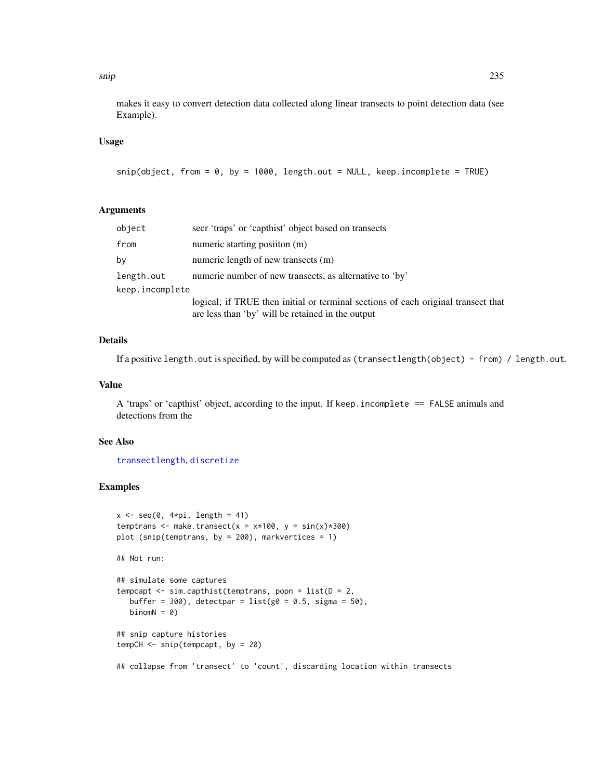#### snip 235

makes it easy to convert detection data collected along linear transects to point detection data (see Example).

## Usage

```
snip(object, from = 0, by = 1000, length.out = NULL, keep.incomplete = TRUE)
```
# Arguments

| object          | secr 'traps' or 'capthist' object based on transects                                                                                   |  |
|-----------------|----------------------------------------------------------------------------------------------------------------------------------------|--|
| from            | numeric starting position (m)                                                                                                          |  |
| by              | numeric length of new transects (m)                                                                                                    |  |
| length.out      | numeric number of new transects, as alternative to 'by'                                                                                |  |
| keep.incomplete |                                                                                                                                        |  |
|                 | logical; if TRUE then initial or terminal sections of each original transect that<br>are less than 'by' will be retained in the output |  |

## Details

If a positive length.out is specified, by will be computed as (transectlength(object) - from) / length.out.

#### Value

A 'traps' or 'capthist' object, according to the input. If keep.incomplete == FALSE animals and detections from the

#### See Also

[transectlength](#page-269-0), [discretize](#page-56-0)

## Examples

```
x \leq -\text{seq}(0, 4*pi, length = 41)temptrans <- make.transect(x = x*100, y = sin(x)*300)
plot (snip(temptrans, by = 200), markvertices = 1)
## Not run:
## simulate some captures
tempcapt \leq sim.capthist(temptrans, popn = list(D = 2,
  buffer = 300, detectpar = list(g0 = 0.5, sigma = 50),
  binomN = 0)
## snip capture histories
tempCH <- snip(tempcapt, by = 20)
## collapse from 'transect' to 'count', discarding location within transects
```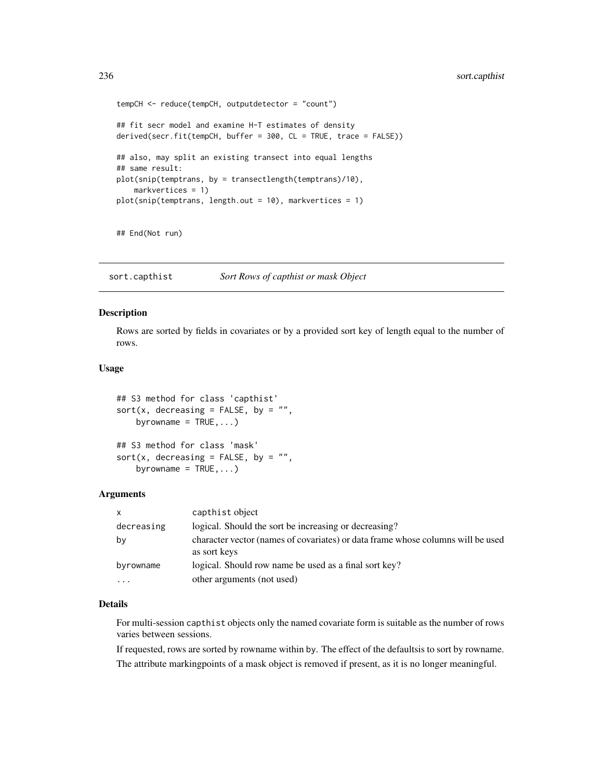```
tempCH <- reduce(tempCH, outputdetector = "count")
## fit secr model and examine H-T estimates of density
derived(secr.fit(tempCH, buffer = 300, CL = TRUE, trace = FALSE))
## also, may split an existing transect into equal lengths
## same result:
plot(snip(temptrans, by = transectlength(temptrans)/10),
    markvertices = 1)
plot(snip(temptrans, length.out = 10), markvertices = 1)
```
## End(Not run)

sort.capthist *Sort Rows of capthist or mask Object*

## Description

Rows are sorted by fields in covariates or by a provided sort key of length equal to the number of rows.

## Usage

```
## S3 method for class 'capthist'
sort(x, decreasing = FALSE, by = ",
    byrowname = TRUE, ...)
## S3 method for class 'mask'
sort(x, decreasing = FALSE, by = ",
   byrowname = TRUE, ...)
```
#### Arguments

| $\mathsf{x}$ | capthist object                                                                                 |
|--------------|-------------------------------------------------------------------------------------------------|
| decreasing   | logical. Should the sort be increasing or decreasing?                                           |
| bν           | character vector (names of covariates) or data frame whose columns will be used<br>as sort keys |
| byrowname    | logical. Should row name be used as a final sort key?                                           |
| .            | other arguments (not used)                                                                      |

#### Details

For multi-session capthist objects only the named covariate form is suitable as the number of rows varies between sessions.

If requested, rows are sorted by rowname within by. The effect of the defaultsis to sort by rowname. The attribute markingpoints of a mask object is removed if present, as it is no longer meaningful.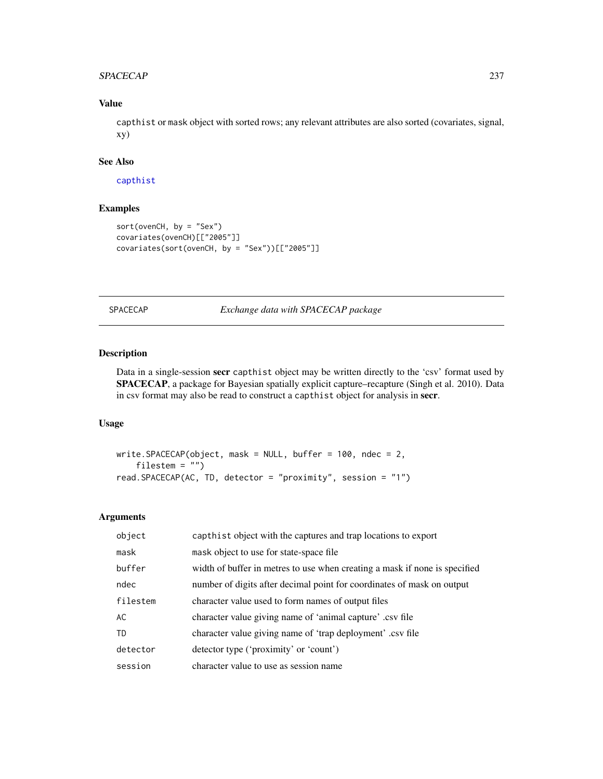## SPACECAP 237

# Value

capthist or mask object with sorted rows; any relevant attributes are also sorted (covariates, signal, xy)

# See Also

[capthist](#page-22-0)

# Examples

```
sort(ovenCH, by = "Sex")
covariates(ovenCH)[["2005"]]
covariates(sort(ovenCH, by = "Sex"))[["2005"]]
```
SPACECAP *Exchange data with SPACECAP package*

## Description

Data in a single-session secr capthist object may be written directly to the 'csv' format used by SPACECAP, a package for Bayesian spatially explicit capture–recapture (Singh et al. 2010). Data in csv format may also be read to construct a capthist object for analysis in secr.

# Usage

```
write.SPACECAP(object, mask = NULL, buffer = 100, ndec = 2,
    filestem = "")
read.SPACECAP(AC, TD, detector = "proximity", session = "1")
```
#### Arguments

| object   | capthist object with the captures and trap locations to export             |
|----------|----------------------------------------------------------------------------|
| mask     | mask object to use for state-space file.                                   |
| buffer   | width of buffer in metres to use when creating a mask if none is specified |
| ndec     | number of digits after decimal point for coordinates of mask on output     |
| filestem | character value used to form names of output files                         |
| AC       | character value giving name of 'animal capture' .csv file                  |
| TD       | character value giving name of 'trap deployment' .csv file                 |
| detector | detector type ('proximity' or 'count')                                     |
| session  | character value to use as session name                                     |
|          |                                                                            |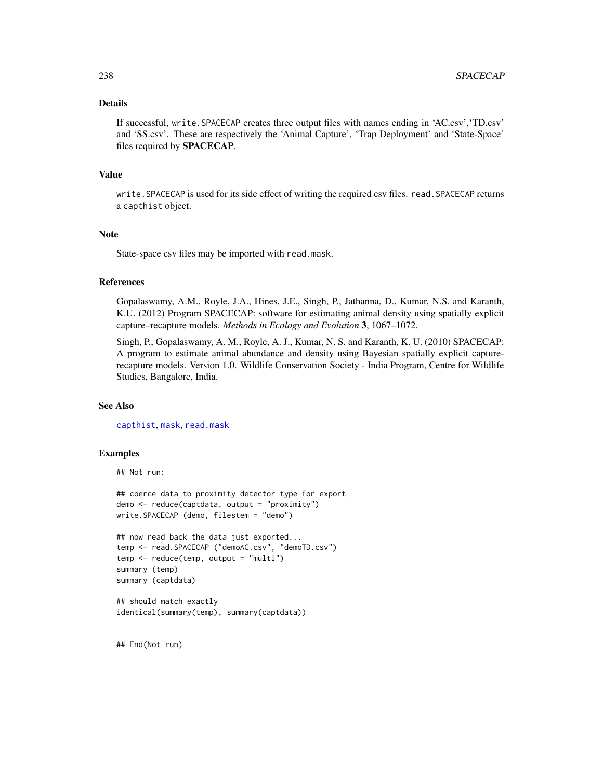## Details

If successful, write.SPACECAP creates three output files with names ending in 'AC.csv','TD.csv' and 'SS.csv'. These are respectively the 'Animal Capture', 'Trap Deployment' and 'State-Space' files required by SPACECAP.

## Value

write. SPACECAP is used for its side effect of writing the required csv files. read. SPACECAP returns a capthist object.

## Note

State-space csv files may be imported with read.mask.

## References

Gopalaswamy, A.M., Royle, J.A., Hines, J.E., Singh, P., Jathanna, D., Kumar, N.S. and Karanth, K.U. (2012) Program SPACECAP: software for estimating animal density using spatially explicit capture–recapture models. *Methods in Ecology and Evolution* 3, 1067–1072.

Singh, P., Gopalaswamy, A. M., Royle, A. J., Kumar, N. S. and Karanth, K. U. (2010) SPACECAP: A program to estimate animal abundance and density using Bayesian spatially explicit capturerecapture models. Version 1.0. Wildlife Conservation Society - India Program, Centre for Wildlife Studies, Bangalore, India.

## See Also

[capthist](#page-22-0), [mask](#page-113-0), [read.mask](#page-177-0)

## Examples

```
## Not run:
```
## coerce data to proximity detector type for export demo <- reduce(captdata, output = "proximity") write.SPACECAP (demo, filestem = "demo")

```
## now read back the data just exported...
temp <- read.SPACECAP ("demoAC.csv", "demoTD.csv")
temp \leq reduce(temp, output = "multi")
summary (temp)
summary (captdata)
```

```
## should match exactly
identical(summary(temp), summary(captdata))
```
## End(Not run)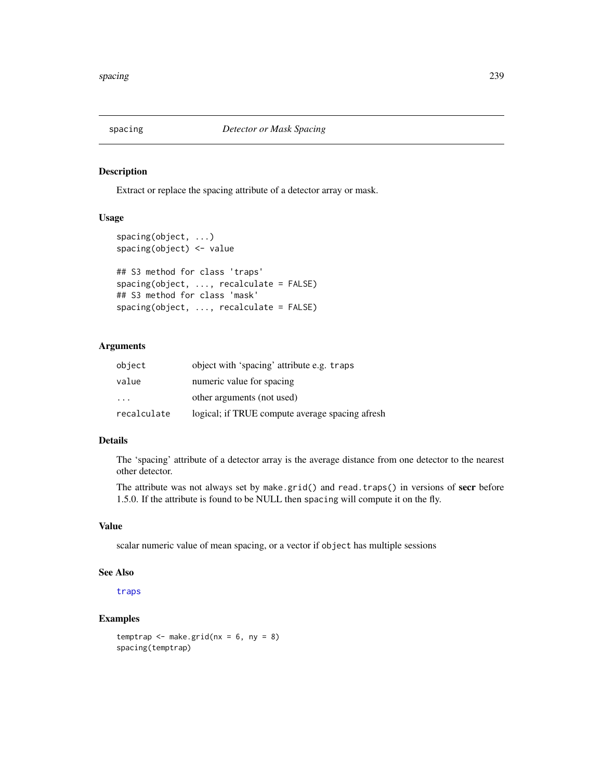## Description

Extract or replace the spacing attribute of a detector array or mask.

## Usage

```
spacing(object, ...)
spacing(object) <- value
## S3 method for class 'traps'
spacing(object, ..., recalculate = FALSE)
## S3 method for class 'mask'
spacing(object, ..., recalculate = FALSE)
```
# Arguments

| object                  | object with 'spacing' attribute e.g. traps      |
|-------------------------|-------------------------------------------------|
| value                   | numeric value for spacing                       |
| $\cdot$ $\cdot$ $\cdot$ | other arguments (not used)                      |
| recalculate             | logical; if TRUE compute average spacing afresh |

## Details

The 'spacing' attribute of a detector array is the average distance from one detector to the nearest other detector.

The attribute was not always set by make.grid() and read.traps() in versions of secr before 1.5.0. If the attribute is found to be NULL then spacing will compute it on the fly.

# Value

scalar numeric value of mean spacing, or a vector if object has multiple sessions

#### See Also

[traps](#page-267-0)

# Examples

```
temptrap \leq make.grid(nx = 6, ny = 8)
spacing(temptrap)
```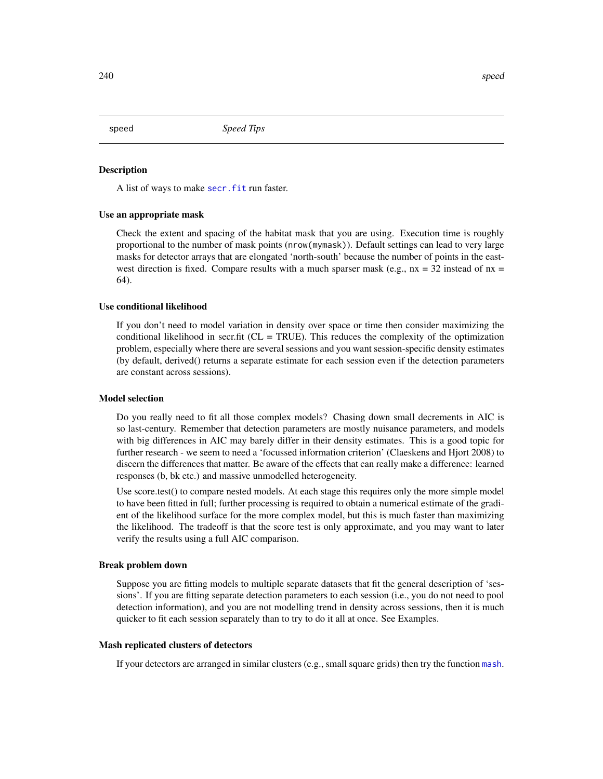speed *Speed Tips*

#### **Description**

A list of ways to make secr. fit run faster.

#### Use an appropriate mask

Check the extent and spacing of the habitat mask that you are using. Execution time is roughly proportional to the number of mask points (nrow(mymask)). Default settings can lead to very large masks for detector arrays that are elongated 'north-south' because the number of points in the eastwest direction is fixed. Compare results with a much sparser mask (e.g.,  $nx = 32$  instead of  $nx =$ 64).

## Use conditional likelihood

If you don't need to model variation in density over space or time then consider maximizing the conditional likelihood in secr.fit ( $CL = TRUE$ ). This reduces the complexity of the optimization problem, especially where there are several sessions and you want session-specific density estimates (by default, derived() returns a separate estimate for each session even if the detection parameters are constant across sessions).

#### Model selection

Do you really need to fit all those complex models? Chasing down small decrements in AIC is so last-century. Remember that detection parameters are mostly nuisance parameters, and models with big differences in AIC may barely differ in their density estimates. This is a good topic for further research - we seem to need a 'focussed information criterion' (Claeskens and Hjort 2008) to discern the differences that matter. Be aware of the effects that can really make a difference: learned responses (b, bk etc.) and massive unmodelled heterogeneity.

Use score.test() to compare nested models. At each stage this requires only the more simple model to have been fitted in full; further processing is required to obtain a numerical estimate of the gradient of the likelihood surface for the more complex model, but this is much faster than maximizing the likelihood. The tradeoff is that the score test is only approximate, and you may want to later verify the results using a full AIC comparison.

#### Break problem down

Suppose you are fitting models to multiple separate datasets that fit the general description of 'sessions'. If you are fitting separate detection parameters to each session (i.e., you do not need to pool detection information), and you are not modelling trend in density across sessions, then it is much quicker to fit each session separately than to try to do it all at once. See Examples.

# Mash replicated clusters of detectors

If your detectors are arranged in similar clusters (e.g., small square grids) then try the function [mash](#page-263-0).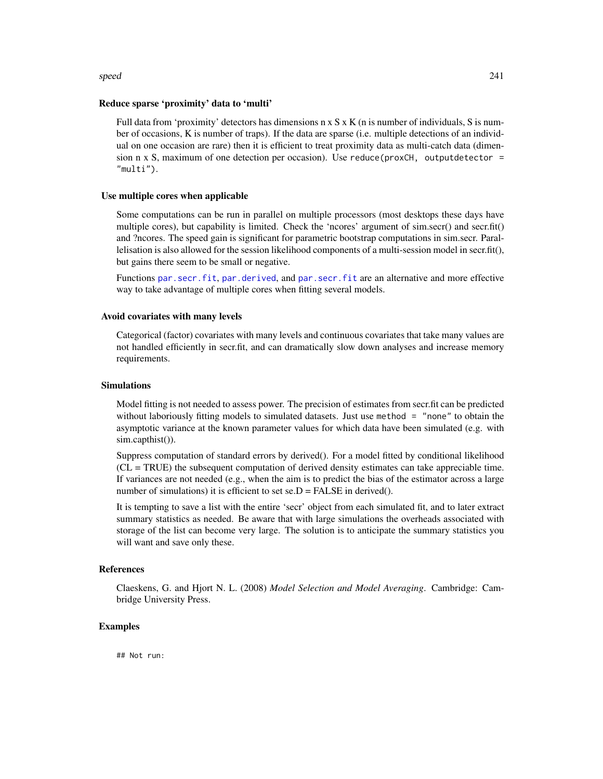#### speed 241

#### Reduce sparse 'proximity' data to 'multi'

Full data from 'proximity' detectors has dimensions  $n \times S \times K$  (n is number of individuals, S is number of occasions, K is number of traps). If the data are sparse (i.e. multiple detections of an individual on one occasion are rare) then it is efficient to treat proximity data as multi-catch data (dimension n x S, maximum of one detection per occasion). Use reduce( $proxCH$ , outputdetector = "multi").

## Use multiple cores when applicable

Some computations can be run in parallel on multiple processors (most desktops these days have multiple cores), but capability is limited. Check the 'ncores' argument of sim.secr() and secr.fit() and ?ncores. The speed gain is significant for parametric bootstrap computations in sim.secr. Parallelisation is also allowed for the session likelihood components of a multi-session model in secr.fit(), but gains there seem to be small or negative.

Functions [par.secr.fit](#page-129-0), [par.derived](#page-129-1), and [par.secr.fit](#page-129-0) are an alternative and more effective way to take advantage of multiple cores when fitting several models.

#### Avoid covariates with many levels

Categorical (factor) covariates with many levels and continuous covariates that take many values are not handled efficiently in secr.fit, and can dramatically slow down analyses and increase memory requirements.

## Simulations

Model fitting is not needed to assess power. The precision of estimates from secr.fit can be predicted without laboriously fitting models to simulated datasets. Just use method = "none" to obtain the asymptotic variance at the known parameter values for which data have been simulated (e.g. with sim.capthist()).

Suppress computation of standard errors by derived(). For a model fitted by conditional likelihood (CL = TRUE) the subsequent computation of derived density estimates can take appreciable time. If variances are not needed (e.g., when the aim is to predict the bias of the estimator across a large number of simulations) it is efficient to set  $se.D = FALSE$  in derived().

It is tempting to save a list with the entire 'secr' object from each simulated fit, and to later extract summary statistics as needed. Be aware that with large simulations the overheads associated with storage of the list can become very large. The solution is to anticipate the summary statistics you will want and save only these.

#### References

Claeskens, G. and Hjort N. L. (2008) *Model Selection and Model Averaging*. Cambridge: Cambridge University Press.

## Examples

## Not run: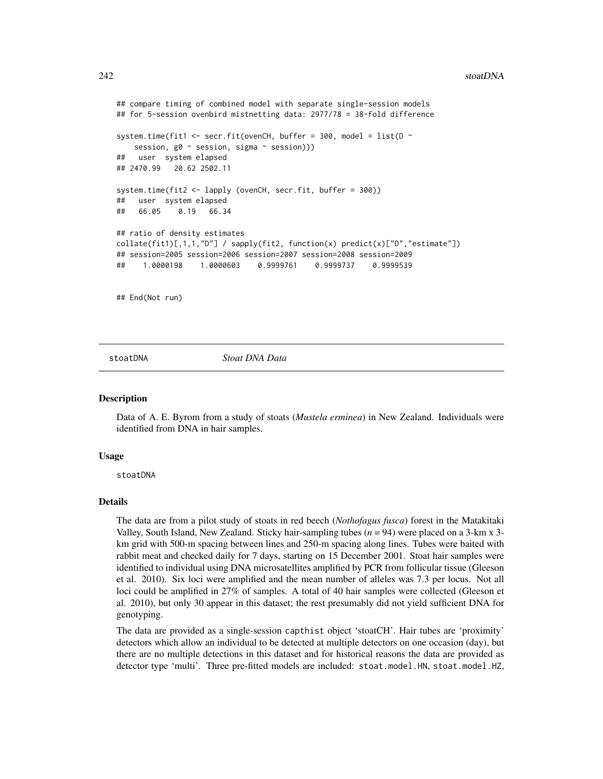#### 242 stoatDNA

```
## compare timing of combined model with separate single-session models
## for 5-session ovenbird mistnetting data: 2977/78 = 38-fold difference
system.time(fit1 <- secr.fit(ovenCH, buffer = 300, model = list(D \simsession, g0 ~ session, sigma ~ session)))
## user system elapsed
## 2470.99 20.62 2502.11
system.time(fit2 <- lapply (ovenCH, secr.fit, buffer = 300))
## user system elapsed
## 66.05 0.19 66.34
## ratio of density estimates
collate(fitt)[1,1,1,"D"] / sapply(fitt2, function(x) predict(x)["D", "estimate"])## session=2005 session=2006 session=2007 session=2008 session=2009
## 1.0000198 1.0000603 0.9999761 0.9999737 0.9999539
## End(Not run)
```
## stoatDNA *Stoat DNA Data*

#### Description

Data of A. E. Byrom from a study of stoats (*Mustela erminea*) in New Zealand. Individuals were identified from DNA in hair samples.

#### Usage

stoatDNA

## Details

The data are from a pilot study of stoats in red beech (*Nothofagus fusca*) forest in the Matakitaki Valley, South Island, New Zealand. Sticky hair-sampling tubes  $(n = 94)$  were placed on a 3-km x 3km grid with 500-m spacing between lines and 250-m spacing along lines. Tubes were baited with rabbit meat and checked daily for 7 days, starting on 15 December 2001. Stoat hair samples were identified to individual using DNA microsatellites amplified by PCR from follicular tissue (Gleeson et al. 2010). Six loci were amplified and the mean number of alleles was 7.3 per locus. Not all loci could be amplified in 27% of samples. A total of 40 hair samples were collected (Gleeson et al. 2010), but only 30 appear in this dataset; the rest presumably did not yield sufficient DNA for genotyping.

The data are provided as a single-session capthist object 'stoatCH'. Hair tubes are 'proximity' detectors which allow an individual to be detected at multiple detectors on one occasion (day), but there are no multiple detections in this dataset and for historical reasons the data are provided as detector type 'multi'. Three pre-fitted models are included: stoat.model.HN, stoat.model.HZ,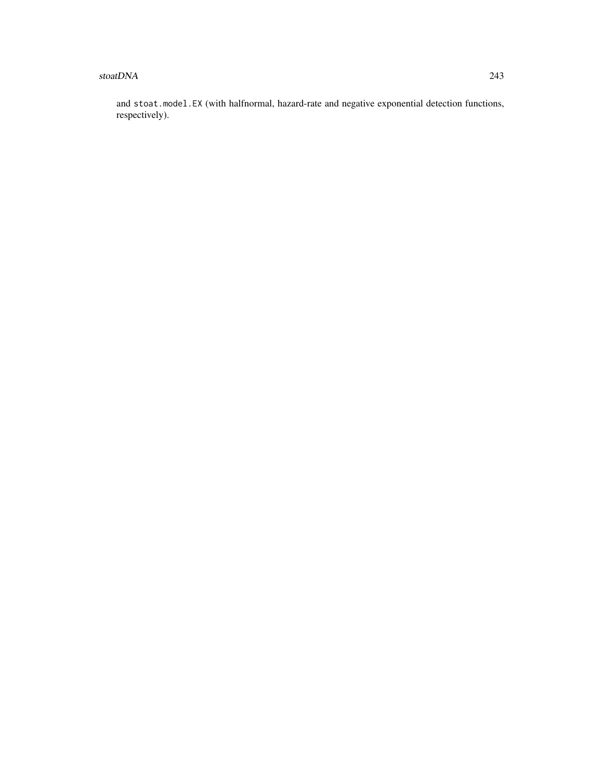#### stoatDNA 243

and stoat.model.EX (with halfnormal, hazard-rate and negative exponential detection functions, respectively).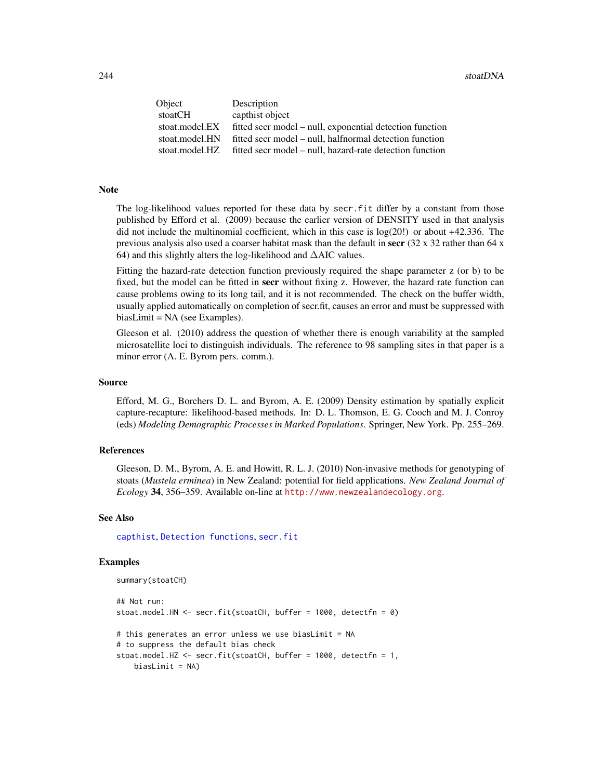| Object         | Description                                              |
|----------------|----------------------------------------------------------|
| stoatCH        | capthist object                                          |
| stoat.model.EX | fitted secr model – null, exponential detection function |
| stoat.model.HN | fitted secr model – null, halfnormal detection function  |
| stoat.model.HZ | fitted secr model – null, hazard-rate detection function |

## Note

The log-likelihood values reported for these data by secr.fit differ by a constant from those published by Efford et al. (2009) because the earlier version of DENSITY used in that analysis did not include the multinomial coefficient, which in this case is  $log(20!)$  or about  $+42.336$ . The previous analysis also used a coarser habitat mask than the default in secr  $(32 \times 32 \text{ rather than } 64 \times \text{m})$ 64) and this slightly alters the log-likelihood and ∆AIC values.

Fitting the hazard-rate detection function previously required the shape parameter z (or b) to be fixed, but the model can be fitted in **secr** without fixing z. However, the hazard rate function can cause problems owing to its long tail, and it is not recommended. The check on the buffer width, usually applied automatically on completion of secr.fit, causes an error and must be suppressed with biasLimit = NA (see Examples).

Gleeson et al. (2010) address the question of whether there is enough variability at the sampled microsatellite loci to distinguish individuals. The reference to 98 sampling sites in that paper is a minor error (A. E. Byrom pers. comm.).

## Source

Efford, M. G., Borchers D. L. and Byrom, A. E. (2009) Density estimation by spatially explicit capture-recapture: likelihood-based methods. In: D. L. Thomson, E. G. Cooch and M. J. Conroy (eds) *Modeling Demographic Processes in Marked Populations*. Springer, New York. Pp. 255–269.

## References

Gleeson, D. M., Byrom, A. E. and Howitt, R. L. J. (2010) Non-invasive methods for genotyping of stoats (*Mustela erminea*) in New Zealand: potential for field applications. *New Zealand Journal of Ecology* 34, 356–359. Available on-line at <http://www.newzealandecology.org>.

#### See Also

[capthist](#page-22-0), [Detection functions](#page-0-0), [secr.fit](#page-199-0)

## Examples

```
summary(stoatCH)
```

```
## Not run:
stoat.model.HN <- secr.fit(stoatCH, buffer = 1000, detectfn = 0)
# this generates an error unless we use biasLimit = NA
# to suppress the default bias check
stoat.model.HZ <- secr.fit(stoatCH, buffer = 1000, detectfn = 1,
   biasLimit = NA)
```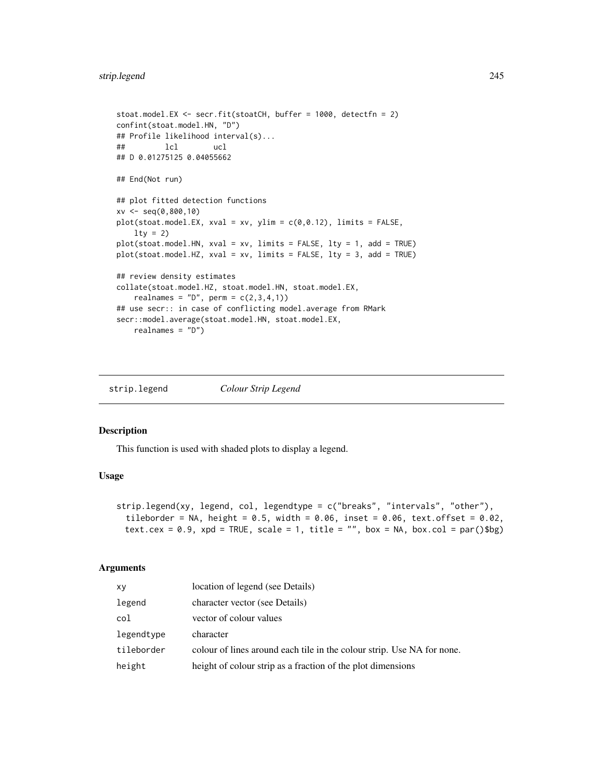```
stoat.model.EX <- secr.fit(stoatCH, buffer = 1000, detectfn = 2)
confint(stoat.model.HN, "D")
## Profile likelihood interval(s)...
## lcl ucl
## D 0.01275125 0.04055662
## End(Not run)
## plot fitted detection functions
xv <- seq(0,800,10)
plot(stat.model.EX, xval = xv, ylim = c(0, 0.12), limits = FALSE,lty = 2)plot(stoat.model.HN, xval = xv, limits = FALSE, lty = 1, add = TRUE)
plot(stoat.model.HZ, xval = xv, limits = FALSE, lty = 3, add = TRUE)
## review density estimates
collate(stoat.model.HZ, stoat.model.HN, stoat.model.EX,
   realnames = "D", perm = c(2,3,4,1))## use secr:: in case of conflicting model.average from RMark
secr::model.average(stoat.model.HN, stoat.model.EX,
   realnames = "D")
```
strip.legend *Colour Strip Legend*

#### Description

This function is used with shaded plots to display a legend.

## Usage

```
strip.legend(xy, legend, col, legendtype = c("breaks", "intervals", "other"),tileborder = NA, height = 0.5, width = 0.06, inset = 0.06, text.offset = 0.02,
 text.cex = 0.9, xpd = TRUE, scale = 1, title = "", box = NA, box.col = par()$bg)
```
# Arguments

| xy         | location of legend (see Details)                                       |
|------------|------------------------------------------------------------------------|
| legend     | character vector (see Details)                                         |
| col        | vector of colour values                                                |
| legendtype | character                                                              |
| tileborder | colour of lines around each tile in the colour strip. Use NA for none. |
| height     | height of colour strip as a fraction of the plot dimensions            |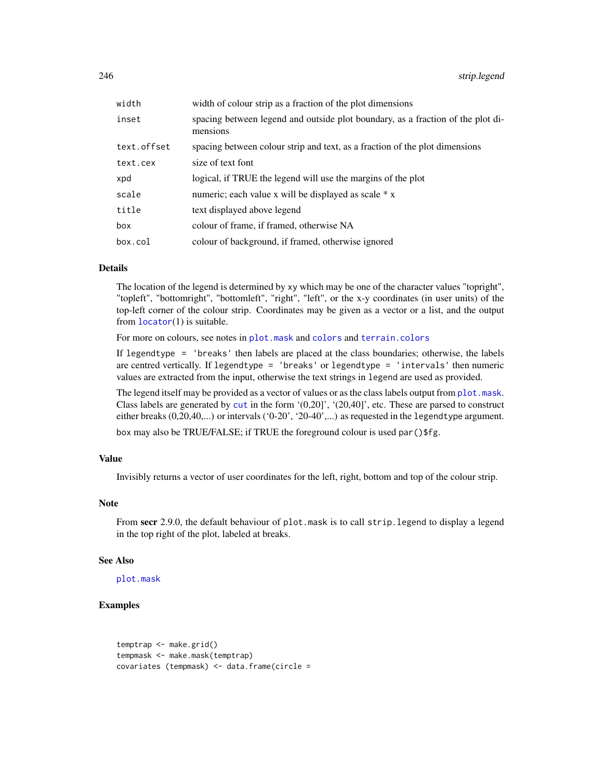| width       | width of colour strip as a fraction of the plot dimensions                                  |
|-------------|---------------------------------------------------------------------------------------------|
| inset       | spacing between legend and outside plot boundary, as a fraction of the plot di-<br>mensions |
| text.offset | spacing between colour strip and text, as a fraction of the plot dimensions                 |
| text.cex    | size of text font                                                                           |
| xpd         | logical, if TRUE the legend will use the margins of the plot                                |
| scale       | numeric; each value x will be displayed as scale * x                                        |
| title       | text displayed above legend                                                                 |
| box         | colour of frame, if framed, otherwise NA                                                    |
| box.col     | colour of background, if framed, otherwise ignored                                          |

## Details

The location of the legend is determined by xy which may be one of the character values "topright", "topleft", "bottomright", "bottomleft", "right", "left", or the x-y coordinates (in user units) of the top-left corner of the colour strip. Coordinates may be given as a vector or a list, and the output from [locator](#page-0-0)(1) is suitable.

For more on colours, see notes in [plot.mask](#page-141-0) and [colors](#page-0-0) and [terrain.colors](#page-0-0)

If legendtype = 'breaks' then labels are placed at the class boundaries; otherwise, the labels are centred vertically. If legendtype = 'breaks' or legendtype = 'intervals' then numeric values are extracted from the input, otherwise the text strings in legend are used as provided.

The legend itself may be provided as a vector of values or as the class labels output from [plot.mask](#page-141-0). Class labels are generated by [cut](#page-0-0) in the form '(0,20]', '(20,40]', etc. These are parsed to construct either breaks (0,20,40,...) or intervals ('0-20', '20-40',...) as requested in the legendtype argument. box may also be TRUE/FALSE; if TRUE the foreground colour is used par()\$fg.

#### Value

Invisibly returns a vector of user coordinates for the left, right, bottom and top of the colour strip.

## Note

From secr 2.9.0, the default behaviour of plot.mask is to call strip.legend to display a legend in the top right of the plot, labeled at breaks.

## See Also

[plot.mask](#page-141-0)

# Examples

temptrap <- make.grid() tempmask <- make.mask(temptrap) covariates (tempmask) <- data.frame(circle =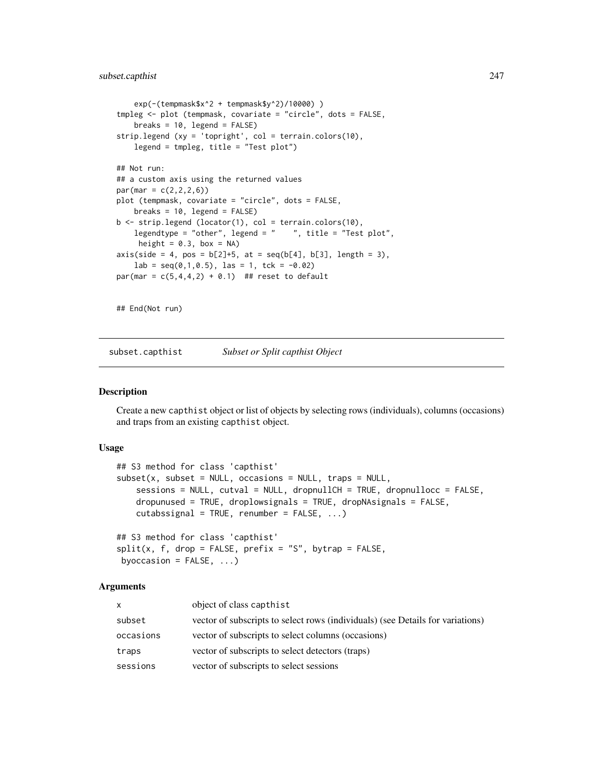## subset.capthist 247

```
exp(-(tempmask$x^2 + tempmask$y^2)/10000) )
tmpleg <- plot (tempmask, covariate = "circle", dots = FALSE,
    breaks = 10, legend = FALSE)
strip.legend (xy = 'topright', col = terrain.colors(10),
   legend = tmpleg, title = "Test plot")
## Not run:
## a custom axis using the returned values
par(max = c(2, 2, 2, 6))plot (tempmask, covariate = "circle", dots = FALSE,
    breaks = 10, legend = FALSE)
b <- strip.legend (locator(1), col = terrain.colors(10),
    legendtype = "other", legend = " ", title = "Test plot",
     height = 0.3, box = NA)
axis(side = 4, pos = b[2]+5, at = seq(b[4], b[3], length = 3),lab = seq(0, 1, 0.5), las = 1, tck = -0.02)
par(max = c(5, 4, 4, 2) + 0.1) ## reset to default
## End(Not run)
```
subset.capthist *Subset or Split capthist Object*

## Description

Create a new capthist object or list of objects by selecting rows (individuals), columns (occasions) and traps from an existing capthist object.

#### Usage

```
## S3 method for class 'capthist'
subset(x, subset = NULL, occasions = NULL, traps = NULL,sessions = NULL, cutval = NULL, dropnullCH = TRUE, dropnullocc = FALSE,
   dropunused = TRUE, droplowsignals = TRUE, dropNAsignals = FALSE,
   cutabssignal = TRUE, renumber = FALSE, ...)
```

```
## S3 method for class 'capthist'
split(x, f, drop = FALSE, prefix = "S", bytrap = FALSE,byoccasion = FALSE, ...)
```
#### Arguments

| $\mathsf{x}$ | object of class capthist                                                       |
|--------------|--------------------------------------------------------------------------------|
| subset       | vector of subscripts to select rows (individuals) (see Details for variations) |
| occasions    | vector of subscripts to select columns (occasions)                             |
| traps        | vector of subscripts to select detectors (traps)                               |
| sessions     | vector of subscripts to select sessions                                        |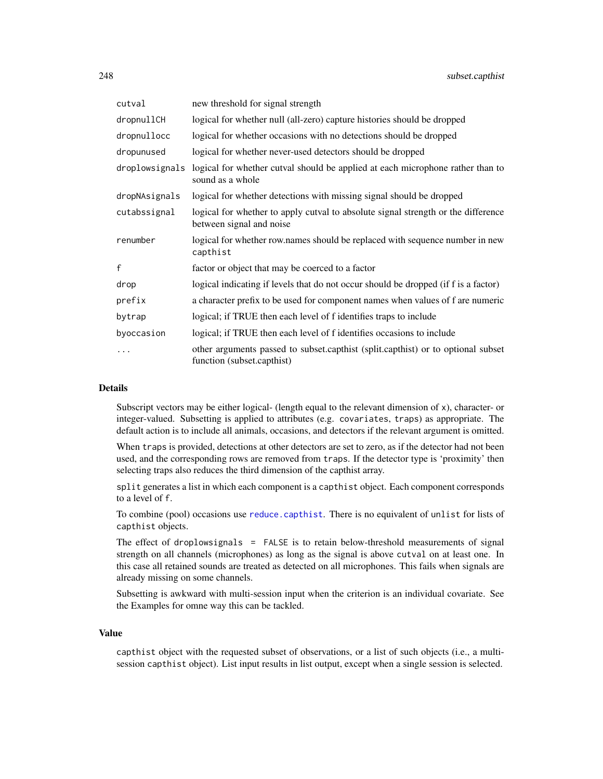| cutval         | new threshold for signal strength                                                                              |
|----------------|----------------------------------------------------------------------------------------------------------------|
| dropnullCH     | logical for whether null (all-zero) capture histories should be dropped                                        |
| dropnullocc    | logical for whether occasions with no detections should be dropped                                             |
| dropunused     | logical for whether never-used detectors should be dropped                                                     |
| droplowsignals | logical for whether cutval should be applied at each microphone rather than to<br>sound as a whole             |
| dropNAsignals  | logical for whether detections with missing signal should be dropped                                           |
| cutabssignal   | logical for whether to apply cutval to absolute signal strength or the difference<br>between signal and noise  |
| renumber       | logical for whether row.names should be replaced with sequence number in new<br>capthist                       |
| f              | factor or object that may be coerced to a factor                                                               |
| drop           | logical indicating if levels that do not occur should be dropped (if f is a factor)                            |
| prefix         | a character prefix to be used for component names when values of f are numeric                                 |
| bytrap         | logical; if TRUE then each level of f identifies traps to include                                              |
| byoccasion     | logical; if TRUE then each level of f identifies occasions to include                                          |
| $\ddotsc$      | other arguments passed to subset.capthist (split.capthist) or to optional subset<br>function (subset.capthist) |

## Details

Subscript vectors may be either logical- (length equal to the relevant dimension of x), character- or integer-valued. Subsetting is applied to attributes (e.g. covariates, traps) as appropriate. The default action is to include all animals, occasions, and detectors if the relevant argument is omitted.

When traps is provided, detections at other detectors are set to zero, as if the detector had not been used, and the corresponding rows are removed from traps. If the detector type is 'proximity' then selecting traps also reduces the third dimension of the capthist array.

split generates a list in which each component is a capthist object. Each component corresponds to a level of f.

To combine (pool) occasions use [reduce.capthist](#page-183-0). There is no equivalent of unlist for lists of capthist objects.

The effect of droplowsignals = FALSE is to retain below-threshold measurements of signal strength on all channels (microphones) as long as the signal is above cutval on at least one. In this case all retained sounds are treated as detected on all microphones. This fails when signals are already missing on some channels.

Subsetting is awkward with multi-session input when the criterion is an individual covariate. See the Examples for omne way this can be tackled.

#### Value

capthist object with the requested subset of observations, or a list of such objects (i.e., a multisession capthist object). List input results in list output, except when a single session is selected.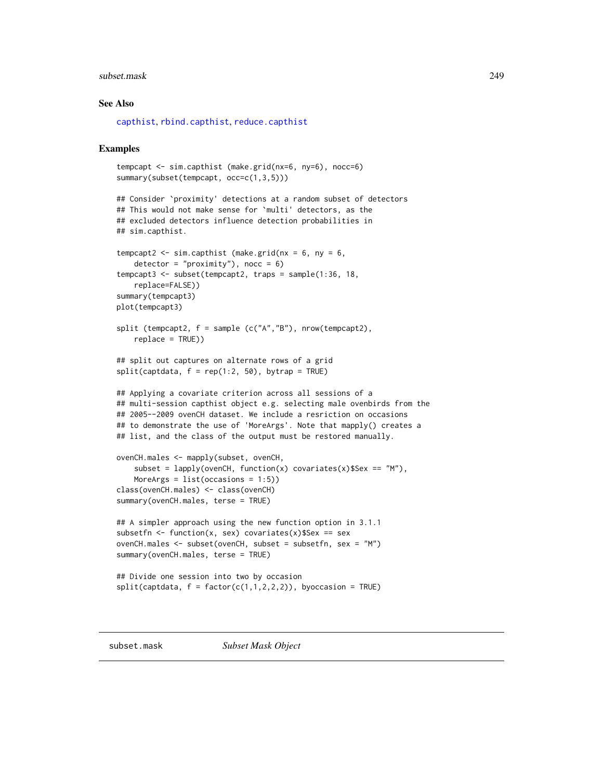#### subset.mask 249

## See Also

[capthist](#page-22-0), [rbind.capthist](#page-169-0), [reduce.capthist](#page-183-0)

#### Examples

```
tempcapt <- sim.capthist (make.grid(nx=6, ny=6), nocc=6)
summary(subset(tempcapt, occ=c(1,3,5)))
## Consider `proximity' detections at a random subset of detectors
## This would not make sense for `multi' detectors, as the
## excluded detectors influence detection probabilities in
## sim.capthist.
tempcapt2 <- sim.capthist (make.grid(nx = 6, ny = 6,
    detection = "proximity"), nocc = 6)
tempcapt3 <- subset(tempcapt2, traps = sample(1:36, 18,
   replace=FALSE))
summary(tempcapt3)
plot(tempcapt3)
split (tempcapt2, f = sample (c("A","B"), nrow(tempcapt2),
    replace = TRUE))
## split out captures on alternate rows of a grid
split(captdata, f = rep(1:2, 50), bytrap = TRUE)## Applying a covariate criterion across all sessions of a
## multi-session capthist object e.g. selecting male ovenbirds from the
## 2005--2009 ovenCH dataset. We include a resriction on occasions
## to demonstrate the use of 'MoreArgs'. Note that mapply() creates a
## list, and the class of the output must be restored manually.
ovenCH.males <- mapply(subset, ovenCH,
    subset = lapply(ovenCH, function(x) covariates(x)$Sex == m"),
   MoreArgs = list(occasions = 1:5))class(ovenCH.males) <- class(ovenCH)
summary(ovenCH.males, terse = TRUE)
## A simpler approach using the new function option in 3.1.1
subsetfn <- function(x, sex) covariates(x)$Sex == sex
ovenCH.males <- subset(ovenCH, subset = subsetfn, sex = "M")
summary(ovenCH.males, terse = TRUE)
## Divide one session into two by occasion
split(captdata, f = factor(c(1,1,2,2,2)), byoccasion = TRUE)
```
subset.mask *Subset Mask Object*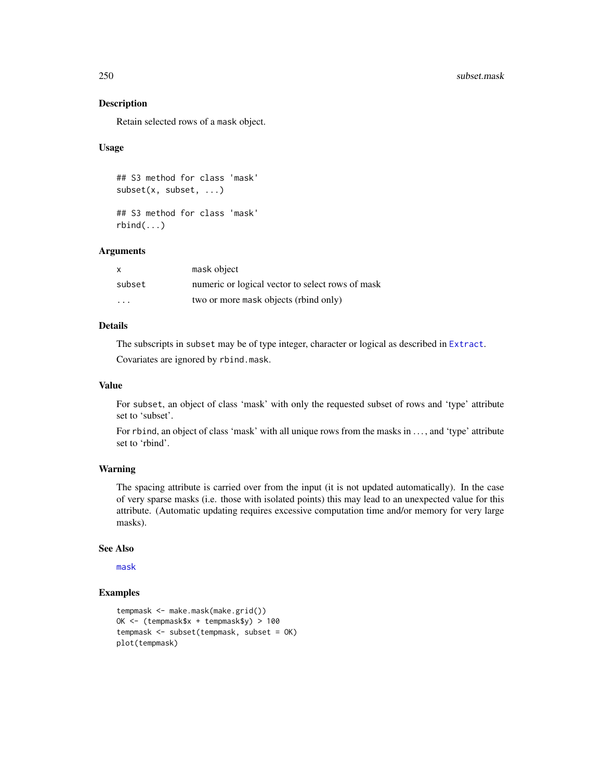#### 250 subset.mask

## Description

Retain selected rows of a mask object.

## Usage

```
## S3 method for class 'mask'
subset(x, subset, ...)
## S3 method for class 'mask'
```
rbind(...)

# **Arguments**

| x                       | mask object                                      |
|-------------------------|--------------------------------------------------|
| subset                  | numeric or logical vector to select rows of mask |
| $\cdot$ $\cdot$ $\cdot$ | two or more mask objects (rbind only)            |

# Details

The subscripts in subset may be of type integer, character or logical as described in [Extract](#page-0-0). Covariates are ignored by rbind.mask.

## Value

For subset, an object of class 'mask' with only the requested subset of rows and 'type' attribute set to 'subset'.

For rbind, an object of class 'mask' with all unique rows from the masks in ..., and 'type' attribute set to 'rbind'.

## Warning

The spacing attribute is carried over from the input (it is not updated automatically). In the case of very sparse masks (i.e. those with isolated points) this may lead to an unexpected value for this attribute. (Automatic updating requires excessive computation time and/or memory for very large masks).

# See Also

[mask](#page-113-0)

## Examples

```
tempmask <- make.mask(make.grid())
OK <- (tempmask$x + tempmask$y) > 100
tempmask <- subset(tempmask, subset = OK)
plot(tempmask)
```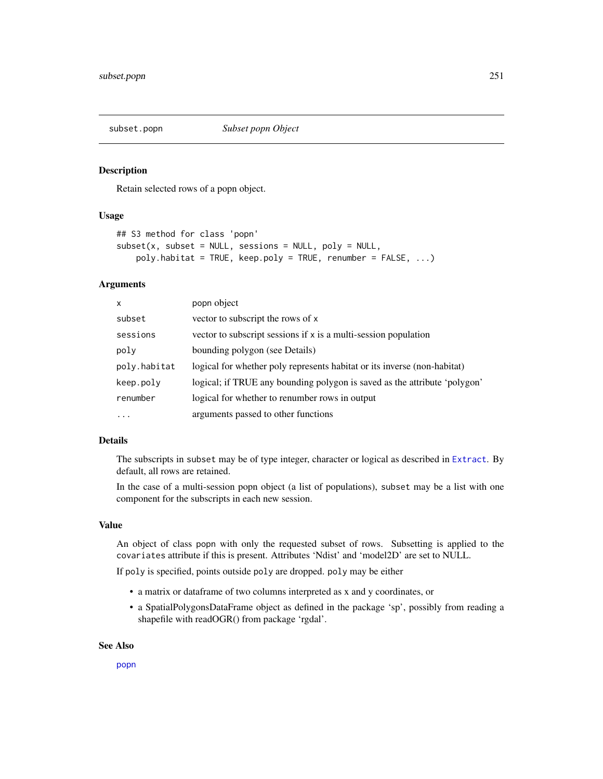#### Description

Retain selected rows of a popn object.

## Usage

```
## S3 method for class 'popn'
subset(x, subset = NULL, sessions = NULL, poly = NULL,poly.habitat = TRUE, keep.poly = TRUE, renumber = FALSE, ...)
```
## Arguments

| $\mathsf{x}$ | popn object                                                               |
|--------------|---------------------------------------------------------------------------|
| subset       | vector to subscript the rows of x                                         |
| sessions     | vector to subscript sessions if x is a multi-session population           |
| poly         | bounding polygon (see Details)                                            |
| poly.habitat | logical for whether poly represents habitat or its inverse (non-habitat)  |
| keep.poly    | logical; if TRUE any bounding polygon is saved as the attribute 'polygon' |
| renumber     | logical for whether to renumber rows in output                            |
| $\cdots$     | arguments passed to other functions                                       |

## Details

The subscripts in subset may be of type integer, character or logical as described in [Extract](#page-0-0). By default, all rows are retained.

In the case of a multi-session popn object (a list of populations), subset may be a list with one component for the subscripts in each new session.

## Value

An object of class popn with only the requested subset of rows. Subsetting is applied to the covariates attribute if this is present. Attributes 'Ndist' and 'model2D' are set to NULL.

If poly is specified, points outside poly are dropped. poly may be either

- a matrix or dataframe of two columns interpreted as x and y coordinates, or
- a SpatialPolygonsDataFrame object as defined in the package 'sp', possibly from reading a shapefile with readOGR() from package 'rgdal'.

#### See Also

[popn](#page-154-0)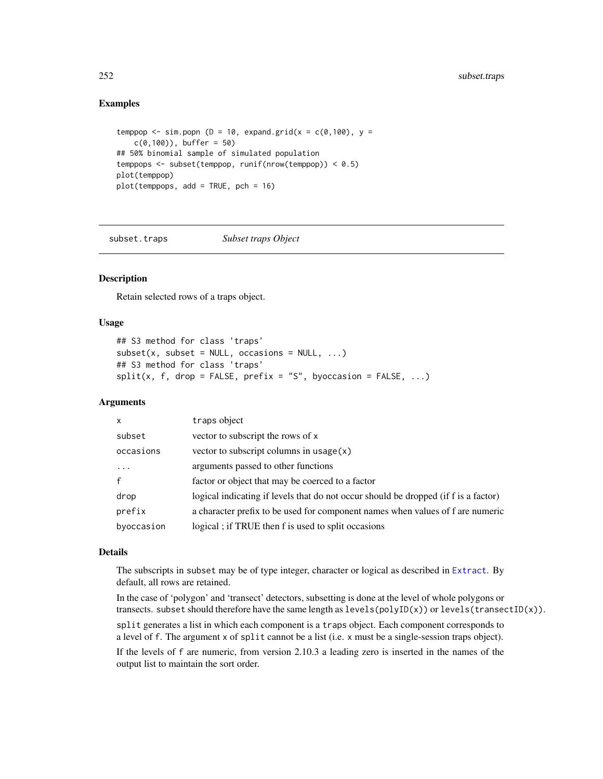## Examples

```
temppop \le sim.popn (D = 10, expand.grid(x = c(0,100), y =
   c(0,100), buffer = 50)
## 50% binomial sample of simulated population
temppops <- subset(temppop, runif(nrow(temppop)) < 0.5)
plot(temppop)
plot(temppops, add = TRUE, pch = 16)
```
subset.traps *Subset traps Object*

## Description

Retain selected rows of a traps object.

## Usage

```
## S3 method for class 'traps'
subset(x, subset = NULL, occasions = NULL, ...)## S3 method for class 'traps'
split(x, f, drop = FALSE, prefix = "S", by occasion = FALSE, ...)
```
## Arguments

| $\mathsf{x}$            | traps object                                                                        |
|-------------------------|-------------------------------------------------------------------------------------|
| subset                  | vector to subscript the rows of x                                                   |
| occasions               | vector to subscript columns in usage $(x)$                                          |
| $\cdot$ $\cdot$ $\cdot$ | arguments passed to other functions                                                 |
| $\mathbf{f}$            | factor or object that may be coerced to a factor                                    |
| drop                    | logical indicating if levels that do not occur should be dropped (if f is a factor) |
| prefix                  | a character prefix to be used for component names when values of f are numeric      |
| byoccasion              | logical; if TRUE then f is used to split occasions                                  |

## Details

The subscripts in subset may be of type integer, character or logical as described in [Extract](#page-0-0). By default, all rows are retained.

In the case of 'polygon' and 'transect' detectors, subsetting is done at the level of whole polygons or transects. subset should therefore have the same length as levels(polyID(x)) or levels(transectID(x)). split generates a list in which each component is a traps object. Each component corresponds to a level of f. The argument x of split cannot be a list (i.e. x must be a single-session traps object). If the levels of f are numeric, from version 2.10.3 a leading zero is inserted in the names of the output list to maintain the sort order.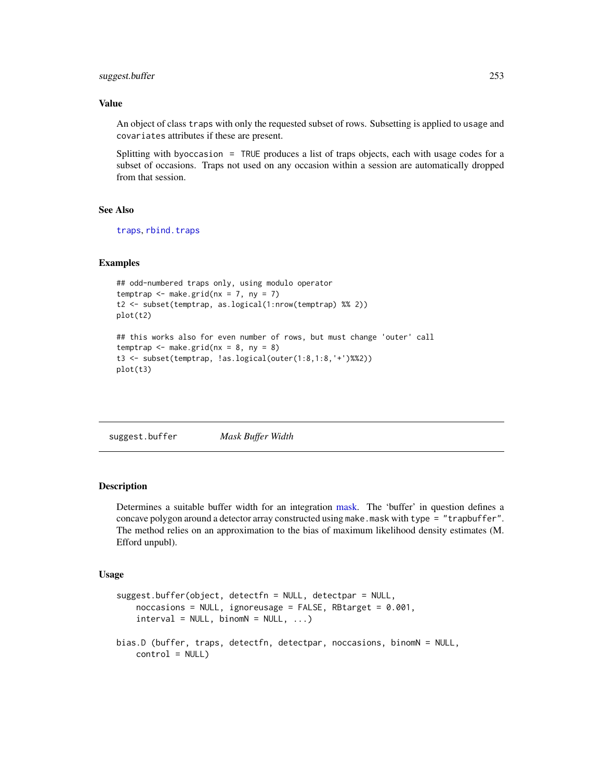# suggest.buffer 253

## Value

An object of class traps with only the requested subset of rows. Subsetting is applied to usage and covariates attributes if these are present.

Splitting with byoccasion = TRUE produces a list of traps objects, each with usage codes for a subset of occasions. Traps not used on any occasion within a session are automatically dropped from that session.

## See Also

[traps](#page-267-0), [rbind.traps](#page-173-0)

# Examples

```
## odd-numbered traps only, using modulo operator
temptrap \leq make.grid(nx = 7, ny = 7)
t2 <- subset(temptrap, as.logical(1:nrow(temptrap) %% 2))
plot(t2)
## this works also for even number of rows, but must change 'outer' call
temptrap \leq make.grid(nx = 8, ny = 8)
t3 <- subset(temptrap, !as.logical(outer(1:8,1:8,'+')%%2))
plot(t3)
```
suggest.buffer *Mask Buffer Width*

# **Description**

Determines a suitable buffer width for an integration [mask.](#page-113-0) The 'buffer' in question defines a concave polygon around a detector array constructed using make.mask with type = "trapbuffer". The method relies on an approximation to the bias of maximum likelihood density estimates (M. Efford unpubl).

## Usage

```
suggest.buffer(object, detectfn = NULL, detectpar = NULL,
   noccasions = NULL, ignoreusage = FALSE, RBtarget = 0.001,
    interval = NULL, binomN = NULL, ...bias.D (buffer, traps, detectfn, detectpar, noccasions, binomN = NULL,
   control = NULL)
```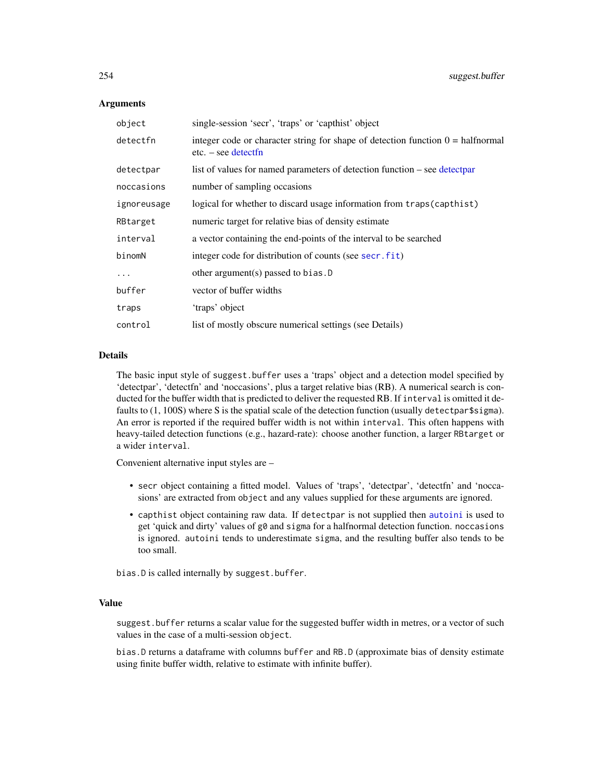## Arguments

| object      | single-session 'secr', 'traps' or 'capthist' object                                                             |
|-------------|-----------------------------------------------------------------------------------------------------------------|
| detectfn    | integer code or character string for shape of detection function $0 = \text{halfnormal}$<br>$etc. - see detect$ |
| detectpar   | list of values for named parameters of detection function – see detectpar                                       |
| noccasions  | number of sampling occasions                                                                                    |
| ignoreusage | logical for whether to discard usage information from traps (capthist)                                          |
| RBtarget    | numeric target for relative bias of density estimate                                                            |
| interval    | a vector containing the end-points of the interval to be searched                                               |
| binomN      | integer code for distribution of counts (see secr. fit)                                                         |
| .           | other argument(s) passed to bias. $D$                                                                           |
| buffer      | vector of buffer widths                                                                                         |
| traps       | 'traps' object                                                                                                  |
| control     | list of mostly obscure numerical settings (see Details)                                                         |

## Details

The basic input style of suggest.buffer uses a 'traps' object and a detection model specified by 'detectpar', 'detectfn' and 'noccasions', plus a target relative bias (RB). A numerical search is conducted for the buffer width that is predicted to deliver the requested RB. If interval is omitted it defaults to (1, 100S) where S is the spatial scale of the detection function (usually detectpar\$sigma). An error is reported if the required buffer width is not within interval. This often happens with heavy-tailed detection functions (e.g., hazard-rate): choose another function, a larger RBtarget or a wider interval.

Convenient alternative input styles are –

- secr object containing a fitted model. Values of 'traps', 'detectpar', 'detectfn' and 'noccasions' are extracted from object and any values supplied for these arguments are ignored.
- capthist object containing raw data. If detectpar is not supplied then [autoini](#page-17-0) is used to get 'quick and dirty' values of g0 and sigma for a halfnormal detection function. noccasions is ignored. autoini tends to underestimate sigma, and the resulting buffer also tends to be too small.

bias.D is called internally by suggest.buffer.

# Value

suggest.buffer returns a scalar value for the suggested buffer width in metres, or a vector of such values in the case of a multi-session object.

bias.D returns a dataframe with columns buffer and RB.D (approximate bias of density estimate using finite buffer width, relative to estimate with infinite buffer).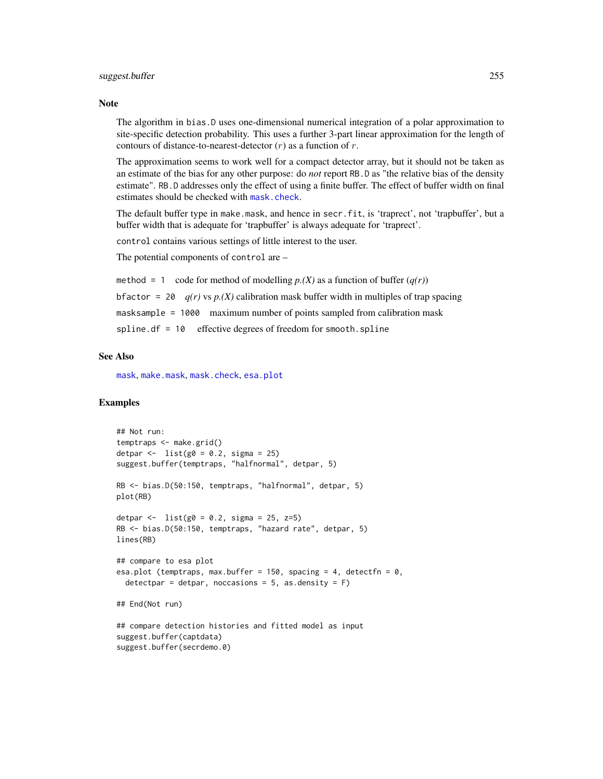## **Note**

The algorithm in bias.D uses one-dimensional numerical integration of a polar approximation to site-specific detection probability. This uses a further 3-part linear approximation for the length of contours of distance-to-nearest-detector  $(r)$  as a function of  $r$ .

The approximation seems to work well for a compact detector array, but it should not be taken as an estimate of the bias for any other purpose: do *not* report RB.D as "the relative bias of the density estimate". RB.D addresses only the effect of using a finite buffer. The effect of buffer width on final estimates should be checked with [mask.check](#page-114-0).

The default buffer type in make.mask, and hence in secr.fit, is 'traprect', not 'trapbuffer', but a buffer width that is adequate for 'trapbuffer' is always adequate for 'traprect'.

control contains various settings of little interest to the user.

The potential components of control are –

method = 1 code for method of modelling  $p(X)$  as a function of buffer  $(q(r))$ bfactor = 20  $q(r)$  vs  $p(X)$  calibration mask buffer width in multiples of trap spacing masksample = 1000 maximum number of points sampled from calibration mask spline.df = 10 effective degrees of freedom for smooth.spline

# See Also

[mask](#page-113-0), [make.mask](#page-104-0), [mask.check](#page-114-0), [esa.plot](#page-66-0)

```
## Not run:
temptraps <- make.grid()
detpar \leftarrow list(g0 = 0.2, sigma = 25)
suggest.buffer(temptraps, "halfnormal", detpar, 5)
RB <- bias.D(50:150, temptraps, "halfnormal", detpar, 5)
plot(RB)
detpar <- list(g0 = 0.2, sigma = 25, z=5)RB <- bias.D(50:150, temptraps, "hazard rate", detpar, 5)
lines(RB)
## compare to esa plot
esa.plot (temptraps, max.buffer = 150, spacing = 4, detectfn = 0,
 detectpar = detpar, noccasions = 5, as.density = F)
## End(Not run)
## compare detection histories and fitted model as input
suggest.buffer(captdata)
suggest.buffer(secrdemo.0)
```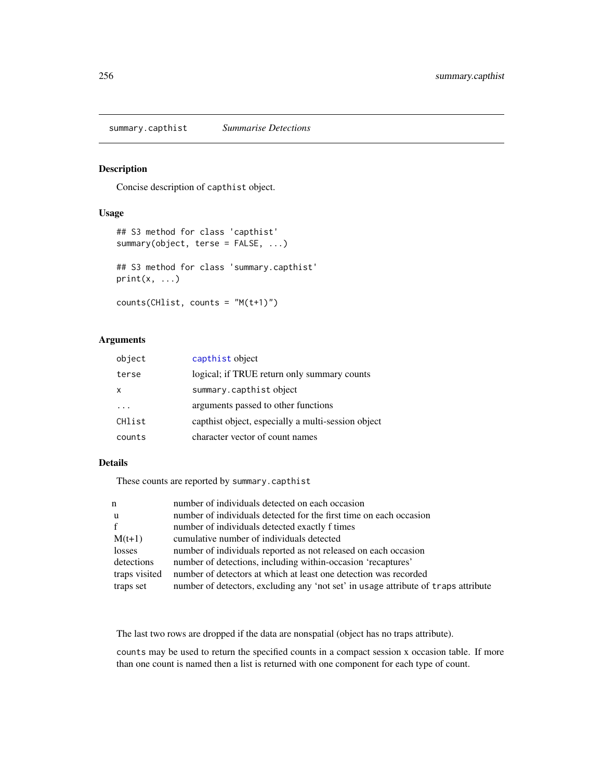summary.capthist *Summarise Detections*

# Description

Concise description of capthist object.

## Usage

```
## S3 method for class 'capthist'
summary(object, terse = FALSE, ...)
## S3 method for class 'summary.capthist'
print(x, \ldots)counts(CHlist, counts = "M(t+1)")
```
# Arguments

| object | capthist object                                    |
|--------|----------------------------------------------------|
| terse  | logical; if TRUE return only summary counts        |
| x      | summary.capthist object                            |
|        | arguments passed to other functions                |
| CHlist | capthist object, especially a multi-session object |
| counts | character vector of count names                    |

# Details

These counts are reported by summary.capthist

| n             | number of individuals detected on each occasion                                    |
|---------------|------------------------------------------------------------------------------------|
| u             | number of individuals detected for the first time on each occasion                 |
| f             | number of individuals detected exactly f times                                     |
| $M(t+1)$      | cumulative number of individuals detected                                          |
| losses        | number of individuals reported as not released on each occasion                    |
| detections    | number of detections, including within-occasion 'recaptures'                       |
| traps visited | number of detectors at which at least one detection was recorded                   |
| traps set     | number of detectors, excluding any 'not set' in usage attribute of traps attribute |

The last two rows are dropped if the data are nonspatial (object has no traps attribute).

counts may be used to return the specified counts in a compact session x occasion table. If more than one count is named then a list is returned with one component for each type of count.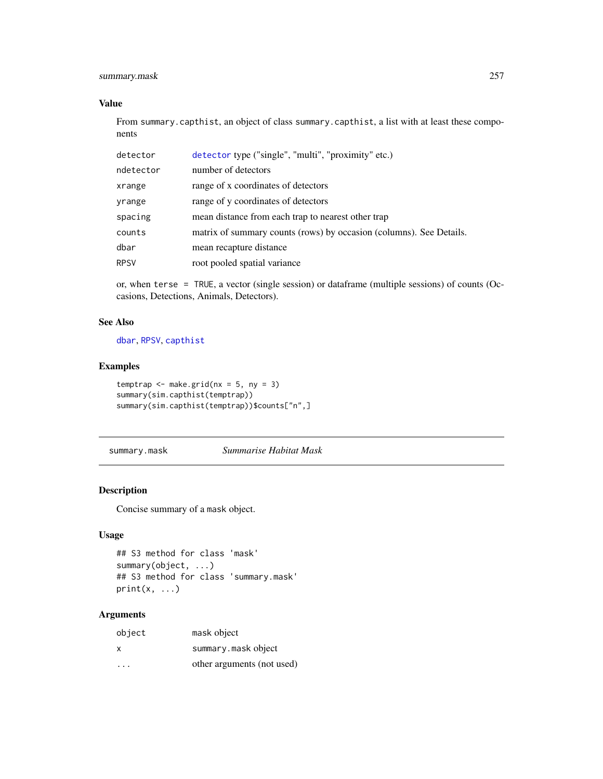# summary.mask 257

# Value

From summary.capthist, an object of class summary.capthist, a list with at least these components

| detector    | detector type ("single", "multi", "proximity" etc.)                 |
|-------------|---------------------------------------------------------------------|
| ndetector   | number of detectors                                                 |
| xrange      | range of x coordinates of detectors                                 |
| yrange      | range of y coordinates of detectors                                 |
| spacing     | mean distance from each trap to nearest other trap                  |
| counts      | matrix of summary counts (rows) by occasion (columns). See Details. |
| dbar        | mean recapture distance                                             |
| <b>RPSV</b> | root pooled spatial variance                                        |

or, when terse = TRUE, a vector (single session) or dataframe (multiple sessions) of counts (Occasions, Detections, Animals, Detectors).

## See Also

[dbar](#page-82-0), [RPSV](#page-82-0), [capthist](#page-22-0)

## Examples

```
temptrap \leq make.grid(nx = 5, ny = 3)
summary(sim.capthist(temptrap))
summary(sim.capthist(temptrap))$counts["n",]
```
summary.mask *Summarise Habitat Mask*

## Description

Concise summary of a mask object.

# Usage

```
## S3 method for class 'mask'
summary(object, ...)
## S3 method for class 'summary.mask'
print(x, \ldots)
```
# Arguments

| object | mask object                |
|--------|----------------------------|
| X      | summary.maskobject         |
| .      | other arguments (not used) |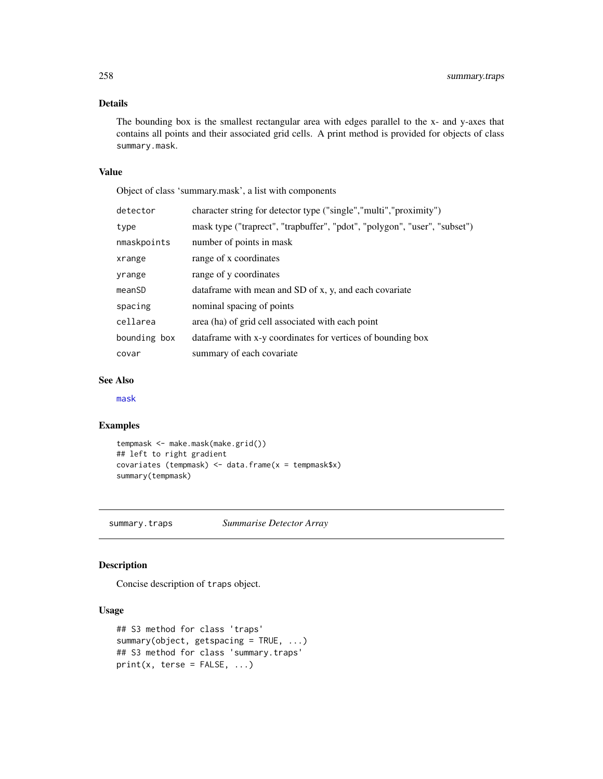# Details

The bounding box is the smallest rectangular area with edges parallel to the x- and y-axes that contains all points and their associated grid cells. A print method is provided for objects of class summary.mask.

# Value

Object of class 'summary.mask', a list with components

| detector     | character string for detector type ("single","multi","proximity")         |
|--------------|---------------------------------------------------------------------------|
| type         | mask type ("traprect", "trapbuffer", "pdot", "polygon", "user", "subset") |
| nmaskpoints  | number of points in mask                                                  |
| xrange       | range of x coordinates                                                    |
| yrange       | range of y coordinates                                                    |
| meanSD       | dataframe with mean and SD of x, y, and each covariate                    |
| spacing      | nominal spacing of points                                                 |
| cellarea     | area (ha) of grid cell associated with each point                         |
| bounding box | data frame with x-y coordinates for vertices of bounding box              |
| covar        | summary of each covariate                                                 |
|              |                                                                           |

# See Also

[mask](#page-113-0)

## Examples

```
tempmask <- make.mask(make.grid())
## left to right gradient
covariates (tempmask) <- data.frame(x = tempmask$x)
summary(tempmask)
```
summary.traps *Summarise Detector Array*

# Description

Concise description of traps object.

# Usage

```
## S3 method for class 'traps'
summary(object, getspacing = TRUE, ...)
## S3 method for class 'summary.traps'
print(x, \text{terse} = FALSE, ...)
```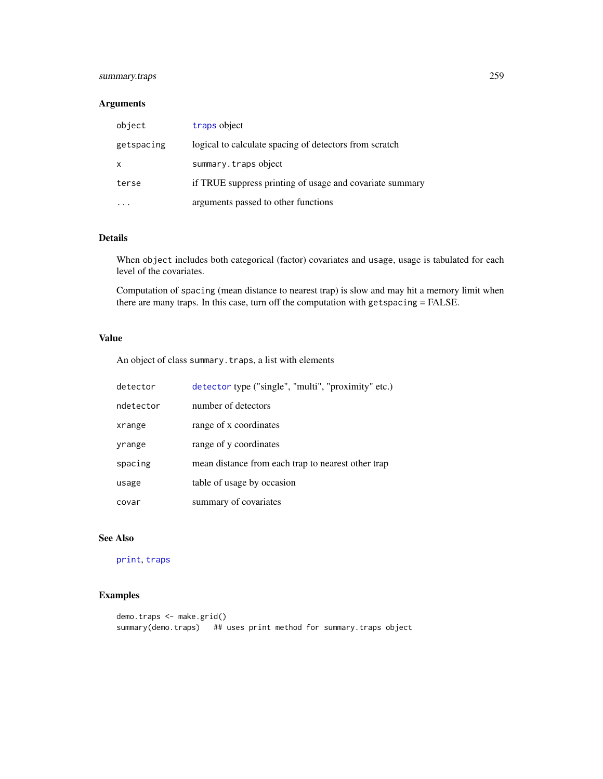# summary.traps 259

# Arguments

| object     | traps object                                             |
|------------|----------------------------------------------------------|
| getspacing | logical to calculate spacing of detectors from scratch   |
| X          | summary.trapsobject                                      |
| terse      | if TRUE suppress printing of usage and covariate summary |
|            | arguments passed to other functions                      |

# Details

When object includes both categorical (factor) covariates and usage, usage is tabulated for each level of the covariates.

Computation of spacing (mean distance to nearest trap) is slow and may hit a memory limit when there are many traps. In this case, turn off the computation with getspacing = FALSE.

# Value

An object of class summary.traps, a list with elements

| detector  | detector type ("single", "multi", "proximity" etc.) |
|-----------|-----------------------------------------------------|
| ndetector | number of detectors                                 |
| xrange    | range of x coordinates                              |
| yrange    | range of y coordinates                              |
| spacing   | mean distance from each trap to nearest other trap  |
| usage     | table of usage by occasion                          |
| covar     | summary of covariates                               |

# See Also

[print](#page-0-0), [traps](#page-267-0)

```
demo.traps <- make.grid()
summary(demo.traps) ## uses print method for summary.traps object
```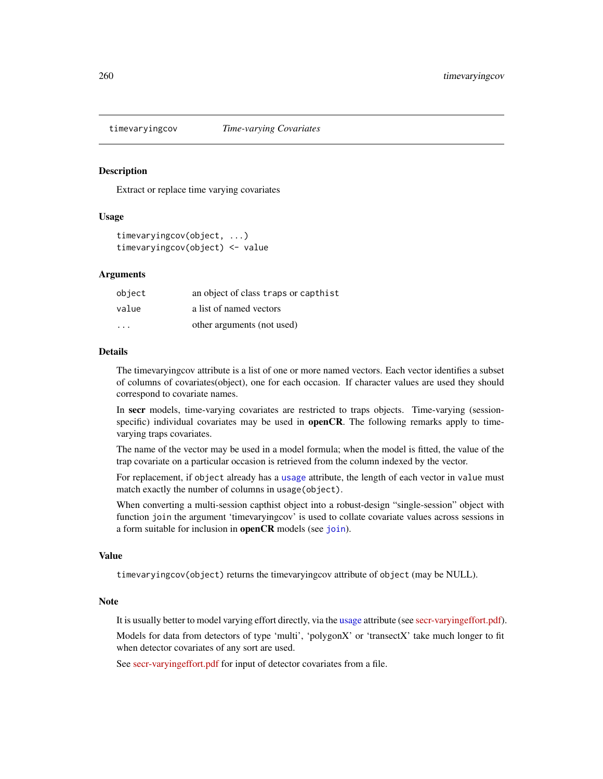Extract or replace time varying covariates

# Usage

```
timevaryingcov(object, ...)
timevaryingcov(object) <- value
```
## Arguments

| object                  | an object of class traps or capthist |
|-------------------------|--------------------------------------|
| value                   | a list of named vectors              |
| $\cdot$ $\cdot$ $\cdot$ | other arguments (not used)           |

## Details

The timevaryingcov attribute is a list of one or more named vectors. Each vector identifies a subset of columns of covariates(object), one for each occasion. If character values are used they should correspond to covariate names.

In secr models, time-varying covariates are restricted to traps objects. Time-varying (sessionspecific) individual covariates may be used in **openCR**. The following remarks apply to timevarying traps covariates.

The name of the vector may be used in a model formula; when the model is fitted, the value of the trap covariate on a particular occasion is retrieved from the column indexed by the vector.

For replacement, if object already has a [usage](#page-276-0) attribute, the length of each vector in value must match exactly the number of columns in usage(object).

When converting a multi-session capthist object into a robust-design "single-session" object with function join the argument 'timevaryingcov' is used to collate covariate values across sessions in a form suitable for inclusion in **openCR** models (see [join](#page-94-0)).

### Value

timevaryingcov(object) returns the timevaryingcov attribute of object (may be NULL).

## Note

It is usually better to model varying effort directly, via the [usage](#page-276-0) attribute (see [secr-varyingeffort.pdf\)](https://www.otago.ac.nz/density/pdfs/secr-varyingeffort.pdf).

Models for data from detectors of type 'multi', 'polygonX' or 'transectX' take much longer to fit when detector covariates of any sort are used.

See [secr-varyingeffort.pdf](https://www.otago.ac.nz/density/pdfs/secr-varyingeffort.pdf) for input of detector covariates from a file.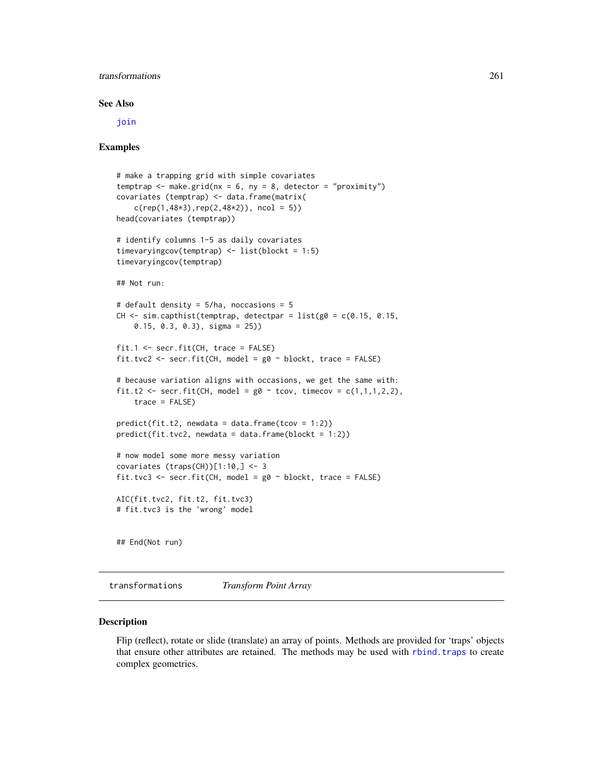# transformations 261

#### See Also

[join](#page-94-0)

## Examples

```
# make a trapping grid with simple covariates
temptrap \leq make.grid(nx = 6, ny = 8, detector = "proximity")
covariates (temptrap) <- data.frame(matrix(
    c(rep(1,48*3),rep(2,48*2)), ncol = 5))
head(covariates (temptrap))
# identify columns 1-5 as daily covariates
timevaryingcov(temptrap) <- list(blockt = 1:5)
timevaryingcov(temptrap)
## Not run:
# default density = 5/ha, noccasions = 5
CH \le sim.capthist(temptrap, detectpar = list(g0 = c(0.15, 0.15,
    0.15, 0.3, 0.3), sigma = 25))
fit.1 <- secr.fit(CH, trace = FALSE)
fit.tvc2 <- secr.fit(CH, model = g0 \sim blockt, trace = FALSE)
# because variation aligns with occasions, we get the same with:
fit.t2 <- secr.fit(CH, model = g0 \sim tcov, timecov = c(1,1,1,2,2),
    trace = FALSE)
predict(fit.t2, newdata = data.frame(tcov = 1:2))predict(fit.tvc2, newdata = data.frame(blockt = 1:2))# now model some more messy variation
covariates (traps(CH))[1:10,] <- 3
fit.tvc3 <- secr.fit(CH, model = g0 ~ blockt, trace = FALSE)
AIC(fit.tvc2, fit.t2, fit.tvc3)
# fit.tvc3 is the 'wrong' model
## End(Not run)
```
transformations *Transform Point Array*

## <span id="page-260-0"></span>Description

Flip (reflect), rotate or slide (translate) an array of points. Methods are provided for 'traps' objects that ensure other attributes are retained. The methods may be used with [rbind.traps](#page-173-0) to create complex geometries.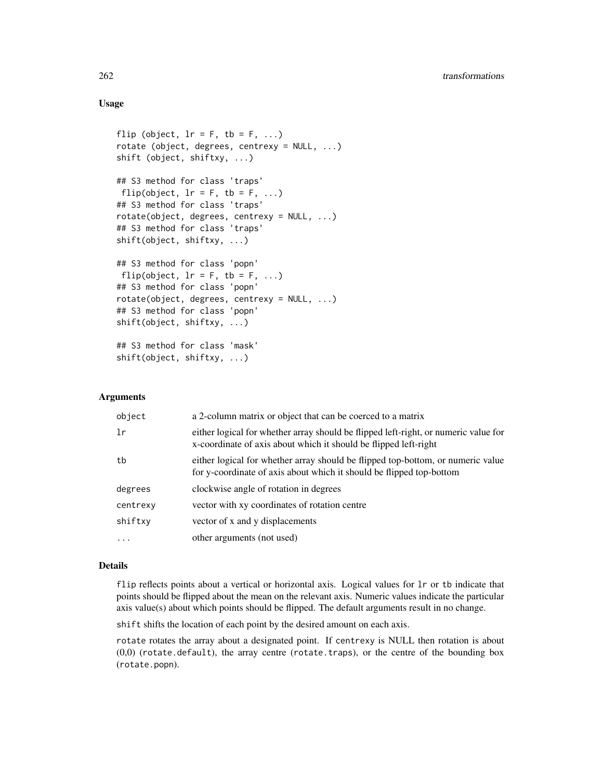# Usage

```
flip (object, lr = F, tb = F, ...)
rotate (object, degrees, centrexy = NULL, ...)
shift (object, shiftxy, ...)
## S3 method for class 'traps'
flip(object, lr = F, tb = F, ...)
## S3 method for class 'traps'
rotate(object, degrees, centrexy = NULL, ...)
## S3 method for class 'traps'
shift(object, shiftxy, ...)
## S3 method for class 'popn'
flip(object, lr = F, tb = F, ...)
## S3 method for class 'popn'
rotate(object, degrees, centrexy = NULL, ...)
## S3 method for class 'popn'
shift(object, shiftxy, ...)
## S3 method for class 'mask'
shift(object, shiftxy, ...)
```
## Arguments

| object   | a 2-column matrix or object that can be coerced to a matrix                                                                                             |
|----------|---------------------------------------------------------------------------------------------------------------------------------------------------------|
| 1r       | either logical for whether array should be flipped left-right, or numeric value for<br>x-coordinate of axis about which it should be flipped left-right |
| tb       | either logical for whether array should be flipped top-bottom, or numeric value<br>for y-coordinate of axis about which it should be flipped top-bottom |
| degrees  | clockwise angle of rotation in degrees                                                                                                                  |
| centrexy | vector with xy coordinates of rotation centre                                                                                                           |
| shiftxy  | vector of x and y displacements                                                                                                                         |
| $\cdot$  | other arguments (not used)                                                                                                                              |

#### Details

flip reflects points about a vertical or horizontal axis. Logical values for lr or tb indicate that points should be flipped about the mean on the relevant axis. Numeric values indicate the particular axis value(s) about which points should be flipped. The default arguments result in no change.

shift shifts the location of each point by the desired amount on each axis.

rotate rotates the array about a designated point. If centrexy is NULL then rotation is about (0,0) (rotate.default), the array centre (rotate.traps), or the centre of the bounding box (rotate.popn).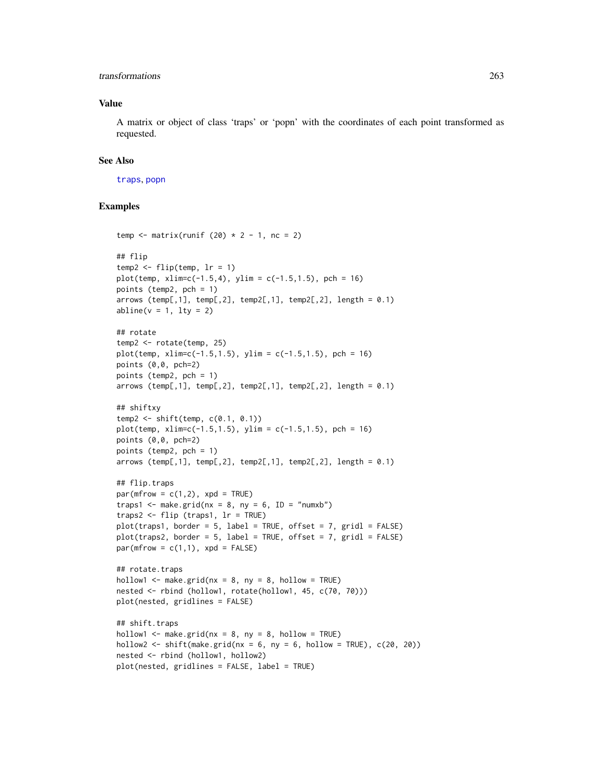# transformations 263

# Value

A matrix or object of class 'traps' or 'popn' with the coordinates of each point transformed as requested.

## See Also

[traps](#page-267-0), [popn](#page-154-0)

```
temp \le matrix(runif (20) \star 2 - 1, nc = 2)
## flip
temp2 \leq -flip(temp, lr = 1)plot(temp, xlim=c(-1.5,4), ylim = c(-1.5,1.5), pch = 16)
points (temp2, pch = 1)
arrows (temp[,1], temp[,2], temp2[,1], temp2[,2], length = 0.1)
abline(v = 1, lty = 2)## rotate
temp2 <- rotate(temp, 25)
plot(temp, xlim=c(-1.5,1.5), ylim = c(-1.5,1.5), pch = 16)
points (0,0, pch=2)
points (temp2, pch = 1)
arrows (temp[,1], temp[,2], temp2[,1], temp2[,2], length = 0.1)
## shiftxy
temp2 <- shift(temp, c(0.1, 0.1))
plot(temp, xlim=c(-1.5, 1.5), ylim = c(-1.5, 1.5), pch = 16)points (0,0, pch=2)
points (temp2, pch = 1)
arrows (temp[,1], temp[,2], temp2[,1], temp2[,2], length = 0.1)
## flip.traps
par(mfrow = c(1,2), xpd = TRUE)traps1 <- make.grid(nx = 8, ny = 6, ID = "numxb")traps2 <- flip (traps1, lr = TRUE)
plot(traps1, border = 5, label = TRUE, offset = 7, grid = FALSE)plot(traps2, border = 5, label = TRUE, offset = 7, gridl = FALSE)
par(mfrow = c(1,1), xpd = FALSE)## rotate.traps
hollow1 \leq make.grid(nx = 8, ny = 8, hollow = TRUE)
nested <- rbind (hollow1, rotate(hollow1, 45, c(70, 70)))
plot(nested, gridlines = FALSE)
## shift.traps
hollow1 \leq make.grid(nx = 8, ny = 8, hollow = TRUE)
hollow2 \le shift(make.grid(nx = 6, ny = 6, hollow = TRUE), c(20, 20))
nested <- rbind (hollow1, hollow2)
plot(nested, gridlines = FALSE, label = TRUE)
```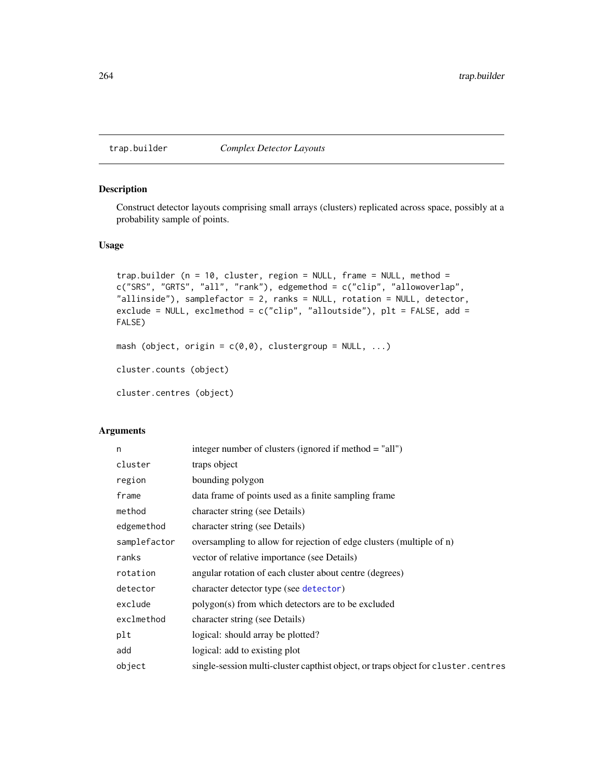<span id="page-263-1"></span><span id="page-263-0"></span>

Construct detector layouts comprising small arrays (clusters) replicated across space, possibly at a probability sample of points.

# Usage

```
trap.builder (n = 10, cluster, region = NULL, frame = NULL, method =
c("SRS", "GRTS", "all", "rank"), edgemethod = c("clip", "allowoverlap",
"allinside"), samplefactor = 2, ranks = NULL, rotation = NULL, detector,
exclude = NULL, exclmethod = c("clip", "allowside"), plt = FALSE, add =FALSE)
mash (object, origin = c(0,0), clustergroup = NULL, ...)
cluster.counts (object)
```
cluster.centres (object)

## Arguments

| n            | integer number of clusters (ignored if method = "all")                             |
|--------------|------------------------------------------------------------------------------------|
| cluster      | traps object                                                                       |
| region       | bounding polygon                                                                   |
| frame        | data frame of points used as a finite sampling frame                               |
| method       | character string (see Details)                                                     |
| edgemethod   | character string (see Details)                                                     |
| samplefactor | oversampling to allow for rejection of edge clusters (multiple of n)               |
| ranks        | vector of relative importance (see Details)                                        |
| rotation     | angular rotation of each cluster about centre (degrees)                            |
| detector     | character detector type (see detector)                                             |
| exclude      | polygon(s) from which detectors are to be excluded                                 |
| exclmethod   | character string (see Details)                                                     |
| plt          | logical: should array be plotted?                                                  |
| add          | logical: add to existing plot                                                      |
| object       | single-session multi-cluster capthist object, or traps object for cluster. centres |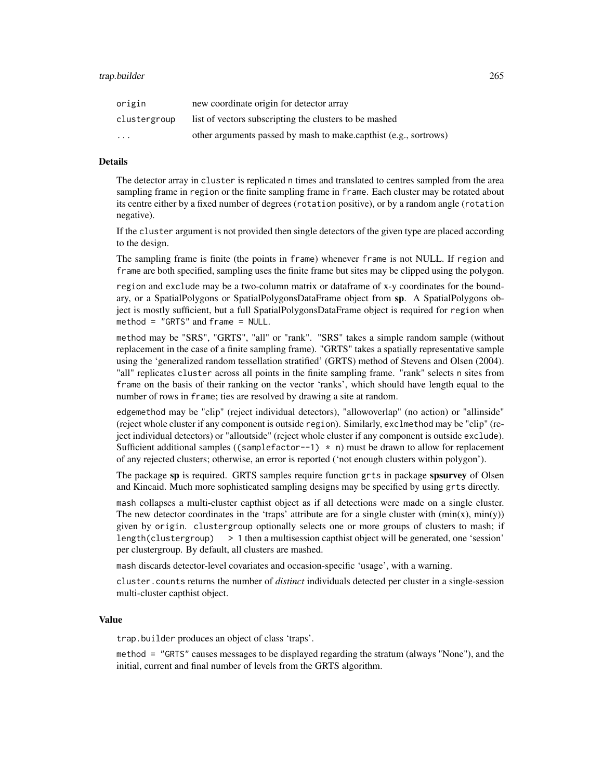| origin                  | new coordinate origin for detector array                         |
|-------------------------|------------------------------------------------------------------|
| clustergroup            | list of vectors subscripting the clusters to be mashed           |
| $\cdot$ $\cdot$ $\cdot$ | other arguments passed by mash to make.capthist (e.g., sortrows) |

# Details

The detector array in cluster is replicated n times and translated to centres sampled from the area sampling frame in region or the finite sampling frame in frame. Each cluster may be rotated about its centre either by a fixed number of degrees (rotation positive), or by a random angle (rotation negative).

If the cluster argument is not provided then single detectors of the given type are placed according to the design.

The sampling frame is finite (the points in frame) whenever frame is not NULL. If region and frame are both specified, sampling uses the finite frame but sites may be clipped using the polygon.

region and exclude may be a two-column matrix or dataframe of x-y coordinates for the boundary, or a SpatialPolygons or SpatialPolygonsDataFrame object from sp. A SpatialPolygons object is mostly sufficient, but a full SpatialPolygonsDataFrame object is required for region when method = "GRTS" and frame = NULL.

method may be "SRS", "GRTS", "all" or "rank". "SRS" takes a simple random sample (without replacement in the case of a finite sampling frame). "GRTS" takes a spatially representative sample using the 'generalized random tessellation stratified' (GRTS) method of Stevens and Olsen (2004). "all" replicates cluster across all points in the finite sampling frame. "rank" selects n sites from frame on the basis of their ranking on the vector 'ranks', which should have length equal to the number of rows in frame; ties are resolved by drawing a site at random.

edgemethod may be "clip" (reject individual detectors), "allowoverlap" (no action) or "allinside" (reject whole cluster if any component is outside region). Similarly, exclmethod may be "clip" (reject individual detectors) or "alloutside" (reject whole cluster if any component is outside exclude). Sufficient additional samples ((samplefactor--1)  $*$  n) must be drawn to allow for replacement of any rejected clusters; otherwise, an error is reported ('not enough clusters within polygon').

The package sp is required. GRTS samples require function grts in package spsurvey of Olsen and Kincaid. Much more sophisticated sampling designs may be specified by using grts directly.

mash collapses a multi-cluster capthist object as if all detections were made on a single cluster. The new detector coordinates in the 'traps' attribute are for a single cluster with  $(\min(x), \min(y))$ given by origin. clustergroup optionally selects one or more groups of clusters to mash; if length(clustergroup) > 1 then a multisession capthist object will be generated, one 'session' per clustergroup. By default, all clusters are mashed.

mash discards detector-level covariates and occasion-specific 'usage', with a warning.

cluster.counts returns the number of *distinct* individuals detected per cluster in a single-session multi-cluster capthist object.

#### Value

trap.builder produces an object of class 'traps'.

method = "GRTS" causes messages to be displayed regarding the stratum (always "None"), and the initial, current and final number of levels from the GRTS algorithm.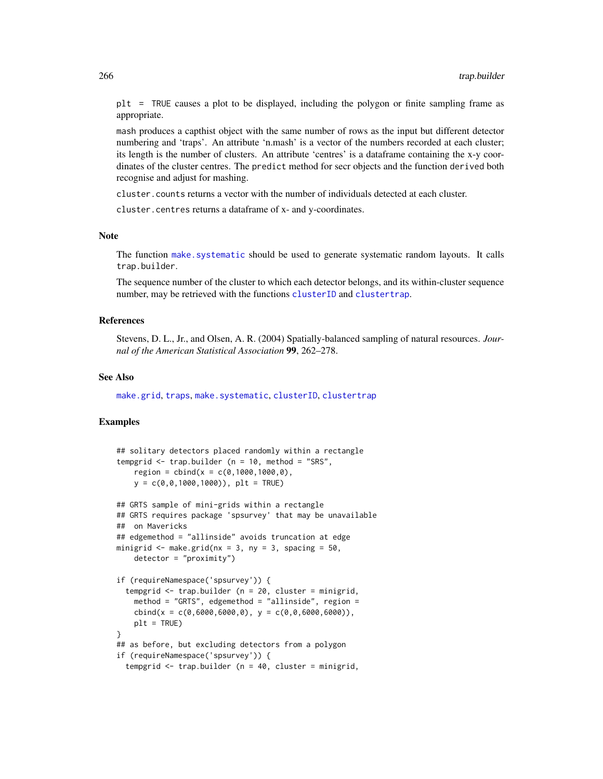plt = TRUE causes a plot to be displayed, including the polygon or finite sampling frame as appropriate.

mash produces a capthist object with the same number of rows as the input but different detector numbering and 'traps'. An attribute 'n.mash' is a vector of the numbers recorded at each cluster; its length is the number of clusters. An attribute 'centres' is a dataframe containing the x-y coordinates of the cluster centres. The predict method for secr objects and the function derived both recognise and adjust for mashing.

cluster.counts returns a vector with the number of individuals detected at each cluster.

cluster.centres returns a dataframe of x- and y-coordinates.

#### Note

The function [make.systematic](#page-107-0) should be used to generate systematic random layouts. It calls trap.builder.

The sequence number of the cluster to which each detector belongs, and its within-cluster sequence number, may be retrieved with the functions [clusterID](#page-32-0) and [clustertrap](#page-32-0).

# References

Stevens, D. L., Jr., and Olsen, A. R. (2004) Spatially-balanced sampling of natural resources. *Journal of the American Statistical Association* 99, 262–278.

#### See Also

[make.grid](#page-109-0), [traps](#page-267-0), [make.systematic](#page-107-0), [clusterID](#page-32-0), [clustertrap](#page-32-0)

```
## solitary detectors placed randomly within a rectangle
tempgrid \leq trap.builder (n = 10, method = "SRS",
    region = child(x = c(0, 1000, 1000, 0),
   y = c(0, 0, 1000, 1000), plt = TRUE)
## GRTS sample of mini-grids within a rectangle
## GRTS requires package 'spsurvey' that may be unavailable
## on Mavericks
## edgemethod = "allinside" avoids truncation at edge
minigrid \leq make.grid(nx = 3, ny = 3, spacing = 50,
    detection = "proximity")if (requireNamespace('spsurvey')) {
  tempgrid \leq trap.builder (n = 20, cluster = minigrid,
   method = "GRTS", edgemethod = "allinside", region =
   cbind(x = c(0,6000,6000,0), y = c(0,0,6000,6000)),
   plt = TRUE}
## as before, but excluding detectors from a polygon
if (requireNamespace('spsurvey')) {
 tempgrid <- trap.builder (n = 40, cluster = minigrid,
```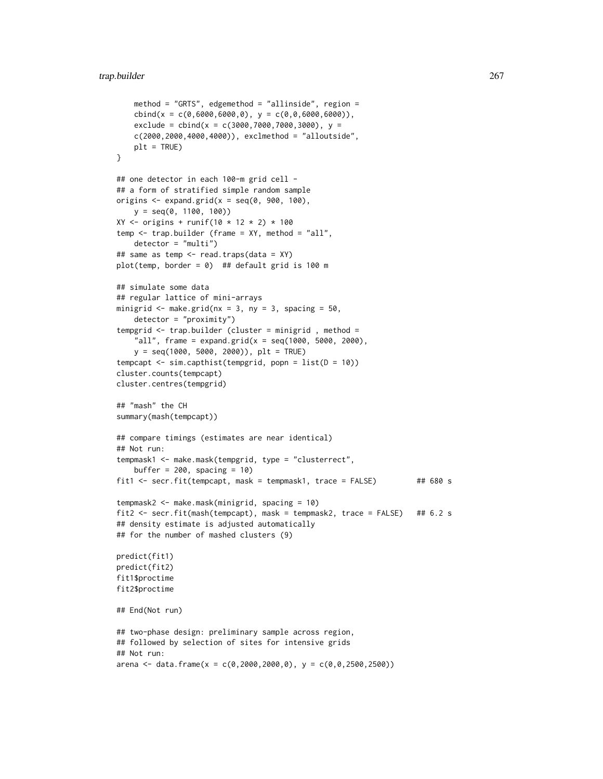```
method = "GRTS", edgemethod = "allinside", region =
    cbind(x = c(0,6000,6000,0), y = c(0,0,6000,6000)),
    exclude = cbind(x = c(3000, 7000, 7000, 3000), y =c(2000,2000,4000,4000)), exclmethod = "alloutside",
   plt = TRUE}
## one detector in each 100-m grid cell -
## a form of stratified simple random sample
origins \leq expand.grid(x = seq(0, 900, 100),
    y = seq(0, 1100, 100))
XY \le - origins + runif(10 * 12 * 2) * 100
temp \leq train.builder (frame = XY, method = "all",
    detection = "multi")## same as temp <- read.traps(data = XY)
plot(temp, border = 0) ## default grid is 100 m
## simulate some data
## regular lattice of mini-arrays
minigrid \leq make.grid(nx = 3, ny = 3, spacing = 50,
   detection = "proximity")tempgrid <- trap.builder (cluster = minigrid , method =
    "all", frame = expand.grid(x = seq(1000, 5000, 2000),
    y = seq(1000, 5000, 2000)), plt = TRUE)
tempcapt \leq sim.capthist(tempgrid, popn = list(D = 10))
cluster.counts(tempcapt)
cluster.centres(tempgrid)
## "mash" the CH
summary(mash(tempcapt))
## compare timings (estimates are near identical)
## Not run:
tempmask1 <- make.mask(tempgrid, type = "clusterrect",
    buffer = 200, spacing = 10)
fit1 <- secr.fit(tempcapt, mask = tempmask1, trace = FALSE) ## 680 s
tempmask2 <- make.mask(minigrid, spacing = 10)
fit2 <- secr.fit(mash(tempcapt), mask = tempmask2, trace = FALSE) ## 6.2 s
## density estimate is adjusted automatically
## for the number of mashed clusters (9)
predict(fit1)
predict(fit2)
fit1$proctime
fit2$proctime
## End(Not run)
## two-phase design: preliminary sample across region,
## followed by selection of sites for intensive grids
## Not run:
arena <- data.frame(x = c(0, 2000, 2000, 0), y = c(0, 0, 2500, 2500))
```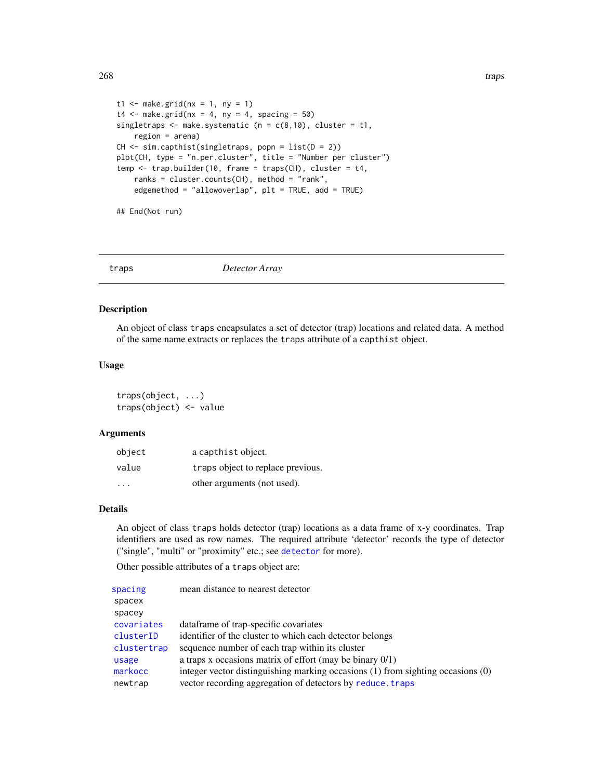```
t1 <- make.grid(nx = 1, ny = 1)
t4 \leq - make.grid(nx = 4, ny = 4, spacing = 50)
singletraps \leq make.systematic (n = c(8,10), cluster = t1,
    region = arena)
CH \leftarrow sim.capthist(singletraps, popn = list(D = 2))plot(CH, type = "n.per.cluster", title = "Number per cluster")
temp <- trap.builder(10, frame = traps(CH), cluster = t4,
    ranks = cluster.counts(CH), method = "rank",
    edgemethod = "allowoverlap", plt = TRUE, add = TRUE)
```
## End(Not run)

<span id="page-267-0"></span>

traps *Detector Array*

#### Description

An object of class traps encapsulates a set of detector (trap) locations and related data. A method of the same name extracts or replaces the traps attribute of a capthist object.

# Usage

traps(object, ...) traps(object) <- value

### Arguments

| object | a capthist object.                |
|--------|-----------------------------------|
| value  | traps object to replace previous. |
| .      | other arguments (not used).       |

# Details

An object of class traps holds detector (trap) locations as a data frame of x-y coordinates. Trap identifiers are used as row names. The required attribute 'detector' records the type of detector ("single", "multi" or "proximity" etc.; see [detector](#page-53-0) for more).

Other possible attributes of a traps object are:

| spacing     | mean distance to nearest detector                                               |
|-------------|---------------------------------------------------------------------------------|
| spacex      |                                                                                 |
| spacey      |                                                                                 |
| covariates  | data frame of trap-specific covariates                                          |
| clusterID   | identifier of the cluster to which each detector belongs                        |
| clustertrap | sequence number of each trap within its cluster                                 |
| usage       | a traps x occasions matrix of effort (may be binary $0/1$ )                     |
| markocc     | integer vector distinguishing marking occasions (1) from sighting occasions (0) |
| newtrap     | vector recording aggregation of detectors by reduce. traps                      |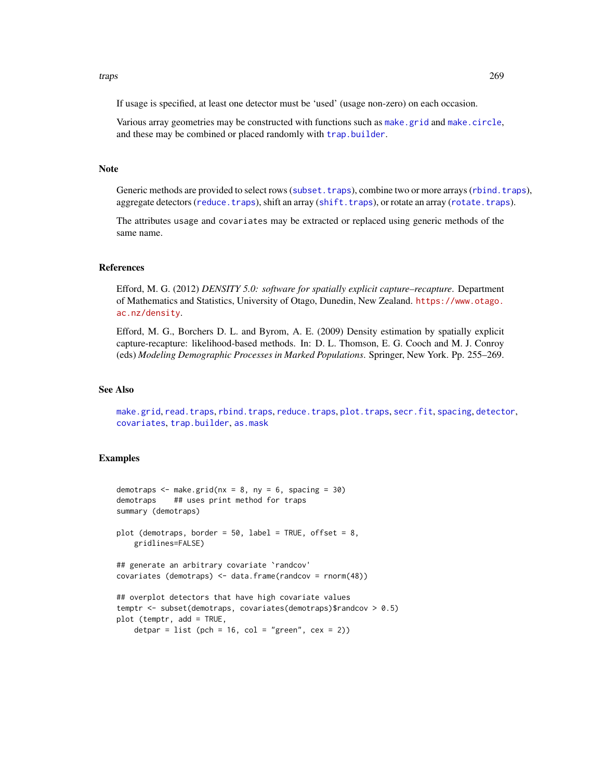#### traps 269

If usage is specified, at least one detector must be 'used' (usage non-zero) on each occasion.

Various array geometries may be constructed with functions such as [make.grid](#page-109-0) and [make.circle](#page-109-0), and these may be combined or placed randomly with [trap.builder](#page-263-0).

#### **Note**

Generic methods are provided to select rows ([subset.traps](#page-251-0)), combine two or more arrays ([rbind.traps](#page-173-0)), aggregate detectors ([reduce.traps](#page-183-0)), shift an array ([shift.traps](#page-260-0)), or rotate an array ([rotate.traps](#page-260-0)).

The attributes usage and covariates may be extracted or replaced using generic methods of the same name.

# References

Efford, M. G. (2012) *DENSITY 5.0: software for spatially explicit capture–recapture*. Department of Mathematics and Statistics, University of Otago, Dunedin, New Zealand. [https://www.otago.](https://www.otago.ac.nz/density) [ac.nz/density](https://www.otago.ac.nz/density).

Efford, M. G., Borchers D. L. and Byrom, A. E. (2009) Density estimation by spatially explicit capture-recapture: likelihood-based methods. In: D. L. Thomson, E. G. Cooch and M. J. Conroy (eds) *Modeling Demographic Processes in Marked Populations*. Springer, New York. Pp. 255–269.

# See Also

[make.grid](#page-109-0), [read.traps](#page-179-0), [rbind.traps](#page-173-0), [reduce.traps](#page-183-0), [plot.traps](#page-148-0), [secr.fit](#page-199-0), [spacing](#page-238-0), [detector](#page-53-0), [covariates](#page-38-0), [trap.builder](#page-263-0), [as.mask](#page-16-0)

```
demotraps \leq make.grid(nx = 8, ny = 6, spacing = 30)
demotraps ## uses print method for traps
summary (demotraps)
plot (demotraps, border = 50, label = TRUE, offset = 8,
   gridlines=FALSE)
## generate an arbitrary covariate `randcov'
covariates (demotraps) <- data.frame(randcov = rnorm(48))
## overplot detectors that have high covariate values
temptr <- subset(demotraps, covariates(demotraps)$randcov > 0.5)
plot (temptr, add = TRUE,
    detpar = list (pch = 16, col = "green", cex = 2))
```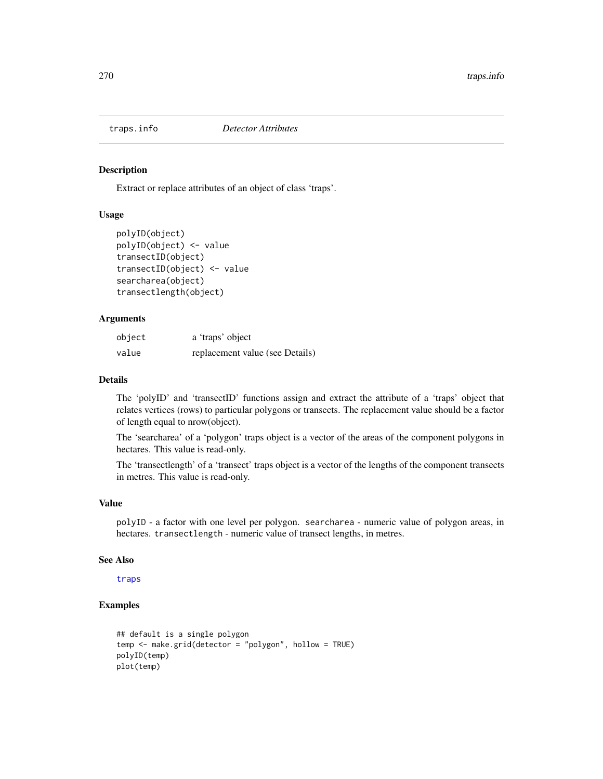Extract or replace attributes of an object of class 'traps'.

# Usage

```
polyID(object)
polyID(object) <- value
transectID(object)
transectID(object) <- value
searcharea(object)
transectlength(object)
```
# Arguments

| object | a 'traps' object                |
|--------|---------------------------------|
| value  | replacement value (see Details) |

# Details

The 'polyID' and 'transectID' functions assign and extract the attribute of a 'traps' object that relates vertices (rows) to particular polygons or transects. The replacement value should be a factor of length equal to nrow(object).

The 'searcharea' of a 'polygon' traps object is a vector of the areas of the component polygons in hectares. This value is read-only.

The 'transectlength' of a 'transect' traps object is a vector of the lengths of the component transects in metres. This value is read-only.

# Value

polyID - a factor with one level per polygon. searcharea - numeric value of polygon areas, in hectares. transectlength - numeric value of transect lengths, in metres.

#### See Also

[traps](#page-267-0)

```
## default is a single polygon
temp <- make.grid(detector = "polygon", hollow = TRUE)
polyID(temp)
plot(temp)
```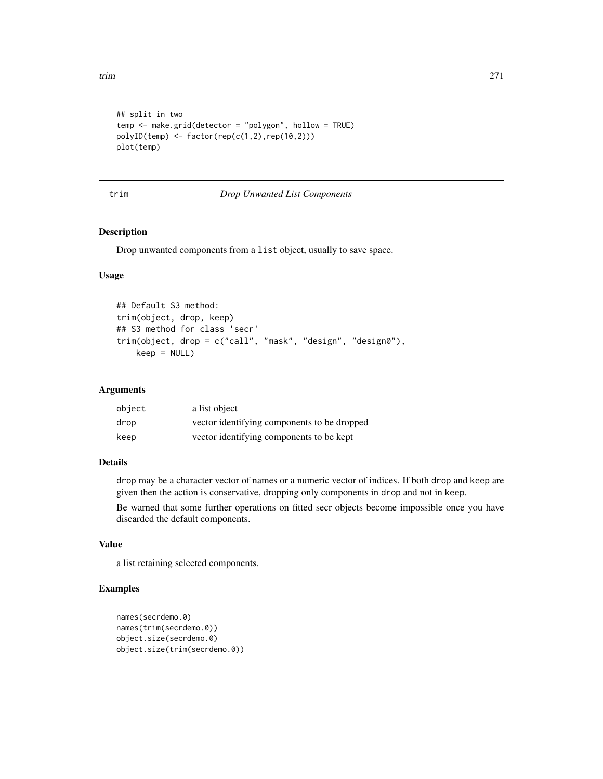```
## split in two
temp <- make.grid(detector = "polygon", hollow = TRUE)
polyID(\text{temp}) \leq factor(\text{rep}(c(1,2),\text{rep}(10,2)))plot(temp)
```
## trim *Drop Unwanted List Components*

# Description

Drop unwanted components from a list object, usually to save space.

# Usage

```
## Default S3 method:
trim(object, drop, keep)
## S3 method for class 'secr'
trim(object, drop = c("call", "mask", "design", "design0"),
   keep = NULL)
```
# Arguments

| object | a list object                               |
|--------|---------------------------------------------|
| drop   | vector identifying components to be dropped |
| keep   | vector identifying components to be kept    |

## Details

drop may be a character vector of names or a numeric vector of indices. If both drop and keep are given then the action is conservative, dropping only components in drop and not in keep.

Be warned that some further operations on fitted secr objects become impossible once you have discarded the default components.

## Value

a list retaining selected components.

```
names(secrdemo.0)
names(trim(secrdemo.0))
object.size(secrdemo.0)
object.size(trim(secrdemo.0))
```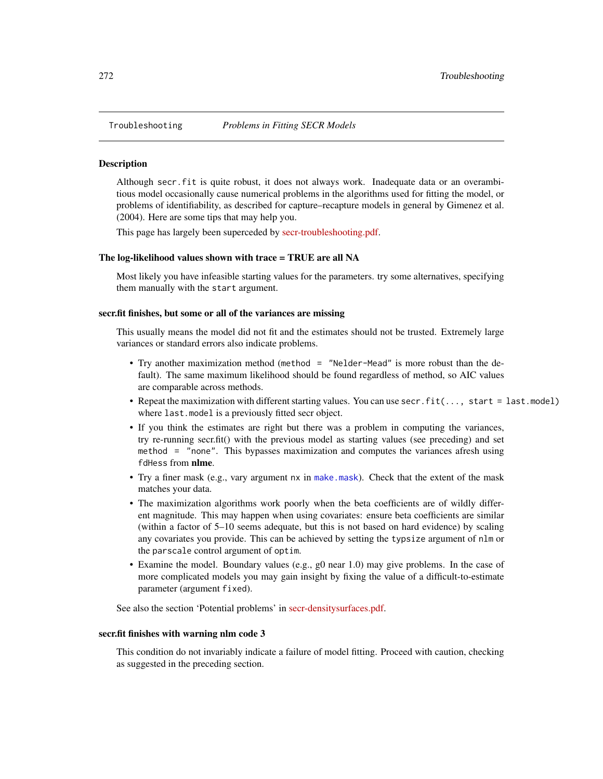Although secr.fit is quite robust, it does not always work. Inadequate data or an overambitious model occasionally cause numerical problems in the algorithms used for fitting the model, or problems of identifiability, as described for capture–recapture models in general by Gimenez et al. (2004). Here are some tips that may help you.

This page has largely been superceded by [secr-troubleshooting.pdf.](https://www.otago.ac.nz/density/pdfs/secr-troubleshooting.pdf)

## The log-likelihood values shown with trace = TRUE are all NA

Most likely you have infeasible starting values for the parameters. try some alternatives, specifying them manually with the start argument.

## secr.fit finishes, but some or all of the variances are missing

This usually means the model did not fit and the estimates should not be trusted. Extremely large variances or standard errors also indicate problems.

- Try another maximization method (method = "Nelder-Mead" is more robust than the default). The same maximum likelihood should be found regardless of method, so AIC values are comparable across methods.
- Repeat the maximization with different starting values. You can use secr.fit(..., start = last.model) where last.model is a previously fitted secr object.
- If you think the estimates are right but there was a problem in computing the variances, try re-running secr.fit() with the previous model as starting values (see preceding) and set method = "none". This bypasses maximization and computes the variances afresh using fdHess from nlme.
- Try a finer mask (e.g., vary argument nx in [make.mask](#page-104-0)). Check that the extent of the mask matches your data.
- The maximization algorithms work poorly when the beta coefficients are of wildly different magnitude. This may happen when using covariates: ensure beta coefficients are similar (within a factor of 5–10 seems adequate, but this is not based on hard evidence) by scaling any covariates you provide. This can be achieved by setting the typsize argument of nlm or the parscale control argument of optim.
- Examine the model. Boundary values (e.g., g0 near 1.0) may give problems. In the case of more complicated models you may gain insight by fixing the value of a difficult-to-estimate parameter (argument fixed).

See also the section 'Potential problems' in [secr-densitysurfaces.pdf.](https://www.otago.ac.nz/density/pdfs/secr-densitysurfaces.pdf)

## secr.fit finishes with warning nlm code 3

This condition do not invariably indicate a failure of model fitting. Proceed with caution, checking as suggested in the preceding section.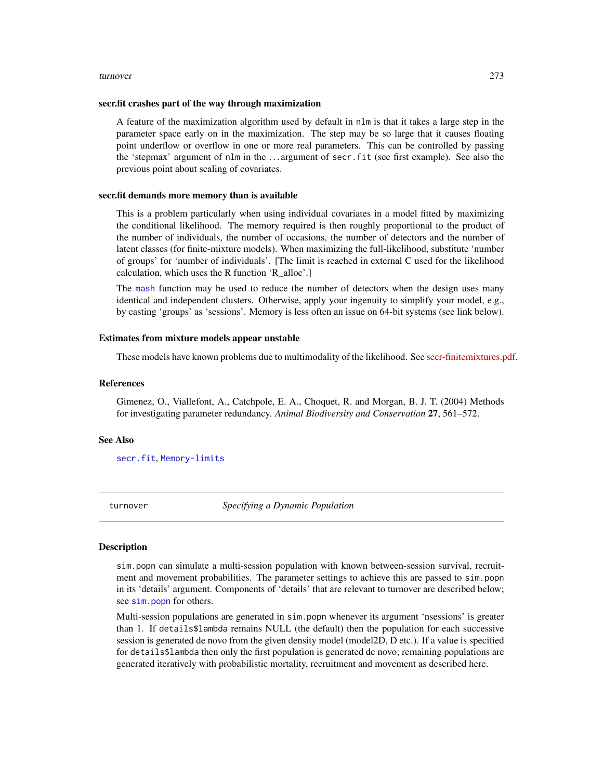#### turnover 273

#### secr.fit crashes part of the way through maximization

A feature of the maximization algorithm used by default in nlm is that it takes a large step in the parameter space early on in the maximization. The step may be so large that it causes floating point underflow or overflow in one or more real parameters. This can be controlled by passing the 'stepmax' argument of nlm in the . . . argument of secr.fit (see first example). See also the previous point about scaling of covariates.

#### secr.fit demands more memory than is available

This is a problem particularly when using individual covariates in a model fitted by maximizing the conditional likelihood. The memory required is then roughly proportional to the product of the number of individuals, the number of occasions, the number of detectors and the number of latent classes (for finite-mixture models). When maximizing the full-likelihood, substitute 'number of groups' for 'number of individuals'. [The limit is reached in external C used for the likelihood calculation, which uses the R function 'R\_alloc'.]

The [mash](#page-263-1) function may be used to reduce the number of detectors when the design uses many identical and independent clusters. Otherwise, apply your ingenuity to simplify your model, e.g., by casting 'groups' as 'sessions'. Memory is less often an issue on 64-bit systems (see link below).

## Estimates from mixture models appear unstable

These models have known problems due to multimodality of the likelihood. See [secr-finitemixtures.pdf.](https://www.otago.ac.nz/density/pdfs/secr-finitemixtures.pdf)

#### References

Gimenez, O., Viallefont, A., Catchpole, E. A., Choquet, R. and Morgan, B. J. T. (2004) Methods for investigating parameter redundancy. *Animal Biodiversity and Conservation* 27, 561–572.

#### See Also

[secr.fit](#page-199-0), [Memory-limits](#page-0-0)

turnover *Specifying a Dynamic Population*

## Description

sim.popn can simulate a multi-session population with known between-session survival, recruitment and movement probabilities. The parameter settings to achieve this are passed to sim.popn in its 'details' argument. Components of 'details' that are relevant to turnover are described below; see [sim.popn](#page-222-0) for others.

Multi-session populations are generated in sim.popn whenever its argument 'nsessions' is greater than 1. If details\$lambda remains NULL (the default) then the population for each successive session is generated de novo from the given density model (model2D, D etc.). If a value is specified for details\$lambda then only the first population is generated de novo; remaining populations are generated iteratively with probabilistic mortality, recruitment and movement as described here.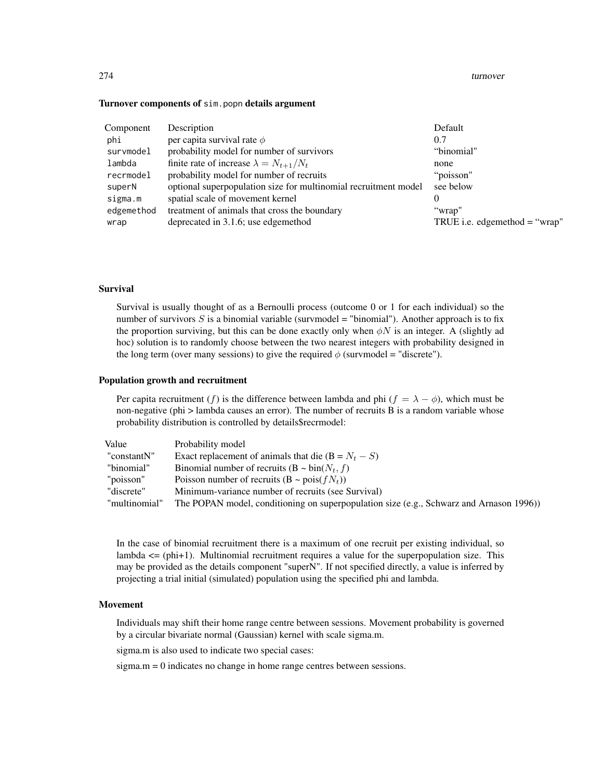#### 274 turnover

#### Turnover components of sim.popn details argument

| Component  | Description                                                     | Default                         |
|------------|-----------------------------------------------------------------|---------------------------------|
| phi        | per capita survival rate $\phi$                                 | 0.7                             |
| survmodel  | probability model for number of survivors                       | "binomial"                      |
| lambda     | finite rate of increase $\lambda = N_{t+1}/N_t$                 | none                            |
| recrmodel  | probability model for number of recruits                        | "poisson"                       |
| superN     | optional superpopulation size for multinomial recruitment model | see below                       |
| sigma.m    | spatial scale of movement kernel                                | $\theta$                        |
| edgemethod | treatment of animals that cross the boundary                    | "wrap"                          |
| wrap       | deprecated in 3.1.6; use edgemethod                             | TRUE i.e. edgemethod $=$ "wrap" |

# Survival

Survival is usually thought of as a Bernoulli process (outcome 0 or 1 for each individual) so the number of survivors  $S$  is a binomial variable (survmodel = "binomial"). Another approach is to fix the proportion surviving, but this can be done exactly only when  $\phi N$  is an integer. A (slightly ad hoc) solution is to randomly choose between the two nearest integers with probability designed in the long term (over many sessions) to give the required  $\phi$  (survmodel = "discrete").

#### Population growth and recruitment

Per capita recruitment (f) is the difference between lambda and phi ( $f = \lambda - \phi$ ), which must be non-negative (phi > lambda causes an error). The number of recruits B is a random variable whose probability distribution is controlled by details\$recrmodel:

| Value         | Probability model                                                                       |
|---------------|-----------------------------------------------------------------------------------------|
| "constantN"   | Exact replacement of animals that die $(B = Nt - S)$                                    |
| "binomial"    | Binomial number of recruits $(B \sim bin(N_t, f))$                                      |
| "poisson"     | Poisson number of recruits $(B \sim \text{pois}(fN_t))$                                 |
| "discrete"    | Minimum-variance number of recruits (see Survival)                                      |
| "multinomial" | The POPAN model, conditioning on superpopulation size (e.g., Schwarz and Arnason 1996)) |

In the case of binomial recruitment there is a maximum of one recruit per existing individual, so lambda  $\leq$  (phi+1). Multinomial recruitment requires a value for the superpopulation size. This may be provided as the details component "superN". If not specified directly, a value is inferred by projecting a trial initial (simulated) population using the specified phi and lambda.

### Movement

Individuals may shift their home range centre between sessions. Movement probability is governed by a circular bivariate normal (Gaussian) kernel with scale sigma.m.

sigma.m is also used to indicate two special cases:

sigma.m = 0 indicates no change in home range centres between sessions.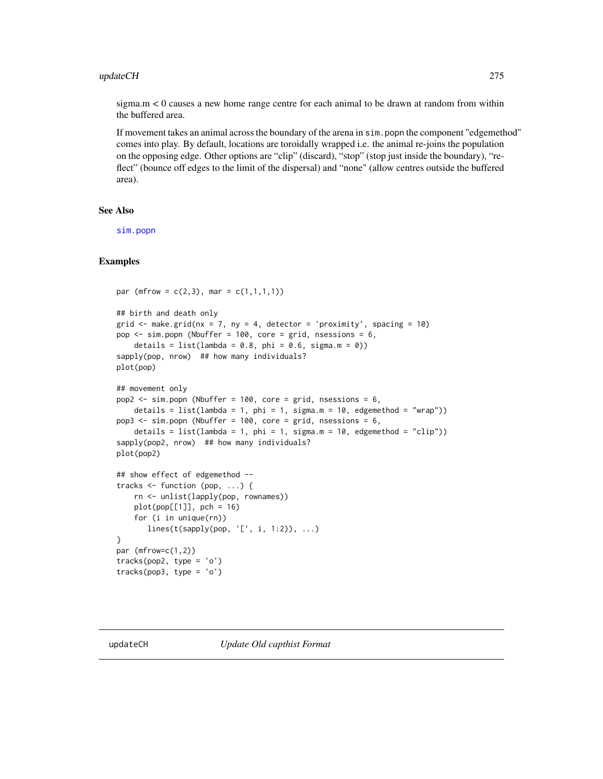#### updateCH 275

 $sigma.m < 0$  causes a new home range centre for each animal to be drawn at random from within the buffered area.

If movement takes an animal across the boundary of the arena in sim.popn the component "edgemethod" comes into play. By default, locations are toroidally wrapped i.e. the animal re-joins the population on the opposing edge. Other options are "clip" (discard), "stop" (stop just inside the boundary), "reflect" (bounce off edges to the limit of the dispersal) and "none" (allow centres outside the buffered area).

# See Also

[sim.popn](#page-222-0)

```
par (mfrow = c(2,3), mar = c(1,1,1,1))
## birth and death only
grid \le make.grid(nx = 7, ny = 4, detector = 'proximity', spacing = 10)
pop <- sim.popn (Nbuffer = 100, core = grid, nsessions = 6,
    details = list(lambda = 0.8, phi = 0.6, sigma.m = 0))
sapply(pop, nrow) ## how many individuals?
plot(pop)
## movement only
pop2 \leq -sim, popn (Nbuffer = 100, core = grid, nsessions = 6,
    details = list(lambda = 1, phi = 1, sigma.m = 10, edgemethod = "wrap"))
pop3 \leq -sim, popn (Nbuffer = 100, core = grid, nsessions = 6,
    details = list(lambda = 1, phi = 1, sigma.m = 10, edgemethod = "clip"))
sapply(pop2, nrow) ## how many individuals?
plot(pop2)
## show effect of edgemethod --
tracks <- function (pop, ...) {
   rn <- unlist(lapply(pop, rownames))
   plot(pop[[1]], pch = 16)
   for (i in unique(rn))
       lines(t(sapply(pop, 'L', i, 1:2)), ...)}
par (mfrow=c(1,2))tracks(pop2, type = 'o')
tracks(pop3, type = 'o')
```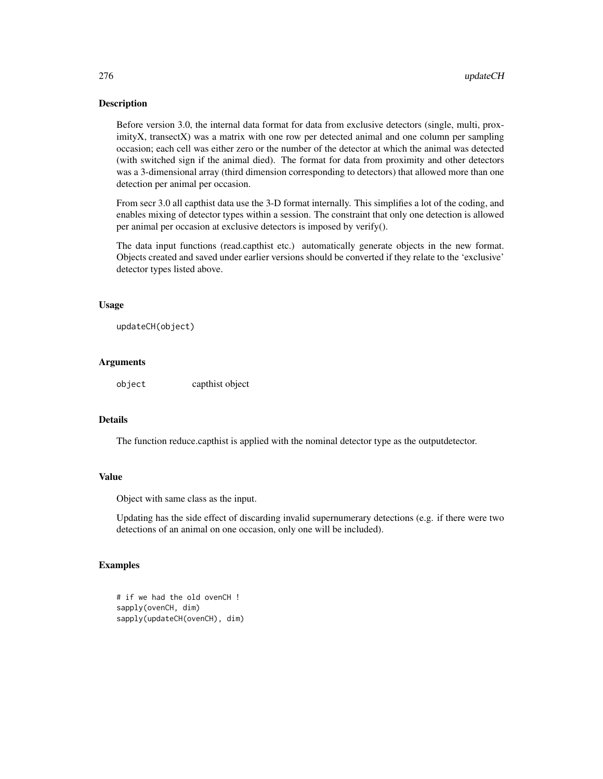Before version 3.0, the internal data format for data from exclusive detectors (single, multi, proximityX, transectX) was a matrix with one row per detected animal and one column per sampling occasion; each cell was either zero or the number of the detector at which the animal was detected (with switched sign if the animal died). The format for data from proximity and other detectors was a 3-dimensional array (third dimension corresponding to detectors) that allowed more than one detection per animal per occasion.

From secr 3.0 all capthist data use the 3-D format internally. This simplifies a lot of the coding, and enables mixing of detector types within a session. The constraint that only one detection is allowed per animal per occasion at exclusive detectors is imposed by verify().

The data input functions (read.capthist etc.) automatically generate objects in the new format. Objects created and saved under earlier versions should be converted if they relate to the 'exclusive' detector types listed above.

## Usage

```
updateCH(object)
```
# Arguments

object capthist object

# **Details**

The function reduce.capthist is applied with the nominal detector type as the outputdetector.

#### Value

Object with same class as the input.

Updating has the side effect of discarding invalid supernumerary detections (e.g. if there were two detections of an animal on one occasion, only one will be included).

```
# if we had the old ovenCH !
sapply(ovenCH, dim)
sapply(updateCH(ovenCH), dim)
```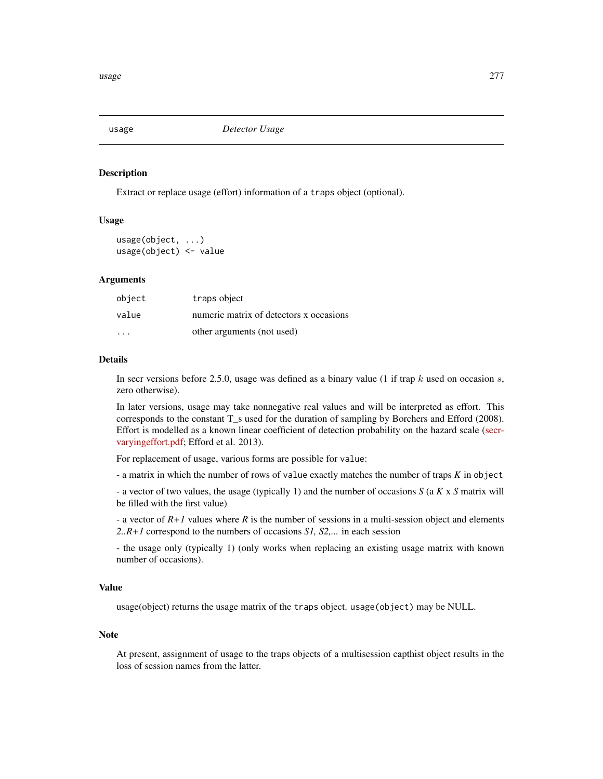<span id="page-276-0"></span>

Extract or replace usage (effort) information of a traps object (optional).

## Usage

usage(object, ...) usage(object) <- value

## Arguments

| object | traps object                            |
|--------|-----------------------------------------|
| value  | numeric matrix of detectors x occasions |
| .      | other arguments (not used)              |

## **Details**

In secr versions before 2.5.0, usage was defined as a binary value (1 if trap  $k$  used on occasion  $s$ , zero otherwise).

In later versions, usage may take nonnegative real values and will be interpreted as effort. This corresponds to the constant T\_s used for the duration of sampling by Borchers and Efford (2008). Effort is modelled as a known linear coefficient of detection probability on the hazard scale [\(secr](https://www.otago.ac.nz/density/pdfs/secr-varyingeffort.pdf)[varyingeffort.pdf;](https://www.otago.ac.nz/density/pdfs/secr-varyingeffort.pdf) Efford et al. 2013).

For replacement of usage, various forms are possible for value:

- a matrix in which the number of rows of value exactly matches the number of traps *K* in object

- a vector of two values, the usage (typically 1) and the number of occasions *S* (a *K* x *S* matrix will be filled with the first value)

- a vector of *R+1* values where *R* is the number of sessions in a multi-session object and elements *2..R+1* correspond to the numbers of occasions *S1, S2,...* in each session

- the usage only (typically 1) (only works when replacing an existing usage matrix with known number of occasions).

# Value

usage(object) returns the usage matrix of the traps object. usage(object) may be NULL.

#### Note

At present, assignment of usage to the traps objects of a multisession capthist object results in the loss of session names from the latter.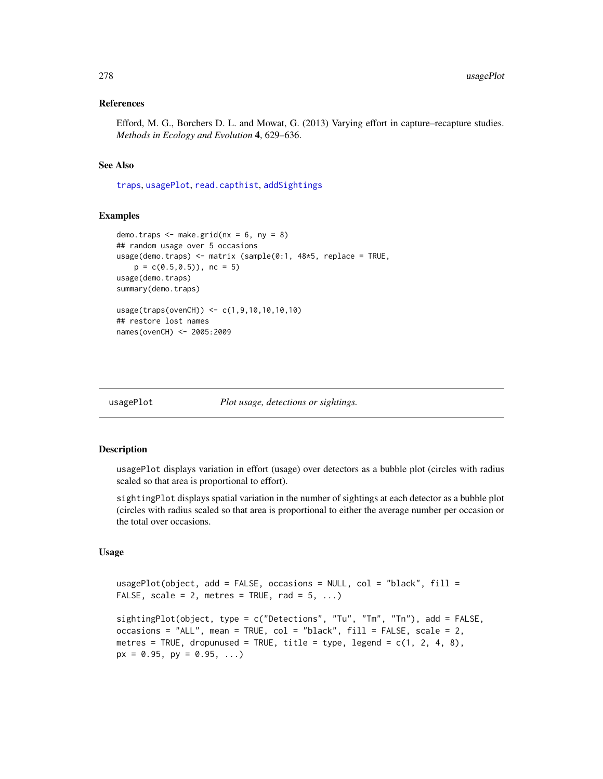## References

Efford, M. G., Borchers D. L. and Mowat, G. (2013) Varying effort in capture–recapture studies. *Methods in Ecology and Evolution* 4, 629–636.

## See Also

[traps](#page-267-0), [usagePlot](#page-277-0), [read.capthist](#page-174-0), [addSightings](#page-8-0)

## Examples

```
demo.traps \leq make.grid(nx = 6, ny = 8)
## random usage over 5 occasions
usage(demo.traps) <- matrix (sample(0:1, 48*5, replace = TRUE,
   p = c(0.5, 0.5), nc = 5usage(demo.traps)
summary(demo.traps)
usage(traps(ovenCH)) <- c(1,9,10,10,10,10)
## restore lost names
names(ovenCH) <- 2005:2009
```
<span id="page-277-0"></span>

usagePlot *Plot usage, detections or sightings.*

## Description

usagePlot displays variation in effort (usage) over detectors as a bubble plot (circles with radius scaled so that area is proportional to effort).

sightingPlot displays spatial variation in the number of sightings at each detector as a bubble plot (circles with radius scaled so that area is proportional to either the average number per occasion or the total over occasions.

# Usage

```
usagePlot(object, add = FALSE, occasions = NULL, col = "black", fill =
FALSE, scale = 2, metres = TRUE, rad = 5, ...)
```

```
sightingPlot(object, type = c("Detections", "Tu", "Tm", "Tn"), add = FALSE,
occasions = "ALL", mean = TRUE, col = "black", fill = FALSE, scale = 2,
metres = TRUE, dropunused = TRUE, title = type, legend = c(1, 2, 4, 8),
px = 0.95, py = 0.95, ...)
```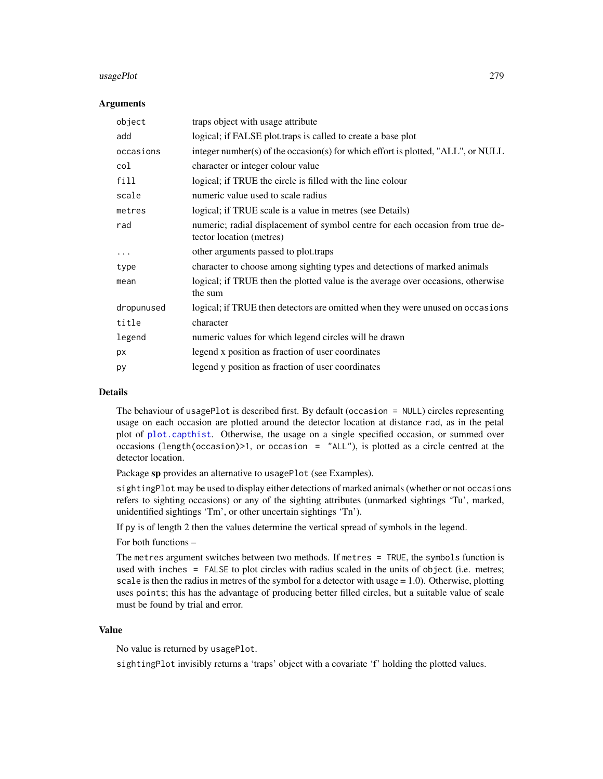#### usagePlot 279

#### **Arguments**

| object     | traps object with usage attribute                                                                         |
|------------|-----------------------------------------------------------------------------------------------------------|
| add        | logical; if FALSE plot.traps is called to create a base plot                                              |
| occasions  | integer number(s) of the occasion(s) for which effort is plotted, "ALL", or NULL                          |
| col        | character or integer colour value                                                                         |
| fill       | logical; if TRUE the circle is filled with the line colour                                                |
| scale      | numeric value used to scale radius                                                                        |
| metres     | logical; if TRUE scale is a value in metres (see Details)                                                 |
| rad        | numeric; radial displacement of symbol centre for each occasion from true de-<br>tector location (metres) |
| $\cdots$   | other arguments passed to plot.traps                                                                      |
| type       | character to choose among sighting types and detections of marked animals                                 |
| mean       | logical; if TRUE then the plotted value is the average over occasions, otherwise<br>the sum               |
| dropunused | logical; if TRUE then detectors are omitted when they were unused on occasions                            |
| title      | character                                                                                                 |
| legend     | numeric values for which legend circles will be drawn                                                     |
| px         | legend x position as fraction of user coordinates                                                         |
| рy         | legend y position as fraction of user coordinates                                                         |

## Details

The behaviour of usagePlot is described first. By default (occasion = NULL) circles representing usage on each occasion are plotted around the detector location at distance rad, as in the petal plot of [plot.capthist](#page-138-0). Otherwise, the usage on a single specified occasion, or summed over occasions (length(occasion)>1, or occasion = "ALL"), is plotted as a circle centred at the detector location.

Package sp provides an alternative to usagePlot (see Examples).

sightingPlot may be used to display either detections of marked animals (whether or not occasions refers to sighting occasions) or any of the sighting attributes (unmarked sightings 'Tu', marked, unidentified sightings 'Tm', or other uncertain sightings 'Tn').

If py is of length 2 then the values determine the vertical spread of symbols in the legend.

For both functions –

The metres argument switches between two methods. If metres = TRUE, the symbols function is used with inches = FALSE to plot circles with radius scaled in the units of object (i.e. metres; scale is then the radius in metres of the symbol for a detector with usage  $= 1.0$ ). Otherwise, plotting uses points; this has the advantage of producing better filled circles, but a suitable value of scale must be found by trial and error.

## Value

No value is returned by usagePlot.

sightingPlot invisibly returns a 'traps' object with a covariate 'f' holding the plotted values.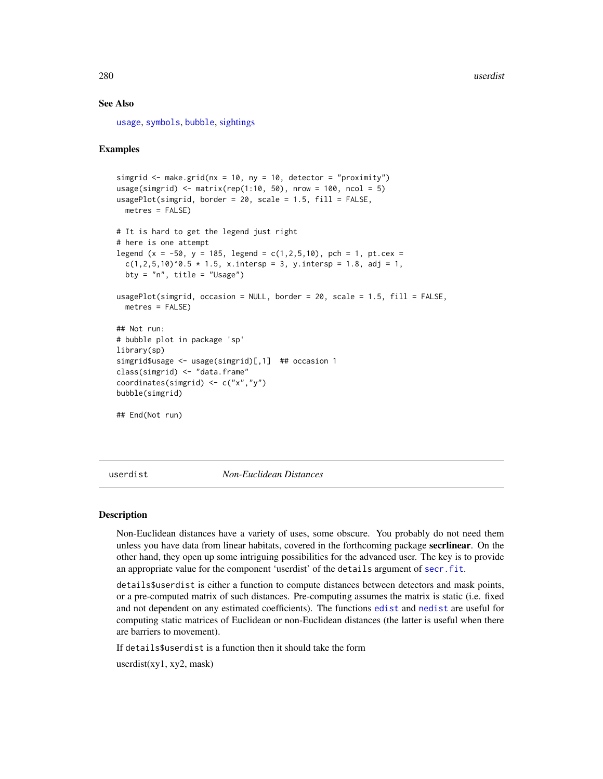## See Also

[usage](#page-276-0), [symbols](#page-0-0), [bubble](#page-0-0), [sightings](#page-214-0)

# Examples

```
simgrid \leq make.grid(nx = 10, ny = 10, detector = "proximity")
usage(simgrid) <- matrix(rep(1:10, 50), nrow = 100, ncol = 5)
usagePlot(simgrid, border = 20, scale = 1.5, fill = FALSE,
 metres = FALSE)
# It is hard to get the legend just right
# here is one attempt
legend (x = -50, y = 185, legend = c(1, 2, 5, 10), pch = 1, pt.cex =
 c(1, 2, 5, 10)^0. 5 * 1.5, x.intersp = 3, y.intersp = 1.8, adj = 1,
 bty = "n", title = "Usage")
usagePlot(simgrid, occasion = NULL, border = 20, scale = 1.5, fill = FALSE,
 metres = FALSE)
## Not run:
# bubble plot in package 'sp'
library(sp)
simgrid$usage <- usage(simgrid)[,1] ## occasion 1
class(simgrid) <- "data.frame"
coordinates(simgrid) <- c("x","y")
bubble(simgrid)
## End(Not run)
```
userdist *Non-Euclidean Distances*

#### Description

Non-Euclidean distances have a variety of uses, some obscure. You probably do not need them unless you have data from linear habitats, covered in the forthcoming package secrlinear. On the other hand, they open up some intriguing possibilities for the advanced user. The key is to provide an appropriate value for the component 'userdist' of the details argument of [secr.fit](#page-199-0).

details\$userdist is either a function to compute distances between detectors and mask points, or a pre-computed matrix of such distances. Pre-computing assumes the matrix is static (i.e. fixed and not dependent on any estimated coefficients). The functions [edist](#page-281-0) and [nedist](#page-281-0) are useful for computing static matrices of Euclidean or non-Euclidean distances (the latter is useful when there are barriers to movement).

If details\$userdist is a function then it should take the form

userdist(xy1, xy2, mask)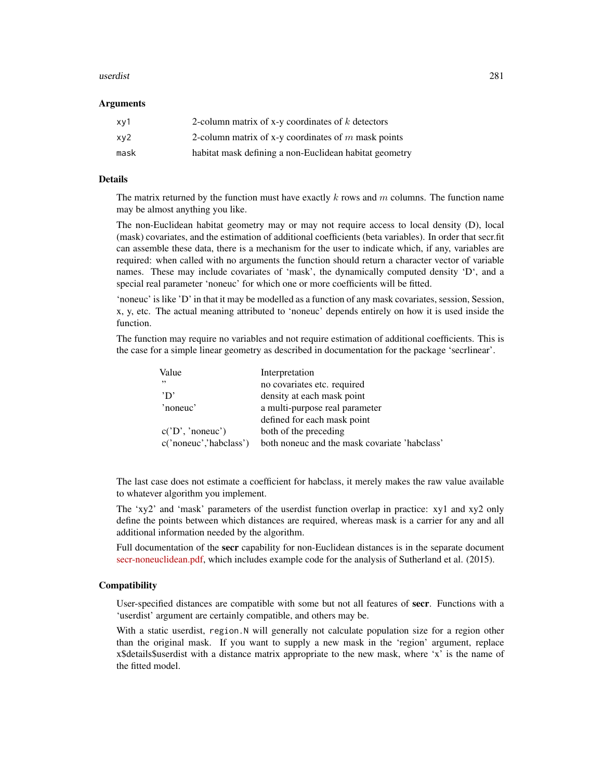#### userdist 281

# Arguments

| xv1  | 2-column matrix of x-y coordinates of $k$ detectors    |
|------|--------------------------------------------------------|
| xy2  | 2-column matrix of x-y coordinates of $m$ mask points  |
| mask | habitat mask defining a non-Euclidean habitat geometry |

## Details

The matrix returned by the function must have exactly k rows and  $m$  columns. The function name may be almost anything you like.

The non-Euclidean habitat geometry may or may not require access to local density (D), local (mask) covariates, and the estimation of additional coefficients (beta variables). In order that secr.fit can assemble these data, there is a mechanism for the user to indicate which, if any, variables are required: when called with no arguments the function should return a character vector of variable names. These may include covariates of 'mask', the dynamically computed density 'D', and a special real parameter 'noneuc' for which one or more coefficients will be fitted.

'noneuc' is like 'D' in that it may be modelled as a function of any mask covariates, session, Session, x, y, etc. The actual meaning attributed to 'noneuc' depends entirely on how it is used inside the function.

The function may require no variables and not require estimation of additional coefficients. This is the case for a simple linear geometry as described in documentation for the package 'secrlinear'.

| Value                  | Interpretation                                |
|------------------------|-----------------------------------------------|
| , ,                    | no covariates etc. required                   |
| 'D'                    | density at each mask point                    |
| 'noneuc'               | a multi-purpose real parameter                |
|                        | defined for each mask point                   |
| c('D', 'noneuc')       | both of the preceding                         |
| c('noneuc','habclass') | both noneuc and the mask covariate 'habclass' |

The last case does not estimate a coefficient for habclass, it merely makes the raw value available to whatever algorithm you implement.

The 'xy2' and 'mask' parameters of the userdist function overlap in practice: xy1 and xy2 only define the points between which distances are required, whereas mask is a carrier for any and all additional information needed by the algorithm.

Full documentation of the **secr** capability for non-Euclidean distances is in the separate document [secr-noneuclidean.pdf,](https://www.otago.ac.nz/density/pdfs/secr-noneuclidean.pdf) which includes example code for the analysis of Sutherland et al. (2015).

# **Compatibility**

User-specified distances are compatible with some but not all features of secr. Functions with a 'userdist' argument are certainly compatible, and others may be.

With a static userdist, region. N will generally not calculate population size for a region other than the original mask. If you want to supply a new mask in the 'region' argument, replace x\$details\$userdist with a distance matrix appropriate to the new mask, where 'x' is the name of the fitted model.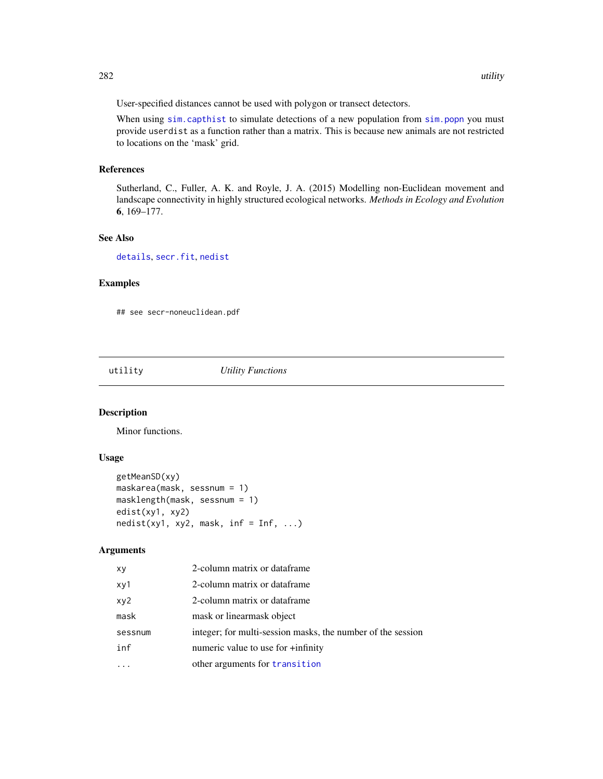User-specified distances cannot be used with polygon or transect detectors.

When using [sim.capthist](#page-218-0) to simulate detections of a new population from [sim.popn](#page-222-0) you must provide userdist as a function rather than a matrix. This is because new animals are not restricted to locations on the 'mask' grid.

# References

Sutherland, C., Fuller, A. K. and Royle, J. A. (2015) Modelling non-Euclidean movement and landscape connectivity in highly structured ecological networks. *Methods in Ecology and Evolution* 6, 169–177.

# See Also

[details](#page-48-0), [secr.fit](#page-199-0), [nedist](#page-281-0)

# Examples

## see secr-noneuclidean.pdf

utility *Utility Functions*

# <span id="page-281-0"></span>Description

Minor functions.

# Usage

```
getMeanSD(xy)
maskarea(mask, sessnum = 1)
masklength(mask, sessnum = 1)
edist(xy1, xy2)
nedist(xy1, xy2, mask, inf = Inf, ...)
```
## Arguments

| xy      | 2-column matrix or dataframe                                |
|---------|-------------------------------------------------------------|
| xy1     | 2-column matrix or dataframe                                |
| xy2     | 2-column matrix or dataframe                                |
| mask    | mask or linearmask object                                   |
| sessnum | integer; for multi-session masks, the number of the session |
| inf     | numeric value to use for +infinity                          |
|         | other arguments for transition                              |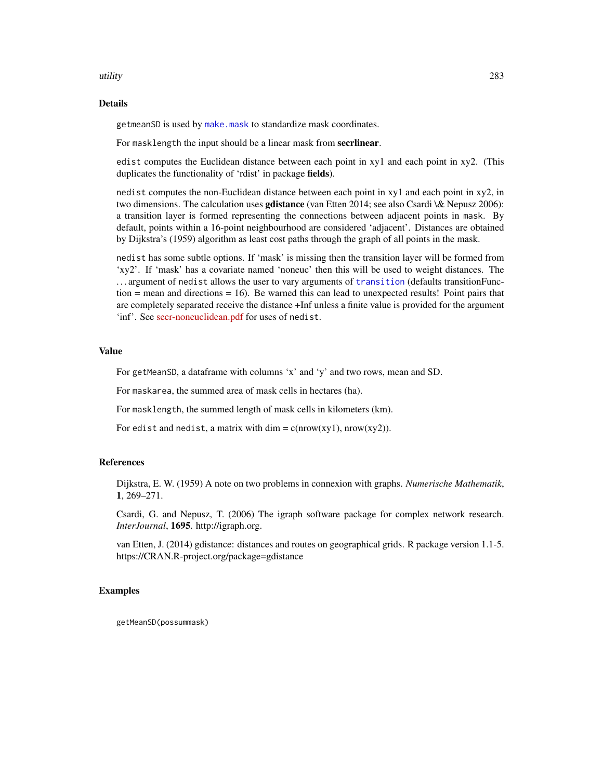#### utility 283

# Details

getmeanSD is used by [make.mask](#page-104-0) to standardize mask coordinates.

For masklength the input should be a linear mask from secrlinear.

edist computes the Euclidean distance between each point in xy1 and each point in xy2. (This duplicates the functionality of 'rdist' in package fields).

nedist computes the non-Euclidean distance between each point in xy1 and each point in xy2, in two dimensions. The calculation uses **gdistance** (van Etten 2014; see also Csardi \& Nepusz 2006): a transition layer is formed representing the connections between adjacent points in mask. By default, points within a 16-point neighbourhood are considered 'adjacent'. Distances are obtained by Dijkstra's (1959) algorithm as least cost paths through the graph of all points in the mask.

nedist has some subtle options. If 'mask' is missing then the transition layer will be formed from 'xy2'. If 'mask' has a covariate named 'noneuc' then this will be used to weight distances. The . . . argument of nedist allows the user to vary arguments of [transition](#page-0-0) (defaults transitionFunction  $=$  mean and directions  $= 16$ ). Be warned this can lead to unexpected results! Point pairs that are completely separated receive the distance +Inf unless a finite value is provided for the argument 'inf'. See [secr-noneuclidean.pdf](https://www.otago.ac.nz/density/pdfs/secr-noneuclidean.pdf) for uses of nedist.

# Value

For getMeanSD, a dataframe with columns 'x' and 'y' and two rows, mean and SD.

For maskarea, the summed area of mask cells in hectares (ha).

For masklength, the summed length of mask cells in kilometers (km).

For edist and nedist, a matrix with dim =  $c(nrow(xy1), nrow(xy2))$ .

## **References**

Dijkstra, E. W. (1959) A note on two problems in connexion with graphs. *Numerische Mathematik*, 1, 269–271.

Csardi, G. and Nepusz, T. (2006) The igraph software package for complex network research. *InterJournal*, 1695. http://igraph.org.

van Etten, J. (2014) gdistance: distances and routes on geographical grids. R package version 1.1-5. https://CRAN.R-project.org/package=gdistance

# Examples

getMeanSD(possummask)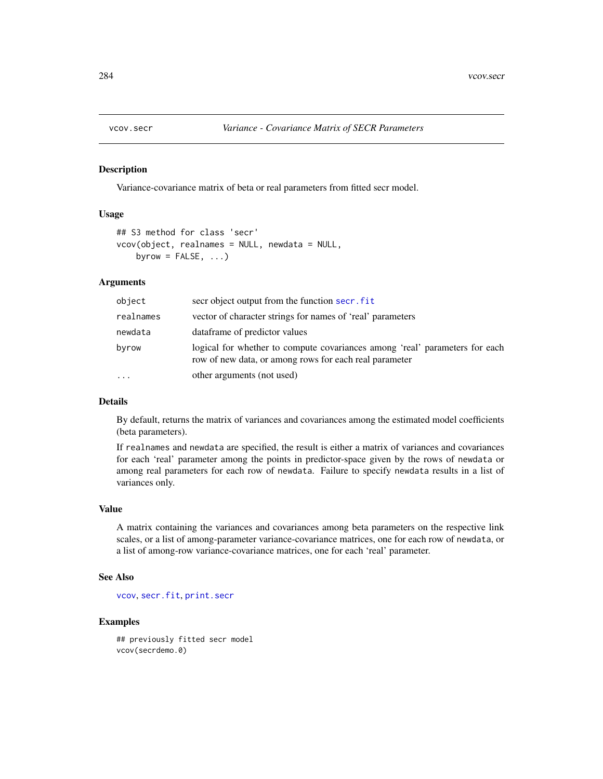Variance-covariance matrix of beta or real parameters from fitted secr model.

### Usage

```
## S3 method for class 'secr'
vcov(object, realnames = NULL, newdata = NULL,
   byrow = FALSE, ...)
```
# Arguments

| object    | secr object output from the function secr. fit                                                                                        |
|-----------|---------------------------------------------------------------------------------------------------------------------------------------|
| realnames | vector of character strings for names of 'real' parameters                                                                            |
| newdata   | data frame of predictor values                                                                                                        |
| byrow     | logical for whether to compute covariances among 'real' parameters for each<br>row of new data, or among rows for each real parameter |
|           | other arguments (not used)                                                                                                            |

# Details

By default, returns the matrix of variances and covariances among the estimated model coefficients (beta parameters).

If realnames and newdata are specified, the result is either a matrix of variances and covariances for each 'real' parameter among the points in predictor-space given by the rows of newdata or among real parameters for each row of newdata. Failure to specify newdata results in a list of variances only.

#### Value

A matrix containing the variances and covariances among beta parameters on the respective link scales, or a list of among-parameter variance-covariance matrices, one for each row of newdata, or a list of among-row variance-covariance matrices, one for each 'real' parameter.

#### See Also

[vcov](#page-0-0), [secr.fit](#page-199-0), [print.secr](#page-162-0)

# Examples

## previously fitted secr model vcov(secrdemo.0)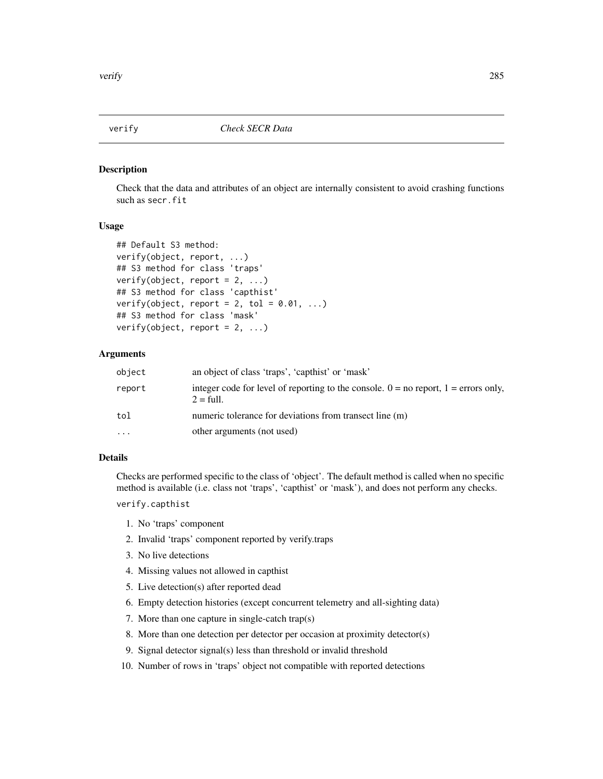Check that the data and attributes of an object are internally consistent to avoid crashing functions such as secr.fit

# Usage

```
## Default S3 method:
verify(object, report, ...)
## S3 method for class 'traps'
verify(object, report = 2, ...)
## S3 method for class 'capthist'
verify(object, report = 2, tol = 0.01, ...)
## S3 method for class 'mask'
verify(object, report = 2, ...)
```
## Arguments

| object    | an object of class 'traps', 'capthist' or 'mask'                                                               |
|-----------|----------------------------------------------------------------------------------------------------------------|
| report    | integer code for level of reporting to the console. $0 =$ no report, $1 =$ errors only,<br>$2 = \text{full}$ . |
| tol       | numeric tolerance for deviations from transect line (m)                                                        |
| $\ddotsc$ | other arguments (not used)                                                                                     |

# Details

Checks are performed specific to the class of 'object'. The default method is called when no specific method is available (i.e. class not 'traps', 'capthist' or 'mask'), and does not perform any checks.

verify.capthist

- 1. No 'traps' component
- 2. Invalid 'traps' component reported by verify.traps
- 3. No live detections
- 4. Missing values not allowed in capthist
- 5. Live detection(s) after reported dead
- 6. Empty detection histories (except concurrent telemetry and all-sighting data)
- 7. More than one capture in single-catch trap(s)
- 8. More than one detection per detector per occasion at proximity detector(s)
- 9. Signal detector signal(s) less than threshold or invalid threshold
- 10. Number of rows in 'traps' object not compatible with reported detections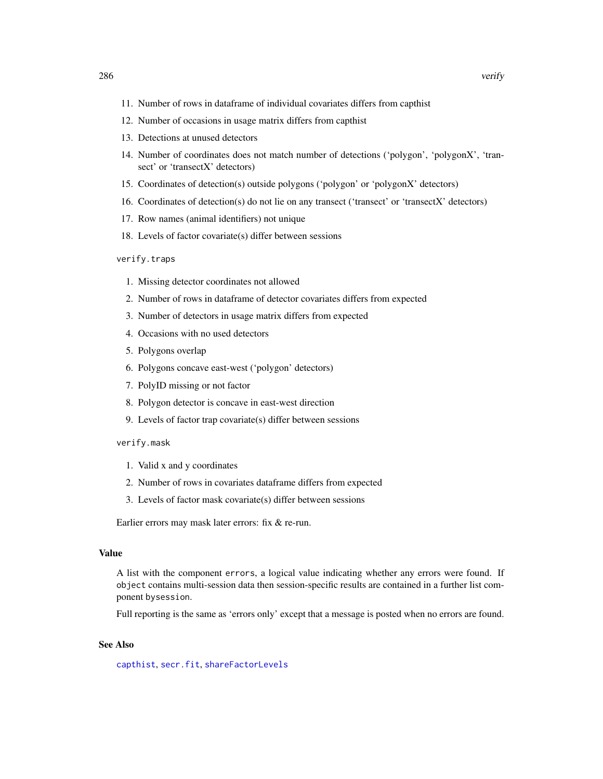- 11. Number of rows in dataframe of individual covariates differs from capthist
- 12. Number of occasions in usage matrix differs from capthist
- 13. Detections at unused detectors
- 14. Number of coordinates does not match number of detections ('polygon', 'polygonX', 'transect' or 'transectX' detectors)
- 15. Coordinates of detection(s) outside polygons ('polygon' or 'polygonX' detectors)
- 16. Coordinates of detection(s) do not lie on any transect ('transect' or 'transectX' detectors)
- 17. Row names (animal identifiers) not unique
- 18. Levels of factor covariate(s) differ between sessions

#### verify.traps

- 1. Missing detector coordinates not allowed
- 2. Number of rows in dataframe of detector covariates differs from expected
- 3. Number of detectors in usage matrix differs from expected
- 4. Occasions with no used detectors
- 5. Polygons overlap
- 6. Polygons concave east-west ('polygon' detectors)
- 7. PolyID missing or not factor
- 8. Polygon detector is concave in east-west direction
- 9. Levels of factor trap covariate(s) differ between sessions

#### verify.mask

- 1. Valid x and y coordinates
- 2. Number of rows in covariates dataframe differs from expected
- 3. Levels of factor mask covariate(s) differ between sessions

Earlier errors may mask later errors: fix & re-run.

#### Value

A list with the component errors, a logical value indicating whether any errors were found. If object contains multi-session data then session-specific results are contained in a further list component bysession.

Full reporting is the same as 'errors only' except that a message is posted when no errors are found.

# See Also

[capthist](#page-22-0), [secr.fit](#page-199-0), [shareFactorLevels](#page-214-1)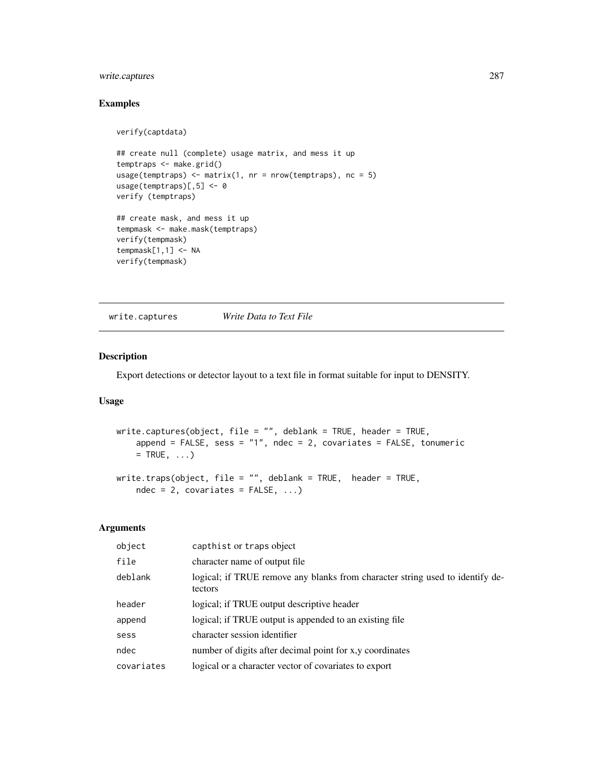# write.captures 287

# Examples

```
verify(captdata)
## create null (complete) usage matrix, and mess it up
temptraps <- make.grid()
usage(temptraps) <- matrix(1, nr = nrow(temptraps), nc = 5)
usage(temptraps)[,5] <- 0
verify (temptraps)
## create mask, and mess it up
tempmask <- make.mask(temptraps)
verify(tempmask)
tempmask[1,1] <- NA
```
write.captures *Write Data to Text File*

# Description

verify(tempmask)

Export detections or detector layout to a text file in format suitable for input to DENSITY.

# Usage

```
write.captures(object, file = "", deblank = TRUE, header = TRUE,
    append = FALSE, sess = "1", ndec = 2, covariates = FALSE, tonumeric
   = TRUE, \ldots)
write.traps(object, file = "", deblank = TRUE, header = TRUE,
    ndec = 2, covariates = FALSE, ...)
```
# Arguments

| object     | capthist or traps object                                                                 |
|------------|------------------------------------------------------------------------------------------|
| file       | character name of output file                                                            |
| deblank    | logical; if TRUE remove any blanks from character string used to identify de-<br>tectors |
| header     | logical; if TRUE output descriptive header                                               |
| append     | logical; if TRUE output is appended to an existing file                                  |
| sess       | character session identifier                                                             |
| ndec       | number of digits after decimal point for x,y coordinates                                 |
| covariates | logical or a character vector of covariates to export                                    |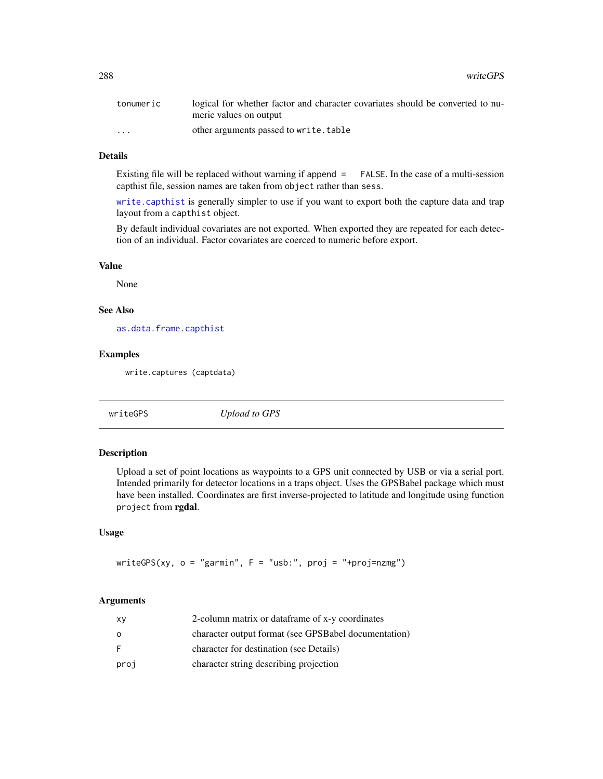| tonumeric | logical for whether factor and character covariates should be converted to nu- |
|-----------|--------------------------------------------------------------------------------|
|           | meric values on output                                                         |
| $\cdots$  | other arguments passed to write.table                                          |

# Details

Existing file will be replaced without warning if append = FALSE. In the case of a multi-session capthist file, session names are taken from object rather than sess.

[write.capthist](#page-174-1) is generally simpler to use if you want to export both the capture data and trap layout from a capthist object.

By default individual covariates are not exported. When exported they are repeated for each detection of an individual. Factor covariates are coerced to numeric before export.

# Value

None

# See Also

[as.data.frame.capthist](#page-15-0)

## Examples

write.captures (captdata)

writeGPS *Upload to GPS*

# Description

Upload a set of point locations as waypoints to a GPS unit connected by USB or via a serial port. Intended primarily for detector locations in a traps object. Uses the GPSBabel package which must have been installed. Coordinates are first inverse-projected to latitude and longitude using function project from rgdal.

## Usage

writeGPS(xy,  $o = "garmin", F = "usb:", proj = "+proj=nzmg")$ 

# Arguments

| хy   | 2-column matrix or dataframe of x-y coordinates      |
|------|------------------------------------------------------|
| o    | character output format (see GPSBabel documentation) |
| F.   | character for destination (see Details)              |
| proj | character string describing projection               |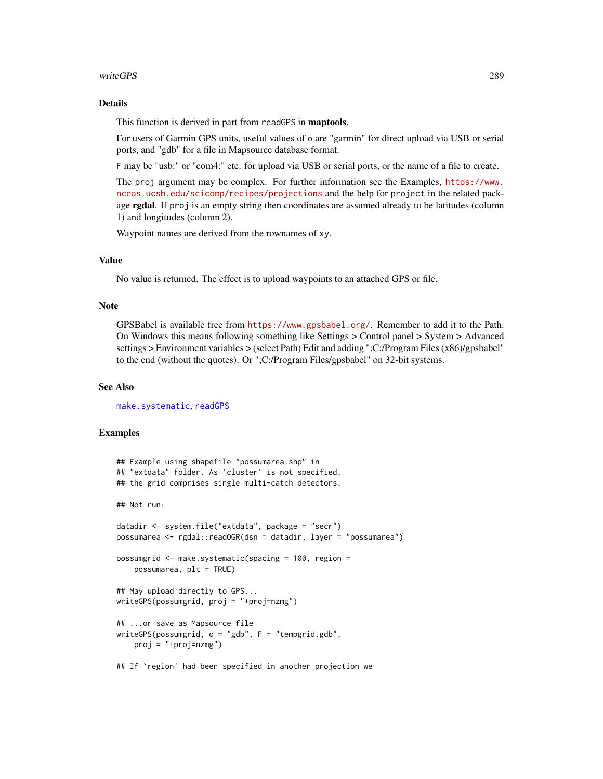### <span id="page-288-0"></span>writeGPS 289

### Details

This function is derived in part from readGPS in maptools.

For users of Garmin GPS units, useful values of o are "garmin" for direct upload via USB or serial ports, and "gdb" for a file in Mapsource database format.

F may be "usb:" or "com4:" etc. for upload via USB or serial ports, or the name of a file to create.

The proj argument may be complex. For further information see the Examples, [https://www.](https://www.nceas.ucsb.edu/scicomp/recipes/projections) [nceas.ucsb.edu/scicomp/recipes/projections](https://www.nceas.ucsb.edu/scicomp/recipes/projections) and the help for project in the related package rgdal. If proj is an empty string then coordinates are assumed already to be latitudes (column 1) and longitudes (column 2).

Waypoint names are derived from the rownames of xy.

## Value

No value is returned. The effect is to upload waypoints to an attached GPS or file.

### Note

GPSBabel is available free from <https://www.gpsbabel.org/>. Remember to add it to the Path. On Windows this means following something like Settings > Control panel > System > Advanced settings > Environment variables > (select Path) Edit and adding ";C:/Program Files (x86)/gpsbabel" to the end (without the quotes). Or ";C:/Program Files/gpsbabel" on 32-bit systems.

### See Also

[make.systematic](#page-107-0), [readGPS](#page-0-0)

### Examples

```
## Example using shapefile "possumarea.shp" in
## "extdata" folder. As 'cluster' is not specified,
## the grid comprises single multi-catch detectors.
## Not run:
datadir <- system.file("extdata", package = "secr")
possumarea <- rgdal::readOGR(dsn = datadir, layer = "possumarea")
possumgrid <- make.systematic(spacing = 100, region =
   possumarea, plt = TRUE)
## May upload directly to GPS...
writeGPS(possumgrid, proj = "+proj=nzmg")
## ...or save as Mapsource file
writeGPS(possumgrid, o = "gdb", F = "tempgrid,gdb",proj = "+proj=nzmg")
## If `region' had been specified in another projection we
```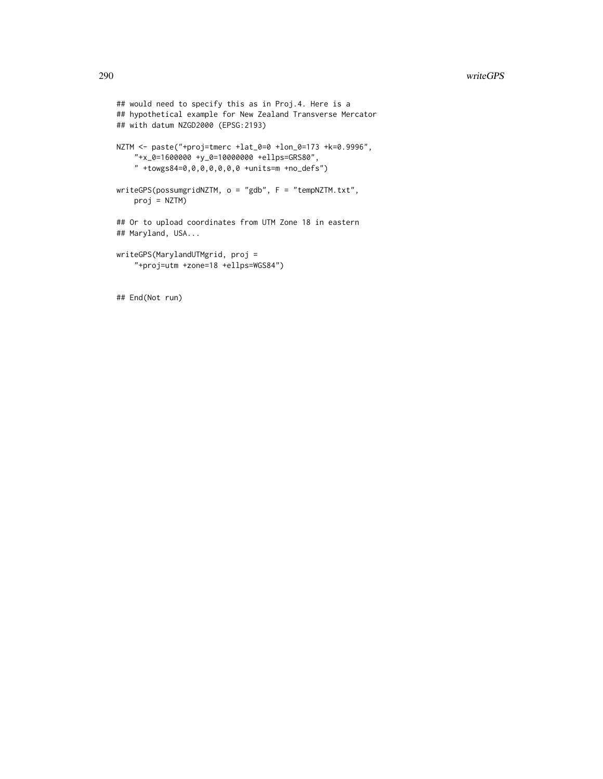```
## would need to specify this as in Proj.4. Here is a
## hypothetical example for New Zealand Transverse Mercator
## with datum NZGD2000 (EPSG:2193)
NZTM <- paste("+proj=tmerc +lat_0=0 +lon_0=173 +k=0.9996",
    "+x_0=1600000 +y_0=10000000 +ellps=GRS80",
    " +towgs84=0,0,0,0,0,0,0 +units=m +no_defs")
writeGPS(possumgridNZTM, o = "gdb", F = "tempNZTM.txt",
   proj = NZTM)
## Or to upload coordinates from UTM Zone 18 in eastern
## Maryland, USA...
writeGPS(MarylandUTMgrid, proj =
    "+proj=utm +zone=18 +ellps=WGS84")
```
## End(Not run)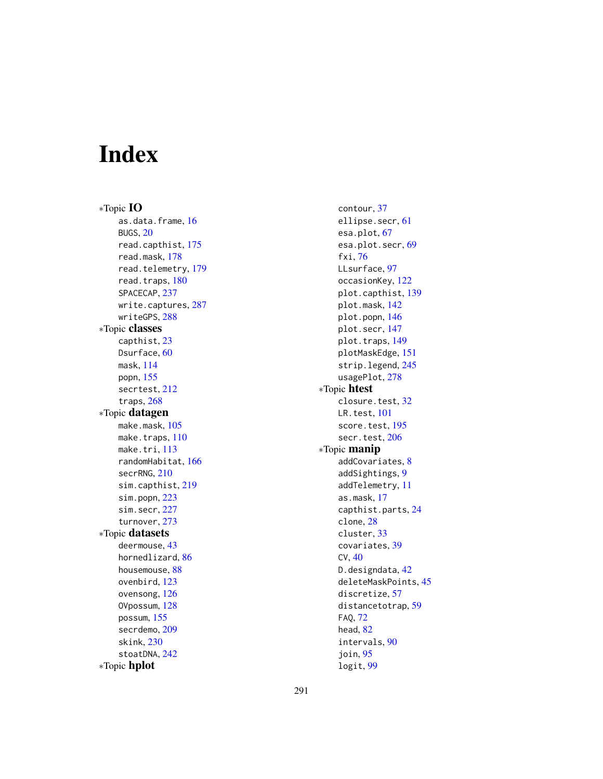# Index

∗Topic IO as.data.frame, [16](#page-15-0) BUGS, [20](#page-19-0) read.capthist, [175](#page-174-0) read.mask, [178](#page-177-0) read.telemetry, [179](#page-178-0) read.traps, [180](#page-179-0) SPACECAP, [237](#page-236-0) write.captures, [287](#page-286-0) writeGPS, [288](#page-287-0) ∗Topic classes capthist, [23](#page-22-0) Dsurface, [60](#page-59-0) mask, [114](#page-113-0) popn, [155](#page-154-0) secrtest, [212](#page-211-0) traps, [268](#page-267-0) ∗Topic datagen make.mask, [105](#page-104-0) make.traps, [110](#page-109-0) make.tri, [113](#page-112-0) randomHabitat, [166](#page-165-0) secrRNG, [210](#page-209-0) sim.capthist, [219](#page-218-0) sim.popn, [223](#page-222-0) sim.secr, [227](#page-226-0) turnover, [273](#page-272-0) ∗Topic datasets deermouse, [43](#page-42-0) hornedlizard, [86](#page-85-0) housemouse, [88](#page-87-0) ovenbird, [123](#page-122-0) ovensong, [126](#page-125-0) OVpossum, [128](#page-127-0) possum, [155](#page-154-0) secrdemo, [209](#page-208-0) skink, [230](#page-229-0) stoatDNA, [242](#page-241-0) ∗Topic hplot

contour, [37](#page-36-0) ellipse.secr, [61](#page-60-0) esa.plot, [67](#page-66-0) esa.plot.secr, [69](#page-68-0) fxi, [76](#page-75-0) LLsurface, [97](#page-96-0) occasionKey, [122](#page-121-0) plot.capthist, [139](#page-138-0) plot.mask, [142](#page-141-0) plot.popn, [146](#page-145-0) plot.secr, [147](#page-146-0) plot.traps, [149](#page-148-0) plotMaskEdge, [151](#page-150-0) strip.legend, [245](#page-244-0) usagePlot, [278](#page-277-0) ∗Topic htest closure.test, [32](#page-31-0) LR.test, [101](#page-100-0) score.test, [195](#page-194-0) secr.test, [206](#page-205-0) ∗Topic manip addCovariates, [8](#page-7-0) addSightings, [9](#page-8-0) addTelemetry, [11](#page-10-0) as.mask, [17](#page-16-0) capthist.parts, [24](#page-23-0) clone, [28](#page-27-0) cluster, [33](#page-32-0) covariates, [39](#page-38-0) CV, [40](#page-39-0) D.designdata, [42](#page-41-0) deleteMaskPoints, [45](#page-44-0) discretize, [57](#page-56-0) distancetotrap, [59](#page-58-0) FAQ, [72](#page-71-0) head, [82](#page-81-0) intervals, [90](#page-89-0) join, [95](#page-94-0)

logit, [99](#page-98-0)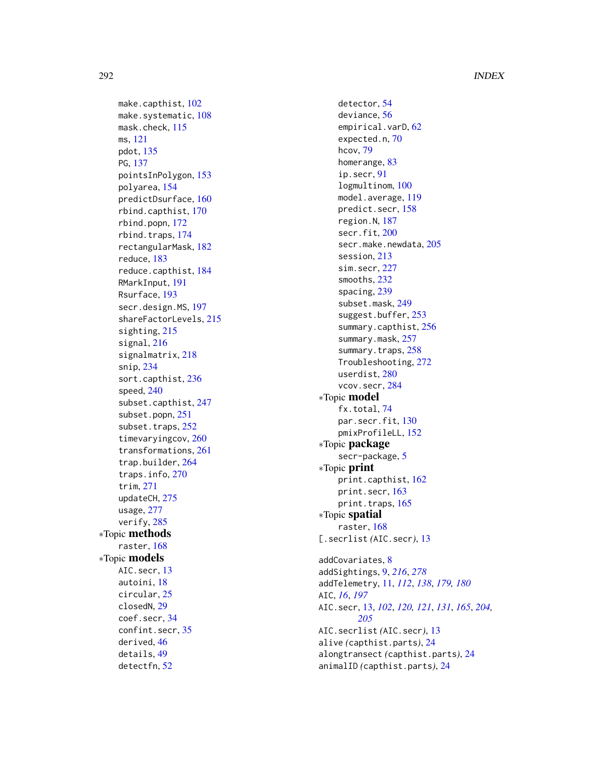make.capthist, [102](#page-101-0) make.systematic, [108](#page-107-1) mask.check, [115](#page-114-0) ms , [121](#page-120-0) pdot , [135](#page-134-0) PG , [137](#page-136-0) pointsInPolygon , [153](#page-152-0) polyarea , [154](#page-153-0) predictDsurface , [160](#page-159-0) rbind.capthist , [170](#page-169-0) rbind.popn , [172](#page-171-0) rbind.traps , [174](#page-173-0) rectangularMask , [182](#page-181-0) reduce , [183](#page-182-0) reduce.capthist , [184](#page-183-0) RMarkInput , [191](#page-190-0) Rsurface , [193](#page-192-0) secr.design.MS, [197](#page-196-0) shareFactorLevels , [215](#page-214-0) sighting, [215](#page-214-0) signal , [216](#page-215-0) signalmatrix , [218](#page-217-0) snip , [234](#page-233-0) sort.capthist, [236](#page-235-0) speed , [240](#page-239-0) subset.capthist , [247](#page-246-0) subset.popn , [251](#page-250-0) subset.traps, [252](#page-251-0) timevaryingcov , [260](#page-259-0) transformations , [261](#page-260-0) trap.builder , [264](#page-263-0) traps.info , [270](#page-269-0) trim , [271](#page-270-0) updateCH , [275](#page-274-0) usage , [277](#page-276-0) verify , [285](#page-284-0) ∗Topic methods raster, [168](#page-167-0) ∗Topic models AIC.secr, [13](#page-12-0) autoini , [18](#page-17-0) circular , [25](#page-24-0) closedN , [29](#page-28-0) coef.secr , [34](#page-33-0) confint.secr , [35](#page-34-0) derived , [46](#page-45-0) details , [49](#page-48-0) detectfn , [52](#page-51-0)

detector , [54](#page-53-0) deviance , [56](#page-55-0) empirical.varD, [62](#page-61-0) expected.n, [70](#page-69-0) hcov , [79](#page-78-0) homerange , [83](#page-82-0) ip.secr , [91](#page-90-0) logmultinom , [100](#page-99-0) model.average , [119](#page-118-0) predict.secr , [158](#page-157-0) region.N , [187](#page-186-0) secr.fit, [200](#page-199-0) secr.make.newdata, [205](#page-204-0) session , [213](#page-212-0) sim.secr, [227](#page-226-0) smooths , [232](#page-231-0) spacing , [239](#page-238-0) subset.mask , [249](#page-248-0) suggest.buffer, [253](#page-252-0) summary.capthist, [256](#page-255-0) summary.mask, [257](#page-256-0) summary.traps, [258](#page-257-0) Troubleshooting , [272](#page-271-0) userdist, $280\,$  $280\,$ vcov.secr , [284](#page-283-0) ∗Topic model fx.total , [74](#page-73-0) par.secr.fit, [130](#page-129-0) pmixProfileLL , [152](#page-151-0) ∗Topic package secr-package, [5](#page-4-0) ∗Topic print print.capthist , [162](#page-161-0) print.secr , [163](#page-162-0) print.traps, [165](#page-164-0) ∗Topic spatial raster , [168](#page-167-0) [.secrlist *(*AIC.secr *)* , [13](#page-12-0) addCovariates , [8](#page-7-0) addSightings , [9](#page-8-0) , *[216](#page-215-0)* , *[278](#page-277-0)* addTelemetry , [11](#page-10-0) , *[112](#page-111-0)* , *[138](#page-137-0)* , *[179](#page-178-0) , [180](#page-179-0)* AIC , *[16](#page-15-0)* , *[197](#page-196-0)*

AIC. secr, [13](#page-12-0), [102](#page-101-0), [120](#page-119-0), [121](#page-120-0), [131](#page-130-0), [165](#page-164-0), [204](#page-203-0), *[205](#page-204-0)* AIC.secrlist *(*AIC.secr *)* , [13](#page-12-0) alive *(*capthist.parts *)* , [24](#page-23-0) alongtransect *(*capthist.parts *)* , [24](#page-23-0) animalID *(*capthist.parts *)* , [24](#page-23-0)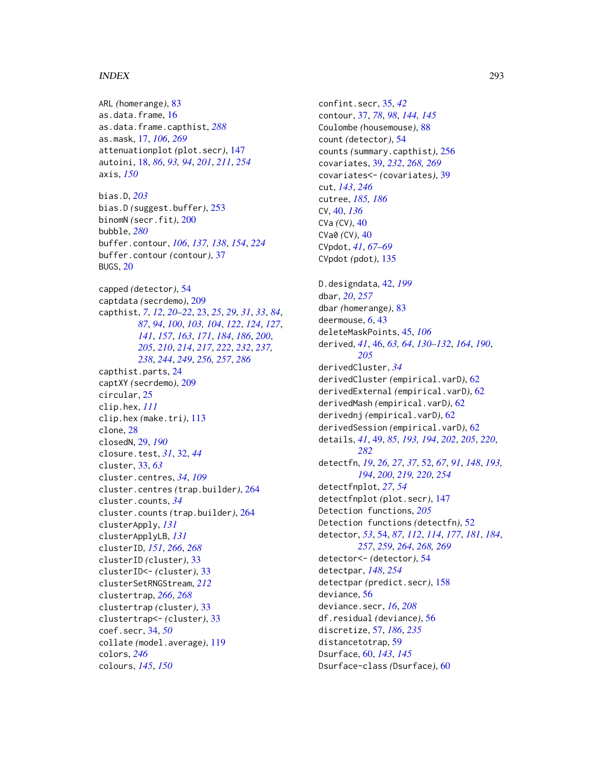ARL *(*homerange*)*, [83](#page-82-0) as.data.frame, [16](#page-15-0) as.data.frame.capthist, *[288](#page-287-0)* as.mask, [17,](#page-16-0) *[106](#page-105-0)*, *[269](#page-268-0)* attenuationplot *(*plot.secr*)*, [147](#page-146-0) autoini, [18,](#page-17-0) *[86](#page-85-0)*, *[93,](#page-92-0) [94](#page-93-0)*, *[201](#page-200-0)*, *[211](#page-210-0)*, *[254](#page-253-0)* axis, *[150](#page-149-0)* bias.D, *[203](#page-202-0)* bias.D *(*suggest.buffer*)*, [253](#page-252-0) binomN *(*secr.fit*)*, [200](#page-199-0) bubble, *[280](#page-279-0)* buffer.contour, *[106](#page-105-0)*, *[137,](#page-136-0) [138](#page-137-0)*, *[154](#page-153-0)*, *[224](#page-223-0)* buffer.contour *(*contour*)*, [37](#page-36-0) BUGS, [20](#page-19-0) capped *(*detector*)*, [54](#page-53-0) captdata *(*secrdemo*)*, [209](#page-208-0) capthist, *[7](#page-6-0)*, *[12](#page-11-0)*, *[20](#page-19-0)[–22](#page-21-0)*, [23,](#page-22-0) *[25](#page-24-0)*, *[29](#page-28-0)*, *[31](#page-30-0)*, *[33](#page-32-0)*, *[84](#page-83-0)*, *[87](#page-86-0)*, *[94](#page-93-0)*, *[100](#page-99-0)*, *[103,](#page-102-0) [104](#page-103-0)*, *[122](#page-121-0)*, *[124](#page-123-0)*, *[127](#page-126-0)*, *[141](#page-140-0)*, *[157](#page-156-0)*, *[163](#page-162-0)*, *[171](#page-170-0)*, *[184](#page-183-0)*, *[186](#page-185-0)*, *[200](#page-199-0)*, *[205](#page-204-0)*, *[210](#page-209-0)*, *[214](#page-213-0)*, *[217](#page-216-0)*, *[222](#page-221-0)*, *[232](#page-231-0)*, *[237,](#page-236-0) [238](#page-237-0)*, *[244](#page-243-0)*, *[249](#page-248-0)*, *[256,](#page-255-0) [257](#page-256-0)*, *[286](#page-285-0)* capthist.parts, [24](#page-23-0) captXY *(*secrdemo*)*, [209](#page-208-0) circular, [25](#page-24-0) clip.hex, *[111](#page-110-0)* clip.hex *(*make.tri*)*, [113](#page-112-0) clone, [28](#page-27-0) closedN, [29,](#page-28-0) *[190](#page-189-0)* closure.test, *[31](#page-30-0)*, [32,](#page-31-0) *[44](#page-43-0)* cluster, [33,](#page-32-0) *[63](#page-62-0)* cluster.centres, *[34](#page-33-0)*, *[109](#page-108-0)* cluster.centres *(*trap.builder*)*, [264](#page-263-0) cluster.counts, *[34](#page-33-0)* cluster.counts *(*trap.builder*)*, [264](#page-263-0) clusterApply, *[131](#page-130-0)* clusterApplyLB, *[131](#page-130-0)* clusterID, *[151](#page-150-0)*, *[266](#page-265-0)*, *[268](#page-267-0)* clusterID *(*cluster*)*, [33](#page-32-0) clusterID<- *(*cluster*)*, [33](#page-32-0) clusterSetRNGStream, *[212](#page-211-0)* clustertrap, *[266](#page-265-0)*, *[268](#page-267-0)* clustertrap *(*cluster*)*, [33](#page-32-0) clustertrap<- *(*cluster*)*, [33](#page-32-0) coef.secr, [34,](#page-33-0) *[50](#page-49-0)* collate *(*model.average*)*, [119](#page-118-0) colors, *[246](#page-245-0)* colours, *[145](#page-144-0)*, *[150](#page-149-0)*

confint.secr, [35,](#page-34-0) *[42](#page-41-0)* contour, [37,](#page-36-0) *[78](#page-77-0)*, *[98](#page-97-0)*, *[144,](#page-143-0) [145](#page-144-0)* Coulombe *(*housemouse*)*, [88](#page-87-0) count *(*detector*)*, [54](#page-53-0) counts *(*summary.capthist*)*, [256](#page-255-0) covariates, [39,](#page-38-0) *[232](#page-231-0)*, *[268,](#page-267-0) [269](#page-268-0)* covariates<- *(*covariates*)*, [39](#page-38-0) cut, *[143](#page-142-0)*, *[246](#page-245-0)* cutree, *[185,](#page-184-0) [186](#page-185-0)* CV, [40,](#page-39-0) *[136](#page-135-0)* CVa *(*CV*)*, [40](#page-39-0) CVa0 *(*CV*)*, [40](#page-39-0) CVpdot, *[41](#page-40-0)*, *[67](#page-66-0)[–69](#page-68-0)* CVpdot *(*pdot*)*, [135](#page-134-0) D.designdata, [42,](#page-41-0) *[199](#page-198-0)* dbar, *[20](#page-19-0)*, *[257](#page-256-0)* dbar *(*homerange*)*, [83](#page-82-0) deermouse, *[6](#page-5-0)*, [43](#page-42-0) deleteMaskPoints, [45,](#page-44-0) *[106](#page-105-0)* derived, *[41](#page-40-0)*, [46,](#page-45-0) *[63,](#page-62-0) [64](#page-63-0)*, *[130](#page-129-0)[–132](#page-131-0)*, *[164](#page-163-0)*, *[190](#page-189-0)*, *[205](#page-204-0)* derivedCluster, *[34](#page-33-0)* derivedCluster *(*empirical.varD*)*, [62](#page-61-0) derivedExternal *(*empirical.varD*)*, [62](#page-61-0) derivedMash *(*empirical.varD*)*, [62](#page-61-0) derivednj *(*empirical.varD*)*, [62](#page-61-0) derivedSession *(*empirical.varD*)*, [62](#page-61-0) details, *[41](#page-40-0)*, [49,](#page-48-0) *[85](#page-84-0)*, *[193,](#page-192-0) [194](#page-193-0)*, *[202](#page-201-0)*, *[205](#page-204-0)*, *[220](#page-219-0)*, *[282](#page-281-0)* detectfn, *[19](#page-18-0)*, *[26,](#page-25-0) [27](#page-26-0)*, *[37](#page-36-0)*, [52,](#page-51-0) *[67](#page-66-0)*, *[91](#page-90-0)*, *[148](#page-147-0)*, *[193,](#page-192-0) [194](#page-193-0)*, *[200](#page-199-0)*, *[219,](#page-218-0) [220](#page-219-0)*, *[254](#page-253-0)* detectfnplot, *[27](#page-26-0)*, *[54](#page-53-0)* detectfnplot *(*plot.secr*)*, [147](#page-146-0) Detection functions, *[205](#page-204-0)* Detection functions *(*detectfn*)*, [52](#page-51-0) detector, *[53](#page-52-0)*, [54,](#page-53-0) *[87](#page-86-0)*, *[112](#page-111-0)*, *[114](#page-113-0)*, *[177](#page-176-0)*, *[181](#page-180-0)*, *[184](#page-183-0)*, *[257](#page-256-0)*, *[259](#page-258-0)*, *[264](#page-263-0)*, *[268,](#page-267-0) [269](#page-268-0)* detector<- *(*detector*)*, [54](#page-53-0) detectpar, *[148](#page-147-0)*, *[254](#page-253-0)* detectpar *(*predict.secr*)*, [158](#page-157-0) deviance, [56](#page-55-0) deviance.secr, *[16](#page-15-0)*, *[208](#page-207-0)* df.residual *(*deviance*)*, [56](#page-55-0) discretize, [57,](#page-56-0) *[186](#page-185-0)*, *[235](#page-234-0)* distancetotrap, [59](#page-58-0) Dsurface, [60,](#page-59-0) *[143](#page-142-0)*, *[145](#page-144-0)* Dsurface-class *(*Dsurface*)*, [60](#page-59-0)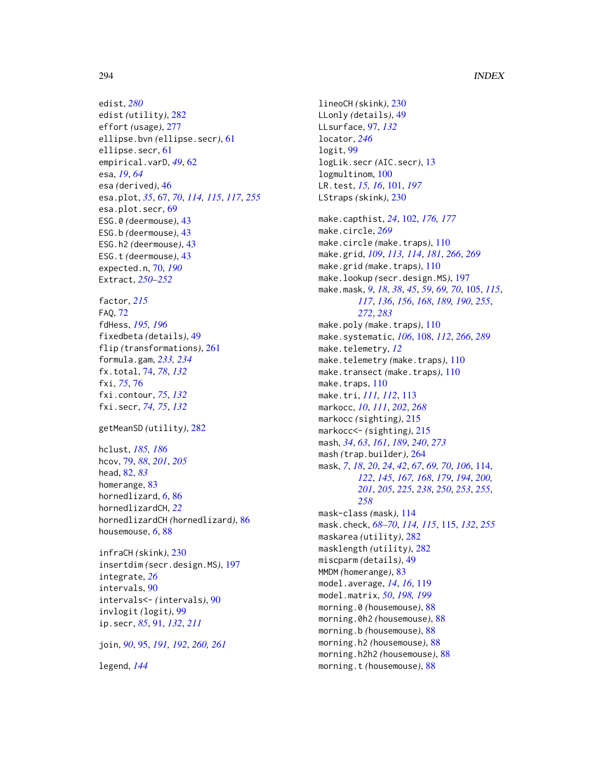edist, *[280](#page-279-0)* edist *(*utility*)*, [282](#page-281-0) effort *(*usage*)*, [277](#page-276-0) ellipse.bvn *(*ellipse.secr*)*, [61](#page-60-0) ellipse.secr, [61](#page-60-0) empirical.varD, *[49](#page-48-0)*, [62](#page-61-0) esa, *[19](#page-18-0)*, *[64](#page-63-0)* esa *(*derived*)*, [46](#page-45-0) esa.plot, *[35](#page-34-0)*, [67,](#page-66-0) *[70](#page-69-0)*, *[114,](#page-113-0) [115](#page-114-0)*, *[117](#page-116-0)*, *[255](#page-254-0)* esa.plot.secr, [69](#page-68-0) ESG.0 *(*deermouse*)*, [43](#page-42-0) ESG.b *(*deermouse*)*, [43](#page-42-0) ESG.h2 *(*deermouse*)*, [43](#page-42-0) ESG.t *(*deermouse*)*, [43](#page-42-0) expected.n, [70,](#page-69-0) *[190](#page-189-0)* Extract, *[250](#page-249-0)[–252](#page-251-0)* factor, *[215](#page-214-0)* FAQ, [72](#page-71-0) fdHess, *[195,](#page-194-0) [196](#page-195-0)* fixedbeta *(*details*)*, [49](#page-48-0) flip *(*transformations*)*, [261](#page-260-0) formula.gam, *[233,](#page-232-0) [234](#page-233-0)* fx.total, [74,](#page-73-0) *[78](#page-77-0)*, *[132](#page-131-0)* fxi, *[75](#page-74-0)*, [76](#page-75-0) fxi.contour, *[75](#page-74-0)*, *[132](#page-131-0)* fxi.secr, *[74,](#page-73-0) [75](#page-74-0)*, *[132](#page-131-0)* getMeanSD *(*utility*)*, [282](#page-281-0) hclust, *[185,](#page-184-0) [186](#page-185-0)* hcov, [79,](#page-78-0) *[88](#page-87-0)*, *[201](#page-200-0)*, *[205](#page-204-0)* head, [82,](#page-81-0) *[83](#page-82-0)* homerange, [83](#page-82-0) hornedlizard, *[6](#page-5-0)*, [86](#page-85-0) hornedlizardCH, *[22](#page-21-0)* hornedlizardCH *(*hornedlizard*)*, [86](#page-85-0) housemouse, *[6](#page-5-0)*, [88](#page-87-0)

```
infraCH (skink), 230
insertdim (secr.design.MS), 197
integrate, 26
intervals, 90
intervals<- (intervals), 90
invlogit (logit), 99
ip.secr, 85, 91, 132, 211
```
join, *[90](#page-89-0)*, [95,](#page-94-0) *[191,](#page-190-0) [192](#page-191-0)*, *[260,](#page-259-0) [261](#page-260-0)*

legend, *[144](#page-143-0)*

lineoCH *(*skink*)*, [230](#page-229-0) LLonly *(*details*)*, [49](#page-48-0) LLsurface, [97,](#page-96-0) *[132](#page-131-0)* locator, *[246](#page-245-0)* logit, [99](#page-98-0) logLik.secr *(*AIC.secr*)*, [13](#page-12-0) logmultinom, [100](#page-99-0) LR.test, *[15,](#page-14-0) [16](#page-15-0)*, [101,](#page-100-0) *[197](#page-196-0)* LStraps *(*skink*)*, [230](#page-229-0) make.capthist, *[24](#page-23-0)*, [102,](#page-101-0) *[176,](#page-175-0) [177](#page-176-0)* make.circle, *[269](#page-268-0)* make.circle *(*make.traps*)*, [110](#page-109-0) make.grid, *[109](#page-108-0)*, *[113,](#page-112-0) [114](#page-113-0)*, *[181](#page-180-0)*, *[266](#page-265-0)*, *[269](#page-268-0)* make.grid *(*make.traps*)*, [110](#page-109-0) make.lookup *(*secr.design.MS*)*, [197](#page-196-0) make.mask, *[9](#page-8-0)*, *[18](#page-17-0)*, *[38](#page-37-0)*, *[45](#page-44-0)*, *[59](#page-58-0)*, *[69,](#page-68-0) [70](#page-69-0)*, [105,](#page-104-0) *[115](#page-114-0)*, *[117](#page-116-0)*, *[136](#page-135-0)*, *[156](#page-155-0)*, *[168](#page-167-0)*, *[189,](#page-188-0) [190](#page-189-0)*, *[255](#page-254-0)*, *[272](#page-271-0)*, *[283](#page-282-0)* make.poly *(*make.traps*)*, [110](#page-109-0) make.systematic, *[106](#page-105-0)*, [108,](#page-107-1) *[112](#page-111-0)*, *[266](#page-265-0)*, *[289](#page-288-0)* make.telemetry, *[12](#page-11-0)* make.telemetry *(*make.traps*)*, [110](#page-109-0) make.transect *(*make.traps*)*, [110](#page-109-0) make.traps, [110](#page-109-0) make.tri, *[111,](#page-110-0) [112](#page-111-0)*, [113](#page-112-0) markocc, *[10](#page-9-0)*, *[111](#page-110-0)*, *[202](#page-201-0)*, *[268](#page-267-0)* markocc *(*sighting*)*, [215](#page-214-0) markocc<- *(*sighting*)*, [215](#page-214-0) mash, *[34](#page-33-0)*, *[63](#page-62-0)*, *[161](#page-160-0)*, *[189](#page-188-0)*, *[240](#page-239-0)*, *[273](#page-272-0)* mash *(*trap.builder*)*, [264](#page-263-0) mask, *[7](#page-6-0)*, *[18](#page-17-0)*, *[20](#page-19-0)*, *[24](#page-23-0)*, *[42](#page-41-0)*, *[67](#page-66-0)*, *[69,](#page-68-0) [70](#page-69-0)*, *[106](#page-105-0)*, [114,](#page-113-0) *[122](#page-121-0)*, *[145](#page-144-0)*, *[167,](#page-166-0) [168](#page-167-0)*, *[179](#page-178-0)*, *[194](#page-193-0)*, *[200,](#page-199-0) [201](#page-200-0)*, *[205](#page-204-0)*, *[225](#page-224-0)*, *[238](#page-237-0)*, *[250](#page-249-0)*, *[253](#page-252-0)*, *[255](#page-254-0)*, *[258](#page-257-0)* mask-class *(*mask*)*, [114](#page-113-0) mask.check, *[68](#page-67-0)[–70](#page-69-0)*, *[114,](#page-113-0) [115](#page-114-0)*, [115,](#page-114-0) *[132](#page-131-0)*, *[255](#page-254-0)* maskarea *(*utility*)*, [282](#page-281-0) masklength *(*utility*)*, [282](#page-281-0) miscparm *(*details*)*, [49](#page-48-0) MMDM *(*homerange*)*, [83](#page-82-0) model.average, *[14](#page-13-0)*, *[16](#page-15-0)*, [119](#page-118-0) model.matrix, *[50](#page-49-0)*, *[198,](#page-197-0) [199](#page-198-0)* morning.0 *(*housemouse*)*, [88](#page-87-0) morning.0h2 *(*housemouse*)*, [88](#page-87-0) morning.b *(*housemouse*)*, [88](#page-87-0) morning.h2 *(*housemouse*)*, [88](#page-87-0) morning.h2h2 *(*housemouse*)*, [88](#page-87-0) morning.t *(*housemouse*)*, [88](#page-87-0)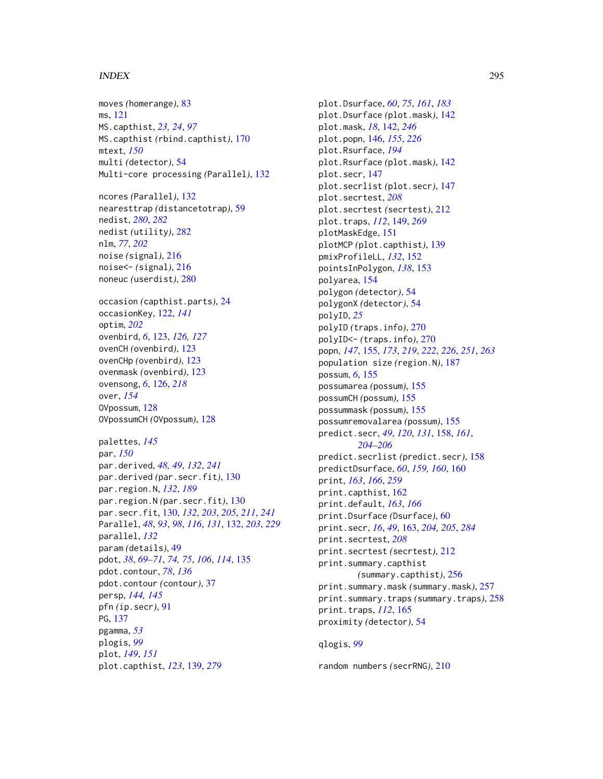moves *(*homerange*)*, [83](#page-82-0) ms, [121](#page-120-0) MS.capthist, *[23,](#page-22-0) [24](#page-23-0)*, *[97](#page-96-0)* MS.capthist *(*rbind.capthist*)*, [170](#page-169-0) mtext, *[150](#page-149-0)* multi *(*detector*)*, [54](#page-53-0) Multi-core processing *(*Parallel*)*, [132](#page-131-0) ncores *(*Parallel*)*, [132](#page-131-0) nearesttrap *(*distancetotrap*)*, [59](#page-58-0) nedist, *[280](#page-279-0)*, *[282](#page-281-0)* nedist *(*utility*)*, [282](#page-281-0) nlm, *[77](#page-76-0)*, *[202](#page-201-0)* noise *(*signal*)*, [216](#page-215-0) noise<- *(*signal*)*, [216](#page-215-0) noneuc *(*userdist*)*, [280](#page-279-0) occasion *(*capthist.parts*)*, [24](#page-23-0) occasionKey, [122,](#page-121-0) *[141](#page-140-0)* optim, *[202](#page-201-0)* ovenbird, *[6](#page-5-0)*, [123,](#page-122-0) *[126,](#page-125-0) [127](#page-126-0)* ovenCH *(*ovenbird*)*, [123](#page-122-0) ovenCHp *(*ovenbird*)*, [123](#page-122-0) ovenmask *(*ovenbird*)*, [123](#page-122-0) ovensong, *[6](#page-5-0)*, [126,](#page-125-0) *[218](#page-217-0)* over, *[154](#page-153-0)* OVpossum, [128](#page-127-0) OVpossumCH *(*OVpossum*)*, [128](#page-127-0) palettes, *[145](#page-144-0)* par, *[150](#page-149-0)* par.derived, *[48,](#page-47-0) [49](#page-48-0)*, *[132](#page-131-0)*, *[241](#page-240-0)* par.derived *(*par.secr.fit*)*, [130](#page-129-0) par.region.N, *[132](#page-131-0)*, *[189](#page-188-0)* par.region.N *(*par.secr.fit*)*, [130](#page-129-0) par.secr.fit, [130,](#page-129-0) *[132](#page-131-0)*, *[203](#page-202-0)*, *[205](#page-204-0)*, *[211](#page-210-0)*, *[241](#page-240-0)* Parallel, *[48](#page-47-0)*, *[93](#page-92-0)*, *[98](#page-97-0)*, *[116](#page-115-0)*, *[131](#page-130-0)*, [132,](#page-131-0) *[203](#page-202-0)*, *[229](#page-228-0)* parallel, *[132](#page-131-0)* param *(*details*)*, [49](#page-48-0) pdot, *[38](#page-37-0)*, *[69](#page-68-0)[–71](#page-70-0)*, *[74,](#page-73-0) [75](#page-74-0)*, *[106](#page-105-0)*, *[114](#page-113-0)*, [135](#page-134-0) pdot.contour, *[78](#page-77-0)*, *[136](#page-135-0)* pdot.contour *(*contour*)*, [37](#page-36-0) persp, *[144,](#page-143-0) [145](#page-144-0)* pfn *(*ip.secr*)*, [91](#page-90-0) PG, [137](#page-136-0) pgamma, *[53](#page-52-0)* plogis, *[99](#page-98-0)* plot, *[149](#page-148-0)*, *[151](#page-150-0)* plot.capthist, *[123](#page-122-0)*, [139,](#page-138-0) *[279](#page-278-0)*

plot.Dsurface, *[60](#page-59-0)*, *[75](#page-74-0)*, *[161](#page-160-0)*, *[183](#page-182-0)* plot.Dsurface *(*plot.mask*)*, [142](#page-141-0) plot.mask, *[18](#page-17-0)*, [142,](#page-141-0) *[246](#page-245-0)* plot.popn, [146,](#page-145-0) *[155](#page-154-0)*, *[226](#page-225-0)* plot.Rsurface, *[194](#page-193-0)* plot.Rsurface *(*plot.mask*)*, [142](#page-141-0) plot.secr, [147](#page-146-0) plot.secrlist *(*plot.secr*)*, [147](#page-146-0) plot.secrtest, *[208](#page-207-0)* plot.secrtest *(*secrtest*)*, [212](#page-211-0) plot.traps, *[112](#page-111-0)*, [149,](#page-148-0) *[269](#page-268-0)* plotMaskEdge, [151](#page-150-0) plotMCP *(*plot.capthist*)*, [139](#page-138-0) pmixProfileLL, *[132](#page-131-0)*, [152](#page-151-0) pointsInPolygon, *[138](#page-137-0)*, [153](#page-152-0) polyarea, [154](#page-153-0) polygon *(*detector*)*, [54](#page-53-0) polygonX *(*detector*)*, [54](#page-53-0) polyID, *[25](#page-24-0)* polyID *(*traps.info*)*, [270](#page-269-0) polyID<- *(*traps.info*)*, [270](#page-269-0) popn, *[147](#page-146-0)*, [155,](#page-154-0) *[173](#page-172-0)*, *[219](#page-218-0)*, *[222](#page-221-0)*, *[226](#page-225-0)*, *[251](#page-250-0)*, *[263](#page-262-0)* population size *(*region.N*)*, [187](#page-186-0) possum, *[6](#page-5-0)*, [155](#page-154-0) possumarea *(*possum*)*, [155](#page-154-0) possumCH *(*possum*)*, [155](#page-154-0) possummask *(*possum*)*, [155](#page-154-0) possumremovalarea *(*possum*)*, [155](#page-154-0) predict.secr, *[49](#page-48-0)*, *[120](#page-119-0)*, *[131](#page-130-0)*, [158,](#page-157-0) *[161](#page-160-0)*, *[204](#page-203-0)[–206](#page-205-0)* predict.secrlist *(*predict.secr*)*, [158](#page-157-0) predictDsurface, *[60](#page-59-0)*, *[159,](#page-158-0) [160](#page-159-0)*, [160](#page-159-0) print, *[163](#page-162-0)*, *[166](#page-165-0)*, *[259](#page-258-0)* print.capthist, [162](#page-161-0) print.default, *[163](#page-162-0)*, *[166](#page-165-0)* print.Dsurface *(*Dsurface*)*, [60](#page-59-0) print.secr, *[16](#page-15-0)*, *[49](#page-48-0)*, [163,](#page-162-0) *[204,](#page-203-0) [205](#page-204-0)*, *[284](#page-283-0)* print.secrtest, *[208](#page-207-0)* print.secrtest *(*secrtest*)*, [212](#page-211-0) print.summary.capthist *(*summary.capthist*)*, [256](#page-255-0) print.summary.mask *(*summary.mask*)*, [257](#page-256-0) print.summary.traps *(*summary.traps*)*, [258](#page-257-0) print.traps, *[112](#page-111-0)*, [165](#page-164-0) proximity *(*detector*)*, [54](#page-53-0)

qlogis, *[99](#page-98-0)*

random numbers *(*secrRNG*)*, [210](#page-209-0)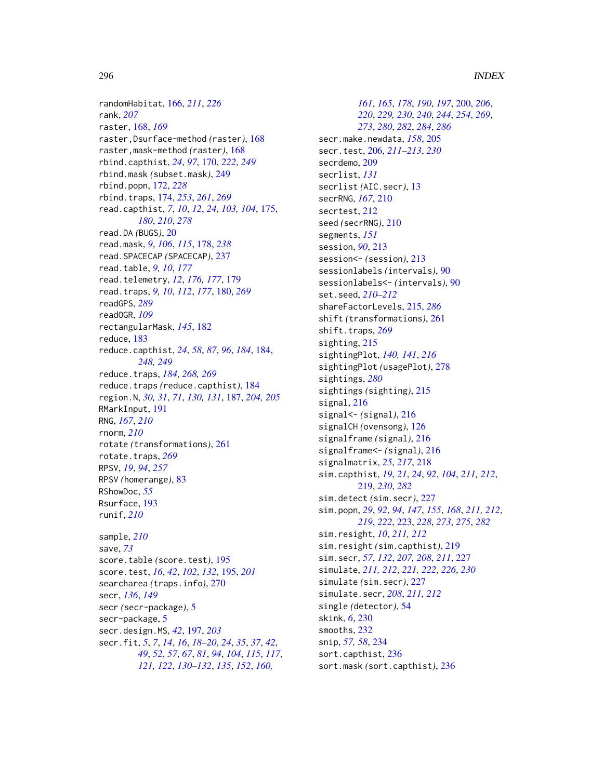randomHabitat, [166,](#page-165-0) *[211](#page-210-0)*, *[226](#page-225-0)* rank, *[207](#page-206-0)* raster, [168,](#page-167-0) *[169](#page-168-0)* raster,Dsurface-method *(*raster*)*, [168](#page-167-0) raster,mask-method *(*raster*)*, [168](#page-167-0) rbind.capthist, *[24](#page-23-0)*, *[97](#page-96-0)*, [170,](#page-169-0) *[222](#page-221-0)*, *[249](#page-248-0)* rbind.mask *(*subset.mask*)*, [249](#page-248-0) rbind.popn, [172,](#page-171-0) *[228](#page-227-0)* rbind.traps, [174,](#page-173-0) *[253](#page-252-0)*, *[261](#page-260-0)*, *[269](#page-268-0)* read.capthist, *[7](#page-6-0)*, *[10](#page-9-0)*, *[12](#page-11-0)*, *[24](#page-23-0)*, *[103,](#page-102-0) [104](#page-103-0)*, [175,](#page-174-0) *[180](#page-179-0)*, *[210](#page-209-0)*, *[278](#page-277-0)* read.DA *(*BUGS*)*, [20](#page-19-0) read.mask, *[9](#page-8-0)*, *[106](#page-105-0)*, *[115](#page-114-0)*, [178,](#page-177-0) *[238](#page-237-0)* read.SPACECAP *(*SPACECAP*)*, [237](#page-236-0) read.table, *[9,](#page-8-0) [10](#page-9-0)*, *[177](#page-176-0)* read.telemetry, *[12](#page-11-0)*, *[176,](#page-175-0) [177](#page-176-0)*, [179](#page-178-0) read.traps, *[9,](#page-8-0) [10](#page-9-0)*, *[112](#page-111-0)*, *[177](#page-176-0)*, [180,](#page-179-0) *[269](#page-268-0)* readGPS, *[289](#page-288-0)* readOGR, *[109](#page-108-0)* rectangularMask, *[145](#page-144-0)*, [182](#page-181-0) reduce, [183](#page-182-0) reduce.capthist, *[24](#page-23-0)*, *[58](#page-57-0)*, *[87](#page-86-0)*, *[96](#page-95-0)*, *[184](#page-183-0)*, [184,](#page-183-0) *[248,](#page-247-0) [249](#page-248-0)* reduce.traps, *[184](#page-183-0)*, *[268,](#page-267-0) [269](#page-268-0)* reduce.traps *(*reduce.capthist*)*, [184](#page-183-0) region.N, *[30,](#page-29-0) [31](#page-30-0)*, *[71](#page-70-0)*, *[130,](#page-129-0) [131](#page-130-0)*, [187,](#page-186-0) *[204,](#page-203-0) [205](#page-204-0)* RMarkInput, [191](#page-190-0) RNG, *[167](#page-166-0)*, *[210](#page-209-0)* rnorm, *[210](#page-209-0)* rotate *(*transformations*)*, [261](#page-260-0) rotate.traps, *[269](#page-268-0)* RPSV, *[19](#page-18-0)*, *[94](#page-93-0)*, *[257](#page-256-0)* RPSV *(*homerange*)*, [83](#page-82-0) RShowDoc, *[55](#page-54-0)* Rsurface, [193](#page-192-0) runif, *[210](#page-209-0)* sample, *[210](#page-209-0)* save, *[73](#page-72-0)*

score.table *(*score.test*)*, [195](#page-194-0) score.test, *[16](#page-15-0)*, *[42](#page-41-0)*, *[102](#page-101-0)*, *[132](#page-131-0)*, [195,](#page-194-0) *[201](#page-200-0)* searcharea *(*traps.info*)*, [270](#page-269-0) secr, *[136](#page-135-0)*, *[149](#page-148-0)* secr *(*secr-package*)*, [5](#page-4-0) secr-package, [5](#page-4-0) secr.design.MS, *[42](#page-41-0)*, [197,](#page-196-0) *[203](#page-202-0)* secr.fit, *[5](#page-4-0)*, *[7](#page-6-0)*, *[14](#page-13-0)*, *[16](#page-15-0)*, *[18–](#page-17-0)[20](#page-19-0)*, *[24](#page-23-0)*, *[35](#page-34-0)*, *[37](#page-36-0)*, *[42](#page-41-0)*, *[49](#page-48-0)*, *[52](#page-51-0)*, *[57](#page-56-0)*, *[67](#page-66-0)*, *[81](#page-80-0)*, *[94](#page-93-0)*, *[104](#page-103-0)*, *[115](#page-114-0)*, *[117](#page-116-0)*, *[121,](#page-120-0) [122](#page-121-0)*, *[130–](#page-129-0)[132](#page-131-0)*, *[135](#page-134-0)*, *[152](#page-151-0)*, *[160,](#page-159-0)*

*[161](#page-160-0)*, *[165](#page-164-0)*, *[178](#page-177-0)*, *[190](#page-189-0)*, *[197](#page-196-0)*, [200,](#page-199-0) *[206](#page-205-0)*, *[220](#page-219-0)*, *[229,](#page-228-0) [230](#page-229-0)*, *[240](#page-239-0)*, *[244](#page-243-0)*, *[254](#page-253-0)*, *[269](#page-268-0)*, *[273](#page-272-0)*, *[280](#page-279-0)*, *[282](#page-281-0)*, *[284](#page-283-0)*, *[286](#page-285-0)* secr.make.newdata, *[158](#page-157-0)*, [205](#page-204-0) secr.test, [206,](#page-205-0) *[211](#page-210-0)[–213](#page-212-0)*, *[230](#page-229-0)* secrdemo, [209](#page-208-0) secrlist, *[131](#page-130-0)* secrlist *(*AIC.secr*)*, [13](#page-12-0) secrRNG, *[167](#page-166-0)*, [210](#page-209-0) secrtest, [212](#page-211-0) seed *(*secrRNG*)*, [210](#page-209-0) segments, *[151](#page-150-0)* session, *[90](#page-89-0)*, [213](#page-212-0) session<- *(*session*)*, [213](#page-212-0) sessionlabels *(*intervals*)*, [90](#page-89-0) sessionlabels<- *(*intervals*)*, [90](#page-89-0) set.seed, *[210](#page-209-0)[–212](#page-211-0)* shareFactorLevels, [215,](#page-214-0) *[286](#page-285-0)* shift *(*transformations*)*, [261](#page-260-0) shift.traps, [269](#page-268-0) sighting, [215](#page-214-0) sightingPlot, *[140,](#page-139-0) [141](#page-140-0)*, *[216](#page-215-0)* sightingPlot *(*usagePlot*)*, [278](#page-277-0) sightings, *[280](#page-279-0)* sightings *(*sighting*)*, [215](#page-214-0) signal, [216](#page-215-0) signal<- *(*signal*)*, [216](#page-215-0) signalCH *(*ovensong*)*, [126](#page-125-0) signalframe *(*signal*)*, [216](#page-215-0) signalframe<- *(*signal*)*, [216](#page-215-0) signalmatrix, *[25](#page-24-0)*, *[217](#page-216-0)*, [218](#page-217-0) sim.capthist, *[19](#page-18-0)*, *[21](#page-20-0)*, *[24](#page-23-0)*, *[92](#page-91-0)*, *[104](#page-103-0)*, *[211,](#page-210-0) [212](#page-211-0)*, [219,](#page-218-0) *[230](#page-229-0)*, *[282](#page-281-0)* sim.detect *(*sim.secr*)*, [227](#page-226-0) sim.popn, *[29](#page-28-0)*, *[92](#page-91-0)*, *[94](#page-93-0)*, *[147](#page-146-0)*, *[155](#page-154-0)*, *[168](#page-167-0)*, *[211,](#page-210-0) [212](#page-211-0)*, *[219](#page-218-0)*, *[222](#page-221-0)*, [223,](#page-222-0) *[228](#page-227-0)*, *[273](#page-272-0)*, *[275](#page-274-0)*, *[282](#page-281-0)* sim.resight, *[10](#page-9-0)*, *[211,](#page-210-0) [212](#page-211-0)* sim.resight *(*sim.capthist*)*, [219](#page-218-0) sim.secr, *[57](#page-56-0)*, *[132](#page-131-0)*, *[207,](#page-206-0) [208](#page-207-0)*, *[211](#page-210-0)*, [227](#page-226-0) simulate, *[211,](#page-210-0) [212](#page-211-0)*, *[221,](#page-220-0) [222](#page-221-0)*, *[226](#page-225-0)*, *[230](#page-229-0)* simulate *(*sim.secr*)*, [227](#page-226-0) simulate.secr, *[208](#page-207-0)*, *[211,](#page-210-0) [212](#page-211-0)* single *(*detector*)*, [54](#page-53-0) skink, *[6](#page-5-0)*, [230](#page-229-0) smooths, [232](#page-231-0) snip, *[57,](#page-56-0) [58](#page-57-0)*, [234](#page-233-0) sort.capthist, [236](#page-235-0) sort.mask *(*sort.capthist*)*, [236](#page-235-0)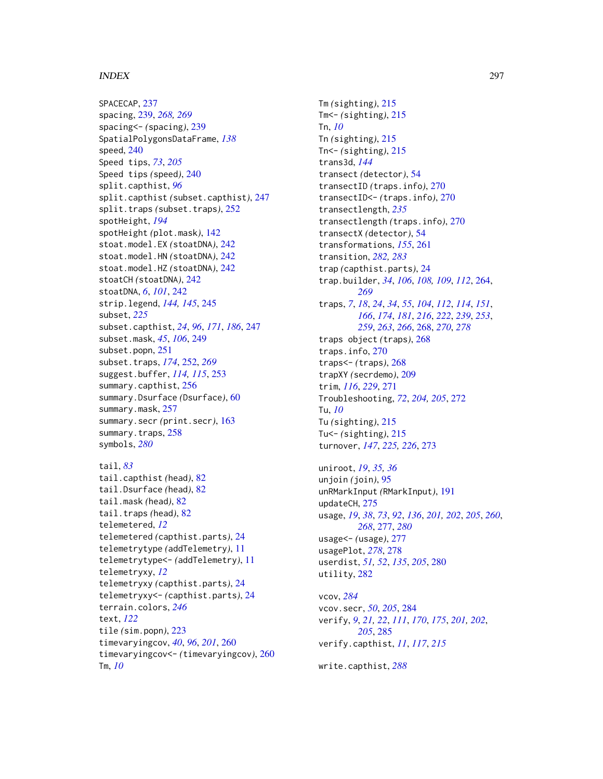SPACECAP, [237](#page-236-0) spacing, [239,](#page-238-0) *[268,](#page-267-0) [269](#page-268-0)* spacing<- *(*spacing*)*, [239](#page-238-0) SpatialPolygonsDataFrame, *[138](#page-137-0)* speed, [240](#page-239-0) Speed tips, *[73](#page-72-0)*, *[205](#page-204-0)* Speed tips *(*speed*)*, [240](#page-239-0) split.capthist, *[96](#page-95-0)* split.capthist *(*subset.capthist*)*, [247](#page-246-0) split.traps *(*subset.traps*)*, [252](#page-251-0) spotHeight, *[194](#page-193-0)* spotHeight *(*plot.mask*)*, [142](#page-141-0) stoat.model.EX *(*stoatDNA*)*, [242](#page-241-0) stoat.model.HN *(*stoatDNA*)*, [242](#page-241-0) stoat.model.HZ *(*stoatDNA*)*, [242](#page-241-0) stoatCH *(*stoatDNA*)*, [242](#page-241-0) stoatDNA, *[6](#page-5-0)*, *[101](#page-100-0)*, [242](#page-241-0) strip.legend, *[144,](#page-143-0) [145](#page-144-0)*, [245](#page-244-0) subset, *[225](#page-224-0)* subset.capthist, *[24](#page-23-0)*, *[96](#page-95-0)*, *[171](#page-170-0)*, *[186](#page-185-0)*, [247](#page-246-0) subset.mask, *[45](#page-44-0)*, *[106](#page-105-0)*, [249](#page-248-0) subset.popn, [251](#page-250-0) subset.traps, *[174](#page-173-0)*, [252,](#page-251-0) *[269](#page-268-0)* suggest.buffer, *[114,](#page-113-0) [115](#page-114-0)*, [253](#page-252-0) summary.capthist, [256](#page-255-0) summary.Dsurface *(*Dsurface*)*, [60](#page-59-0) summary.mask, [257](#page-256-0) summary.secr *(*print.secr*)*, [163](#page-162-0) summary.traps, [258](#page-257-0) symbols, *[280](#page-279-0)* tail, *[83](#page-82-0)* tail.capthist *(*head*)*, [82](#page-81-0) tail.Dsurface *(*head*)*, [82](#page-81-0)

```
tail.mask (head), 82
tail.traps (head), 82
telemetered, 12
telemetered (capthist.parts), 24
telemetrytype (addTelemetry), 11
telemetrytype<- (addTelemetry), 11
telemetryxy, 12
telemetryxy (capthist.parts), 24
telemetryxy<- (capthist.parts), 24
terrain.colors, 246
text, 122
tile (sim.popn), 223
timevaryingcov, 40, 96, 201, 260
timevaryingcov<- (timevaryingcov), 260
Tm, 10
```
Tm *(*sighting*)*, [215](#page-214-0) Tm<- *(*sighting*)*, [215](#page-214-0) Tn, *[10](#page-9-0)* Tn *(*sighting*)*, [215](#page-214-0) Tn<- *(*sighting*)*, [215](#page-214-0) trans3d, *[144](#page-143-0)* transect *(*detector*)*, [54](#page-53-0) transectID *(*traps.info*)*, [270](#page-269-0) transectID<- *(*traps.info*)*, [270](#page-269-0) transectlength, *[235](#page-234-0)* transectlength *(*traps.info*)*, [270](#page-269-0) transectX *(*detector*)*, [54](#page-53-0) transformations, *[155](#page-154-0)*, [261](#page-260-0) transition, *[282,](#page-281-0) [283](#page-282-0)* trap *(*capthist.parts*)*, [24](#page-23-0) trap.builder, *[34](#page-33-0)*, *[106](#page-105-0)*, *[108,](#page-107-1) [109](#page-108-0)*, *[112](#page-111-0)*, [264,](#page-263-0) *[269](#page-268-0)* traps, *[7](#page-6-0)*, *[18](#page-17-0)*, *[24](#page-23-0)*, *[34](#page-33-0)*, *[55](#page-54-0)*, *[104](#page-103-0)*, *[112](#page-111-0)*, *[114](#page-113-0)*, *[151](#page-150-0)*, *[166](#page-165-0)*, *[174](#page-173-0)*, *[181](#page-180-0)*, *[216](#page-215-0)*, *[222](#page-221-0)*, *[239](#page-238-0)*, *[253](#page-252-0)*, *[259](#page-258-0)*, *[263](#page-262-0)*, *[266](#page-265-0)*, [268,](#page-267-0) *[270](#page-269-0)*, *[278](#page-277-0)* traps object *(*traps*)*, [268](#page-267-0) traps.info, [270](#page-269-0) traps<- *(*traps*)*, [268](#page-267-0) trapXY *(*secrdemo*)*, [209](#page-208-0) trim, *[116](#page-115-0)*, *[229](#page-228-0)*, [271](#page-270-0) Troubleshooting, *[72](#page-71-0)*, *[204,](#page-203-0) [205](#page-204-0)*, [272](#page-271-0) Tu, *[10](#page-9-0)* Tu *(*sighting*)*, [215](#page-214-0) Tu<- *(*sighting*)*, [215](#page-214-0) turnover, *[147](#page-146-0)*, *[225,](#page-224-0) [226](#page-225-0)*, [273](#page-272-0)

```
uniroot, 19, 35, 36
unjoin (join), 95
unRMarkInput (RMarkInput), 191
updateCH, 275
usage, 19, 38, 73, 92, 136, 201, 202, 205, 260,
         268, 277, 280
usage<- (usage), 277
usagePlot, 278, 278
userdist, 51, 52, 135, 205, 280
utility, 282
```
vcov, *[284](#page-283-0)* vcov.secr, *[50](#page-49-0)*, *[205](#page-204-0)*, [284](#page-283-0) verify, *[9](#page-8-0)*, *[21,](#page-20-0) [22](#page-21-0)*, *[111](#page-110-0)*, *[170](#page-169-0)*, *[175](#page-174-0)*, *[201,](#page-200-0) [202](#page-201-0)*, *[205](#page-204-0)*, [285](#page-284-0) verify.capthist, *[11](#page-10-0)*, *[117](#page-116-0)*, *[215](#page-214-0)*

write.capthist, *[288](#page-287-0)*